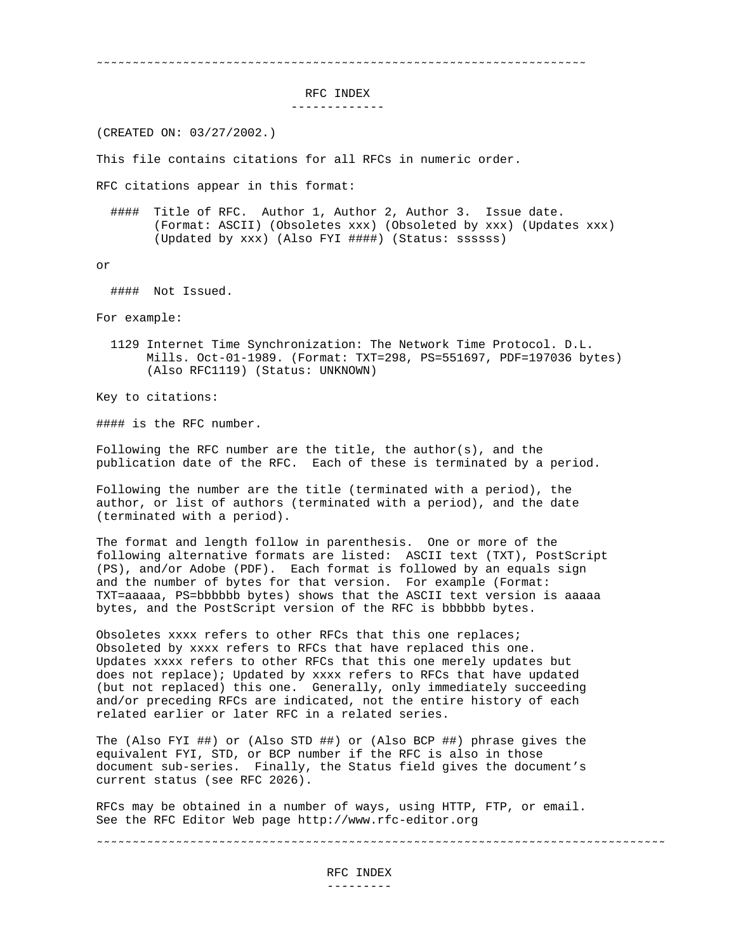˜˜˜˜˜˜˜˜˜˜˜˜˜˜˜˜˜˜˜˜˜˜˜˜˜˜˜˜˜˜˜˜˜˜˜˜˜˜˜˜˜˜˜˜˜˜˜˜˜˜˜˜˜˜˜˜˜˜˜˜˜˜˜˜˜˜˜˜

RFC INDEX

-------------

(CREATED ON: 03/27/2002.)

This file contains citations for all RFCs in numeric order.

RFC citations appear in this format:

 #### Title of RFC. Author 1, Author 2, Author 3. Issue date. (Format: ASCII) (Obsoletes xxx) (Obsoleted by xxx) (Updates xxx) (Updated by xxx) (Also FYI ####) (Status: ssssss)

or

#### Not Issued.

For example:

 1129 Internet Time Synchronization: The Network Time Protocol. D.L. Mills. Oct-01-1989. (Format: TXT=298, PS=551697, PDF=197036 bytes) (Also RFC1119) (Status: UNKNOWN)

Key to citations:

#### is the RFC number.

Following the RFC number are the title, the author(s), and the publication date of the RFC. Each of these is terminated by a period.

Following the number are the title (terminated with a period), the author, or list of authors (terminated with a period), and the date (terminated with a period).

The format and length follow in parenthesis. One or more of the following alternative formats are listed: ASCII text (TXT), PostScript (PS), and/or Adobe (PDF). Each format is followed by an equals sign and the number of bytes for that version. For example (Format: TXT=aaaaa, PS=bbbbbb bytes) shows that the ASCII text version is aaaaa bytes, and the PostScript version of the RFC is bbbbbb bytes.

Obsoletes xxxx refers to other RFCs that this one replaces; Obsoleted by xxxx refers to RFCs that have replaced this one. Updates xxxx refers to other RFCs that this one merely updates but does not replace); Updated by xxxx refers to RFCs that have updated (but not replaced) this one. Generally, only immediately succeeding and/or preceding RFCs are indicated, not the entire history of each related earlier or later RFC in a related series.

The (Also FYI ##) or (Also STD ##) or (Also BCP ##) phrase gives the equivalent FYI, STD, or BCP number if the RFC is also in those document sub-series. Finally, the Status field gives the document's current status (see RFC 2026).

RFCs may be obtained in a number of ways, using HTTP, FTP, or email. See the RFC Editor Web page http://www.rfc-editor.org

˜˜˜˜˜˜˜˜˜˜˜˜˜˜˜˜˜˜˜˜˜˜˜˜˜˜˜˜˜˜˜˜˜˜˜˜˜˜˜˜˜˜˜˜˜˜˜˜˜˜˜˜˜˜˜˜˜˜˜˜˜˜˜˜˜˜˜˜˜˜˜˜˜˜˜˜˜˜˜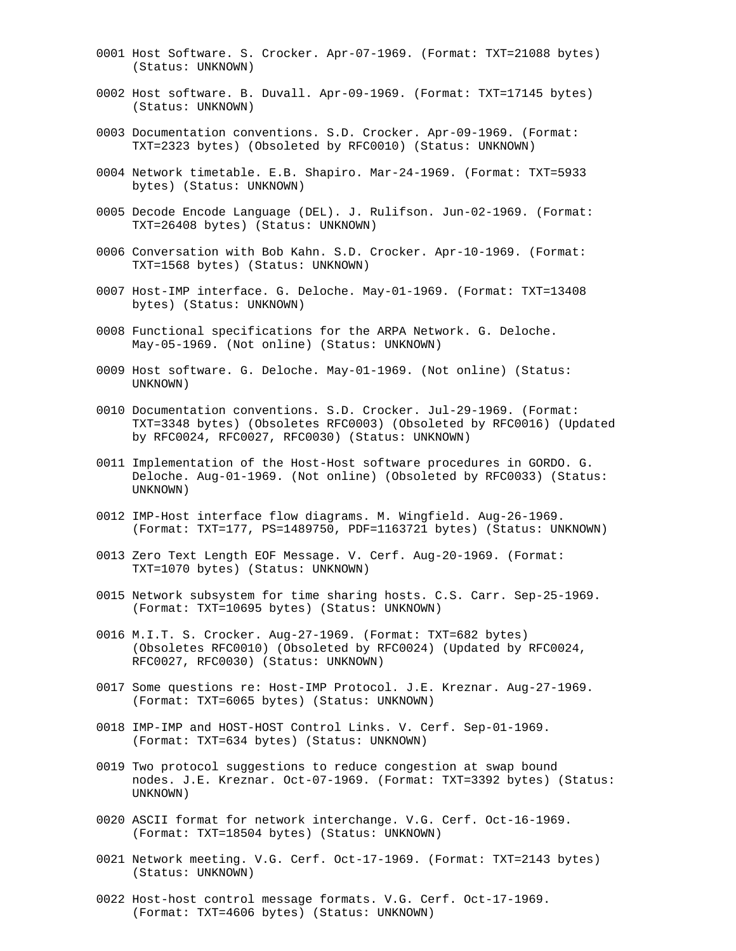- 0001 Host Software. S. Crocker. Apr-07-1969. (Format: TXT=21088 bytes) (Status: UNKNOWN)
- 0002 Host software. B. Duvall. Apr-09-1969. (Format: TXT=17145 bytes) (Status: UNKNOWN)
- 0003 Documentation conventions. S.D. Crocker. Apr-09-1969. (Format: TXT=2323 bytes) (Obsoleted by RFC0010) (Status: UNKNOWN)
- 0004 Network timetable. E.B. Shapiro. Mar-24-1969. (Format: TXT=5933 bytes) (Status: UNKNOWN)
- 0005 Decode Encode Language (DEL). J. Rulifson. Jun-02-1969. (Format: TXT=26408 bytes) (Status: UNKNOWN)
- 0006 Conversation with Bob Kahn. S.D. Crocker. Apr-10-1969. (Format: TXT=1568 bytes) (Status: UNKNOWN)
- 0007 Host-IMP interface. G. Deloche. May-01-1969. (Format: TXT=13408 bytes) (Status: UNKNOWN)
- 0008 Functional specifications for the ARPA Network. G. Deloche. May-05-1969. (Not online) (Status: UNKNOWN)
- 0009 Host software. G. Deloche. May-01-1969. (Not online) (Status: UNKNOWN)
- 0010 Documentation conventions. S.D. Crocker. Jul-29-1969. (Format: TXT=3348 bytes) (Obsoletes RFC0003) (Obsoleted by RFC0016) (Updated by RFC0024, RFC0027, RFC0030) (Status: UNKNOWN)
- 0011 Implementation of the Host-Host software procedures in GORDO. G. Deloche. Aug-01-1969. (Not online) (Obsoleted by RFC0033) (Status: UNKNOWN)
- 0012 IMP-Host interface flow diagrams. M. Wingfield. Aug-26-1969. (Format: TXT=177, PS=1489750, PDF=1163721 bytes) (Status: UNKNOWN)
- 0013 Zero Text Length EOF Message. V. Cerf. Aug-20-1969. (Format: TXT=1070 bytes) (Status: UNKNOWN)
- 0015 Network subsystem for time sharing hosts. C.S. Carr. Sep-25-1969. (Format: TXT=10695 bytes) (Status: UNKNOWN)
- 0016 M.I.T. S. Crocker. Aug-27-1969. (Format: TXT=682 bytes) (Obsoletes RFC0010) (Obsoleted by RFC0024) (Updated by RFC0024, RFC0027, RFC0030) (Status: UNKNOWN)
- 0017 Some questions re: Host-IMP Protocol. J.E. Kreznar. Aug-27-1969. (Format: TXT=6065 bytes) (Status: UNKNOWN)
- 0018 IMP-IMP and HOST-HOST Control Links. V. Cerf. Sep-01-1969. (Format: TXT=634 bytes) (Status: UNKNOWN)
- 0019 Two protocol suggestions to reduce congestion at swap bound nodes. J.E. Kreznar. Oct-07-1969. (Format: TXT=3392 bytes) (Status: UNKNOWN)
- 0020 ASCII format for network interchange. V.G. Cerf. Oct-16-1969. (Format: TXT=18504 bytes) (Status: UNKNOWN)
- 0021 Network meeting. V.G. Cerf. Oct-17-1969. (Format: TXT=2143 bytes) (Status: UNKNOWN)
- 0022 Host-host control message formats. V.G. Cerf. Oct-17-1969. (Format: TXT=4606 bytes) (Status: UNKNOWN)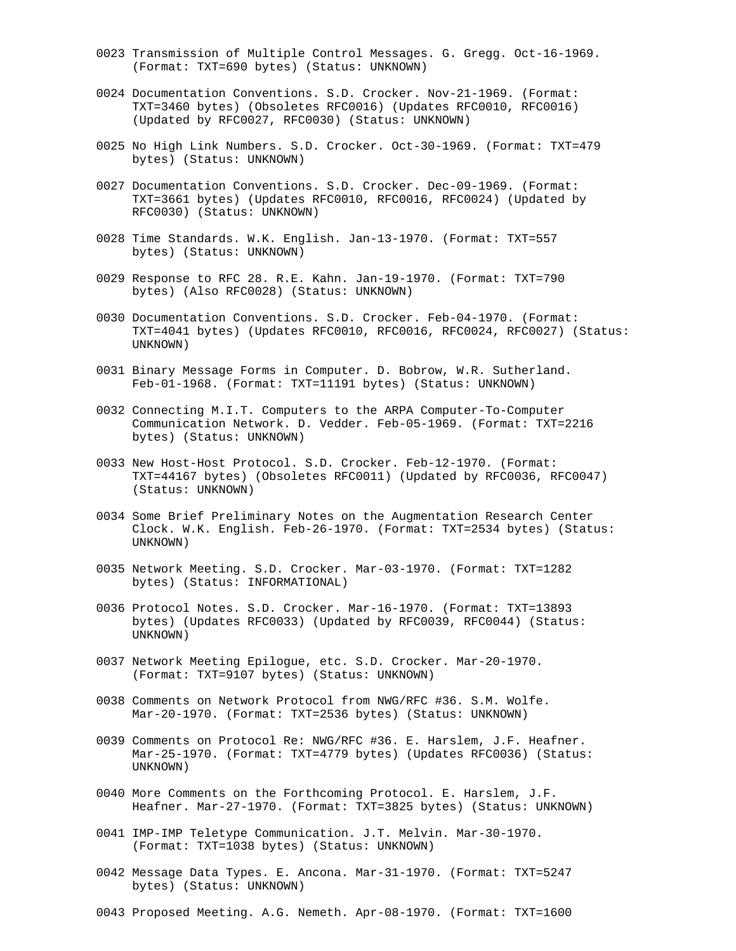- 0023 Transmission of Multiple Control Messages. G. Gregg. Oct-16-1969. (Format: TXT=690 bytes) (Status: UNKNOWN)
- 0024 Documentation Conventions. S.D. Crocker. Nov-21-1969. (Format: TXT=3460 bytes) (Obsoletes RFC0016) (Updates RFC0010, RFC0016) (Updated by RFC0027, RFC0030) (Status: UNKNOWN)
- 0025 No High Link Numbers. S.D. Crocker. Oct-30-1969. (Format: TXT=479 bytes) (Status: UNKNOWN)
- 0027 Documentation Conventions. S.D. Crocker. Dec-09-1969. (Format: TXT=3661 bytes) (Updates RFC0010, RFC0016, RFC0024) (Updated by RFC0030) (Status: UNKNOWN)
- 0028 Time Standards. W.K. English. Jan-13-1970. (Format: TXT=557 bytes) (Status: UNKNOWN)
- 0029 Response to RFC 28. R.E. Kahn. Jan-19-1970. (Format: TXT=790 bytes) (Also RFC0028) (Status: UNKNOWN)
- 0030 Documentation Conventions. S.D. Crocker. Feb-04-1970. (Format: TXT=4041 bytes) (Updates RFC0010, RFC0016, RFC0024, RFC0027) (Status: UNKNOWN)
- 0031 Binary Message Forms in Computer. D. Bobrow, W.R. Sutherland. Feb-01-1968. (Format: TXT=11191 bytes) (Status: UNKNOWN)
- 0032 Connecting M.I.T. Computers to the ARPA Computer-To-Computer Communication Network. D. Vedder. Feb-05-1969. (Format: TXT=2216 bytes) (Status: UNKNOWN)
- 0033 New Host-Host Protocol. S.D. Crocker. Feb-12-1970. (Format: TXT=44167 bytes) (Obsoletes RFC0011) (Updated by RFC0036, RFC0047) (Status: UNKNOWN)
- 0034 Some Brief Preliminary Notes on the Augmentation Research Center Clock. W.K. English. Feb-26-1970. (Format: TXT=2534 bytes) (Status: UNKNOWN)
- 0035 Network Meeting. S.D. Crocker. Mar-03-1970. (Format: TXT=1282 bytes) (Status: INFORMATIONAL)
- 0036 Protocol Notes. S.D. Crocker. Mar-16-1970. (Format: TXT=13893 bytes) (Updates RFC0033) (Updated by RFC0039, RFC0044) (Status: UNKNOWN)
- 0037 Network Meeting Epilogue, etc. S.D. Crocker. Mar-20-1970. (Format: TXT=9107 bytes) (Status: UNKNOWN)
- 0038 Comments on Network Protocol from NWG/RFC #36. S.M. Wolfe. Mar-20-1970. (Format: TXT=2536 bytes) (Status: UNKNOWN)
- 0039 Comments on Protocol Re: NWG/RFC #36. E. Harslem, J.F. Heafner. Mar-25-1970. (Format: TXT=4779 bytes) (Updates RFC0036) (Status: UNKNOWN)
- 0040 More Comments on the Forthcoming Protocol. E. Harslem, J.F. Heafner. Mar-27-1970. (Format: TXT=3825 bytes) (Status: UNKNOWN)
- 0041 IMP-IMP Teletype Communication. J.T. Melvin. Mar-30-1970. (Format: TXT=1038 bytes) (Status: UNKNOWN)
- 0042 Message Data Types. E. Ancona. Mar-31-1970. (Format: TXT=5247 bytes) (Status: UNKNOWN)
- 0043 Proposed Meeting. A.G. Nemeth. Apr-08-1970. (Format: TXT=1600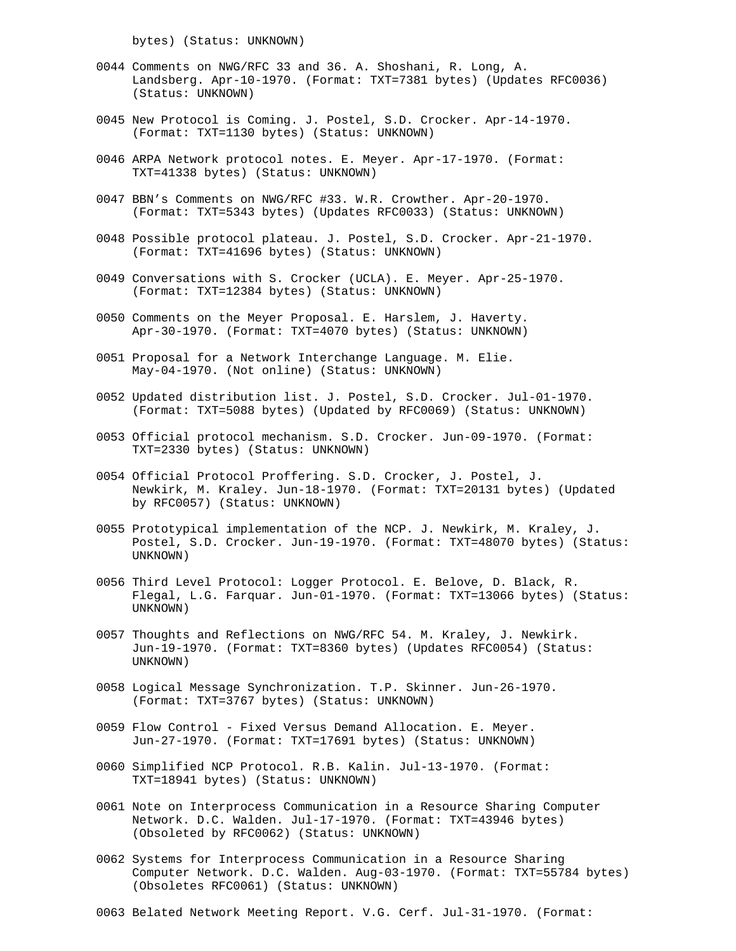bytes) (Status: UNKNOWN)

- 0044 Comments on NWG/RFC 33 and 36. A. Shoshani, R. Long, A. Landsberg. Apr-10-1970. (Format: TXT=7381 bytes) (Updates RFC0036) (Status: UNKNOWN)
- 0045 New Protocol is Coming. J. Postel, S.D. Crocker. Apr-14-1970. (Format: TXT=1130 bytes) (Status: UNKNOWN)
- 0046 ARPA Network protocol notes. E. Meyer. Apr-17-1970. (Format: TXT=41338 bytes) (Status: UNKNOWN)
- 0047 BBN's Comments on NWG/RFC #33. W.R. Crowther. Apr-20-1970. (Format: TXT=5343 bytes) (Updates RFC0033) (Status: UNKNOWN)
- 0048 Possible protocol plateau. J. Postel, S.D. Crocker. Apr-21-1970. (Format: TXT=41696 bytes) (Status: UNKNOWN)
- 0049 Conversations with S. Crocker (UCLA). E. Meyer. Apr-25-1970. (Format: TXT=12384 bytes) (Status: UNKNOWN)
- 0050 Comments on the Meyer Proposal. E. Harslem, J. Haverty. Apr-30-1970. (Format: TXT=4070 bytes) (Status: UNKNOWN)
- 0051 Proposal for a Network Interchange Language. M. Elie. May-04-1970. (Not online) (Status: UNKNOWN)
- 0052 Updated distribution list. J. Postel, S.D. Crocker. Jul-01-1970. (Format: TXT=5088 bytes) (Updated by RFC0069) (Status: UNKNOWN)
- 0053 Official protocol mechanism. S.D. Crocker. Jun-09-1970. (Format: TXT=2330 bytes) (Status: UNKNOWN)
- 0054 Official Protocol Proffering. S.D. Crocker, J. Postel, J. Newkirk, M. Kraley. Jun-18-1970. (Format: TXT=20131 bytes) (Updated by RFC0057) (Status: UNKNOWN)
- 0055 Prototypical implementation of the NCP. J. Newkirk, M. Kraley, J. Postel, S.D. Crocker. Jun-19-1970. (Format: TXT=48070 bytes) (Status: UNKNOWN)
- 0056 Third Level Protocol: Logger Protocol. E. Belove, D. Black, R. Flegal, L.G. Farquar. Jun-01-1970. (Format: TXT=13066 bytes) (Status: UNKNOWN)
- 0057 Thoughts and Reflections on NWG/RFC 54. M. Kraley, J. Newkirk. Jun-19-1970. (Format: TXT=8360 bytes) (Updates RFC0054) (Status: UNKNOWN)
- 0058 Logical Message Synchronization. T.P. Skinner. Jun-26-1970. (Format: TXT=3767 bytes) (Status: UNKNOWN)
- 0059 Flow Control Fixed Versus Demand Allocation. E. Meyer. Jun-27-1970. (Format: TXT=17691 bytes) (Status: UNKNOWN)
- 0060 Simplified NCP Protocol. R.B. Kalin. Jul-13-1970. (Format: TXT=18941 bytes) (Status: UNKNOWN)
- 0061 Note on Interprocess Communication in a Resource Sharing Computer Network. D.C. Walden. Jul-17-1970. (Format: TXT=43946 bytes) (Obsoleted by RFC0062) (Status: UNKNOWN)
- 0062 Systems for Interprocess Communication in a Resource Sharing Computer Network. D.C. Walden. Aug-03-1970. (Format: TXT=55784 bytes) (Obsoletes RFC0061) (Status: UNKNOWN)
- 0063 Belated Network Meeting Report. V.G. Cerf. Jul-31-1970. (Format: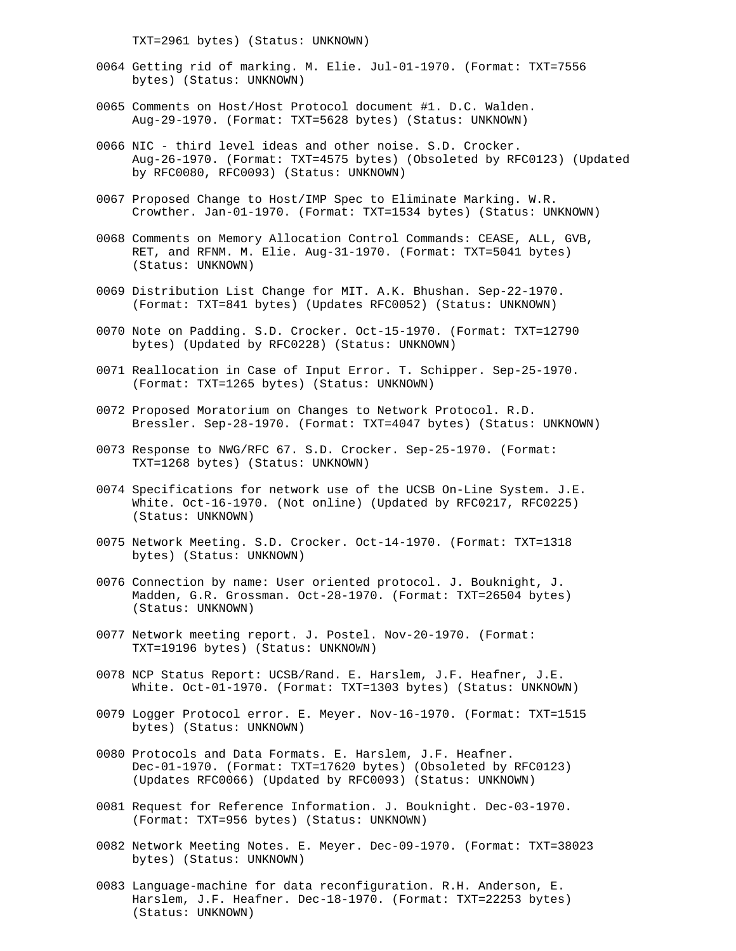TXT=2961 bytes) (Status: UNKNOWN)

- 0064 Getting rid of marking. M. Elie. Jul-01-1970. (Format: TXT=7556 bytes) (Status: UNKNOWN)
- 0065 Comments on Host/Host Protocol document #1. D.C. Walden. Aug-29-1970. (Format: TXT=5628 bytes) (Status: UNKNOWN)
- 0066 NIC third level ideas and other noise. S.D. Crocker. Aug-26-1970. (Format: TXT=4575 bytes) (Obsoleted by RFC0123) (Updated by RFC0080, RFC0093) (Status: UNKNOWN)
- 0067 Proposed Change to Host/IMP Spec to Eliminate Marking. W.R. Crowther. Jan-01-1970. (Format: TXT=1534 bytes) (Status: UNKNOWN)
- 0068 Comments on Memory Allocation Control Commands: CEASE, ALL, GVB, RET, and RFNM. M. Elie. Aug-31-1970. (Format: TXT=5041 bytes) (Status: UNKNOWN)
- 0069 Distribution List Change for MIT. A.K. Bhushan. Sep-22-1970. (Format: TXT=841 bytes) (Updates RFC0052) (Status: UNKNOWN)
- 0070 Note on Padding. S.D. Crocker. Oct-15-1970. (Format: TXT=12790 bytes) (Updated by RFC0228) (Status: UNKNOWN)
- 0071 Reallocation in Case of Input Error. T. Schipper. Sep-25-1970. (Format: TXT=1265 bytes) (Status: UNKNOWN)
- 0072 Proposed Moratorium on Changes to Network Protocol. R.D. Bressler. Sep-28-1970. (Format: TXT=4047 bytes) (Status: UNKNOWN)
- 0073 Response to NWG/RFC 67. S.D. Crocker. Sep-25-1970. (Format: TXT=1268 bytes) (Status: UNKNOWN)
- 0074 Specifications for network use of the UCSB On-Line System. J.E. White. Oct-16-1970. (Not online) (Updated by RFC0217, RFC0225) (Status: UNKNOWN)
- 0075 Network Meeting. S.D. Crocker. Oct-14-1970. (Format: TXT=1318 bytes) (Status: UNKNOWN)
- 0076 Connection by name: User oriented protocol. J. Bouknight, J. Madden, G.R. Grossman. Oct-28-1970. (Format: TXT=26504 bytes) (Status: UNKNOWN)
- 0077 Network meeting report. J. Postel. Nov-20-1970. (Format: TXT=19196 bytes) (Status: UNKNOWN)
- 0078 NCP Status Report: UCSB/Rand. E. Harslem, J.F. Heafner, J.E. White. Oct-01-1970. (Format: TXT=1303 bytes) (Status: UNKNOWN)
- 0079 Logger Protocol error. E. Meyer. Nov-16-1970. (Format: TXT=1515 bytes) (Status: UNKNOWN)
- 0080 Protocols and Data Formats. E. Harslem, J.F. Heafner. Dec-01-1970. (Format: TXT=17620 bytes) (Obsoleted by RFC0123) (Updates RFC0066) (Updated by RFC0093) (Status: UNKNOWN)
- 0081 Request for Reference Information. J. Bouknight. Dec-03-1970. (Format: TXT=956 bytes) (Status: UNKNOWN)
- 0082 Network Meeting Notes. E. Meyer. Dec-09-1970. (Format: TXT=38023 bytes) (Status: UNKNOWN)
- 0083 Language-machine for data reconfiguration. R.H. Anderson, E. Harslem, J.F. Heafner. Dec-18-1970. (Format: TXT=22253 bytes) (Status: UNKNOWN)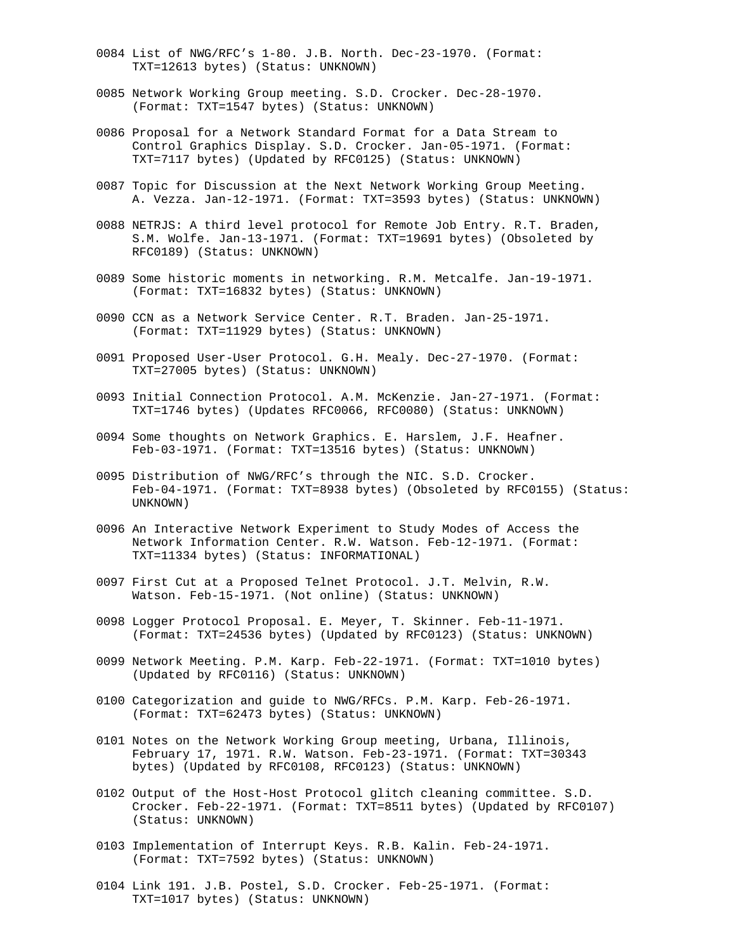- 0084 List of NWG/RFC's 1-80. J.B. North. Dec-23-1970. (Format: TXT=12613 bytes) (Status: UNKNOWN)
- 0085 Network Working Group meeting. S.D. Crocker. Dec-28-1970. (Format: TXT=1547 bytes) (Status: UNKNOWN)
- 0086 Proposal for a Network Standard Format for a Data Stream to Control Graphics Display. S.D. Crocker. Jan-05-1971. (Format: TXT=7117 bytes) (Updated by RFC0125) (Status: UNKNOWN)
- 0087 Topic for Discussion at the Next Network Working Group Meeting. A. Vezza. Jan-12-1971. (Format: TXT=3593 bytes) (Status: UNKNOWN)
- 0088 NETRJS: A third level protocol for Remote Job Entry. R.T. Braden, S.M. Wolfe. Jan-13-1971. (Format: TXT=19691 bytes) (Obsoleted by RFC0189) (Status: UNKNOWN)
- 0089 Some historic moments in networking. R.M. Metcalfe. Jan-19-1971. (Format: TXT=16832 bytes) (Status: UNKNOWN)
- 0090 CCN as a Network Service Center. R.T. Braden. Jan-25-1971. (Format: TXT=11929 bytes) (Status: UNKNOWN)
- 0091 Proposed User-User Protocol. G.H. Mealy. Dec-27-1970. (Format: TXT=27005 bytes) (Status: UNKNOWN)
- 0093 Initial Connection Protocol. A.M. McKenzie. Jan-27-1971. (Format: TXT=1746 bytes) (Updates RFC0066, RFC0080) (Status: UNKNOWN)
- 0094 Some thoughts on Network Graphics. E. Harslem, J.F. Heafner. Feb-03-1971. (Format: TXT=13516 bytes) (Status: UNKNOWN)
- 0095 Distribution of NWG/RFC's through the NIC. S.D. Crocker. Feb-04-1971. (Format: TXT=8938 bytes) (Obsoleted by RFC0155) (Status: UNKNOWN)
- 0096 An Interactive Network Experiment to Study Modes of Access the Network Information Center. R.W. Watson. Feb-12-1971. (Format: TXT=11334 bytes) (Status: INFORMATIONAL)
- 0097 First Cut at a Proposed Telnet Protocol. J.T. Melvin, R.W. Watson. Feb-15-1971. (Not online) (Status: UNKNOWN)
- 0098 Logger Protocol Proposal. E. Meyer, T. Skinner. Feb-11-1971. (Format: TXT=24536 bytes) (Updated by RFC0123) (Status: UNKNOWN)
- 0099 Network Meeting. P.M. Karp. Feb-22-1971. (Format: TXT=1010 bytes) (Updated by RFC0116) (Status: UNKNOWN)
- 0100 Categorization and guide to NWG/RFCs. P.M. Karp. Feb-26-1971. (Format: TXT=62473 bytes) (Status: UNKNOWN)
- 0101 Notes on the Network Working Group meeting, Urbana, Illinois, February 17, 1971. R.W. Watson. Feb-23-1971. (Format: TXT=30343 bytes) (Updated by RFC0108, RFC0123) (Status: UNKNOWN)
- 0102 Output of the Host-Host Protocol glitch cleaning committee. S.D. Crocker. Feb-22-1971. (Format: TXT=8511 bytes) (Updated by RFC0107) (Status: UNKNOWN)
- 0103 Implementation of Interrupt Keys. R.B. Kalin. Feb-24-1971. (Format: TXT=7592 bytes) (Status: UNKNOWN)
- 0104 Link 191. J.B. Postel, S.D. Crocker. Feb-25-1971. (Format: TXT=1017 bytes) (Status: UNKNOWN)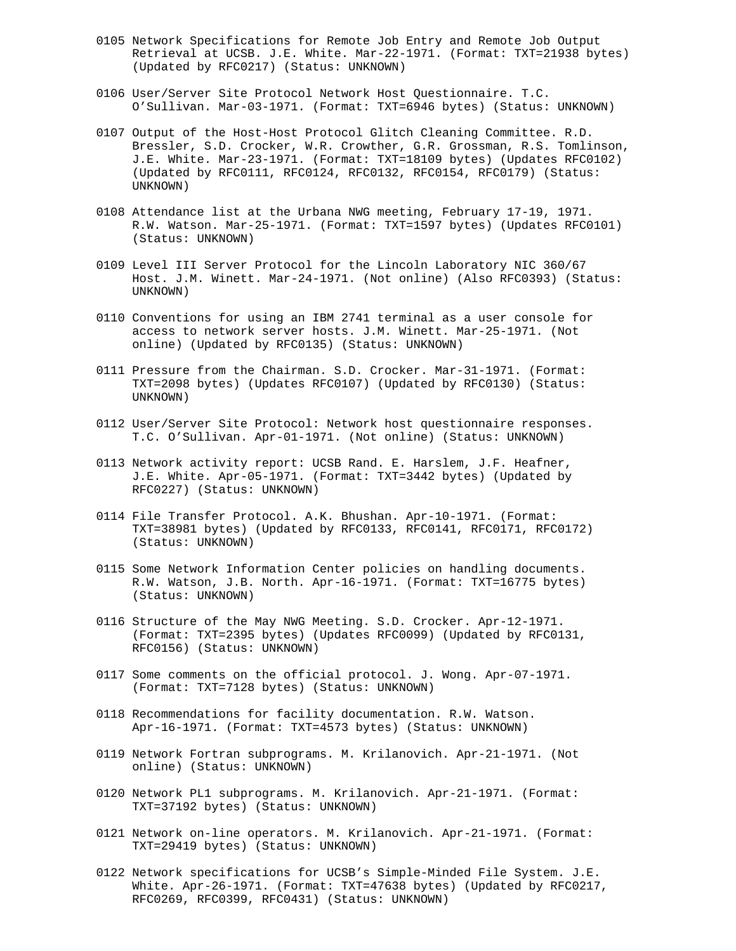- 0105 Network Specifications for Remote Job Entry and Remote Job Output Retrieval at UCSB. J.E. White. Mar-22-1971. (Format: TXT=21938 bytes) (Updated by RFC0217) (Status: UNKNOWN)
- 0106 User/Server Site Protocol Network Host Questionnaire. T.C. O'Sullivan. Mar-03-1971. (Format: TXT=6946 bytes) (Status: UNKNOWN)
- 0107 Output of the Host-Host Protocol Glitch Cleaning Committee. R.D. Bressler, S.D. Crocker, W.R. Crowther, G.R. Grossman, R.S. Tomlinson, J.E. White. Mar-23-1971. (Format: TXT=18109 bytes) (Updates RFC0102) (Updated by RFC0111, RFC0124, RFC0132, RFC0154, RFC0179) (Status: UNKNOWN)
- 0108 Attendance list at the Urbana NWG meeting, February 17-19, 1971. R.W. Watson. Mar-25-1971. (Format: TXT=1597 bytes) (Updates RFC0101) (Status: UNKNOWN)
- 0109 Level III Server Protocol for the Lincoln Laboratory NIC 360/67 Host. J.M. Winett. Mar-24-1971. (Not online) (Also RFC0393) (Status: UNKNOWN)
- 0110 Conventions for using an IBM 2741 terminal as a user console for access to network server hosts. J.M. Winett. Mar-25-1971. (Not online) (Updated by RFC0135) (Status: UNKNOWN)
- 0111 Pressure from the Chairman. S.D. Crocker. Mar-31-1971. (Format: TXT=2098 bytes) (Updates RFC0107) (Updated by RFC0130) (Status: UNKNOWN)
- 0112 User/Server Site Protocol: Network host questionnaire responses. T.C. O'Sullivan. Apr-01-1971. (Not online) (Status: UNKNOWN)
- 0113 Network activity report: UCSB Rand. E. Harslem, J.F. Heafner, J.E. White. Apr-05-1971. (Format: TXT=3442 bytes) (Updated by RFC0227) (Status: UNKNOWN)
- 0114 File Transfer Protocol. A.K. Bhushan. Apr-10-1971. (Format: TXT=38981 bytes) (Updated by RFC0133, RFC0141, RFC0171, RFC0172) (Status: UNKNOWN)
- 0115 Some Network Information Center policies on handling documents. R.W. Watson, J.B. North. Apr-16-1971. (Format: TXT=16775 bytes) (Status: UNKNOWN)
- 0116 Structure of the May NWG Meeting. S.D. Crocker. Apr-12-1971. (Format: TXT=2395 bytes) (Updates RFC0099) (Updated by RFC0131, RFC0156) (Status: UNKNOWN)
- 0117 Some comments on the official protocol. J. Wong. Apr-07-1971. (Format: TXT=7128 bytes) (Status: UNKNOWN)
- 0118 Recommendations for facility documentation. R.W. Watson. Apr-16-1971. (Format: TXT=4573 bytes) (Status: UNKNOWN)
- 0119 Network Fortran subprograms. M. Krilanovich. Apr-21-1971. (Not online) (Status: UNKNOWN)
- 0120 Network PL1 subprograms. M. Krilanovich. Apr-21-1971. (Format: TXT=37192 bytes) (Status: UNKNOWN)
- 0121 Network on-line operators. M. Krilanovich. Apr-21-1971. (Format: TXT=29419 bytes) (Status: UNKNOWN)
- 0122 Network specifications for UCSB's Simple-Minded File System. J.E. White. Apr-26-1971. (Format: TXT=47638 bytes) (Updated by RFC0217, RFC0269, RFC0399, RFC0431) (Status: UNKNOWN)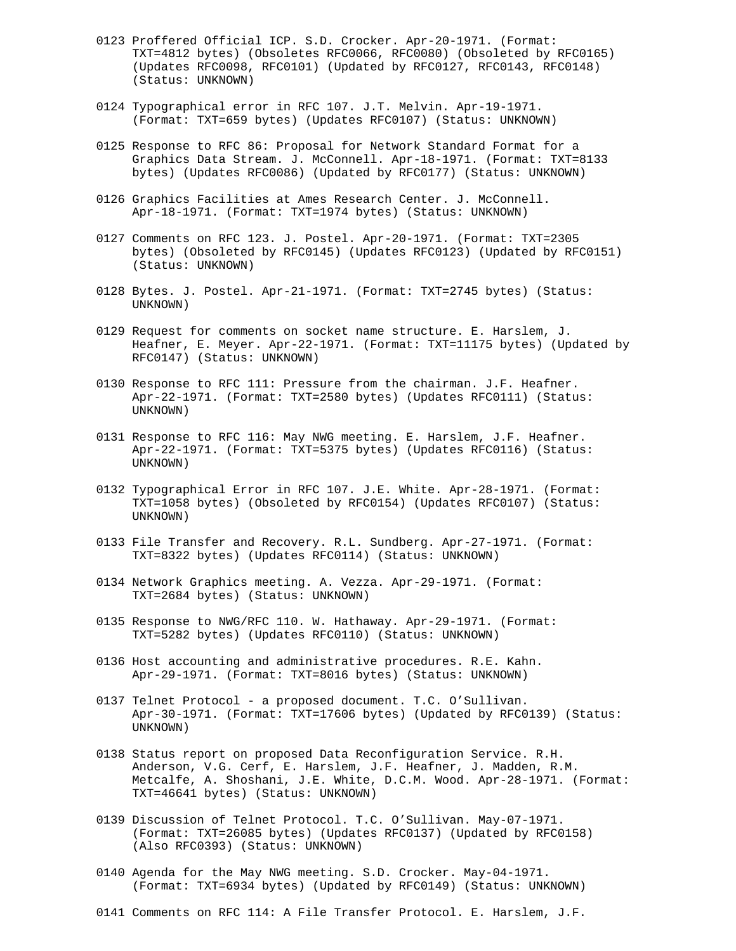- 0123 Proffered Official ICP. S.D. Crocker. Apr-20-1971. (Format: TXT=4812 bytes) (Obsoletes RFC0066, RFC0080) (Obsoleted by RFC0165) (Updates RFC0098, RFC0101) (Updated by RFC0127, RFC0143, RFC0148) (Status: UNKNOWN)
- 0124 Typographical error in RFC 107. J.T. Melvin. Apr-19-1971. (Format: TXT=659 bytes) (Updates RFC0107) (Status: UNKNOWN)
- 0125 Response to RFC 86: Proposal for Network Standard Format for a Graphics Data Stream. J. McConnell. Apr-18-1971. (Format: TXT=8133 bytes) (Updates RFC0086) (Updated by RFC0177) (Status: UNKNOWN)
- 0126 Graphics Facilities at Ames Research Center. J. McConnell. Apr-18-1971. (Format: TXT=1974 bytes) (Status: UNKNOWN)
- 0127 Comments on RFC 123. J. Postel. Apr-20-1971. (Format: TXT=2305 bytes) (Obsoleted by RFC0145) (Updates RFC0123) (Updated by RFC0151) (Status: UNKNOWN)
- 0128 Bytes. J. Postel. Apr-21-1971. (Format: TXT=2745 bytes) (Status: UNKNOWN)
- 0129 Request for comments on socket name structure. E. Harslem, J. Heafner, E. Meyer. Apr-22-1971. (Format: TXT=11175 bytes) (Updated by RFC0147) (Status: UNKNOWN)
- 0130 Response to RFC 111: Pressure from the chairman. J.F. Heafner. Apr-22-1971. (Format: TXT=2580 bytes) (Updates RFC0111) (Status: UNKNOWN)
- 0131 Response to RFC 116: May NWG meeting. E. Harslem, J.F. Heafner. Apr-22-1971. (Format: TXT=5375 bytes) (Updates RFC0116) (Status: UNKNOWN)
- 0132 Typographical Error in RFC 107. J.E. White. Apr-28-1971. (Format: TXT=1058 bytes) (Obsoleted by RFC0154) (Updates RFC0107) (Status: UNKNOWN)
- 0133 File Transfer and Recovery. R.L. Sundberg. Apr-27-1971. (Format: TXT=8322 bytes) (Updates RFC0114) (Status: UNKNOWN)
- 0134 Network Graphics meeting. A. Vezza. Apr-29-1971. (Format: TXT=2684 bytes) (Status: UNKNOWN)
- 0135 Response to NWG/RFC 110. W. Hathaway. Apr-29-1971. (Format: TXT=5282 bytes) (Updates RFC0110) (Status: UNKNOWN)
- 0136 Host accounting and administrative procedures. R.E. Kahn. Apr-29-1971. (Format: TXT=8016 bytes) (Status: UNKNOWN)
- 0137 Telnet Protocol a proposed document. T.C. O'Sullivan. Apr-30-1971. (Format: TXT=17606 bytes) (Updated by RFC0139) (Status: UNKNOWN)
- 0138 Status report on proposed Data Reconfiguration Service. R.H. Anderson, V.G. Cerf, E. Harslem, J.F. Heafner, J. Madden, R.M. Metcalfe, A. Shoshani, J.E. White, D.C.M. Wood. Apr-28-1971. (Format: TXT=46641 bytes) (Status: UNKNOWN)
- 0139 Discussion of Telnet Protocol. T.C. O'Sullivan. May-07-1971. (Format: TXT=26085 bytes) (Updates RFC0137) (Updated by RFC0158) (Also RFC0393) (Status: UNKNOWN)
- 0140 Agenda for the May NWG meeting. S.D. Crocker. May-04-1971. (Format: TXT=6934 bytes) (Updated by RFC0149) (Status: UNKNOWN)
- 0141 Comments on RFC 114: A File Transfer Protocol. E. Harslem, J.F.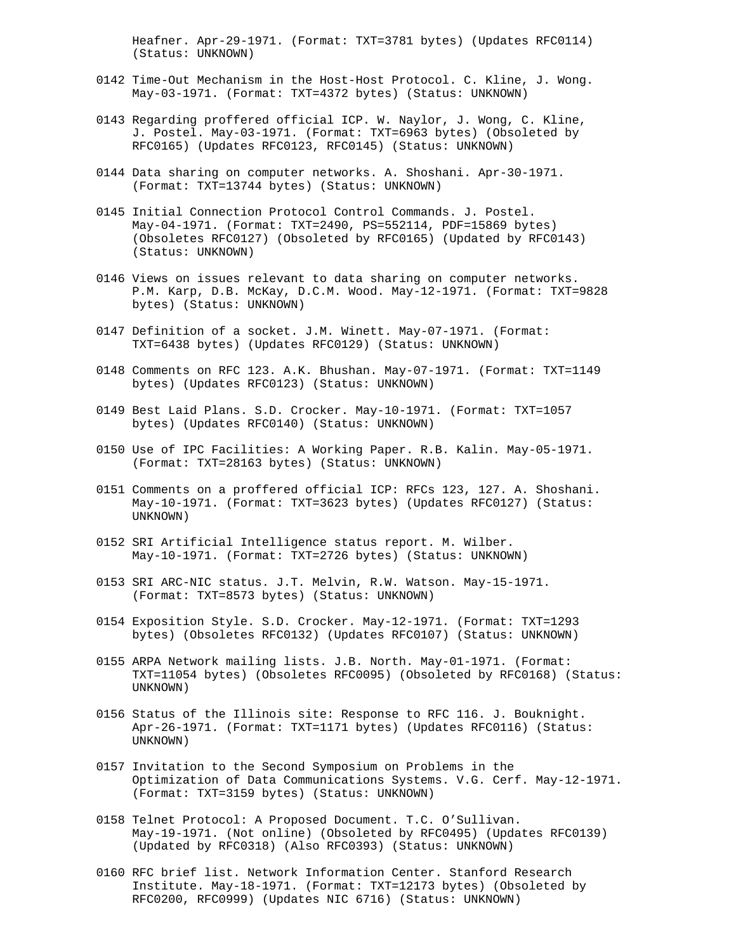Heafner. Apr-29-1971. (Format: TXT=3781 bytes) (Updates RFC0114) (Status: UNKNOWN)

- 0142 Time-Out Mechanism in the Host-Host Protocol. C. Kline, J. Wong. May-03-1971. (Format: TXT=4372 bytes) (Status: UNKNOWN)
- 0143 Regarding proffered official ICP. W. Naylor, J. Wong, C. Kline, J. Postel. May-03-1971. (Format: TXT=6963 bytes) (Obsoleted by RFC0165) (Updates RFC0123, RFC0145) (Status: UNKNOWN)
- 0144 Data sharing on computer networks. A. Shoshani. Apr-30-1971. (Format: TXT=13744 bytes) (Status: UNKNOWN)
- 0145 Initial Connection Protocol Control Commands. J. Postel. May-04-1971. (Format: TXT=2490, PS=552114, PDF=15869 bytes) (Obsoletes RFC0127) (Obsoleted by RFC0165) (Updated by RFC0143) (Status: UNKNOWN)
- 0146 Views on issues relevant to data sharing on computer networks. P.M. Karp, D.B. McKay, D.C.M. Wood. May-12-1971. (Format: TXT=9828 bytes) (Status: UNKNOWN)
- 0147 Definition of a socket. J.M. Winett. May-07-1971. (Format: TXT=6438 bytes) (Updates RFC0129) (Status: UNKNOWN)
- 0148 Comments on RFC 123. A.K. Bhushan. May-07-1971. (Format: TXT=1149 bytes) (Updates RFC0123) (Status: UNKNOWN)
- 0149 Best Laid Plans. S.D. Crocker. May-10-1971. (Format: TXT=1057 bytes) (Updates RFC0140) (Status: UNKNOWN)
- 0150 Use of IPC Facilities: A Working Paper. R.B. Kalin. May-05-1971. (Format: TXT=28163 bytes) (Status: UNKNOWN)
- 0151 Comments on a proffered official ICP: RFCs 123, 127. A. Shoshani. May-10-1971. (Format: TXT=3623 bytes) (Updates RFC0127) (Status: UNKNOWN)
- 0152 SRI Artificial Intelligence status report. M. Wilber. May-10-1971. (Format: TXT=2726 bytes) (Status: UNKNOWN)
- 0153 SRI ARC-NIC status. J.T. Melvin, R.W. Watson. May-15-1971. (Format: TXT=8573 bytes) (Status: UNKNOWN)
- 0154 Exposition Style. S.D. Crocker. May-12-1971. (Format: TXT=1293 bytes) (Obsoletes RFC0132) (Updates RFC0107) (Status: UNKNOWN)
- 0155 ARPA Network mailing lists. J.B. North. May-01-1971. (Format: TXT=11054 bytes) (Obsoletes RFC0095) (Obsoleted by RFC0168) (Status: UNKNOWN)
- 0156 Status of the Illinois site: Response to RFC 116. J. Bouknight. Apr-26-1971. (Format: TXT=1171 bytes) (Updates RFC0116) (Status: UNKNOWN)
- 0157 Invitation to the Second Symposium on Problems in the Optimization of Data Communications Systems. V.G. Cerf. May-12-1971. (Format: TXT=3159 bytes) (Status: UNKNOWN)
- 0158 Telnet Protocol: A Proposed Document. T.C. O'Sullivan. May-19-1971. (Not online) (Obsoleted by RFC0495) (Updates RFC0139) (Updated by RFC0318) (Also RFC0393) (Status: UNKNOWN)
- 0160 RFC brief list. Network Information Center. Stanford Research Institute. May-18-1971. (Format: TXT=12173 bytes) (Obsoleted by RFC0200, RFC0999) (Updates NIC 6716) (Status: UNKNOWN)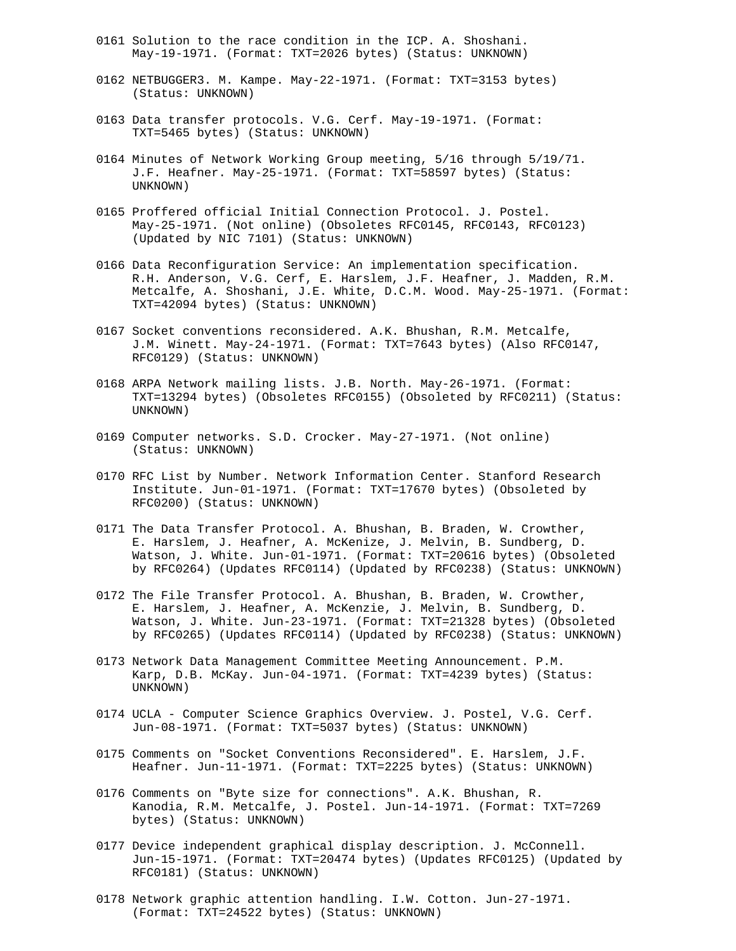- 0161 Solution to the race condition in the ICP. A. Shoshani. May-19-1971. (Format: TXT=2026 bytes) (Status: UNKNOWN)
- 0162 NETBUGGER3. M. Kampe. May-22-1971. (Format: TXT=3153 bytes) (Status: UNKNOWN)
- 0163 Data transfer protocols. V.G. Cerf. May-19-1971. (Format: TXT=5465 bytes) (Status: UNKNOWN)
- 0164 Minutes of Network Working Group meeting, 5/16 through 5/19/71. J.F. Heafner. May-25-1971. (Format: TXT=58597 bytes) (Status: UNKNOWN)
- 0165 Proffered official Initial Connection Protocol. J. Postel. May-25-1971. (Not online) (Obsoletes RFC0145, RFC0143, RFC0123) (Updated by NIC 7101) (Status: UNKNOWN)
- 0166 Data Reconfiguration Service: An implementation specification. R.H. Anderson, V.G. Cerf, E. Harslem, J.F. Heafner, J. Madden, R.M. Metcalfe, A. Shoshani, J.E. White, D.C.M. Wood. May-25-1971. (Format: TXT=42094 bytes) (Status: UNKNOWN)
- 0167 Socket conventions reconsidered. A.K. Bhushan, R.M. Metcalfe, J.M. Winett. May-24-1971. (Format: TXT=7643 bytes) (Also RFC0147, RFC0129) (Status: UNKNOWN)
- 0168 ARPA Network mailing lists. J.B. North. May-26-1971. (Format: TXT=13294 bytes) (Obsoletes RFC0155) (Obsoleted by RFC0211) (Status: UNKNOWN)
- 0169 Computer networks. S.D. Crocker. May-27-1971. (Not online) (Status: UNKNOWN)
- 0170 RFC List by Number. Network Information Center. Stanford Research Institute. Jun-01-1971. (Format: TXT=17670 bytes) (Obsoleted by RFC0200) (Status: UNKNOWN)
- 0171 The Data Transfer Protocol. A. Bhushan, B. Braden, W. Crowther, E. Harslem, J. Heafner, A. McKenize, J. Melvin, B. Sundberg, D. Watson, J. White. Jun-01-1971. (Format: TXT=20616 bytes) (Obsoleted by RFC0264) (Updates RFC0114) (Updated by RFC0238) (Status: UNKNOWN)
- 0172 The File Transfer Protocol. A. Bhushan, B. Braden, W. Crowther, E. Harslem, J. Heafner, A. McKenzie, J. Melvin, B. Sundberg, D. Watson, J. White. Jun-23-1971. (Format: TXT=21328 bytes) (Obsoleted by RFC0265) (Updates RFC0114) (Updated by RFC0238) (Status: UNKNOWN)
- 0173 Network Data Management Committee Meeting Announcement. P.M. Karp, D.B. McKay. Jun-04-1971. (Format: TXT=4239 bytes) (Status: UNKNOWN)
- 0174 UCLA Computer Science Graphics Overview. J. Postel, V.G. Cerf. Jun-08-1971. (Format: TXT=5037 bytes) (Status: UNKNOWN)
- 0175 Comments on "Socket Conventions Reconsidered". E. Harslem, J.F. Heafner. Jun-11-1971. (Format: TXT=2225 bytes) (Status: UNKNOWN)
- 0176 Comments on "Byte size for connections". A.K. Bhushan, R. Kanodia, R.M. Metcalfe, J. Postel. Jun-14-1971. (Format: TXT=7269 bytes) (Status: UNKNOWN)
- 0177 Device independent graphical display description. J. McConnell. Jun-15-1971. (Format: TXT=20474 bytes) (Updates RFC0125) (Updated by RFC0181) (Status: UNKNOWN)
- 0178 Network graphic attention handling. I.W. Cotton. Jun-27-1971. (Format: TXT=24522 bytes) (Status: UNKNOWN)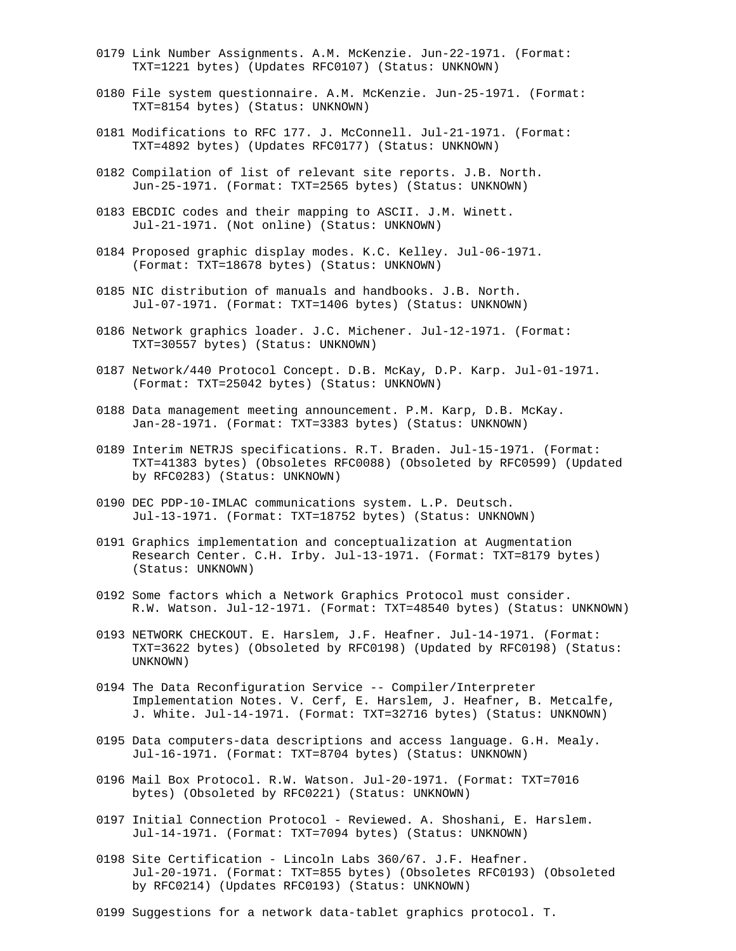- 0179 Link Number Assignments. A.M. McKenzie. Jun-22-1971. (Format: TXT=1221 bytes) (Updates RFC0107) (Status: UNKNOWN)
- 0180 File system questionnaire. A.M. McKenzie. Jun-25-1971. (Format: TXT=8154 bytes) (Status: UNKNOWN)
- 0181 Modifications to RFC 177. J. McConnell. Jul-21-1971. (Format: TXT=4892 bytes) (Updates RFC0177) (Status: UNKNOWN)
- 0182 Compilation of list of relevant site reports. J.B. North. Jun-25-1971. (Format: TXT=2565 bytes) (Status: UNKNOWN)
- 0183 EBCDIC codes and their mapping to ASCII. J.M. Winett. Jul-21-1971. (Not online) (Status: UNKNOWN)
- 0184 Proposed graphic display modes. K.C. Kelley. Jul-06-1971. (Format: TXT=18678 bytes) (Status: UNKNOWN)
- 0185 NIC distribution of manuals and handbooks. J.B. North. Jul-07-1971. (Format: TXT=1406 bytes) (Status: UNKNOWN)
- 0186 Network graphics loader. J.C. Michener. Jul-12-1971. (Format: TXT=30557 bytes) (Status: UNKNOWN)
- 0187 Network/440 Protocol Concept. D.B. McKay, D.P. Karp. Jul-01-1971. (Format: TXT=25042 bytes) (Status: UNKNOWN)
- 0188 Data management meeting announcement. P.M. Karp, D.B. McKay. Jan-28-1971. (Format: TXT=3383 bytes) (Status: UNKNOWN)
- 0189 Interim NETRJS specifications. R.T. Braden. Jul-15-1971. (Format: TXT=41383 bytes) (Obsoletes RFC0088) (Obsoleted by RFC0599) (Updated by RFC0283) (Status: UNKNOWN)
- 0190 DEC PDP-10-IMLAC communications system. L.P. Deutsch. Jul-13-1971. (Format: TXT=18752 bytes) (Status: UNKNOWN)
- 0191 Graphics implementation and conceptualization at Augmentation Research Center. C.H. Irby. Jul-13-1971. (Format: TXT=8179 bytes) (Status: UNKNOWN)
- 0192 Some factors which a Network Graphics Protocol must consider. R.W. Watson. Jul-12-1971. (Format: TXT=48540 bytes) (Status: UNKNOWN)
- 0193 NETWORK CHECKOUT. E. Harslem, J.F. Heafner. Jul-14-1971. (Format: TXT=3622 bytes) (Obsoleted by RFC0198) (Updated by RFC0198) (Status: UNKNOWN)
- 0194 The Data Reconfiguration Service -- Compiler/Interpreter Implementation Notes. V. Cerf, E. Harslem, J. Heafner, B. Metcalfe, J. White. Jul-14-1971. (Format: TXT=32716 bytes) (Status: UNKNOWN)
- 0195 Data computers-data descriptions and access language. G.H. Mealy. Jul-16-1971. (Format: TXT=8704 bytes) (Status: UNKNOWN)
- 0196 Mail Box Protocol. R.W. Watson. Jul-20-1971. (Format: TXT=7016 bytes) (Obsoleted by RFC0221) (Status: UNKNOWN)
- 0197 Initial Connection Protocol Reviewed. A. Shoshani, E. Harslem. Jul-14-1971. (Format: TXT=7094 bytes) (Status: UNKNOWN)
- 0198 Site Certification Lincoln Labs 360/67. J.F. Heafner. Jul-20-1971. (Format: TXT=855 bytes) (Obsoletes RFC0193) (Obsoleted by RFC0214) (Updates RFC0193) (Status: UNKNOWN)
- 0199 Suggestions for a network data-tablet graphics protocol. T.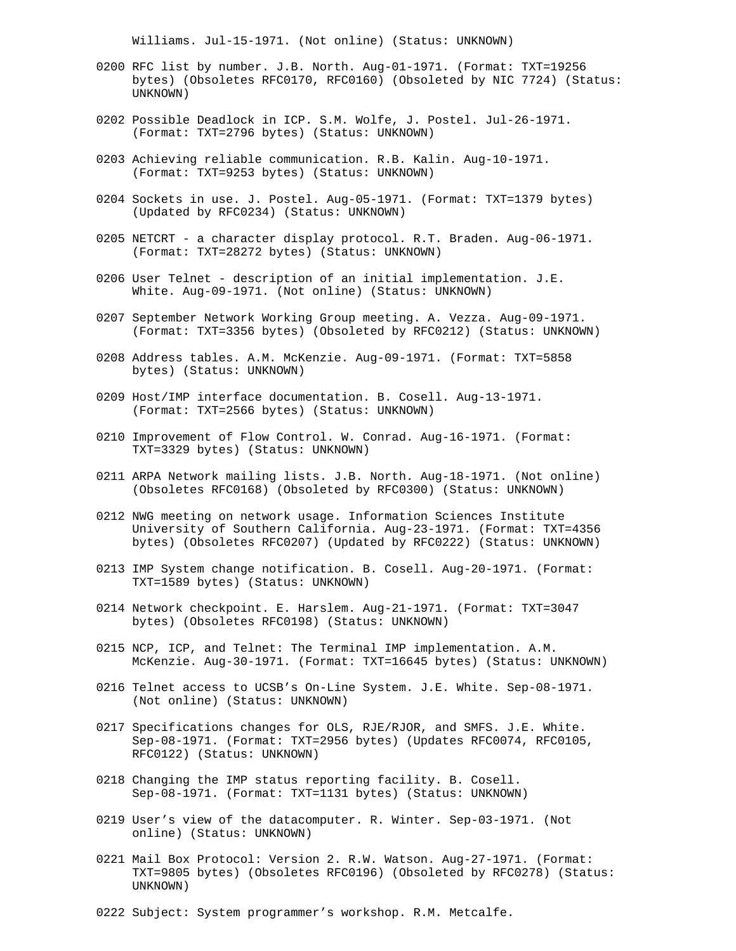Williams. Jul-15-1971. (Not online) (Status: UNKNOWN)

- 0200 RFC list by number. J.B. North. Aug-01-1971. (Format: TXT=19256 bytes) (Obsoletes RFC0170, RFC0160) (Obsoleted by NIC 7724) (Status: UNKNOWN)
- 0202 Possible Deadlock in ICP. S.M. Wolfe, J. Postel. Jul-26-1971. (Format: TXT=2796 bytes) (Status: UNKNOWN)
- 0203 Achieving reliable communication. R.B. Kalin. Aug-10-1971. (Format: TXT=9253 bytes) (Status: UNKNOWN)
- 0204 Sockets in use. J. Postel. Aug-05-1971. (Format: TXT=1379 bytes) (Updated by RFC0234) (Status: UNKNOWN)
- 0205 NETCRT a character display protocol. R.T. Braden. Aug-06-1971. (Format: TXT=28272 bytes) (Status: UNKNOWN)
- 0206 User Telnet description of an initial implementation. J.E. White. Aug-09-1971. (Not online) (Status: UNKNOWN)
- 0207 September Network Working Group meeting. A. Vezza. Aug-09-1971. (Format: TXT=3356 bytes) (Obsoleted by RFC0212) (Status: UNKNOWN)
- 0208 Address tables. A.M. McKenzie. Aug-09-1971. (Format: TXT=5858 bytes) (Status: UNKNOWN)
- 0209 Host/IMP interface documentation. B. Cosell. Aug-13-1971. (Format: TXT=2566 bytes) (Status: UNKNOWN)
- 0210 Improvement of Flow Control. W. Conrad. Aug-16-1971. (Format: TXT=3329 bytes) (Status: UNKNOWN)
- 0211 ARPA Network mailing lists. J.B. North. Aug-18-1971. (Not online) (Obsoletes RFC0168) (Obsoleted by RFC0300) (Status: UNKNOWN)
- 0212 NWG meeting on network usage. Information Sciences Institute University of Southern California. Aug-23-1971. (Format: TXT=4356 bytes) (Obsoletes RFC0207) (Updated by RFC0222) (Status: UNKNOWN)
- 0213 IMP System change notification. B. Cosell. Aug-20-1971. (Format: TXT=1589 bytes) (Status: UNKNOWN)
- 0214 Network checkpoint. E. Harslem. Aug-21-1971. (Format: TXT=3047 bytes) (Obsoletes RFC0198) (Status: UNKNOWN)
- 0215 NCP, ICP, and Telnet: The Terminal IMP implementation. A.M. McKenzie. Aug-30-1971. (Format: TXT=16645 bytes) (Status: UNKNOWN)
- 0216 Telnet access to UCSB's On-Line System. J.E. White. Sep-08-1971. (Not online) (Status: UNKNOWN)
- 0217 Specifications changes for OLS, RJE/RJOR, and SMFS. J.E. White. Sep-08-1971. (Format: TXT=2956 bytes) (Updates RFC0074, RFC0105, RFC0122) (Status: UNKNOWN)
- 0218 Changing the IMP status reporting facility. B. Cosell. Sep-08-1971. (Format: TXT=1131 bytes) (Status: UNKNOWN)
- 0219 User's view of the datacomputer. R. Winter. Sep-03-1971. (Not online) (Status: UNKNOWN)
- 0221 Mail Box Protocol: Version 2. R.W. Watson. Aug-27-1971. (Format: TXT=9805 bytes) (Obsoletes RFC0196) (Obsoleted by RFC0278) (Status: UNKNOWN)

0222 Subject: System programmer's workshop. R.M. Metcalfe.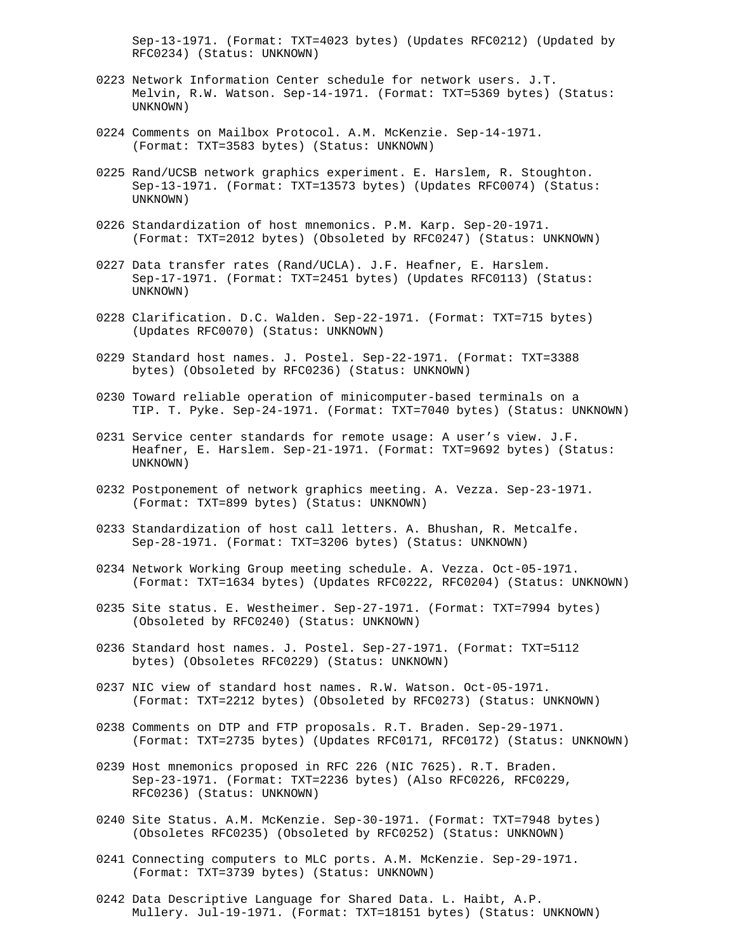Sep-13-1971. (Format: TXT=4023 bytes) (Updates RFC0212) (Updated by RFC0234) (Status: UNKNOWN)

- 0223 Network Information Center schedule for network users. J.T. Melvin, R.W. Watson. Sep-14-1971. (Format: TXT=5369 bytes) (Status: UNKNOWN)
- 0224 Comments on Mailbox Protocol. A.M. McKenzie. Sep-14-1971. (Format: TXT=3583 bytes) (Status: UNKNOWN)
- 0225 Rand/UCSB network graphics experiment. E. Harslem, R. Stoughton. Sep-13-1971. (Format: TXT=13573 bytes) (Updates RFC0074) (Status: UNKNOWN)
- 0226 Standardization of host mnemonics. P.M. Karp. Sep-20-1971. (Format: TXT=2012 bytes) (Obsoleted by RFC0247) (Status: UNKNOWN)
- 0227 Data transfer rates (Rand/UCLA). J.F. Heafner, E. Harslem. Sep-17-1971. (Format: TXT=2451 bytes) (Updates RFC0113) (Status: UNKNOWN)
- 0228 Clarification. D.C. Walden. Sep-22-1971. (Format: TXT=715 bytes) (Updates RFC0070) (Status: UNKNOWN)
- 0229 Standard host names. J. Postel. Sep-22-1971. (Format: TXT=3388 bytes) (Obsoleted by RFC0236) (Status: UNKNOWN)
- 0230 Toward reliable operation of minicomputer-based terminals on a TIP. T. Pyke. Sep-24-1971. (Format: TXT=7040 bytes) (Status: UNKNOWN)
- 0231 Service center standards for remote usage: A user's view. J.F. Heafner, E. Harslem. Sep-21-1971. (Format: TXT=9692 bytes) (Status: UNKNOWN)
- 0232 Postponement of network graphics meeting. A. Vezza. Sep-23-1971. (Format: TXT=899 bytes) (Status: UNKNOWN)
- 0233 Standardization of host call letters. A. Bhushan, R. Metcalfe. Sep-28-1971. (Format: TXT=3206 bytes) (Status: UNKNOWN)
- 0234 Network Working Group meeting schedule. A. Vezza. Oct-05-1971. (Format: TXT=1634 bytes) (Updates RFC0222, RFC0204) (Status: UNKNOWN)
- 0235 Site status. E. Westheimer. Sep-27-1971. (Format: TXT=7994 bytes) (Obsoleted by RFC0240) (Status: UNKNOWN)
- 0236 Standard host names. J. Postel. Sep-27-1971. (Format: TXT=5112 bytes) (Obsoletes RFC0229) (Status: UNKNOWN)
- 0237 NIC view of standard host names. R.W. Watson. Oct-05-1971. (Format: TXT=2212 bytes) (Obsoleted by RFC0273) (Status: UNKNOWN)
- 0238 Comments on DTP and FTP proposals. R.T. Braden. Sep-29-1971. (Format: TXT=2735 bytes) (Updates RFC0171, RFC0172) (Status: UNKNOWN)
- 0239 Host mnemonics proposed in RFC 226 (NIC 7625). R.T. Braden. Sep-23-1971. (Format: TXT=2236 bytes) (Also RFC0226, RFC0229, RFC0236) (Status: UNKNOWN)
- 0240 Site Status. A.M. McKenzie. Sep-30-1971. (Format: TXT=7948 bytes) (Obsoletes RFC0235) (Obsoleted by RFC0252) (Status: UNKNOWN)
- 0241 Connecting computers to MLC ports. A.M. McKenzie. Sep-29-1971. (Format: TXT=3739 bytes) (Status: UNKNOWN)
- 0242 Data Descriptive Language for Shared Data. L. Haibt, A.P. Mullery. Jul-19-1971. (Format: TXT=18151 bytes) (Status: UNKNOWN)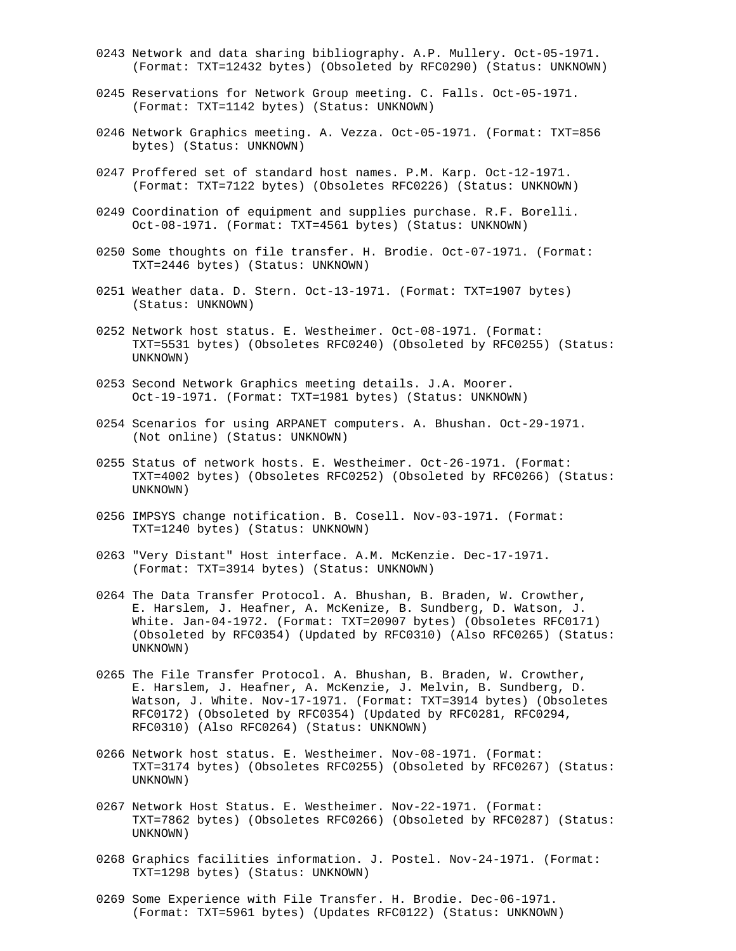- 0243 Network and data sharing bibliography. A.P. Mullery. Oct-05-1971. (Format: TXT=12432 bytes) (Obsoleted by RFC0290) (Status: UNKNOWN)
- 0245 Reservations for Network Group meeting. C. Falls. Oct-05-1971. (Format: TXT=1142 bytes) (Status: UNKNOWN)
- 0246 Network Graphics meeting. A. Vezza. Oct-05-1971. (Format: TXT=856 bytes) (Status: UNKNOWN)
- 0247 Proffered set of standard host names. P.M. Karp. Oct-12-1971. (Format: TXT=7122 bytes) (Obsoletes RFC0226) (Status: UNKNOWN)
- 0249 Coordination of equipment and supplies purchase. R.F. Borelli. Oct-08-1971. (Format: TXT=4561 bytes) (Status: UNKNOWN)
- 0250 Some thoughts on file transfer. H. Brodie. Oct-07-1971. (Format: TXT=2446 bytes) (Status: UNKNOWN)
- 0251 Weather data. D. Stern. Oct-13-1971. (Format: TXT=1907 bytes) (Status: UNKNOWN)
- 0252 Network host status. E. Westheimer. Oct-08-1971. (Format: TXT=5531 bytes) (Obsoletes RFC0240) (Obsoleted by RFC0255) (Status: UNKNOWN)
- 0253 Second Network Graphics meeting details. J.A. Moorer. Oct-19-1971. (Format: TXT=1981 bytes) (Status: UNKNOWN)
- 0254 Scenarios for using ARPANET computers. A. Bhushan. Oct-29-1971. (Not online) (Status: UNKNOWN)
- 0255 Status of network hosts. E. Westheimer. Oct-26-1971. (Format: TXT=4002 bytes) (Obsoletes RFC0252) (Obsoleted by RFC0266) (Status: UNKNOWN)
- 0256 IMPSYS change notification. B. Cosell. Nov-03-1971. (Format: TXT=1240 bytes) (Status: UNKNOWN)
- 0263 "Very Distant" Host interface. A.M. McKenzie. Dec-17-1971. (Format: TXT=3914 bytes) (Status: UNKNOWN)
- 0264 The Data Transfer Protocol. A. Bhushan, B. Braden, W. Crowther, E. Harslem, J. Heafner, A. McKenize, B. Sundberg, D. Watson, J. White. Jan-04-1972. (Format: TXT=20907 bytes) (Obsoletes RFC0171) (Obsoleted by RFC0354) (Updated by RFC0310) (Also RFC0265) (Status: UNKNOWN)
- 0265 The File Transfer Protocol. A. Bhushan, B. Braden, W. Crowther, E. Harslem, J. Heafner, A. McKenzie, J. Melvin, B. Sundberg, D. Watson, J. White. Nov-17-1971. (Format: TXT=3914 bytes) (Obsoletes RFC0172) (Obsoleted by RFC0354) (Updated by RFC0281, RFC0294, RFC0310) (Also RFC0264) (Status: UNKNOWN)
- 0266 Network host status. E. Westheimer. Nov-08-1971. (Format: TXT=3174 bytes) (Obsoletes RFC0255) (Obsoleted by RFC0267) (Status: UNKNOWN)
- 0267 Network Host Status. E. Westheimer. Nov-22-1971. (Format: TXT=7862 bytes) (Obsoletes RFC0266) (Obsoleted by RFC0287) (Status: UNKNOWN)
- 0268 Graphics facilities information. J. Postel. Nov-24-1971. (Format: TXT=1298 bytes) (Status: UNKNOWN)
- 0269 Some Experience with File Transfer. H. Brodie. Dec-06-1971. (Format: TXT=5961 bytes) (Updates RFC0122) (Status: UNKNOWN)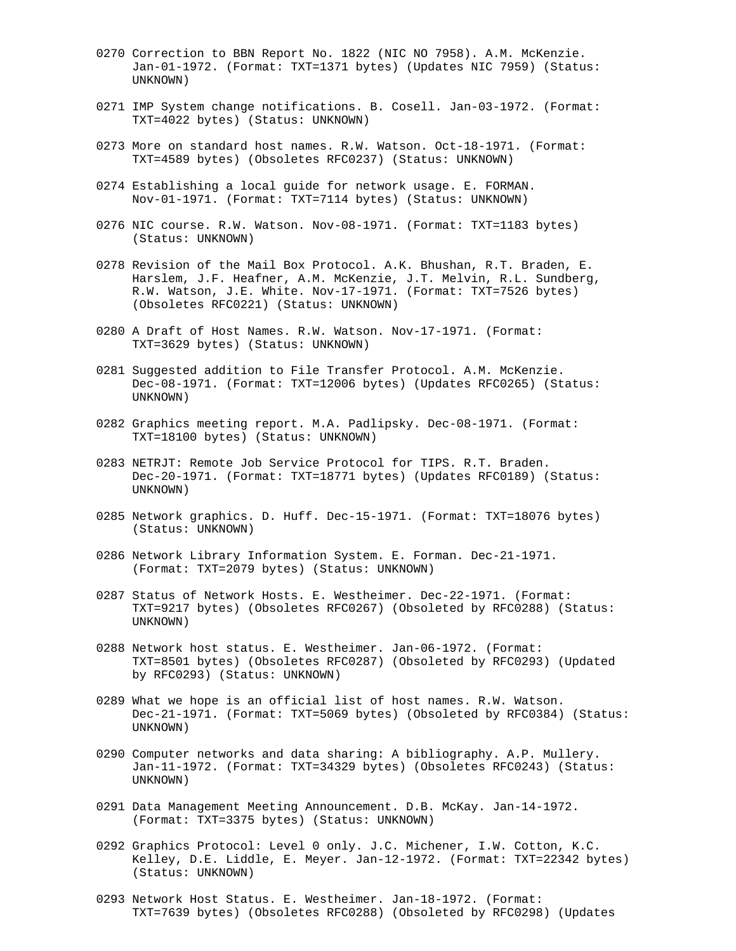- 0270 Correction to BBN Report No. 1822 (NIC NO 7958). A.M. McKenzie. Jan-01-1972. (Format: TXT=1371 bytes) (Updates NIC 7959) (Status: UNKNOWN)
- 0271 IMP System change notifications. B. Cosell. Jan-03-1972. (Format: TXT=4022 bytes) (Status: UNKNOWN)
- 0273 More on standard host names. R.W. Watson. Oct-18-1971. (Format: TXT=4589 bytes) (Obsoletes RFC0237) (Status: UNKNOWN)
- 0274 Establishing a local guide for network usage. E. FORMAN. Nov-01-1971. (Format: TXT=7114 bytes) (Status: UNKNOWN)
- 0276 NIC course. R.W. Watson. Nov-08-1971. (Format: TXT=1183 bytes) (Status: UNKNOWN)
- 0278 Revision of the Mail Box Protocol. A.K. Bhushan, R.T. Braden, E. Harslem, J.F. Heafner, A.M. McKenzie, J.T. Melvin, R.L. Sundberg, R.W. Watson, J.E. White. Nov-17-1971. (Format: TXT=7526 bytes) (Obsoletes RFC0221) (Status: UNKNOWN)
- 0280 A Draft of Host Names. R.W. Watson. Nov-17-1971. (Format: TXT=3629 bytes) (Status: UNKNOWN)
- 0281 Suggested addition to File Transfer Protocol. A.M. McKenzie. Dec-08-1971. (Format: TXT=12006 bytes) (Updates RFC0265) (Status: UNKNOWN)
- 0282 Graphics meeting report. M.A. Padlipsky. Dec-08-1971. (Format: TXT=18100 bytes) (Status: UNKNOWN)
- 0283 NETRJT: Remote Job Service Protocol for TIPS. R.T. Braden. Dec-20-1971. (Format: TXT=18771 bytes) (Updates RFC0189) (Status: UNKNOWN)
- 0285 Network graphics. D. Huff. Dec-15-1971. (Format: TXT=18076 bytes) (Status: UNKNOWN)
- 0286 Network Library Information System. E. Forman. Dec-21-1971. (Format: TXT=2079 bytes) (Status: UNKNOWN)
- 0287 Status of Network Hosts. E. Westheimer. Dec-22-1971. (Format: TXT=9217 bytes) (Obsoletes RFC0267) (Obsoleted by RFC0288) (Status: UNKNOWN)
- 0288 Network host status. E. Westheimer. Jan-06-1972. (Format: TXT=8501 bytes) (Obsoletes RFC0287) (Obsoleted by RFC0293) (Updated by RFC0293) (Status: UNKNOWN)
- 0289 What we hope is an official list of host names. R.W. Watson. Dec-21-1971. (Format: TXT=5069 bytes) (Obsoleted by RFC0384) (Status: UNKNOWN)
- 0290 Computer networks and data sharing: A bibliography. A.P. Mullery. Jan-11-1972. (Format: TXT=34329 bytes) (Obsoletes RFC0243) (Status: UNKNOWN)
- 0291 Data Management Meeting Announcement. D.B. McKay. Jan-14-1972. (Format: TXT=3375 bytes) (Status: UNKNOWN)
- 0292 Graphics Protocol: Level 0 only. J.C. Michener, I.W. Cotton, K.C. Kelley, D.E. Liddle, E. Meyer. Jan-12-1972. (Format: TXT=22342 bytes) (Status: UNKNOWN)
- 0293 Network Host Status. E. Westheimer. Jan-18-1972. (Format: TXT=7639 bytes) (Obsoletes RFC0288) (Obsoleted by RFC0298) (Updates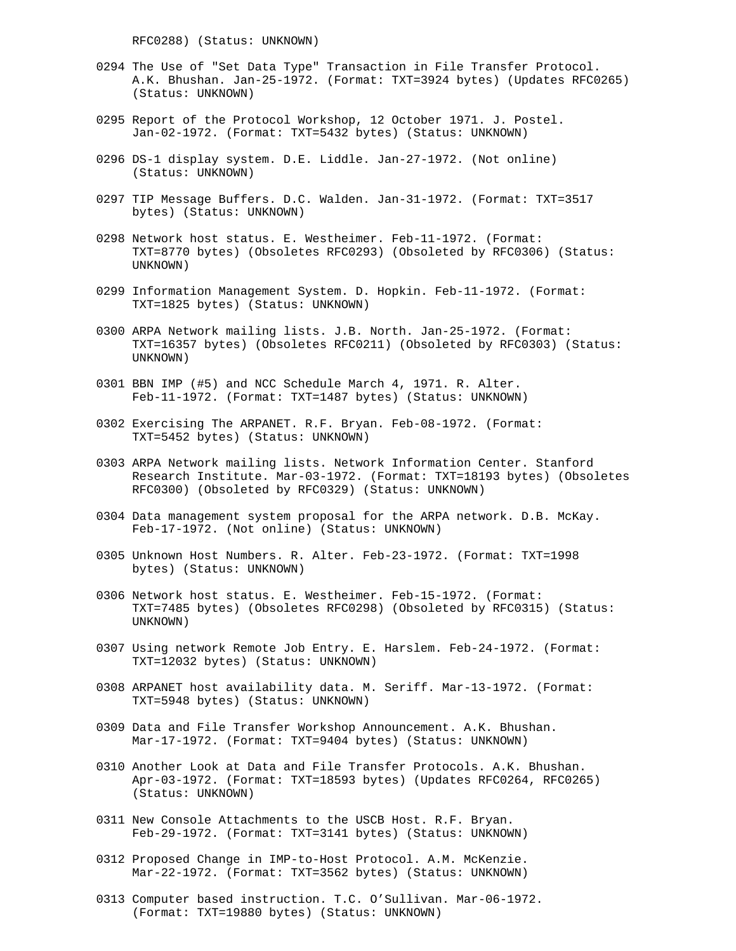RFC0288) (Status: UNKNOWN)

- 0294 The Use of "Set Data Type" Transaction in File Transfer Protocol. A.K. Bhushan. Jan-25-1972. (Format: TXT=3924 bytes) (Updates RFC0265) (Status: UNKNOWN)
- 0295 Report of the Protocol Workshop, 12 October 1971. J. Postel. Jan-02-1972. (Format: TXT=5432 bytes) (Status: UNKNOWN)
- 0296 DS-1 display system. D.E. Liddle. Jan-27-1972. (Not online) (Status: UNKNOWN)
- 0297 TIP Message Buffers. D.C. Walden. Jan-31-1972. (Format: TXT=3517 bytes) (Status: UNKNOWN)
- 0298 Network host status. E. Westheimer. Feb-11-1972. (Format: TXT=8770 bytes) (Obsoletes RFC0293) (Obsoleted by RFC0306) (Status: UNKNOWN)
- 0299 Information Management System. D. Hopkin. Feb-11-1972. (Format: TXT=1825 bytes) (Status: UNKNOWN)
- 0300 ARPA Network mailing lists. J.B. North. Jan-25-1972. (Format: TXT=16357 bytes) (Obsoletes RFC0211) (Obsoleted by RFC0303) (Status: UNKNOWN)
- 0301 BBN IMP (#5) and NCC Schedule March 4, 1971. R. Alter. Feb-11-1972. (Format: TXT=1487 bytes) (Status: UNKNOWN)
- 0302 Exercising The ARPANET. R.F. Bryan. Feb-08-1972. (Format: TXT=5452 bytes) (Status: UNKNOWN)
- 0303 ARPA Network mailing lists. Network Information Center. Stanford Research Institute. Mar-03-1972. (Format: TXT=18193 bytes) (Obsoletes RFC0300) (Obsoleted by RFC0329) (Status: UNKNOWN)
- 0304 Data management system proposal for the ARPA network. D.B. McKay. Feb-17-1972. (Not online) (Status: UNKNOWN)
- 0305 Unknown Host Numbers. R. Alter. Feb-23-1972. (Format: TXT=1998 bytes) (Status: UNKNOWN)
- 0306 Network host status. E. Westheimer. Feb-15-1972. (Format: TXT=7485 bytes) (Obsoletes RFC0298) (Obsoleted by RFC0315) (Status: UNKNOWN)
- 0307 Using network Remote Job Entry. E. Harslem. Feb-24-1972. (Format: TXT=12032 bytes) (Status: UNKNOWN)
- 0308 ARPANET host availability data. M. Seriff. Mar-13-1972. (Format: TXT=5948 bytes) (Status: UNKNOWN)
- 0309 Data and File Transfer Workshop Announcement. A.K. Bhushan. Mar-17-1972. (Format: TXT=9404 bytes) (Status: UNKNOWN)
- 0310 Another Look at Data and File Transfer Protocols. A.K. Bhushan. Apr-03-1972. (Format: TXT=18593 bytes) (Updates RFC0264, RFC0265) (Status: UNKNOWN)
- 0311 New Console Attachments to the USCB Host. R.F. Bryan. Feb-29-1972. (Format: TXT=3141 bytes) (Status: UNKNOWN)
- 0312 Proposed Change in IMP-to-Host Protocol. A.M. McKenzie. Mar-22-1972. (Format: TXT=3562 bytes) (Status: UNKNOWN)
- 0313 Computer based instruction. T.C. O'Sullivan. Mar-06-1972. (Format: TXT=19880 bytes) (Status: UNKNOWN)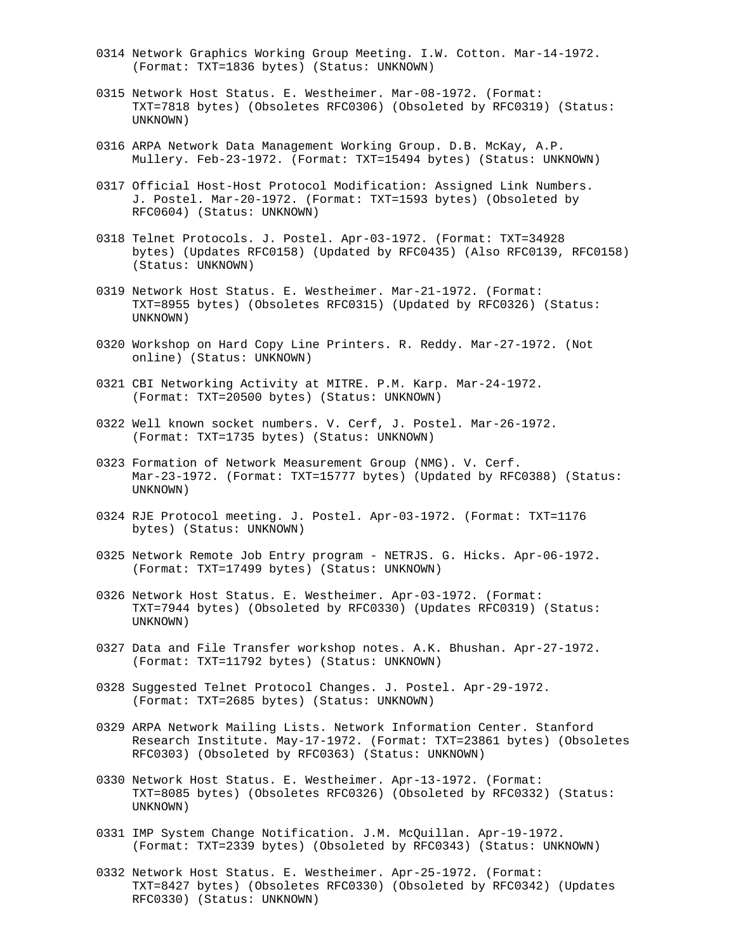- 0314 Network Graphics Working Group Meeting. I.W. Cotton. Mar-14-1972. (Format: TXT=1836 bytes) (Status: UNKNOWN)
- 0315 Network Host Status. E. Westheimer. Mar-08-1972. (Format: TXT=7818 bytes) (Obsoletes RFC0306) (Obsoleted by RFC0319) (Status: UNKNOWN)
- 0316 ARPA Network Data Management Working Group. D.B. McKay, A.P. Mullery. Feb-23-1972. (Format: TXT=15494 bytes) (Status: UNKNOWN)
- 0317 Official Host-Host Protocol Modification: Assigned Link Numbers. J. Postel. Mar-20-1972. (Format: TXT=1593 bytes) (Obsoleted by RFC0604) (Status: UNKNOWN)
- 0318 Telnet Protocols. J. Postel. Apr-03-1972. (Format: TXT=34928 bytes) (Updates RFC0158) (Updated by RFC0435) (Also RFC0139, RFC0158) (Status: UNKNOWN)
- 0319 Network Host Status. E. Westheimer. Mar-21-1972. (Format: TXT=8955 bytes) (Obsoletes RFC0315) (Updated by RFC0326) (Status: UNKNOWN)
- 0320 Workshop on Hard Copy Line Printers. R. Reddy. Mar-27-1972. (Not online) (Status: UNKNOWN)
- 0321 CBI Networking Activity at MITRE. P.M. Karp. Mar-24-1972. (Format: TXT=20500 bytes) (Status: UNKNOWN)
- 0322 Well known socket numbers. V. Cerf, J. Postel. Mar-26-1972. (Format: TXT=1735 bytes) (Status: UNKNOWN)
- 0323 Formation of Network Measurement Group (NMG). V. Cerf. Mar-23-1972. (Format: TXT=15777 bytes) (Updated by RFC0388) (Status: UNKNOWN)
- 0324 RJE Protocol meeting. J. Postel. Apr-03-1972. (Format: TXT=1176 bytes) (Status: UNKNOWN)
- 0325 Network Remote Job Entry program NETRJS. G. Hicks. Apr-06-1972. (Format: TXT=17499 bytes) (Status: UNKNOWN)
- 0326 Network Host Status. E. Westheimer. Apr-03-1972. (Format: TXT=7944 bytes) (Obsoleted by RFC0330) (Updates RFC0319) (Status: UNKNOWN)
- 0327 Data and File Transfer workshop notes. A.K. Bhushan. Apr-27-1972. (Format: TXT=11792 bytes) (Status: UNKNOWN)
- 0328 Suggested Telnet Protocol Changes. J. Postel. Apr-29-1972. (Format: TXT=2685 bytes) (Status: UNKNOWN)
- 0329 ARPA Network Mailing Lists. Network Information Center. Stanford Research Institute. May-17-1972. (Format: TXT=23861 bytes) (Obsoletes RFC0303) (Obsoleted by RFC0363) (Status: UNKNOWN)
- 0330 Network Host Status. E. Westheimer. Apr-13-1972. (Format: TXT=8085 bytes) (Obsoletes RFC0326) (Obsoleted by RFC0332) (Status: UNKNOWN)
- 0331 IMP System Change Notification. J.M. McQuillan. Apr-19-1972. (Format: TXT=2339 bytes) (Obsoleted by RFC0343) (Status: UNKNOWN)
- 0332 Network Host Status. E. Westheimer. Apr-25-1972. (Format: TXT=8427 bytes) (Obsoletes RFC0330) (Obsoleted by RFC0342) (Updates RFC0330) (Status: UNKNOWN)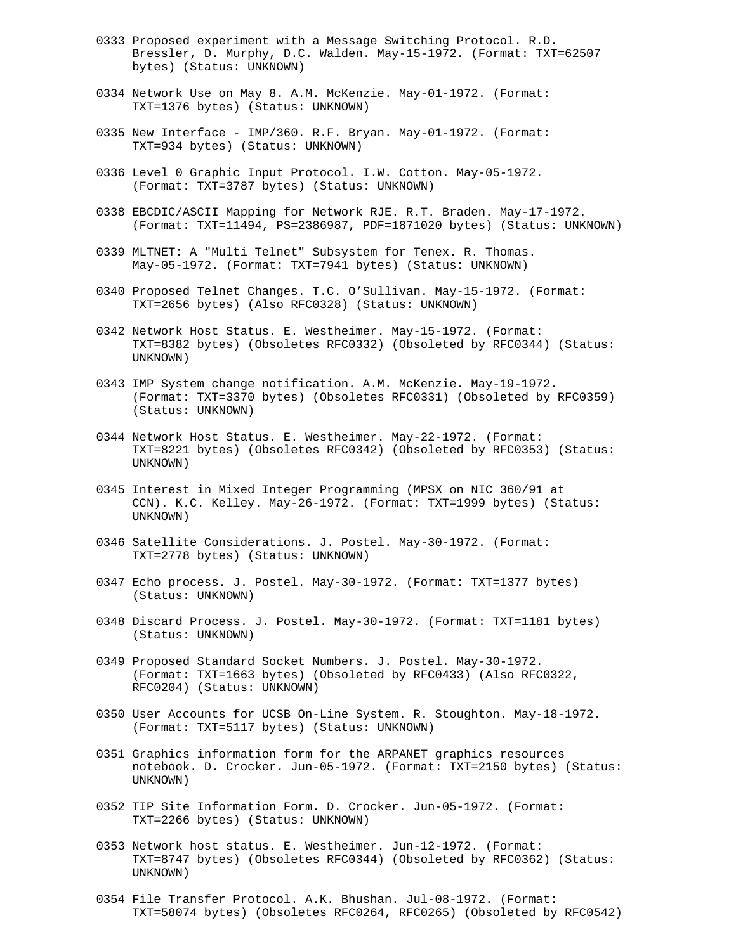- 0333 Proposed experiment with a Message Switching Protocol. R.D. Bressler, D. Murphy, D.C. Walden. May-15-1972. (Format: TXT=62507 bytes) (Status: UNKNOWN)
- 0334 Network Use on May 8. A.M. McKenzie. May-01-1972. (Format: TXT=1376 bytes) (Status: UNKNOWN)
- 0335 New Interface IMP/360. R.F. Bryan. May-01-1972. (Format: TXT=934 bytes) (Status: UNKNOWN)
- 0336 Level 0 Graphic Input Protocol. I.W. Cotton. May-05-1972. (Format: TXT=3787 bytes) (Status: UNKNOWN)
- 0338 EBCDIC/ASCII Mapping for Network RJE. R.T. Braden. May-17-1972. (Format: TXT=11494, PS=2386987, PDF=1871020 bytes) (Status: UNKNOWN)
- 0339 MLTNET: A "Multi Telnet" Subsystem for Tenex. R. Thomas. May-05-1972. (Format: TXT=7941 bytes) (Status: UNKNOWN)
- 0340 Proposed Telnet Changes. T.C. O'Sullivan. May-15-1972. (Format: TXT=2656 bytes) (Also RFC0328) (Status: UNKNOWN)
- 0342 Network Host Status. E. Westheimer. May-15-1972. (Format: TXT=8382 bytes) (Obsoletes RFC0332) (Obsoleted by RFC0344) (Status: UNKNOWN)
- 0343 IMP System change notification. A.M. McKenzie. May-19-1972. (Format: TXT=3370 bytes) (Obsoletes RFC0331) (Obsoleted by RFC0359) (Status: UNKNOWN)
- 0344 Network Host Status. E. Westheimer. May-22-1972. (Format: TXT=8221 bytes) (Obsoletes RFC0342) (Obsoleted by RFC0353) (Status: UNKNOWN)
- 0345 Interest in Mixed Integer Programming (MPSX on NIC 360/91 at CCN). K.C. Kelley. May-26-1972. (Format: TXT=1999 bytes) (Status: UNKNOWN)
- 0346 Satellite Considerations. J. Postel. May-30-1972. (Format: TXT=2778 bytes) (Status: UNKNOWN)
- 0347 Echo process. J. Postel. May-30-1972. (Format: TXT=1377 bytes) (Status: UNKNOWN)
- 0348 Discard Process. J. Postel. May-30-1972. (Format: TXT=1181 bytes) (Status: UNKNOWN)
- 0349 Proposed Standard Socket Numbers. J. Postel. May-30-1972. (Format: TXT=1663 bytes) (Obsoleted by RFC0433) (Also RFC0322, RFC0204) (Status: UNKNOWN)
- 0350 User Accounts for UCSB On-Line System. R. Stoughton. May-18-1972. (Format: TXT=5117 bytes) (Status: UNKNOWN)
- 0351 Graphics information form for the ARPANET graphics resources notebook. D. Crocker. Jun-05-1972. (Format: TXT=2150 bytes) (Status: UNKNOWN)
- 0352 TIP Site Information Form. D. Crocker. Jun-05-1972. (Format: TXT=2266 bytes) (Status: UNKNOWN)
- 0353 Network host status. E. Westheimer. Jun-12-1972. (Format: TXT=8747 bytes) (Obsoletes RFC0344) (Obsoleted by RFC0362) (Status: UNKNOWN)
- 0354 File Transfer Protocol. A.K. Bhushan. Jul-08-1972. (Format: TXT=58074 bytes) (Obsoletes RFC0264, RFC0265) (Obsoleted by RFC0542)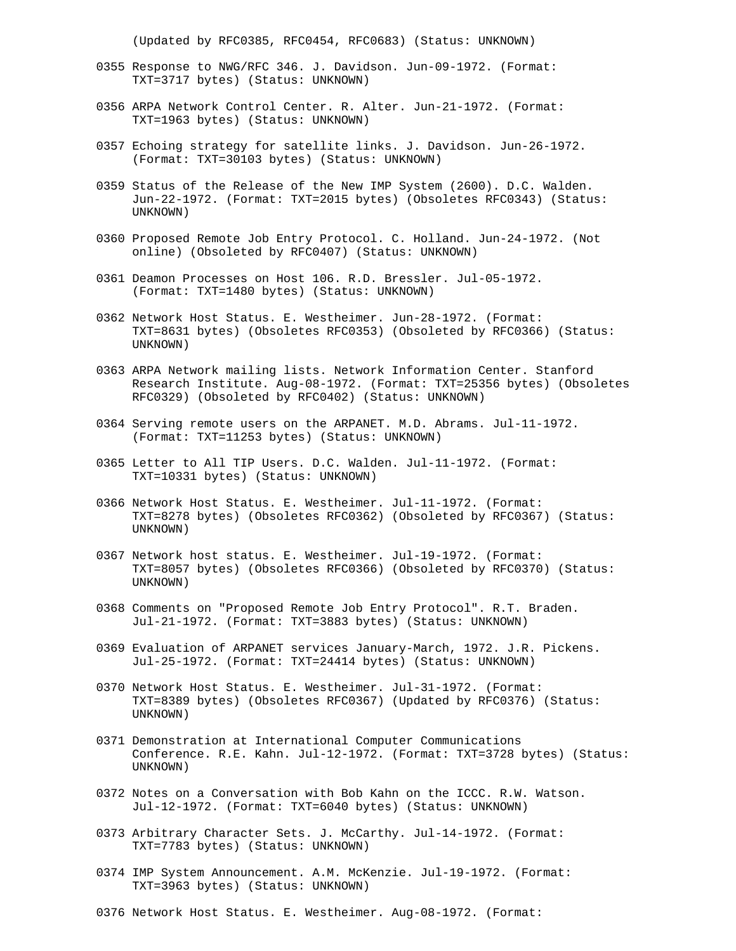(Updated by RFC0385, RFC0454, RFC0683) (Status: UNKNOWN)

- 0355 Response to NWG/RFC 346. J. Davidson. Jun-09-1972. (Format: TXT=3717 bytes) (Status: UNKNOWN)
- 0356 ARPA Network Control Center. R. Alter. Jun-21-1972. (Format: TXT=1963 bytes) (Status: UNKNOWN)
- 0357 Echoing strategy for satellite links. J. Davidson. Jun-26-1972. (Format: TXT=30103 bytes) (Status: UNKNOWN)
- 0359 Status of the Release of the New IMP System (2600). D.C. Walden. Jun-22-1972. (Format: TXT=2015 bytes) (Obsoletes RFC0343) (Status: UNKNOWN)
- 0360 Proposed Remote Job Entry Protocol. C. Holland. Jun-24-1972. (Not online) (Obsoleted by RFC0407) (Status: UNKNOWN)
- 0361 Deamon Processes on Host 106. R.D. Bressler. Jul-05-1972. (Format: TXT=1480 bytes) (Status: UNKNOWN)
- 0362 Network Host Status. E. Westheimer. Jun-28-1972. (Format: TXT=8631 bytes) (Obsoletes RFC0353) (Obsoleted by RFC0366) (Status: UNKNOWN)
- 0363 ARPA Network mailing lists. Network Information Center. Stanford Research Institute. Aug-08-1972. (Format: TXT=25356 bytes) (Obsoletes RFC0329) (Obsoleted by RFC0402) (Status: UNKNOWN)
- 0364 Serving remote users on the ARPANET. M.D. Abrams. Jul-11-1972. (Format: TXT=11253 bytes) (Status: UNKNOWN)
- 0365 Letter to All TIP Users. D.C. Walden. Jul-11-1972. (Format: TXT=10331 bytes) (Status: UNKNOWN)
- 0366 Network Host Status. E. Westheimer. Jul-11-1972. (Format: TXT=8278 bytes) (Obsoletes RFC0362) (Obsoleted by RFC0367) (Status: UNKNOWN)
- 0367 Network host status. E. Westheimer. Jul-19-1972. (Format: TXT=8057 bytes) (Obsoletes RFC0366) (Obsoleted by RFC0370) (Status: UNKNOWN)
- 0368 Comments on "Proposed Remote Job Entry Protocol". R.T. Braden. Jul-21-1972. (Format: TXT=3883 bytes) (Status: UNKNOWN)
- 0369 Evaluation of ARPANET services January-March, 1972. J.R. Pickens. Jul-25-1972. (Format: TXT=24414 bytes) (Status: UNKNOWN)
- 0370 Network Host Status. E. Westheimer. Jul-31-1972. (Format: TXT=8389 bytes) (Obsoletes RFC0367) (Updated by RFC0376) (Status: UNKNOWN)
- 0371 Demonstration at International Computer Communications Conference. R.E. Kahn. Jul-12-1972. (Format: TXT=3728 bytes) (Status: UNKNOWN)
- 0372 Notes on a Conversation with Bob Kahn on the ICCC. R.W. Watson. Jul-12-1972. (Format: TXT=6040 bytes) (Status: UNKNOWN)
- 0373 Arbitrary Character Sets. J. McCarthy. Jul-14-1972. (Format: TXT=7783 bytes) (Status: UNKNOWN)
- 0374 IMP System Announcement. A.M. McKenzie. Jul-19-1972. (Format: TXT=3963 bytes) (Status: UNKNOWN)
- 0376 Network Host Status. E. Westheimer. Aug-08-1972. (Format: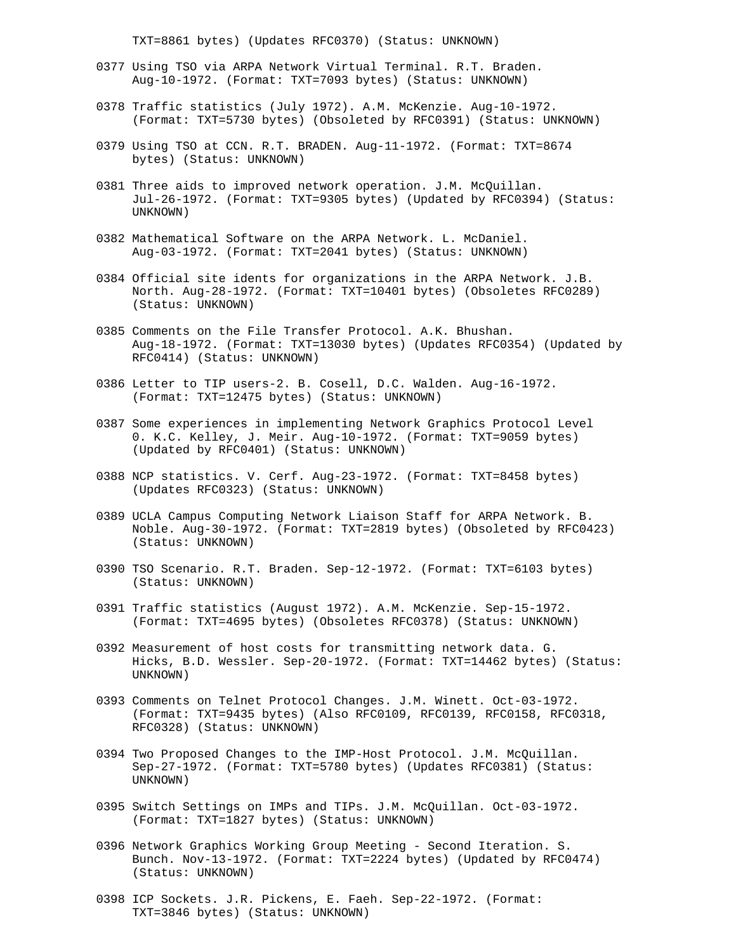TXT=8861 bytes) (Updates RFC0370) (Status: UNKNOWN)

- 0377 Using TSO via ARPA Network Virtual Terminal. R.T. Braden. Aug-10-1972. (Format: TXT=7093 bytes) (Status: UNKNOWN)
- 0378 Traffic statistics (July 1972). A.M. McKenzie. Aug-10-1972. (Format: TXT=5730 bytes) (Obsoleted by RFC0391) (Status: UNKNOWN)
- 0379 Using TSO at CCN. R.T. BRADEN. Aug-11-1972. (Format: TXT=8674 bytes) (Status: UNKNOWN)
- 0381 Three aids to improved network operation. J.M. McQuillan. Jul-26-1972. (Format: TXT=9305 bytes) (Updated by RFC0394) (Status: UNKNOWN)
- 0382 Mathematical Software on the ARPA Network. L. McDaniel. Aug-03-1972. (Format: TXT=2041 bytes) (Status: UNKNOWN)
- 0384 Official site idents for organizations in the ARPA Network. J.B. North. Aug-28-1972. (Format: TXT=10401 bytes) (Obsoletes RFC0289) (Status: UNKNOWN)
- 0385 Comments on the File Transfer Protocol. A.K. Bhushan. Aug-18-1972. (Format: TXT=13030 bytes) (Updates RFC0354) (Updated by RFC0414) (Status: UNKNOWN)
- 0386 Letter to TIP users-2. B. Cosell, D.C. Walden. Aug-16-1972. (Format: TXT=12475 bytes) (Status: UNKNOWN)
- 0387 Some experiences in implementing Network Graphics Protocol Level 0. K.C. Kelley, J. Meir. Aug-10-1972. (Format: TXT=9059 bytes) (Updated by RFC0401) (Status: UNKNOWN)
- 0388 NCP statistics. V. Cerf. Aug-23-1972. (Format: TXT=8458 bytes) (Updates RFC0323) (Status: UNKNOWN)
- 0389 UCLA Campus Computing Network Liaison Staff for ARPA Network. B. Noble. Aug-30-1972. (Format: TXT=2819 bytes) (Obsoleted by RFC0423) (Status: UNKNOWN)
- 0390 TSO Scenario. R.T. Braden. Sep-12-1972. (Format: TXT=6103 bytes) (Status: UNKNOWN)
- 0391 Traffic statistics (August 1972). A.M. McKenzie. Sep-15-1972. (Format: TXT=4695 bytes) (Obsoletes RFC0378) (Status: UNKNOWN)
- 0392 Measurement of host costs for transmitting network data. G. Hicks, B.D. Wessler. Sep-20-1972. (Format: TXT=14462 bytes) (Status: UNKNOWN)
- 0393 Comments on Telnet Protocol Changes. J.M. Winett. Oct-03-1972. (Format: TXT=9435 bytes) (Also RFC0109, RFC0139, RFC0158, RFC0318, RFC0328) (Status: UNKNOWN)
- 0394 Two Proposed Changes to the IMP-Host Protocol. J.M. McQuillan. Sep-27-1972. (Format: TXT=5780 bytes) (Updates RFC0381) (Status: UNKNOWN)
- 0395 Switch Settings on IMPs and TIPs. J.M. McQuillan. Oct-03-1972. (Format: TXT=1827 bytes) (Status: UNKNOWN)
- 0396 Network Graphics Working Group Meeting Second Iteration. S. Bunch. Nov-13-1972. (Format: TXT=2224 bytes) (Updated by RFC0474) (Status: UNKNOWN)
- 0398 ICP Sockets. J.R. Pickens, E. Faeh. Sep-22-1972. (Format: TXT=3846 bytes) (Status: UNKNOWN)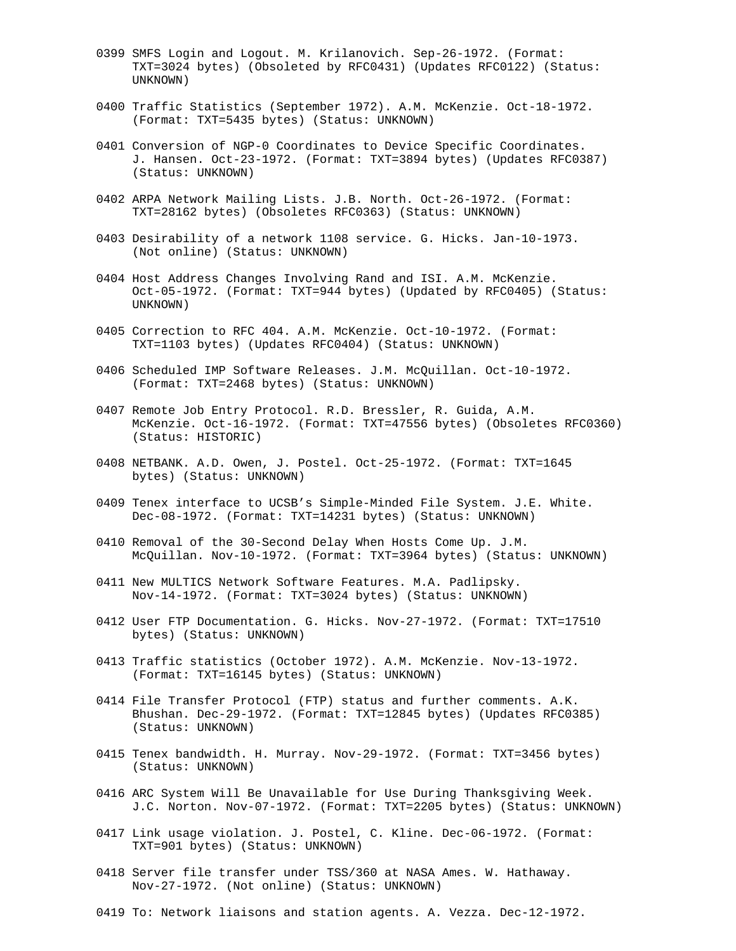- 0399 SMFS Login and Logout. M. Krilanovich. Sep-26-1972. (Format: TXT=3024 bytes) (Obsoleted by RFC0431) (Updates RFC0122) (Status: UNKNOWN)
- 0400 Traffic Statistics (September 1972). A.M. McKenzie. Oct-18-1972. (Format: TXT=5435 bytes) (Status: UNKNOWN)
- 0401 Conversion of NGP-0 Coordinates to Device Specific Coordinates. J. Hansen. Oct-23-1972. (Format: TXT=3894 bytes) (Updates RFC0387) (Status: UNKNOWN)
- 0402 ARPA Network Mailing Lists. J.B. North. Oct-26-1972. (Format: TXT=28162 bytes) (Obsoletes RFC0363) (Status: UNKNOWN)
- 0403 Desirability of a network 1108 service. G. Hicks. Jan-10-1973. (Not online) (Status: UNKNOWN)
- 0404 Host Address Changes Involving Rand and ISI. A.M. McKenzie. Oct-05-1972. (Format: TXT=944 bytes) (Updated by RFC0405) (Status: UNKNOWN)
- 0405 Correction to RFC 404. A.M. McKenzie. Oct-10-1972. (Format: TXT=1103 bytes) (Updates RFC0404) (Status: UNKNOWN)
- 0406 Scheduled IMP Software Releases. J.M. McQuillan. Oct-10-1972. (Format: TXT=2468 bytes) (Status: UNKNOWN)
- 0407 Remote Job Entry Protocol. R.D. Bressler, R. Guida, A.M. McKenzie. Oct-16-1972. (Format: TXT=47556 bytes) (Obsoletes RFC0360) (Status: HISTORIC)
- 0408 NETBANK. A.D. Owen, J. Postel. Oct-25-1972. (Format: TXT=1645 bytes) (Status: UNKNOWN)
- 0409 Tenex interface to UCSB's Simple-Minded File System. J.E. White. Dec-08-1972. (Format: TXT=14231 bytes) (Status: UNKNOWN)
- 0410 Removal of the 30-Second Delay When Hosts Come Up. J.M. McQuillan. Nov-10-1972. (Format: TXT=3964 bytes) (Status: UNKNOWN)
- 0411 New MULTICS Network Software Features. M.A. Padlipsky. Nov-14-1972. (Format: TXT=3024 bytes) (Status: UNKNOWN)
- 0412 User FTP Documentation. G. Hicks. Nov-27-1972. (Format: TXT=17510 bytes) (Status: UNKNOWN)
- 0413 Traffic statistics (October 1972). A.M. McKenzie. Nov-13-1972. (Format: TXT=16145 bytes) (Status: UNKNOWN)
- 0414 File Transfer Protocol (FTP) status and further comments. A.K. Bhushan. Dec-29-1972. (Format: TXT=12845 bytes) (Updates RFC0385) (Status: UNKNOWN)
- 0415 Tenex bandwidth. H. Murray. Nov-29-1972. (Format: TXT=3456 bytes) (Status: UNKNOWN)
- 0416 ARC System Will Be Unavailable for Use During Thanksgiving Week. J.C. Norton. Nov-07-1972. (Format: TXT=2205 bytes) (Status: UNKNOWN)
- 0417 Link usage violation. J. Postel, C. Kline. Dec-06-1972. (Format: TXT=901 bytes) (Status: UNKNOWN)
- 0418 Server file transfer under TSS/360 at NASA Ames. W. Hathaway. Nov-27-1972. (Not online) (Status: UNKNOWN)
- 0419 To: Network liaisons and station agents. A. Vezza. Dec-12-1972.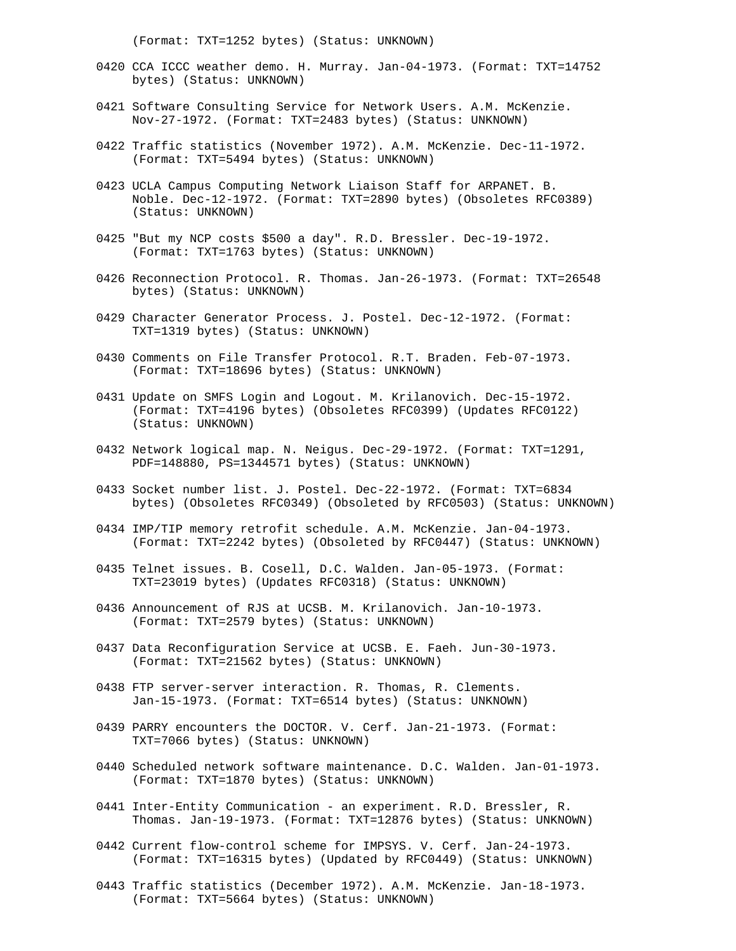(Format: TXT=1252 bytes) (Status: UNKNOWN)

- 0420 CCA ICCC weather demo. H. Murray. Jan-04-1973. (Format: TXT=14752 bytes) (Status: UNKNOWN)
- 0421 Software Consulting Service for Network Users. A.M. McKenzie. Nov-27-1972. (Format: TXT=2483 bytes) (Status: UNKNOWN)
- 0422 Traffic statistics (November 1972). A.M. McKenzie. Dec-11-1972. (Format: TXT=5494 bytes) (Status: UNKNOWN)
- 0423 UCLA Campus Computing Network Liaison Staff for ARPANET. B. Noble. Dec-12-1972. (Format: TXT=2890 bytes) (Obsoletes RFC0389) (Status: UNKNOWN)
- 0425 "But my NCP costs \$500 a day". R.D. Bressler. Dec-19-1972. (Format: TXT=1763 bytes) (Status: UNKNOWN)
- 0426 Reconnection Protocol. R. Thomas. Jan-26-1973. (Format: TXT=26548 bytes) (Status: UNKNOWN)
- 0429 Character Generator Process. J. Postel. Dec-12-1972. (Format: TXT=1319 bytes) (Status: UNKNOWN)
- 0430 Comments on File Transfer Protocol. R.T. Braden. Feb-07-1973. (Format: TXT=18696 bytes) (Status: UNKNOWN)
- 0431 Update on SMFS Login and Logout. M. Krilanovich. Dec-15-1972. (Format: TXT=4196 bytes) (Obsoletes RFC0399) (Updates RFC0122) (Status: UNKNOWN)
- 0432 Network logical map. N. Neigus. Dec-29-1972. (Format: TXT=1291, PDF=148880, PS=1344571 bytes) (Status: UNKNOWN)
- 0433 Socket number list. J. Postel. Dec-22-1972. (Format: TXT=6834 bytes) (Obsoletes RFC0349) (Obsoleted by RFC0503) (Status: UNKNOWN)
- 0434 IMP/TIP memory retrofit schedule. A.M. McKenzie. Jan-04-1973. (Format: TXT=2242 bytes) (Obsoleted by RFC0447) (Status: UNKNOWN)
- 0435 Telnet issues. B. Cosell, D.C. Walden. Jan-05-1973. (Format: TXT=23019 bytes) (Updates RFC0318) (Status: UNKNOWN)
- 0436 Announcement of RJS at UCSB. M. Krilanovich. Jan-10-1973. (Format: TXT=2579 bytes) (Status: UNKNOWN)
- 0437 Data Reconfiguration Service at UCSB. E. Faeh. Jun-30-1973. (Format: TXT=21562 bytes) (Status: UNKNOWN)
- 0438 FTP server-server interaction. R. Thomas, R. Clements. Jan-15-1973. (Format: TXT=6514 bytes) (Status: UNKNOWN)
- 0439 PARRY encounters the DOCTOR. V. Cerf. Jan-21-1973. (Format: TXT=7066 bytes) (Status: UNKNOWN)
- 0440 Scheduled network software maintenance. D.C. Walden. Jan-01-1973. (Format: TXT=1870 bytes) (Status: UNKNOWN)
- 0441 Inter-Entity Communication an experiment. R.D. Bressler, R. Thomas. Jan-19-1973. (Format: TXT=12876 bytes) (Status: UNKNOWN)
- 0442 Current flow-control scheme for IMPSYS. V. Cerf. Jan-24-1973. (Format: TXT=16315 bytes) (Updated by RFC0449) (Status: UNKNOWN)
- 0443 Traffic statistics (December 1972). A.M. McKenzie. Jan-18-1973. (Format: TXT=5664 bytes) (Status: UNKNOWN)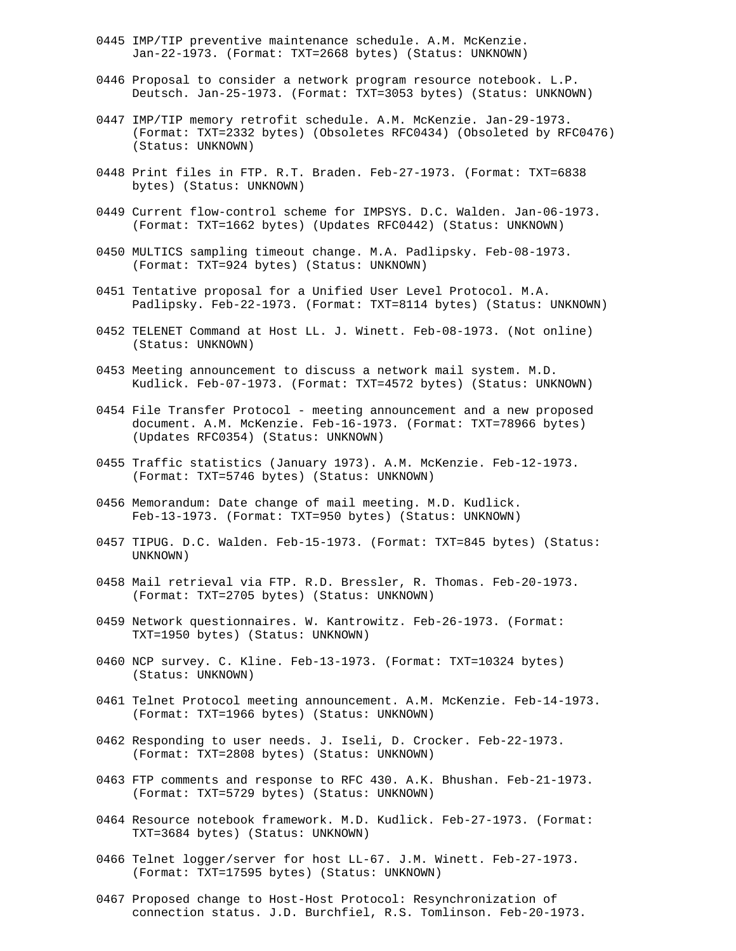- 0445 IMP/TIP preventive maintenance schedule. A.M. McKenzie. Jan-22-1973. (Format: TXT=2668 bytes) (Status: UNKNOWN)
- 0446 Proposal to consider a network program resource notebook. L.P. Deutsch. Jan-25-1973. (Format: TXT=3053 bytes) (Status: UNKNOWN)
- 0447 IMP/TIP memory retrofit schedule. A.M. McKenzie. Jan-29-1973. (Format: TXT=2332 bytes) (Obsoletes RFC0434) (Obsoleted by RFC0476) (Status: UNKNOWN)
- 0448 Print files in FTP. R.T. Braden. Feb-27-1973. (Format: TXT=6838 bytes) (Status: UNKNOWN)
- 0449 Current flow-control scheme for IMPSYS. D.C. Walden. Jan-06-1973. (Format: TXT=1662 bytes) (Updates RFC0442) (Status: UNKNOWN)
- 0450 MULTICS sampling timeout change. M.A. Padlipsky. Feb-08-1973. (Format: TXT=924 bytes) (Status: UNKNOWN)
- 0451 Tentative proposal for a Unified User Level Protocol. M.A. Padlipsky. Feb-22-1973. (Format: TXT=8114 bytes) (Status: UNKNOWN)
- 0452 TELENET Command at Host LL. J. Winett. Feb-08-1973. (Not online) (Status: UNKNOWN)
- 0453 Meeting announcement to discuss a network mail system. M.D. Kudlick. Feb-07-1973. (Format: TXT=4572 bytes) (Status: UNKNOWN)
- 0454 File Transfer Protocol meeting announcement and a new proposed document. A.M. McKenzie. Feb-16-1973. (Format: TXT=78966 bytes) (Updates RFC0354) (Status: UNKNOWN)
- 0455 Traffic statistics (January 1973). A.M. McKenzie. Feb-12-1973. (Format: TXT=5746 bytes) (Status: UNKNOWN)
- 0456 Memorandum: Date change of mail meeting. M.D. Kudlick. Feb-13-1973. (Format: TXT=950 bytes) (Status: UNKNOWN)
- 0457 TIPUG. D.C. Walden. Feb-15-1973. (Format: TXT=845 bytes) (Status: UNKNOWN)
- 0458 Mail retrieval via FTP. R.D. Bressler, R. Thomas. Feb-20-1973. (Format: TXT=2705 bytes) (Status: UNKNOWN)
- 0459 Network questionnaires. W. Kantrowitz. Feb-26-1973. (Format: TXT=1950 bytes) (Status: UNKNOWN)
- 0460 NCP survey. C. Kline. Feb-13-1973. (Format: TXT=10324 bytes) (Status: UNKNOWN)
- 0461 Telnet Protocol meeting announcement. A.M. McKenzie. Feb-14-1973. (Format: TXT=1966 bytes) (Status: UNKNOWN)
- 0462 Responding to user needs. J. Iseli, D. Crocker. Feb-22-1973. (Format: TXT=2808 bytes) (Status: UNKNOWN)
- 0463 FTP comments and response to RFC 430. A.K. Bhushan. Feb-21-1973. (Format: TXT=5729 bytes) (Status: UNKNOWN)
- 0464 Resource notebook framework. M.D. Kudlick. Feb-27-1973. (Format: TXT=3684 bytes) (Status: UNKNOWN)
- 0466 Telnet logger/server for host LL-67. J.M. Winett. Feb-27-1973. (Format: TXT=17595 bytes) (Status: UNKNOWN)
- 0467 Proposed change to Host-Host Protocol: Resynchronization of connection status. J.D. Burchfiel, R.S. Tomlinson. Feb-20-1973.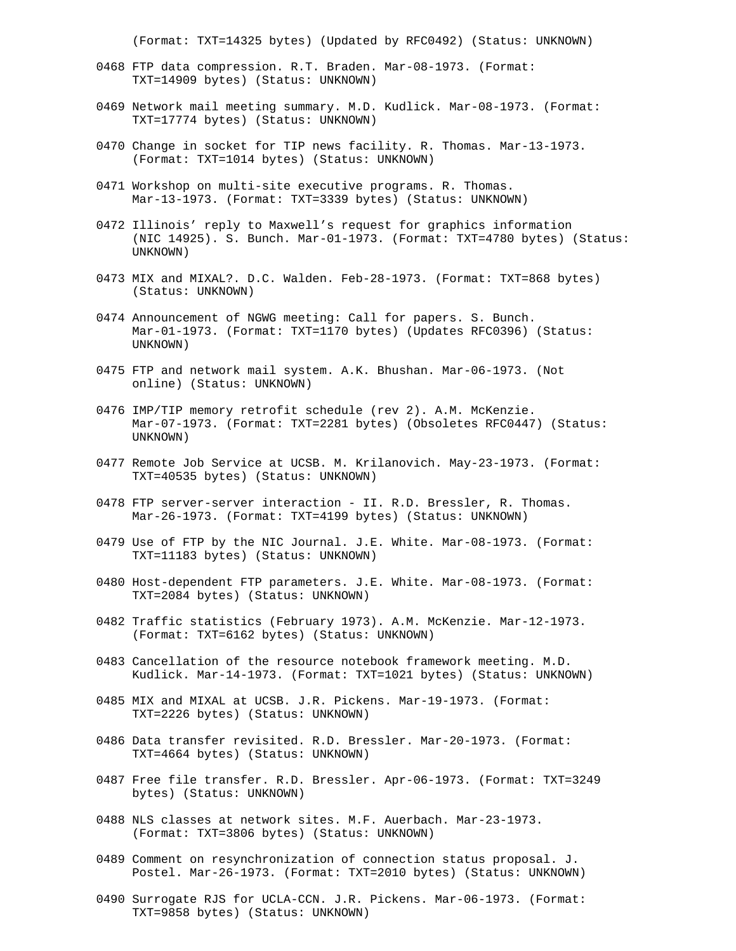(Format: TXT=14325 bytes) (Updated by RFC0492) (Status: UNKNOWN)

- 0468 FTP data compression. R.T. Braden. Mar-08-1973. (Format: TXT=14909 bytes) (Status: UNKNOWN)
- 0469 Network mail meeting summary. M.D. Kudlick. Mar-08-1973. (Format: TXT=17774 bytes) (Status: UNKNOWN)
- 0470 Change in socket for TIP news facility. R. Thomas. Mar-13-1973. (Format: TXT=1014 bytes) (Status: UNKNOWN)
- 0471 Workshop on multi-site executive programs. R. Thomas. Mar-13-1973. (Format: TXT=3339 bytes) (Status: UNKNOWN)
- 0472 Illinois' reply to Maxwell's request for graphics information (NIC 14925). S. Bunch. Mar-01-1973. (Format: TXT=4780 bytes) (Status: UNKNOWN)
- 0473 MIX and MIXAL?. D.C. Walden. Feb-28-1973. (Format: TXT=868 bytes) (Status: UNKNOWN)
- 0474 Announcement of NGWG meeting: Call for papers. S. Bunch. Mar-01-1973. (Format: TXT=1170 bytes) (Updates RFC0396) (Status: UNKNOWN)
- 0475 FTP and network mail system. A.K. Bhushan. Mar-06-1973. (Not online) (Status: UNKNOWN)
- 0476 IMP/TIP memory retrofit schedule (rev 2). A.M. McKenzie. Mar-07-1973. (Format: TXT=2281 bytes) (Obsoletes RFC0447) (Status: UNKNOWN)
- 0477 Remote Job Service at UCSB. M. Krilanovich. May-23-1973. (Format: TXT=40535 bytes) (Status: UNKNOWN)
- 0478 FTP server-server interaction II. R.D. Bressler, R. Thomas. Mar-26-1973. (Format: TXT=4199 bytes) (Status: UNKNOWN)
- 0479 Use of FTP by the NIC Journal. J.E. White. Mar-08-1973. (Format: TXT=11183 bytes) (Status: UNKNOWN)
- 0480 Host-dependent FTP parameters. J.E. White. Mar-08-1973. (Format: TXT=2084 bytes) (Status: UNKNOWN)
- 0482 Traffic statistics (February 1973). A.M. McKenzie. Mar-12-1973. (Format: TXT=6162 bytes) (Status: UNKNOWN)
- 0483 Cancellation of the resource notebook framework meeting. M.D. Kudlick. Mar-14-1973. (Format: TXT=1021 bytes) (Status: UNKNOWN)
- 0485 MIX and MIXAL at UCSB. J.R. Pickens. Mar-19-1973. (Format: TXT=2226 bytes) (Status: UNKNOWN)
- 0486 Data transfer revisited. R.D. Bressler. Mar-20-1973. (Format: TXT=4664 bytes) (Status: UNKNOWN)
- 0487 Free file transfer. R.D. Bressler. Apr-06-1973. (Format: TXT=3249 bytes) (Status: UNKNOWN)
- 0488 NLS classes at network sites. M.F. Auerbach. Mar-23-1973. (Format: TXT=3806 bytes) (Status: UNKNOWN)
- 0489 Comment on resynchronization of connection status proposal. J. Postel. Mar-26-1973. (Format: TXT=2010 bytes) (Status: UNKNOWN)
- 0490 Surrogate RJS for UCLA-CCN. J.R. Pickens. Mar-06-1973. (Format: TXT=9858 bytes) (Status: UNKNOWN)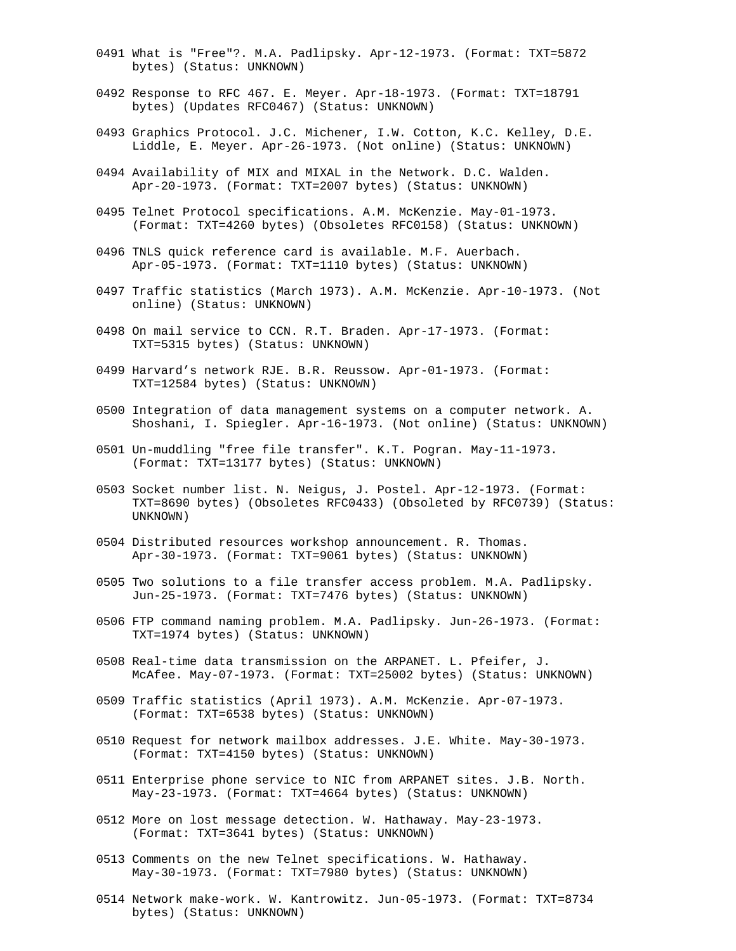- 0491 What is "Free"?. M.A. Padlipsky. Apr-12-1973. (Format: TXT=5872 bytes) (Status: UNKNOWN)
- 0492 Response to RFC 467. E. Meyer. Apr-18-1973. (Format: TXT=18791 bytes) (Updates RFC0467) (Status: UNKNOWN)
- 0493 Graphics Protocol. J.C. Michener, I.W. Cotton, K.C. Kelley, D.E. Liddle, E. Meyer. Apr-26-1973. (Not online) (Status: UNKNOWN)
- 0494 Availability of MIX and MIXAL in the Network. D.C. Walden. Apr-20-1973. (Format: TXT=2007 bytes) (Status: UNKNOWN)
- 0495 Telnet Protocol specifications. A.M. McKenzie. May-01-1973. (Format: TXT=4260 bytes) (Obsoletes RFC0158) (Status: UNKNOWN)
- 0496 TNLS quick reference card is available. M.F. Auerbach. Apr-05-1973. (Format: TXT=1110 bytes) (Status: UNKNOWN)
- 0497 Traffic statistics (March 1973). A.M. McKenzie. Apr-10-1973. (Not online) (Status: UNKNOWN)
- 0498 On mail service to CCN. R.T. Braden. Apr-17-1973. (Format: TXT=5315 bytes) (Status: UNKNOWN)
- 0499 Harvard's network RJE. B.R. Reussow. Apr-01-1973. (Format: TXT=12584 bytes) (Status: UNKNOWN)
- 0500 Integration of data management systems on a computer network. A. Shoshani, I. Spiegler. Apr-16-1973. (Not online) (Status: UNKNOWN)
- 0501 Un-muddling "free file transfer". K.T. Pogran. May-11-1973. (Format: TXT=13177 bytes) (Status: UNKNOWN)
- 0503 Socket number list. N. Neigus, J. Postel. Apr-12-1973. (Format: TXT=8690 bytes) (Obsoletes RFC0433) (Obsoleted by RFC0739) (Status: UNKNOWN)
- 0504 Distributed resources workshop announcement. R. Thomas. Apr-30-1973. (Format: TXT=9061 bytes) (Status: UNKNOWN)
- 0505 Two solutions to a file transfer access problem. M.A. Padlipsky. Jun-25-1973. (Format: TXT=7476 bytes) (Status: UNKNOWN)
- 0506 FTP command naming problem. M.A. Padlipsky. Jun-26-1973. (Format: TXT=1974 bytes) (Status: UNKNOWN)
- 0508 Real-time data transmission on the ARPANET. L. Pfeifer, J. McAfee. May-07-1973. (Format: TXT=25002 bytes) (Status: UNKNOWN)
- 0509 Traffic statistics (April 1973). A.M. McKenzie. Apr-07-1973. (Format: TXT=6538 bytes) (Status: UNKNOWN)
- 0510 Request for network mailbox addresses. J.E. White. May-30-1973. (Format: TXT=4150 bytes) (Status: UNKNOWN)
- 0511 Enterprise phone service to NIC from ARPANET sites. J.B. North. May-23-1973. (Format: TXT=4664 bytes) (Status: UNKNOWN)
- 0512 More on lost message detection. W. Hathaway. May-23-1973. (Format: TXT=3641 bytes) (Status: UNKNOWN)
- 0513 Comments on the new Telnet specifications. W. Hathaway. May-30-1973. (Format: TXT=7980 bytes) (Status: UNKNOWN)
- 0514 Network make-work. W. Kantrowitz. Jun-05-1973. (Format: TXT=8734 bytes) (Status: UNKNOWN)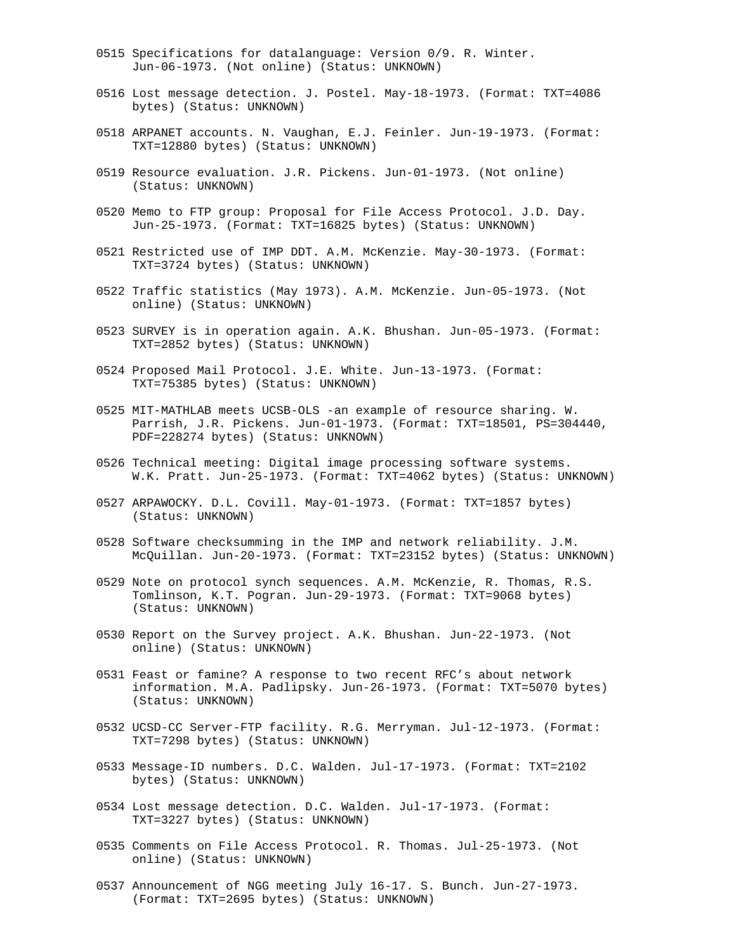- 0515 Specifications for datalanguage: Version 0/9. R. Winter. Jun-06-1973. (Not online) (Status: UNKNOWN)
- 0516 Lost message detection. J. Postel. May-18-1973. (Format: TXT=4086 bytes) (Status: UNKNOWN)
- 0518 ARPANET accounts. N. Vaughan, E.J. Feinler. Jun-19-1973. (Format: TXT=12880 bytes) (Status: UNKNOWN)
- 0519 Resource evaluation. J.R. Pickens. Jun-01-1973. (Not online) (Status: UNKNOWN)
- 0520 Memo to FTP group: Proposal for File Access Protocol. J.D. Day. Jun-25-1973. (Format: TXT=16825 bytes) (Status: UNKNOWN)
- 0521 Restricted use of IMP DDT. A.M. McKenzie. May-30-1973. (Format: TXT=3724 bytes) (Status: UNKNOWN)
- 0522 Traffic statistics (May 1973). A.M. McKenzie. Jun-05-1973. (Not online) (Status: UNKNOWN)
- 0523 SURVEY is in operation again. A.K. Bhushan. Jun-05-1973. (Format: TXT=2852 bytes) (Status: UNKNOWN)
- 0524 Proposed Mail Protocol. J.E. White. Jun-13-1973. (Format: TXT=75385 bytes) (Status: UNKNOWN)
- 0525 MIT-MATHLAB meets UCSB-OLS -an example of resource sharing. W. Parrish, J.R. Pickens. Jun-01-1973. (Format: TXT=18501, PS=304440, PDF=228274 bytes) (Status: UNKNOWN)
- 0526 Technical meeting: Digital image processing software systems. W.K. Pratt. Jun-25-1973. (Format: TXT=4062 bytes) (Status: UNKNOWN)
- 0527 ARPAWOCKY. D.L. Covill. May-01-1973. (Format: TXT=1857 bytes) (Status: UNKNOWN)
- 0528 Software checksumming in the IMP and network reliability. J.M. McQuillan. Jun-20-1973. (Format: TXT=23152 bytes) (Status: UNKNOWN)
- 0529 Note on protocol synch sequences. A.M. McKenzie, R. Thomas, R.S. Tomlinson, K.T. Pogran. Jun-29-1973. (Format: TXT=9068 bytes) (Status: UNKNOWN)
- 0530 Report on the Survey project. A.K. Bhushan. Jun-22-1973. (Not online) (Status: UNKNOWN)
- 0531 Feast or famine? A response to two recent RFC's about network information. M.A. Padlipsky. Jun-26-1973. (Format: TXT=5070 bytes) (Status: UNKNOWN)
- 0532 UCSD-CC Server-FTP facility. R.G. Merryman. Jul-12-1973. (Format: TXT=7298 bytes) (Status: UNKNOWN)
- 0533 Message-ID numbers. D.C. Walden. Jul-17-1973. (Format: TXT=2102 bytes) (Status: UNKNOWN)
- 0534 Lost message detection. D.C. Walden. Jul-17-1973. (Format: TXT=3227 bytes) (Status: UNKNOWN)
- 0535 Comments on File Access Protocol. R. Thomas. Jul-25-1973. (Not online) (Status: UNKNOWN)
- 0537 Announcement of NGG meeting July 16-17. S. Bunch. Jun-27-1973. (Format: TXT=2695 bytes) (Status: UNKNOWN)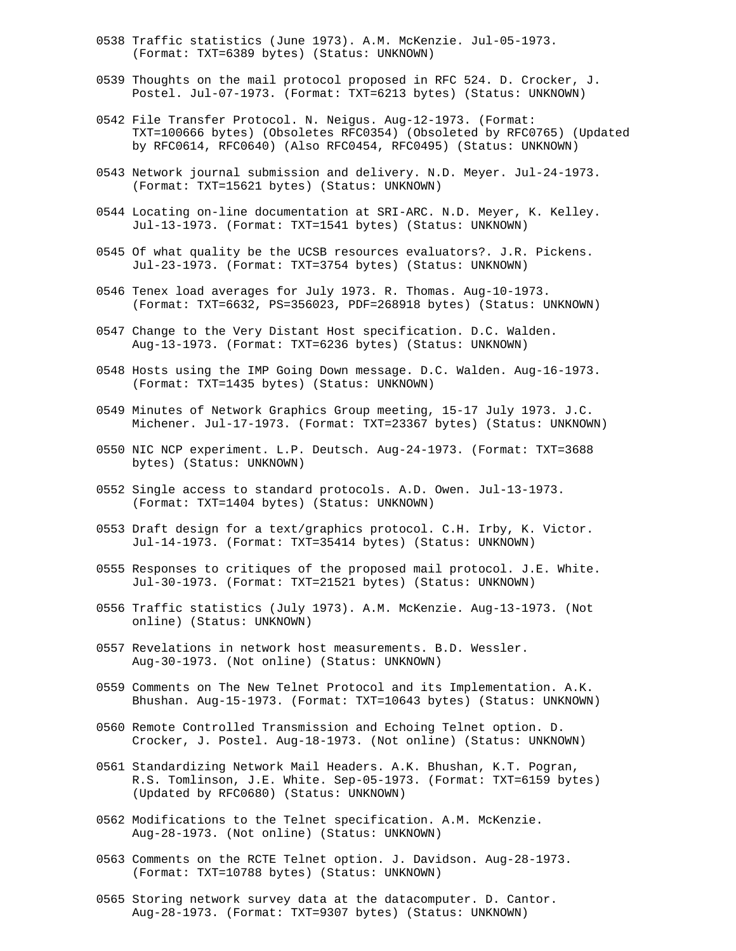- 0538 Traffic statistics (June 1973). A.M. McKenzie. Jul-05-1973. (Format: TXT=6389 bytes) (Status: UNKNOWN)
- 0539 Thoughts on the mail protocol proposed in RFC 524. D. Crocker, J. Postel. Jul-07-1973. (Format: TXT=6213 bytes) (Status: UNKNOWN)
- 0542 File Transfer Protocol. N. Neigus. Aug-12-1973. (Format: TXT=100666 bytes) (Obsoletes RFC0354) (Obsoleted by RFC0765) (Updated by RFC0614, RFC0640) (Also RFC0454, RFC0495) (Status: UNKNOWN)
- 0543 Network journal submission and delivery. N.D. Meyer. Jul-24-1973. (Format: TXT=15621 bytes) (Status: UNKNOWN)
- 0544 Locating on-line documentation at SRI-ARC. N.D. Meyer, K. Kelley. Jul-13-1973. (Format: TXT=1541 bytes) (Status: UNKNOWN)
- 0545 Of what quality be the UCSB resources evaluators?. J.R. Pickens. Jul-23-1973. (Format: TXT=3754 bytes) (Status: UNKNOWN)
- 0546 Tenex load averages for July 1973. R. Thomas. Aug-10-1973. (Format: TXT=6632, PS=356023, PDF=268918 bytes) (Status: UNKNOWN)
- 0547 Change to the Very Distant Host specification. D.C. Walden. Aug-13-1973. (Format: TXT=6236 bytes) (Status: UNKNOWN)
- 0548 Hosts using the IMP Going Down message. D.C. Walden. Aug-16-1973. (Format: TXT=1435 bytes) (Status: UNKNOWN)
- 0549 Minutes of Network Graphics Group meeting, 15-17 July 1973. J.C. Michener. Jul-17-1973. (Format: TXT=23367 bytes) (Status: UNKNOWN)
- 0550 NIC NCP experiment. L.P. Deutsch. Aug-24-1973. (Format: TXT=3688 bytes) (Status: UNKNOWN)
- 0552 Single access to standard protocols. A.D. Owen. Jul-13-1973. (Format: TXT=1404 bytes) (Status: UNKNOWN)
- 0553 Draft design for a text/graphics protocol. C.H. Irby, K. Victor. Jul-14-1973. (Format: TXT=35414 bytes) (Status: UNKNOWN)
- 0555 Responses to critiques of the proposed mail protocol. J.E. White. Jul-30-1973. (Format: TXT=21521 bytes) (Status: UNKNOWN)
- 0556 Traffic statistics (July 1973). A.M. McKenzie. Aug-13-1973. (Not online) (Status: UNKNOWN)
- 0557 Revelations in network host measurements. B.D. Wessler. Aug-30-1973. (Not online) (Status: UNKNOWN)
- 0559 Comments on The New Telnet Protocol and its Implementation. A.K. Bhushan. Aug-15-1973. (Format: TXT=10643 bytes) (Status: UNKNOWN)
- 0560 Remote Controlled Transmission and Echoing Telnet option. D. Crocker, J. Postel. Aug-18-1973. (Not online) (Status: UNKNOWN)
- 0561 Standardizing Network Mail Headers. A.K. Bhushan, K.T. Pogran, R.S. Tomlinson, J.E. White. Sep-05-1973. (Format: TXT=6159 bytes) (Updated by RFC0680) (Status: UNKNOWN)
- 0562 Modifications to the Telnet specification. A.M. McKenzie. Aug-28-1973. (Not online) (Status: UNKNOWN)
- 0563 Comments on the RCTE Telnet option. J. Davidson. Aug-28-1973. (Format: TXT=10788 bytes) (Status: UNKNOWN)
- 0565 Storing network survey data at the datacomputer. D. Cantor. Aug-28-1973. (Format: TXT=9307 bytes) (Status: UNKNOWN)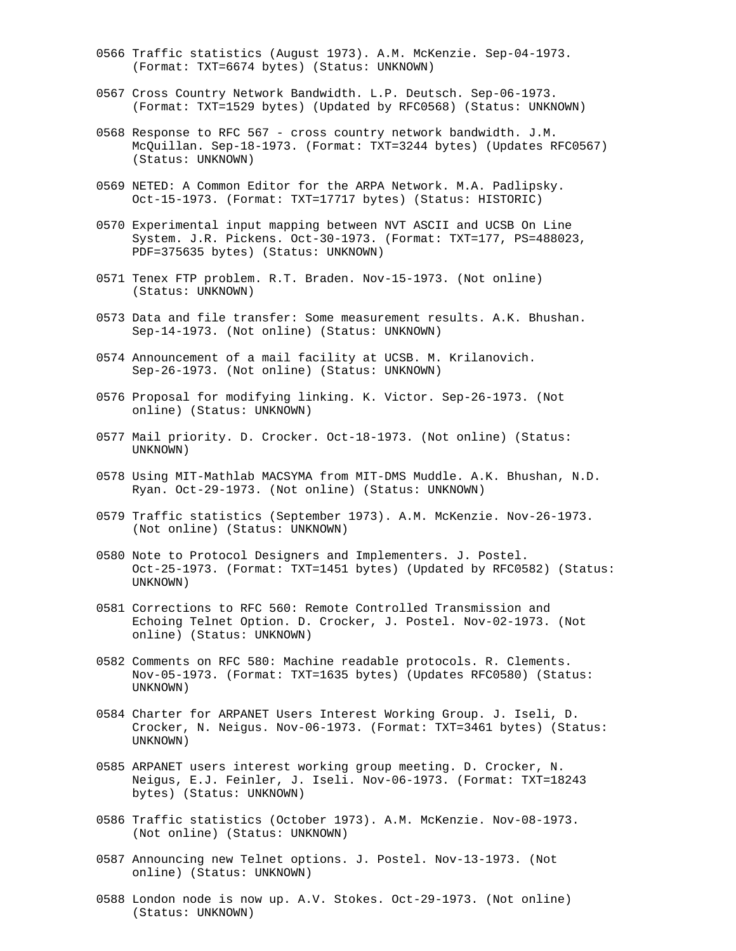- 0566 Traffic statistics (August 1973). A.M. McKenzie. Sep-04-1973. (Format: TXT=6674 bytes) (Status: UNKNOWN)
- 0567 Cross Country Network Bandwidth. L.P. Deutsch. Sep-06-1973. (Format: TXT=1529 bytes) (Updated by RFC0568) (Status: UNKNOWN)
- 0568 Response to RFC 567 cross country network bandwidth. J.M. McQuillan. Sep-18-1973. (Format: TXT=3244 bytes) (Updates RFC0567) (Status: UNKNOWN)
- 0569 NETED: A Common Editor for the ARPA Network. M.A. Padlipsky. Oct-15-1973. (Format: TXT=17717 bytes) (Status: HISTORIC)
- 0570 Experimental input mapping between NVT ASCII and UCSB On Line System. J.R. Pickens. Oct-30-1973. (Format: TXT=177, PS=488023, PDF=375635 bytes) (Status: UNKNOWN)
- 0571 Tenex FTP problem. R.T. Braden. Nov-15-1973. (Not online) (Status: UNKNOWN)
- 0573 Data and file transfer: Some measurement results. A.K. Bhushan. Sep-14-1973. (Not online) (Status: UNKNOWN)
- 0574 Announcement of a mail facility at UCSB. M. Krilanovich. Sep-26-1973. (Not online) (Status: UNKNOWN)
- 0576 Proposal for modifying linking. K. Victor. Sep-26-1973. (Not online) (Status: UNKNOWN)
- 0577 Mail priority. D. Crocker. Oct-18-1973. (Not online) (Status: UNKNOWN)
- 0578 Using MIT-Mathlab MACSYMA from MIT-DMS Muddle. A.K. Bhushan, N.D. Ryan. Oct-29-1973. (Not online) (Status: UNKNOWN)
- 0579 Traffic statistics (September 1973). A.M. McKenzie. Nov-26-1973. (Not online) (Status: UNKNOWN)
- 0580 Note to Protocol Designers and Implementers. J. Postel. Oct-25-1973. (Format: TXT=1451 bytes) (Updated by RFC0582) (Status: UNKNOWN)
- 0581 Corrections to RFC 560: Remote Controlled Transmission and Echoing Telnet Option. D. Crocker, J. Postel. Nov-02-1973. (Not online) (Status: UNKNOWN)
- 0582 Comments on RFC 580: Machine readable protocols. R. Clements. Nov-05-1973. (Format: TXT=1635 bytes) (Updates RFC0580) (Status: UNKNOWN)
- 0584 Charter for ARPANET Users Interest Working Group. J. Iseli, D. Crocker, N. Neigus. Nov-06-1973. (Format: TXT=3461 bytes) (Status: UNKNOWN)
- 0585 ARPANET users interest working group meeting. D. Crocker, N. Neigus, E.J. Feinler, J. Iseli. Nov-06-1973. (Format: TXT=18243 bytes) (Status: UNKNOWN)
- 0586 Traffic statistics (October 1973). A.M. McKenzie. Nov-08-1973. (Not online) (Status: UNKNOWN)
- 0587 Announcing new Telnet options. J. Postel. Nov-13-1973. (Not online) (Status: UNKNOWN)
- 0588 London node is now up. A.V. Stokes. Oct-29-1973. (Not online) (Status: UNKNOWN)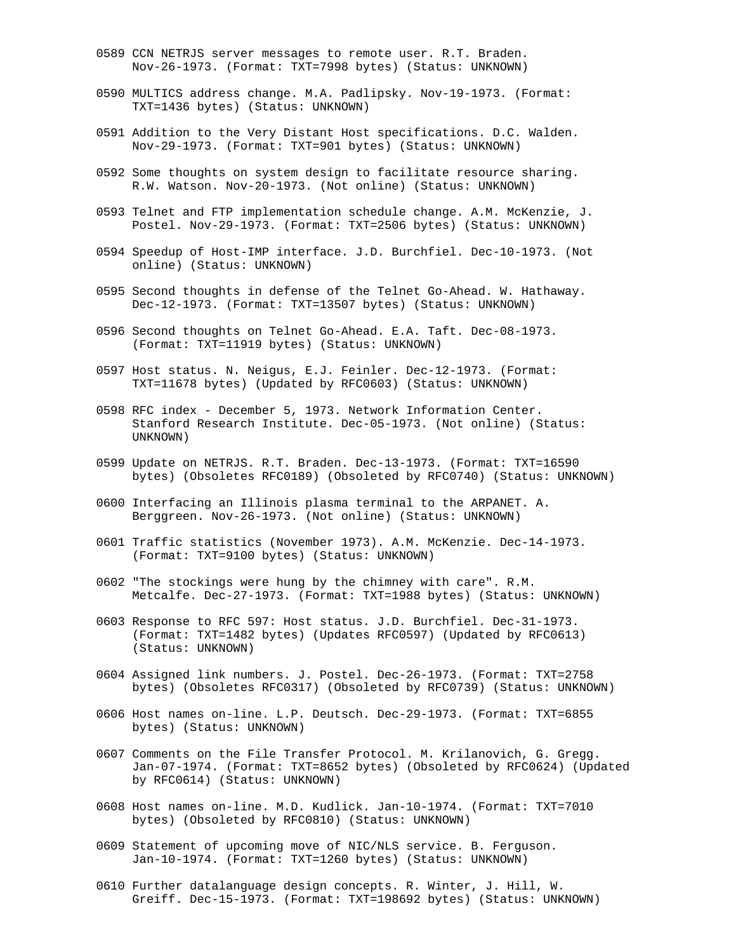- 0589 CCN NETRJS server messages to remote user. R.T. Braden. Nov-26-1973. (Format: TXT=7998 bytes) (Status: UNKNOWN)
- 0590 MULTICS address change. M.A. Padlipsky. Nov-19-1973. (Format: TXT=1436 bytes) (Status: UNKNOWN)
- 0591 Addition to the Very Distant Host specifications. D.C. Walden. Nov-29-1973. (Format: TXT=901 bytes) (Status: UNKNOWN)
- 0592 Some thoughts on system design to facilitate resource sharing. R.W. Watson. Nov-20-1973. (Not online) (Status: UNKNOWN)
- 0593 Telnet and FTP implementation schedule change. A.M. McKenzie, J. Postel. Nov-29-1973. (Format: TXT=2506 bytes) (Status: UNKNOWN)
- 0594 Speedup of Host-IMP interface. J.D. Burchfiel. Dec-10-1973. (Not online) (Status: UNKNOWN)
- 0595 Second thoughts in defense of the Telnet Go-Ahead. W. Hathaway. Dec-12-1973. (Format: TXT=13507 bytes) (Status: UNKNOWN)
- 0596 Second thoughts on Telnet Go-Ahead. E.A. Taft. Dec-08-1973. (Format: TXT=11919 bytes) (Status: UNKNOWN)
- 0597 Host status. N. Neigus, E.J. Feinler. Dec-12-1973. (Format: TXT=11678 bytes) (Updated by RFC0603) (Status: UNKNOWN)
- 0598 RFC index December 5, 1973. Network Information Center. Stanford Research Institute. Dec-05-1973. (Not online) (Status: UNKNOWN)
- 0599 Update on NETRJS. R.T. Braden. Dec-13-1973. (Format: TXT=16590 bytes) (Obsoletes RFC0189) (Obsoleted by RFC0740) (Status: UNKNOWN)
- 0600 Interfacing an Illinois plasma terminal to the ARPANET. A. Berggreen. Nov-26-1973. (Not online) (Status: UNKNOWN)
- 0601 Traffic statistics (November 1973). A.M. McKenzie. Dec-14-1973. (Format: TXT=9100 bytes) (Status: UNKNOWN)
- 0602 "The stockings were hung by the chimney with care". R.M. Metcalfe. Dec-27-1973. (Format: TXT=1988 bytes) (Status: UNKNOWN)
- 0603 Response to RFC 597: Host status. J.D. Burchfiel. Dec-31-1973. (Format: TXT=1482 bytes) (Updates RFC0597) (Updated by RFC0613) (Status: UNKNOWN)
- 0604 Assigned link numbers. J. Postel. Dec-26-1973. (Format: TXT=2758 bytes) (Obsoletes RFC0317) (Obsoleted by RFC0739) (Status: UNKNOWN)
- 0606 Host names on-line. L.P. Deutsch. Dec-29-1973. (Format: TXT=6855 bytes) (Status: UNKNOWN)
- 0607 Comments on the File Transfer Protocol. M. Krilanovich, G. Gregg. Jan-07-1974. (Format: TXT=8652 bytes) (Obsoleted by RFC0624) (Updated by RFC0614) (Status: UNKNOWN)
- 0608 Host names on-line. M.D. Kudlick. Jan-10-1974. (Format: TXT=7010 bytes) (Obsoleted by RFC0810) (Status: UNKNOWN)
- 0609 Statement of upcoming move of NIC/NLS service. B. Ferguson. Jan-10-1974. (Format: TXT=1260 bytes) (Status: UNKNOWN)
- 0610 Further datalanguage design concepts. R. Winter, J. Hill, W. Greiff. Dec-15-1973. (Format: TXT=198692 bytes) (Status: UNKNOWN)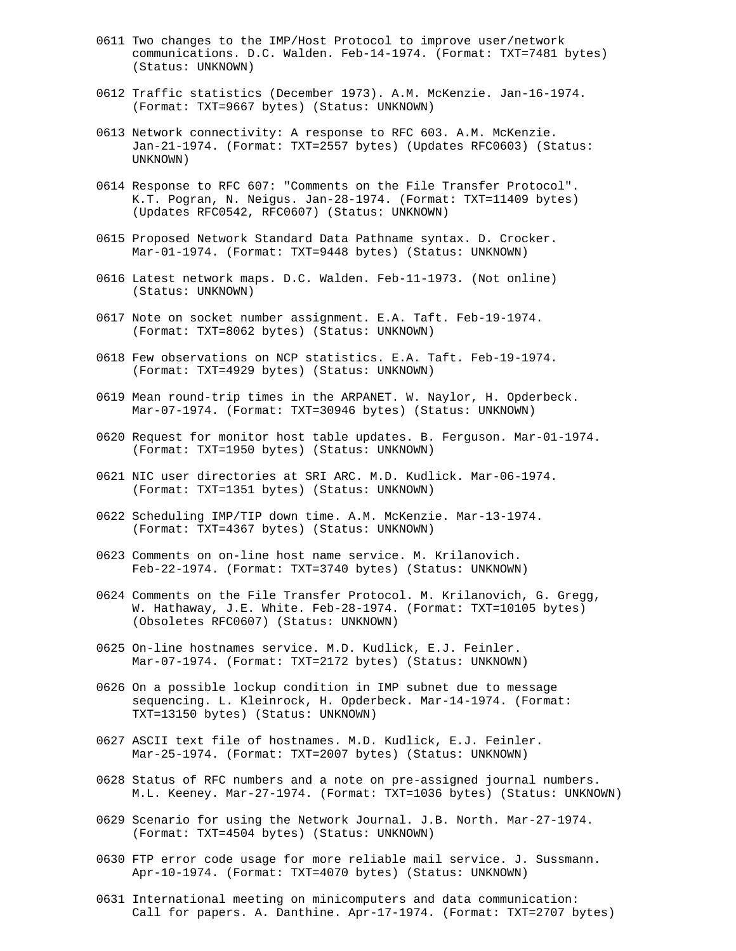- 0611 Two changes to the IMP/Host Protocol to improve user/network communications. D.C. Walden. Feb-14-1974. (Format: TXT=7481 bytes) (Status: UNKNOWN)
- 0612 Traffic statistics (December 1973). A.M. McKenzie. Jan-16-1974. (Format: TXT=9667 bytes) (Status: UNKNOWN)
- 0613 Network connectivity: A response to RFC 603. A.M. McKenzie. Jan-21-1974. (Format: TXT=2557 bytes) (Updates RFC0603) (Status: UNKNOWN)
- 0614 Response to RFC 607: "Comments on the File Transfer Protocol". K.T. Pogran, N. Neigus. Jan-28-1974. (Format: TXT=11409 bytes) (Updates RFC0542, RFC0607) (Status: UNKNOWN)
- 0615 Proposed Network Standard Data Pathname syntax. D. Crocker. Mar-01-1974. (Format: TXT=9448 bytes) (Status: UNKNOWN)
- 0616 Latest network maps. D.C. Walden. Feb-11-1973. (Not online) (Status: UNKNOWN)
- 0617 Note on socket number assignment. E.A. Taft. Feb-19-1974. (Format: TXT=8062 bytes) (Status: UNKNOWN)
- 0618 Few observations on NCP statistics. E.A. Taft. Feb-19-1974. (Format: TXT=4929 bytes) (Status: UNKNOWN)
- 0619 Mean round-trip times in the ARPANET. W. Naylor, H. Opderbeck. Mar-07-1974. (Format: TXT=30946 bytes) (Status: UNKNOWN)
- 0620 Request for monitor host table updates. B. Ferguson. Mar-01-1974. (Format: TXT=1950 bytes) (Status: UNKNOWN)
- 0621 NIC user directories at SRI ARC. M.D. Kudlick. Mar-06-1974. (Format: TXT=1351 bytes) (Status: UNKNOWN)
- 0622 Scheduling IMP/TIP down time. A.M. McKenzie. Mar-13-1974. (Format: TXT=4367 bytes) (Status: UNKNOWN)
- 0623 Comments on on-line host name service. M. Krilanovich. Feb-22-1974. (Format: TXT=3740 bytes) (Status: UNKNOWN)
- 0624 Comments on the File Transfer Protocol. M. Krilanovich, G. Gregg, W. Hathaway, J.E. White. Feb-28-1974. (Format: TXT=10105 bytes) (Obsoletes RFC0607) (Status: UNKNOWN)
- 0625 On-line hostnames service. M.D. Kudlick, E.J. Feinler. Mar-07-1974. (Format: TXT=2172 bytes) (Status: UNKNOWN)
- 0626 On a possible lockup condition in IMP subnet due to message sequencing. L. Kleinrock, H. Opderbeck. Mar-14-1974. (Format: TXT=13150 bytes) (Status: UNKNOWN)
- 0627 ASCII text file of hostnames. M.D. Kudlick, E.J. Feinler. Mar-25-1974. (Format: TXT=2007 bytes) (Status: UNKNOWN)
- 0628 Status of RFC numbers and a note on pre-assigned journal numbers. M.L. Keeney. Mar-27-1974. (Format: TXT=1036 bytes) (Status: UNKNOWN)
- 0629 Scenario for using the Network Journal. J.B. North. Mar-27-1974. (Format: TXT=4504 bytes) (Status: UNKNOWN)
- 0630 FTP error code usage for more reliable mail service. J. Sussmann. Apr-10-1974. (Format: TXT=4070 bytes) (Status: UNKNOWN)
- 0631 International meeting on minicomputers and data communication: Call for papers. A. Danthine. Apr-17-1974. (Format: TXT=2707 bytes)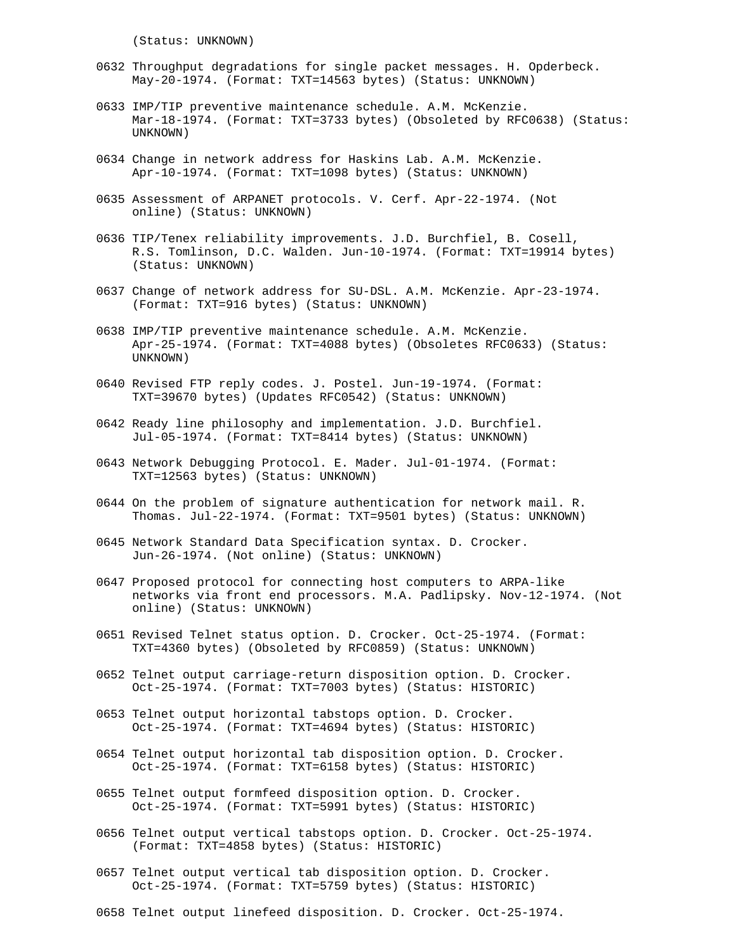(Status: UNKNOWN)

- 0632 Throughput degradations for single packet messages. H. Opderbeck. May-20-1974. (Format: TXT=14563 bytes) (Status: UNKNOWN)
- 0633 IMP/TIP preventive maintenance schedule. A.M. McKenzie. Mar-18-1974. (Format: TXT=3733 bytes) (Obsoleted by RFC0638) (Status: UNKNOWN)
- 0634 Change in network address for Haskins Lab. A.M. McKenzie. Apr-10-1974. (Format: TXT=1098 bytes) (Status: UNKNOWN)
- 0635 Assessment of ARPANET protocols. V. Cerf. Apr-22-1974. (Not online) (Status: UNKNOWN)
- 0636 TIP/Tenex reliability improvements. J.D. Burchfiel, B. Cosell, R.S. Tomlinson, D.C. Walden. Jun-10-1974. (Format: TXT=19914 bytes) (Status: UNKNOWN)
- 0637 Change of network address for SU-DSL. A.M. McKenzie. Apr-23-1974. (Format: TXT=916 bytes) (Status: UNKNOWN)
- 0638 IMP/TIP preventive maintenance schedule. A.M. McKenzie. Apr-25-1974. (Format: TXT=4088 bytes) (Obsoletes RFC0633) (Status: UNKNOWN)
- 0640 Revised FTP reply codes. J. Postel. Jun-19-1974. (Format: TXT=39670 bytes) (Updates RFC0542) (Status: UNKNOWN)
- 0642 Ready line philosophy and implementation. J.D. Burchfiel. Jul-05-1974. (Format: TXT=8414 bytes) (Status: UNKNOWN)
- 0643 Network Debugging Protocol. E. Mader. Jul-01-1974. (Format: TXT=12563 bytes) (Status: UNKNOWN)
- 0644 On the problem of signature authentication for network mail. R. Thomas. Jul-22-1974. (Format: TXT=9501 bytes) (Status: UNKNOWN)
- 0645 Network Standard Data Specification syntax. D. Crocker. Jun-26-1974. (Not online) (Status: UNKNOWN)
- 0647 Proposed protocol for connecting host computers to ARPA-like networks via front end processors. M.A. Padlipsky. Nov-12-1974. (Not online) (Status: UNKNOWN)
- 0651 Revised Telnet status option. D. Crocker. Oct-25-1974. (Format: TXT=4360 bytes) (Obsoleted by RFC0859) (Status: UNKNOWN)
- 0652 Telnet output carriage-return disposition option. D. Crocker. Oct-25-1974. (Format: TXT=7003 bytes) (Status: HISTORIC)
- 0653 Telnet output horizontal tabstops option. D. Crocker. Oct-25-1974. (Format: TXT=4694 bytes) (Status: HISTORIC)
- 0654 Telnet output horizontal tab disposition option. D. Crocker. Oct-25-1974. (Format: TXT=6158 bytes) (Status: HISTORIC)
- 0655 Telnet output formfeed disposition option. D. Crocker. Oct-25-1974. (Format: TXT=5991 bytes) (Status: HISTORIC)
- 0656 Telnet output vertical tabstops option. D. Crocker. Oct-25-1974. (Format: TXT=4858 bytes) (Status: HISTORIC)
- 0657 Telnet output vertical tab disposition option. D. Crocker. Oct-25-1974. (Format: TXT=5759 bytes) (Status: HISTORIC)
- 0658 Telnet output linefeed disposition. D. Crocker. Oct-25-1974.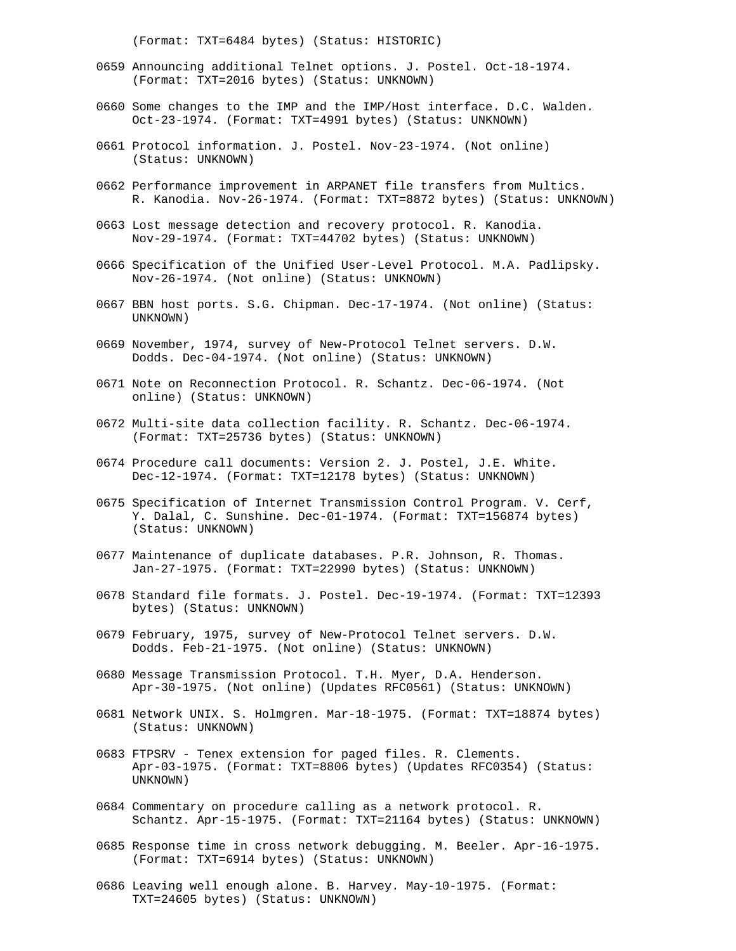(Format: TXT=6484 bytes) (Status: HISTORIC)

- 0659 Announcing additional Telnet options. J. Postel. Oct-18-1974. (Format: TXT=2016 bytes) (Status: UNKNOWN)
- 0660 Some changes to the IMP and the IMP/Host interface. D.C. Walden. Oct-23-1974. (Format: TXT=4991 bytes) (Status: UNKNOWN)
- 0661 Protocol information. J. Postel. Nov-23-1974. (Not online) (Status: UNKNOWN)
- 0662 Performance improvement in ARPANET file transfers from Multics. R. Kanodia. Nov-26-1974. (Format: TXT=8872 bytes) (Status: UNKNOWN)
- 0663 Lost message detection and recovery protocol. R. Kanodia. Nov-29-1974. (Format: TXT=44702 bytes) (Status: UNKNOWN)
- 0666 Specification of the Unified User-Level Protocol. M.A. Padlipsky. Nov-26-1974. (Not online) (Status: UNKNOWN)
- 0667 BBN host ports. S.G. Chipman. Dec-17-1974. (Not online) (Status: UNKNOWN)
- 0669 November, 1974, survey of New-Protocol Telnet servers. D.W. Dodds. Dec-04-1974. (Not online) (Status: UNKNOWN)
- 0671 Note on Reconnection Protocol. R. Schantz. Dec-06-1974. (Not online) (Status: UNKNOWN)
- 0672 Multi-site data collection facility. R. Schantz. Dec-06-1974. (Format: TXT=25736 bytes) (Status: UNKNOWN)
- 0674 Procedure call documents: Version 2. J. Postel, J.E. White. Dec-12-1974. (Format: TXT=12178 bytes) (Status: UNKNOWN)
- 0675 Specification of Internet Transmission Control Program. V. Cerf, Y. Dalal, C. Sunshine. Dec-01-1974. (Format: TXT=156874 bytes) (Status: UNKNOWN)
- 0677 Maintenance of duplicate databases. P.R. Johnson, R. Thomas. Jan-27-1975. (Format: TXT=22990 bytes) (Status: UNKNOWN)
- 0678 Standard file formats. J. Postel. Dec-19-1974. (Format: TXT=12393 bytes) (Status: UNKNOWN)
- 0679 February, 1975, survey of New-Protocol Telnet servers. D.W. Dodds. Feb-21-1975. (Not online) (Status: UNKNOWN)
- 0680 Message Transmission Protocol. T.H. Myer, D.A. Henderson. Apr-30-1975. (Not online) (Updates RFC0561) (Status: UNKNOWN)
- 0681 Network UNIX. S. Holmgren. Mar-18-1975. (Format: TXT=18874 bytes) (Status: UNKNOWN)
- 0683 FTPSRV Tenex extension for paged files. R. Clements. Apr-03-1975. (Format: TXT=8806 bytes) (Updates RFC0354) (Status: UNKNOWN)
- 0684 Commentary on procedure calling as a network protocol. R. Schantz. Apr-15-1975. (Format: TXT=21164 bytes) (Status: UNKNOWN)
- 0685 Response time in cross network debugging. M. Beeler. Apr-16-1975. (Format: TXT=6914 bytes) (Status: UNKNOWN)
- 0686 Leaving well enough alone. B. Harvey. May-10-1975. (Format: TXT=24605 bytes) (Status: UNKNOWN)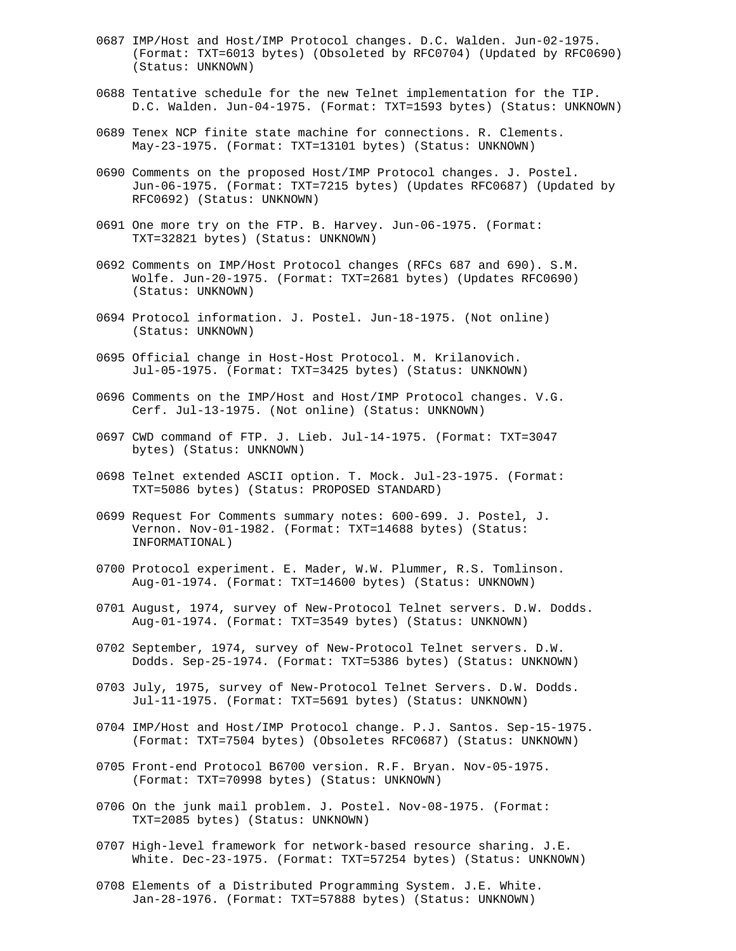- 0687 IMP/Host and Host/IMP Protocol changes. D.C. Walden. Jun-02-1975. (Format: TXT=6013 bytes) (Obsoleted by RFC0704) (Updated by RFC0690) (Status: UNKNOWN)
- 0688 Tentative schedule for the new Telnet implementation for the TIP. D.C. Walden. Jun-04-1975. (Format: TXT=1593 bytes) (Status: UNKNOWN)
- 0689 Tenex NCP finite state machine for connections. R. Clements. May-23-1975. (Format: TXT=13101 bytes) (Status: UNKNOWN)
- 0690 Comments on the proposed Host/IMP Protocol changes. J. Postel. Jun-06-1975. (Format: TXT=7215 bytes) (Updates RFC0687) (Updated by RFC0692) (Status: UNKNOWN)
- 0691 One more try on the FTP. B. Harvey. Jun-06-1975. (Format: TXT=32821 bytes) (Status: UNKNOWN)
- 0692 Comments on IMP/Host Protocol changes (RFCs 687 and 690). S.M. Wolfe. Jun-20-1975. (Format: TXT=2681 bytes) (Updates RFC0690) (Status: UNKNOWN)
- 0694 Protocol information. J. Postel. Jun-18-1975. (Not online) (Status: UNKNOWN)
- 0695 Official change in Host-Host Protocol. M. Krilanovich. Jul-05-1975. (Format: TXT=3425 bytes) (Status: UNKNOWN)
- 0696 Comments on the IMP/Host and Host/IMP Protocol changes. V.G. Cerf. Jul-13-1975. (Not online) (Status: UNKNOWN)
- 0697 CWD command of FTP. J. Lieb. Jul-14-1975. (Format: TXT=3047 bytes) (Status: UNKNOWN)
- 0698 Telnet extended ASCII option. T. Mock. Jul-23-1975. (Format: TXT=5086 bytes) (Status: PROPOSED STANDARD)
- 0699 Request For Comments summary notes: 600-699. J. Postel, J. Vernon. Nov-01-1982. (Format: TXT=14688 bytes) (Status: INFORMATIONAL)
- 0700 Protocol experiment. E. Mader, W.W. Plummer, R.S. Tomlinson. Aug-01-1974. (Format: TXT=14600 bytes) (Status: UNKNOWN)
- 0701 August, 1974, survey of New-Protocol Telnet servers. D.W. Dodds. Aug-01-1974. (Format: TXT=3549 bytes) (Status: UNKNOWN)
- 0702 September, 1974, survey of New-Protocol Telnet servers. D.W. Dodds. Sep-25-1974. (Format: TXT=5386 bytes) (Status: UNKNOWN)
- 0703 July, 1975, survey of New-Protocol Telnet Servers. D.W. Dodds. Jul-11-1975. (Format: TXT=5691 bytes) (Status: UNKNOWN)
- 0704 IMP/Host and Host/IMP Protocol change. P.J. Santos. Sep-15-1975. (Format: TXT=7504 bytes) (Obsoletes RFC0687) (Status: UNKNOWN)
- 0705 Front-end Protocol B6700 version. R.F. Bryan. Nov-05-1975. (Format: TXT=70998 bytes) (Status: UNKNOWN)
- 0706 On the junk mail problem. J. Postel. Nov-08-1975. (Format: TXT=2085 bytes) (Status: UNKNOWN)
- 0707 High-level framework for network-based resource sharing. J.E. White. Dec-23-1975. (Format: TXT=57254 bytes) (Status: UNKNOWN)
- 0708 Elements of a Distributed Programming System. J.E. White. Jan-28-1976. (Format: TXT=57888 bytes) (Status: UNKNOWN)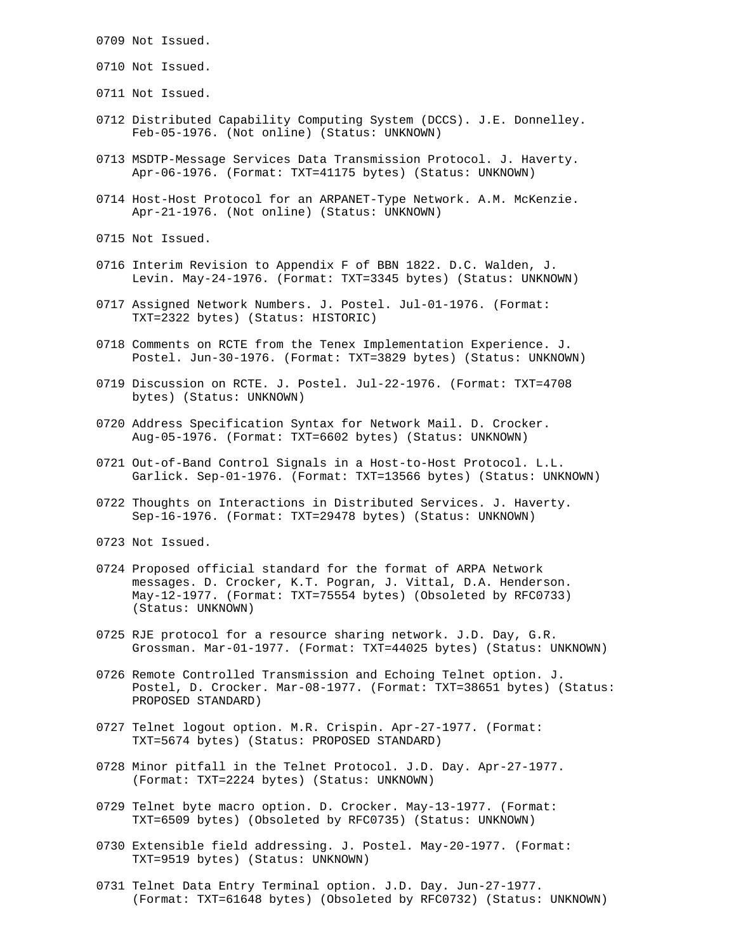- 0709 Not Issued.
- 0710 Not Issued.
- 0711 Not Issued.
- 0712 Distributed Capability Computing System (DCCS). J.E. Donnelley. Feb-05-1976. (Not online) (Status: UNKNOWN)
- 0713 MSDTP-Message Services Data Transmission Protocol. J. Haverty. Apr-06-1976. (Format: TXT=41175 bytes) (Status: UNKNOWN)
- 0714 Host-Host Protocol for an ARPANET-Type Network. A.M. McKenzie. Apr-21-1976. (Not online) (Status: UNKNOWN)
- 0715 Not Issued.
- 0716 Interim Revision to Appendix F of BBN 1822. D.C. Walden, J. Levin. May-24-1976. (Format: TXT=3345 bytes) (Status: UNKNOWN)
- 0717 Assigned Network Numbers. J. Postel. Jul-01-1976. (Format: TXT=2322 bytes) (Status: HISTORIC)
- 0718 Comments on RCTE from the Tenex Implementation Experience. J. Postel. Jun-30-1976. (Format: TXT=3829 bytes) (Status: UNKNOWN)
- 0719 Discussion on RCTE. J. Postel. Jul-22-1976. (Format: TXT=4708 bytes) (Status: UNKNOWN)
- 0720 Address Specification Syntax for Network Mail. D. Crocker. Aug-05-1976. (Format: TXT=6602 bytes) (Status: UNKNOWN)
- 0721 Out-of-Band Control Signals in a Host-to-Host Protocol. L.L. Garlick. Sep-01-1976. (Format: TXT=13566 bytes) (Status: UNKNOWN)
- 0722 Thoughts on Interactions in Distributed Services. J. Haverty. Sep-16-1976. (Format: TXT=29478 bytes) (Status: UNKNOWN)
- 0723 Not Issued.
- 0724 Proposed official standard for the format of ARPA Network messages. D. Crocker, K.T. Pogran, J. Vittal, D.A. Henderson. May-12-1977. (Format: TXT=75554 bytes) (Obsoleted by RFC0733) (Status: UNKNOWN)
- 0725 RJE protocol for a resource sharing network. J.D. Day, G.R. Grossman. Mar-01-1977. (Format: TXT=44025 bytes) (Status: UNKNOWN)
- 0726 Remote Controlled Transmission and Echoing Telnet option. J. Postel, D. Crocker. Mar-08-1977. (Format: TXT=38651 bytes) (Status: PROPOSED STANDARD)
- 0727 Telnet logout option. M.R. Crispin. Apr-27-1977. (Format: TXT=5674 bytes) (Status: PROPOSED STANDARD)
- 0728 Minor pitfall in the Telnet Protocol. J.D. Day. Apr-27-1977. (Format: TXT=2224 bytes) (Status: UNKNOWN)
- 0729 Telnet byte macro option. D. Crocker. May-13-1977. (Format: TXT=6509 bytes) (Obsoleted by RFC0735) (Status: UNKNOWN)
- 0730 Extensible field addressing. J. Postel. May-20-1977. (Format: TXT=9519 bytes) (Status: UNKNOWN)
- 0731 Telnet Data Entry Terminal option. J.D. Day. Jun-27-1977. (Format: TXT=61648 bytes) (Obsoleted by RFC0732) (Status: UNKNOWN)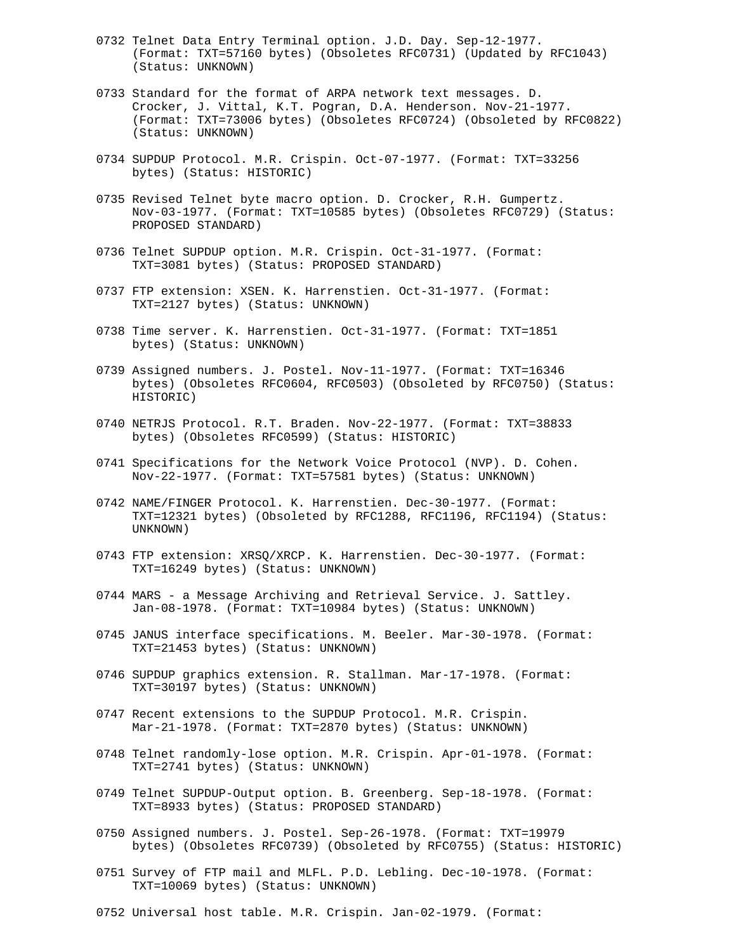- 0732 Telnet Data Entry Terminal option. J.D. Day. Sep-12-1977. (Format: TXT=57160 bytes) (Obsoletes RFC0731) (Updated by RFC1043) (Status: UNKNOWN)
- 0733 Standard for the format of ARPA network text messages. D. Crocker, J. Vittal, K.T. Pogran, D.A. Henderson. Nov-21-1977. (Format: TXT=73006 bytes) (Obsoletes RFC0724) (Obsoleted by RFC0822) (Status: UNKNOWN)
- 0734 SUPDUP Protocol. M.R. Crispin. Oct-07-1977. (Format: TXT=33256 bytes) (Status: HISTORIC)
- 0735 Revised Telnet byte macro option. D. Crocker, R.H. Gumpertz. Nov-03-1977. (Format: TXT=10585 bytes) (Obsoletes RFC0729) (Status: PROPOSED STANDARD)
- 0736 Telnet SUPDUP option. M.R. Crispin. Oct-31-1977. (Format: TXT=3081 bytes) (Status: PROPOSED STANDARD)
- 0737 FTP extension: XSEN. K. Harrenstien. Oct-31-1977. (Format: TXT=2127 bytes) (Status: UNKNOWN)
- 0738 Time server. K. Harrenstien. Oct-31-1977. (Format: TXT=1851 bytes) (Status: UNKNOWN)
- 0739 Assigned numbers. J. Postel. Nov-11-1977. (Format: TXT=16346 bytes) (Obsoletes RFC0604, RFC0503) (Obsoleted by RFC0750) (Status: HISTORIC)
- 0740 NETRJS Protocol. R.T. Braden. Nov-22-1977. (Format: TXT=38833 bytes) (Obsoletes RFC0599) (Status: HISTORIC)
- 0741 Specifications for the Network Voice Protocol (NVP). D. Cohen. Nov-22-1977. (Format: TXT=57581 bytes) (Status: UNKNOWN)
- 0742 NAME/FINGER Protocol. K. Harrenstien. Dec-30-1977. (Format: TXT=12321 bytes) (Obsoleted by RFC1288, RFC1196, RFC1194) (Status: UNKNOWN)
- 0743 FTP extension: XRSQ/XRCP. K. Harrenstien. Dec-30-1977. (Format: TXT=16249 bytes) (Status: UNKNOWN)
- 0744 MARS a Message Archiving and Retrieval Service. J. Sattley. Jan-08-1978. (Format: TXT=10984 bytes) (Status: UNKNOWN)
- 0745 JANUS interface specifications. M. Beeler. Mar-30-1978. (Format: TXT=21453 bytes) (Status: UNKNOWN)
- 0746 SUPDUP graphics extension. R. Stallman. Mar-17-1978. (Format: TXT=30197 bytes) (Status: UNKNOWN)
- 0747 Recent extensions to the SUPDUP Protocol. M.R. Crispin. Mar-21-1978. (Format: TXT=2870 bytes) (Status: UNKNOWN)
- 0748 Telnet randomly-lose option. M.R. Crispin. Apr-01-1978. (Format: TXT=2741 bytes) (Status: UNKNOWN)
- 0749 Telnet SUPDUP-Output option. B. Greenberg. Sep-18-1978. (Format: TXT=8933 bytes) (Status: PROPOSED STANDARD)
- 0750 Assigned numbers. J. Postel. Sep-26-1978. (Format: TXT=19979 bytes) (Obsoletes RFC0739) (Obsoleted by RFC0755) (Status: HISTORIC)
- 0751 Survey of FTP mail and MLFL. P.D. Lebling. Dec-10-1978. (Format: TXT=10069 bytes) (Status: UNKNOWN)
- 0752 Universal host table. M.R. Crispin. Jan-02-1979. (Format: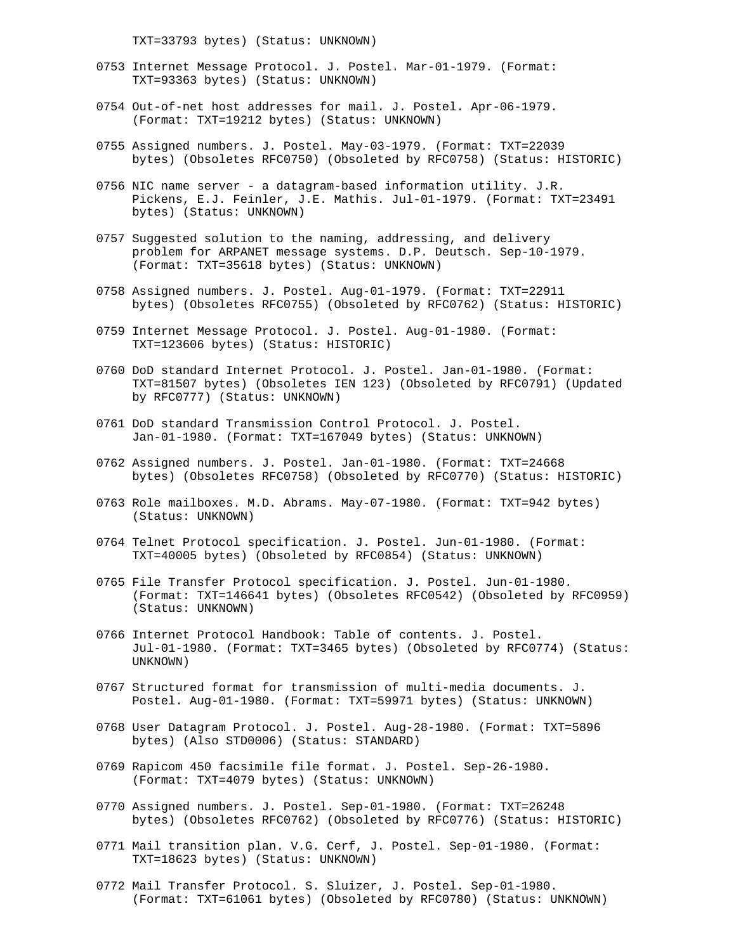TXT=33793 bytes) (Status: UNKNOWN)

- 0753 Internet Message Protocol. J. Postel. Mar-01-1979. (Format: TXT=93363 bytes) (Status: UNKNOWN)
- 0754 Out-of-net host addresses for mail. J. Postel. Apr-06-1979. (Format: TXT=19212 bytes) (Status: UNKNOWN)
- 0755 Assigned numbers. J. Postel. May-03-1979. (Format: TXT=22039 bytes) (Obsoletes RFC0750) (Obsoleted by RFC0758) (Status: HISTORIC)
- 0756 NIC name server a datagram-based information utility. J.R. Pickens, E.J. Feinler, J.E. Mathis. Jul-01-1979. (Format: TXT=23491 bytes) (Status: UNKNOWN)
- 0757 Suggested solution to the naming, addressing, and delivery problem for ARPANET message systems. D.P. Deutsch. Sep-10-1979. (Format: TXT=35618 bytes) (Status: UNKNOWN)
- 0758 Assigned numbers. J. Postel. Aug-01-1979. (Format: TXT=22911 bytes) (Obsoletes RFC0755) (Obsoleted by RFC0762) (Status: HISTORIC)
- 0759 Internet Message Protocol. J. Postel. Aug-01-1980. (Format: TXT=123606 bytes) (Status: HISTORIC)
- 0760 DoD standard Internet Protocol. J. Postel. Jan-01-1980. (Format: TXT=81507 bytes) (Obsoletes IEN 123) (Obsoleted by RFC0791) (Updated by RFC0777) (Status: UNKNOWN)
- 0761 DoD standard Transmission Control Protocol. J. Postel. Jan-01-1980. (Format: TXT=167049 bytes) (Status: UNKNOWN)
- 0762 Assigned numbers. J. Postel. Jan-01-1980. (Format: TXT=24668 bytes) (Obsoletes RFC0758) (Obsoleted by RFC0770) (Status: HISTORIC)
- 0763 Role mailboxes. M.D. Abrams. May-07-1980. (Format: TXT=942 bytes) (Status: UNKNOWN)
- 0764 Telnet Protocol specification. J. Postel. Jun-01-1980. (Format: TXT=40005 bytes) (Obsoleted by RFC0854) (Status: UNKNOWN)
- 0765 File Transfer Protocol specification. J. Postel. Jun-01-1980. (Format: TXT=146641 bytes) (Obsoletes RFC0542) (Obsoleted by RFC0959) (Status: UNKNOWN)
- 0766 Internet Protocol Handbook: Table of contents. J. Postel. Jul-01-1980. (Format: TXT=3465 bytes) (Obsoleted by RFC0774) (Status: UNKNOWN)
- 0767 Structured format for transmission of multi-media documents. J. Postel. Aug-01-1980. (Format: TXT=59971 bytes) (Status: UNKNOWN)
- 0768 User Datagram Protocol. J. Postel. Aug-28-1980. (Format: TXT=5896 bytes) (Also STD0006) (Status: STANDARD)
- 0769 Rapicom 450 facsimile file format. J. Postel. Sep-26-1980. (Format: TXT=4079 bytes) (Status: UNKNOWN)
- 0770 Assigned numbers. J. Postel. Sep-01-1980. (Format: TXT=26248 bytes) (Obsoletes RFC0762) (Obsoleted by RFC0776) (Status: HISTORIC)
- 0771 Mail transition plan. V.G. Cerf, J. Postel. Sep-01-1980. (Format: TXT=18623 bytes) (Status: UNKNOWN)
- 0772 Mail Transfer Protocol. S. Sluizer, J. Postel. Sep-01-1980. (Format: TXT=61061 bytes) (Obsoleted by RFC0780) (Status: UNKNOWN)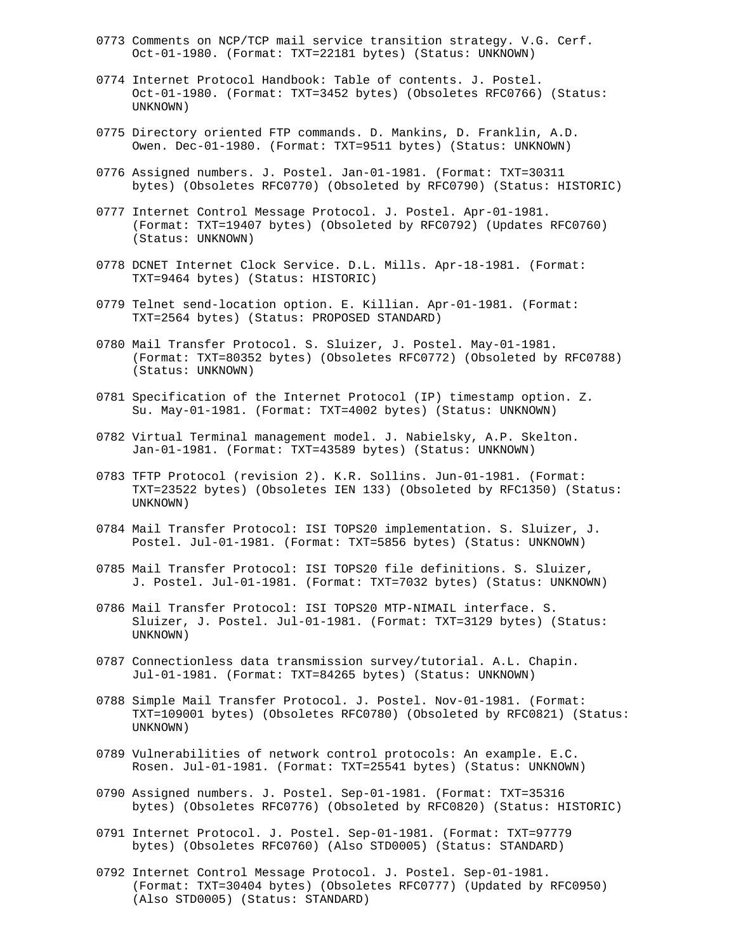- 0773 Comments on NCP/TCP mail service transition strategy. V.G. Cerf. Oct-01-1980. (Format: TXT=22181 bytes) (Status: UNKNOWN)
- 0774 Internet Protocol Handbook: Table of contents. J. Postel. Oct-01-1980. (Format: TXT=3452 bytes) (Obsoletes RFC0766) (Status: UNKNOWN)
- 0775 Directory oriented FTP commands. D. Mankins, D. Franklin, A.D. Owen. Dec-01-1980. (Format: TXT=9511 bytes) (Status: UNKNOWN)
- 0776 Assigned numbers. J. Postel. Jan-01-1981. (Format: TXT=30311 bytes) (Obsoletes RFC0770) (Obsoleted by RFC0790) (Status: HISTORIC)
- 0777 Internet Control Message Protocol. J. Postel. Apr-01-1981. (Format: TXT=19407 bytes) (Obsoleted by RFC0792) (Updates RFC0760) (Status: UNKNOWN)
- 0778 DCNET Internet Clock Service. D.L. Mills. Apr-18-1981. (Format: TXT=9464 bytes) (Status: HISTORIC)
- 0779 Telnet send-location option. E. Killian. Apr-01-1981. (Format: TXT=2564 bytes) (Status: PROPOSED STANDARD)
- 0780 Mail Transfer Protocol. S. Sluizer, J. Postel. May-01-1981. (Format: TXT=80352 bytes) (Obsoletes RFC0772) (Obsoleted by RFC0788) (Status: UNKNOWN)
- 0781 Specification of the Internet Protocol (IP) timestamp option. Z. Su. May-01-1981. (Format: TXT=4002 bytes) (Status: UNKNOWN)
- 0782 Virtual Terminal management model. J. Nabielsky, A.P. Skelton. Jan-01-1981. (Format: TXT=43589 bytes) (Status: UNKNOWN)
- 0783 TFTP Protocol (revision 2). K.R. Sollins. Jun-01-1981. (Format: TXT=23522 bytes) (Obsoletes IEN 133) (Obsoleted by RFC1350) (Status: UNKNOWN)
- 0784 Mail Transfer Protocol: ISI TOPS20 implementation. S. Sluizer, J. Postel. Jul-01-1981. (Format: TXT=5856 bytes) (Status: UNKNOWN)
- 0785 Mail Transfer Protocol: ISI TOPS20 file definitions. S. Sluizer, J. Postel. Jul-01-1981. (Format: TXT=7032 bytes) (Status: UNKNOWN)
- 0786 Mail Transfer Protocol: ISI TOPS20 MTP-NIMAIL interface. S. Sluizer, J. Postel. Jul-01-1981. (Format: TXT=3129 bytes) (Status: UNKNOWN)
- 0787 Connectionless data transmission survey/tutorial. A.L. Chapin. Jul-01-1981. (Format: TXT=84265 bytes) (Status: UNKNOWN)
- 0788 Simple Mail Transfer Protocol. J. Postel. Nov-01-1981. (Format: TXT=109001 bytes) (Obsoletes RFC0780) (Obsoleted by RFC0821) (Status: UNKNOWN)
- 0789 Vulnerabilities of network control protocols: An example. E.C. Rosen. Jul-01-1981. (Format: TXT=25541 bytes) (Status: UNKNOWN)
- 0790 Assigned numbers. J. Postel. Sep-01-1981. (Format: TXT=35316 bytes) (Obsoletes RFC0776) (Obsoleted by RFC0820) (Status: HISTORIC)
- 0791 Internet Protocol. J. Postel. Sep-01-1981. (Format: TXT=97779 bytes) (Obsoletes RFC0760) (Also STD0005) (Status: STANDARD)
- 0792 Internet Control Message Protocol. J. Postel. Sep-01-1981. (Format: TXT=30404 bytes) (Obsoletes RFC0777) (Updated by RFC0950) (Also STD0005) (Status: STANDARD)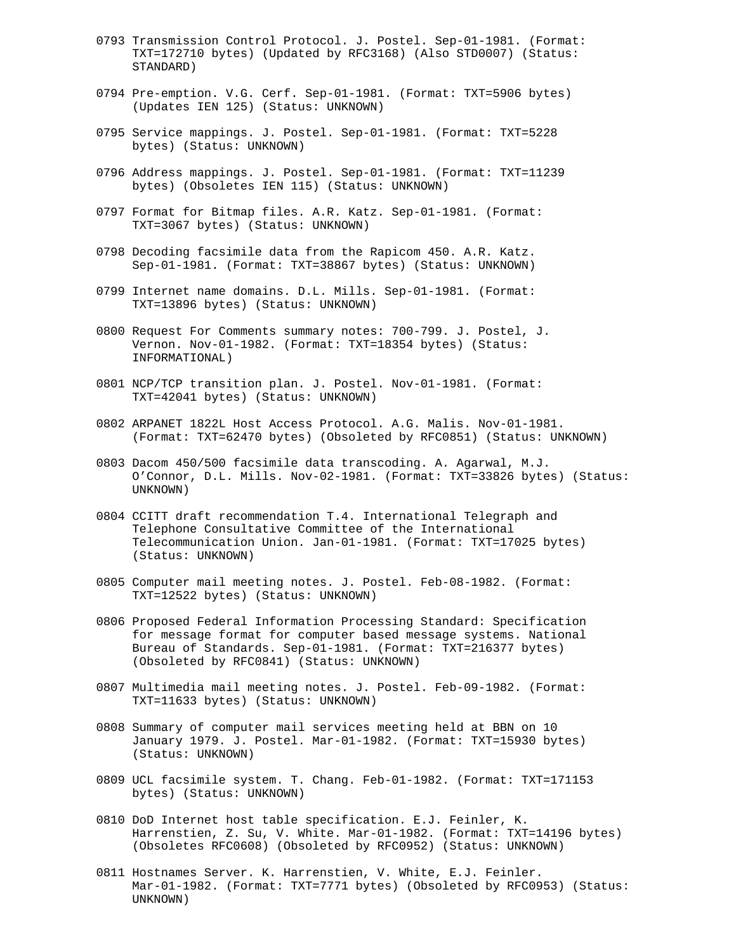- 0793 Transmission Control Protocol. J. Postel. Sep-01-1981. (Format: TXT=172710 bytes) (Updated by RFC3168) (Also STD0007) (Status: STANDARD)
- 0794 Pre-emption. V.G. Cerf. Sep-01-1981. (Format: TXT=5906 bytes) (Updates IEN 125) (Status: UNKNOWN)
- 0795 Service mappings. J. Postel. Sep-01-1981. (Format: TXT=5228 bytes) (Status: UNKNOWN)
- 0796 Address mappings. J. Postel. Sep-01-1981. (Format: TXT=11239 bytes) (Obsoletes IEN 115) (Status: UNKNOWN)
- 0797 Format for Bitmap files. A.R. Katz. Sep-01-1981. (Format: TXT=3067 bytes) (Status: UNKNOWN)
- 0798 Decoding facsimile data from the Rapicom 450. A.R. Katz. Sep-01-1981. (Format: TXT=38867 bytes) (Status: UNKNOWN)
- 0799 Internet name domains. D.L. Mills. Sep-01-1981. (Format: TXT=13896 bytes) (Status: UNKNOWN)
- 0800 Request For Comments summary notes: 700-799. J. Postel, J. Vernon. Nov-01-1982. (Format: TXT=18354 bytes) (Status: INFORMATIONAL)
- 0801 NCP/TCP transition plan. J. Postel. Nov-01-1981. (Format: TXT=42041 bytes) (Status: UNKNOWN)
- 0802 ARPANET 1822L Host Access Protocol. A.G. Malis. Nov-01-1981. (Format: TXT=62470 bytes) (Obsoleted by RFC0851) (Status: UNKNOWN)
- 0803 Dacom 450/500 facsimile data transcoding. A. Agarwal, M.J. O'Connor, D.L. Mills. Nov-02-1981. (Format: TXT=33826 bytes) (Status: UNKNOWN)
- 0804 CCITT draft recommendation T.4. International Telegraph and Telephone Consultative Committee of the International Telecommunication Union. Jan-01-1981. (Format: TXT=17025 bytes) (Status: UNKNOWN)
- 0805 Computer mail meeting notes. J. Postel. Feb-08-1982. (Format: TXT=12522 bytes) (Status: UNKNOWN)
- 0806 Proposed Federal Information Processing Standard: Specification for message format for computer based message systems. National Bureau of Standards. Sep-01-1981. (Format: TXT=216377 bytes) (Obsoleted by RFC0841) (Status: UNKNOWN)
- 0807 Multimedia mail meeting notes. J. Postel. Feb-09-1982. (Format: TXT=11633 bytes) (Status: UNKNOWN)
- 0808 Summary of computer mail services meeting held at BBN on 10 January 1979. J. Postel. Mar-01-1982. (Format: TXT=15930 bytes) (Status: UNKNOWN)
- 0809 UCL facsimile system. T. Chang. Feb-01-1982. (Format: TXT=171153 bytes) (Status: UNKNOWN)
- 0810 DoD Internet host table specification. E.J. Feinler, K. Harrenstien, Z. Su, V. White. Mar-01-1982. (Format: TXT=14196 bytes) (Obsoletes RFC0608) (Obsoleted by RFC0952) (Status: UNKNOWN)
- 0811 Hostnames Server. K. Harrenstien, V. White, E.J. Feinler. Mar-01-1982. (Format: TXT=7771 bytes) (Obsoleted by RFC0953) (Status: UNKNOWN)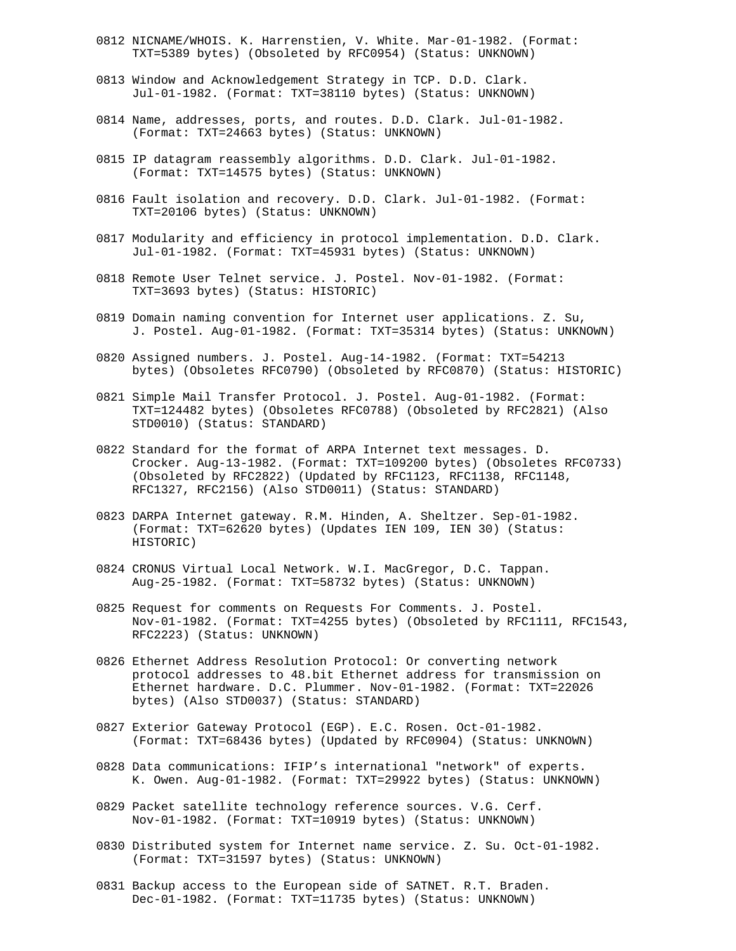- 0812 NICNAME/WHOIS. K. Harrenstien, V. White. Mar-01-1982. (Format: TXT=5389 bytes) (Obsoleted by RFC0954) (Status: UNKNOWN)
- 0813 Window and Acknowledgement Strategy in TCP. D.D. Clark. Jul-01-1982. (Format: TXT=38110 bytes) (Status: UNKNOWN)
- 0814 Name, addresses, ports, and routes. D.D. Clark. Jul-01-1982. (Format: TXT=24663 bytes) (Status: UNKNOWN)
- 0815 IP datagram reassembly algorithms. D.D. Clark. Jul-01-1982. (Format: TXT=14575 bytes) (Status: UNKNOWN)
- 0816 Fault isolation and recovery. D.D. Clark. Jul-01-1982. (Format: TXT=20106 bytes) (Status: UNKNOWN)
- 0817 Modularity and efficiency in protocol implementation. D.D. Clark. Jul-01-1982. (Format: TXT=45931 bytes) (Status: UNKNOWN)
- 0818 Remote User Telnet service. J. Postel. Nov-01-1982. (Format: TXT=3693 bytes) (Status: HISTORIC)
- 0819 Domain naming convention for Internet user applications. Z. Su, J. Postel. Aug-01-1982. (Format: TXT=35314 bytes) (Status: UNKNOWN)
- 0820 Assigned numbers. J. Postel. Aug-14-1982. (Format: TXT=54213 bytes) (Obsoletes RFC0790) (Obsoleted by RFC0870) (Status: HISTORIC)
- 0821 Simple Mail Transfer Protocol. J. Postel. Aug-01-1982. (Format: TXT=124482 bytes) (Obsoletes RFC0788) (Obsoleted by RFC2821) (Also STD0010) (Status: STANDARD)
- 0822 Standard for the format of ARPA Internet text messages. D. Crocker. Aug-13-1982. (Format: TXT=109200 bytes) (Obsoletes RFC0733) (Obsoleted by RFC2822) (Updated by RFC1123, RFC1138, RFC1148, RFC1327, RFC2156) (Also STD0011) (Status: STANDARD)
- 0823 DARPA Internet gateway. R.M. Hinden, A. Sheltzer. Sep-01-1982. (Format: TXT=62620 bytes) (Updates IEN 109, IEN 30) (Status: HISTORIC)
- 0824 CRONUS Virtual Local Network. W.I. MacGregor, D.C. Tappan. Aug-25-1982. (Format: TXT=58732 bytes) (Status: UNKNOWN)
- 0825 Request for comments on Requests For Comments. J. Postel. Nov-01-1982. (Format: TXT=4255 bytes) (Obsoleted by RFC1111, RFC1543, RFC2223) (Status: UNKNOWN)
- 0826 Ethernet Address Resolution Protocol: Or converting network protocol addresses to 48.bit Ethernet address for transmission on Ethernet hardware. D.C. Plummer. Nov-01-1982. (Format: TXT=22026 bytes) (Also STD0037) (Status: STANDARD)
- 0827 Exterior Gateway Protocol (EGP). E.C. Rosen. Oct-01-1982. (Format: TXT=68436 bytes) (Updated by RFC0904) (Status: UNKNOWN)
- 0828 Data communications: IFIP's international "network" of experts. K. Owen. Aug-01-1982. (Format: TXT=29922 bytes) (Status: UNKNOWN)
- 0829 Packet satellite technology reference sources. V.G. Cerf. Nov-01-1982. (Format: TXT=10919 bytes) (Status: UNKNOWN)
- 0830 Distributed system for Internet name service. Z. Su. Oct-01-1982. (Format: TXT=31597 bytes) (Status: UNKNOWN)
- 0831 Backup access to the European side of SATNET. R.T. Braden. Dec-01-1982. (Format: TXT=11735 bytes) (Status: UNKNOWN)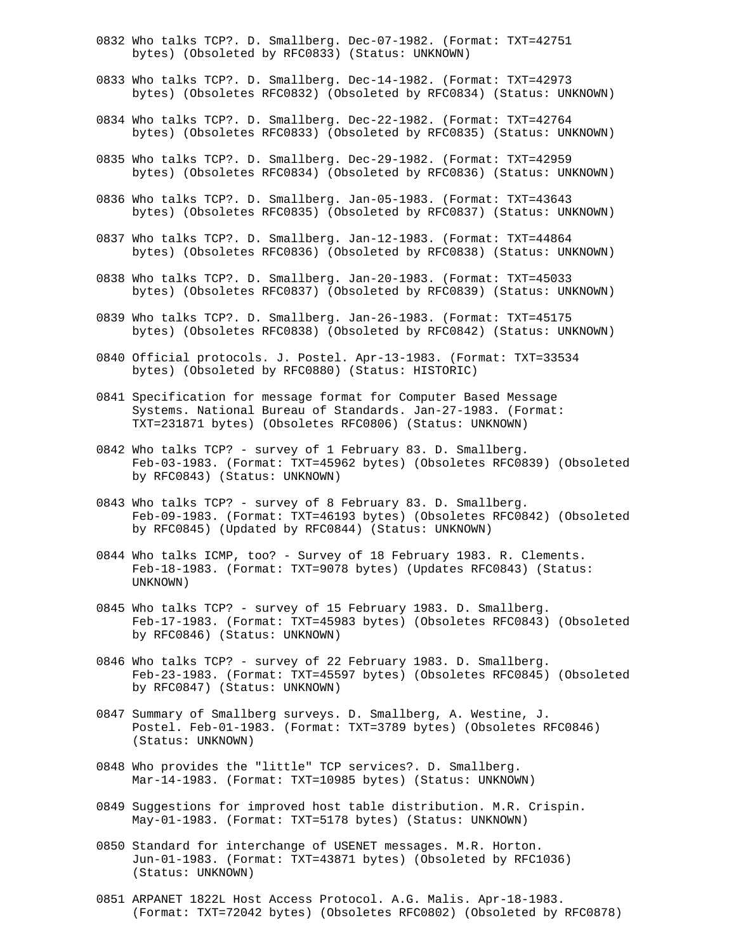- 0832 Who talks TCP?. D. Smallberg. Dec-07-1982. (Format: TXT=42751 bytes) (Obsoleted by RFC0833) (Status: UNKNOWN)
- 0833 Who talks TCP?. D. Smallberg. Dec-14-1982. (Format: TXT=42973 bytes) (Obsoletes RFC0832) (Obsoleted by RFC0834) (Status: UNKNOWN)
- 0834 Who talks TCP?. D. Smallberg. Dec-22-1982. (Format: TXT=42764 bytes) (Obsoletes RFC0833) (Obsoleted by RFC0835) (Status: UNKNOWN)
- 0835 Who talks TCP?. D. Smallberg. Dec-29-1982. (Format: TXT=42959 bytes) (Obsoletes RFC0834) (Obsoleted by RFC0836) (Status: UNKNOWN)
- 0836 Who talks TCP?. D. Smallberg. Jan-05-1983. (Format: TXT=43643 bytes) (Obsoletes RFC0835) (Obsoleted by RFC0837) (Status: UNKNOWN)
- 0837 Who talks TCP?. D. Smallberg. Jan-12-1983. (Format: TXT=44864 bytes) (Obsoletes RFC0836) (Obsoleted by RFC0838) (Status: UNKNOWN)
- 0838 Who talks TCP?. D. Smallberg. Jan-20-1983. (Format: TXT=45033 bytes) (Obsoletes RFC0837) (Obsoleted by RFC0839) (Status: UNKNOWN)
- 0839 Who talks TCP?. D. Smallberg. Jan-26-1983. (Format: TXT=45175 bytes) (Obsoletes RFC0838) (Obsoleted by RFC0842) (Status: UNKNOWN)
- 0840 Official protocols. J. Postel. Apr-13-1983. (Format: TXT=33534 bytes) (Obsoleted by RFC0880) (Status: HISTORIC)
- 0841 Specification for message format for Computer Based Message Systems. National Bureau of Standards. Jan-27-1983. (Format: TXT=231871 bytes) (Obsoletes RFC0806) (Status: UNKNOWN)
- 0842 Who talks TCP? survey of 1 February 83. D. Smallberg. Feb-03-1983. (Format: TXT=45962 bytes) (Obsoletes RFC0839) (Obsoleted by RFC0843) (Status: UNKNOWN)
- 0843 Who talks TCP? survey of 8 February 83. D. Smallberg. Feb-09-1983. (Format: TXT=46193 bytes) (Obsoletes RFC0842) (Obsoleted by RFC0845) (Updated by RFC0844) (Status: UNKNOWN)
- 0844 Who talks ICMP, too? Survey of 18 February 1983. R. Clements. Feb-18-1983. (Format: TXT=9078 bytes) (Updates RFC0843) (Status: UNKNOWN)
- 0845 Who talks TCP? survey of 15 February 1983. D. Smallberg. Feb-17-1983. (Format: TXT=45983 bytes) (Obsoletes RFC0843) (Obsoleted by RFC0846) (Status: UNKNOWN)
- 0846 Who talks TCP? survey of 22 February 1983. D. Smallberg. Feb-23-1983. (Format: TXT=45597 bytes) (Obsoletes RFC0845) (Obsoleted by RFC0847) (Status: UNKNOWN)
- 0847 Summary of Smallberg surveys. D. Smallberg, A. Westine, J. Postel. Feb-01-1983. (Format: TXT=3789 bytes) (Obsoletes RFC0846) (Status: UNKNOWN)
- 0848 Who provides the "little" TCP services?. D. Smallberg. Mar-14-1983. (Format: TXT=10985 bytes) (Status: UNKNOWN)
- 0849 Suggestions for improved host table distribution. M.R. Crispin. May-01-1983. (Format: TXT=5178 bytes) (Status: UNKNOWN)
- 0850 Standard for interchange of USENET messages. M.R. Horton. Jun-01-1983. (Format: TXT=43871 bytes) (Obsoleted by RFC1036) (Status: UNKNOWN)
- 0851 ARPANET 1822L Host Access Protocol. A.G. Malis. Apr-18-1983. (Format: TXT=72042 bytes) (Obsoletes RFC0802) (Obsoleted by RFC0878)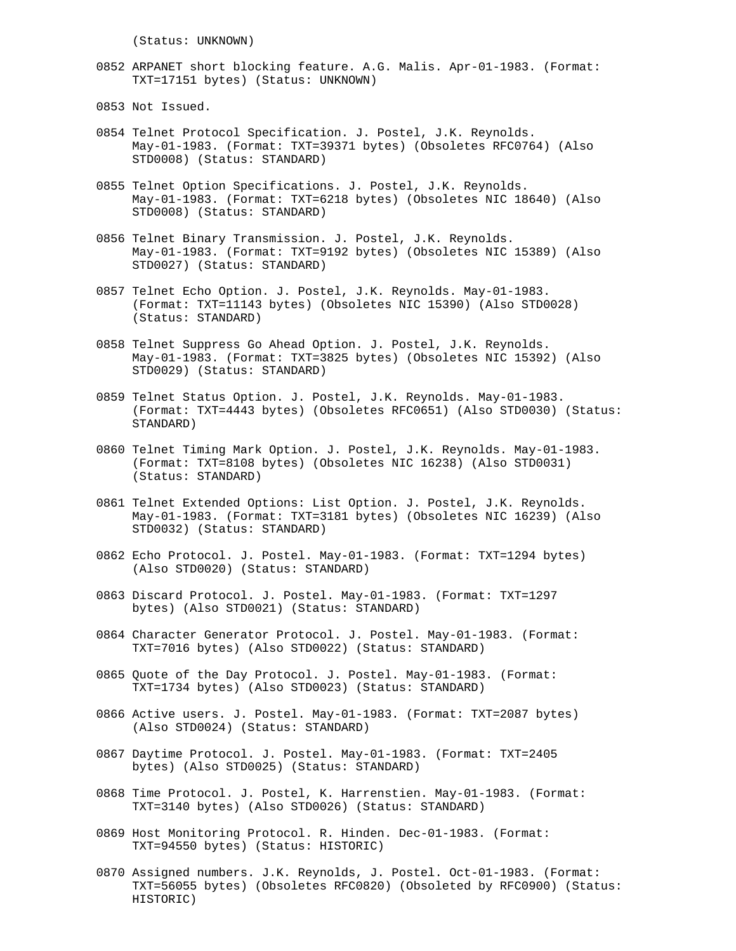(Status: UNKNOWN)

- 0852 ARPANET short blocking feature. A.G. Malis. Apr-01-1983. (Format: TXT=17151 bytes) (Status: UNKNOWN)
- 0853 Not Issued.
- 0854 Telnet Protocol Specification. J. Postel, J.K. Reynolds. May-01-1983. (Format: TXT=39371 bytes) (Obsoletes RFC0764) (Also STD0008) (Status: STANDARD)
- 0855 Telnet Option Specifications. J. Postel, J.K. Reynolds. May-01-1983. (Format: TXT=6218 bytes) (Obsoletes NIC 18640) (Also STD0008) (Status: STANDARD)
- 0856 Telnet Binary Transmission. J. Postel, J.K. Reynolds. May-01-1983. (Format: TXT=9192 bytes) (Obsoletes NIC 15389) (Also STD0027) (Status: STANDARD)
- 0857 Telnet Echo Option. J. Postel, J.K. Reynolds. May-01-1983. (Format: TXT=11143 bytes) (Obsoletes NIC 15390) (Also STD0028) (Status: STANDARD)
- 0858 Telnet Suppress Go Ahead Option. J. Postel, J.K. Reynolds. May-01-1983. (Format: TXT=3825 bytes) (Obsoletes NIC 15392) (Also STD0029) (Status: STANDARD)
- 0859 Telnet Status Option. J. Postel, J.K. Reynolds. May-01-1983. (Format: TXT=4443 bytes) (Obsoletes RFC0651) (Also STD0030) (Status: STANDARD)
- 0860 Telnet Timing Mark Option. J. Postel, J.K. Reynolds. May-01-1983. (Format: TXT=8108 bytes) (Obsoletes NIC 16238) (Also STD0031) (Status: STANDARD)
- 0861 Telnet Extended Options: List Option. J. Postel, J.K. Reynolds. May-01-1983. (Format: TXT=3181 bytes) (Obsoletes NIC 16239) (Also STD0032) (Status: STANDARD)
- 0862 Echo Protocol. J. Postel. May-01-1983. (Format: TXT=1294 bytes) (Also STD0020) (Status: STANDARD)
- 0863 Discard Protocol. J. Postel. May-01-1983. (Format: TXT=1297 bytes) (Also STD0021) (Status: STANDARD)
- 0864 Character Generator Protocol. J. Postel. May-01-1983. (Format: TXT=7016 bytes) (Also STD0022) (Status: STANDARD)
- 0865 Quote of the Day Protocol. J. Postel. May-01-1983. (Format: TXT=1734 bytes) (Also STD0023) (Status: STANDARD)
- 0866 Active users. J. Postel. May-01-1983. (Format: TXT=2087 bytes) (Also STD0024) (Status: STANDARD)
- 0867 Daytime Protocol. J. Postel. May-01-1983. (Format: TXT=2405 bytes) (Also STD0025) (Status: STANDARD)
- 0868 Time Protocol. J. Postel, K. Harrenstien. May-01-1983. (Format: TXT=3140 bytes) (Also STD0026) (Status: STANDARD)
- 0869 Host Monitoring Protocol. R. Hinden. Dec-01-1983. (Format: TXT=94550 bytes) (Status: HISTORIC)
- 0870 Assigned numbers. J.K. Reynolds, J. Postel. Oct-01-1983. (Format: TXT=56055 bytes) (Obsoletes RFC0820) (Obsoleted by RFC0900) (Status: HISTORIC)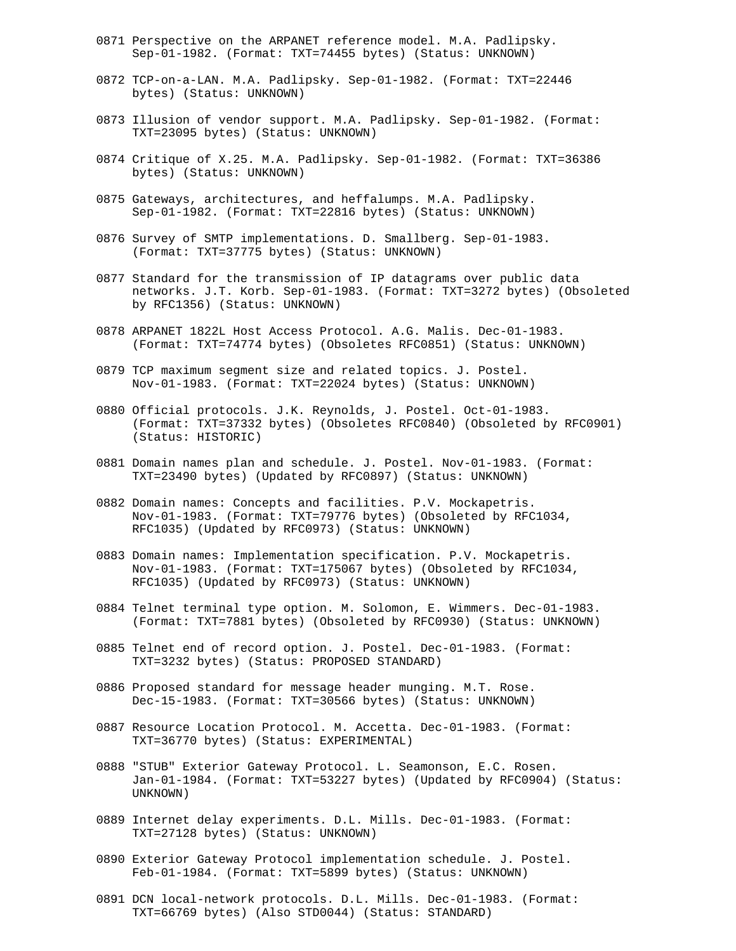- 0871 Perspective on the ARPANET reference model. M.A. Padlipsky. Sep-01-1982. (Format: TXT=74455 bytes) (Status: UNKNOWN)
- 0872 TCP-on-a-LAN. M.A. Padlipsky. Sep-01-1982. (Format: TXT=22446 bytes) (Status: UNKNOWN)
- 0873 Illusion of vendor support. M.A. Padlipsky. Sep-01-1982. (Format: TXT=23095 bytes) (Status: UNKNOWN)
- 0874 Critique of X.25. M.A. Padlipsky. Sep-01-1982. (Format: TXT=36386 bytes) (Status: UNKNOWN)
- 0875 Gateways, architectures, and heffalumps. M.A. Padlipsky. Sep-01-1982. (Format: TXT=22816 bytes) (Status: UNKNOWN)
- 0876 Survey of SMTP implementations. D. Smallberg. Sep-01-1983. (Format: TXT=37775 bytes) (Status: UNKNOWN)
- 0877 Standard for the transmission of IP datagrams over public data networks. J.T. Korb. Sep-01-1983. (Format: TXT=3272 bytes) (Obsoleted by RFC1356) (Status: UNKNOWN)
- 0878 ARPANET 1822L Host Access Protocol. A.G. Malis. Dec-01-1983. (Format: TXT=74774 bytes) (Obsoletes RFC0851) (Status: UNKNOWN)
- 0879 TCP maximum segment size and related topics. J. Postel. Nov-01-1983. (Format: TXT=22024 bytes) (Status: UNKNOWN)
- 0880 Official protocols. J.K. Reynolds, J. Postel. Oct-01-1983. (Format: TXT=37332 bytes) (Obsoletes RFC0840) (Obsoleted by RFC0901) (Status: HISTORIC)
- 0881 Domain names plan and schedule. J. Postel. Nov-01-1983. (Format: TXT=23490 bytes) (Updated by RFC0897) (Status: UNKNOWN)
- 0882 Domain names: Concepts and facilities. P.V. Mockapetris. Nov-01-1983. (Format: TXT=79776 bytes) (Obsoleted by RFC1034, RFC1035) (Updated by RFC0973) (Status: UNKNOWN)
- 0883 Domain names: Implementation specification. P.V. Mockapetris. Nov-01-1983. (Format: TXT=175067 bytes) (Obsoleted by RFC1034, RFC1035) (Updated by RFC0973) (Status: UNKNOWN)
- 0884 Telnet terminal type option. M. Solomon, E. Wimmers. Dec-01-1983. (Format: TXT=7881 bytes) (Obsoleted by RFC0930) (Status: UNKNOWN)
- 0885 Telnet end of record option. J. Postel. Dec-01-1983. (Format: TXT=3232 bytes) (Status: PROPOSED STANDARD)
- 0886 Proposed standard for message header munging. M.T. Rose. Dec-15-1983. (Format: TXT=30566 bytes) (Status: UNKNOWN)
- 0887 Resource Location Protocol. M. Accetta. Dec-01-1983. (Format: TXT=36770 bytes) (Status: EXPERIMENTAL)
- 0888 "STUB" Exterior Gateway Protocol. L. Seamonson, E.C. Rosen. Jan-01-1984. (Format: TXT=53227 bytes) (Updated by RFC0904) (Status: UNKNOWN)
- 0889 Internet delay experiments. D.L. Mills. Dec-01-1983. (Format: TXT=27128 bytes) (Status: UNKNOWN)
- 0890 Exterior Gateway Protocol implementation schedule. J. Postel. Feb-01-1984. (Format: TXT=5899 bytes) (Status: UNKNOWN)
- 0891 DCN local-network protocols. D.L. Mills. Dec-01-1983. (Format: TXT=66769 bytes) (Also STD0044) (Status: STANDARD)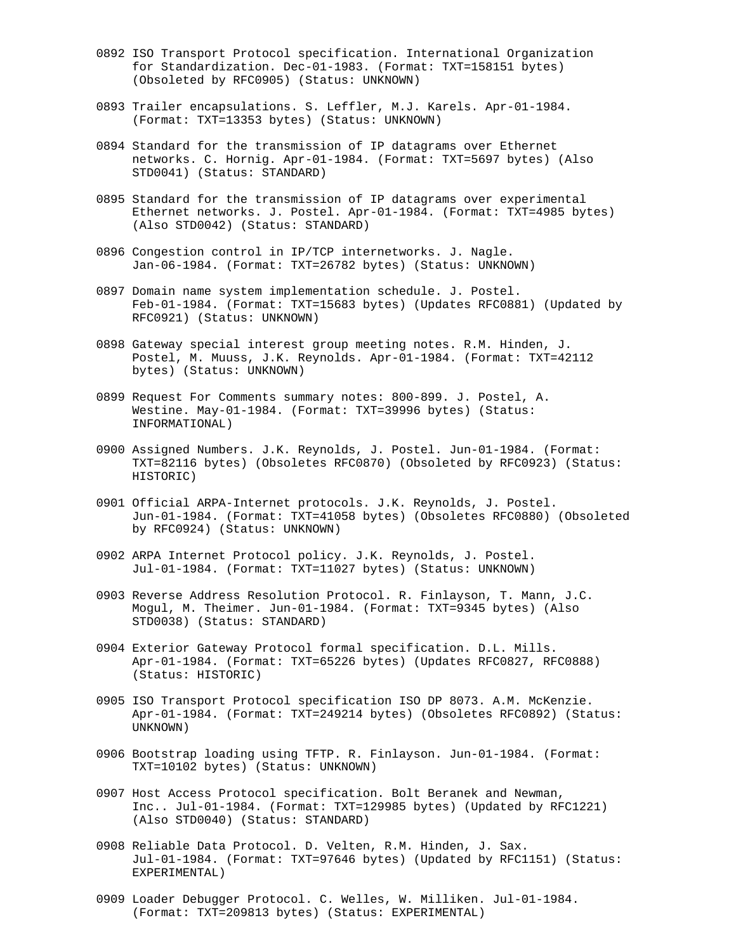- 0892 ISO Transport Protocol specification. International Organization for Standardization. Dec-01-1983. (Format: TXT=158151 bytes) (Obsoleted by RFC0905) (Status: UNKNOWN)
- 0893 Trailer encapsulations. S. Leffler, M.J. Karels. Apr-01-1984. (Format: TXT=13353 bytes) (Status: UNKNOWN)
- 0894 Standard for the transmission of IP datagrams over Ethernet networks. C. Hornig. Apr-01-1984. (Format: TXT=5697 bytes) (Also STD0041) (Status: STANDARD)
- 0895 Standard for the transmission of IP datagrams over experimental Ethernet networks. J. Postel. Apr-01-1984. (Format: TXT=4985 bytes) (Also STD0042) (Status: STANDARD)
- 0896 Congestion control in IP/TCP internetworks. J. Nagle. Jan-06-1984. (Format: TXT=26782 bytes) (Status: UNKNOWN)
- 0897 Domain name system implementation schedule. J. Postel. Feb-01-1984. (Format: TXT=15683 bytes) (Updates RFC0881) (Updated by RFC0921) (Status: UNKNOWN)
- 0898 Gateway special interest group meeting notes. R.M. Hinden, J. Postel, M. Muuss, J.K. Reynolds. Apr-01-1984. (Format: TXT=42112 bytes) (Status: UNKNOWN)
- 0899 Request For Comments summary notes: 800-899. J. Postel, A. Westine. May-01-1984. (Format: TXT=39996 bytes) (Status: INFORMATIONAL)
- 0900 Assigned Numbers. J.K. Reynolds, J. Postel. Jun-01-1984. (Format: TXT=82116 bytes) (Obsoletes RFC0870) (Obsoleted by RFC0923) (Status: HISTORIC)
- 0901 Official ARPA-Internet protocols. J.K. Reynolds, J. Postel. Jun-01-1984. (Format: TXT=41058 bytes) (Obsoletes RFC0880) (Obsoleted by RFC0924) (Status: UNKNOWN)
- 0902 ARPA Internet Protocol policy. J.K. Reynolds, J. Postel. Jul-01-1984. (Format: TXT=11027 bytes) (Status: UNKNOWN)
- 0903 Reverse Address Resolution Protocol. R. Finlayson, T. Mann, J.C. Mogul, M. Theimer. Jun-01-1984. (Format: TXT=9345 bytes) (Also STD0038) (Status: STANDARD)
- 0904 Exterior Gateway Protocol formal specification. D.L. Mills. Apr-01-1984. (Format: TXT=65226 bytes) (Updates RFC0827, RFC0888) (Status: HISTORIC)
- 0905 ISO Transport Protocol specification ISO DP 8073. A.M. McKenzie. Apr-01-1984. (Format: TXT=249214 bytes) (Obsoletes RFC0892) (Status: UNKNOWN)
- 0906 Bootstrap loading using TFTP. R. Finlayson. Jun-01-1984. (Format: TXT=10102 bytes) (Status: UNKNOWN)
- 0907 Host Access Protocol specification. Bolt Beranek and Newman, Inc.. Jul-01-1984. (Format: TXT=129985 bytes) (Updated by RFC1221) (Also STD0040) (Status: STANDARD)
- 0908 Reliable Data Protocol. D. Velten, R.M. Hinden, J. Sax. Jul-01-1984. (Format: TXT=97646 bytes) (Updated by RFC1151) (Status: EXPERIMENTAL)
- 0909 Loader Debugger Protocol. C. Welles, W. Milliken. Jul-01-1984. (Format: TXT=209813 bytes) (Status: EXPERIMENTAL)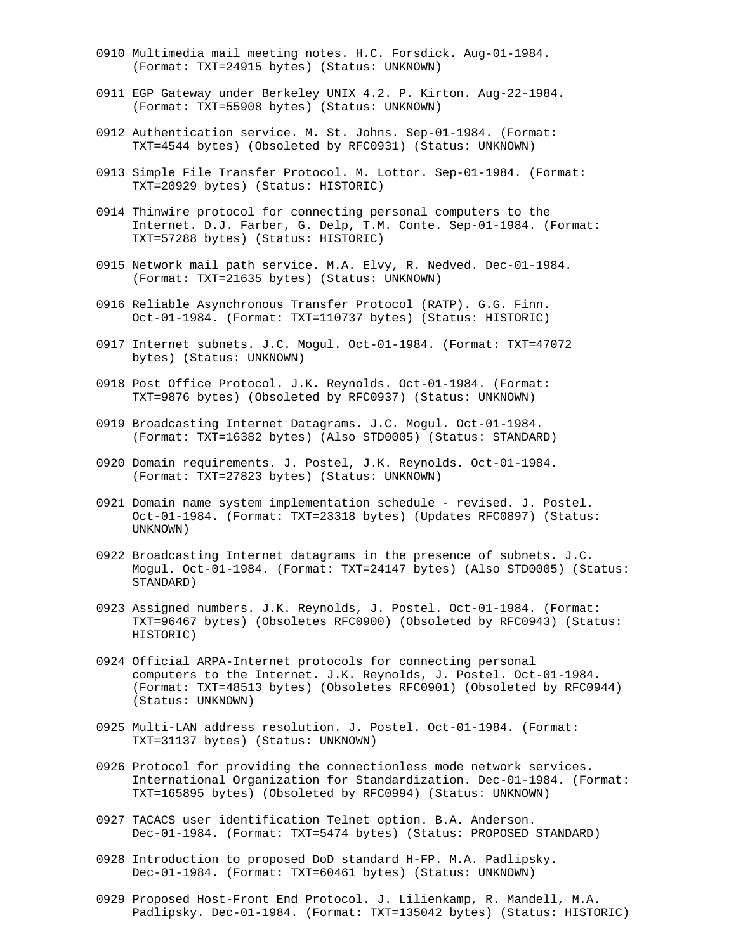- 0910 Multimedia mail meeting notes. H.C. Forsdick. Aug-01-1984. (Format: TXT=24915 bytes) (Status: UNKNOWN)
- 0911 EGP Gateway under Berkeley UNIX 4.2. P. Kirton. Aug-22-1984. (Format: TXT=55908 bytes) (Status: UNKNOWN)
- 0912 Authentication service. M. St. Johns. Sep-01-1984. (Format: TXT=4544 bytes) (Obsoleted by RFC0931) (Status: UNKNOWN)
- 0913 Simple File Transfer Protocol. M. Lottor. Sep-01-1984. (Format: TXT=20929 bytes) (Status: HISTORIC)
- 0914 Thinwire protocol for connecting personal computers to the Internet. D.J. Farber, G. Delp, T.M. Conte. Sep-01-1984. (Format: TXT=57288 bytes) (Status: HISTORIC)
- 0915 Network mail path service. M.A. Elvy, R. Nedved. Dec-01-1984. (Format: TXT=21635 bytes) (Status: UNKNOWN)
- 0916 Reliable Asynchronous Transfer Protocol (RATP). G.G. Finn. Oct-01-1984. (Format: TXT=110737 bytes) (Status: HISTORIC)
- 0917 Internet subnets. J.C. Mogul. Oct-01-1984. (Format: TXT=47072 bytes) (Status: UNKNOWN)
- 0918 Post Office Protocol. J.K. Reynolds. Oct-01-1984. (Format: TXT=9876 bytes) (Obsoleted by RFC0937) (Status: UNKNOWN)
- 0919 Broadcasting Internet Datagrams. J.C. Mogul. Oct-01-1984. (Format: TXT=16382 bytes) (Also STD0005) (Status: STANDARD)
- 0920 Domain requirements. J. Postel, J.K. Reynolds. Oct-01-1984. (Format: TXT=27823 bytes) (Status: UNKNOWN)
- 0921 Domain name system implementation schedule revised. J. Postel. Oct-01-1984. (Format: TXT=23318 bytes) (Updates RFC0897) (Status: UNKNOWN)
- 0922 Broadcasting Internet datagrams in the presence of subnets. J.C. Mogul. Oct-01-1984. (Format: TXT=24147 bytes) (Also STD0005) (Status: STANDARD)
- 0923 Assigned numbers. J.K. Reynolds, J. Postel. Oct-01-1984. (Format: TXT=96467 bytes) (Obsoletes RFC0900) (Obsoleted by RFC0943) (Status: HISTORIC)
- 0924 Official ARPA-Internet protocols for connecting personal computers to the Internet. J.K. Reynolds, J. Postel. Oct-01-1984. (Format: TXT=48513 bytes) (Obsoletes RFC0901) (Obsoleted by RFC0944) (Status: UNKNOWN)
- 0925 Multi-LAN address resolution. J. Postel. Oct-01-1984. (Format: TXT=31137 bytes) (Status: UNKNOWN)
- 0926 Protocol for providing the connectionless mode network services. International Organization for Standardization. Dec-01-1984. (Format: TXT=165895 bytes) (Obsoleted by RFC0994) (Status: UNKNOWN)
- 0927 TACACS user identification Telnet option. B.A. Anderson. Dec-01-1984. (Format: TXT=5474 bytes) (Status: PROPOSED STANDARD)
- 0928 Introduction to proposed DoD standard H-FP. M.A. Padlipsky. Dec-01-1984. (Format: TXT=60461 bytes) (Status: UNKNOWN)
- 0929 Proposed Host-Front End Protocol. J. Lilienkamp, R. Mandell, M.A. Padlipsky. Dec-01-1984. (Format: TXT=135042 bytes) (Status: HISTORIC)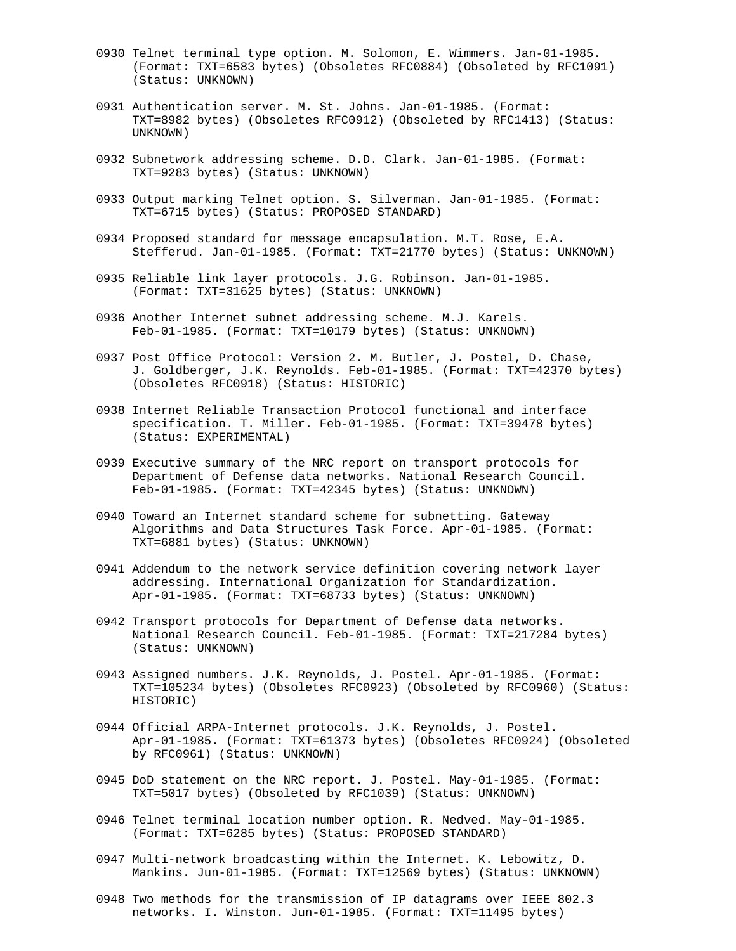- 0930 Telnet terminal type option. M. Solomon, E. Wimmers. Jan-01-1985. (Format: TXT=6583 bytes) (Obsoletes RFC0884) (Obsoleted by RFC1091) (Status: UNKNOWN)
- 0931 Authentication server. M. St. Johns. Jan-01-1985. (Format: TXT=8982 bytes) (Obsoletes RFC0912) (Obsoleted by RFC1413) (Status: UNKNOWN)
- 0932 Subnetwork addressing scheme. D.D. Clark. Jan-01-1985. (Format: TXT=9283 bytes) (Status: UNKNOWN)
- 0933 Output marking Telnet option. S. Silverman. Jan-01-1985. (Format: TXT=6715 bytes) (Status: PROPOSED STANDARD)
- 0934 Proposed standard for message encapsulation. M.T. Rose, E.A. Stefferud. Jan-01-1985. (Format: TXT=21770 bytes) (Status: UNKNOWN)
- 0935 Reliable link layer protocols. J.G. Robinson. Jan-01-1985. (Format: TXT=31625 bytes) (Status: UNKNOWN)
- 0936 Another Internet subnet addressing scheme. M.J. Karels. Feb-01-1985. (Format: TXT=10179 bytes) (Status: UNKNOWN)
- 0937 Post Office Protocol: Version 2. M. Butler, J. Postel, D. Chase, J. Goldberger, J.K. Reynolds. Feb-01-1985. (Format: TXT=42370 bytes) (Obsoletes RFC0918) (Status: HISTORIC)
- 0938 Internet Reliable Transaction Protocol functional and interface specification. T. Miller. Feb-01-1985. (Format: TXT=39478 bytes) (Status: EXPERIMENTAL)
- 0939 Executive summary of the NRC report on transport protocols for Department of Defense data networks. National Research Council. Feb-01-1985. (Format: TXT=42345 bytes) (Status: UNKNOWN)
- 0940 Toward an Internet standard scheme for subnetting. Gateway Algorithms and Data Structures Task Force. Apr-01-1985. (Format: TXT=6881 bytes) (Status: UNKNOWN)
- 0941 Addendum to the network service definition covering network layer addressing. International Organization for Standardization. Apr-01-1985. (Format: TXT=68733 bytes) (Status: UNKNOWN)
- 0942 Transport protocols for Department of Defense data networks. National Research Council. Feb-01-1985. (Format: TXT=217284 bytes) (Status: UNKNOWN)
- 0943 Assigned numbers. J.K. Reynolds, J. Postel. Apr-01-1985. (Format: TXT=105234 bytes) (Obsoletes RFC0923) (Obsoleted by RFC0960) (Status: HISTORIC)
- 0944 Official ARPA-Internet protocols. J.K. Reynolds, J. Postel. Apr-01-1985. (Format: TXT=61373 bytes) (Obsoletes RFC0924) (Obsoleted by RFC0961) (Status: UNKNOWN)
- 0945 DoD statement on the NRC report. J. Postel. May-01-1985. (Format: TXT=5017 bytes) (Obsoleted by RFC1039) (Status: UNKNOWN)
- 0946 Telnet terminal location number option. R. Nedved. May-01-1985. (Format: TXT=6285 bytes) (Status: PROPOSED STANDARD)
- 0947 Multi-network broadcasting within the Internet. K. Lebowitz, D. Mankins. Jun-01-1985. (Format: TXT=12569 bytes) (Status: UNKNOWN)
- 0948 Two methods for the transmission of IP datagrams over IEEE 802.3 networks. I. Winston. Jun-01-1985. (Format: TXT=11495 bytes)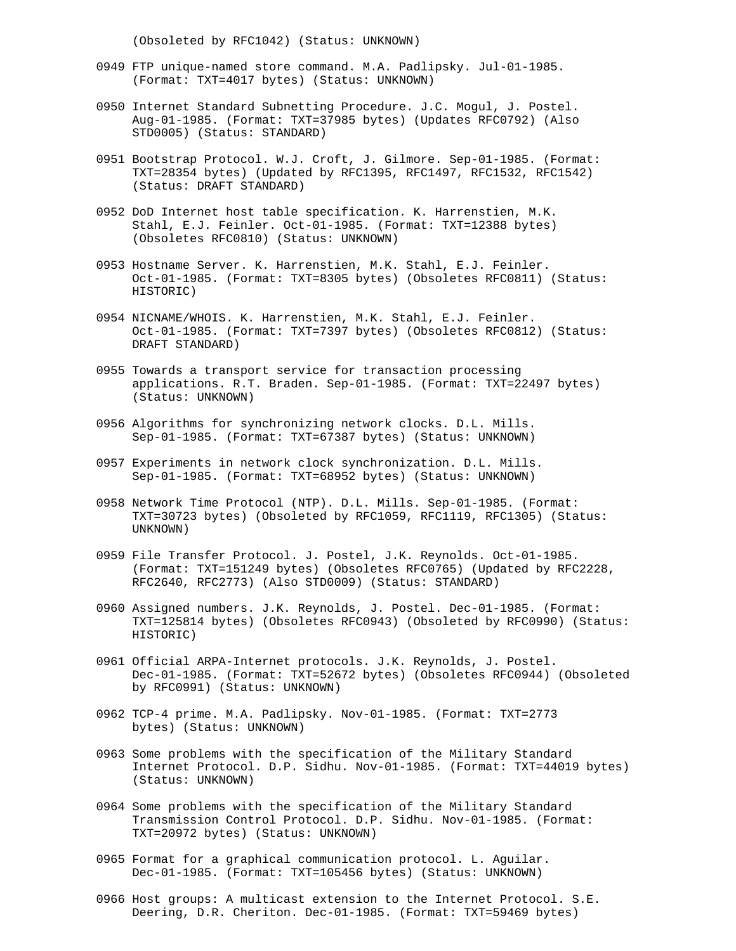(Obsoleted by RFC1042) (Status: UNKNOWN)

- 0949 FTP unique-named store command. M.A. Padlipsky. Jul-01-1985. (Format: TXT=4017 bytes) (Status: UNKNOWN)
- 0950 Internet Standard Subnetting Procedure. J.C. Mogul, J. Postel. Aug-01-1985. (Format: TXT=37985 bytes) (Updates RFC0792) (Also STD0005) (Status: STANDARD)
- 0951 Bootstrap Protocol. W.J. Croft, J. Gilmore. Sep-01-1985. (Format: TXT=28354 bytes) (Updated by RFC1395, RFC1497, RFC1532, RFC1542) (Status: DRAFT STANDARD)
- 0952 DoD Internet host table specification. K. Harrenstien, M.K. Stahl, E.J. Feinler. Oct-01-1985. (Format: TXT=12388 bytes) (Obsoletes RFC0810) (Status: UNKNOWN)
- 0953 Hostname Server. K. Harrenstien, M.K. Stahl, E.J. Feinler. Oct-01-1985. (Format: TXT=8305 bytes) (Obsoletes RFC0811) (Status: HISTORIC)
- 0954 NICNAME/WHOIS. K. Harrenstien, M.K. Stahl, E.J. Feinler. Oct-01-1985. (Format: TXT=7397 bytes) (Obsoletes RFC0812) (Status: DRAFT STANDARD)
- 0955 Towards a transport service for transaction processing applications. R.T. Braden. Sep-01-1985. (Format: TXT=22497 bytes) (Status: UNKNOWN)
- 0956 Algorithms for synchronizing network clocks. D.L. Mills. Sep-01-1985. (Format: TXT=67387 bytes) (Status: UNKNOWN)
- 0957 Experiments in network clock synchronization. D.L. Mills. Sep-01-1985. (Format: TXT=68952 bytes) (Status: UNKNOWN)
- 0958 Network Time Protocol (NTP). D.L. Mills. Sep-01-1985. (Format: TXT=30723 bytes) (Obsoleted by RFC1059, RFC1119, RFC1305) (Status: UNKNOWN)
- 0959 File Transfer Protocol. J. Postel, J.K. Reynolds. Oct-01-1985. (Format: TXT=151249 bytes) (Obsoletes RFC0765) (Updated by RFC2228, RFC2640, RFC2773) (Also STD0009) (Status: STANDARD)
- 0960 Assigned numbers. J.K. Reynolds, J. Postel. Dec-01-1985. (Format: TXT=125814 bytes) (Obsoletes RFC0943) (Obsoleted by RFC0990) (Status: HISTORIC)
- 0961 Official ARPA-Internet protocols. J.K. Reynolds, J. Postel. Dec-01-1985. (Format: TXT=52672 bytes) (Obsoletes RFC0944) (Obsoleted by RFC0991) (Status: UNKNOWN)
- 0962 TCP-4 prime. M.A. Padlipsky. Nov-01-1985. (Format: TXT=2773 bytes) (Status: UNKNOWN)
- 0963 Some problems with the specification of the Military Standard Internet Protocol. D.P. Sidhu. Nov-01-1985. (Format: TXT=44019 bytes) (Status: UNKNOWN)
- 0964 Some problems with the specification of the Military Standard Transmission Control Protocol. D.P. Sidhu. Nov-01-1985. (Format: TXT=20972 bytes) (Status: UNKNOWN)
- 0965 Format for a graphical communication protocol. L. Aguilar. Dec-01-1985. (Format: TXT=105456 bytes) (Status: UNKNOWN)
- 0966 Host groups: A multicast extension to the Internet Protocol. S.E. Deering, D.R. Cheriton. Dec-01-1985. (Format: TXT=59469 bytes)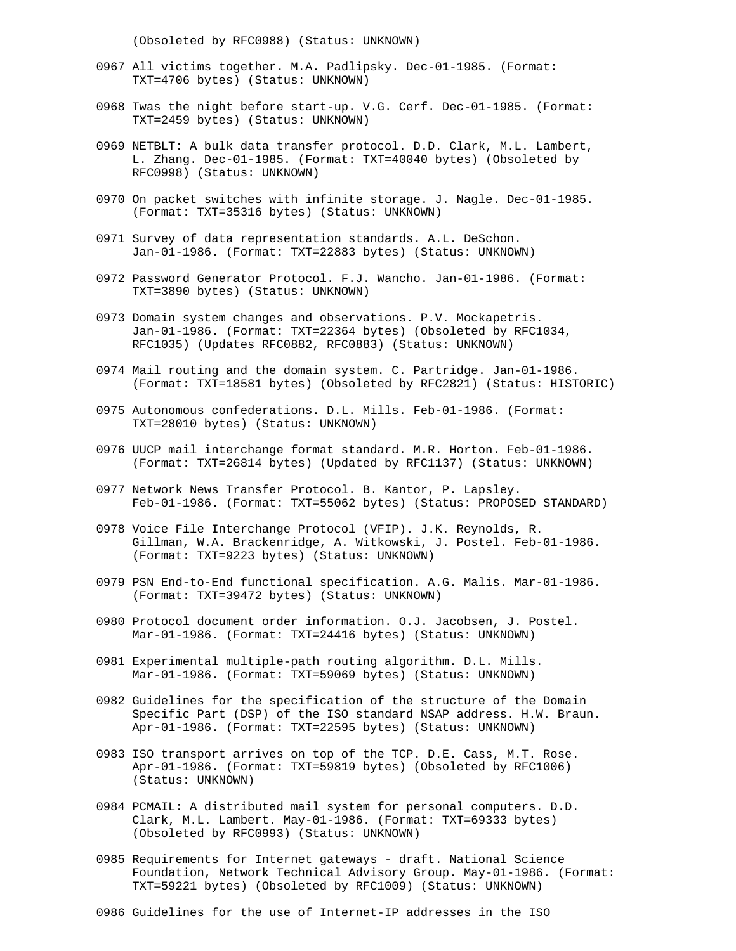(Obsoleted by RFC0988) (Status: UNKNOWN)

- 0967 All victims together. M.A. Padlipsky. Dec-01-1985. (Format: TXT=4706 bytes) (Status: UNKNOWN)
- 0968 Twas the night before start-up. V.G. Cerf. Dec-01-1985. (Format: TXT=2459 bytes) (Status: UNKNOWN)
- 0969 NETBLT: A bulk data transfer protocol. D.D. Clark, M.L. Lambert, L. Zhang. Dec-01-1985. (Format: TXT=40040 bytes) (Obsoleted by RFC0998) (Status: UNKNOWN)
- 0970 On packet switches with infinite storage. J. Nagle. Dec-01-1985. (Format: TXT=35316 bytes) (Status: UNKNOWN)
- 0971 Survey of data representation standards. A.L. DeSchon. Jan-01-1986. (Format: TXT=22883 bytes) (Status: UNKNOWN)
- 0972 Password Generator Protocol. F.J. Wancho. Jan-01-1986. (Format: TXT=3890 bytes) (Status: UNKNOWN)
- 0973 Domain system changes and observations. P.V. Mockapetris. Jan-01-1986. (Format: TXT=22364 bytes) (Obsoleted by RFC1034, RFC1035) (Updates RFC0882, RFC0883) (Status: UNKNOWN)
- 0974 Mail routing and the domain system. C. Partridge. Jan-01-1986. (Format: TXT=18581 bytes) (Obsoleted by RFC2821) (Status: HISTORIC)
- 0975 Autonomous confederations. D.L. Mills. Feb-01-1986. (Format: TXT=28010 bytes) (Status: UNKNOWN)
- 0976 UUCP mail interchange format standard. M.R. Horton. Feb-01-1986. (Format: TXT=26814 bytes) (Updated by RFC1137) (Status: UNKNOWN)
- 0977 Network News Transfer Protocol. B. Kantor, P. Lapsley. Feb-01-1986. (Format: TXT=55062 bytes) (Status: PROPOSED STANDARD)
- 0978 Voice File Interchange Protocol (VFIP). J.K. Reynolds, R. Gillman, W.A. Brackenridge, A. Witkowski, J. Postel. Feb-01-1986. (Format: TXT=9223 bytes) (Status: UNKNOWN)
- 0979 PSN End-to-End functional specification. A.G. Malis. Mar-01-1986. (Format: TXT=39472 bytes) (Status: UNKNOWN)
- 0980 Protocol document order information. O.J. Jacobsen, J. Postel. Mar-01-1986. (Format: TXT=24416 bytes) (Status: UNKNOWN)
- 0981 Experimental multiple-path routing algorithm. D.L. Mills. Mar-01-1986. (Format: TXT=59069 bytes) (Status: UNKNOWN)
- 0982 Guidelines for the specification of the structure of the Domain Specific Part (DSP) of the ISO standard NSAP address. H.W. Braun. Apr-01-1986. (Format: TXT=22595 bytes) (Status: UNKNOWN)
- 0983 ISO transport arrives on top of the TCP. D.E. Cass, M.T. Rose. Apr-01-1986. (Format: TXT=59819 bytes) (Obsoleted by RFC1006) (Status: UNKNOWN)
- 0984 PCMAIL: A distributed mail system for personal computers. D.D. Clark, M.L. Lambert. May-01-1986. (Format: TXT=69333 bytes) (Obsoleted by RFC0993) (Status: UNKNOWN)
- 0985 Requirements for Internet gateways draft. National Science Foundation, Network Technical Advisory Group. May-01-1986. (Format: TXT=59221 bytes) (Obsoleted by RFC1009) (Status: UNKNOWN)
- 0986 Guidelines for the use of Internet-IP addresses in the ISO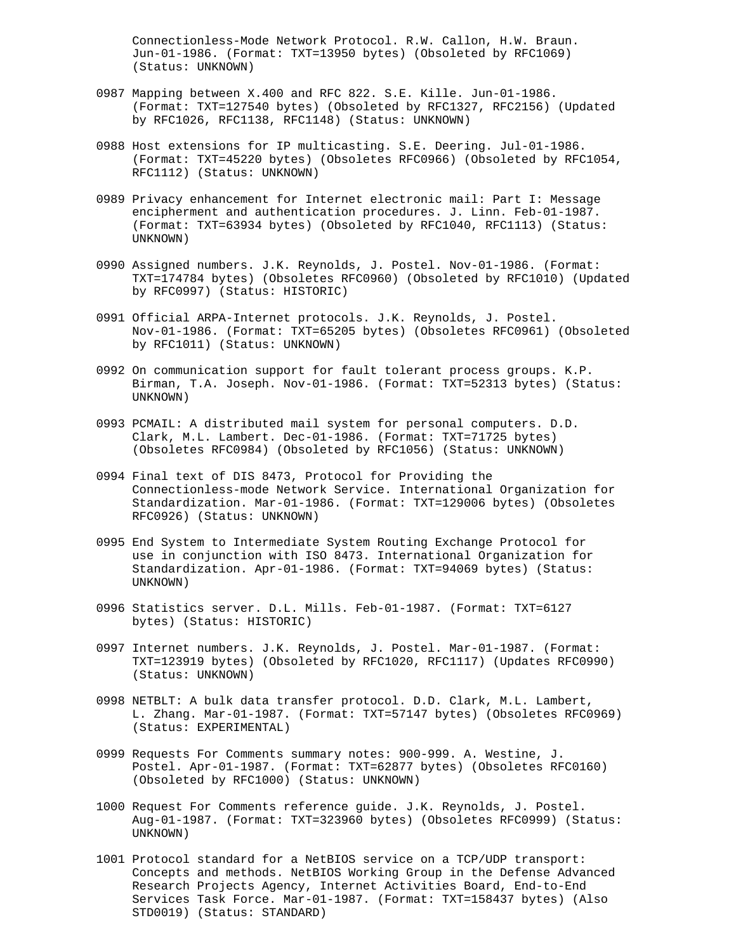Connectionless-Mode Network Protocol. R.W. Callon, H.W. Braun. Jun-01-1986. (Format: TXT=13950 bytes) (Obsoleted by RFC1069) (Status: UNKNOWN)

- 0987 Mapping between X.400 and RFC 822. S.E. Kille. Jun-01-1986. (Format: TXT=127540 bytes) (Obsoleted by RFC1327, RFC2156) (Updated by RFC1026, RFC1138, RFC1148) (Status: UNKNOWN)
- 0988 Host extensions for IP multicasting. S.E. Deering. Jul-01-1986. (Format: TXT=45220 bytes) (Obsoletes RFC0966) (Obsoleted by RFC1054, RFC1112) (Status: UNKNOWN)
- 0989 Privacy enhancement for Internet electronic mail: Part I: Message encipherment and authentication procedures. J. Linn. Feb-01-1987. (Format: TXT=63934 bytes) (Obsoleted by RFC1040, RFC1113) (Status: UNKNOWN)
- 0990 Assigned numbers. J.K. Reynolds, J. Postel. Nov-01-1986. (Format: TXT=174784 bytes) (Obsoletes RFC0960) (Obsoleted by RFC1010) (Updated by RFC0997) (Status: HISTORIC)
- 0991 Official ARPA-Internet protocols. J.K. Reynolds, J. Postel. Nov-01-1986. (Format: TXT=65205 bytes) (Obsoletes RFC0961) (Obsoleted by RFC1011) (Status: UNKNOWN)
- 0992 On communication support for fault tolerant process groups. K.P. Birman, T.A. Joseph. Nov-01-1986. (Format: TXT=52313 bytes) (Status: UNKNOWN)
- 0993 PCMAIL: A distributed mail system for personal computers. D.D. Clark, M.L. Lambert. Dec-01-1986. (Format: TXT=71725 bytes) (Obsoletes RFC0984) (Obsoleted by RFC1056) (Status: UNKNOWN)
- 0994 Final text of DIS 8473, Protocol for Providing the Connectionless-mode Network Service. International Organization for Standardization. Mar-01-1986. (Format: TXT=129006 bytes) (Obsoletes RFC0926) (Status: UNKNOWN)
- 0995 End System to Intermediate System Routing Exchange Protocol for use in conjunction with ISO 8473. International Organization for Standardization. Apr-01-1986. (Format: TXT=94069 bytes) (Status: UNKNOWN)
- 0996 Statistics server. D.L. Mills. Feb-01-1987. (Format: TXT=6127 bytes) (Status: HISTORIC)
- 0997 Internet numbers. J.K. Reynolds, J. Postel. Mar-01-1987. (Format: TXT=123919 bytes) (Obsoleted by RFC1020, RFC1117) (Updates RFC0990) (Status: UNKNOWN)
- 0998 NETBLT: A bulk data transfer protocol. D.D. Clark, M.L. Lambert, L. Zhang. Mar-01-1987. (Format: TXT=57147 bytes) (Obsoletes RFC0969) (Status: EXPERIMENTAL)
- 0999 Requests For Comments summary notes: 900-999. A. Westine, J. Postel. Apr-01-1987. (Format: TXT=62877 bytes) (Obsoletes RFC0160) (Obsoleted by RFC1000) (Status: UNKNOWN)
- 1000 Request For Comments reference guide. J.K. Reynolds, J. Postel. Aug-01-1987. (Format: TXT=323960 bytes) (Obsoletes RFC0999) (Status: UNKNOWN)
- 1001 Protocol standard for a NetBIOS service on a TCP/UDP transport: Concepts and methods. NetBIOS Working Group in the Defense Advanced Research Projects Agency, Internet Activities Board, End-to-End Services Task Force. Mar-01-1987. (Format: TXT=158437 bytes) (Also STD0019) (Status: STANDARD)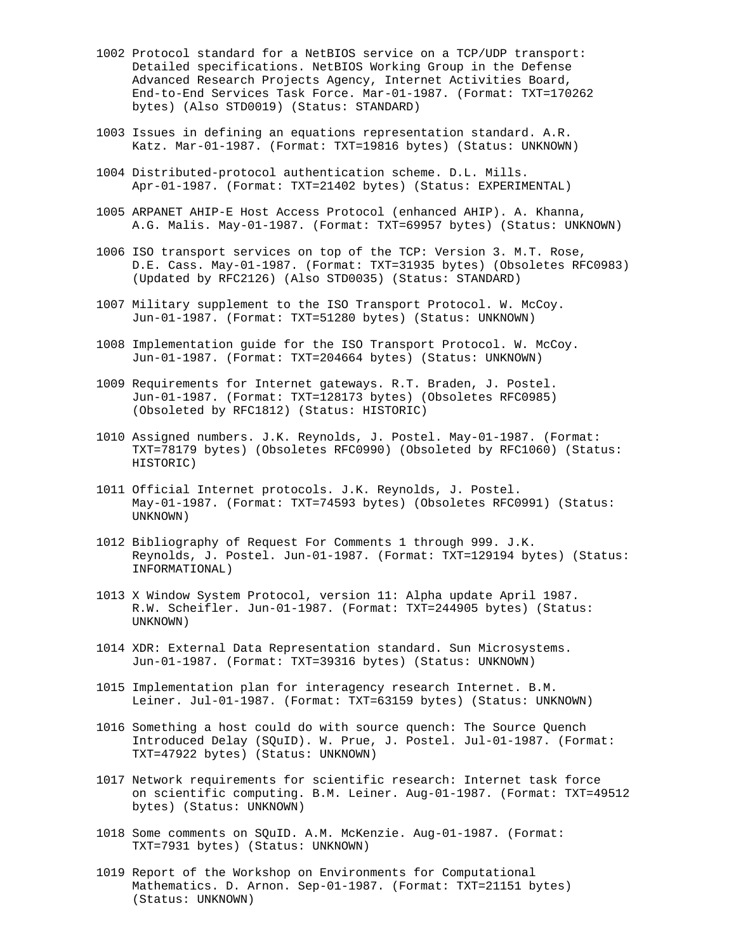- 1002 Protocol standard for a NetBIOS service on a TCP/UDP transport: Detailed specifications. NetBIOS Working Group in the Defense Advanced Research Projects Agency, Internet Activities Board, End-to-End Services Task Force. Mar-01-1987. (Format: TXT=170262 bytes) (Also STD0019) (Status: STANDARD)
- 1003 Issues in defining an equations representation standard. A.R. Katz. Mar-01-1987. (Format: TXT=19816 bytes) (Status: UNKNOWN)
- 1004 Distributed-protocol authentication scheme. D.L. Mills. Apr-01-1987. (Format: TXT=21402 bytes) (Status: EXPERIMENTAL)
- 1005 ARPANET AHIP-E Host Access Protocol (enhanced AHIP). A. Khanna, A.G. Malis. May-01-1987. (Format: TXT=69957 bytes) (Status: UNKNOWN)
- 1006 ISO transport services on top of the TCP: Version 3. M.T. Rose, D.E. Cass. May-01-1987. (Format: TXT=31935 bytes) (Obsoletes RFC0983) (Updated by RFC2126) (Also STD0035) (Status: STANDARD)
- 1007 Military supplement to the ISO Transport Protocol. W. McCoy. Jun-01-1987. (Format: TXT=51280 bytes) (Status: UNKNOWN)
- 1008 Implementation guide for the ISO Transport Protocol. W. McCoy. Jun-01-1987. (Format: TXT=204664 bytes) (Status: UNKNOWN)
- 1009 Requirements for Internet gateways. R.T. Braden, J. Postel. Jun-01-1987. (Format: TXT=128173 bytes) (Obsoletes RFC0985) (Obsoleted by RFC1812) (Status: HISTORIC)
- 1010 Assigned numbers. J.K. Reynolds, J. Postel. May-01-1987. (Format: TXT=78179 bytes) (Obsoletes RFC0990) (Obsoleted by RFC1060) (Status: HISTORIC)
- 1011 Official Internet protocols. J.K. Reynolds, J. Postel. May-01-1987. (Format: TXT=74593 bytes) (Obsoletes RFC0991) (Status: UNKNOWN)
- 1012 Bibliography of Request For Comments 1 through 999. J.K. Reynolds, J. Postel. Jun-01-1987. (Format: TXT=129194 bytes) (Status: INFORMATIONAL)
- 1013 X Window System Protocol, version 11: Alpha update April 1987. R.W. Scheifler. Jun-01-1987. (Format: TXT=244905 bytes) (Status: UNKNOWN)
- 1014 XDR: External Data Representation standard. Sun Microsystems. Jun-01-1987. (Format: TXT=39316 bytes) (Status: UNKNOWN)
- 1015 Implementation plan for interagency research Internet. B.M. Leiner. Jul-01-1987. (Format: TXT=63159 bytes) (Status: UNKNOWN)
- 1016 Something a host could do with source quench: The Source Quench Introduced Delay (SQuID). W. Prue, J. Postel. Jul-01-1987. (Format: TXT=47922 bytes) (Status: UNKNOWN)
- 1017 Network requirements for scientific research: Internet task force on scientific computing. B.M. Leiner. Aug-01-1987. (Format: TXT=49512 bytes) (Status: UNKNOWN)
- 1018 Some comments on SQuID. A.M. McKenzie. Aug-01-1987. (Format: TXT=7931 bytes) (Status: UNKNOWN)
- 1019 Report of the Workshop on Environments for Computational Mathematics. D. Arnon. Sep-01-1987. (Format: TXT=21151 bytes) (Status: UNKNOWN)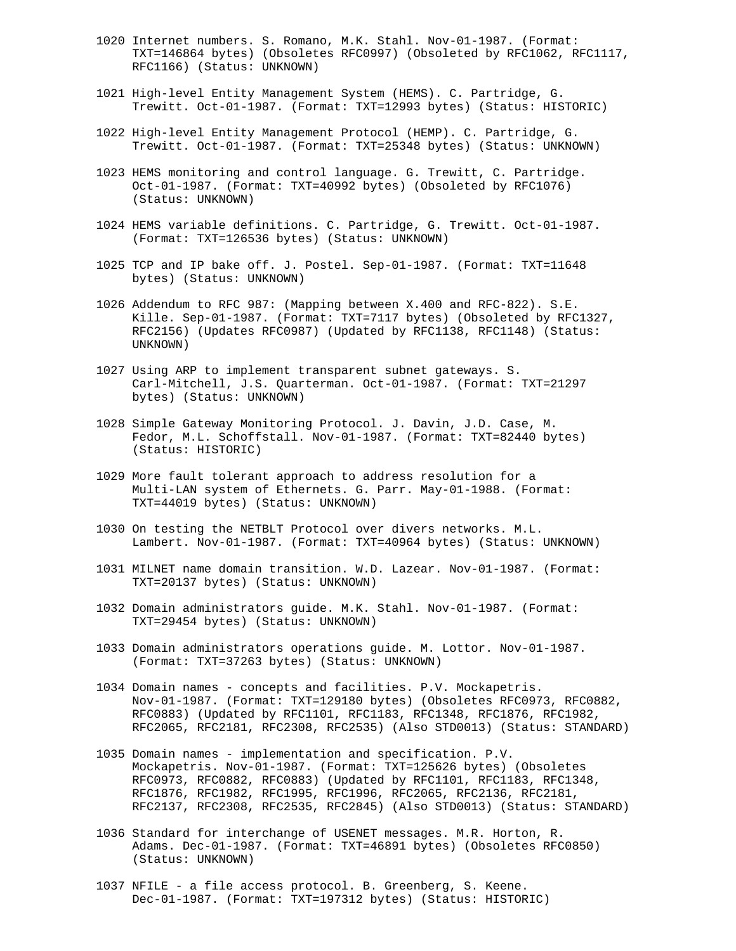- 1020 Internet numbers. S. Romano, M.K. Stahl. Nov-01-1987. (Format: TXT=146864 bytes) (Obsoletes RFC0997) (Obsoleted by RFC1062, RFC1117, RFC1166) (Status: UNKNOWN)
- 1021 High-level Entity Management System (HEMS). C. Partridge, G. Trewitt. Oct-01-1987. (Format: TXT=12993 bytes) (Status: HISTORIC)
- 1022 High-level Entity Management Protocol (HEMP). C. Partridge, G. Trewitt. Oct-01-1987. (Format: TXT=25348 bytes) (Status: UNKNOWN)
- 1023 HEMS monitoring and control language. G. Trewitt, C. Partridge. Oct-01-1987. (Format: TXT=40992 bytes) (Obsoleted by RFC1076) (Status: UNKNOWN)
- 1024 HEMS variable definitions. C. Partridge, G. Trewitt. Oct-01-1987. (Format: TXT=126536 bytes) (Status: UNKNOWN)
- 1025 TCP and IP bake off. J. Postel. Sep-01-1987. (Format: TXT=11648 bytes) (Status: UNKNOWN)
- 1026 Addendum to RFC 987: (Mapping between X.400 and RFC-822). S.E. Kille. Sep-01-1987. (Format: TXT=7117 bytes) (Obsoleted by RFC1327, RFC2156) (Updates RFC0987) (Updated by RFC1138, RFC1148) (Status: UNKNOWN)
- 1027 Using ARP to implement transparent subnet gateways. S. Carl-Mitchell, J.S. Quarterman. Oct-01-1987. (Format: TXT=21297 bytes) (Status: UNKNOWN)
- 1028 Simple Gateway Monitoring Protocol. J. Davin, J.D. Case, M. Fedor, M.L. Schoffstall. Nov-01-1987. (Format: TXT=82440 bytes) (Status: HISTORIC)
- 1029 More fault tolerant approach to address resolution for a Multi-LAN system of Ethernets. G. Parr. May-01-1988. (Format: TXT=44019 bytes) (Status: UNKNOWN)
- 1030 On testing the NETBLT Protocol over divers networks. M.L. Lambert. Nov-01-1987. (Format: TXT=40964 bytes) (Status: UNKNOWN)
- 1031 MILNET name domain transition. W.D. Lazear. Nov-01-1987. (Format: TXT=20137 bytes) (Status: UNKNOWN)
- 1032 Domain administrators guide. M.K. Stahl. Nov-01-1987. (Format: TXT=29454 bytes) (Status: UNKNOWN)
- 1033 Domain administrators operations guide. M. Lottor. Nov-01-1987. (Format: TXT=37263 bytes) (Status: UNKNOWN)
- 1034 Domain names concepts and facilities. P.V. Mockapetris. Nov-01-1987. (Format: TXT=129180 bytes) (Obsoletes RFC0973, RFC0882, RFC0883) (Updated by RFC1101, RFC1183, RFC1348, RFC1876, RFC1982, RFC2065, RFC2181, RFC2308, RFC2535) (Also STD0013) (Status: STANDARD)
- 1035 Domain names implementation and specification. P.V. Mockapetris. Nov-01-1987. (Format: TXT=125626 bytes) (Obsoletes RFC0973, RFC0882, RFC0883) (Updated by RFC1101, RFC1183, RFC1348, RFC1876, RFC1982, RFC1995, RFC1996, RFC2065, RFC2136, RFC2181, RFC2137, RFC2308, RFC2535, RFC2845) (Also STD0013) (Status: STANDARD)
- 1036 Standard for interchange of USENET messages. M.R. Horton, R. Adams. Dec-01-1987. (Format: TXT=46891 bytes) (Obsoletes RFC0850) (Status: UNKNOWN)
- 1037 NFILE a file access protocol. B. Greenberg, S. Keene. Dec-01-1987. (Format: TXT=197312 bytes) (Status: HISTORIC)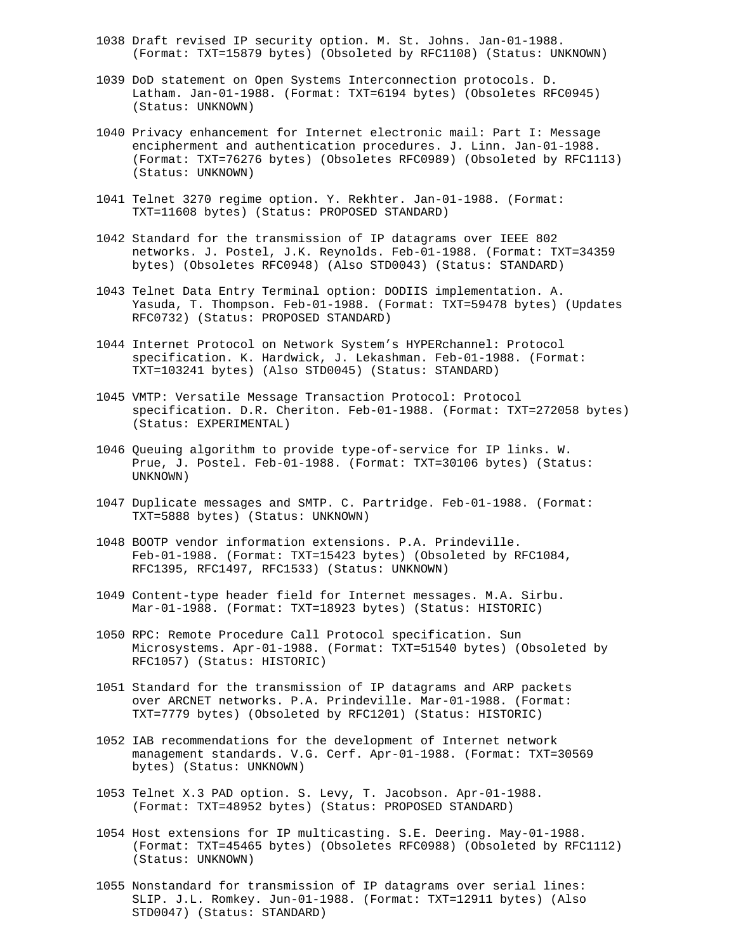- 1038 Draft revised IP security option. M. St. Johns. Jan-01-1988. (Format: TXT=15879 bytes) (Obsoleted by RFC1108) (Status: UNKNOWN)
- 1039 DoD statement on Open Systems Interconnection protocols. D. Latham. Jan-01-1988. (Format: TXT=6194 bytes) (Obsoletes RFC0945) (Status: UNKNOWN)
- 1040 Privacy enhancement for Internet electronic mail: Part I: Message encipherment and authentication procedures. J. Linn. Jan-01-1988. (Format: TXT=76276 bytes) (Obsoletes RFC0989) (Obsoleted by RFC1113) (Status: UNKNOWN)
- 1041 Telnet 3270 regime option. Y. Rekhter. Jan-01-1988. (Format: TXT=11608 bytes) (Status: PROPOSED STANDARD)
- 1042 Standard for the transmission of IP datagrams over IEEE 802 networks. J. Postel, J.K. Reynolds. Feb-01-1988. (Format: TXT=34359 bytes) (Obsoletes RFC0948) (Also STD0043) (Status: STANDARD)
- 1043 Telnet Data Entry Terminal option: DODIIS implementation. A. Yasuda, T. Thompson. Feb-01-1988. (Format: TXT=59478 bytes) (Updates RFC0732) (Status: PROPOSED STANDARD)
- 1044 Internet Protocol on Network System's HYPERchannel: Protocol specification. K. Hardwick, J. Lekashman. Feb-01-1988. (Format: TXT=103241 bytes) (Also STD0045) (Status: STANDARD)
- 1045 VMTP: Versatile Message Transaction Protocol: Protocol specification. D.R. Cheriton. Feb-01-1988. (Format: TXT=272058 bytes) (Status: EXPERIMENTAL)
- 1046 Queuing algorithm to provide type-of-service for IP links. W. Prue, J. Postel. Feb-01-1988. (Format: TXT=30106 bytes) (Status: UNKNOWN)
- 1047 Duplicate messages and SMTP. C. Partridge. Feb-01-1988. (Format: TXT=5888 bytes) (Status: UNKNOWN)
- 1048 BOOTP vendor information extensions. P.A. Prindeville. Feb-01-1988. (Format: TXT=15423 bytes) (Obsoleted by RFC1084, RFC1395, RFC1497, RFC1533) (Status: UNKNOWN)
- 1049 Content-type header field for Internet messages. M.A. Sirbu. Mar-01-1988. (Format: TXT=18923 bytes) (Status: HISTORIC)
- 1050 RPC: Remote Procedure Call Protocol specification. Sun Microsystems. Apr-01-1988. (Format: TXT=51540 bytes) (Obsoleted by RFC1057) (Status: HISTORIC)
- 1051 Standard for the transmission of IP datagrams and ARP packets over ARCNET networks. P.A. Prindeville. Mar-01-1988. (Format: TXT=7779 bytes) (Obsoleted by RFC1201) (Status: HISTORIC)
- 1052 IAB recommendations for the development of Internet network management standards. V.G. Cerf. Apr-01-1988. (Format: TXT=30569 bytes) (Status: UNKNOWN)
- 1053 Telnet X.3 PAD option. S. Levy, T. Jacobson. Apr-01-1988. (Format: TXT=48952 bytes) (Status: PROPOSED STANDARD)
- 1054 Host extensions for IP multicasting. S.E. Deering. May-01-1988. (Format: TXT=45465 bytes) (Obsoletes RFC0988) (Obsoleted by RFC1112) (Status: UNKNOWN)
- 1055 Nonstandard for transmission of IP datagrams over serial lines: SLIP. J.L. Romkey. Jun-01-1988. (Format: TXT=12911 bytes) (Also STD0047) (Status: STANDARD)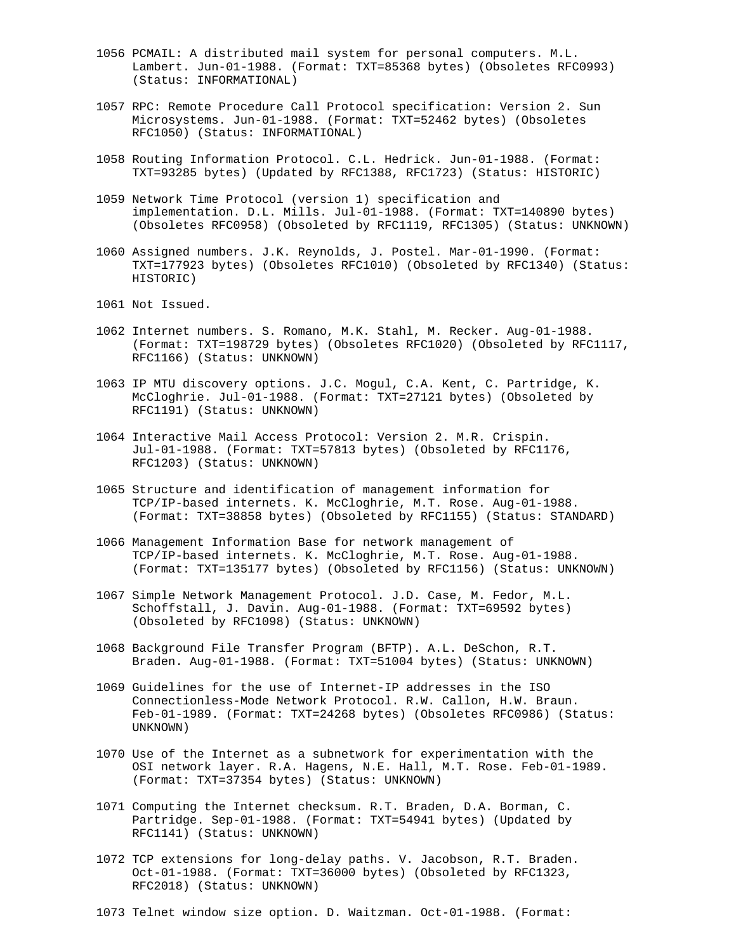- 1056 PCMAIL: A distributed mail system for personal computers. M.L. Lambert. Jun-01-1988. (Format: TXT=85368 bytes) (Obsoletes RFC0993) (Status: INFORMATIONAL)
- 1057 RPC: Remote Procedure Call Protocol specification: Version 2. Sun Microsystems. Jun-01-1988. (Format: TXT=52462 bytes) (Obsoletes RFC1050) (Status: INFORMATIONAL)
- 1058 Routing Information Protocol. C.L. Hedrick. Jun-01-1988. (Format: TXT=93285 bytes) (Updated by RFC1388, RFC1723) (Status: HISTORIC)
- 1059 Network Time Protocol (version 1) specification and implementation. D.L. Mills. Jul-01-1988. (Format: TXT=140890 bytes) (Obsoletes RFC0958) (Obsoleted by RFC1119, RFC1305) (Status: UNKNOWN)
- 1060 Assigned numbers. J.K. Reynolds, J. Postel. Mar-01-1990. (Format: TXT=177923 bytes) (Obsoletes RFC1010) (Obsoleted by RFC1340) (Status: HISTORIC)
- 1061 Not Issued.
- 1062 Internet numbers. S. Romano, M.K. Stahl, M. Recker. Aug-01-1988. (Format: TXT=198729 bytes) (Obsoletes RFC1020) (Obsoleted by RFC1117, RFC1166) (Status: UNKNOWN)
- 1063 IP MTU discovery options. J.C. Mogul, C.A. Kent, C. Partridge, K. McCloghrie. Jul-01-1988. (Format: TXT=27121 bytes) (Obsoleted by RFC1191) (Status: UNKNOWN)
- 1064 Interactive Mail Access Protocol: Version 2. M.R. Crispin. Jul-01-1988. (Format: TXT=57813 bytes) (Obsoleted by RFC1176, RFC1203) (Status: UNKNOWN)
- 1065 Structure and identification of management information for TCP/IP-based internets. K. McCloghrie, M.T. Rose. Aug-01-1988. (Format: TXT=38858 bytes) (Obsoleted by RFC1155) (Status: STANDARD)
- 1066 Management Information Base for network management of TCP/IP-based internets. K. McCloghrie, M.T. Rose. Aug-01-1988. (Format: TXT=135177 bytes) (Obsoleted by RFC1156) (Status: UNKNOWN)
- 1067 Simple Network Management Protocol. J.D. Case, M. Fedor, M.L. Schoffstall, J. Davin. Aug-01-1988. (Format: TXT=69592 bytes) (Obsoleted by RFC1098) (Status: UNKNOWN)
- 1068 Background File Transfer Program (BFTP). A.L. DeSchon, R.T. Braden. Aug-01-1988. (Format: TXT=51004 bytes) (Status: UNKNOWN)
- 1069 Guidelines for the use of Internet-IP addresses in the ISO Connectionless-Mode Network Protocol. R.W. Callon, H.W. Braun. Feb-01-1989. (Format: TXT=24268 bytes) (Obsoletes RFC0986) (Status: UNKNOWN)
- 1070 Use of the Internet as a subnetwork for experimentation with the OSI network layer. R.A. Hagens, N.E. Hall, M.T. Rose. Feb-01-1989. (Format: TXT=37354 bytes) (Status: UNKNOWN)
- 1071 Computing the Internet checksum. R.T. Braden, D.A. Borman, C. Partridge. Sep-01-1988. (Format: TXT=54941 bytes) (Updated by RFC1141) (Status: UNKNOWN)
- 1072 TCP extensions for long-delay paths. V. Jacobson, R.T. Braden. Oct-01-1988. (Format: TXT=36000 bytes) (Obsoleted by RFC1323, RFC2018) (Status: UNKNOWN)
- 1073 Telnet window size option. D. Waitzman. Oct-01-1988. (Format: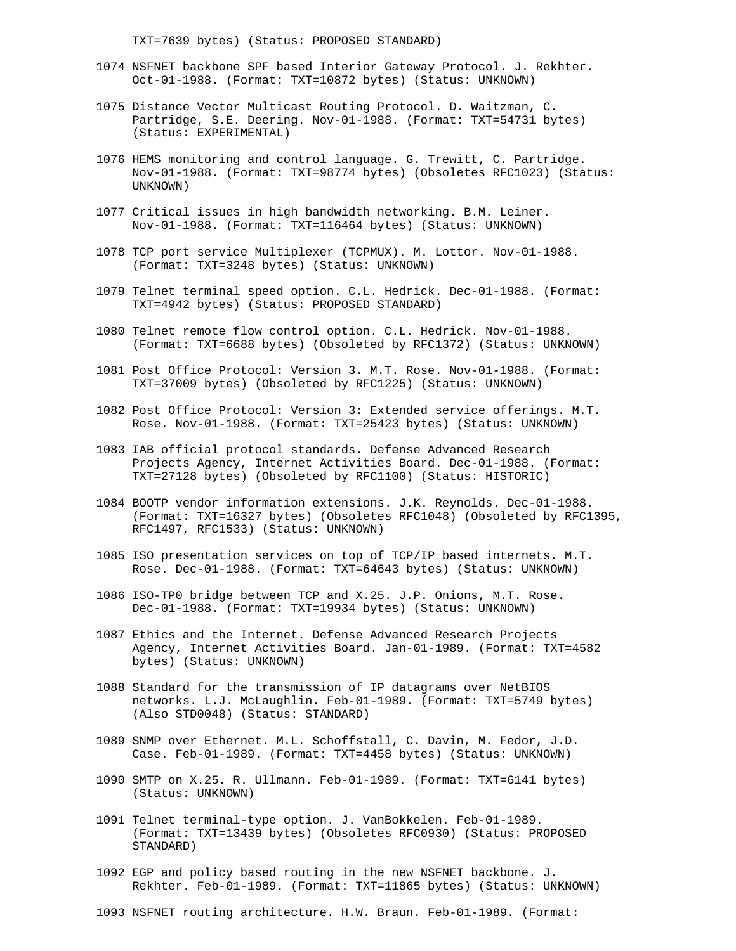TXT=7639 bytes) (Status: PROPOSED STANDARD)

- 1074 NSFNET backbone SPF based Interior Gateway Protocol. J. Rekhter. Oct-01-1988. (Format: TXT=10872 bytes) (Status: UNKNOWN)
- 1075 Distance Vector Multicast Routing Protocol. D. Waitzman, C. Partridge, S.E. Deering. Nov-01-1988. (Format: TXT=54731 bytes) (Status: EXPERIMENTAL)
- 1076 HEMS monitoring and control language. G. Trewitt, C. Partridge. Nov-01-1988. (Format: TXT=98774 bytes) (Obsoletes RFC1023) (Status: UNKNOWN)
- 1077 Critical issues in high bandwidth networking. B.M. Leiner. Nov-01-1988. (Format: TXT=116464 bytes) (Status: UNKNOWN)
- 1078 TCP port service Multiplexer (TCPMUX). M. Lottor. Nov-01-1988. (Format: TXT=3248 bytes) (Status: UNKNOWN)
- 1079 Telnet terminal speed option. C.L. Hedrick. Dec-01-1988. (Format: TXT=4942 bytes) (Status: PROPOSED STANDARD)
- 1080 Telnet remote flow control option. C.L. Hedrick. Nov-01-1988. (Format: TXT=6688 bytes) (Obsoleted by RFC1372) (Status: UNKNOWN)
- 1081 Post Office Protocol: Version 3. M.T. Rose. Nov-01-1988. (Format: TXT=37009 bytes) (Obsoleted by RFC1225) (Status: UNKNOWN)
- 1082 Post Office Protocol: Version 3: Extended service offerings. M.T. Rose. Nov-01-1988. (Format: TXT=25423 bytes) (Status: UNKNOWN)
- 1083 IAB official protocol standards. Defense Advanced Research Projects Agency, Internet Activities Board. Dec-01-1988. (Format: TXT=27128 bytes) (Obsoleted by RFC1100) (Status: HISTORIC)
- 1084 BOOTP vendor information extensions. J.K. Reynolds. Dec-01-1988. (Format: TXT=16327 bytes) (Obsoletes RFC1048) (Obsoleted by RFC1395, RFC1497, RFC1533) (Status: UNKNOWN)
- 1085 ISO presentation services on top of TCP/IP based internets. M.T. Rose. Dec-01-1988. (Format: TXT=64643 bytes) (Status: UNKNOWN)
- 1086 ISO-TP0 bridge between TCP and X.25. J.P. Onions, M.T. Rose. Dec-01-1988. (Format: TXT=19934 bytes) (Status: UNKNOWN)
- 1087 Ethics and the Internet. Defense Advanced Research Projects Agency, Internet Activities Board. Jan-01-1989. (Format: TXT=4582 bytes) (Status: UNKNOWN)
- 1088 Standard for the transmission of IP datagrams over NetBIOS networks. L.J. McLaughlin. Feb-01-1989. (Format: TXT=5749 bytes) (Also STD0048) (Status: STANDARD)
- 1089 SNMP over Ethernet. M.L. Schoffstall, C. Davin, M. Fedor, J.D. Case. Feb-01-1989. (Format: TXT=4458 bytes) (Status: UNKNOWN)
- 1090 SMTP on X.25. R. Ullmann. Feb-01-1989. (Format: TXT=6141 bytes) (Status: UNKNOWN)
- 1091 Telnet terminal-type option. J. VanBokkelen. Feb-01-1989. (Format: TXT=13439 bytes) (Obsoletes RFC0930) (Status: PROPOSED STANDARD)
- 1092 EGP and policy based routing in the new NSFNET backbone. J. Rekhter. Feb-01-1989. (Format: TXT=11865 bytes) (Status: UNKNOWN)
- 1093 NSFNET routing architecture. H.W. Braun. Feb-01-1989. (Format: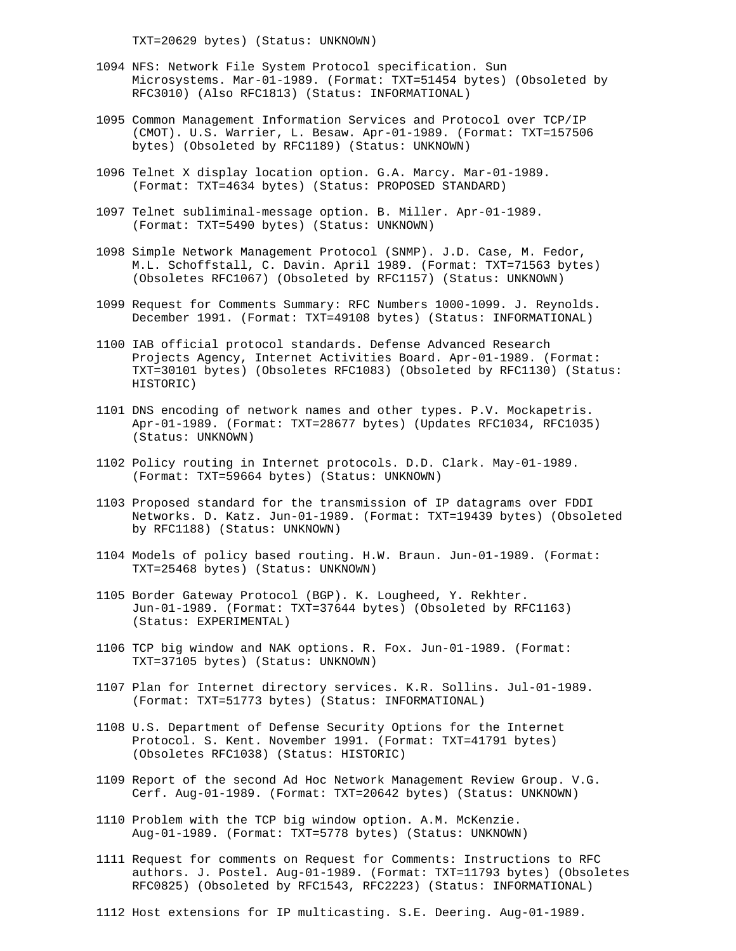TXT=20629 bytes) (Status: UNKNOWN)

- 1094 NFS: Network File System Protocol specification. Sun Microsystems. Mar-01-1989. (Format: TXT=51454 bytes) (Obsoleted by RFC3010) (Also RFC1813) (Status: INFORMATIONAL)
- 1095 Common Management Information Services and Protocol over TCP/IP (CMOT). U.S. Warrier, L. Besaw. Apr-01-1989. (Format: TXT=157506 bytes) (Obsoleted by RFC1189) (Status: UNKNOWN)
- 1096 Telnet X display location option. G.A. Marcy. Mar-01-1989. (Format: TXT=4634 bytes) (Status: PROPOSED STANDARD)
- 1097 Telnet subliminal-message option. B. Miller. Apr-01-1989. (Format: TXT=5490 bytes) (Status: UNKNOWN)
- 1098 Simple Network Management Protocol (SNMP). J.D. Case, M. Fedor, M.L. Schoffstall, C. Davin. April 1989. (Format: TXT=71563 bytes) (Obsoletes RFC1067) (Obsoleted by RFC1157) (Status: UNKNOWN)
- 1099 Request for Comments Summary: RFC Numbers 1000-1099. J. Reynolds. December 1991. (Format: TXT=49108 bytes) (Status: INFORMATIONAL)
- 1100 IAB official protocol standards. Defense Advanced Research Projects Agency, Internet Activities Board. Apr-01-1989. (Format: TXT=30101 bytes) (Obsoletes RFC1083) (Obsoleted by RFC1130) (Status: HISTORIC)
- 1101 DNS encoding of network names and other types. P.V. Mockapetris. Apr-01-1989. (Format: TXT=28677 bytes) (Updates RFC1034, RFC1035) (Status: UNKNOWN)
- 1102 Policy routing in Internet protocols. D.D. Clark. May-01-1989. (Format: TXT=59664 bytes) (Status: UNKNOWN)
- 1103 Proposed standard for the transmission of IP datagrams over FDDI Networks. D. Katz. Jun-01-1989. (Format: TXT=19439 bytes) (Obsoleted by RFC1188) (Status: UNKNOWN)
- 1104 Models of policy based routing. H.W. Braun. Jun-01-1989. (Format: TXT=25468 bytes) (Status: UNKNOWN)
- 1105 Border Gateway Protocol (BGP). K. Lougheed, Y. Rekhter. Jun-01-1989. (Format: TXT=37644 bytes) (Obsoleted by RFC1163) (Status: EXPERIMENTAL)
- 1106 TCP big window and NAK options. R. Fox. Jun-01-1989. (Format: TXT=37105 bytes) (Status: UNKNOWN)
- 1107 Plan for Internet directory services. K.R. Sollins. Jul-01-1989. (Format: TXT=51773 bytes) (Status: INFORMATIONAL)
- 1108 U.S. Department of Defense Security Options for the Internet Protocol. S. Kent. November 1991. (Format: TXT=41791 bytes) (Obsoletes RFC1038) (Status: HISTORIC)
- 1109 Report of the second Ad Hoc Network Management Review Group. V.G. Cerf. Aug-01-1989. (Format: TXT=20642 bytes) (Status: UNKNOWN)
- 1110 Problem with the TCP big window option. A.M. McKenzie. Aug-01-1989. (Format: TXT=5778 bytes) (Status: UNKNOWN)
- 1111 Request for comments on Request for Comments: Instructions to RFC authors. J. Postel. Aug-01-1989. (Format: TXT=11793 bytes) (Obsoletes RFC0825) (Obsoleted by RFC1543, RFC2223) (Status: INFORMATIONAL)
- 1112 Host extensions for IP multicasting. S.E. Deering. Aug-01-1989.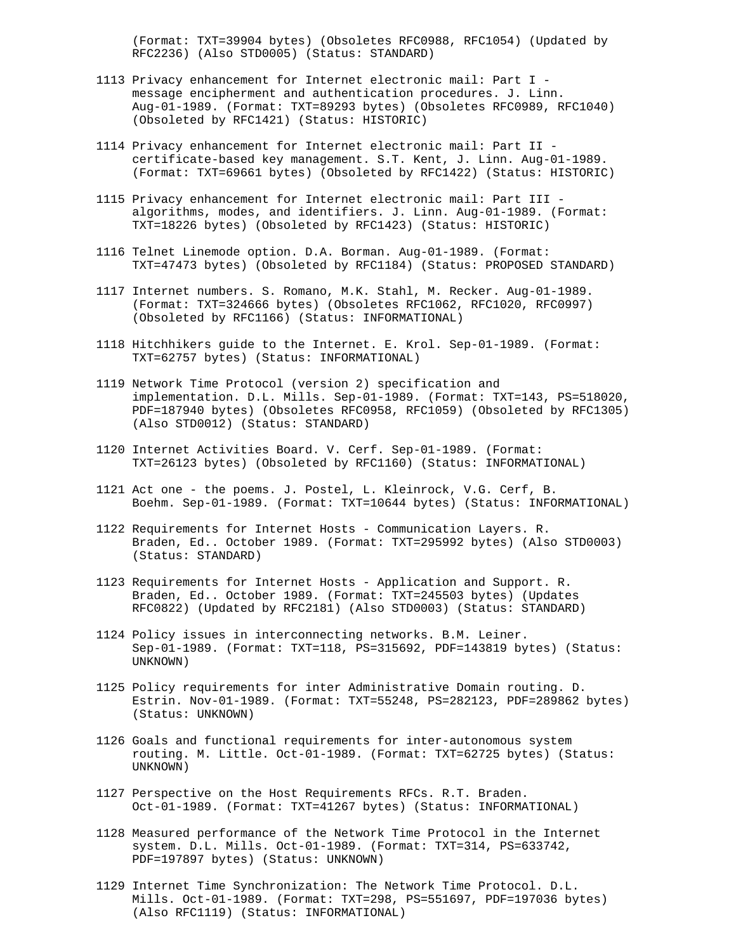(Format: TXT=39904 bytes) (Obsoletes RFC0988, RFC1054) (Updated by RFC2236) (Also STD0005) (Status: STANDARD)

- 1113 Privacy enhancement for Internet electronic mail: Part I message encipherment and authentication procedures. J. Linn. Aug-01-1989. (Format: TXT=89293 bytes) (Obsoletes RFC0989, RFC1040) (Obsoleted by RFC1421) (Status: HISTORIC)
- 1114 Privacy enhancement for Internet electronic mail: Part II certificate-based key management. S.T. Kent, J. Linn. Aug-01-1989. (Format: TXT=69661 bytes) (Obsoleted by RFC1422) (Status: HISTORIC)
- 1115 Privacy enhancement for Internet electronic mail: Part III algorithms, modes, and identifiers. J. Linn. Aug-01-1989. (Format: TXT=18226 bytes) (Obsoleted by RFC1423) (Status: HISTORIC)
- 1116 Telnet Linemode option. D.A. Borman. Aug-01-1989. (Format: TXT=47473 bytes) (Obsoleted by RFC1184) (Status: PROPOSED STANDARD)
- 1117 Internet numbers. S. Romano, M.K. Stahl, M. Recker. Aug-01-1989. (Format: TXT=324666 bytes) (Obsoletes RFC1062, RFC1020, RFC0997) (Obsoleted by RFC1166) (Status: INFORMATIONAL)
- 1118 Hitchhikers guide to the Internet. E. Krol. Sep-01-1989. (Format: TXT=62757 bytes) (Status: INFORMATIONAL)
- 1119 Network Time Protocol (version 2) specification and implementation. D.L. Mills. Sep-01-1989. (Format: TXT=143, PS=518020, PDF=187940 bytes) (Obsoletes RFC0958, RFC1059) (Obsoleted by RFC1305) (Also STD0012) (Status: STANDARD)
- 1120 Internet Activities Board. V. Cerf. Sep-01-1989. (Format: TXT=26123 bytes) (Obsoleted by RFC1160) (Status: INFORMATIONAL)
- 1121 Act one the poems. J. Postel, L. Kleinrock, V.G. Cerf, B. Boehm. Sep-01-1989. (Format: TXT=10644 bytes) (Status: INFORMATIONAL)
- 1122 Requirements for Internet Hosts Communication Layers. R. Braden, Ed.. October 1989. (Format: TXT=295992 bytes) (Also STD0003) (Status: STANDARD)
- 1123 Requirements for Internet Hosts Application and Support. R. Braden, Ed.. October 1989. (Format: TXT=245503 bytes) (Updates RFC0822) (Updated by RFC2181) (Also STD0003) (Status: STANDARD)
- 1124 Policy issues in interconnecting networks. B.M. Leiner. Sep-01-1989. (Format: TXT=118, PS=315692, PDF=143819 bytes) (Status: UNKNOWN)
- 1125 Policy requirements for inter Administrative Domain routing. D. Estrin. Nov-01-1989. (Format: TXT=55248, PS=282123, PDF=289862 bytes) (Status: UNKNOWN)
- 1126 Goals and functional requirements for inter-autonomous system routing. M. Little. Oct-01-1989. (Format: TXT=62725 bytes) (Status: UNKNOWN)
- 1127 Perspective on the Host Requirements RFCs. R.T. Braden. Oct-01-1989. (Format: TXT=41267 bytes) (Status: INFORMATIONAL)
- 1128 Measured performance of the Network Time Protocol in the Internet system. D.L. Mills. Oct-01-1989. (Format: TXT=314, PS=633742, PDF=197897 bytes) (Status: UNKNOWN)
- 1129 Internet Time Synchronization: The Network Time Protocol. D.L. Mills. Oct-01-1989. (Format: TXT=298, PS=551697, PDF=197036 bytes) (Also RFC1119) (Status: INFORMATIONAL)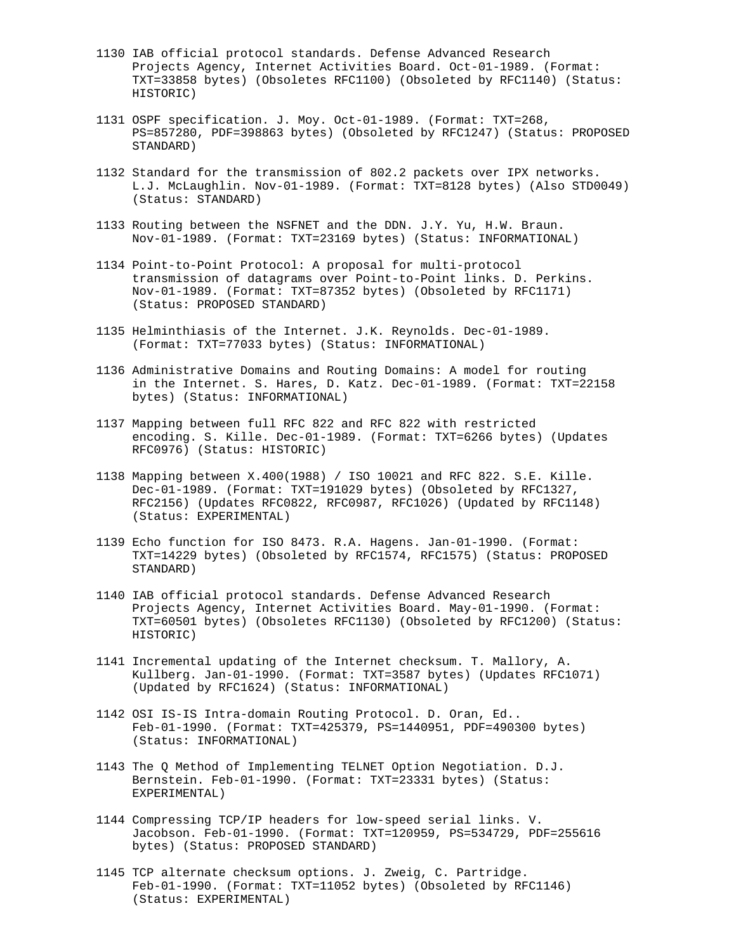- 1130 IAB official protocol standards. Defense Advanced Research Projects Agency, Internet Activities Board. Oct-01-1989. (Format: TXT=33858 bytes) (Obsoletes RFC1100) (Obsoleted by RFC1140) (Status: HISTORIC)
- 1131 OSPF specification. J. Moy. Oct-01-1989. (Format: TXT=268, PS=857280, PDF=398863 bytes) (Obsoleted by RFC1247) (Status: PROPOSED STANDARD)
- 1132 Standard for the transmission of 802.2 packets over IPX networks. L.J. McLaughlin. Nov-01-1989. (Format: TXT=8128 bytes) (Also STD0049) (Status: STANDARD)
- 1133 Routing between the NSFNET and the DDN. J.Y. Yu, H.W. Braun. Nov-01-1989. (Format: TXT=23169 bytes) (Status: INFORMATIONAL)
- 1134 Point-to-Point Protocol: A proposal for multi-protocol transmission of datagrams over Point-to-Point links. D. Perkins. Nov-01-1989. (Format: TXT=87352 bytes) (Obsoleted by RFC1171) (Status: PROPOSED STANDARD)
- 1135 Helminthiasis of the Internet. J.K. Reynolds. Dec-01-1989. (Format: TXT=77033 bytes) (Status: INFORMATIONAL)
- 1136 Administrative Domains and Routing Domains: A model for routing in the Internet. S. Hares, D. Katz. Dec-01-1989. (Format: TXT=22158 bytes) (Status: INFORMATIONAL)
- 1137 Mapping between full RFC 822 and RFC 822 with restricted encoding. S. Kille. Dec-01-1989. (Format: TXT=6266 bytes) (Updates RFC0976) (Status: HISTORIC)
- 1138 Mapping between X.400(1988) / ISO 10021 and RFC 822. S.E. Kille. Dec-01-1989. (Format: TXT=191029 bytes) (Obsoleted by RFC1327, RFC2156) (Updates RFC0822, RFC0987, RFC1026) (Updated by RFC1148) (Status: EXPERIMENTAL)
- 1139 Echo function for ISO 8473. R.A. Hagens. Jan-01-1990. (Format: TXT=14229 bytes) (Obsoleted by RFC1574, RFC1575) (Status: PROPOSED STANDARD)
- 1140 IAB official protocol standards. Defense Advanced Research Projects Agency, Internet Activities Board. May-01-1990. (Format: TXT=60501 bytes) (Obsoletes RFC1130) (Obsoleted by RFC1200) (Status: HISTORIC)
- 1141 Incremental updating of the Internet checksum. T. Mallory, A. Kullberg. Jan-01-1990. (Format: TXT=3587 bytes) (Updates RFC1071) (Updated by RFC1624) (Status: INFORMATIONAL)
- 1142 OSI IS-IS Intra-domain Routing Protocol. D. Oran, Ed.. Feb-01-1990. (Format: TXT=425379, PS=1440951, PDF=490300 bytes) (Status: INFORMATIONAL)
- 1143 The Q Method of Implementing TELNET Option Negotiation. D.J. Bernstein. Feb-01-1990. (Format: TXT=23331 bytes) (Status: EXPERIMENTAL)
- 1144 Compressing TCP/IP headers for low-speed serial links. V. Jacobson. Feb-01-1990. (Format: TXT=120959, PS=534729, PDF=255616 bytes) (Status: PROPOSED STANDARD)
- 1145 TCP alternate checksum options. J. Zweig, C. Partridge. Feb-01-1990. (Format: TXT=11052 bytes) (Obsoleted by RFC1146) (Status: EXPERIMENTAL)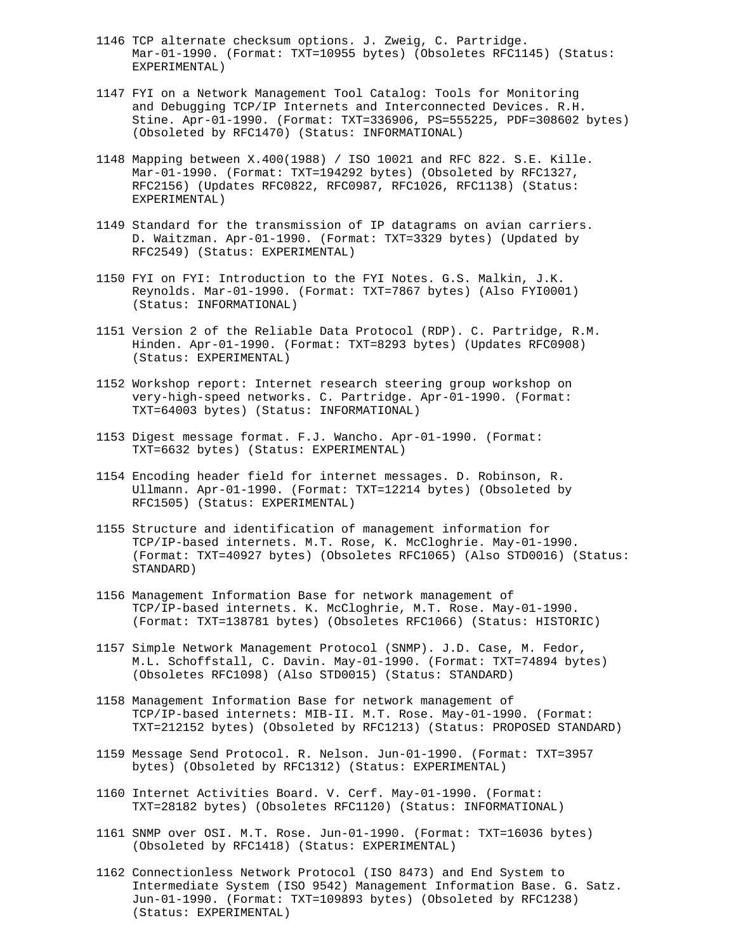- 1146 TCP alternate checksum options. J. Zweig, C. Partridge. Mar-01-1990. (Format: TXT=10955 bytes) (Obsoletes RFC1145) (Status: EXPERIMENTAL)
- 1147 FYI on a Network Management Tool Catalog: Tools for Monitoring and Debugging TCP/IP Internets and Interconnected Devices. R.H. Stine. Apr-01-1990. (Format: TXT=336906, PS=555225, PDF=308602 bytes) (Obsoleted by RFC1470) (Status: INFORMATIONAL)
- 1148 Mapping between X.400(1988) / ISO 10021 and RFC 822. S.E. Kille. Mar-01-1990. (Format: TXT=194292 bytes) (Obsoleted by RFC1327, RFC2156) (Updates RFC0822, RFC0987, RFC1026, RFC1138) (Status: EXPERIMENTAL)
- 1149 Standard for the transmission of IP datagrams on avian carriers. D. Waitzman. Apr-01-1990. (Format: TXT=3329 bytes) (Updated by RFC2549) (Status: EXPERIMENTAL)
- 1150 FYI on FYI: Introduction to the FYI Notes. G.S. Malkin, J.K. Reynolds. Mar-01-1990. (Format: TXT=7867 bytes) (Also FYI0001) (Status: INFORMATIONAL)
- 1151 Version 2 of the Reliable Data Protocol (RDP). C. Partridge, R.M. Hinden. Apr-01-1990. (Format: TXT=8293 bytes) (Updates RFC0908) (Status: EXPERIMENTAL)
- 1152 Workshop report: Internet research steering group workshop on very-high-speed networks. C. Partridge. Apr-01-1990. (Format: TXT=64003 bytes) (Status: INFORMATIONAL)
- 1153 Digest message format. F.J. Wancho. Apr-01-1990. (Format: TXT=6632 bytes) (Status: EXPERIMENTAL)
- 1154 Encoding header field for internet messages. D. Robinson, R. Ullmann. Apr-01-1990. (Format: TXT=12214 bytes) (Obsoleted by RFC1505) (Status: EXPERIMENTAL)
- 1155 Structure and identification of management information for TCP/IP-based internets. M.T. Rose, K. McCloghrie. May-01-1990. (Format: TXT=40927 bytes) (Obsoletes RFC1065) (Also STD0016) (Status: STANDARD)
- 1156 Management Information Base for network management of TCP/IP-based internets. K. McCloghrie, M.T. Rose. May-01-1990. (Format: TXT=138781 bytes) (Obsoletes RFC1066) (Status: HISTORIC)
- 1157 Simple Network Management Protocol (SNMP). J.D. Case, M. Fedor, M.L. Schoffstall, C. Davin. May-01-1990. (Format: TXT=74894 bytes) (Obsoletes RFC1098) (Also STD0015) (Status: STANDARD)
- 1158 Management Information Base for network management of TCP/IP-based internets: MIB-II. M.T. Rose. May-01-1990. (Format: TXT=212152 bytes) (Obsoleted by RFC1213) (Status: PROPOSED STANDARD)
- 1159 Message Send Protocol. R. Nelson. Jun-01-1990. (Format: TXT=3957 bytes) (Obsoleted by RFC1312) (Status: EXPERIMENTAL)
- 1160 Internet Activities Board. V. Cerf. May-01-1990. (Format: TXT=28182 bytes) (Obsoletes RFC1120) (Status: INFORMATIONAL)
- 1161 SNMP over OSI. M.T. Rose. Jun-01-1990. (Format: TXT=16036 bytes) (Obsoleted by RFC1418) (Status: EXPERIMENTAL)
- 1162 Connectionless Network Protocol (ISO 8473) and End System to Intermediate System (ISO 9542) Management Information Base. G. Satz. Jun-01-1990. (Format: TXT=109893 bytes) (Obsoleted by RFC1238) (Status: EXPERIMENTAL)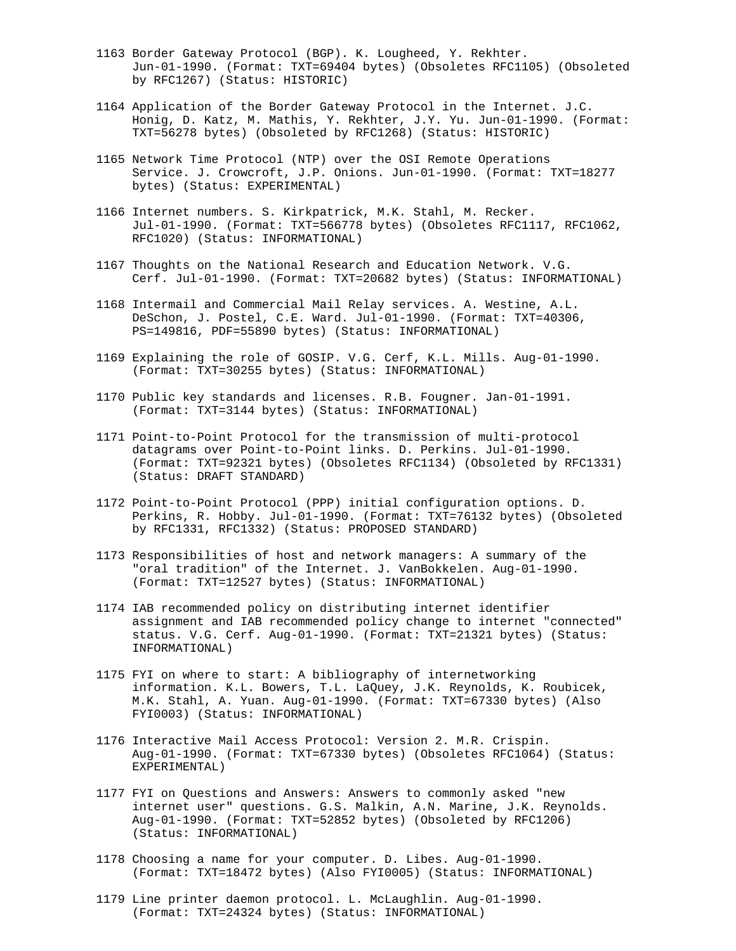- 1163 Border Gateway Protocol (BGP). K. Lougheed, Y. Rekhter. Jun-01-1990. (Format: TXT=69404 bytes) (Obsoletes RFC1105) (Obsoleted by RFC1267) (Status: HISTORIC)
- 1164 Application of the Border Gateway Protocol in the Internet. J.C. Honig, D. Katz, M. Mathis, Y. Rekhter, J.Y. Yu. Jun-01-1990. (Format: TXT=56278 bytes) (Obsoleted by RFC1268) (Status: HISTORIC)
- 1165 Network Time Protocol (NTP) over the OSI Remote Operations Service. J. Crowcroft, J.P. Onions. Jun-01-1990. (Format: TXT=18277 bytes) (Status: EXPERIMENTAL)
- 1166 Internet numbers. S. Kirkpatrick, M.K. Stahl, M. Recker. Jul-01-1990. (Format: TXT=566778 bytes) (Obsoletes RFC1117, RFC1062, RFC1020) (Status: INFORMATIONAL)
- 1167 Thoughts on the National Research and Education Network. V.G. Cerf. Jul-01-1990. (Format: TXT=20682 bytes) (Status: INFORMATIONAL)
- 1168 Intermail and Commercial Mail Relay services. A. Westine, A.L. DeSchon, J. Postel, C.E. Ward. Jul-01-1990. (Format: TXT=40306, PS=149816, PDF=55890 bytes) (Status: INFORMATIONAL)
- 1169 Explaining the role of GOSIP. V.G. Cerf, K.L. Mills. Aug-01-1990. (Format: TXT=30255 bytes) (Status: INFORMATIONAL)
- 1170 Public key standards and licenses. R.B. Fougner. Jan-01-1991. (Format: TXT=3144 bytes) (Status: INFORMATIONAL)
- 1171 Point-to-Point Protocol for the transmission of multi-protocol datagrams over Point-to-Point links. D. Perkins. Jul-01-1990. (Format: TXT=92321 bytes) (Obsoletes RFC1134) (Obsoleted by RFC1331) (Status: DRAFT STANDARD)
- 1172 Point-to-Point Protocol (PPP) initial configuration options. D. Perkins, R. Hobby. Jul-01-1990. (Format: TXT=76132 bytes) (Obsoleted by RFC1331, RFC1332) (Status: PROPOSED STANDARD)
- 1173 Responsibilities of host and network managers: A summary of the "oral tradition" of the Internet. J. VanBokkelen. Aug-01-1990. (Format: TXT=12527 bytes) (Status: INFORMATIONAL)
- 1174 IAB recommended policy on distributing internet identifier assignment and IAB recommended policy change to internet "connected" status. V.G. Cerf. Aug-01-1990. (Format: TXT=21321 bytes) (Status: INFORMATIONAL)
- 1175 FYI on where to start: A bibliography of internetworking information. K.L. Bowers, T.L. LaQuey, J.K. Reynolds, K. Roubicek, M.K. Stahl, A. Yuan. Aug-01-1990. (Format: TXT=67330 bytes) (Also FYI0003) (Status: INFORMATIONAL)
- 1176 Interactive Mail Access Protocol: Version 2. M.R. Crispin. Aug-01-1990. (Format: TXT=67330 bytes) (Obsoletes RFC1064) (Status: EXPERIMENTAL)
- 1177 FYI on Questions and Answers: Answers to commonly asked "new internet user" questions. G.S. Malkin, A.N. Marine, J.K. Reynolds. Aug-01-1990. (Format: TXT=52852 bytes) (Obsoleted by RFC1206) (Status: INFORMATIONAL)
- 1178 Choosing a name for your computer. D. Libes. Aug-01-1990. (Format: TXT=18472 bytes) (Also FYI0005) (Status: INFORMATIONAL)
- 1179 Line printer daemon protocol. L. McLaughlin. Aug-01-1990. (Format: TXT=24324 bytes) (Status: INFORMATIONAL)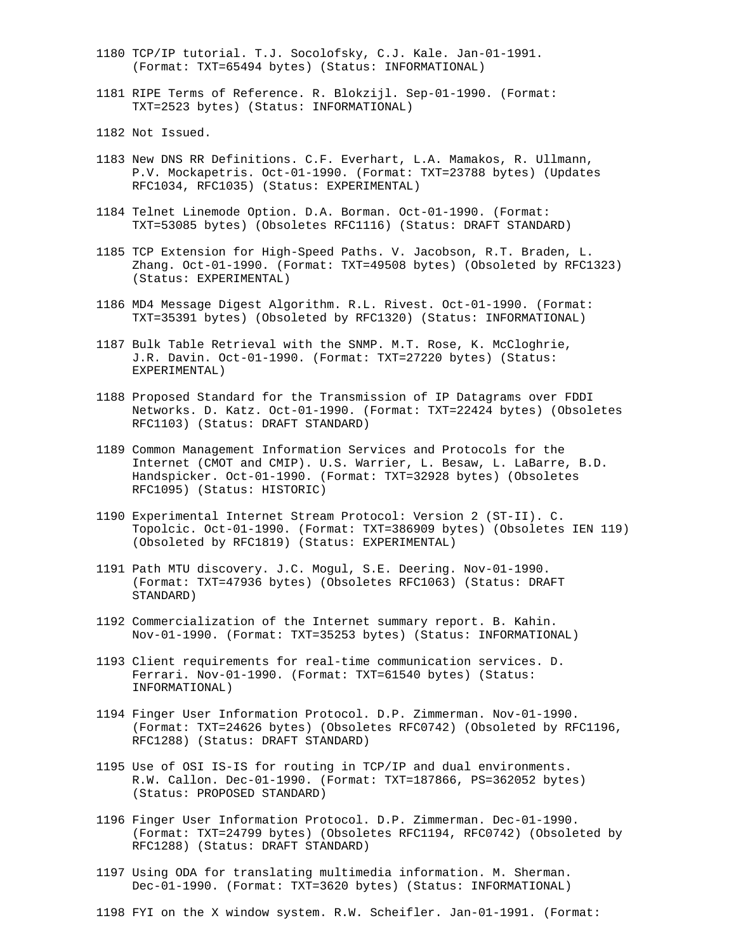- 1180 TCP/IP tutorial. T.J. Socolofsky, C.J. Kale. Jan-01-1991. (Format: TXT=65494 bytes) (Status: INFORMATIONAL)
- 1181 RIPE Terms of Reference. R. Blokzijl. Sep-01-1990. (Format: TXT=2523 bytes) (Status: INFORMATIONAL)
- 1182 Not Issued.
- 1183 New DNS RR Definitions. C.F. Everhart, L.A. Mamakos, R. Ullmann, P.V. Mockapetris. Oct-01-1990. (Format: TXT=23788 bytes) (Updates RFC1034, RFC1035) (Status: EXPERIMENTAL)
- 1184 Telnet Linemode Option. D.A. Borman. Oct-01-1990. (Format: TXT=53085 bytes) (Obsoletes RFC1116) (Status: DRAFT STANDARD)
- 1185 TCP Extension for High-Speed Paths. V. Jacobson, R.T. Braden, L. Zhang. Oct-01-1990. (Format: TXT=49508 bytes) (Obsoleted by RFC1323) (Status: EXPERIMENTAL)
- 1186 MD4 Message Digest Algorithm. R.L. Rivest. Oct-01-1990. (Format: TXT=35391 bytes) (Obsoleted by RFC1320) (Status: INFORMATIONAL)
- 1187 Bulk Table Retrieval with the SNMP. M.T. Rose, K. McCloghrie, J.R. Davin. Oct-01-1990. (Format: TXT=27220 bytes) (Status: EXPERIMENTAL)
- 1188 Proposed Standard for the Transmission of IP Datagrams over FDDI Networks. D. Katz. Oct-01-1990. (Format: TXT=22424 bytes) (Obsoletes RFC1103) (Status: DRAFT STANDARD)
- 1189 Common Management Information Services and Protocols for the Internet (CMOT and CMIP). U.S. Warrier, L. Besaw, L. LaBarre, B.D. Handspicker. Oct-01-1990. (Format: TXT=32928 bytes) (Obsoletes RFC1095) (Status: HISTORIC)
- 1190 Experimental Internet Stream Protocol: Version 2 (ST-II). C. Topolcic. Oct-01-1990. (Format: TXT=386909 bytes) (Obsoletes IEN 119) (Obsoleted by RFC1819) (Status: EXPERIMENTAL)
- 1191 Path MTU discovery. J.C. Mogul, S.E. Deering. Nov-01-1990. (Format: TXT=47936 bytes) (Obsoletes RFC1063) (Status: DRAFT STANDARD)
- 1192 Commercialization of the Internet summary report. B. Kahin. Nov-01-1990. (Format: TXT=35253 bytes) (Status: INFORMATIONAL)
- 1193 Client requirements for real-time communication services. D. Ferrari. Nov-01-1990. (Format: TXT=61540 bytes) (Status: INFORMATIONAL)
- 1194 Finger User Information Protocol. D.P. Zimmerman. Nov-01-1990. (Format: TXT=24626 bytes) (Obsoletes RFC0742) (Obsoleted by RFC1196, RFC1288) (Status: DRAFT STANDARD)
- 1195 Use of OSI IS-IS for routing in TCP/IP and dual environments. R.W. Callon. Dec-01-1990. (Format: TXT=187866, PS=362052 bytes) (Status: PROPOSED STANDARD)
- 1196 Finger User Information Protocol. D.P. Zimmerman. Dec-01-1990. (Format: TXT=24799 bytes) (Obsoletes RFC1194, RFC0742) (Obsoleted by RFC1288) (Status: DRAFT STANDARD)
- 1197 Using ODA for translating multimedia information. M. Sherman. Dec-01-1990. (Format: TXT=3620 bytes) (Status: INFORMATIONAL)
- 1198 FYI on the X window system. R.W. Scheifler. Jan-01-1991. (Format: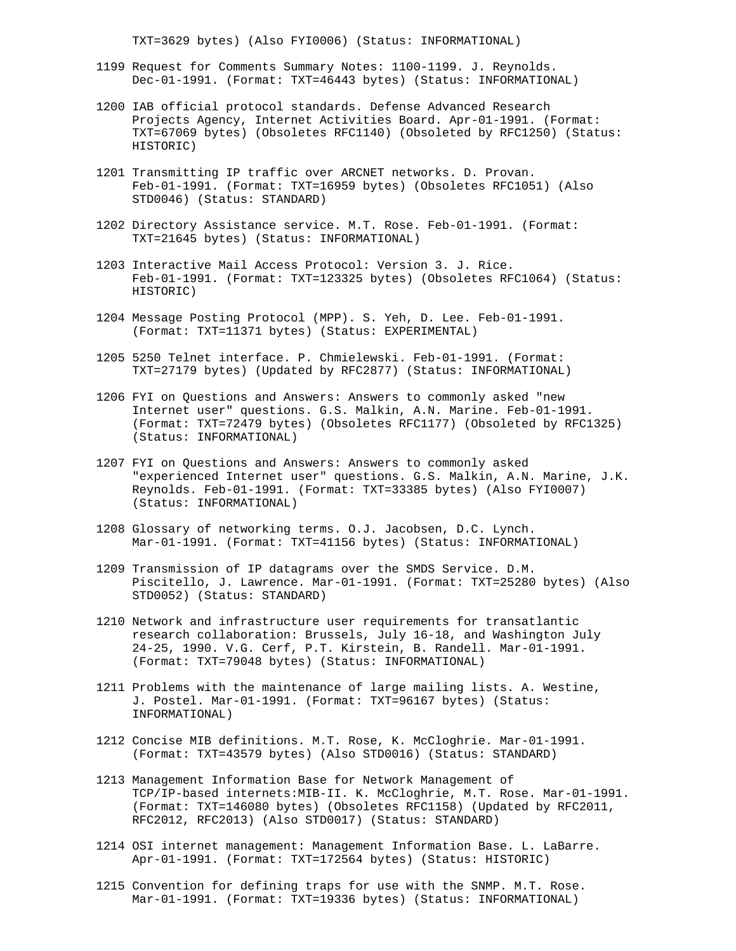TXT=3629 bytes) (Also FYI0006) (Status: INFORMATIONAL)

- 1199 Request for Comments Summary Notes: 1100-1199. J. Reynolds. Dec-01-1991. (Format: TXT=46443 bytes) (Status: INFORMATIONAL)
- 1200 IAB official protocol standards. Defense Advanced Research Projects Agency, Internet Activities Board. Apr-01-1991. (Format: TXT=67069 bytes) (Obsoletes RFC1140) (Obsoleted by RFC1250) (Status: HISTORIC)
- 1201 Transmitting IP traffic over ARCNET networks. D. Provan. Feb-01-1991. (Format: TXT=16959 bytes) (Obsoletes RFC1051) (Also STD0046) (Status: STANDARD)
- 1202 Directory Assistance service. M.T. Rose. Feb-01-1991. (Format: TXT=21645 bytes) (Status: INFORMATIONAL)
- 1203 Interactive Mail Access Protocol: Version 3. J. Rice. Feb-01-1991. (Format: TXT=123325 bytes) (Obsoletes RFC1064) (Status: HISTORIC)
- 1204 Message Posting Protocol (MPP). S. Yeh, D. Lee. Feb-01-1991. (Format: TXT=11371 bytes) (Status: EXPERIMENTAL)
- 1205 5250 Telnet interface. P. Chmielewski. Feb-01-1991. (Format: TXT=27179 bytes) (Updated by RFC2877) (Status: INFORMATIONAL)
- 1206 FYI on Questions and Answers: Answers to commonly asked "new Internet user" questions. G.S. Malkin, A.N. Marine. Feb-01-1991. (Format: TXT=72479 bytes) (Obsoletes RFC1177) (Obsoleted by RFC1325) (Status: INFORMATIONAL)
- 1207 FYI on Questions and Answers: Answers to commonly asked "experienced Internet user" questions. G.S. Malkin, A.N. Marine, J.K. Reynolds. Feb-01-1991. (Format: TXT=33385 bytes) (Also FYI0007) (Status: INFORMATIONAL)
- 1208 Glossary of networking terms. O.J. Jacobsen, D.C. Lynch. Mar-01-1991. (Format: TXT=41156 bytes) (Status: INFORMATIONAL)
- 1209 Transmission of IP datagrams over the SMDS Service. D.M. Piscitello, J. Lawrence. Mar-01-1991. (Format: TXT=25280 bytes) (Also STD0052) (Status: STANDARD)
- 1210 Network and infrastructure user requirements for transatlantic research collaboration: Brussels, July 16-18, and Washington July 24-25, 1990. V.G. Cerf, P.T. Kirstein, B. Randell. Mar-01-1991. (Format: TXT=79048 bytes) (Status: INFORMATIONAL)
- 1211 Problems with the maintenance of large mailing lists. A. Westine, J. Postel. Mar-01-1991. (Format: TXT=96167 bytes) (Status: INFORMATIONAL)
- 1212 Concise MIB definitions. M.T. Rose, K. McCloghrie. Mar-01-1991. (Format: TXT=43579 bytes) (Also STD0016) (Status: STANDARD)
- 1213 Management Information Base for Network Management of TCP/IP-based internets:MIB-II. K. McCloghrie, M.T. Rose. Mar-01-1991. (Format: TXT=146080 bytes) (Obsoletes RFC1158) (Updated by RFC2011, RFC2012, RFC2013) (Also STD0017) (Status: STANDARD)
- 1214 OSI internet management: Management Information Base. L. LaBarre. Apr-01-1991. (Format: TXT=172564 bytes) (Status: HISTORIC)
- 1215 Convention for defining traps for use with the SNMP. M.T. Rose. Mar-01-1991. (Format: TXT=19336 bytes) (Status: INFORMATIONAL)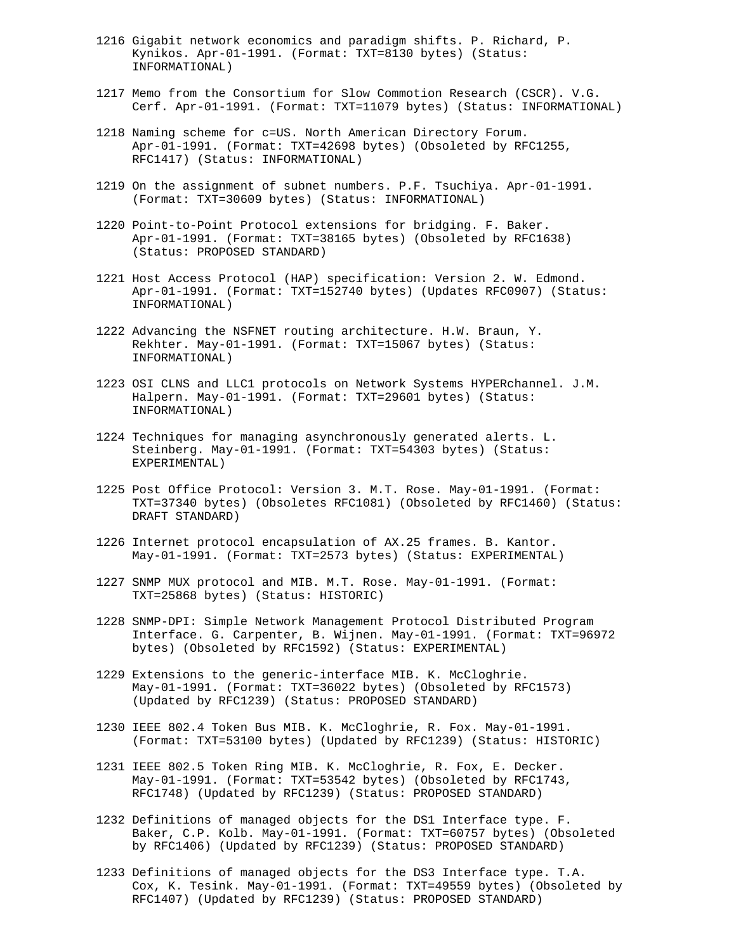- 1216 Gigabit network economics and paradigm shifts. P. Richard, P. Kynikos. Apr-01-1991. (Format: TXT=8130 bytes) (Status: INFORMATIONAL)
- 1217 Memo from the Consortium for Slow Commotion Research (CSCR). V.G. Cerf. Apr-01-1991. (Format: TXT=11079 bytes) (Status: INFORMATIONAL)
- 1218 Naming scheme for c=US. North American Directory Forum. Apr-01-1991. (Format: TXT=42698 bytes) (Obsoleted by RFC1255, RFC1417) (Status: INFORMATIONAL)
- 1219 On the assignment of subnet numbers. P.F. Tsuchiya. Apr-01-1991. (Format: TXT=30609 bytes) (Status: INFORMATIONAL)
- 1220 Point-to-Point Protocol extensions for bridging. F. Baker. Apr-01-1991. (Format: TXT=38165 bytes) (Obsoleted by RFC1638) (Status: PROPOSED STANDARD)
- 1221 Host Access Protocol (HAP) specification: Version 2. W. Edmond. Apr-01-1991. (Format: TXT=152740 bytes) (Updates RFC0907) (Status: INFORMATIONAL)
- 1222 Advancing the NSFNET routing architecture. H.W. Braun, Y. Rekhter. May-01-1991. (Format: TXT=15067 bytes) (Status: INFORMATIONAL)
- 1223 OSI CLNS and LLC1 protocols on Network Systems HYPERchannel. J.M. Halpern. May-01-1991. (Format: TXT=29601 bytes) (Status: INFORMATIONAL)
- 1224 Techniques for managing asynchronously generated alerts. L. Steinberg. May-01-1991. (Format: TXT=54303 bytes) (Status: EXPERIMENTAL)
- 1225 Post Office Protocol: Version 3. M.T. Rose. May-01-1991. (Format: TXT=37340 bytes) (Obsoletes RFC1081) (Obsoleted by RFC1460) (Status: DRAFT STANDARD)
- 1226 Internet protocol encapsulation of AX.25 frames. B. Kantor. May-01-1991. (Format: TXT=2573 bytes) (Status: EXPERIMENTAL)
- 1227 SNMP MUX protocol and MIB. M.T. Rose. May-01-1991. (Format: TXT=25868 bytes) (Status: HISTORIC)
- 1228 SNMP-DPI: Simple Network Management Protocol Distributed Program Interface. G. Carpenter, B. Wijnen. May-01-1991. (Format: TXT=96972 bytes) (Obsoleted by RFC1592) (Status: EXPERIMENTAL)
- 1229 Extensions to the generic-interface MIB. K. McCloghrie. May-01-1991. (Format: TXT=36022 bytes) (Obsoleted by RFC1573) (Updated by RFC1239) (Status: PROPOSED STANDARD)
- 1230 IEEE 802.4 Token Bus MIB. K. McCloghrie, R. Fox. May-01-1991. (Format: TXT=53100 bytes) (Updated by RFC1239) (Status: HISTORIC)
- 1231 IEEE 802.5 Token Ring MIB. K. McCloghrie, R. Fox, E. Decker. May-01-1991. (Format: TXT=53542 bytes) (Obsoleted by RFC1743, RFC1748) (Updated by RFC1239) (Status: PROPOSED STANDARD)
- 1232 Definitions of managed objects for the DS1 Interface type. F. Baker, C.P. Kolb. May-01-1991. (Format: TXT=60757 bytes) (Obsoleted by RFC1406) (Updated by RFC1239) (Status: PROPOSED STANDARD)
- 1233 Definitions of managed objects for the DS3 Interface type. T.A. Cox, K. Tesink. May-01-1991. (Format: TXT=49559 bytes) (Obsoleted by RFC1407) (Updated by RFC1239) (Status: PROPOSED STANDARD)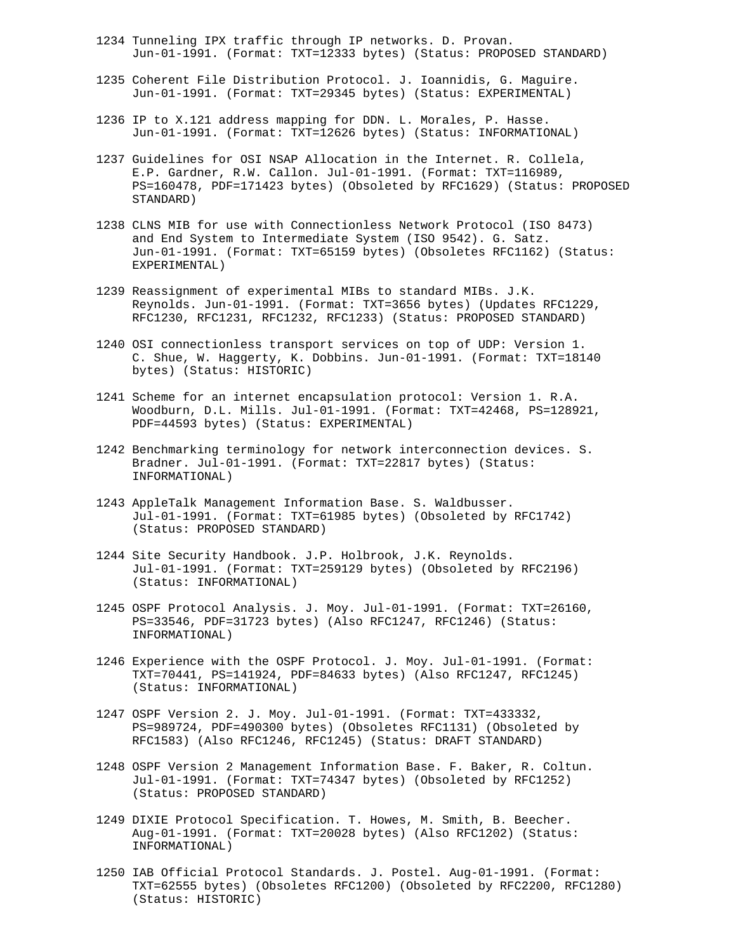- 1234 Tunneling IPX traffic through IP networks. D. Provan. Jun-01-1991. (Format: TXT=12333 bytes) (Status: PROPOSED STANDARD)
- 1235 Coherent File Distribution Protocol. J. Ioannidis, G. Maguire. Jun-01-1991. (Format: TXT=29345 bytes) (Status: EXPERIMENTAL)
- 1236 IP to X.121 address mapping for DDN. L. Morales, P. Hasse. Jun-01-1991. (Format: TXT=12626 bytes) (Status: INFORMATIONAL)
- 1237 Guidelines for OSI NSAP Allocation in the Internet. R. Collela, E.P. Gardner, R.W. Callon. Jul-01-1991. (Format: TXT=116989, PS=160478, PDF=171423 bytes) (Obsoleted by RFC1629) (Status: PROPOSED STANDARD)
- 1238 CLNS MIB for use with Connectionless Network Protocol (ISO 8473) and End System to Intermediate System (ISO 9542). G. Satz. Jun-01-1991. (Format: TXT=65159 bytes) (Obsoletes RFC1162) (Status: EXPERIMENTAL)
- 1239 Reassignment of experimental MIBs to standard MIBs. J.K. Reynolds. Jun-01-1991. (Format: TXT=3656 bytes) (Updates RFC1229, RFC1230, RFC1231, RFC1232, RFC1233) (Status: PROPOSED STANDARD)
- 1240 OSI connectionless transport services on top of UDP: Version 1. C. Shue, W. Haggerty, K. Dobbins. Jun-01-1991. (Format: TXT=18140 bytes) (Status: HISTORIC)
- 1241 Scheme for an internet encapsulation protocol: Version 1. R.A. Woodburn, D.L. Mills. Jul-01-1991. (Format: TXT=42468, PS=128921, PDF=44593 bytes) (Status: EXPERIMENTAL)
- 1242 Benchmarking terminology for network interconnection devices. S. Bradner. Jul-01-1991. (Format: TXT=22817 bytes) (Status: INFORMATIONAL)
- 1243 AppleTalk Management Information Base. S. Waldbusser. Jul-01-1991. (Format: TXT=61985 bytes) (Obsoleted by RFC1742) (Status: PROPOSED STANDARD)
- 1244 Site Security Handbook. J.P. Holbrook, J.K. Reynolds. Jul-01-1991. (Format: TXT=259129 bytes) (Obsoleted by RFC2196) (Status: INFORMATIONAL)
- 1245 OSPF Protocol Analysis. J. Moy. Jul-01-1991. (Format: TXT=26160, PS=33546, PDF=31723 bytes) (Also RFC1247, RFC1246) (Status: INFORMATIONAL)
- 1246 Experience with the OSPF Protocol. J. Moy. Jul-01-1991. (Format: TXT=70441, PS=141924, PDF=84633 bytes) (Also RFC1247, RFC1245) (Status: INFORMATIONAL)
- 1247 OSPF Version 2. J. Moy. Jul-01-1991. (Format: TXT=433332, PS=989724, PDF=490300 bytes) (Obsoletes RFC1131) (Obsoleted by RFC1583) (Also RFC1246, RFC1245) (Status: DRAFT STANDARD)
- 1248 OSPF Version 2 Management Information Base. F. Baker, R. Coltun. Jul-01-1991. (Format: TXT=74347 bytes) (Obsoleted by RFC1252) (Status: PROPOSED STANDARD)
- 1249 DIXIE Protocol Specification. T. Howes, M. Smith, B. Beecher. Aug-01-1991. (Format: TXT=20028 bytes) (Also RFC1202) (Status: INFORMATIONAL)
- 1250 IAB Official Protocol Standards. J. Postel. Aug-01-1991. (Format: TXT=62555 bytes) (Obsoletes RFC1200) (Obsoleted by RFC2200, RFC1280) (Status: HISTORIC)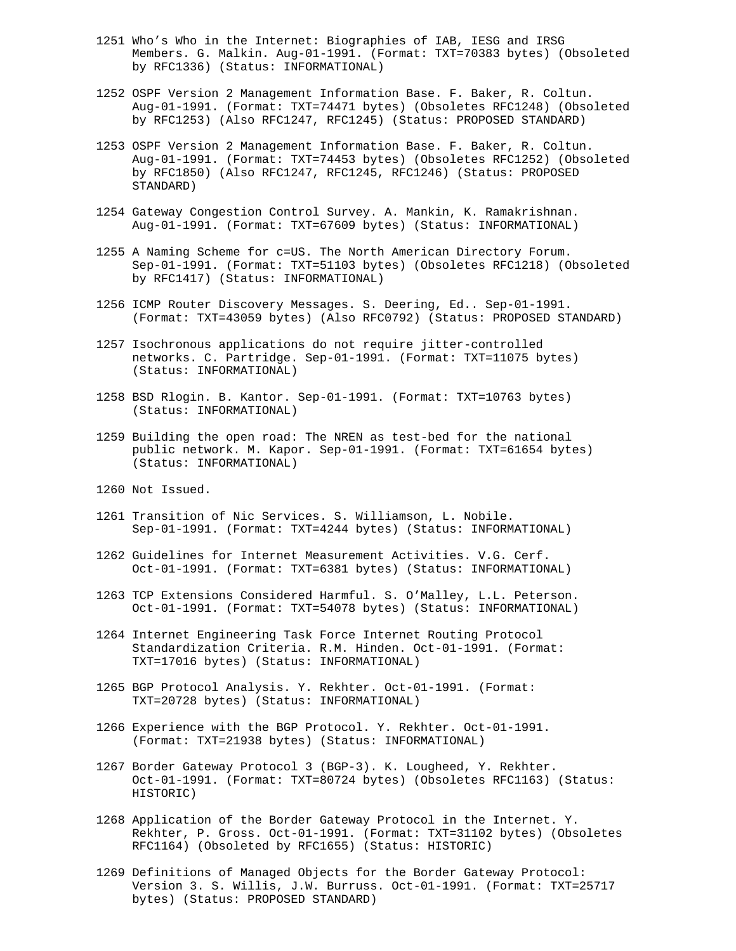- 1251 Who's Who in the Internet: Biographies of IAB, IESG and IRSG Members. G. Malkin. Aug-01-1991. (Format: TXT=70383 bytes) (Obsoleted by RFC1336) (Status: INFORMATIONAL)
- 1252 OSPF Version 2 Management Information Base. F. Baker, R. Coltun. Aug-01-1991. (Format: TXT=74471 bytes) (Obsoletes RFC1248) (Obsoleted by RFC1253) (Also RFC1247, RFC1245) (Status: PROPOSED STANDARD)
- 1253 OSPF Version 2 Management Information Base. F. Baker, R. Coltun. Aug-01-1991. (Format: TXT=74453 bytes) (Obsoletes RFC1252) (Obsoleted by RFC1850) (Also RFC1247, RFC1245, RFC1246) (Status: PROPOSED STANDARD)
- 1254 Gateway Congestion Control Survey. A. Mankin, K. Ramakrishnan. Aug-01-1991. (Format: TXT=67609 bytes) (Status: INFORMATIONAL)
- 1255 A Naming Scheme for c=US. The North American Directory Forum. Sep-01-1991. (Format: TXT=51103 bytes) (Obsoletes RFC1218) (Obsoleted by RFC1417) (Status: INFORMATIONAL)
- 1256 ICMP Router Discovery Messages. S. Deering, Ed.. Sep-01-1991. (Format: TXT=43059 bytes) (Also RFC0792) (Status: PROPOSED STANDARD)
- 1257 Isochronous applications do not require jitter-controlled networks. C. Partridge. Sep-01-1991. (Format: TXT=11075 bytes) (Status: INFORMATIONAL)
- 1258 BSD Rlogin. B. Kantor. Sep-01-1991. (Format: TXT=10763 bytes) (Status: INFORMATIONAL)
- 1259 Building the open road: The NREN as test-bed for the national public network. M. Kapor. Sep-01-1991. (Format: TXT=61654 bytes) (Status: INFORMATIONAL)
- 1260 Not Issued.
- 1261 Transition of Nic Services. S. Williamson, L. Nobile. Sep-01-1991. (Format: TXT=4244 bytes) (Status: INFORMATIONAL)
- 1262 Guidelines for Internet Measurement Activities. V.G. Cerf. Oct-01-1991. (Format: TXT=6381 bytes) (Status: INFORMATIONAL)
- 1263 TCP Extensions Considered Harmful. S. O'Malley, L.L. Peterson. Oct-01-1991. (Format: TXT=54078 bytes) (Status: INFORMATIONAL)
- 1264 Internet Engineering Task Force Internet Routing Protocol Standardization Criteria. R.M. Hinden. Oct-01-1991. (Format: TXT=17016 bytes) (Status: INFORMATIONAL)
- 1265 BGP Protocol Analysis. Y. Rekhter. Oct-01-1991. (Format: TXT=20728 bytes) (Status: INFORMATIONAL)
- 1266 Experience with the BGP Protocol. Y. Rekhter. Oct-01-1991. (Format: TXT=21938 bytes) (Status: INFORMATIONAL)
- 1267 Border Gateway Protocol 3 (BGP-3). K. Lougheed, Y. Rekhter. Oct-01-1991. (Format: TXT=80724 bytes) (Obsoletes RFC1163) (Status: HISTORIC)
- 1268 Application of the Border Gateway Protocol in the Internet. Y. Rekhter, P. Gross. Oct-01-1991. (Format: TXT=31102 bytes) (Obsoletes RFC1164) (Obsoleted by RFC1655) (Status: HISTORIC)
- 1269 Definitions of Managed Objects for the Border Gateway Protocol: Version 3. S. Willis, J.W. Burruss. Oct-01-1991. (Format: TXT=25717 bytes) (Status: PROPOSED STANDARD)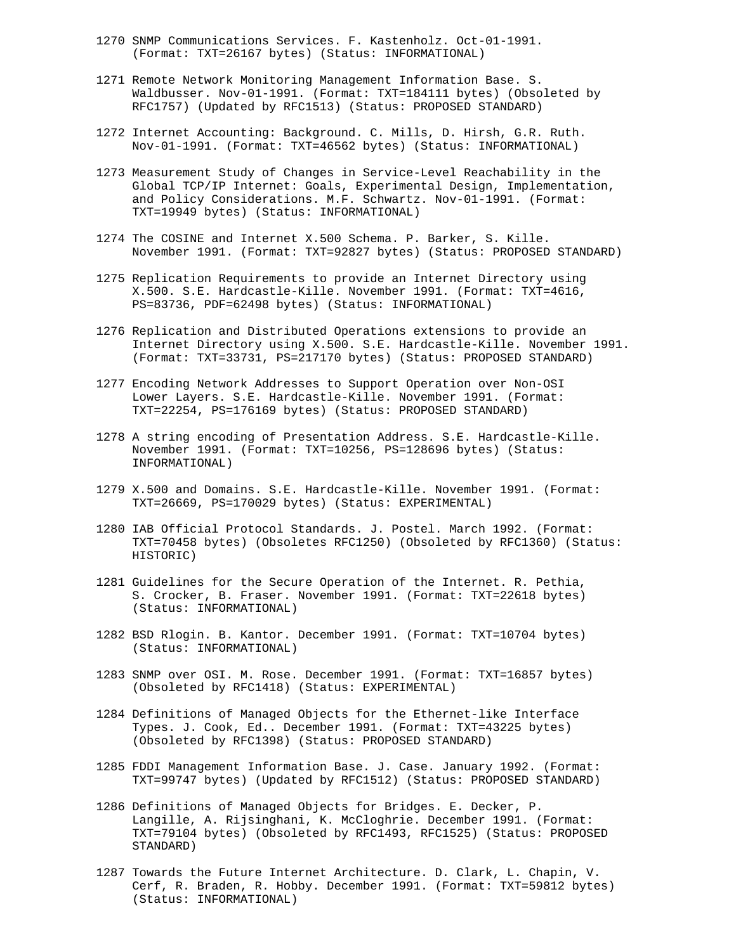- 1270 SNMP Communications Services. F. Kastenholz. Oct-01-1991. (Format: TXT=26167 bytes) (Status: INFORMATIONAL)
- 1271 Remote Network Monitoring Management Information Base. S. Waldbusser. Nov-01-1991. (Format: TXT=184111 bytes) (Obsoleted by RFC1757) (Updated by RFC1513) (Status: PROPOSED STANDARD)
- 1272 Internet Accounting: Background. C. Mills, D. Hirsh, G.R. Ruth. Nov-01-1991. (Format: TXT=46562 bytes) (Status: INFORMATIONAL)
- 1273 Measurement Study of Changes in Service-Level Reachability in the Global TCP/IP Internet: Goals, Experimental Design, Implementation, and Policy Considerations. M.F. Schwartz. Nov-01-1991. (Format: TXT=19949 bytes) (Status: INFORMATIONAL)
- 1274 The COSINE and Internet X.500 Schema. P. Barker, S. Kille. November 1991. (Format: TXT=92827 bytes) (Status: PROPOSED STANDARD)
- 1275 Replication Requirements to provide an Internet Directory using X.500. S.E. Hardcastle-Kille. November 1991. (Format: TXT=4616, PS=83736, PDF=62498 bytes) (Status: INFORMATIONAL)
- 1276 Replication and Distributed Operations extensions to provide an Internet Directory using X.500. S.E. Hardcastle-Kille. November 1991. (Format: TXT=33731, PS=217170 bytes) (Status: PROPOSED STANDARD)
- 1277 Encoding Network Addresses to Support Operation over Non-OSI Lower Layers. S.E. Hardcastle-Kille. November 1991. (Format: TXT=22254, PS=176169 bytes) (Status: PROPOSED STANDARD)
- 1278 A string encoding of Presentation Address. S.E. Hardcastle-Kille. November 1991. (Format: TXT=10256, PS=128696 bytes) (Status: INFORMATIONAL)
- 1279 X.500 and Domains. S.E. Hardcastle-Kille. November 1991. (Format: TXT=26669, PS=170029 bytes) (Status: EXPERIMENTAL)
- 1280 IAB Official Protocol Standards. J. Postel. March 1992. (Format: TXT=70458 bytes) (Obsoletes RFC1250) (Obsoleted by RFC1360) (Status: HISTORIC)
- 1281 Guidelines for the Secure Operation of the Internet. R. Pethia, S. Crocker, B. Fraser. November 1991. (Format: TXT=22618 bytes) (Status: INFORMATIONAL)
- 1282 BSD Rlogin. B. Kantor. December 1991. (Format: TXT=10704 bytes) (Status: INFORMATIONAL)
- 1283 SNMP over OSI. M. Rose. December 1991. (Format: TXT=16857 bytes) (Obsoleted by RFC1418) (Status: EXPERIMENTAL)
- 1284 Definitions of Managed Objects for the Ethernet-like Interface Types. J. Cook, Ed.. December 1991. (Format: TXT=43225 bytes) (Obsoleted by RFC1398) (Status: PROPOSED STANDARD)
- 1285 FDDI Management Information Base. J. Case. January 1992. (Format: TXT=99747 bytes) (Updated by RFC1512) (Status: PROPOSED STANDARD)
- 1286 Definitions of Managed Objects for Bridges. E. Decker, P. Langille, A. Rijsinghani, K. McCloghrie. December 1991. (Format: TXT=79104 bytes) (Obsoleted by RFC1493, RFC1525) (Status: PROPOSED STANDARD)
- 1287 Towards the Future Internet Architecture. D. Clark, L. Chapin, V. Cerf, R. Braden, R. Hobby. December 1991. (Format: TXT=59812 bytes) (Status: INFORMATIONAL)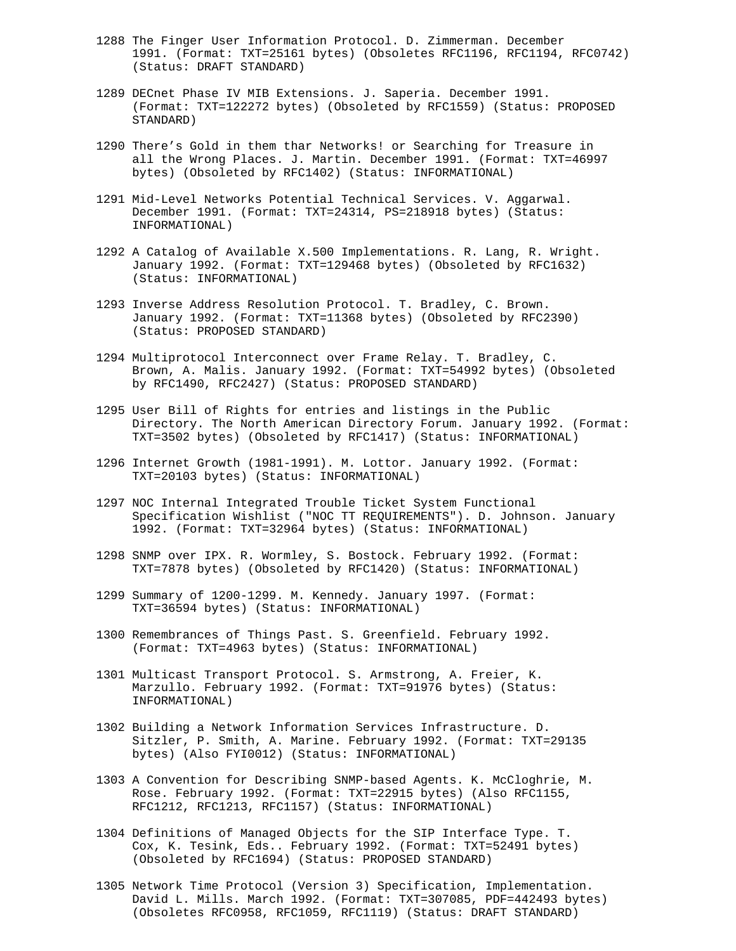- 1288 The Finger User Information Protocol. D. Zimmerman. December 1991. (Format: TXT=25161 bytes) (Obsoletes RFC1196, RFC1194, RFC0742) (Status: DRAFT STANDARD)
- 1289 DECnet Phase IV MIB Extensions. J. Saperia. December 1991. (Format: TXT=122272 bytes) (Obsoleted by RFC1559) (Status: PROPOSED STANDARD)
- 1290 There's Gold in them thar Networks! or Searching for Treasure in all the Wrong Places. J. Martin. December 1991. (Format: TXT=46997 bytes) (Obsoleted by RFC1402) (Status: INFORMATIONAL)
- 1291 Mid-Level Networks Potential Technical Services. V. Aggarwal. December 1991. (Format: TXT=24314, PS=218918 bytes) (Status: INFORMATIONAL)
- 1292 A Catalog of Available X.500 Implementations. R. Lang, R. Wright. January 1992. (Format: TXT=129468 bytes) (Obsoleted by RFC1632) (Status: INFORMATIONAL)
- 1293 Inverse Address Resolution Protocol. T. Bradley, C. Brown. January 1992. (Format: TXT=11368 bytes) (Obsoleted by RFC2390) (Status: PROPOSED STANDARD)
- 1294 Multiprotocol Interconnect over Frame Relay. T. Bradley, C. Brown, A. Malis. January 1992. (Format: TXT=54992 bytes) (Obsoleted by RFC1490, RFC2427) (Status: PROPOSED STANDARD)
- 1295 User Bill of Rights for entries and listings in the Public Directory. The North American Directory Forum. January 1992. (Format: TXT=3502 bytes) (Obsoleted by RFC1417) (Status: INFORMATIONAL)
- 1296 Internet Growth (1981-1991). M. Lottor. January 1992. (Format: TXT=20103 bytes) (Status: INFORMATIONAL)
- 1297 NOC Internal Integrated Trouble Ticket System Functional Specification Wishlist ("NOC TT REQUIREMENTS"). D. Johnson. January 1992. (Format: TXT=32964 bytes) (Status: INFORMATIONAL)
- 1298 SNMP over IPX. R. Wormley, S. Bostock. February 1992. (Format: TXT=7878 bytes) (Obsoleted by RFC1420) (Status: INFORMATIONAL)
- 1299 Summary of 1200-1299. M. Kennedy. January 1997. (Format: TXT=36594 bytes) (Status: INFORMATIONAL)
- 1300 Remembrances of Things Past. S. Greenfield. February 1992. (Format: TXT=4963 bytes) (Status: INFORMATIONAL)
- 1301 Multicast Transport Protocol. S. Armstrong, A. Freier, K. Marzullo. February 1992. (Format: TXT=91976 bytes) (Status: INFORMATIONAL)
- 1302 Building a Network Information Services Infrastructure. D. Sitzler, P. Smith, A. Marine. February 1992. (Format: TXT=29135 bytes) (Also FYI0012) (Status: INFORMATIONAL)
- 1303 A Convention for Describing SNMP-based Agents. K. McCloghrie, M. Rose. February 1992. (Format: TXT=22915 bytes) (Also RFC1155, RFC1212, RFC1213, RFC1157) (Status: INFORMATIONAL)
- 1304 Definitions of Managed Objects for the SIP Interface Type. T. Cox, K. Tesink, Eds.. February 1992. (Format: TXT=52491 bytes) (Obsoleted by RFC1694) (Status: PROPOSED STANDARD)
- 1305 Network Time Protocol (Version 3) Specification, Implementation. David L. Mills. March 1992. (Format: TXT=307085, PDF=442493 bytes) (Obsoletes RFC0958, RFC1059, RFC1119) (Status: DRAFT STANDARD)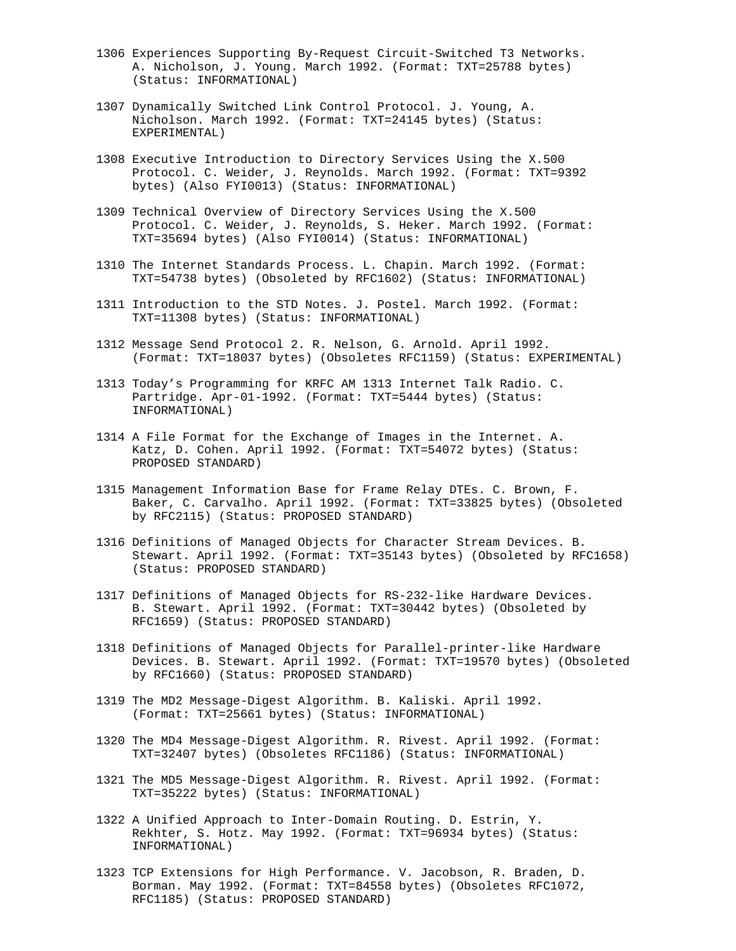- 1306 Experiences Supporting By-Request Circuit-Switched T3 Networks. A. Nicholson, J. Young. March 1992. (Format: TXT=25788 bytes) (Status: INFORMATIONAL)
- 1307 Dynamically Switched Link Control Protocol. J. Young, A. Nicholson. March 1992. (Format: TXT=24145 bytes) (Status: EXPERIMENTAL)
- 1308 Executive Introduction to Directory Services Using the X.500 Protocol. C. Weider, J. Reynolds. March 1992. (Format: TXT=9392 bytes) (Also FYI0013) (Status: INFORMATIONAL)
- 1309 Technical Overview of Directory Services Using the X.500 Protocol. C. Weider, J. Reynolds, S. Heker. March 1992. (Format: TXT=35694 bytes) (Also FYI0014) (Status: INFORMATIONAL)
- 1310 The Internet Standards Process. L. Chapin. March 1992. (Format: TXT=54738 bytes) (Obsoleted by RFC1602) (Status: INFORMATIONAL)
- 1311 Introduction to the STD Notes. J. Postel. March 1992. (Format: TXT=11308 bytes) (Status: INFORMATIONAL)
- 1312 Message Send Protocol 2. R. Nelson, G. Arnold. April 1992. (Format: TXT=18037 bytes) (Obsoletes RFC1159) (Status: EXPERIMENTAL)
- 1313 Today's Programming for KRFC AM 1313 Internet Talk Radio. C. Partridge. Apr-01-1992. (Format: TXT=5444 bytes) (Status: INFORMATIONAL)
- 1314 A File Format for the Exchange of Images in the Internet. A. Katz, D. Cohen. April 1992. (Format: TXT=54072 bytes) (Status: PROPOSED STANDARD)
- 1315 Management Information Base for Frame Relay DTEs. C. Brown, F. Baker, C. Carvalho. April 1992. (Format: TXT=33825 bytes) (Obsoleted by RFC2115) (Status: PROPOSED STANDARD)
- 1316 Definitions of Managed Objects for Character Stream Devices. B. Stewart. April 1992. (Format: TXT=35143 bytes) (Obsoleted by RFC1658) (Status: PROPOSED STANDARD)
- 1317 Definitions of Managed Objects for RS-232-like Hardware Devices. B. Stewart. April 1992. (Format: TXT=30442 bytes) (Obsoleted by RFC1659) (Status: PROPOSED STANDARD)
- 1318 Definitions of Managed Objects for Parallel-printer-like Hardware Devices. B. Stewart. April 1992. (Format: TXT=19570 bytes) (Obsoleted by RFC1660) (Status: PROPOSED STANDARD)
- 1319 The MD2 Message-Digest Algorithm. B. Kaliski. April 1992. (Format: TXT=25661 bytes) (Status: INFORMATIONAL)
- 1320 The MD4 Message-Digest Algorithm. R. Rivest. April 1992. (Format: TXT=32407 bytes) (Obsoletes RFC1186) (Status: INFORMATIONAL)
- 1321 The MD5 Message-Digest Algorithm. R. Rivest. April 1992. (Format: TXT=35222 bytes) (Status: INFORMATIONAL)
- 1322 A Unified Approach to Inter-Domain Routing. D. Estrin, Y. Rekhter, S. Hotz. May 1992. (Format: TXT=96934 bytes) (Status: INFORMATIONAL)
- 1323 TCP Extensions for High Performance. V. Jacobson, R. Braden, D. Borman. May 1992. (Format: TXT=84558 bytes) (Obsoletes RFC1072, RFC1185) (Status: PROPOSED STANDARD)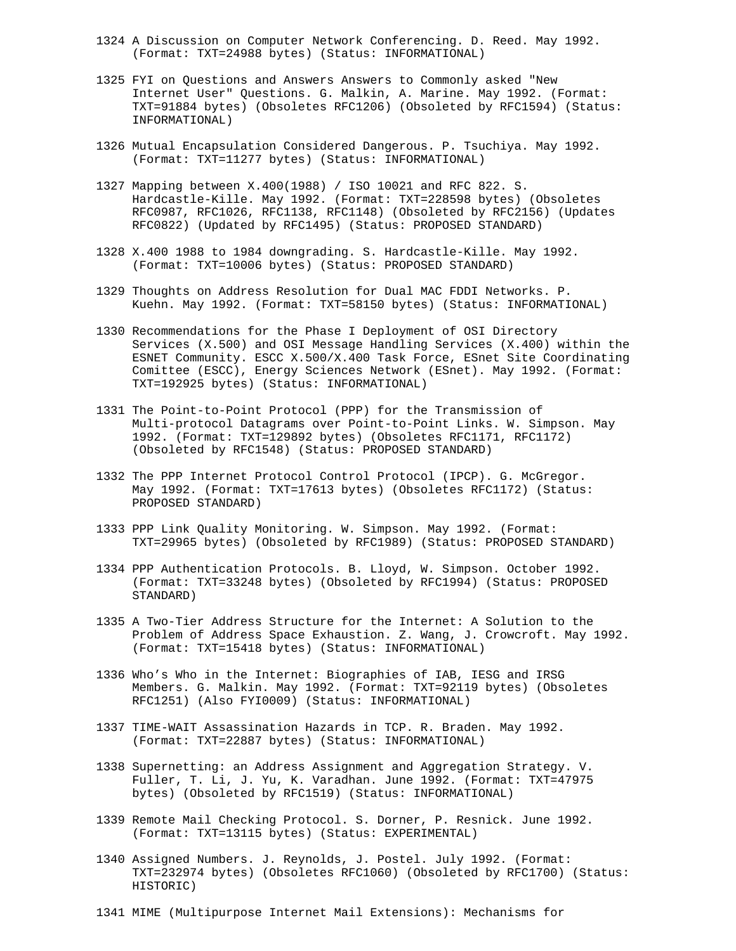- 1324 A Discussion on Computer Network Conferencing. D. Reed. May 1992. (Format: TXT=24988 bytes) (Status: INFORMATIONAL)
- 1325 FYI on Questions and Answers Answers to Commonly asked "New Internet User" Questions. G. Malkin, A. Marine. May 1992. (Format: TXT=91884 bytes) (Obsoletes RFC1206) (Obsoleted by RFC1594) (Status: INFORMATIONAL)
- 1326 Mutual Encapsulation Considered Dangerous. P. Tsuchiya. May 1992. (Format: TXT=11277 bytes) (Status: INFORMATIONAL)
- 1327 Mapping between X.400(1988) / ISO 10021 and RFC 822. S. Hardcastle-Kille. May 1992. (Format: TXT=228598 bytes) (Obsoletes RFC0987, RFC1026, RFC1138, RFC1148) (Obsoleted by RFC2156) (Updates RFC0822) (Updated by RFC1495) (Status: PROPOSED STANDARD)
- 1328 X.400 1988 to 1984 downgrading. S. Hardcastle-Kille. May 1992. (Format: TXT=10006 bytes) (Status: PROPOSED STANDARD)
- 1329 Thoughts on Address Resolution for Dual MAC FDDI Networks. P. Kuehn. May 1992. (Format: TXT=58150 bytes) (Status: INFORMATIONAL)
- 1330 Recommendations for the Phase I Deployment of OSI Directory Services (X.500) and OSI Message Handling Services (X.400) within the ESNET Community. ESCC X.500/X.400 Task Force, ESnet Site Coordinating Comittee (ESCC), Energy Sciences Network (ESnet). May 1992. (Format: TXT=192925 bytes) (Status: INFORMATIONAL)
- 1331 The Point-to-Point Protocol (PPP) for the Transmission of Multi-protocol Datagrams over Point-to-Point Links. W. Simpson. May 1992. (Format: TXT=129892 bytes) (Obsoletes RFC1171, RFC1172) (Obsoleted by RFC1548) (Status: PROPOSED STANDARD)
- 1332 The PPP Internet Protocol Control Protocol (IPCP). G. McGregor. May 1992. (Format: TXT=17613 bytes) (Obsoletes RFC1172) (Status: PROPOSED STANDARD)
- 1333 PPP Link Quality Monitoring. W. Simpson. May 1992. (Format: TXT=29965 bytes) (Obsoleted by RFC1989) (Status: PROPOSED STANDARD)
- 1334 PPP Authentication Protocols. B. Lloyd, W. Simpson. October 1992. (Format: TXT=33248 bytes) (Obsoleted by RFC1994) (Status: PROPOSED STANDARD)
- 1335 A Two-Tier Address Structure for the Internet: A Solution to the Problem of Address Space Exhaustion. Z. Wang, J. Crowcroft. May 1992. (Format: TXT=15418 bytes) (Status: INFORMATIONAL)
- 1336 Who's Who in the Internet: Biographies of IAB, IESG and IRSG Members. G. Malkin. May 1992. (Format: TXT=92119 bytes) (Obsoletes RFC1251) (Also FYI0009) (Status: INFORMATIONAL)
- 1337 TIME-WAIT Assassination Hazards in TCP. R. Braden. May 1992. (Format: TXT=22887 bytes) (Status: INFORMATIONAL)
- 1338 Supernetting: an Address Assignment and Aggregation Strategy. V. Fuller, T. Li, J. Yu, K. Varadhan. June 1992. (Format: TXT=47975 bytes) (Obsoleted by RFC1519) (Status: INFORMATIONAL)
- 1339 Remote Mail Checking Protocol. S. Dorner, P. Resnick. June 1992. (Format: TXT=13115 bytes) (Status: EXPERIMENTAL)
- 1340 Assigned Numbers. J. Reynolds, J. Postel. July 1992. (Format: TXT=232974 bytes) (Obsoletes RFC1060) (Obsoleted by RFC1700) (Status: HISTORIC)
- 1341 MIME (Multipurpose Internet Mail Extensions): Mechanisms for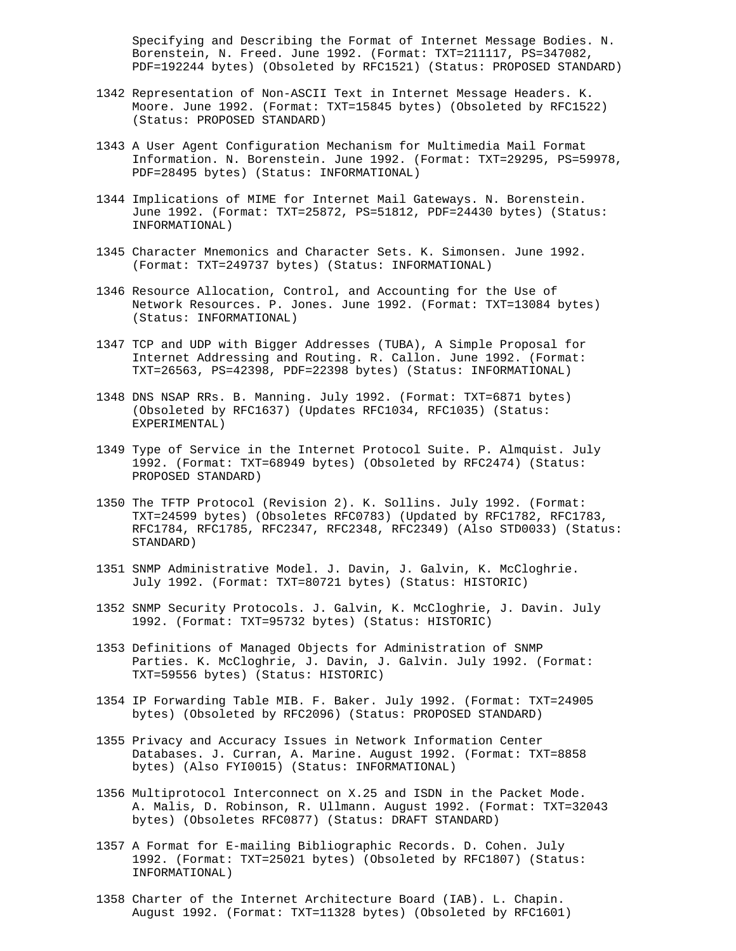Specifying and Describing the Format of Internet Message Bodies. N. Borenstein, N. Freed. June 1992. (Format: TXT=211117, PS=347082, PDF=192244 bytes) (Obsoleted by RFC1521) (Status: PROPOSED STANDARD)

- 1342 Representation of Non-ASCII Text in Internet Message Headers. K. Moore. June 1992. (Format: TXT=15845 bytes) (Obsoleted by RFC1522) (Status: PROPOSED STANDARD)
- 1343 A User Agent Configuration Mechanism for Multimedia Mail Format Information. N. Borenstein. June 1992. (Format: TXT=29295, PS=59978, PDF=28495 bytes) (Status: INFORMATIONAL)
- 1344 Implications of MIME for Internet Mail Gateways. N. Borenstein. June 1992. (Format: TXT=25872, PS=51812, PDF=24430 bytes) (Status: INFORMATIONAL)
- 1345 Character Mnemonics and Character Sets. K. Simonsen. June 1992. (Format: TXT=249737 bytes) (Status: INFORMATIONAL)
- 1346 Resource Allocation, Control, and Accounting for the Use of Network Resources. P. Jones. June 1992. (Format: TXT=13084 bytes) (Status: INFORMATIONAL)
- 1347 TCP and UDP with Bigger Addresses (TUBA), A Simple Proposal for Internet Addressing and Routing. R. Callon. June 1992. (Format: TXT=26563, PS=42398, PDF=22398 bytes) (Status: INFORMATIONAL)
- 1348 DNS NSAP RRs. B. Manning. July 1992. (Format: TXT=6871 bytes) (Obsoleted by RFC1637) (Updates RFC1034, RFC1035) (Status: EXPERIMENTAL)
- 1349 Type of Service in the Internet Protocol Suite. P. Almquist. July 1992. (Format: TXT=68949 bytes) (Obsoleted by RFC2474) (Status: PROPOSED STANDARD)
- 1350 The TFTP Protocol (Revision 2). K. Sollins. July 1992. (Format: TXT=24599 bytes) (Obsoletes RFC0783) (Updated by RFC1782, RFC1783, RFC1784, RFC1785, RFC2347, RFC2348, RFC2349) (Also STD0033) (Status: STANDARD)
- 1351 SNMP Administrative Model. J. Davin, J. Galvin, K. McCloghrie. July 1992. (Format: TXT=80721 bytes) (Status: HISTORIC)
- 1352 SNMP Security Protocols. J. Galvin, K. McCloghrie, J. Davin. July 1992. (Format: TXT=95732 bytes) (Status: HISTORIC)
- 1353 Definitions of Managed Objects for Administration of SNMP Parties. K. McCloghrie, J. Davin, J. Galvin. July 1992. (Format: TXT=59556 bytes) (Status: HISTORIC)
- 1354 IP Forwarding Table MIB. F. Baker. July 1992. (Format: TXT=24905 bytes) (Obsoleted by RFC2096) (Status: PROPOSED STANDARD)
- 1355 Privacy and Accuracy Issues in Network Information Center Databases. J. Curran, A. Marine. August 1992. (Format: TXT=8858 bytes) (Also FYI0015) (Status: INFORMATIONAL)
- 1356 Multiprotocol Interconnect on X.25 and ISDN in the Packet Mode. A. Malis, D. Robinson, R. Ullmann. August 1992. (Format: TXT=32043 bytes) (Obsoletes RFC0877) (Status: DRAFT STANDARD)
- 1357 A Format for E-mailing Bibliographic Records. D. Cohen. July 1992. (Format: TXT=25021 bytes) (Obsoleted by RFC1807) (Status: INFORMATIONAL)
- 1358 Charter of the Internet Architecture Board (IAB). L. Chapin. August 1992. (Format: TXT=11328 bytes) (Obsoleted by RFC1601)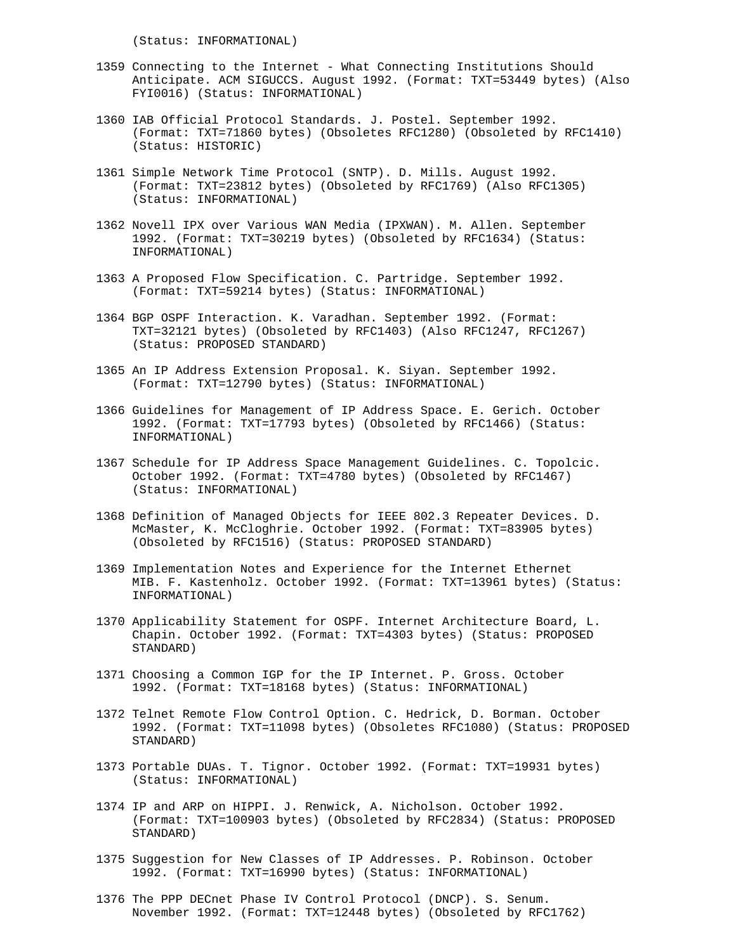(Status: INFORMATIONAL)

- 1359 Connecting to the Internet What Connecting Institutions Should Anticipate. ACM SIGUCCS. August 1992. (Format: TXT=53449 bytes) (Also FYI0016) (Status: INFORMATIONAL)
- 1360 IAB Official Protocol Standards. J. Postel. September 1992. (Format: TXT=71860 bytes) (Obsoletes RFC1280) (Obsoleted by RFC1410) (Status: HISTORIC)
- 1361 Simple Network Time Protocol (SNTP). D. Mills. August 1992. (Format: TXT=23812 bytes) (Obsoleted by RFC1769) (Also RFC1305) (Status: INFORMATIONAL)
- 1362 Novell IPX over Various WAN Media (IPXWAN). M. Allen. September 1992. (Format: TXT=30219 bytes) (Obsoleted by RFC1634) (Status: INFORMATIONAL)
- 1363 A Proposed Flow Specification. C. Partridge. September 1992. (Format: TXT=59214 bytes) (Status: INFORMATIONAL)
- 1364 BGP OSPF Interaction. K. Varadhan. September 1992. (Format: TXT=32121 bytes) (Obsoleted by RFC1403) (Also RFC1247, RFC1267) (Status: PROPOSED STANDARD)
- 1365 An IP Address Extension Proposal. K. Siyan. September 1992. (Format: TXT=12790 bytes) (Status: INFORMATIONAL)
- 1366 Guidelines for Management of IP Address Space. E. Gerich. October 1992. (Format: TXT=17793 bytes) (Obsoleted by RFC1466) (Status: INFORMATIONAL)
- 1367 Schedule for IP Address Space Management Guidelines. C. Topolcic. October 1992. (Format: TXT=4780 bytes) (Obsoleted by RFC1467) (Status: INFORMATIONAL)
- 1368 Definition of Managed Objects for IEEE 802.3 Repeater Devices. D. McMaster, K. McCloghrie. October 1992. (Format: TXT=83905 bytes) (Obsoleted by RFC1516) (Status: PROPOSED STANDARD)
- 1369 Implementation Notes and Experience for the Internet Ethernet MIB. F. Kastenholz. October 1992. (Format: TXT=13961 bytes) (Status: INFORMATIONAL)
- 1370 Applicability Statement for OSPF. Internet Architecture Board, L. Chapin. October 1992. (Format: TXT=4303 bytes) (Status: PROPOSED STANDARD)
- 1371 Choosing a Common IGP for the IP Internet. P. Gross. October 1992. (Format: TXT=18168 bytes) (Status: INFORMATIONAL)
- 1372 Telnet Remote Flow Control Option. C. Hedrick, D. Borman. October 1992. (Format: TXT=11098 bytes) (Obsoletes RFC1080) (Status: PROPOSED STANDARD)
- 1373 Portable DUAs. T. Tignor. October 1992. (Format: TXT=19931 bytes) (Status: INFORMATIONAL)
- 1374 IP and ARP on HIPPI. J. Renwick, A. Nicholson. October 1992. (Format: TXT=100903 bytes) (Obsoleted by RFC2834) (Status: PROPOSED STANDARD)
- 1375 Suggestion for New Classes of IP Addresses. P. Robinson. October 1992. (Format: TXT=16990 bytes) (Status: INFORMATIONAL)
- 1376 The PPP DECnet Phase IV Control Protocol (DNCP). S. Senum. November 1992. (Format: TXT=12448 bytes) (Obsoleted by RFC1762)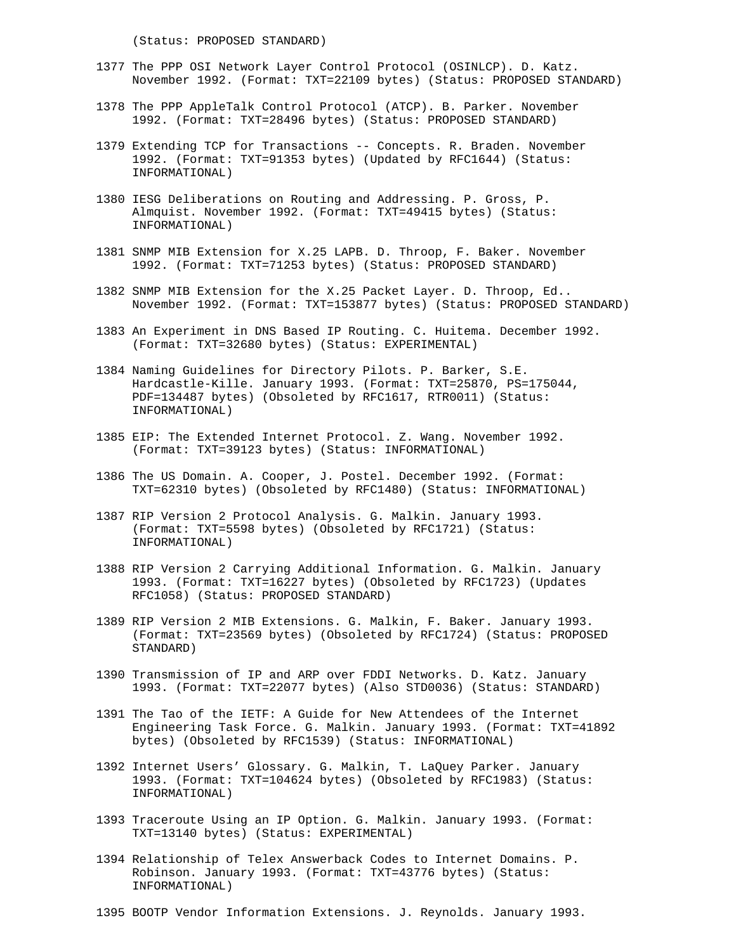(Status: PROPOSED STANDARD)

- 1377 The PPP OSI Network Layer Control Protocol (OSINLCP). D. Katz. November 1992. (Format: TXT=22109 bytes) (Status: PROPOSED STANDARD)
- 1378 The PPP AppleTalk Control Protocol (ATCP). B. Parker. November 1992. (Format: TXT=28496 bytes) (Status: PROPOSED STANDARD)
- 1379 Extending TCP for Transactions -- Concepts. R. Braden. November 1992. (Format: TXT=91353 bytes) (Updated by RFC1644) (Status: INFORMATIONAL)
- 1380 IESG Deliberations on Routing and Addressing. P. Gross, P. Almquist. November 1992. (Format: TXT=49415 bytes) (Status: INFORMATIONAL)
- 1381 SNMP MIB Extension for X.25 LAPB. D. Throop, F. Baker. November 1992. (Format: TXT=71253 bytes) (Status: PROPOSED STANDARD)
- 1382 SNMP MIB Extension for the X.25 Packet Layer. D. Throop, Ed.. November 1992. (Format: TXT=153877 bytes) (Status: PROPOSED STANDARD)
- 1383 An Experiment in DNS Based IP Routing. C. Huitema. December 1992. (Format: TXT=32680 bytes) (Status: EXPERIMENTAL)
- 1384 Naming Guidelines for Directory Pilots. P. Barker, S.E. Hardcastle-Kille. January 1993. (Format: TXT=25870, PS=175044, PDF=134487 bytes) (Obsoleted by RFC1617, RTR0011) (Status: INFORMATIONAL)
- 1385 EIP: The Extended Internet Protocol. Z. Wang. November 1992. (Format: TXT=39123 bytes) (Status: INFORMATIONAL)
- 1386 The US Domain. A. Cooper, J. Postel. December 1992. (Format: TXT=62310 bytes) (Obsoleted by RFC1480) (Status: INFORMATIONAL)
- 1387 RIP Version 2 Protocol Analysis. G. Malkin. January 1993. (Format: TXT=5598 bytes) (Obsoleted by RFC1721) (Status: INFORMATIONAL)
- 1388 RIP Version 2 Carrying Additional Information. G. Malkin. January 1993. (Format: TXT=16227 bytes) (Obsoleted by RFC1723) (Updates RFC1058) (Status: PROPOSED STANDARD)
- 1389 RIP Version 2 MIB Extensions. G. Malkin, F. Baker. January 1993. (Format: TXT=23569 bytes) (Obsoleted by RFC1724) (Status: PROPOSED STANDARD)
- 1390 Transmission of IP and ARP over FDDI Networks. D. Katz. January 1993. (Format: TXT=22077 bytes) (Also STD0036) (Status: STANDARD)
- 1391 The Tao of the IETF: A Guide for New Attendees of the Internet Engineering Task Force. G. Malkin. January 1993. (Format: TXT=41892 bytes) (Obsoleted by RFC1539) (Status: INFORMATIONAL)
- 1392 Internet Users' Glossary. G. Malkin, T. LaQuey Parker. January 1993. (Format: TXT=104624 bytes) (Obsoleted by RFC1983) (Status: INFORMATIONAL)
- 1393 Traceroute Using an IP Option. G. Malkin. January 1993. (Format: TXT=13140 bytes) (Status: EXPERIMENTAL)
- 1394 Relationship of Telex Answerback Codes to Internet Domains. P. Robinson. January 1993. (Format: TXT=43776 bytes) (Status: INFORMATIONAL)
- 1395 BOOTP Vendor Information Extensions. J. Reynolds. January 1993.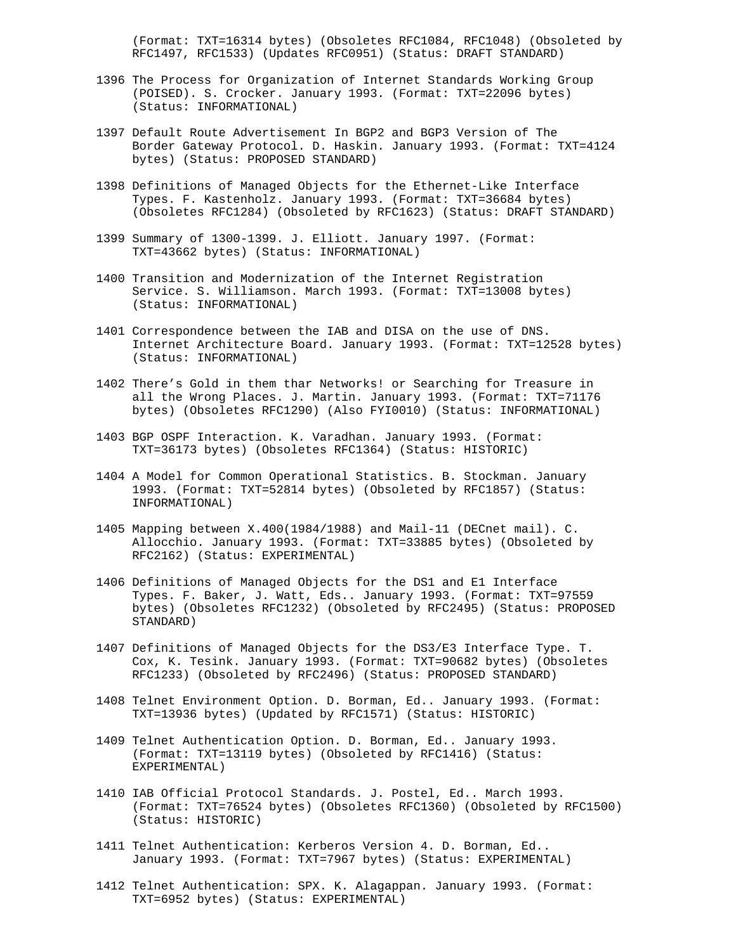(Format: TXT=16314 bytes) (Obsoletes RFC1084, RFC1048) (Obsoleted by RFC1497, RFC1533) (Updates RFC0951) (Status: DRAFT STANDARD)

- 1396 The Process for Organization of Internet Standards Working Group (POISED). S. Crocker. January 1993. (Format: TXT=22096 bytes) (Status: INFORMATIONAL)
- 1397 Default Route Advertisement In BGP2 and BGP3 Version of The Border Gateway Protocol. D. Haskin. January 1993. (Format: TXT=4124 bytes) (Status: PROPOSED STANDARD)
- 1398 Definitions of Managed Objects for the Ethernet-Like Interface Types. F. Kastenholz. January 1993. (Format: TXT=36684 bytes) (Obsoletes RFC1284) (Obsoleted by RFC1623) (Status: DRAFT STANDARD)
- 1399 Summary of 1300-1399. J. Elliott. January 1997. (Format: TXT=43662 bytes) (Status: INFORMATIONAL)
- 1400 Transition and Modernization of the Internet Registration Service. S. Williamson. March 1993. (Format: TXT=13008 bytes) (Status: INFORMATIONAL)
- 1401 Correspondence between the IAB and DISA on the use of DNS. Internet Architecture Board. January 1993. (Format: TXT=12528 bytes) (Status: INFORMATIONAL)
- 1402 There's Gold in them thar Networks! or Searching for Treasure in all the Wrong Places. J. Martin. January 1993. (Format: TXT=71176 bytes) (Obsoletes RFC1290) (Also FYI0010) (Status: INFORMATIONAL)
- 1403 BGP OSPF Interaction. K. Varadhan. January 1993. (Format: TXT=36173 bytes) (Obsoletes RFC1364) (Status: HISTORIC)
- 1404 A Model for Common Operational Statistics. B. Stockman. January 1993. (Format: TXT=52814 bytes) (Obsoleted by RFC1857) (Status: INFORMATIONAL)
- 1405 Mapping between X.400(1984/1988) and Mail-11 (DECnet mail). C. Allocchio. January 1993. (Format: TXT=33885 bytes) (Obsoleted by RFC2162) (Status: EXPERIMENTAL)
- 1406 Definitions of Managed Objects for the DS1 and E1 Interface Types. F. Baker, J. Watt, Eds.. January 1993. (Format: TXT=97559 bytes) (Obsoletes RFC1232) (Obsoleted by RFC2495) (Status: PROPOSED STANDARD)
- 1407 Definitions of Managed Objects for the DS3/E3 Interface Type. T. Cox, K. Tesink. January 1993. (Format: TXT=90682 bytes) (Obsoletes RFC1233) (Obsoleted by RFC2496) (Status: PROPOSED STANDARD)
- 1408 Telnet Environment Option. D. Borman, Ed.. January 1993. (Format: TXT=13936 bytes) (Updated by RFC1571) (Status: HISTORIC)
- 1409 Telnet Authentication Option. D. Borman, Ed.. January 1993. (Format: TXT=13119 bytes) (Obsoleted by RFC1416) (Status: EXPERIMENTAL)
- 1410 IAB Official Protocol Standards. J. Postel, Ed.. March 1993. (Format: TXT=76524 bytes) (Obsoletes RFC1360) (Obsoleted by RFC1500) (Status: HISTORIC)
- 1411 Telnet Authentication: Kerberos Version 4. D. Borman, Ed.. January 1993. (Format: TXT=7967 bytes) (Status: EXPERIMENTAL)
- 1412 Telnet Authentication: SPX. K. Alagappan. January 1993. (Format: TXT=6952 bytes) (Status: EXPERIMENTAL)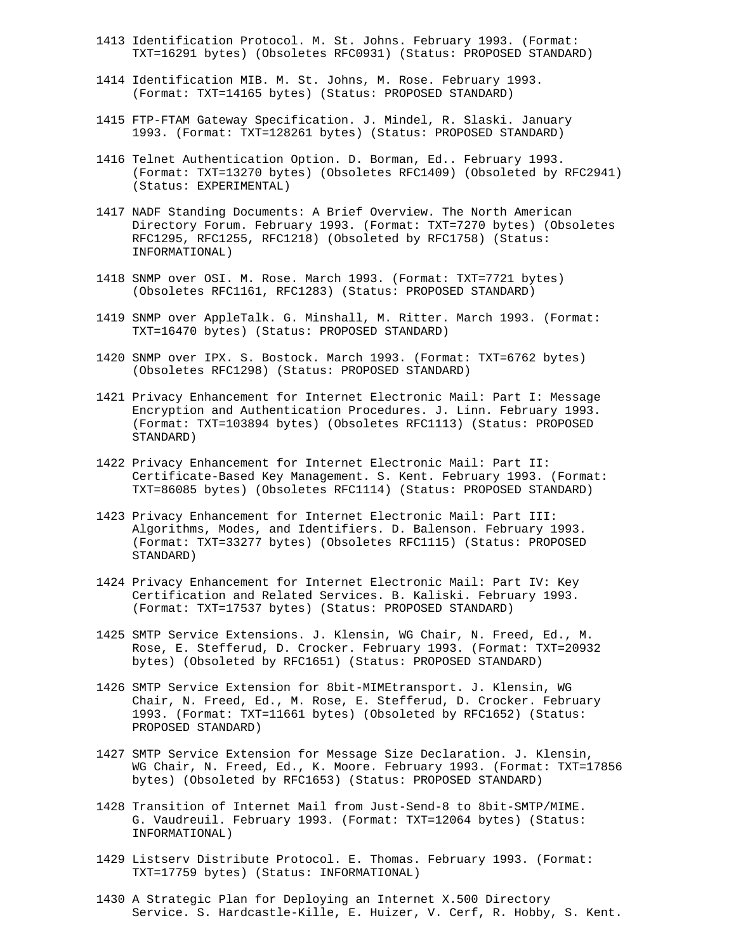- 1413 Identification Protocol. M. St. Johns. February 1993. (Format: TXT=16291 bytes) (Obsoletes RFC0931) (Status: PROPOSED STANDARD)
- 1414 Identification MIB. M. St. Johns, M. Rose. February 1993. (Format: TXT=14165 bytes) (Status: PROPOSED STANDARD)
- 1415 FTP-FTAM Gateway Specification. J. Mindel, R. Slaski. January 1993. (Format: TXT=128261 bytes) (Status: PROPOSED STANDARD)
- 1416 Telnet Authentication Option. D. Borman, Ed.. February 1993. (Format: TXT=13270 bytes) (Obsoletes RFC1409) (Obsoleted by RFC2941) (Status: EXPERIMENTAL)
- 1417 NADF Standing Documents: A Brief Overview. The North American Directory Forum. February 1993. (Format: TXT=7270 bytes) (Obsoletes RFC1295, RFC1255, RFC1218) (Obsoleted by RFC1758) (Status: INFORMATIONAL)
- 1418 SNMP over OSI. M. Rose. March 1993. (Format: TXT=7721 bytes) (Obsoletes RFC1161, RFC1283) (Status: PROPOSED STANDARD)
- 1419 SNMP over AppleTalk. G. Minshall, M. Ritter. March 1993. (Format: TXT=16470 bytes) (Status: PROPOSED STANDARD)
- 1420 SNMP over IPX. S. Bostock. March 1993. (Format: TXT=6762 bytes) (Obsoletes RFC1298) (Status: PROPOSED STANDARD)
- 1421 Privacy Enhancement for Internet Electronic Mail: Part I: Message Encryption and Authentication Procedures. J. Linn. February 1993. (Format: TXT=103894 bytes) (Obsoletes RFC1113) (Status: PROPOSED STANDARD)
- 1422 Privacy Enhancement for Internet Electronic Mail: Part II: Certificate-Based Key Management. S. Kent. February 1993. (Format: TXT=86085 bytes) (Obsoletes RFC1114) (Status: PROPOSED STANDARD)
- 1423 Privacy Enhancement for Internet Electronic Mail: Part III: Algorithms, Modes, and Identifiers. D. Balenson. February 1993. (Format: TXT=33277 bytes) (Obsoletes RFC1115) (Status: PROPOSED STANDARD)
- 1424 Privacy Enhancement for Internet Electronic Mail: Part IV: Key Certification and Related Services. B. Kaliski. February 1993. (Format: TXT=17537 bytes) (Status: PROPOSED STANDARD)
- 1425 SMTP Service Extensions. J. Klensin, WG Chair, N. Freed, Ed., M. Rose, E. Stefferud, D. Crocker. February 1993. (Format: TXT=20932 bytes) (Obsoleted by RFC1651) (Status: PROPOSED STANDARD)
- 1426 SMTP Service Extension for 8bit-MIMEtransport. J. Klensin, WG Chair, N. Freed, Ed., M. Rose, E. Stefferud, D. Crocker. February 1993. (Format: TXT=11661 bytes) (Obsoleted by RFC1652) (Status: PROPOSED STANDARD)
- 1427 SMTP Service Extension for Message Size Declaration. J. Klensin, WG Chair, N. Freed, Ed., K. Moore. February 1993. (Format: TXT=17856 bytes) (Obsoleted by RFC1653) (Status: PROPOSED STANDARD)
- 1428 Transition of Internet Mail from Just-Send-8 to 8bit-SMTP/MIME. G. Vaudreuil. February 1993. (Format: TXT=12064 bytes) (Status: INFORMATIONAL)
- 1429 Listserv Distribute Protocol. E. Thomas. February 1993. (Format: TXT=17759 bytes) (Status: INFORMATIONAL)
- 1430 A Strategic Plan for Deploying an Internet X.500 Directory Service. S. Hardcastle-Kille, E. Huizer, V. Cerf, R. Hobby, S. Kent.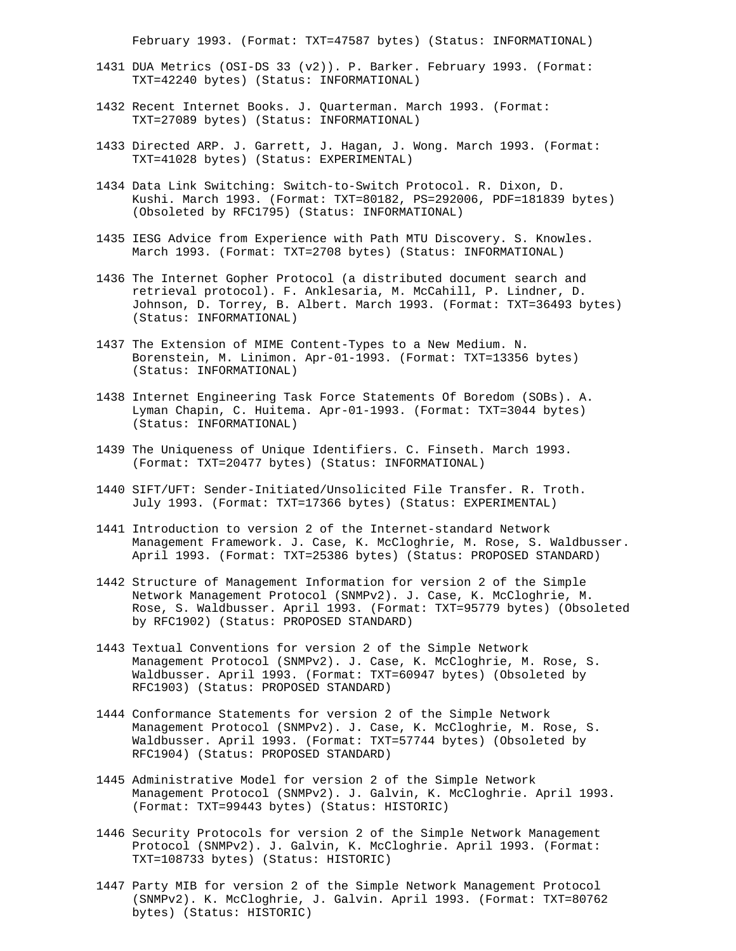February 1993. (Format: TXT=47587 bytes) (Status: INFORMATIONAL)

- 1431 DUA Metrics (OSI-DS 33 (v2)). P. Barker. February 1993. (Format: TXT=42240 bytes) (Status: INFORMATIONAL)
- 1432 Recent Internet Books. J. Quarterman. March 1993. (Format: TXT=27089 bytes) (Status: INFORMATIONAL)
- 1433 Directed ARP. J. Garrett, J. Hagan, J. Wong. March 1993. (Format: TXT=41028 bytes) (Status: EXPERIMENTAL)
- 1434 Data Link Switching: Switch-to-Switch Protocol. R. Dixon, D. Kushi. March 1993. (Format: TXT=80182, PS=292006, PDF=181839 bytes) (Obsoleted by RFC1795) (Status: INFORMATIONAL)
- 1435 IESG Advice from Experience with Path MTU Discovery. S. Knowles. March 1993. (Format: TXT=2708 bytes) (Status: INFORMATIONAL)
- 1436 The Internet Gopher Protocol (a distributed document search and retrieval protocol). F. Anklesaria, M. McCahill, P. Lindner, D. Johnson, D. Torrey, B. Albert. March 1993. (Format: TXT=36493 bytes) (Status: INFORMATIONAL)
- 1437 The Extension of MIME Content-Types to a New Medium. N. Borenstein, M. Linimon. Apr-01-1993. (Format: TXT=13356 bytes) (Status: INFORMATIONAL)
- 1438 Internet Engineering Task Force Statements Of Boredom (SOBs). A. Lyman Chapin, C. Huitema. Apr-01-1993. (Format: TXT=3044 bytes) (Status: INFORMATIONAL)
- 1439 The Uniqueness of Unique Identifiers. C. Finseth. March 1993. (Format: TXT=20477 bytes) (Status: INFORMATIONAL)
- 1440 SIFT/UFT: Sender-Initiated/Unsolicited File Transfer. R. Troth. July 1993. (Format: TXT=17366 bytes) (Status: EXPERIMENTAL)
- 1441 Introduction to version 2 of the Internet-standard Network Management Framework. J. Case, K. McCloghrie, M. Rose, S. Waldbusser. April 1993. (Format: TXT=25386 bytes) (Status: PROPOSED STANDARD)
- 1442 Structure of Management Information for version 2 of the Simple Network Management Protocol (SNMPv2). J. Case, K. McCloghrie, M. Rose, S. Waldbusser. April 1993. (Format: TXT=95779 bytes) (Obsoleted by RFC1902) (Status: PROPOSED STANDARD)
- 1443 Textual Conventions for version 2 of the Simple Network Management Protocol (SNMPv2). J. Case, K. McCloghrie, M. Rose, S. Waldbusser. April 1993. (Format: TXT=60947 bytes) (Obsoleted by RFC1903) (Status: PROPOSED STANDARD)
- 1444 Conformance Statements for version 2 of the Simple Network Management Protocol (SNMPv2). J. Case, K. McCloghrie, M. Rose, S. Waldbusser. April 1993. (Format: TXT=57744 bytes) (Obsoleted by RFC1904) (Status: PROPOSED STANDARD)
- 1445 Administrative Model for version 2 of the Simple Network Management Protocol (SNMPv2). J. Galvin, K. McCloghrie. April 1993. (Format: TXT=99443 bytes) (Status: HISTORIC)
- 1446 Security Protocols for version 2 of the Simple Network Management Protocol (SNMPv2). J. Galvin, K. McCloghrie. April 1993. (Format: TXT=108733 bytes) (Status: HISTORIC)
- 1447 Party MIB for version 2 of the Simple Network Management Protocol (SNMPv2). K. McCloghrie, J. Galvin. April 1993. (Format: TXT=80762 bytes) (Status: HISTORIC)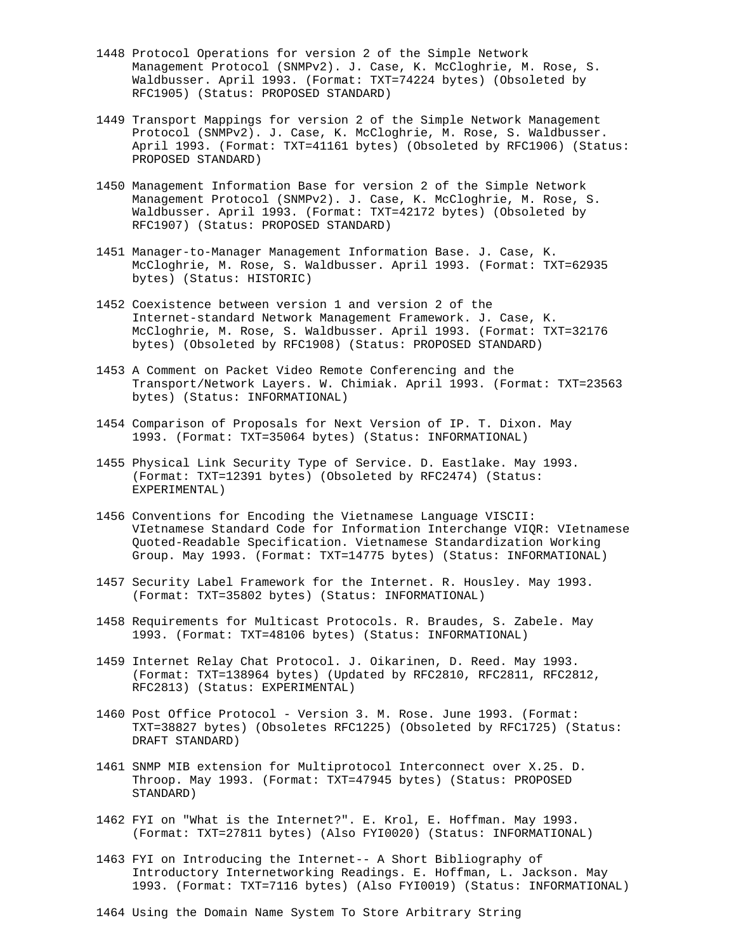- 1448 Protocol Operations for version 2 of the Simple Network Management Protocol (SNMPv2). J. Case, K. McCloghrie, M. Rose, S. Waldbusser. April 1993. (Format: TXT=74224 bytes) (Obsoleted by RFC1905) (Status: PROPOSED STANDARD)
- 1449 Transport Mappings for version 2 of the Simple Network Management Protocol (SNMPv2). J. Case, K. McCloghrie, M. Rose, S. Waldbusser. April 1993. (Format: TXT=41161 bytes) (Obsoleted by RFC1906) (Status: PROPOSED STANDARD)
- 1450 Management Information Base for version 2 of the Simple Network Management Protocol (SNMPv2). J. Case, K. McCloghrie, M. Rose, S. Waldbusser. April 1993. (Format: TXT=42172 bytes) (Obsoleted by RFC1907) (Status: PROPOSED STANDARD)
- 1451 Manager-to-Manager Management Information Base. J. Case, K. McCloghrie, M. Rose, S. Waldbusser. April 1993. (Format: TXT=62935 bytes) (Status: HISTORIC)
- 1452 Coexistence between version 1 and version 2 of the Internet-standard Network Management Framework. J. Case, K. McCloghrie, M. Rose, S. Waldbusser. April 1993. (Format: TXT=32176 bytes) (Obsoleted by RFC1908) (Status: PROPOSED STANDARD)
- 1453 A Comment on Packet Video Remote Conferencing and the Transport/Network Layers. W. Chimiak. April 1993. (Format: TXT=23563 bytes) (Status: INFORMATIONAL)
- 1454 Comparison of Proposals for Next Version of IP. T. Dixon. May 1993. (Format: TXT=35064 bytes) (Status: INFORMATIONAL)
- 1455 Physical Link Security Type of Service. D. Eastlake. May 1993. (Format: TXT=12391 bytes) (Obsoleted by RFC2474) (Status: EXPERIMENTAL)
- 1456 Conventions for Encoding the Vietnamese Language VISCII: VIetnamese Standard Code for Information Interchange VIQR: VIetnamese Quoted-Readable Specification. Vietnamese Standardization Working Group. May 1993. (Format: TXT=14775 bytes) (Status: INFORMATIONAL)
- 1457 Security Label Framework for the Internet. R. Housley. May 1993. (Format: TXT=35802 bytes) (Status: INFORMATIONAL)
- 1458 Requirements for Multicast Protocols. R. Braudes, S. Zabele. May 1993. (Format: TXT=48106 bytes) (Status: INFORMATIONAL)
- 1459 Internet Relay Chat Protocol. J. Oikarinen, D. Reed. May 1993. (Format: TXT=138964 bytes) (Updated by RFC2810, RFC2811, RFC2812, RFC2813) (Status: EXPERIMENTAL)
- 1460 Post Office Protocol Version 3. M. Rose. June 1993. (Format: TXT=38827 bytes) (Obsoletes RFC1225) (Obsoleted by RFC1725) (Status: DRAFT STANDARD)
- 1461 SNMP MIB extension for Multiprotocol Interconnect over X.25. D. Throop. May 1993. (Format: TXT=47945 bytes) (Status: PROPOSED STANDARD)
- 1462 FYI on "What is the Internet?". E. Krol, E. Hoffman. May 1993. (Format: TXT=27811 bytes) (Also FYI0020) (Status: INFORMATIONAL)
- 1463 FYI on Introducing the Internet-- A Short Bibliography of Introductory Internetworking Readings. E. Hoffman, L. Jackson. May 1993. (Format: TXT=7116 bytes) (Also FYI0019) (Status: INFORMATIONAL)
- 1464 Using the Domain Name System To Store Arbitrary String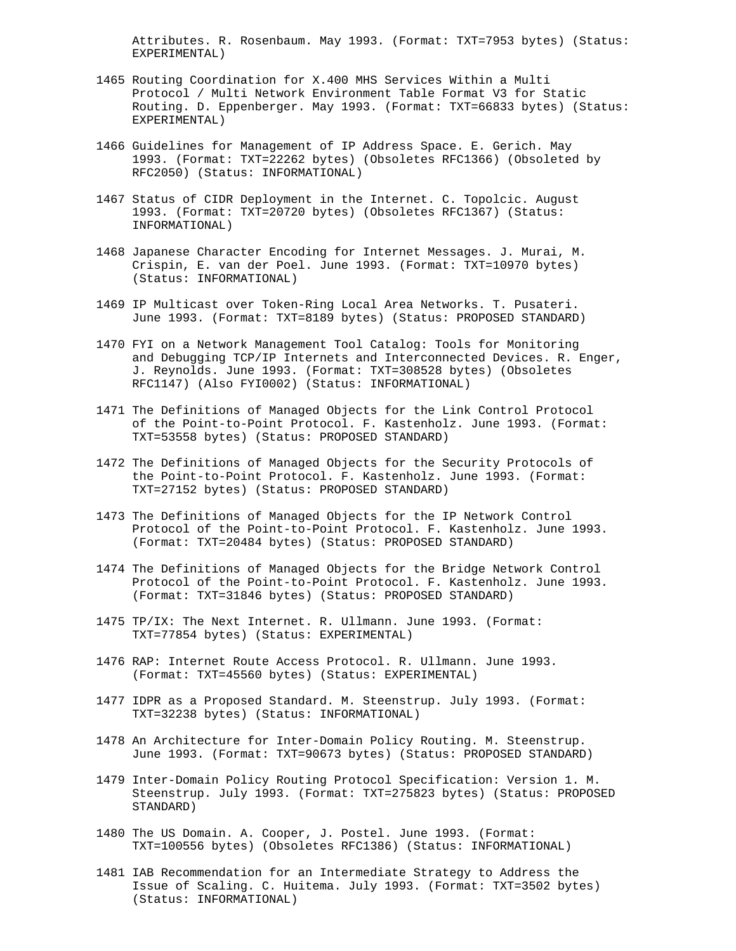Attributes. R. Rosenbaum. May 1993. (Format: TXT=7953 bytes) (Status: EXPERIMENTAL)

- 1465 Routing Coordination for X.400 MHS Services Within a Multi Protocol / Multi Network Environment Table Format V3 for Static Routing. D. Eppenberger. May 1993. (Format: TXT=66833 bytes) (Status: EXPERIMENTAL)
- 1466 Guidelines for Management of IP Address Space. E. Gerich. May 1993. (Format: TXT=22262 bytes) (Obsoletes RFC1366) (Obsoleted by RFC2050) (Status: INFORMATIONAL)
- 1467 Status of CIDR Deployment in the Internet. C. Topolcic. August 1993. (Format: TXT=20720 bytes) (Obsoletes RFC1367) (Status: INFORMATIONAL)
- 1468 Japanese Character Encoding for Internet Messages. J. Murai, M. Crispin, E. van der Poel. June 1993. (Format: TXT=10970 bytes) (Status: INFORMATIONAL)
- 1469 IP Multicast over Token-Ring Local Area Networks. T. Pusateri. June 1993. (Format: TXT=8189 bytes) (Status: PROPOSED STANDARD)
- 1470 FYI on a Network Management Tool Catalog: Tools for Monitoring and Debugging TCP/IP Internets and Interconnected Devices. R. Enger, J. Reynolds. June 1993. (Format: TXT=308528 bytes) (Obsoletes RFC1147) (Also FYI0002) (Status: INFORMATIONAL)
- 1471 The Definitions of Managed Objects for the Link Control Protocol of the Point-to-Point Protocol. F. Kastenholz. June 1993. (Format: TXT=53558 bytes) (Status: PROPOSED STANDARD)
- 1472 The Definitions of Managed Objects for the Security Protocols of the Point-to-Point Protocol. F. Kastenholz. June 1993. (Format: TXT=27152 bytes) (Status: PROPOSED STANDARD)
- 1473 The Definitions of Managed Objects for the IP Network Control Protocol of the Point-to-Point Protocol. F. Kastenholz. June 1993. (Format: TXT=20484 bytes) (Status: PROPOSED STANDARD)
- 1474 The Definitions of Managed Objects for the Bridge Network Control Protocol of the Point-to-Point Protocol. F. Kastenholz. June 1993. (Format: TXT=31846 bytes) (Status: PROPOSED STANDARD)
- 1475 TP/IX: The Next Internet. R. Ullmann. June 1993. (Format: TXT=77854 bytes) (Status: EXPERIMENTAL)
- 1476 RAP: Internet Route Access Protocol. R. Ullmann. June 1993. (Format: TXT=45560 bytes) (Status: EXPERIMENTAL)
- 1477 IDPR as a Proposed Standard. M. Steenstrup. July 1993. (Format: TXT=32238 bytes) (Status: INFORMATIONAL)
- 1478 An Architecture for Inter-Domain Policy Routing. M. Steenstrup. June 1993. (Format: TXT=90673 bytes) (Status: PROPOSED STANDARD)
- 1479 Inter-Domain Policy Routing Protocol Specification: Version 1. M. Steenstrup. July 1993. (Format: TXT=275823 bytes) (Status: PROPOSED STANDARD)
- 1480 The US Domain. A. Cooper, J. Postel. June 1993. (Format: TXT=100556 bytes) (Obsoletes RFC1386) (Status: INFORMATIONAL)
- 1481 IAB Recommendation for an Intermediate Strategy to Address the Issue of Scaling. C. Huitema. July 1993. (Format: TXT=3502 bytes) (Status: INFORMATIONAL)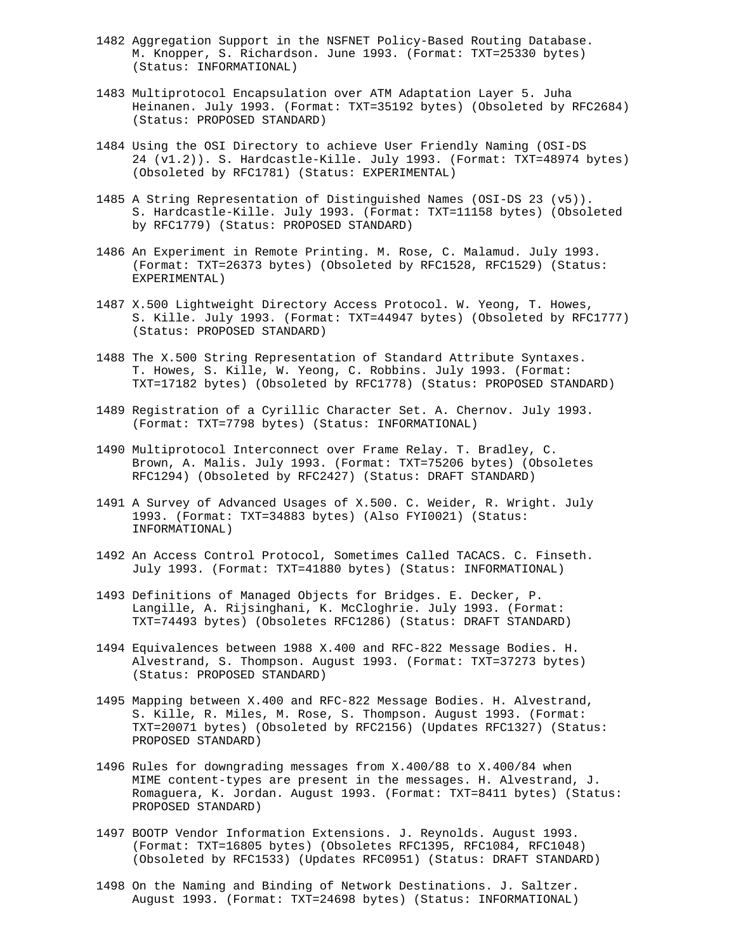- 1482 Aggregation Support in the NSFNET Policy-Based Routing Database. M. Knopper, S. Richardson. June 1993. (Format: TXT=25330 bytes) (Status: INFORMATIONAL)
- 1483 Multiprotocol Encapsulation over ATM Adaptation Layer 5. Juha Heinanen. July 1993. (Format: TXT=35192 bytes) (Obsoleted by RFC2684) (Status: PROPOSED STANDARD)
- 1484 Using the OSI Directory to achieve User Friendly Naming (OSI-DS 24 (v1.2)). S. Hardcastle-Kille. July 1993. (Format: TXT=48974 bytes) (Obsoleted by RFC1781) (Status: EXPERIMENTAL)
- 1485 A String Representation of Distinguished Names (OSI-DS 23 (v5)). S. Hardcastle-Kille. July 1993. (Format: TXT=11158 bytes) (Obsoleted by RFC1779) (Status: PROPOSED STANDARD)
- 1486 An Experiment in Remote Printing. M. Rose, C. Malamud. July 1993. (Format: TXT=26373 bytes) (Obsoleted by RFC1528, RFC1529) (Status: EXPERIMENTAL)
- 1487 X.500 Lightweight Directory Access Protocol. W. Yeong, T. Howes, S. Kille. July 1993. (Format: TXT=44947 bytes) (Obsoleted by RFC1777) (Status: PROPOSED STANDARD)
- 1488 The X.500 String Representation of Standard Attribute Syntaxes. T. Howes, S. Kille, W. Yeong, C. Robbins. July 1993. (Format: TXT=17182 bytes) (Obsoleted by RFC1778) (Status: PROPOSED STANDARD)
- 1489 Registration of a Cyrillic Character Set. A. Chernov. July 1993. (Format: TXT=7798 bytes) (Status: INFORMATIONAL)
- 1490 Multiprotocol Interconnect over Frame Relay. T. Bradley, C. Brown, A. Malis. July 1993. (Format: TXT=75206 bytes) (Obsoletes RFC1294) (Obsoleted by RFC2427) (Status: DRAFT STANDARD)
- 1491 A Survey of Advanced Usages of X.500. C. Weider, R. Wright. July 1993. (Format: TXT=34883 bytes) (Also FYI0021) (Status: INFORMATIONAL)
- 1492 An Access Control Protocol, Sometimes Called TACACS. C. Finseth. July 1993. (Format: TXT=41880 bytes) (Status: INFORMATIONAL)
- 1493 Definitions of Managed Objects for Bridges. E. Decker, P. Langille, A. Rijsinghani, K. McCloghrie. July 1993. (Format: TXT=74493 bytes) (Obsoletes RFC1286) (Status: DRAFT STANDARD)
- 1494 Equivalences between 1988 X.400 and RFC-822 Message Bodies. H. Alvestrand, S. Thompson. August 1993. (Format: TXT=37273 bytes) (Status: PROPOSED STANDARD)
- 1495 Mapping between X.400 and RFC-822 Message Bodies. H. Alvestrand, S. Kille, R. Miles, M. Rose, S. Thompson. August 1993. (Format: TXT=20071 bytes) (Obsoleted by RFC2156) (Updates RFC1327) (Status: PROPOSED STANDARD)
- 1496 Rules for downgrading messages from X.400/88 to X.400/84 when MIME content-types are present in the messages. H. Alvestrand, J. Romaguera, K. Jordan. August 1993. (Format: TXT=8411 bytes) (Status: PROPOSED STANDARD)
- 1497 BOOTP Vendor Information Extensions. J. Reynolds. August 1993. (Format: TXT=16805 bytes) (Obsoletes RFC1395, RFC1084, RFC1048) (Obsoleted by RFC1533) (Updates RFC0951) (Status: DRAFT STANDARD)
- 1498 On the Naming and Binding of Network Destinations. J. Saltzer. August 1993. (Format: TXT=24698 bytes) (Status: INFORMATIONAL)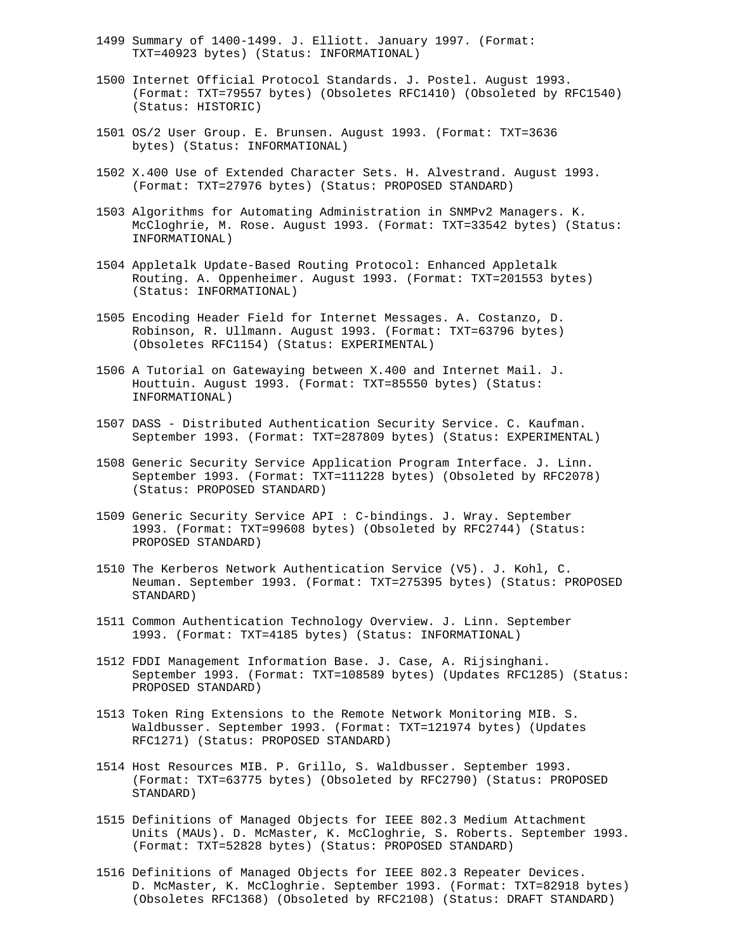- 1499 Summary of 1400-1499. J. Elliott. January 1997. (Format: TXT=40923 bytes) (Status: INFORMATIONAL)
- 1500 Internet Official Protocol Standards. J. Postel. August 1993. (Format: TXT=79557 bytes) (Obsoletes RFC1410) (Obsoleted by RFC1540) (Status: HISTORIC)
- 1501 OS/2 User Group. E. Brunsen. August 1993. (Format: TXT=3636 bytes) (Status: INFORMATIONAL)
- 1502 X.400 Use of Extended Character Sets. H. Alvestrand. August 1993. (Format: TXT=27976 bytes) (Status: PROPOSED STANDARD)
- 1503 Algorithms for Automating Administration in SNMPv2 Managers. K. McCloghrie, M. Rose. August 1993. (Format: TXT=33542 bytes) (Status: INFORMATIONAL)
- 1504 Appletalk Update-Based Routing Protocol: Enhanced Appletalk Routing. A. Oppenheimer. August 1993. (Format: TXT=201553 bytes) (Status: INFORMATIONAL)
- 1505 Encoding Header Field for Internet Messages. A. Costanzo, D. Robinson, R. Ullmann. August 1993. (Format: TXT=63796 bytes) (Obsoletes RFC1154) (Status: EXPERIMENTAL)
- 1506 A Tutorial on Gatewaying between X.400 and Internet Mail. J. Houttuin. August 1993. (Format: TXT=85550 bytes) (Status: INFORMATIONAL)
- 1507 DASS Distributed Authentication Security Service. C. Kaufman. September 1993. (Format: TXT=287809 bytes) (Status: EXPERIMENTAL)
- 1508 Generic Security Service Application Program Interface. J. Linn. September 1993. (Format: TXT=111228 bytes) (Obsoleted by RFC2078) (Status: PROPOSED STANDARD)
- 1509 Generic Security Service API : C-bindings. J. Wray. September 1993. (Format: TXT=99608 bytes) (Obsoleted by RFC2744) (Status: PROPOSED STANDARD)
- 1510 The Kerberos Network Authentication Service (V5). J. Kohl, C. Neuman. September 1993. (Format: TXT=275395 bytes) (Status: PROPOSED STANDARD)
- 1511 Common Authentication Technology Overview. J. Linn. September 1993. (Format: TXT=4185 bytes) (Status: INFORMATIONAL)
- 1512 FDDI Management Information Base. J. Case, A. Rijsinghani. September 1993. (Format: TXT=108589 bytes) (Updates RFC1285) (Status: PROPOSED STANDARD)
- 1513 Token Ring Extensions to the Remote Network Monitoring MIB. S. Waldbusser. September 1993. (Format: TXT=121974 bytes) (Updates RFC1271) (Status: PROPOSED STANDARD)
- 1514 Host Resources MIB. P. Grillo, S. Waldbusser. September 1993. (Format: TXT=63775 bytes) (Obsoleted by RFC2790) (Status: PROPOSED STANDARD)
- 1515 Definitions of Managed Objects for IEEE 802.3 Medium Attachment Units (MAUs). D. McMaster, K. McCloghrie, S. Roberts. September 1993. (Format: TXT=52828 bytes) (Status: PROPOSED STANDARD)
- 1516 Definitions of Managed Objects for IEEE 802.3 Repeater Devices. D. McMaster, K. McCloghrie. September 1993. (Format: TXT=82918 bytes) (Obsoletes RFC1368) (Obsoleted by RFC2108) (Status: DRAFT STANDARD)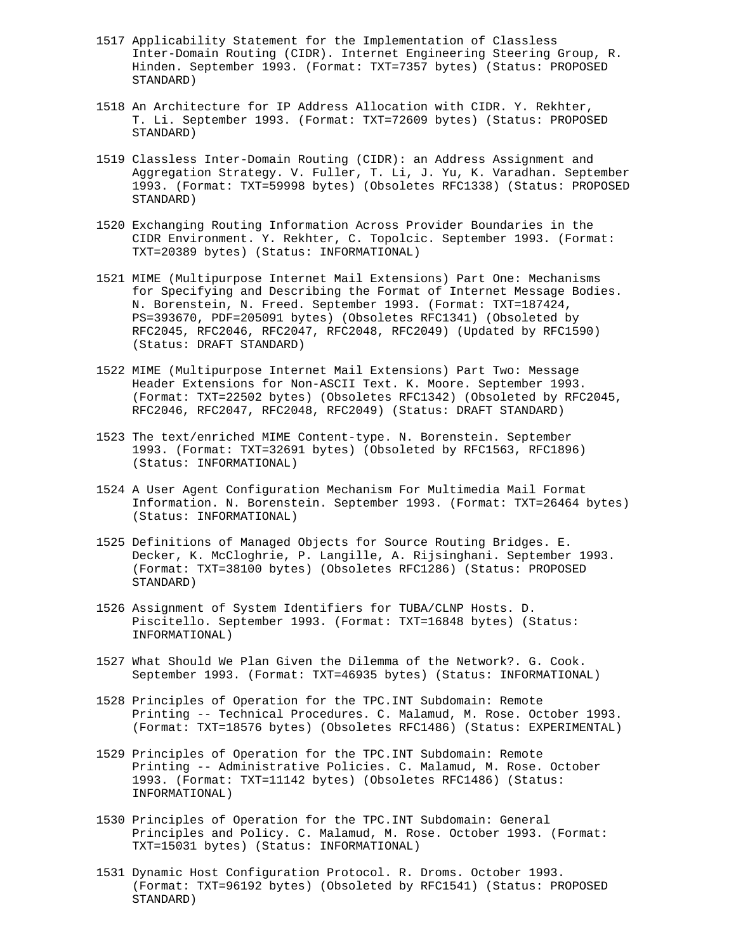- 1517 Applicability Statement for the Implementation of Classless Inter-Domain Routing (CIDR). Internet Engineering Steering Group, R. Hinden. September 1993. (Format: TXT=7357 bytes) (Status: PROPOSED STANDARD)
- 1518 An Architecture for IP Address Allocation with CIDR. Y. Rekhter, T. Li. September 1993. (Format: TXT=72609 bytes) (Status: PROPOSED STANDARD)
- 1519 Classless Inter-Domain Routing (CIDR): an Address Assignment and Aggregation Strategy. V. Fuller, T. Li, J. Yu, K. Varadhan. September 1993. (Format: TXT=59998 bytes) (Obsoletes RFC1338) (Status: PROPOSED STANDARD)
- 1520 Exchanging Routing Information Across Provider Boundaries in the CIDR Environment. Y. Rekhter, C. Topolcic. September 1993. (Format: TXT=20389 bytes) (Status: INFORMATIONAL)
- 1521 MIME (Multipurpose Internet Mail Extensions) Part One: Mechanisms for Specifying and Describing the Format of Internet Message Bodies. N. Borenstein, N. Freed. September 1993. (Format: TXT=187424, PS=393670, PDF=205091 bytes) (Obsoletes RFC1341) (Obsoleted by RFC2045, RFC2046, RFC2047, RFC2048, RFC2049) (Updated by RFC1590) (Status: DRAFT STANDARD)
- 1522 MIME (Multipurpose Internet Mail Extensions) Part Two: Message Header Extensions for Non-ASCII Text. K. Moore. September 1993. (Format: TXT=22502 bytes) (Obsoletes RFC1342) (Obsoleted by RFC2045, RFC2046, RFC2047, RFC2048, RFC2049) (Status: DRAFT STANDARD)
- 1523 The text/enriched MIME Content-type. N. Borenstein. September 1993. (Format: TXT=32691 bytes) (Obsoleted by RFC1563, RFC1896) (Status: INFORMATIONAL)
- 1524 A User Agent Configuration Mechanism For Multimedia Mail Format Information. N. Borenstein. September 1993. (Format: TXT=26464 bytes) (Status: INFORMATIONAL)
- 1525 Definitions of Managed Objects for Source Routing Bridges. E. Decker, K. McCloghrie, P. Langille, A. Rijsinghani. September 1993. (Format: TXT=38100 bytes) (Obsoletes RFC1286) (Status: PROPOSED STANDARD)
- 1526 Assignment of System Identifiers for TUBA/CLNP Hosts. D. Piscitello. September 1993. (Format: TXT=16848 bytes) (Status: INFORMATIONAL)
- 1527 What Should We Plan Given the Dilemma of the Network?. G. Cook. September 1993. (Format: TXT=46935 bytes) (Status: INFORMATIONAL)
- 1528 Principles of Operation for the TPC.INT Subdomain: Remote Printing -- Technical Procedures. C. Malamud, M. Rose. October 1993. (Format: TXT=18576 bytes) (Obsoletes RFC1486) (Status: EXPERIMENTAL)
- 1529 Principles of Operation for the TPC.INT Subdomain: Remote Printing -- Administrative Policies. C. Malamud, M. Rose. October 1993. (Format: TXT=11142 bytes) (Obsoletes RFC1486) (Status: INFORMATIONAL)
- 1530 Principles of Operation for the TPC.INT Subdomain: General Principles and Policy. C. Malamud, M. Rose. October 1993. (Format: TXT=15031 bytes) (Status: INFORMATIONAL)
- 1531 Dynamic Host Configuration Protocol. R. Droms. October 1993. (Format: TXT=96192 bytes) (Obsoleted by RFC1541) (Status: PROPOSED STANDARD)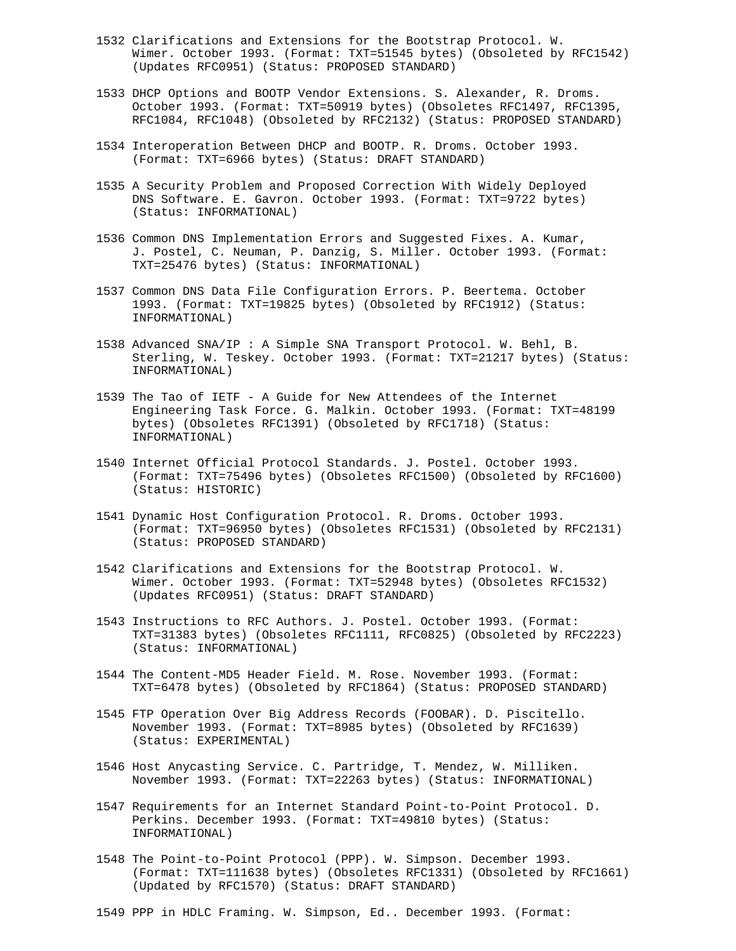- 1532 Clarifications and Extensions for the Bootstrap Protocol. W. Wimer. October 1993. (Format: TXT=51545 bytes) (Obsoleted by RFC1542) (Updates RFC0951) (Status: PROPOSED STANDARD)
- 1533 DHCP Options and BOOTP Vendor Extensions. S. Alexander, R. Droms. October 1993. (Format: TXT=50919 bytes) (Obsoletes RFC1497, RFC1395, RFC1084, RFC1048) (Obsoleted by RFC2132) (Status: PROPOSED STANDARD)
- 1534 Interoperation Between DHCP and BOOTP. R. Droms. October 1993. (Format: TXT=6966 bytes) (Status: DRAFT STANDARD)
- 1535 A Security Problem and Proposed Correction With Widely Deployed DNS Software. E. Gavron. October 1993. (Format: TXT=9722 bytes) (Status: INFORMATIONAL)
- 1536 Common DNS Implementation Errors and Suggested Fixes. A. Kumar, J. Postel, C. Neuman, P. Danzig, S. Miller. October 1993. (Format: TXT=25476 bytes) (Status: INFORMATIONAL)
- 1537 Common DNS Data File Configuration Errors. P. Beertema. October 1993. (Format: TXT=19825 bytes) (Obsoleted by RFC1912) (Status: INFORMATIONAL)
- 1538 Advanced SNA/IP : A Simple SNA Transport Protocol. W. Behl, B. Sterling, W. Teskey. October 1993. (Format: TXT=21217 bytes) (Status: INFORMATIONAL)
- 1539 The Tao of IETF A Guide for New Attendees of the Internet Engineering Task Force. G. Malkin. October 1993. (Format: TXT=48199 bytes) (Obsoletes RFC1391) (Obsoleted by RFC1718) (Status: INFORMATIONAL)
- 1540 Internet Official Protocol Standards. J. Postel. October 1993. (Format: TXT=75496 bytes) (Obsoletes RFC1500) (Obsoleted by RFC1600) (Status: HISTORIC)
- 1541 Dynamic Host Configuration Protocol. R. Droms. October 1993. (Format: TXT=96950 bytes) (Obsoletes RFC1531) (Obsoleted by RFC2131) (Status: PROPOSED STANDARD)
- 1542 Clarifications and Extensions for the Bootstrap Protocol. W. Wimer. October 1993. (Format: TXT=52948 bytes) (Obsoletes RFC1532) (Updates RFC0951) (Status: DRAFT STANDARD)
- 1543 Instructions to RFC Authors. J. Postel. October 1993. (Format: TXT=31383 bytes) (Obsoletes RFC1111, RFC0825) (Obsoleted by RFC2223) (Status: INFORMATIONAL)
- 1544 The Content-MD5 Header Field. M. Rose. November 1993. (Format: TXT=6478 bytes) (Obsoleted by RFC1864) (Status: PROPOSED STANDARD)
- 1545 FTP Operation Over Big Address Records (FOOBAR). D. Piscitello. November 1993. (Format: TXT=8985 bytes) (Obsoleted by RFC1639) (Status: EXPERIMENTAL)
- 1546 Host Anycasting Service. C. Partridge, T. Mendez, W. Milliken. November 1993. (Format: TXT=22263 bytes) (Status: INFORMATIONAL)
- 1547 Requirements for an Internet Standard Point-to-Point Protocol. D. Perkins. December 1993. (Format: TXT=49810 bytes) (Status: INFORMATIONAL)
- 1548 The Point-to-Point Protocol (PPP). W. Simpson. December 1993. (Format: TXT=111638 bytes) (Obsoletes RFC1331) (Obsoleted by RFC1661) (Updated by RFC1570) (Status: DRAFT STANDARD)
- 1549 PPP in HDLC Framing. W. Simpson, Ed.. December 1993. (Format: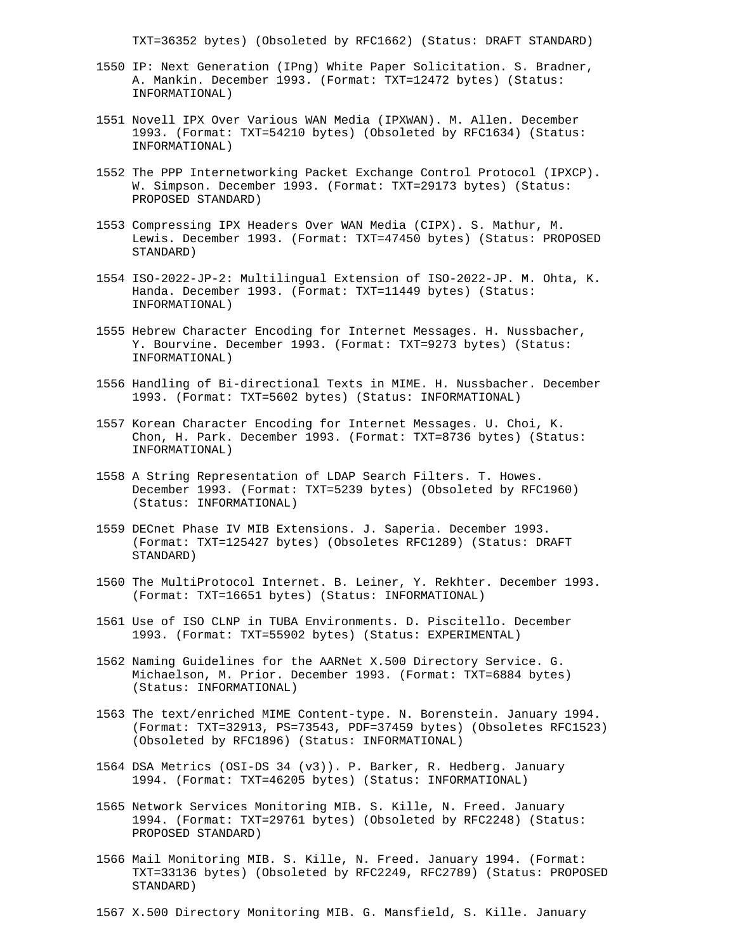TXT=36352 bytes) (Obsoleted by RFC1662) (Status: DRAFT STANDARD)

- 1550 IP: Next Generation (IPng) White Paper Solicitation. S. Bradner, A. Mankin. December 1993. (Format: TXT=12472 bytes) (Status: INFORMATIONAL)
- 1551 Novell IPX Over Various WAN Media (IPXWAN). M. Allen. December 1993. (Format: TXT=54210 bytes) (Obsoleted by RFC1634) (Status: INFORMATIONAL)
- 1552 The PPP Internetworking Packet Exchange Control Protocol (IPXCP). W. Simpson. December 1993. (Format: TXT=29173 bytes) (Status: PROPOSED STANDARD)
- 1553 Compressing IPX Headers Over WAN Media (CIPX). S. Mathur, M. Lewis. December 1993. (Format: TXT=47450 bytes) (Status: PROPOSED STANDARD)
- 1554 ISO-2022-JP-2: Multilingual Extension of ISO-2022-JP. M. Ohta, K. Handa. December 1993. (Format: TXT=11449 bytes) (Status: INFORMATIONAL)
- 1555 Hebrew Character Encoding for Internet Messages. H. Nussbacher, Y. Bourvine. December 1993. (Format: TXT=9273 bytes) (Status: INFORMATIONAL)
- 1556 Handling of Bi-directional Texts in MIME. H. Nussbacher. December 1993. (Format: TXT=5602 bytes) (Status: INFORMATIONAL)
- 1557 Korean Character Encoding for Internet Messages. U. Choi, K. Chon, H. Park. December 1993. (Format: TXT=8736 bytes) (Status: INFORMATIONAL)
- 1558 A String Representation of LDAP Search Filters. T. Howes. December 1993. (Format: TXT=5239 bytes) (Obsoleted by RFC1960) (Status: INFORMATIONAL)
- 1559 DECnet Phase IV MIB Extensions. J. Saperia. December 1993. (Format: TXT=125427 bytes) (Obsoletes RFC1289) (Status: DRAFT STANDARD)
- 1560 The MultiProtocol Internet. B. Leiner, Y. Rekhter. December 1993. (Format: TXT=16651 bytes) (Status: INFORMATIONAL)
- 1561 Use of ISO CLNP in TUBA Environments. D. Piscitello. December 1993. (Format: TXT=55902 bytes) (Status: EXPERIMENTAL)
- 1562 Naming Guidelines for the AARNet X.500 Directory Service. G. Michaelson, M. Prior. December 1993. (Format: TXT=6884 bytes) (Status: INFORMATIONAL)
- 1563 The text/enriched MIME Content-type. N. Borenstein. January 1994. (Format: TXT=32913, PS=73543, PDF=37459 bytes) (Obsoletes RFC1523) (Obsoleted by RFC1896) (Status: INFORMATIONAL)
- 1564 DSA Metrics (OSI-DS 34 (v3)). P. Barker, R. Hedberg. January 1994. (Format: TXT=46205 bytes) (Status: INFORMATIONAL)
- 1565 Network Services Monitoring MIB. S. Kille, N. Freed. January 1994. (Format: TXT=29761 bytes) (Obsoleted by RFC2248) (Status: PROPOSED STANDARD)
- 1566 Mail Monitoring MIB. S. Kille, N. Freed. January 1994. (Format: TXT=33136 bytes) (Obsoleted by RFC2249, RFC2789) (Status: PROPOSED STANDARD)
- 1567 X.500 Directory Monitoring MIB. G. Mansfield, S. Kille. January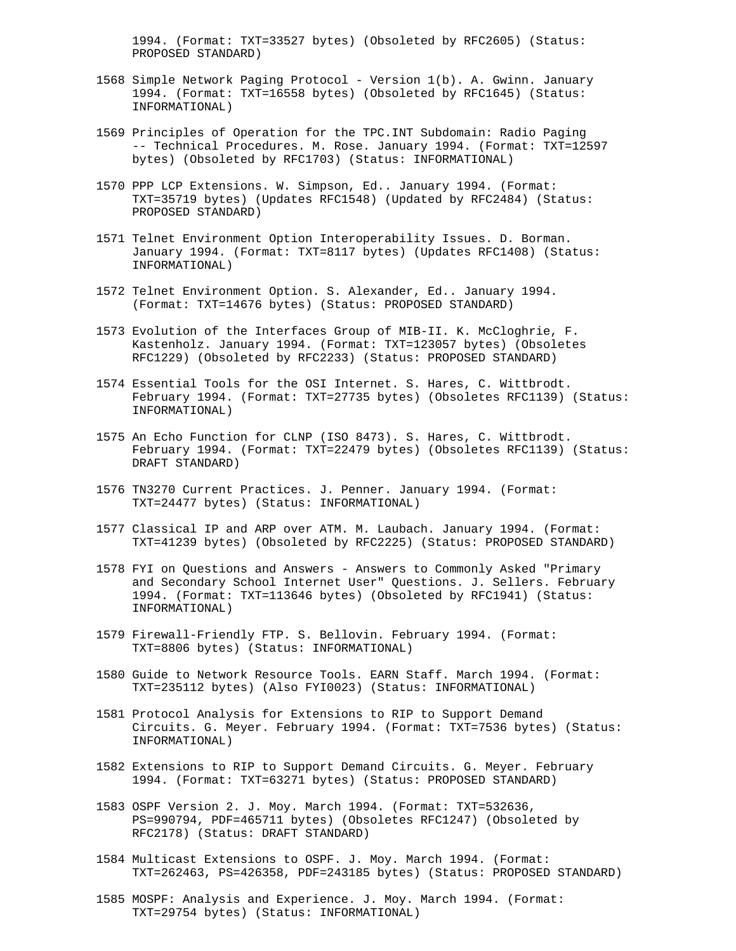1994. (Format: TXT=33527 bytes) (Obsoleted by RFC2605) (Status: PROPOSED STANDARD)

- 1568 Simple Network Paging Protocol Version 1(b). A. Gwinn. January 1994. (Format: TXT=16558 bytes) (Obsoleted by RFC1645) (Status: INFORMATIONAL)
- 1569 Principles of Operation for the TPC.INT Subdomain: Radio Paging -- Technical Procedures. M. Rose. January 1994. (Format: TXT=12597 bytes) (Obsoleted by RFC1703) (Status: INFORMATIONAL)
- 1570 PPP LCP Extensions. W. Simpson, Ed.. January 1994. (Format: TXT=35719 bytes) (Updates RFC1548) (Updated by RFC2484) (Status: PROPOSED STANDARD)
- 1571 Telnet Environment Option Interoperability Issues. D. Borman. January 1994. (Format: TXT=8117 bytes) (Updates RFC1408) (Status: INFORMATIONAL)
- 1572 Telnet Environment Option. S. Alexander, Ed.. January 1994. (Format: TXT=14676 bytes) (Status: PROPOSED STANDARD)
- 1573 Evolution of the Interfaces Group of MIB-II. K. McCloghrie, F. Kastenholz. January 1994. (Format: TXT=123057 bytes) (Obsoletes RFC1229) (Obsoleted by RFC2233) (Status: PROPOSED STANDARD)
- 1574 Essential Tools for the OSI Internet. S. Hares, C. Wittbrodt. February 1994. (Format: TXT=27735 bytes) (Obsoletes RFC1139) (Status: INFORMATIONAL)
- 1575 An Echo Function for CLNP (ISO 8473). S. Hares, C. Wittbrodt. February 1994. (Format: TXT=22479 bytes) (Obsoletes RFC1139) (Status: DRAFT STANDARD)
- 1576 TN3270 Current Practices. J. Penner. January 1994. (Format: TXT=24477 bytes) (Status: INFORMATIONAL)
- 1577 Classical IP and ARP over ATM. M. Laubach. January 1994. (Format: TXT=41239 bytes) (Obsoleted by RFC2225) (Status: PROPOSED STANDARD)
- 1578 FYI on Questions and Answers Answers to Commonly Asked "Primary and Secondary School Internet User" Questions. J. Sellers. February 1994. (Format: TXT=113646 bytes) (Obsoleted by RFC1941) (Status: INFORMATIONAL)
- 1579 Firewall-Friendly FTP. S. Bellovin. February 1994. (Format: TXT=8806 bytes) (Status: INFORMATIONAL)
- 1580 Guide to Network Resource Tools. EARN Staff. March 1994. (Format: TXT=235112 bytes) (Also FYI0023) (Status: INFORMATIONAL)
- 1581 Protocol Analysis for Extensions to RIP to Support Demand Circuits. G. Meyer. February 1994. (Format: TXT=7536 bytes) (Status: INFORMATIONAL)
- 1582 Extensions to RIP to Support Demand Circuits. G. Meyer. February 1994. (Format: TXT=63271 bytes) (Status: PROPOSED STANDARD)
- 1583 OSPF Version 2. J. Moy. March 1994. (Format: TXT=532636, PS=990794, PDF=465711 bytes) (Obsoletes RFC1247) (Obsoleted by RFC2178) (Status: DRAFT STANDARD)
- 1584 Multicast Extensions to OSPF. J. Moy. March 1994. (Format: TXT=262463, PS=426358, PDF=243185 bytes) (Status: PROPOSED STANDARD)
- 1585 MOSPF: Analysis and Experience. J. Moy. March 1994. (Format: TXT=29754 bytes) (Status: INFORMATIONAL)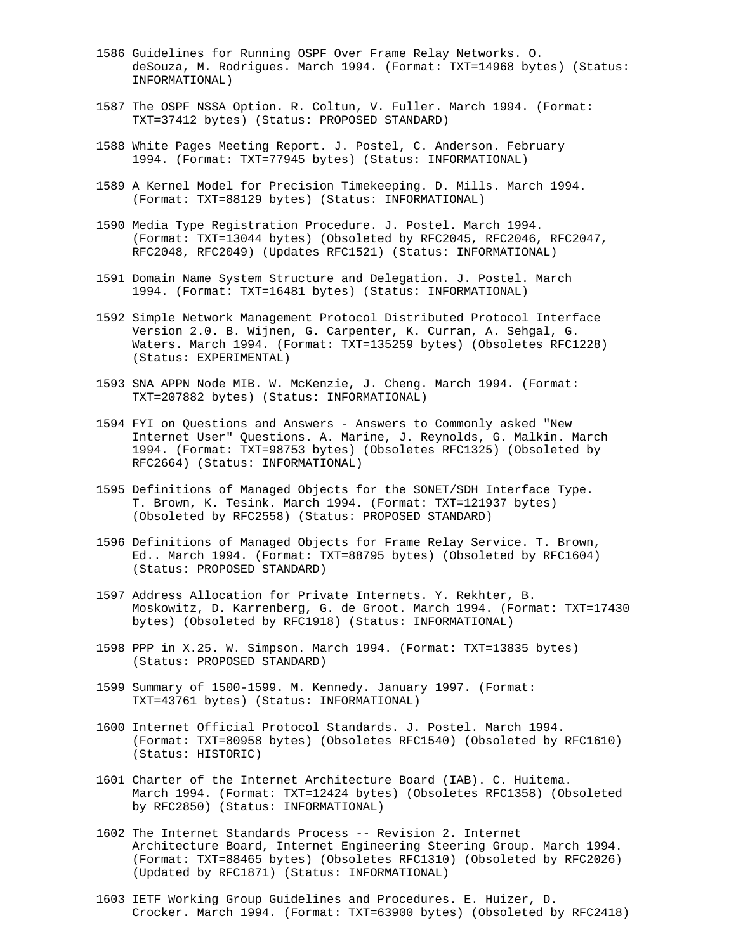- 1586 Guidelines for Running OSPF Over Frame Relay Networks. O. deSouza, M. Rodrigues. March 1994. (Format: TXT=14968 bytes) (Status: INFORMATIONAL)
- 1587 The OSPF NSSA Option. R. Coltun, V. Fuller. March 1994. (Format: TXT=37412 bytes) (Status: PROPOSED STANDARD)
- 1588 White Pages Meeting Report. J. Postel, C. Anderson. February 1994. (Format: TXT=77945 bytes) (Status: INFORMATIONAL)
- 1589 A Kernel Model for Precision Timekeeping. D. Mills. March 1994. (Format: TXT=88129 bytes) (Status: INFORMATIONAL)
- 1590 Media Type Registration Procedure. J. Postel. March 1994. (Format: TXT=13044 bytes) (Obsoleted by RFC2045, RFC2046, RFC2047, RFC2048, RFC2049) (Updates RFC1521) (Status: INFORMATIONAL)
- 1591 Domain Name System Structure and Delegation. J. Postel. March 1994. (Format: TXT=16481 bytes) (Status: INFORMATIONAL)
- 1592 Simple Network Management Protocol Distributed Protocol Interface Version 2.0. B. Wijnen, G. Carpenter, K. Curran, A. Sehgal, G. Waters. March 1994. (Format: TXT=135259 bytes) (Obsoletes RFC1228) (Status: EXPERIMENTAL)
- 1593 SNA APPN Node MIB. W. McKenzie, J. Cheng. March 1994. (Format: TXT=207882 bytes) (Status: INFORMATIONAL)
- 1594 FYI on Questions and Answers Answers to Commonly asked "New Internet User" Questions. A. Marine, J. Reynolds, G. Malkin. March 1994. (Format: TXT=98753 bytes) (Obsoletes RFC1325) (Obsoleted by RFC2664) (Status: INFORMATIONAL)
- 1595 Definitions of Managed Objects for the SONET/SDH Interface Type. T. Brown, K. Tesink. March 1994. (Format: TXT=121937 bytes) (Obsoleted by RFC2558) (Status: PROPOSED STANDARD)
- 1596 Definitions of Managed Objects for Frame Relay Service. T. Brown, Ed.. March 1994. (Format: TXT=88795 bytes) (Obsoleted by RFC1604) (Status: PROPOSED STANDARD)
- 1597 Address Allocation for Private Internets. Y. Rekhter, B. Moskowitz, D. Karrenberg, G. de Groot. March 1994. (Format: TXT=17430 bytes) (Obsoleted by RFC1918) (Status: INFORMATIONAL)
- 1598 PPP in X.25. W. Simpson. March 1994. (Format: TXT=13835 bytes) (Status: PROPOSED STANDARD)
- 1599 Summary of 1500-1599. M. Kennedy. January 1997. (Format: TXT=43761 bytes) (Status: INFORMATIONAL)
- 1600 Internet Official Protocol Standards. J. Postel. March 1994. (Format: TXT=80958 bytes) (Obsoletes RFC1540) (Obsoleted by RFC1610) (Status: HISTORIC)
- 1601 Charter of the Internet Architecture Board (IAB). C. Huitema. March 1994. (Format: TXT=12424 bytes) (Obsoletes RFC1358) (Obsoleted by RFC2850) (Status: INFORMATIONAL)
- 1602 The Internet Standards Process -- Revision 2. Internet Architecture Board, Internet Engineering Steering Group. March 1994. (Format: TXT=88465 bytes) (Obsoletes RFC1310) (Obsoleted by RFC2026) (Updated by RFC1871) (Status: INFORMATIONAL)
- 1603 IETF Working Group Guidelines and Procedures. E. Huizer, D. Crocker. March 1994. (Format: TXT=63900 bytes) (Obsoleted by RFC2418)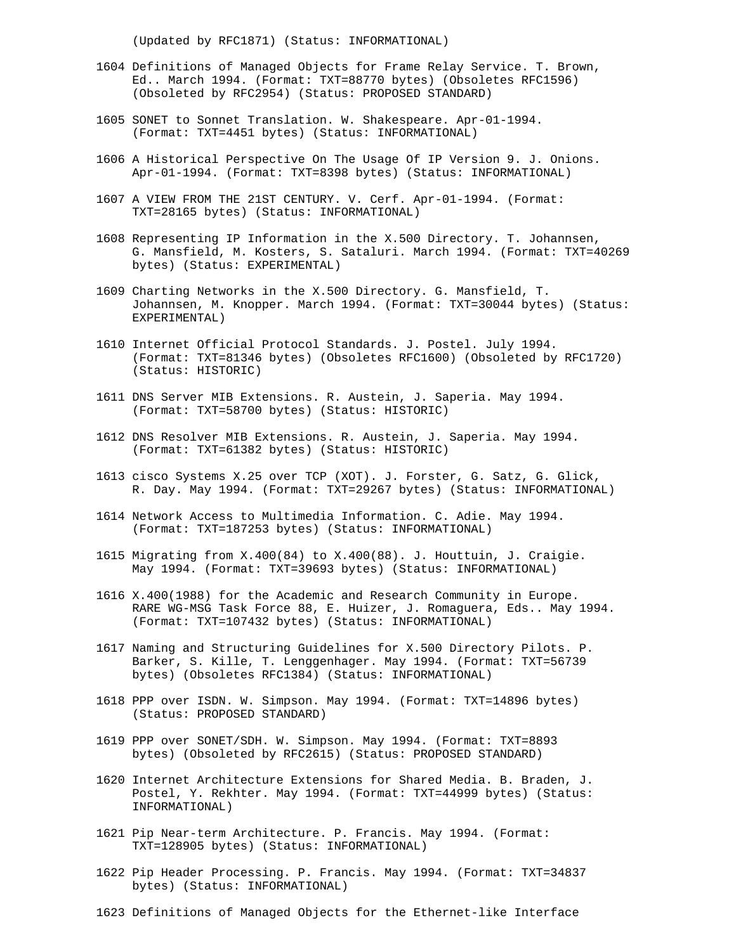(Updated by RFC1871) (Status: INFORMATIONAL)

- 1604 Definitions of Managed Objects for Frame Relay Service. T. Brown, Ed.. March 1994. (Format: TXT=88770 bytes) (Obsoletes RFC1596) (Obsoleted by RFC2954) (Status: PROPOSED STANDARD)
- 1605 SONET to Sonnet Translation. W. Shakespeare. Apr-01-1994. (Format: TXT=4451 bytes) (Status: INFORMATIONAL)
- 1606 A Historical Perspective On The Usage Of IP Version 9. J. Onions. Apr-01-1994. (Format: TXT=8398 bytes) (Status: INFORMATIONAL)
- 1607 A VIEW FROM THE 21ST CENTURY. V. Cerf. Apr-01-1994. (Format: TXT=28165 bytes) (Status: INFORMATIONAL)
- 1608 Representing IP Information in the X.500 Directory. T. Johannsen, G. Mansfield, M. Kosters, S. Sataluri. March 1994. (Format: TXT=40269 bytes) (Status: EXPERIMENTAL)
- 1609 Charting Networks in the X.500 Directory. G. Mansfield, T. Johannsen, M. Knopper. March 1994. (Format: TXT=30044 bytes) (Status: EXPERIMENTAL)
- 1610 Internet Official Protocol Standards. J. Postel. July 1994. (Format: TXT=81346 bytes) (Obsoletes RFC1600) (Obsoleted by RFC1720) (Status: HISTORIC)
- 1611 DNS Server MIB Extensions. R. Austein, J. Saperia. May 1994. (Format: TXT=58700 bytes) (Status: HISTORIC)
- 1612 DNS Resolver MIB Extensions. R. Austein, J. Saperia. May 1994. (Format: TXT=61382 bytes) (Status: HISTORIC)
- 1613 cisco Systems X.25 over TCP (XOT). J. Forster, G. Satz, G. Glick, R. Day. May 1994. (Format: TXT=29267 bytes) (Status: INFORMATIONAL)
- 1614 Network Access to Multimedia Information. C. Adie. May 1994. (Format: TXT=187253 bytes) (Status: INFORMATIONAL)
- 1615 Migrating from X.400(84) to X.400(88). J. Houttuin, J. Craigie. May 1994. (Format: TXT=39693 bytes) (Status: INFORMATIONAL)
- 1616 X.400(1988) for the Academic and Research Community in Europe. RARE WG-MSG Task Force 88, E. Huizer, J. Romaguera, Eds.. May 1994. (Format: TXT=107432 bytes) (Status: INFORMATIONAL)
- 1617 Naming and Structuring Guidelines for X.500 Directory Pilots. P. Barker, S. Kille, T. Lenggenhager. May 1994. (Format: TXT=56739 bytes) (Obsoletes RFC1384) (Status: INFORMATIONAL)
- 1618 PPP over ISDN. W. Simpson. May 1994. (Format: TXT=14896 bytes) (Status: PROPOSED STANDARD)
- 1619 PPP over SONET/SDH. W. Simpson. May 1994. (Format: TXT=8893 bytes) (Obsoleted by RFC2615) (Status: PROPOSED STANDARD)
- 1620 Internet Architecture Extensions for Shared Media. B. Braden, J. Postel, Y. Rekhter. May 1994. (Format: TXT=44999 bytes) (Status: INFORMATIONAL)
- 1621 Pip Near-term Architecture. P. Francis. May 1994. (Format: TXT=128905 bytes) (Status: INFORMATIONAL)
- 1622 Pip Header Processing. P. Francis. May 1994. (Format: TXT=34837 bytes) (Status: INFORMATIONAL)
- 1623 Definitions of Managed Objects for the Ethernet-like Interface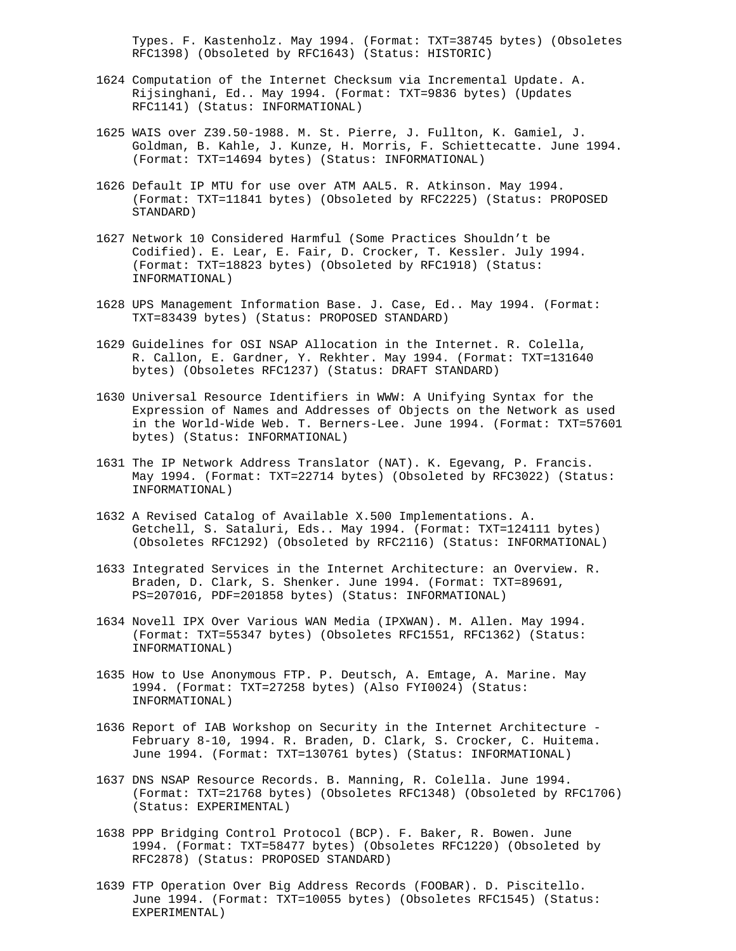Types. F. Kastenholz. May 1994. (Format: TXT=38745 bytes) (Obsoletes RFC1398) (Obsoleted by RFC1643) (Status: HISTORIC)

- 1624 Computation of the Internet Checksum via Incremental Update. A. Rijsinghani, Ed.. May 1994. (Format: TXT=9836 bytes) (Updates RFC1141) (Status: INFORMATIONAL)
- 1625 WAIS over Z39.50-1988. M. St. Pierre, J. Fullton, K. Gamiel, J. Goldman, B. Kahle, J. Kunze, H. Morris, F. Schiettecatte. June 1994. (Format: TXT=14694 bytes) (Status: INFORMATIONAL)
- 1626 Default IP MTU for use over ATM AAL5. R. Atkinson. May 1994. (Format: TXT=11841 bytes) (Obsoleted by RFC2225) (Status: PROPOSED STANDARD)
- 1627 Network 10 Considered Harmful (Some Practices Shouldn't be Codified). E. Lear, E. Fair, D. Crocker, T. Kessler. July 1994. (Format: TXT=18823 bytes) (Obsoleted by RFC1918) (Status: INFORMATIONAL)
- 1628 UPS Management Information Base. J. Case, Ed.. May 1994. (Format: TXT=83439 bytes) (Status: PROPOSED STANDARD)
- 1629 Guidelines for OSI NSAP Allocation in the Internet. R. Colella, R. Callon, E. Gardner, Y. Rekhter. May 1994. (Format: TXT=131640 bytes) (Obsoletes RFC1237) (Status: DRAFT STANDARD)
- 1630 Universal Resource Identifiers in WWW: A Unifying Syntax for the Expression of Names and Addresses of Objects on the Network as used in the World-Wide Web. T. Berners-Lee. June 1994. (Format: TXT=57601 bytes) (Status: INFORMATIONAL)
- 1631 The IP Network Address Translator (NAT). K. Egevang, P. Francis. May 1994. (Format: TXT=22714 bytes) (Obsoleted by RFC3022) (Status: INFORMATIONAL)
- 1632 A Revised Catalog of Available X.500 Implementations. A. Getchell, S. Sataluri, Eds.. May 1994. (Format: TXT=124111 bytes) (Obsoletes RFC1292) (Obsoleted by RFC2116) (Status: INFORMATIONAL)
- 1633 Integrated Services in the Internet Architecture: an Overview. R. Braden, D. Clark, S. Shenker. June 1994. (Format: TXT=89691, PS=207016, PDF=201858 bytes) (Status: INFORMATIONAL)
- 1634 Novell IPX Over Various WAN Media (IPXWAN). M. Allen. May 1994. (Format: TXT=55347 bytes) (Obsoletes RFC1551, RFC1362) (Status: INFORMATIONAL)
- 1635 How to Use Anonymous FTP. P. Deutsch, A. Emtage, A. Marine. May 1994. (Format: TXT=27258 bytes) (Also FYI0024) (Status: INFORMATIONAL)
- 1636 Report of IAB Workshop on Security in the Internet Architecture February 8-10, 1994. R. Braden, D. Clark, S. Crocker, C. Huitema. June 1994. (Format: TXT=130761 bytes) (Status: INFORMATIONAL)
- 1637 DNS NSAP Resource Records. B. Manning, R. Colella. June 1994. (Format: TXT=21768 bytes) (Obsoletes RFC1348) (Obsoleted by RFC1706) (Status: EXPERIMENTAL)
- 1638 PPP Bridging Control Protocol (BCP). F. Baker, R. Bowen. June 1994. (Format: TXT=58477 bytes) (Obsoletes RFC1220) (Obsoleted by RFC2878) (Status: PROPOSED STANDARD)
- 1639 FTP Operation Over Big Address Records (FOOBAR). D. Piscitello. June 1994. (Format: TXT=10055 bytes) (Obsoletes RFC1545) (Status: EXPERIMENTAL)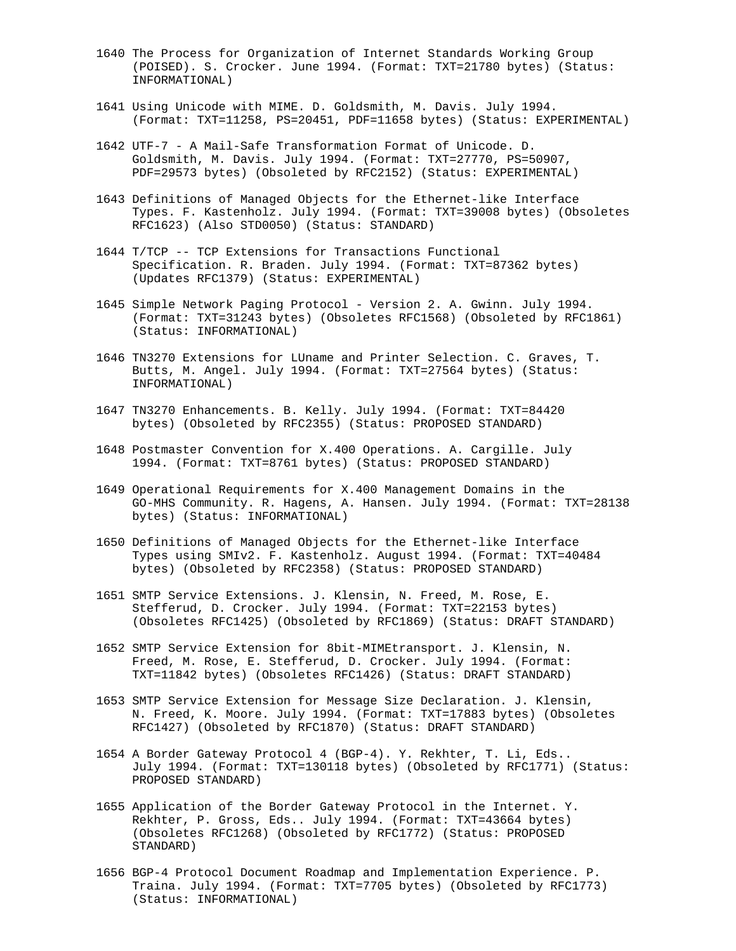- 1640 The Process for Organization of Internet Standards Working Group (POISED). S. Crocker. June 1994. (Format: TXT=21780 bytes) (Status: INFORMATIONAL)
- 1641 Using Unicode with MIME. D. Goldsmith, M. Davis. July 1994. (Format: TXT=11258, PS=20451, PDF=11658 bytes) (Status: EXPERIMENTAL)
- 1642 UTF-7 A Mail-Safe Transformation Format of Unicode. D. Goldsmith, M. Davis. July 1994. (Format: TXT=27770, PS=50907, PDF=29573 bytes) (Obsoleted by RFC2152) (Status: EXPERIMENTAL)
- 1643 Definitions of Managed Objects for the Ethernet-like Interface Types. F. Kastenholz. July 1994. (Format: TXT=39008 bytes) (Obsoletes RFC1623) (Also STD0050) (Status: STANDARD)
- 1644 T/TCP -- TCP Extensions for Transactions Functional Specification. R. Braden. July 1994. (Format: TXT=87362 bytes) (Updates RFC1379) (Status: EXPERIMENTAL)
- 1645 Simple Network Paging Protocol Version 2. A. Gwinn. July 1994. (Format: TXT=31243 bytes) (Obsoletes RFC1568) (Obsoleted by RFC1861) (Status: INFORMATIONAL)
- 1646 TN3270 Extensions for LUname and Printer Selection. C. Graves, T. Butts, M. Angel. July 1994. (Format: TXT=27564 bytes) (Status: INFORMATIONAL)
- 1647 TN3270 Enhancements. B. Kelly. July 1994. (Format: TXT=84420 bytes) (Obsoleted by RFC2355) (Status: PROPOSED STANDARD)
- 1648 Postmaster Convention for X.400 Operations. A. Cargille. July 1994. (Format: TXT=8761 bytes) (Status: PROPOSED STANDARD)
- 1649 Operational Requirements for X.400 Management Domains in the GO-MHS Community. R. Hagens, A. Hansen. July 1994. (Format: TXT=28138 bytes) (Status: INFORMATIONAL)
- 1650 Definitions of Managed Objects for the Ethernet-like Interface Types using SMIv2. F. Kastenholz. August 1994. (Format: TXT=40484 bytes) (Obsoleted by RFC2358) (Status: PROPOSED STANDARD)
- 1651 SMTP Service Extensions. J. Klensin, N. Freed, M. Rose, E. Stefferud, D. Crocker. July 1994. (Format: TXT=22153 bytes) (Obsoletes RFC1425) (Obsoleted by RFC1869) (Status: DRAFT STANDARD)
- 1652 SMTP Service Extension for 8bit-MIMEtransport. J. Klensin, N. Freed, M. Rose, E. Stefferud, D. Crocker. July 1994. (Format: TXT=11842 bytes) (Obsoletes RFC1426) (Status: DRAFT STANDARD)
- 1653 SMTP Service Extension for Message Size Declaration. J. Klensin, N. Freed, K. Moore. July 1994. (Format: TXT=17883 bytes) (Obsoletes RFC1427) (Obsoleted by RFC1870) (Status: DRAFT STANDARD)
- 1654 A Border Gateway Protocol 4 (BGP-4). Y. Rekhter, T. Li, Eds.. July 1994. (Format: TXT=130118 bytes) (Obsoleted by RFC1771) (Status: PROPOSED STANDARD)
- 1655 Application of the Border Gateway Protocol in the Internet. Y. Rekhter, P. Gross, Eds.. July 1994. (Format: TXT=43664 bytes) (Obsoletes RFC1268) (Obsoleted by RFC1772) (Status: PROPOSED STANDARD)
- 1656 BGP-4 Protocol Document Roadmap and Implementation Experience. P. Traina. July 1994. (Format: TXT=7705 bytes) (Obsoleted by RFC1773) (Status: INFORMATIONAL)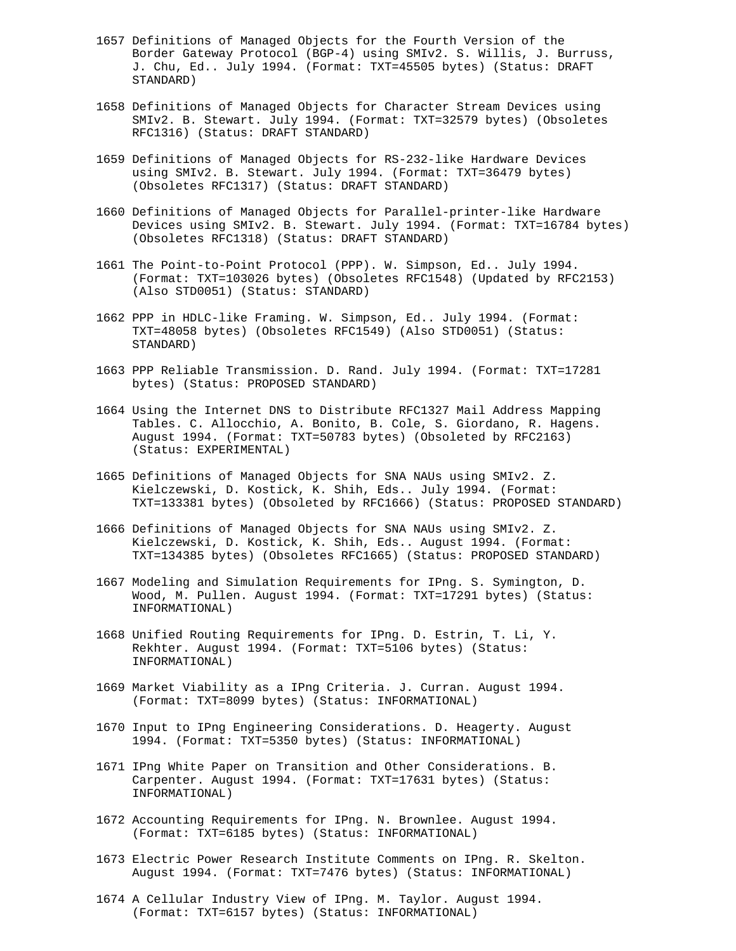- 1657 Definitions of Managed Objects for the Fourth Version of the Border Gateway Protocol (BGP-4) using SMIv2. S. Willis, J. Burruss, J. Chu, Ed.. July 1994. (Format: TXT=45505 bytes) (Status: DRAFT STANDARD)
- 1658 Definitions of Managed Objects for Character Stream Devices using SMIv2. B. Stewart. July 1994. (Format: TXT=32579 bytes) (Obsoletes RFC1316) (Status: DRAFT STANDARD)
- 1659 Definitions of Managed Objects for RS-232-like Hardware Devices using SMIv2. B. Stewart. July 1994. (Format: TXT=36479 bytes) (Obsoletes RFC1317) (Status: DRAFT STANDARD)
- 1660 Definitions of Managed Objects for Parallel-printer-like Hardware Devices using SMIv2. B. Stewart. July 1994. (Format: TXT=16784 bytes) (Obsoletes RFC1318) (Status: DRAFT STANDARD)
- 1661 The Point-to-Point Protocol (PPP). W. Simpson, Ed.. July 1994. (Format: TXT=103026 bytes) (Obsoletes RFC1548) (Updated by RFC2153) (Also STD0051) (Status: STANDARD)
- 1662 PPP in HDLC-like Framing. W. Simpson, Ed.. July 1994. (Format: TXT=48058 bytes) (Obsoletes RFC1549) (Also STD0051) (Status: STANDARD)
- 1663 PPP Reliable Transmission. D. Rand. July 1994. (Format: TXT=17281 bytes) (Status: PROPOSED STANDARD)
- 1664 Using the Internet DNS to Distribute RFC1327 Mail Address Mapping Tables. C. Allocchio, A. Bonito, B. Cole, S. Giordano, R. Hagens. August 1994. (Format: TXT=50783 bytes) (Obsoleted by RFC2163) (Status: EXPERIMENTAL)
- 1665 Definitions of Managed Objects for SNA NAUs using SMIv2. Z. Kielczewski, D. Kostick, K. Shih, Eds.. July 1994. (Format: TXT=133381 bytes) (Obsoleted by RFC1666) (Status: PROPOSED STANDARD)
- 1666 Definitions of Managed Objects for SNA NAUs using SMIv2. Z. Kielczewski, D. Kostick, K. Shih, Eds.. August 1994. (Format: TXT=134385 bytes) (Obsoletes RFC1665) (Status: PROPOSED STANDARD)
- 1667 Modeling and Simulation Requirements for IPng. S. Symington, D. Wood, M. Pullen. August 1994. (Format: TXT=17291 bytes) (Status: INFORMATIONAL)
- 1668 Unified Routing Requirements for IPng. D. Estrin, T. Li, Y. Rekhter. August 1994. (Format: TXT=5106 bytes) (Status: INFORMATIONAL)
- 1669 Market Viability as a IPng Criteria. J. Curran. August 1994. (Format: TXT=8099 bytes) (Status: INFORMATIONAL)
- 1670 Input to IPng Engineering Considerations. D. Heagerty. August 1994. (Format: TXT=5350 bytes) (Status: INFORMATIONAL)
- 1671 IPng White Paper on Transition and Other Considerations. B. Carpenter. August 1994. (Format: TXT=17631 bytes) (Status: INFORMATIONAL)
- 1672 Accounting Requirements for IPng. N. Brownlee. August 1994. (Format: TXT=6185 bytes) (Status: INFORMATIONAL)
- 1673 Electric Power Research Institute Comments on IPng. R. Skelton. August 1994. (Format: TXT=7476 bytes) (Status: INFORMATIONAL)
- 1674 A Cellular Industry View of IPng. M. Taylor. August 1994. (Format: TXT=6157 bytes) (Status: INFORMATIONAL)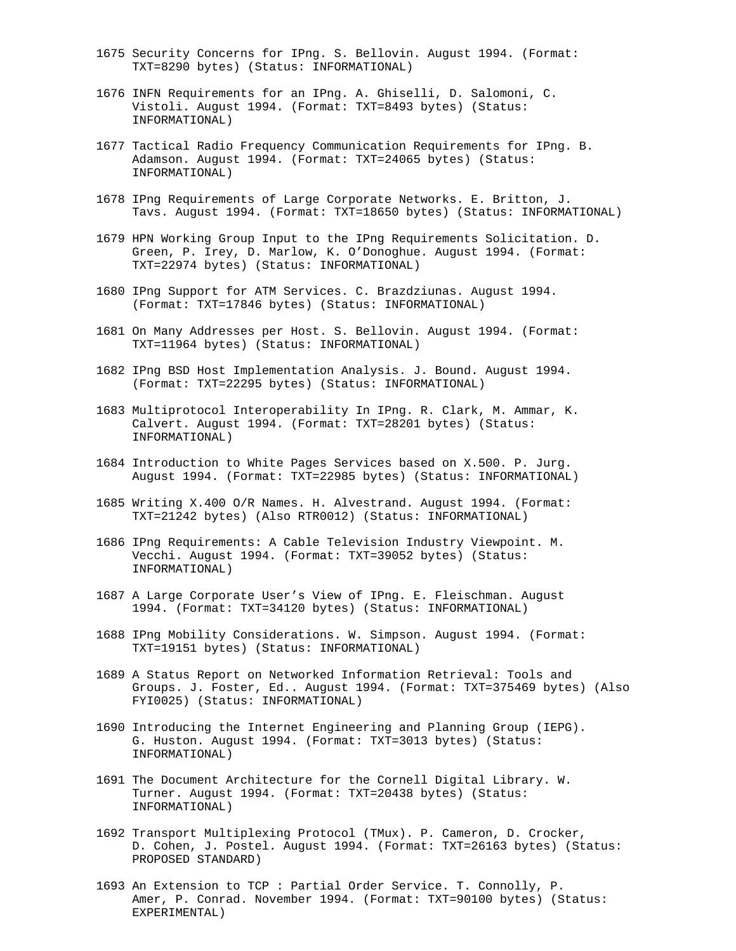- 1675 Security Concerns for IPng. S. Bellovin. August 1994. (Format: TXT=8290 bytes) (Status: INFORMATIONAL)
- 1676 INFN Requirements for an IPng. A. Ghiselli, D. Salomoni, C. Vistoli. August 1994. (Format: TXT=8493 bytes) (Status: INFORMATIONAL)
- 1677 Tactical Radio Frequency Communication Requirements for IPng. B. Adamson. August 1994. (Format: TXT=24065 bytes) (Status: INFORMATIONAL)
- 1678 IPng Requirements of Large Corporate Networks. E. Britton, J. Tavs. August 1994. (Format: TXT=18650 bytes) (Status: INFORMATIONAL)
- 1679 HPN Working Group Input to the IPng Requirements Solicitation. D. Green, P. Irey, D. Marlow, K. O'Donoghue. August 1994. (Format: TXT=22974 bytes) (Status: INFORMATIONAL)
- 1680 IPng Support for ATM Services. C. Brazdziunas. August 1994. (Format: TXT=17846 bytes) (Status: INFORMATIONAL)
- 1681 On Many Addresses per Host. S. Bellovin. August 1994. (Format: TXT=11964 bytes) (Status: INFORMATIONAL)
- 1682 IPng BSD Host Implementation Analysis. J. Bound. August 1994. (Format: TXT=22295 bytes) (Status: INFORMATIONAL)
- 1683 Multiprotocol Interoperability In IPng. R. Clark, M. Ammar, K. Calvert. August 1994. (Format: TXT=28201 bytes) (Status: INFORMATIONAL)
- 1684 Introduction to White Pages Services based on X.500. P. Jurg. August 1994. (Format: TXT=22985 bytes) (Status: INFORMATIONAL)
- 1685 Writing X.400 O/R Names. H. Alvestrand. August 1994. (Format: TXT=21242 bytes) (Also RTR0012) (Status: INFORMATIONAL)
- 1686 IPng Requirements: A Cable Television Industry Viewpoint. M. Vecchi. August 1994. (Format: TXT=39052 bytes) (Status: INFORMATIONAL)
- 1687 A Large Corporate User's View of IPng. E. Fleischman. August 1994. (Format: TXT=34120 bytes) (Status: INFORMATIONAL)
- 1688 IPng Mobility Considerations. W. Simpson. August 1994. (Format: TXT=19151 bytes) (Status: INFORMATIONAL)
- 1689 A Status Report on Networked Information Retrieval: Tools and Groups. J. Foster, Ed.. August 1994. (Format: TXT=375469 bytes) (Also FYI0025) (Status: INFORMATIONAL)
- 1690 Introducing the Internet Engineering and Planning Group (IEPG). G. Huston. August 1994. (Format: TXT=3013 bytes) (Status: INFORMATIONAL)
- 1691 The Document Architecture for the Cornell Digital Library. W. Turner. August 1994. (Format: TXT=20438 bytes) (Status: INFORMATIONAL)
- 1692 Transport Multiplexing Protocol (TMux). P. Cameron, D. Crocker, D. Cohen, J. Postel. August 1994. (Format: TXT=26163 bytes) (Status: PROPOSED STANDARD)
- 1693 An Extension to TCP : Partial Order Service. T. Connolly, P. Amer, P. Conrad. November 1994. (Format: TXT=90100 bytes) (Status: EXPERIMENTAL)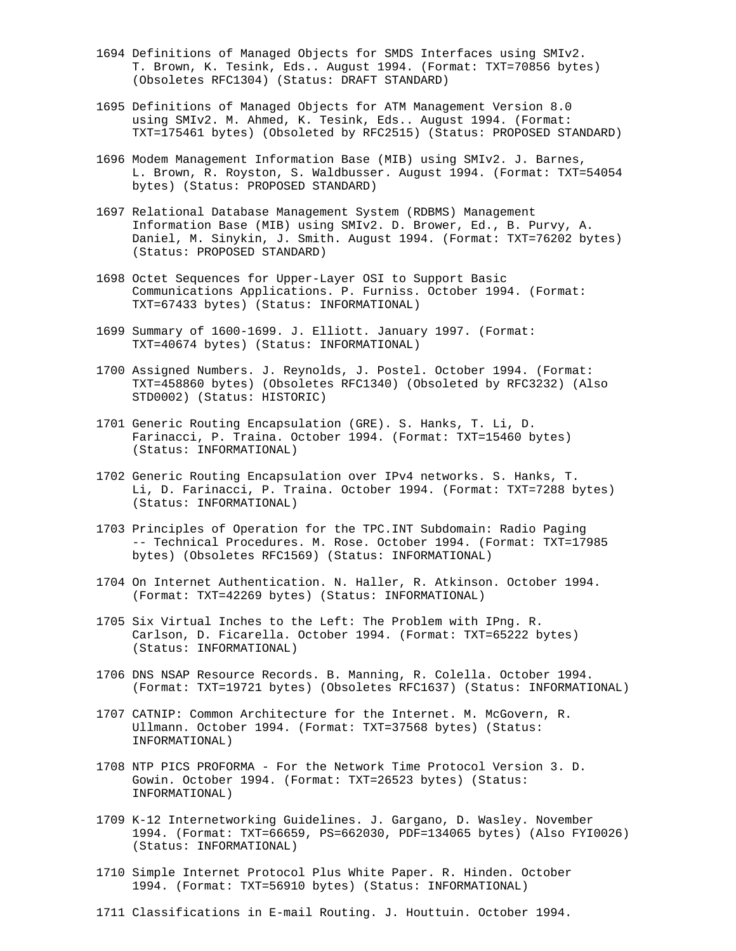- 1694 Definitions of Managed Objects for SMDS Interfaces using SMIv2. T. Brown, K. Tesink, Eds.. August 1994. (Format: TXT=70856 bytes) (Obsoletes RFC1304) (Status: DRAFT STANDARD)
- 1695 Definitions of Managed Objects for ATM Management Version 8.0 using SMIv2. M. Ahmed, K. Tesink, Eds.. August 1994. (Format: TXT=175461 bytes) (Obsoleted by RFC2515) (Status: PROPOSED STANDARD)
- 1696 Modem Management Information Base (MIB) using SMIv2. J. Barnes, L. Brown, R. Royston, S. Waldbusser. August 1994. (Format: TXT=54054 bytes) (Status: PROPOSED STANDARD)
- 1697 Relational Database Management System (RDBMS) Management Information Base (MIB) using SMIv2. D. Brower, Ed., B. Purvy, A. Daniel, M. Sinykin, J. Smith. August 1994. (Format: TXT=76202 bytes) (Status: PROPOSED STANDARD)
- 1698 Octet Sequences for Upper-Layer OSI to Support Basic Communications Applications. P. Furniss. October 1994. (Format: TXT=67433 bytes) (Status: INFORMATIONAL)
- 1699 Summary of 1600-1699. J. Elliott. January 1997. (Format: TXT=40674 bytes) (Status: INFORMATIONAL)
- 1700 Assigned Numbers. J. Reynolds, J. Postel. October 1994. (Format: TXT=458860 bytes) (Obsoletes RFC1340) (Obsoleted by RFC3232) (Also STD0002) (Status: HISTORIC)
- 1701 Generic Routing Encapsulation (GRE). S. Hanks, T. Li, D. Farinacci, P. Traina. October 1994. (Format: TXT=15460 bytes) (Status: INFORMATIONAL)
- 1702 Generic Routing Encapsulation over IPv4 networks. S. Hanks, T. Li, D. Farinacci, P. Traina. October 1994. (Format: TXT=7288 bytes) (Status: INFORMATIONAL)
- 1703 Principles of Operation for the TPC.INT Subdomain: Radio Paging -- Technical Procedures. M. Rose. October 1994. (Format: TXT=17985 bytes) (Obsoletes RFC1569) (Status: INFORMATIONAL)
- 1704 On Internet Authentication. N. Haller, R. Atkinson. October 1994. (Format: TXT=42269 bytes) (Status: INFORMATIONAL)
- 1705 Six Virtual Inches to the Left: The Problem with IPng. R. Carlson, D. Ficarella. October 1994. (Format: TXT=65222 bytes) (Status: INFORMATIONAL)
- 1706 DNS NSAP Resource Records. B. Manning, R. Colella. October 1994. (Format: TXT=19721 bytes) (Obsoletes RFC1637) (Status: INFORMATIONAL)
- 1707 CATNIP: Common Architecture for the Internet. M. McGovern, R. Ullmann. October 1994. (Format: TXT=37568 bytes) (Status: INFORMATIONAL)
- 1708 NTP PICS PROFORMA For the Network Time Protocol Version 3. D. Gowin. October 1994. (Format: TXT=26523 bytes) (Status: INFORMATIONAL)
- 1709 K-12 Internetworking Guidelines. J. Gargano, D. Wasley. November 1994. (Format: TXT=66659, PS=662030, PDF=134065 bytes) (Also FYI0026) (Status: INFORMATIONAL)
- 1710 Simple Internet Protocol Plus White Paper. R. Hinden. October 1994. (Format: TXT=56910 bytes) (Status: INFORMATIONAL)
- 1711 Classifications in E-mail Routing. J. Houttuin. October 1994.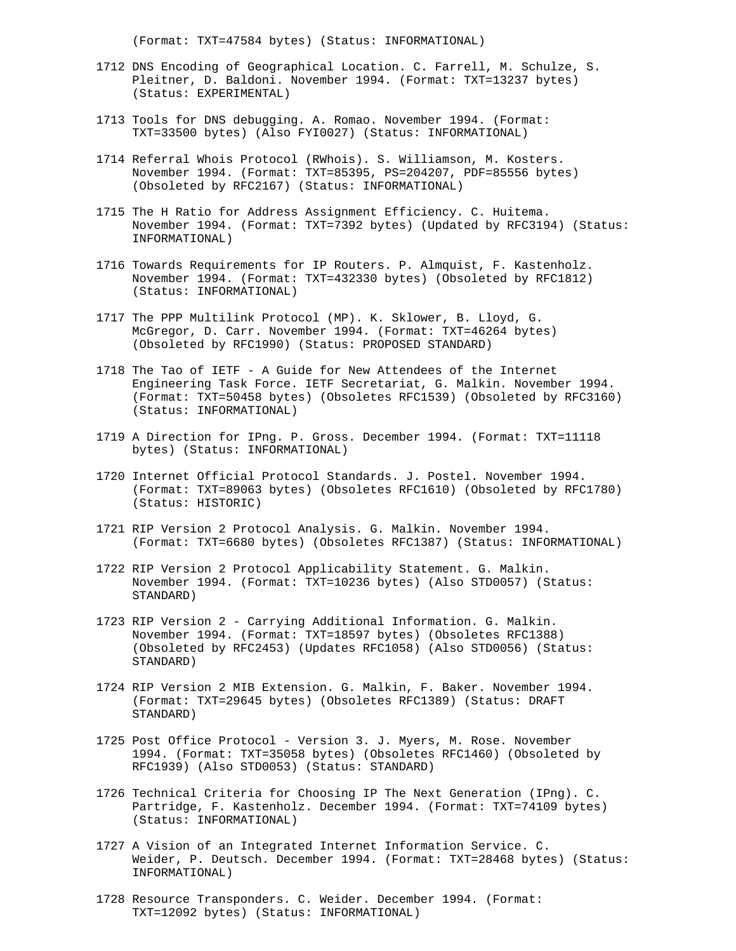(Format: TXT=47584 bytes) (Status: INFORMATIONAL)

- 1712 DNS Encoding of Geographical Location. C. Farrell, M. Schulze, S. Pleitner, D. Baldoni. November 1994. (Format: TXT=13237 bytes) (Status: EXPERIMENTAL)
- 1713 Tools for DNS debugging. A. Romao. November 1994. (Format: TXT=33500 bytes) (Also FYI0027) (Status: INFORMATIONAL)
- 1714 Referral Whois Protocol (RWhois). S. Williamson, M. Kosters. November 1994. (Format: TXT=85395, PS=204207, PDF=85556 bytes) (Obsoleted by RFC2167) (Status: INFORMATIONAL)
- 1715 The H Ratio for Address Assignment Efficiency. C. Huitema. November 1994. (Format: TXT=7392 bytes) (Updated by RFC3194) (Status: INFORMATIONAL)
- 1716 Towards Requirements for IP Routers. P. Almquist, F. Kastenholz. November 1994. (Format: TXT=432330 bytes) (Obsoleted by RFC1812) (Status: INFORMATIONAL)
- 1717 The PPP Multilink Protocol (MP). K. Sklower, B. Lloyd, G. McGregor, D. Carr. November 1994. (Format: TXT=46264 bytes) (Obsoleted by RFC1990) (Status: PROPOSED STANDARD)
- 1718 The Tao of IETF A Guide for New Attendees of the Internet Engineering Task Force. IETF Secretariat, G. Malkin. November 1994. (Format: TXT=50458 bytes) (Obsoletes RFC1539) (Obsoleted by RFC3160) (Status: INFORMATIONAL)
- 1719 A Direction for IPng. P. Gross. December 1994. (Format: TXT=11118 bytes) (Status: INFORMATIONAL)
- 1720 Internet Official Protocol Standards. J. Postel. November 1994. (Format: TXT=89063 bytes) (Obsoletes RFC1610) (Obsoleted by RFC1780) (Status: HISTORIC)
- 1721 RIP Version 2 Protocol Analysis. G. Malkin. November 1994. (Format: TXT=6680 bytes) (Obsoletes RFC1387) (Status: INFORMATIONAL)
- 1722 RIP Version 2 Protocol Applicability Statement. G. Malkin. November 1994. (Format: TXT=10236 bytes) (Also STD0057) (Status: STANDARD)
- 1723 RIP Version 2 Carrying Additional Information. G. Malkin. November 1994. (Format: TXT=18597 bytes) (Obsoletes RFC1388) (Obsoleted by RFC2453) (Updates RFC1058) (Also STD0056) (Status: STANDARD)
- 1724 RIP Version 2 MIB Extension. G. Malkin, F. Baker. November 1994. (Format: TXT=29645 bytes) (Obsoletes RFC1389) (Status: DRAFT STANDARD)
- 1725 Post Office Protocol Version 3. J. Myers, M. Rose. November 1994. (Format: TXT=35058 bytes) (Obsoletes RFC1460) (Obsoleted by RFC1939) (Also STD0053) (Status: STANDARD)
- 1726 Technical Criteria for Choosing IP The Next Generation (IPng). C. Partridge, F. Kastenholz. December 1994. (Format: TXT=74109 bytes) (Status: INFORMATIONAL)
- 1727 A Vision of an Integrated Internet Information Service. C. Weider, P. Deutsch. December 1994. (Format: TXT=28468 bytes) (Status: INFORMATIONAL)
- 1728 Resource Transponders. C. Weider. December 1994. (Format: TXT=12092 bytes) (Status: INFORMATIONAL)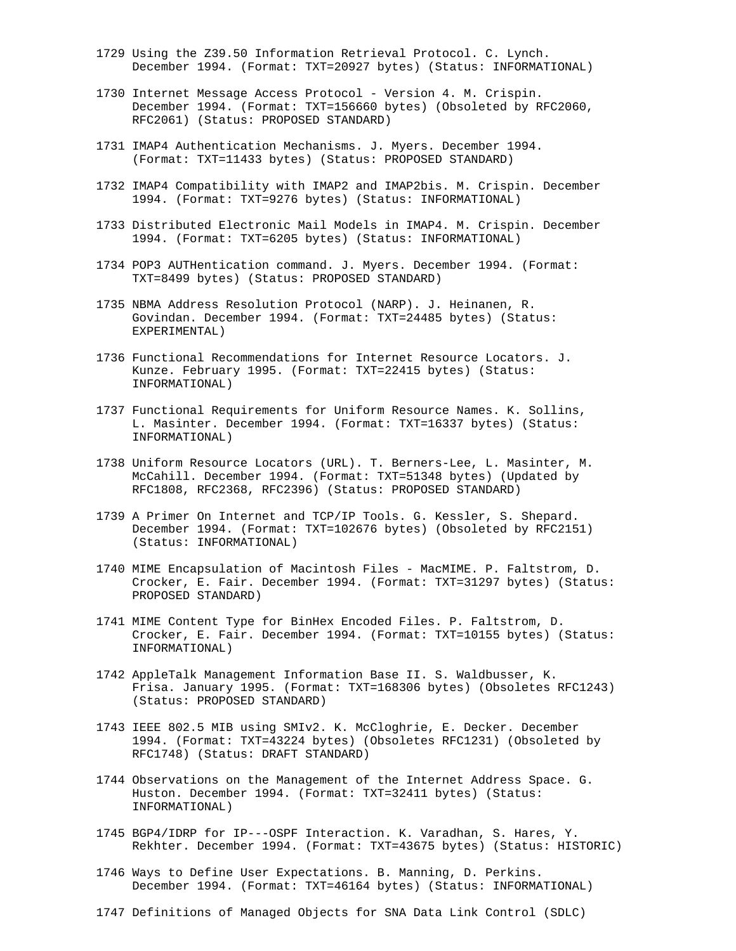- 1729 Using the Z39.50 Information Retrieval Protocol. C. Lynch. December 1994. (Format: TXT=20927 bytes) (Status: INFORMATIONAL)
- 1730 Internet Message Access Protocol Version 4. M. Crispin. December 1994. (Format: TXT=156660 bytes) (Obsoleted by RFC2060, RFC2061) (Status: PROPOSED STANDARD)
- 1731 IMAP4 Authentication Mechanisms. J. Myers. December 1994. (Format: TXT=11433 bytes) (Status: PROPOSED STANDARD)
- 1732 IMAP4 Compatibility with IMAP2 and IMAP2bis. M. Crispin. December 1994. (Format: TXT=9276 bytes) (Status: INFORMATIONAL)
- 1733 Distributed Electronic Mail Models in IMAP4. M. Crispin. December 1994. (Format: TXT=6205 bytes) (Status: INFORMATIONAL)
- 1734 POP3 AUTHentication command. J. Myers. December 1994. (Format: TXT=8499 bytes) (Status: PROPOSED STANDARD)
- 1735 NBMA Address Resolution Protocol (NARP). J. Heinanen, R. Govindan. December 1994. (Format: TXT=24485 bytes) (Status: EXPERIMENTAL)
- 1736 Functional Recommendations for Internet Resource Locators. J. Kunze. February 1995. (Format: TXT=22415 bytes) (Status: INFORMATIONAL)
- 1737 Functional Requirements for Uniform Resource Names. K. Sollins, L. Masinter. December 1994. (Format: TXT=16337 bytes) (Status: INFORMATIONAL)
- 1738 Uniform Resource Locators (URL). T. Berners-Lee, L. Masinter, M. McCahill. December 1994. (Format: TXT=51348 bytes) (Updated by RFC1808, RFC2368, RFC2396) (Status: PROPOSED STANDARD)
- 1739 A Primer On Internet and TCP/IP Tools. G. Kessler, S. Shepard. December 1994. (Format: TXT=102676 bytes) (Obsoleted by RFC2151) (Status: INFORMATIONAL)
- 1740 MIME Encapsulation of Macintosh Files MacMIME. P. Faltstrom, D. Crocker, E. Fair. December 1994. (Format: TXT=31297 bytes) (Status: PROPOSED STANDARD)
- 1741 MIME Content Type for BinHex Encoded Files. P. Faltstrom, D. Crocker, E. Fair. December 1994. (Format: TXT=10155 bytes) (Status: INFORMATIONAL)
- 1742 AppleTalk Management Information Base II. S. Waldbusser, K. Frisa. January 1995. (Format: TXT=168306 bytes) (Obsoletes RFC1243) (Status: PROPOSED STANDARD)
- 1743 IEEE 802.5 MIB using SMIv2. K. McCloghrie, E. Decker. December 1994. (Format: TXT=43224 bytes) (Obsoletes RFC1231) (Obsoleted by RFC1748) (Status: DRAFT STANDARD)
- 1744 Observations on the Management of the Internet Address Space. G. Huston. December 1994. (Format: TXT=32411 bytes) (Status: INFORMATIONAL)
- 1745 BGP4/IDRP for IP---OSPF Interaction. K. Varadhan, S. Hares, Y. Rekhter. December 1994. (Format: TXT=43675 bytes) (Status: HISTORIC)
- 1746 Ways to Define User Expectations. B. Manning, D. Perkins. December 1994. (Format: TXT=46164 bytes) (Status: INFORMATIONAL)
- 1747 Definitions of Managed Objects for SNA Data Link Control (SDLC)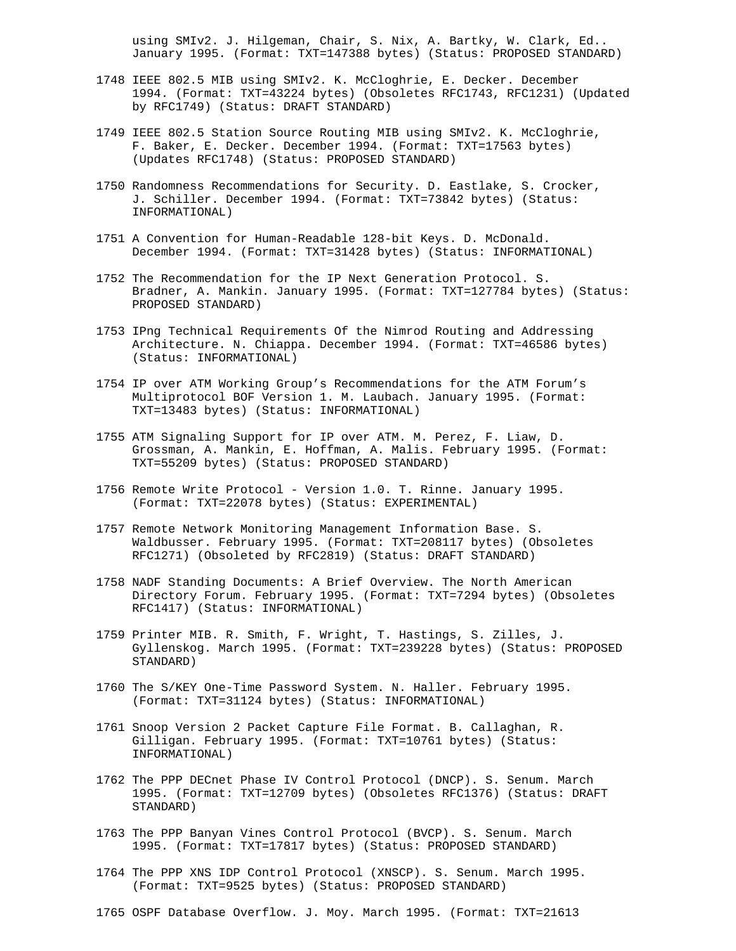using SMIv2. J. Hilgeman, Chair, S. Nix, A. Bartky, W. Clark, Ed.. January 1995. (Format: TXT=147388 bytes) (Status: PROPOSED STANDARD)

- 1748 IEEE 802.5 MIB using SMIv2. K. McCloghrie, E. Decker. December 1994. (Format: TXT=43224 bytes) (Obsoletes RFC1743, RFC1231) (Updated by RFC1749) (Status: DRAFT STANDARD)
- 1749 IEEE 802.5 Station Source Routing MIB using SMIv2. K. McCloghrie, F. Baker, E. Decker. December 1994. (Format: TXT=17563 bytes) (Updates RFC1748) (Status: PROPOSED STANDARD)
- 1750 Randomness Recommendations for Security. D. Eastlake, S. Crocker, J. Schiller. December 1994. (Format: TXT=73842 bytes) (Status: INFORMATIONAL)
- 1751 A Convention for Human-Readable 128-bit Keys. D. McDonald. December 1994. (Format: TXT=31428 bytes) (Status: INFORMATIONAL)
- 1752 The Recommendation for the IP Next Generation Protocol. S. Bradner, A. Mankin. January 1995. (Format: TXT=127784 bytes) (Status: PROPOSED STANDARD)
- 1753 IPng Technical Requirements Of the Nimrod Routing and Addressing Architecture. N. Chiappa. December 1994. (Format: TXT=46586 bytes) (Status: INFORMATIONAL)
- 1754 IP over ATM Working Group's Recommendations for the ATM Forum's Multiprotocol BOF Version 1. M. Laubach. January 1995. (Format: TXT=13483 bytes) (Status: INFORMATIONAL)
- 1755 ATM Signaling Support for IP over ATM. M. Perez, F. Liaw, D. Grossman, A. Mankin, E. Hoffman, A. Malis. February 1995. (Format: TXT=55209 bytes) (Status: PROPOSED STANDARD)
- 1756 Remote Write Protocol Version 1.0. T. Rinne. January 1995. (Format: TXT=22078 bytes) (Status: EXPERIMENTAL)
- 1757 Remote Network Monitoring Management Information Base. S. Waldbusser. February 1995. (Format: TXT=208117 bytes) (Obsoletes RFC1271) (Obsoleted by RFC2819) (Status: DRAFT STANDARD)
- 1758 NADF Standing Documents: A Brief Overview. The North American Directory Forum. February 1995. (Format: TXT=7294 bytes) (Obsoletes RFC1417) (Status: INFORMATIONAL)
- 1759 Printer MIB. R. Smith, F. Wright, T. Hastings, S. Zilles, J. Gyllenskog. March 1995. (Format: TXT=239228 bytes) (Status: PROPOSED STANDARD)
- 1760 The S/KEY One-Time Password System. N. Haller. February 1995. (Format: TXT=31124 bytes) (Status: INFORMATIONAL)
- 1761 Snoop Version 2 Packet Capture File Format. B. Callaghan, R. Gilligan. February 1995. (Format: TXT=10761 bytes) (Status: INFORMATIONAL)
- 1762 The PPP DECnet Phase IV Control Protocol (DNCP). S. Senum. March 1995. (Format: TXT=12709 bytes) (Obsoletes RFC1376) (Status: DRAFT STANDARD)
- 1763 The PPP Banyan Vines Control Protocol (BVCP). S. Senum. March 1995. (Format: TXT=17817 bytes) (Status: PROPOSED STANDARD)
- 1764 The PPP XNS IDP Control Protocol (XNSCP). S. Senum. March 1995. (Format: TXT=9525 bytes) (Status: PROPOSED STANDARD)

1765 OSPF Database Overflow. J. Moy. March 1995. (Format: TXT=21613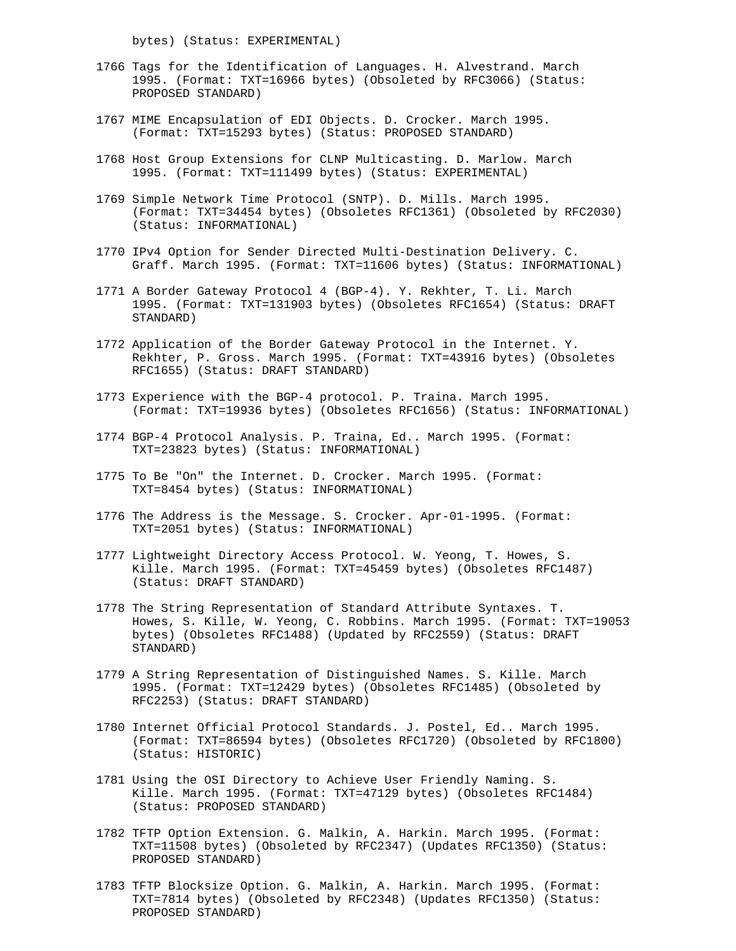bytes) (Status: EXPERIMENTAL)

- 1766 Tags for the Identification of Languages. H. Alvestrand. March 1995. (Format: TXT=16966 bytes) (Obsoleted by RFC3066) (Status: PROPOSED STANDARD)
- 1767 MIME Encapsulation of EDI Objects. D. Crocker. March 1995. (Format: TXT=15293 bytes) (Status: PROPOSED STANDARD)
- 1768 Host Group Extensions for CLNP Multicasting. D. Marlow. March 1995. (Format: TXT=111499 bytes) (Status: EXPERIMENTAL)
- 1769 Simple Network Time Protocol (SNTP). D. Mills. March 1995. (Format: TXT=34454 bytes) (Obsoletes RFC1361) (Obsoleted by RFC2030) (Status: INFORMATIONAL)
- 1770 IPv4 Option for Sender Directed Multi-Destination Delivery. C. Graff. March 1995. (Format: TXT=11606 bytes) (Status: INFORMATIONAL)
- 1771 A Border Gateway Protocol 4 (BGP-4). Y. Rekhter, T. Li. March 1995. (Format: TXT=131903 bytes) (Obsoletes RFC1654) (Status: DRAFT STANDARD)
- 1772 Application of the Border Gateway Protocol in the Internet. Y. Rekhter, P. Gross. March 1995. (Format: TXT=43916 bytes) (Obsoletes RFC1655) (Status: DRAFT STANDARD)
- 1773 Experience with the BGP-4 protocol. P. Traina. March 1995. (Format: TXT=19936 bytes) (Obsoletes RFC1656) (Status: INFORMATIONAL)
- 1774 BGP-4 Protocol Analysis. P. Traina, Ed.. March 1995. (Format: TXT=23823 bytes) (Status: INFORMATIONAL)
- 1775 To Be "On" the Internet. D. Crocker. March 1995. (Format: TXT=8454 bytes) (Status: INFORMATIONAL)
- 1776 The Address is the Message. S. Crocker. Apr-01-1995. (Format: TXT=2051 bytes) (Status: INFORMATIONAL)
- 1777 Lightweight Directory Access Protocol. W. Yeong, T. Howes, S. Kille. March 1995. (Format: TXT=45459 bytes) (Obsoletes RFC1487) (Status: DRAFT STANDARD)
- 1778 The String Representation of Standard Attribute Syntaxes. T. Howes, S. Kille, W. Yeong, C. Robbins. March 1995. (Format: TXT=19053 bytes) (Obsoletes RFC1488) (Updated by RFC2559) (Status: DRAFT STANDARD)
- 1779 A String Representation of Distinguished Names. S. Kille. March 1995. (Format: TXT=12429 bytes) (Obsoletes RFC1485) (Obsoleted by RFC2253) (Status: DRAFT STANDARD)
- 1780 Internet Official Protocol Standards. J. Postel, Ed.. March 1995. (Format: TXT=86594 bytes) (Obsoletes RFC1720) (Obsoleted by RFC1800) (Status: HISTORIC)
- 1781 Using the OSI Directory to Achieve User Friendly Naming. S. Kille. March 1995. (Format: TXT=47129 bytes) (Obsoletes RFC1484) (Status: PROPOSED STANDARD)
- 1782 TFTP Option Extension. G. Malkin, A. Harkin. March 1995. (Format: TXT=11508 bytes) (Obsoleted by RFC2347) (Updates RFC1350) (Status: PROPOSED STANDARD)
- 1783 TFTP Blocksize Option. G. Malkin, A. Harkin. March 1995. (Format: TXT=7814 bytes) (Obsoleted by RFC2348) (Updates RFC1350) (Status: PROPOSED STANDARD)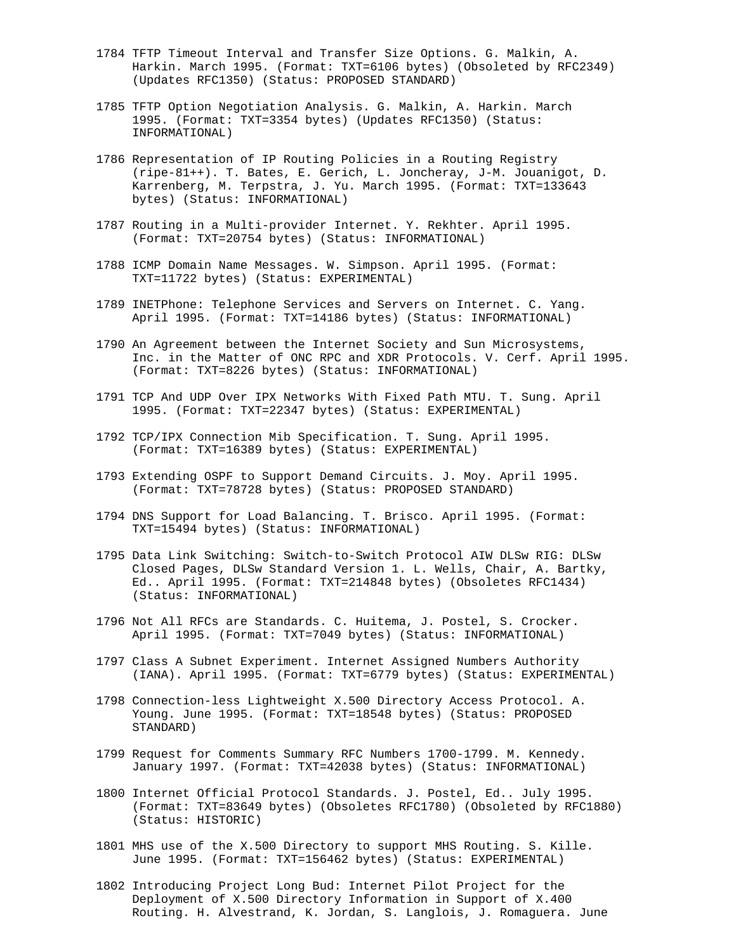- 1784 TFTP Timeout Interval and Transfer Size Options. G. Malkin, A. Harkin. March 1995. (Format: TXT=6106 bytes) (Obsoleted by RFC2349) (Updates RFC1350) (Status: PROPOSED STANDARD)
- 1785 TFTP Option Negotiation Analysis. G. Malkin, A. Harkin. March 1995. (Format: TXT=3354 bytes) (Updates RFC1350) (Status: INFORMATIONAL)
- 1786 Representation of IP Routing Policies in a Routing Registry (ripe-81++). T. Bates, E. Gerich, L. Joncheray, J-M. Jouanigot, D. Karrenberg, M. Terpstra, J. Yu. March 1995. (Format: TXT=133643 bytes) (Status: INFORMATIONAL)
- 1787 Routing in a Multi-provider Internet. Y. Rekhter. April 1995. (Format: TXT=20754 bytes) (Status: INFORMATIONAL)
- 1788 ICMP Domain Name Messages. W. Simpson. April 1995. (Format: TXT=11722 bytes) (Status: EXPERIMENTAL)
- 1789 INETPhone: Telephone Services and Servers on Internet. C. Yang. April 1995. (Format: TXT=14186 bytes) (Status: INFORMATIONAL)
- 1790 An Agreement between the Internet Society and Sun Microsystems, Inc. in the Matter of ONC RPC and XDR Protocols. V. Cerf. April 1995. (Format: TXT=8226 bytes) (Status: INFORMATIONAL)
- 1791 TCP And UDP Over IPX Networks With Fixed Path MTU. T. Sung. April 1995. (Format: TXT=22347 bytes) (Status: EXPERIMENTAL)
- 1792 TCP/IPX Connection Mib Specification. T. Sung. April 1995. (Format: TXT=16389 bytes) (Status: EXPERIMENTAL)
- 1793 Extending OSPF to Support Demand Circuits. J. Moy. April 1995. (Format: TXT=78728 bytes) (Status: PROPOSED STANDARD)
- 1794 DNS Support for Load Balancing. T. Brisco. April 1995. (Format: TXT=15494 bytes) (Status: INFORMATIONAL)
- 1795 Data Link Switching: Switch-to-Switch Protocol AIW DLSw RIG: DLSw Closed Pages, DLSw Standard Version 1. L. Wells, Chair, A. Bartky, Ed.. April 1995. (Format: TXT=214848 bytes) (Obsoletes RFC1434) (Status: INFORMATIONAL)
- 1796 Not All RFCs are Standards. C. Huitema, J. Postel, S. Crocker. April 1995. (Format: TXT=7049 bytes) (Status: INFORMATIONAL)
- 1797 Class A Subnet Experiment. Internet Assigned Numbers Authority (IANA). April 1995. (Format: TXT=6779 bytes) (Status: EXPERIMENTAL)
- 1798 Connection-less Lightweight X.500 Directory Access Protocol. A. Young. June 1995. (Format: TXT=18548 bytes) (Status: PROPOSED STANDARD)
- 1799 Request for Comments Summary RFC Numbers 1700-1799. M. Kennedy. January 1997. (Format: TXT=42038 bytes) (Status: INFORMATIONAL)
- 1800 Internet Official Protocol Standards. J. Postel, Ed.. July 1995. (Format: TXT=83649 bytes) (Obsoletes RFC1780) (Obsoleted by RFC1880) (Status: HISTORIC)
- 1801 MHS use of the X.500 Directory to support MHS Routing. S. Kille. June 1995. (Format: TXT=156462 bytes) (Status: EXPERIMENTAL)
- 1802 Introducing Project Long Bud: Internet Pilot Project for the Deployment of X.500 Directory Information in Support of X.400 Routing. H. Alvestrand, K. Jordan, S. Langlois, J. Romaguera. June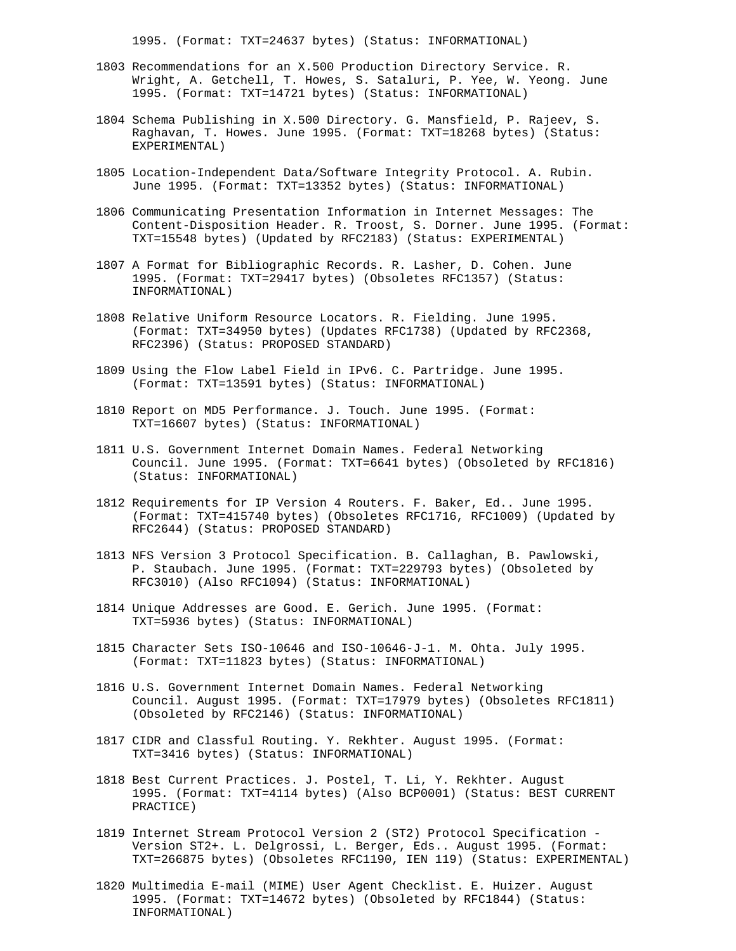1995. (Format: TXT=24637 bytes) (Status: INFORMATIONAL)

- 1803 Recommendations for an X.500 Production Directory Service. R. Wright, A. Getchell, T. Howes, S. Sataluri, P. Yee, W. Yeong. June 1995. (Format: TXT=14721 bytes) (Status: INFORMATIONAL)
- 1804 Schema Publishing in X.500 Directory. G. Mansfield, P. Rajeev, S. Raghavan, T. Howes. June 1995. (Format: TXT=18268 bytes) (Status: EXPERIMENTAL)
- 1805 Location-Independent Data/Software Integrity Protocol. A. Rubin. June 1995. (Format: TXT=13352 bytes) (Status: INFORMATIONAL)
- 1806 Communicating Presentation Information in Internet Messages: The Content-Disposition Header. R. Troost, S. Dorner. June 1995. (Format: TXT=15548 bytes) (Updated by RFC2183) (Status: EXPERIMENTAL)
- 1807 A Format for Bibliographic Records. R. Lasher, D. Cohen. June 1995. (Format: TXT=29417 bytes) (Obsoletes RFC1357) (Status: INFORMATIONAL)
- 1808 Relative Uniform Resource Locators. R. Fielding. June 1995. (Format: TXT=34950 bytes) (Updates RFC1738) (Updated by RFC2368, RFC2396) (Status: PROPOSED STANDARD)
- 1809 Using the Flow Label Field in IPv6. C. Partridge. June 1995. (Format: TXT=13591 bytes) (Status: INFORMATIONAL)
- 1810 Report on MD5 Performance. J. Touch. June 1995. (Format: TXT=16607 bytes) (Status: INFORMATIONAL)
- 1811 U.S. Government Internet Domain Names. Federal Networking Council. June 1995. (Format: TXT=6641 bytes) (Obsoleted by RFC1816) (Status: INFORMATIONAL)
- 1812 Requirements for IP Version 4 Routers. F. Baker, Ed.. June 1995. (Format: TXT=415740 bytes) (Obsoletes RFC1716, RFC1009) (Updated by RFC2644) (Status: PROPOSED STANDARD)
- 1813 NFS Version 3 Protocol Specification. B. Callaghan, B. Pawlowski, P. Staubach. June 1995. (Format: TXT=229793 bytes) (Obsoleted by RFC3010) (Also RFC1094) (Status: INFORMATIONAL)
- 1814 Unique Addresses are Good. E. Gerich. June 1995. (Format: TXT=5936 bytes) (Status: INFORMATIONAL)
- 1815 Character Sets ISO-10646 and ISO-10646-J-1. M. Ohta. July 1995. (Format: TXT=11823 bytes) (Status: INFORMATIONAL)
- 1816 U.S. Government Internet Domain Names. Federal Networking Council. August 1995. (Format: TXT=17979 bytes) (Obsoletes RFC1811) (Obsoleted by RFC2146) (Status: INFORMATIONAL)
- 1817 CIDR and Classful Routing. Y. Rekhter. August 1995. (Format: TXT=3416 bytes) (Status: INFORMATIONAL)
- 1818 Best Current Practices. J. Postel, T. Li, Y. Rekhter. August 1995. (Format: TXT=4114 bytes) (Also BCP0001) (Status: BEST CURRENT PRACTICE)
- 1819 Internet Stream Protocol Version 2 (ST2) Protocol Specification Version ST2+. L. Delgrossi, L. Berger, Eds.. August 1995. (Format: TXT=266875 bytes) (Obsoletes RFC1190, IEN 119) (Status: EXPERIMENTAL)
- 1820 Multimedia E-mail (MIME) User Agent Checklist. E. Huizer. August 1995. (Format: TXT=14672 bytes) (Obsoleted by RFC1844) (Status: INFORMATIONAL)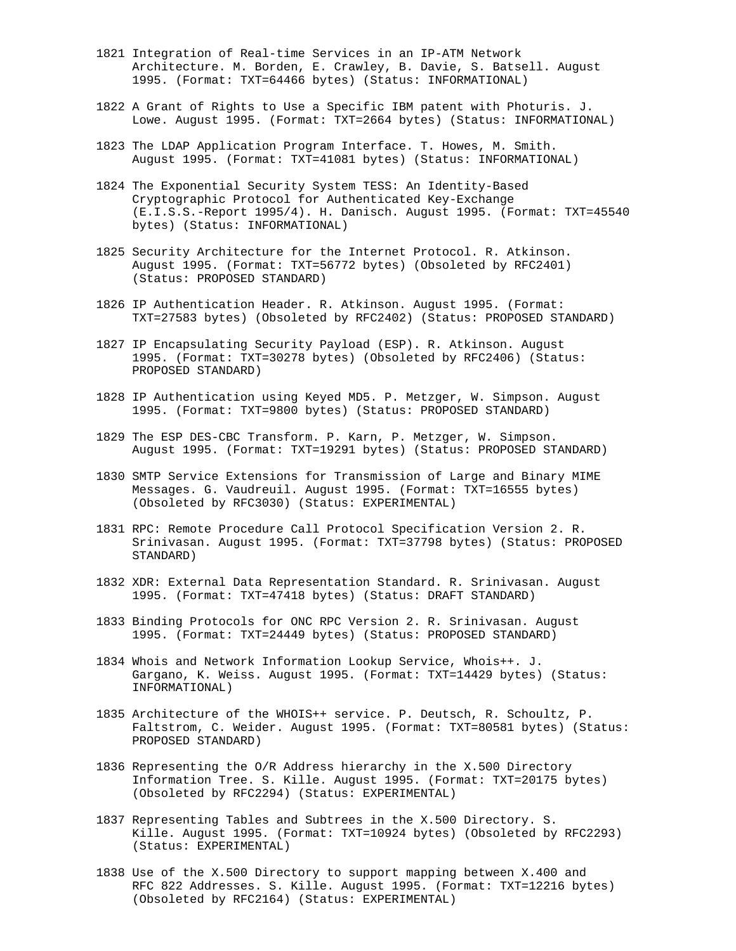- 1821 Integration of Real-time Services in an IP-ATM Network Architecture. M. Borden, E. Crawley, B. Davie, S. Batsell. August 1995. (Format: TXT=64466 bytes) (Status: INFORMATIONAL)
- 1822 A Grant of Rights to Use a Specific IBM patent with Photuris. J. Lowe. August 1995. (Format: TXT=2664 bytes) (Status: INFORMATIONAL)
- 1823 The LDAP Application Program Interface. T. Howes, M. Smith. August 1995. (Format: TXT=41081 bytes) (Status: INFORMATIONAL)
- 1824 The Exponential Security System TESS: An Identity-Based Cryptographic Protocol for Authenticated Key-Exchange (E.I.S.S.-Report 1995/4). H. Danisch. August 1995. (Format: TXT=45540 bytes) (Status: INFORMATIONAL)
- 1825 Security Architecture for the Internet Protocol. R. Atkinson. August 1995. (Format: TXT=56772 bytes) (Obsoleted by RFC2401) (Status: PROPOSED STANDARD)
- 1826 IP Authentication Header. R. Atkinson. August 1995. (Format: TXT=27583 bytes) (Obsoleted by RFC2402) (Status: PROPOSED STANDARD)
- 1827 IP Encapsulating Security Payload (ESP). R. Atkinson. August 1995. (Format: TXT=30278 bytes) (Obsoleted by RFC2406) (Status: PROPOSED STANDARD)
- 1828 IP Authentication using Keyed MD5. P. Metzger, W. Simpson. August 1995. (Format: TXT=9800 bytes) (Status: PROPOSED STANDARD)
- 1829 The ESP DES-CBC Transform. P. Karn, P. Metzger, W. Simpson. August 1995. (Format: TXT=19291 bytes) (Status: PROPOSED STANDARD)
- 1830 SMTP Service Extensions for Transmission of Large and Binary MIME Messages. G. Vaudreuil. August 1995. (Format: TXT=16555 bytes) (Obsoleted by RFC3030) (Status: EXPERIMENTAL)
- 1831 RPC: Remote Procedure Call Protocol Specification Version 2. R. Srinivasan. August 1995. (Format: TXT=37798 bytes) (Status: PROPOSED STANDARD)
- 1832 XDR: External Data Representation Standard. R. Srinivasan. August 1995. (Format: TXT=47418 bytes) (Status: DRAFT STANDARD)
- 1833 Binding Protocols for ONC RPC Version 2. R. Srinivasan. August 1995. (Format: TXT=24449 bytes) (Status: PROPOSED STANDARD)
- 1834 Whois and Network Information Lookup Service, Whois++. J. Gargano, K. Weiss. August 1995. (Format: TXT=14429 bytes) (Status: INFORMATIONAL)
- 1835 Architecture of the WHOIS++ service. P. Deutsch, R. Schoultz, P. Faltstrom, C. Weider. August 1995. (Format: TXT=80581 bytes) (Status: PROPOSED STANDARD)
- 1836 Representing the O/R Address hierarchy in the X.500 Directory Information Tree. S. Kille. August 1995. (Format: TXT=20175 bytes) (Obsoleted by RFC2294) (Status: EXPERIMENTAL)
- 1837 Representing Tables and Subtrees in the X.500 Directory. S. Kille. August 1995. (Format: TXT=10924 bytes) (Obsoleted by RFC2293) (Status: EXPERIMENTAL)
- 1838 Use of the X.500 Directory to support mapping between X.400 and RFC 822 Addresses. S. Kille. August 1995. (Format: TXT=12216 bytes) (Obsoleted by RFC2164) (Status: EXPERIMENTAL)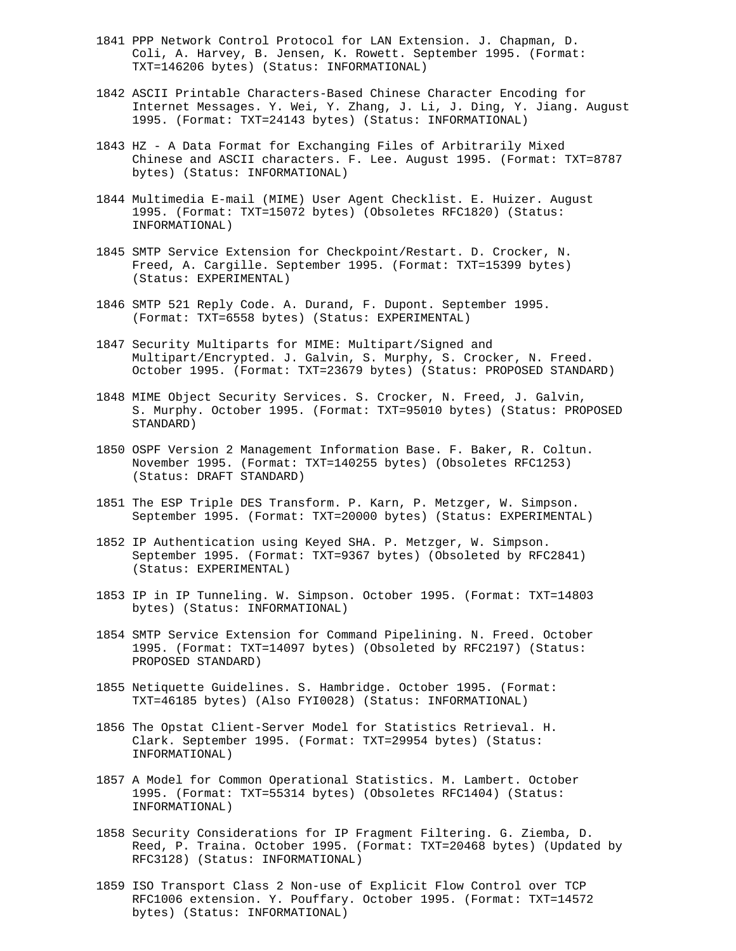- 1841 PPP Network Control Protocol for LAN Extension. J. Chapman, D. Coli, A. Harvey, B. Jensen, K. Rowett. September 1995. (Format: TXT=146206 bytes) (Status: INFORMATIONAL)
- 1842 ASCII Printable Characters-Based Chinese Character Encoding for Internet Messages. Y. Wei, Y. Zhang, J. Li, J. Ding, Y. Jiang. August 1995. (Format: TXT=24143 bytes) (Status: INFORMATIONAL)
- 1843 HZ A Data Format for Exchanging Files of Arbitrarily Mixed Chinese and ASCII characters. F. Lee. August 1995. (Format: TXT=8787 bytes) (Status: INFORMATIONAL)
- 1844 Multimedia E-mail (MIME) User Agent Checklist. E. Huizer. August 1995. (Format: TXT=15072 bytes) (Obsoletes RFC1820) (Status: INFORMATIONAL)
- 1845 SMTP Service Extension for Checkpoint/Restart. D. Crocker, N. Freed, A. Cargille. September 1995. (Format: TXT=15399 bytes) (Status: EXPERIMENTAL)
- 1846 SMTP 521 Reply Code. A. Durand, F. Dupont. September 1995. (Format: TXT=6558 bytes) (Status: EXPERIMENTAL)
- 1847 Security Multiparts for MIME: Multipart/Signed and Multipart/Encrypted. J. Galvin, S. Murphy, S. Crocker, N. Freed. October 1995. (Format: TXT=23679 bytes) (Status: PROPOSED STANDARD)
- 1848 MIME Object Security Services. S. Crocker, N. Freed, J. Galvin, S. Murphy. October 1995. (Format: TXT=95010 bytes) (Status: PROPOSED STANDARD)
- 1850 OSPF Version 2 Management Information Base. F. Baker, R. Coltun. November 1995. (Format: TXT=140255 bytes) (Obsoletes RFC1253) (Status: DRAFT STANDARD)
- 1851 The ESP Triple DES Transform. P. Karn, P. Metzger, W. Simpson. September 1995. (Format: TXT=20000 bytes) (Status: EXPERIMENTAL)
- 1852 IP Authentication using Keyed SHA. P. Metzger, W. Simpson. September 1995. (Format: TXT=9367 bytes) (Obsoleted by RFC2841) (Status: EXPERIMENTAL)
- 1853 IP in IP Tunneling. W. Simpson. October 1995. (Format: TXT=14803 bytes) (Status: INFORMATIONAL)
- 1854 SMTP Service Extension for Command Pipelining. N. Freed. October 1995. (Format: TXT=14097 bytes) (Obsoleted by RFC2197) (Status: PROPOSED STANDARD)
- 1855 Netiquette Guidelines. S. Hambridge. October 1995. (Format: TXT=46185 bytes) (Also FYI0028) (Status: INFORMATIONAL)
- 1856 The Opstat Client-Server Model for Statistics Retrieval. H. Clark. September 1995. (Format: TXT=29954 bytes) (Status: INFORMATIONAL)
- 1857 A Model for Common Operational Statistics. M. Lambert. October 1995. (Format: TXT=55314 bytes) (Obsoletes RFC1404) (Status: INFORMATIONAL)
- 1858 Security Considerations for IP Fragment Filtering. G. Ziemba, D. Reed, P. Traina. October 1995. (Format: TXT=20468 bytes) (Updated by RFC3128) (Status: INFORMATIONAL)
- 1859 ISO Transport Class 2 Non-use of Explicit Flow Control over TCP RFC1006 extension. Y. Pouffary. October 1995. (Format: TXT=14572 bytes) (Status: INFORMATIONAL)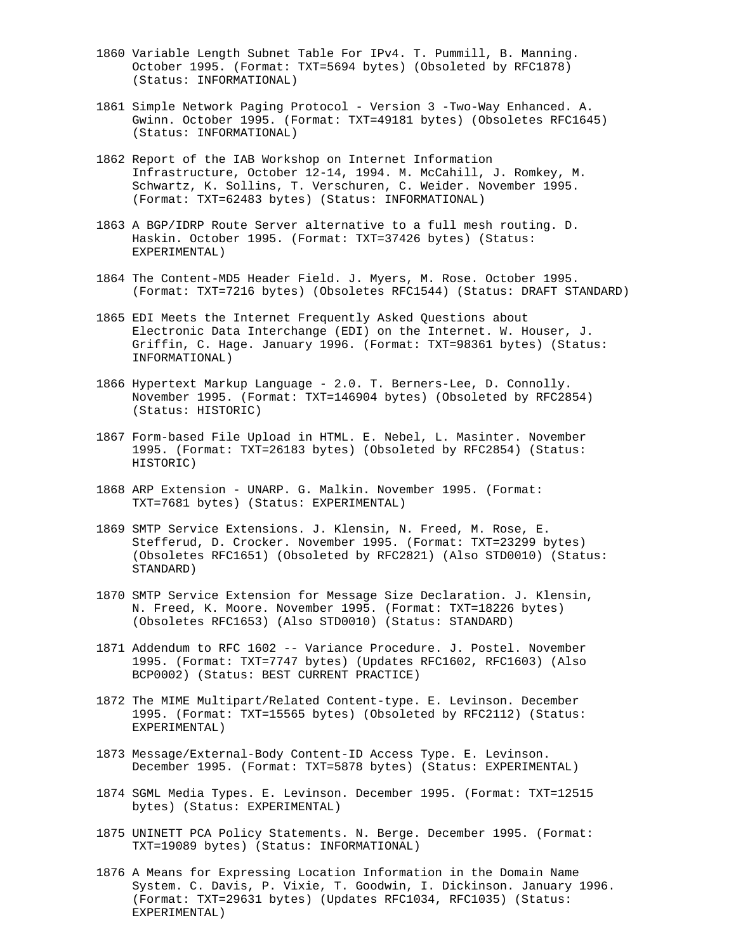- 1860 Variable Length Subnet Table For IPv4. T. Pummill, B. Manning. October 1995. (Format: TXT=5694 bytes) (Obsoleted by RFC1878) (Status: INFORMATIONAL)
- 1861 Simple Network Paging Protocol Version 3 -Two-Way Enhanced. A. Gwinn. October 1995. (Format: TXT=49181 bytes) (Obsoletes RFC1645) (Status: INFORMATIONAL)
- 1862 Report of the IAB Workshop on Internet Information Infrastructure, October 12-14, 1994. M. McCahill, J. Romkey, M. Schwartz, K. Sollins, T. Verschuren, C. Weider. November 1995. (Format: TXT=62483 bytes) (Status: INFORMATIONAL)
- 1863 A BGP/IDRP Route Server alternative to a full mesh routing. D. Haskin. October 1995. (Format: TXT=37426 bytes) (Status: EXPERIMENTAL)
- 1864 The Content-MD5 Header Field. J. Myers, M. Rose. October 1995. (Format: TXT=7216 bytes) (Obsoletes RFC1544) (Status: DRAFT STANDARD)
- 1865 EDI Meets the Internet Frequently Asked Questions about Electronic Data Interchange (EDI) on the Internet. W. Houser, J. Griffin, C. Hage. January 1996. (Format: TXT=98361 bytes) (Status: INFORMATIONAL)
- 1866 Hypertext Markup Language 2.0. T. Berners-Lee, D. Connolly. November 1995. (Format: TXT=146904 bytes) (Obsoleted by RFC2854) (Status: HISTORIC)
- 1867 Form-based File Upload in HTML. E. Nebel, L. Masinter. November 1995. (Format: TXT=26183 bytes) (Obsoleted by RFC2854) (Status: HISTORIC)
- 1868 ARP Extension UNARP. G. Malkin. November 1995. (Format: TXT=7681 bytes) (Status: EXPERIMENTAL)
- 1869 SMTP Service Extensions. J. Klensin, N. Freed, M. Rose, E. Stefferud, D. Crocker. November 1995. (Format: TXT=23299 bytes) (Obsoletes RFC1651) (Obsoleted by RFC2821) (Also STD0010) (Status: STANDARD)
- 1870 SMTP Service Extension for Message Size Declaration. J. Klensin, N. Freed, K. Moore. November 1995. (Format: TXT=18226 bytes) (Obsoletes RFC1653) (Also STD0010) (Status: STANDARD)
- 1871 Addendum to RFC 1602 -- Variance Procedure. J. Postel. November 1995. (Format: TXT=7747 bytes) (Updates RFC1602, RFC1603) (Also BCP0002) (Status: BEST CURRENT PRACTICE)
- 1872 The MIME Multipart/Related Content-type. E. Levinson. December 1995. (Format: TXT=15565 bytes) (Obsoleted by RFC2112) (Status: EXPERIMENTAL)
- 1873 Message/External-Body Content-ID Access Type. E. Levinson. December 1995. (Format: TXT=5878 bytes) (Status: EXPERIMENTAL)
- 1874 SGML Media Types. E. Levinson. December 1995. (Format: TXT=12515 bytes) (Status: EXPERIMENTAL)
- 1875 UNINETT PCA Policy Statements. N. Berge. December 1995. (Format: TXT=19089 bytes) (Status: INFORMATIONAL)
- 1876 A Means for Expressing Location Information in the Domain Name System. C. Davis, P. Vixie, T. Goodwin, I. Dickinson. January 1996. (Format: TXT=29631 bytes) (Updates RFC1034, RFC1035) (Status: EXPERIMENTAL)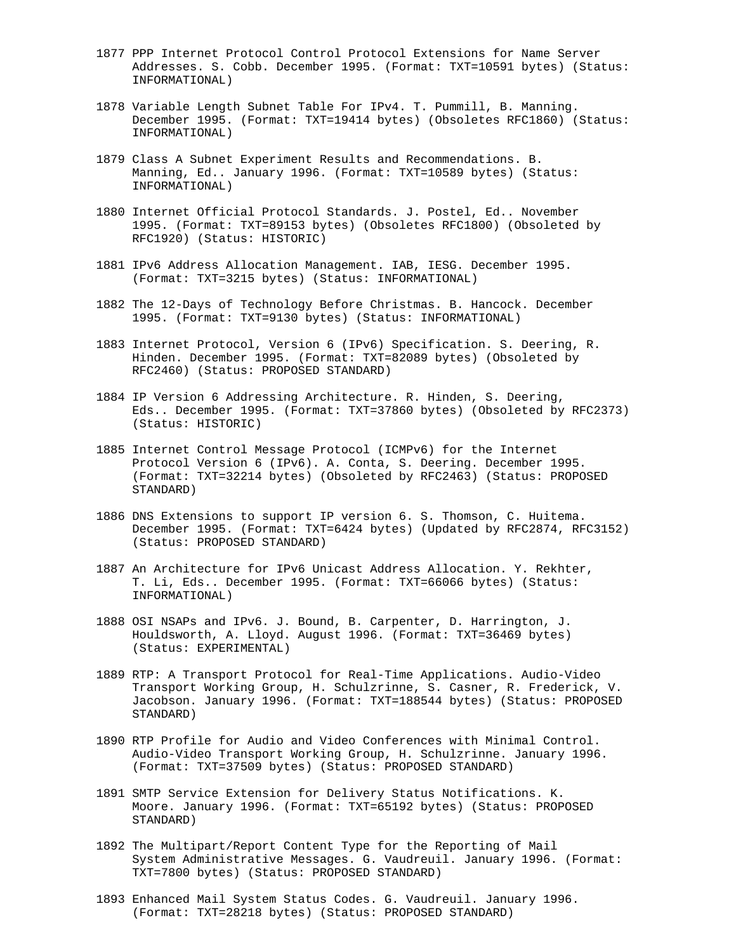- 1877 PPP Internet Protocol Control Protocol Extensions for Name Server Addresses. S. Cobb. December 1995. (Format: TXT=10591 bytes) (Status: INFORMATIONAL)
- 1878 Variable Length Subnet Table For IPv4. T. Pummill, B. Manning. December 1995. (Format: TXT=19414 bytes) (Obsoletes RFC1860) (Status: INFORMATIONAL)
- 1879 Class A Subnet Experiment Results and Recommendations. B. Manning, Ed.. January 1996. (Format: TXT=10589 bytes) (Status: INFORMATIONAL)
- 1880 Internet Official Protocol Standards. J. Postel, Ed.. November 1995. (Format: TXT=89153 bytes) (Obsoletes RFC1800) (Obsoleted by RFC1920) (Status: HISTORIC)
- 1881 IPv6 Address Allocation Management. IAB, IESG. December 1995. (Format: TXT=3215 bytes) (Status: INFORMATIONAL)
- 1882 The 12-Days of Technology Before Christmas. B. Hancock. December 1995. (Format: TXT=9130 bytes) (Status: INFORMATIONAL)
- 1883 Internet Protocol, Version 6 (IPv6) Specification. S. Deering, R. Hinden. December 1995. (Format: TXT=82089 bytes) (Obsoleted by RFC2460) (Status: PROPOSED STANDARD)
- 1884 IP Version 6 Addressing Architecture. R. Hinden, S. Deering, Eds.. December 1995. (Format: TXT=37860 bytes) (Obsoleted by RFC2373) (Status: HISTORIC)
- 1885 Internet Control Message Protocol (ICMPv6) for the Internet Protocol Version 6 (IPv6). A. Conta, S. Deering. December 1995. (Format: TXT=32214 bytes) (Obsoleted by RFC2463) (Status: PROPOSED STANDARD)
- 1886 DNS Extensions to support IP version 6. S. Thomson, C. Huitema. December 1995. (Format: TXT=6424 bytes) (Updated by RFC2874, RFC3152) (Status: PROPOSED STANDARD)
- 1887 An Architecture for IPv6 Unicast Address Allocation. Y. Rekhter, T. Li, Eds.. December 1995. (Format: TXT=66066 bytes) (Status: INFORMATIONAL)
- 1888 OSI NSAPs and IPv6. J. Bound, B. Carpenter, D. Harrington, J. Houldsworth, A. Lloyd. August 1996. (Format: TXT=36469 bytes) (Status: EXPERIMENTAL)
- 1889 RTP: A Transport Protocol for Real-Time Applications. Audio-Video Transport Working Group, H. Schulzrinne, S. Casner, R. Frederick, V. Jacobson. January 1996. (Format: TXT=188544 bytes) (Status: PROPOSED STANDARD)
- 1890 RTP Profile for Audio and Video Conferences with Minimal Control. Audio-Video Transport Working Group, H. Schulzrinne. January 1996. (Format: TXT=37509 bytes) (Status: PROPOSED STANDARD)
- 1891 SMTP Service Extension for Delivery Status Notifications. K. Moore. January 1996. (Format: TXT=65192 bytes) (Status: PROPOSED STANDARD)
- 1892 The Multipart/Report Content Type for the Reporting of Mail System Administrative Messages. G. Vaudreuil. January 1996. (Format: TXT=7800 bytes) (Status: PROPOSED STANDARD)
- 1893 Enhanced Mail System Status Codes. G. Vaudreuil. January 1996. (Format: TXT=28218 bytes) (Status: PROPOSED STANDARD)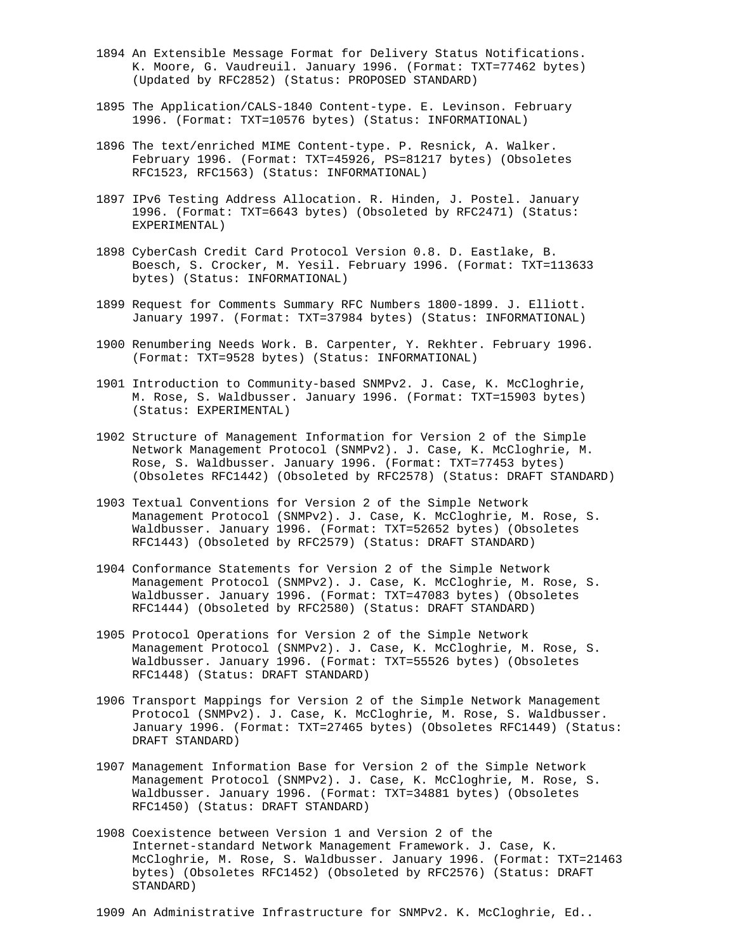- 1894 An Extensible Message Format for Delivery Status Notifications. K. Moore, G. Vaudreuil. January 1996. (Format: TXT=77462 bytes) (Updated by RFC2852) (Status: PROPOSED STANDARD)
- 1895 The Application/CALS-1840 Content-type. E. Levinson. February 1996. (Format: TXT=10576 bytes) (Status: INFORMATIONAL)
- 1896 The text/enriched MIME Content-type. P. Resnick, A. Walker. February 1996. (Format: TXT=45926, PS=81217 bytes) (Obsoletes RFC1523, RFC1563) (Status: INFORMATIONAL)
- 1897 IPv6 Testing Address Allocation. R. Hinden, J. Postel. January 1996. (Format: TXT=6643 bytes) (Obsoleted by RFC2471) (Status: EXPERIMENTAL)
- 1898 CyberCash Credit Card Protocol Version 0.8. D. Eastlake, B. Boesch, S. Crocker, M. Yesil. February 1996. (Format: TXT=113633 bytes) (Status: INFORMATIONAL)
- 1899 Request for Comments Summary RFC Numbers 1800-1899. J. Elliott. January 1997. (Format: TXT=37984 bytes) (Status: INFORMATIONAL)
- 1900 Renumbering Needs Work. B. Carpenter, Y. Rekhter. February 1996. (Format: TXT=9528 bytes) (Status: INFORMATIONAL)
- 1901 Introduction to Community-based SNMPv2. J. Case, K. McCloghrie, M. Rose, S. Waldbusser. January 1996. (Format: TXT=15903 bytes) (Status: EXPERIMENTAL)
- 1902 Structure of Management Information for Version 2 of the Simple Network Management Protocol (SNMPv2). J. Case, K. McCloghrie, M. Rose, S. Waldbusser. January 1996. (Format: TXT=77453 bytes) (Obsoletes RFC1442) (Obsoleted by RFC2578) (Status: DRAFT STANDARD)
- 1903 Textual Conventions for Version 2 of the Simple Network Management Protocol (SNMPv2). J. Case, K. McCloghrie, M. Rose, S. Waldbusser. January 1996. (Format: TXT=52652 bytes) (Obsoletes RFC1443) (Obsoleted by RFC2579) (Status: DRAFT STANDARD)
- 1904 Conformance Statements for Version 2 of the Simple Network Management Protocol (SNMPv2). J. Case, K. McCloghrie, M. Rose, S. Waldbusser. January 1996. (Format: TXT=47083 bytes) (Obsoletes RFC1444) (Obsoleted by RFC2580) (Status: DRAFT STANDARD)
- 1905 Protocol Operations for Version 2 of the Simple Network Management Protocol (SNMPv2). J. Case, K. McCloghrie, M. Rose, S. Waldbusser. January 1996. (Format: TXT=55526 bytes) (Obsoletes RFC1448) (Status: DRAFT STANDARD)
- 1906 Transport Mappings for Version 2 of the Simple Network Management Protocol (SNMPv2). J. Case, K. McCloghrie, M. Rose, S. Waldbusser. January 1996. (Format: TXT=27465 bytes) (Obsoletes RFC1449) (Status: DRAFT STANDARD)
- 1907 Management Information Base for Version 2 of the Simple Network Management Protocol (SNMPv2). J. Case, K. McCloghrie, M. Rose, S. Waldbusser. January 1996. (Format: TXT=34881 bytes) (Obsoletes RFC1450) (Status: DRAFT STANDARD)
- 1908 Coexistence between Version 1 and Version 2 of the Internet-standard Network Management Framework. J. Case, K. McCloghrie, M. Rose, S. Waldbusser. January 1996. (Format: TXT=21463 bytes) (Obsoletes RFC1452) (Obsoleted by RFC2576) (Status: DRAFT STANDARD)

1909 An Administrative Infrastructure for SNMPv2. K. McCloghrie, Ed..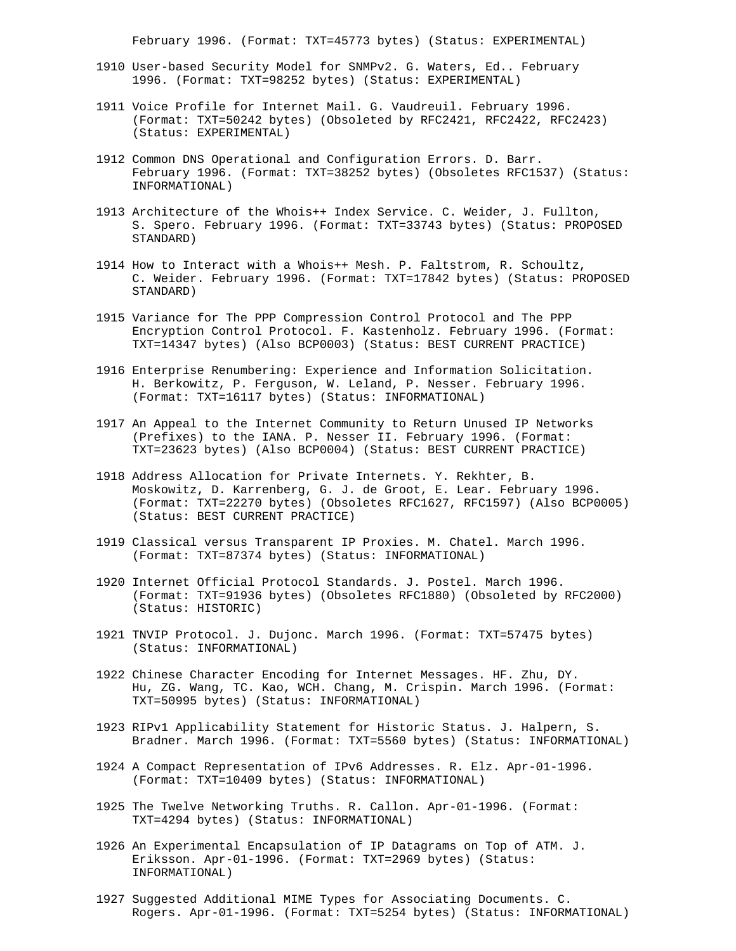February 1996. (Format: TXT=45773 bytes) (Status: EXPERIMENTAL)

- 1910 User-based Security Model for SNMPv2. G. Waters, Ed.. February 1996. (Format: TXT=98252 bytes) (Status: EXPERIMENTAL)
- 1911 Voice Profile for Internet Mail. G. Vaudreuil. February 1996. (Format: TXT=50242 bytes) (Obsoleted by RFC2421, RFC2422, RFC2423) (Status: EXPERIMENTAL)
- 1912 Common DNS Operational and Configuration Errors. D. Barr. February 1996. (Format: TXT=38252 bytes) (Obsoletes RFC1537) (Status: INFORMATIONAL)
- 1913 Architecture of the Whois++ Index Service. C. Weider, J. Fullton, S. Spero. February 1996. (Format: TXT=33743 bytes) (Status: PROPOSED STANDARD)
- 1914 How to Interact with a Whois++ Mesh. P. Faltstrom, R. Schoultz, C. Weider. February 1996. (Format: TXT=17842 bytes) (Status: PROPOSED STANDARD)
- 1915 Variance for The PPP Compression Control Protocol and The PPP Encryption Control Protocol. F. Kastenholz. February 1996. (Format: TXT=14347 bytes) (Also BCP0003) (Status: BEST CURRENT PRACTICE)
- 1916 Enterprise Renumbering: Experience and Information Solicitation. H. Berkowitz, P. Ferguson, W. Leland, P. Nesser. February 1996. (Format: TXT=16117 bytes) (Status: INFORMATIONAL)
- 1917 An Appeal to the Internet Community to Return Unused IP Networks (Prefixes) to the IANA. P. Nesser II. February 1996. (Format: TXT=23623 bytes) (Also BCP0004) (Status: BEST CURRENT PRACTICE)
- 1918 Address Allocation for Private Internets. Y. Rekhter, B. Moskowitz, D. Karrenberg, G. J. de Groot, E. Lear. February 1996. (Format: TXT=22270 bytes) (Obsoletes RFC1627, RFC1597) (Also BCP0005) (Status: BEST CURRENT PRACTICE)
- 1919 Classical versus Transparent IP Proxies. M. Chatel. March 1996. (Format: TXT=87374 bytes) (Status: INFORMATIONAL)
- 1920 Internet Official Protocol Standards. J. Postel. March 1996. (Format: TXT=91936 bytes) (Obsoletes RFC1880) (Obsoleted by RFC2000) (Status: HISTORIC)
- 1921 TNVIP Protocol. J. Dujonc. March 1996. (Format: TXT=57475 bytes) (Status: INFORMATIONAL)
- 1922 Chinese Character Encoding for Internet Messages. HF. Zhu, DY. Hu, ZG. Wang, TC. Kao, WCH. Chang, M. Crispin. March 1996. (Format: TXT=50995 bytes) (Status: INFORMATIONAL)
- 1923 RIPv1 Applicability Statement for Historic Status. J. Halpern, S. Bradner. March 1996. (Format: TXT=5560 bytes) (Status: INFORMATIONAL)
- 1924 A Compact Representation of IPv6 Addresses. R. Elz. Apr-01-1996. (Format: TXT=10409 bytes) (Status: INFORMATIONAL)
- 1925 The Twelve Networking Truths. R. Callon. Apr-01-1996. (Format: TXT=4294 bytes) (Status: INFORMATIONAL)
- 1926 An Experimental Encapsulation of IP Datagrams on Top of ATM. J. Eriksson. Apr-01-1996. (Format: TXT=2969 bytes) (Status: INFORMATIONAL)
- 1927 Suggested Additional MIME Types for Associating Documents. C. Rogers. Apr-01-1996. (Format: TXT=5254 bytes) (Status: INFORMATIONAL)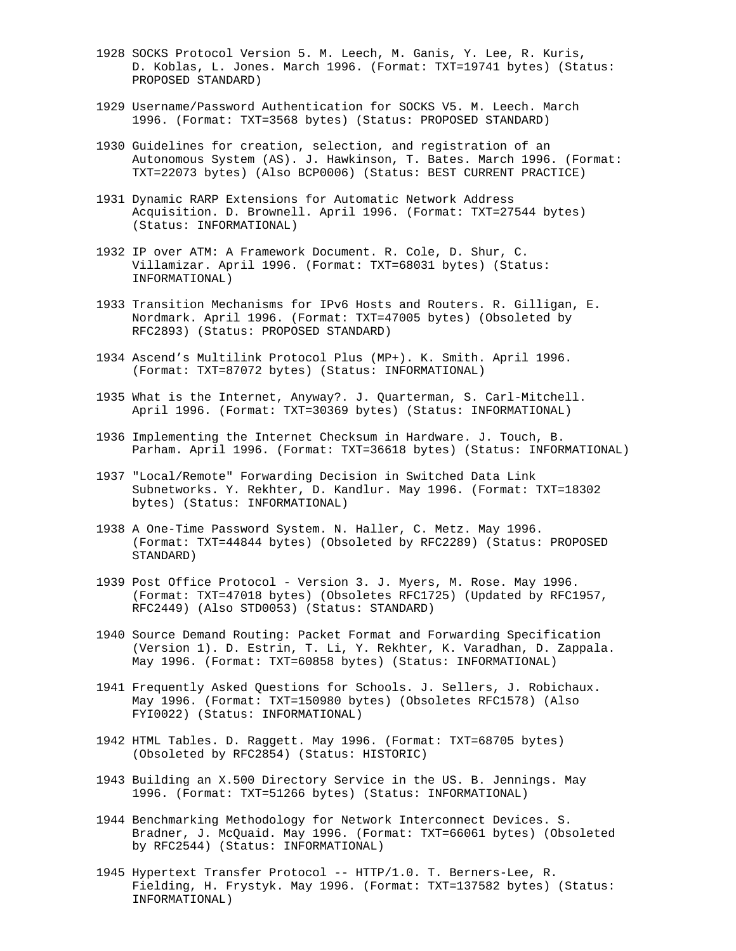- 1928 SOCKS Protocol Version 5. M. Leech, M. Ganis, Y. Lee, R. Kuris, D. Koblas, L. Jones. March 1996. (Format: TXT=19741 bytes) (Status: PROPOSED STANDARD)
- 1929 Username/Password Authentication for SOCKS V5. M. Leech. March 1996. (Format: TXT=3568 bytes) (Status: PROPOSED STANDARD)
- 1930 Guidelines for creation, selection, and registration of an Autonomous System (AS). J. Hawkinson, T. Bates. March 1996. (Format: TXT=22073 bytes) (Also BCP0006) (Status: BEST CURRENT PRACTICE)
- 1931 Dynamic RARP Extensions for Automatic Network Address Acquisition. D. Brownell. April 1996. (Format: TXT=27544 bytes) (Status: INFORMATIONAL)
- 1932 IP over ATM: A Framework Document. R. Cole, D. Shur, C. Villamizar. April 1996. (Format: TXT=68031 bytes) (Status: INFORMATIONAL)
- 1933 Transition Mechanisms for IPv6 Hosts and Routers. R. Gilligan, E. Nordmark. April 1996. (Format: TXT=47005 bytes) (Obsoleted by RFC2893) (Status: PROPOSED STANDARD)
- 1934 Ascend's Multilink Protocol Plus (MP+). K. Smith. April 1996. (Format: TXT=87072 bytes) (Status: INFORMATIONAL)
- 1935 What is the Internet, Anyway?. J. Quarterman, S. Carl-Mitchell. April 1996. (Format: TXT=30369 bytes) (Status: INFORMATIONAL)
- 1936 Implementing the Internet Checksum in Hardware. J. Touch, B. Parham. April 1996. (Format: TXT=36618 bytes) (Status: INFORMATIONAL)
- 1937 "Local/Remote" Forwarding Decision in Switched Data Link Subnetworks. Y. Rekhter, D. Kandlur. May 1996. (Format: TXT=18302 bytes) (Status: INFORMATIONAL)
- 1938 A One-Time Password System. N. Haller, C. Metz. May 1996. (Format: TXT=44844 bytes) (Obsoleted by RFC2289) (Status: PROPOSED STANDARD)
- 1939 Post Office Protocol Version 3. J. Myers, M. Rose. May 1996. (Format: TXT=47018 bytes) (Obsoletes RFC1725) (Updated by RFC1957, RFC2449) (Also STD0053) (Status: STANDARD)
- 1940 Source Demand Routing: Packet Format and Forwarding Specification (Version 1). D. Estrin, T. Li, Y. Rekhter, K. Varadhan, D. Zappala. May 1996. (Format: TXT=60858 bytes) (Status: INFORMATIONAL)
- 1941 Frequently Asked Questions for Schools. J. Sellers, J. Robichaux. May 1996. (Format: TXT=150980 bytes) (Obsoletes RFC1578) (Also FYI0022) (Status: INFORMATIONAL)
- 1942 HTML Tables. D. Raggett. May 1996. (Format: TXT=68705 bytes) (Obsoleted by RFC2854) (Status: HISTORIC)
- 1943 Building an X.500 Directory Service in the US. B. Jennings. May 1996. (Format: TXT=51266 bytes) (Status: INFORMATIONAL)
- 1944 Benchmarking Methodology for Network Interconnect Devices. S. Bradner, J. McQuaid. May 1996. (Format: TXT=66061 bytes) (Obsoleted by RFC2544) (Status: INFORMATIONAL)
- 1945 Hypertext Transfer Protocol -- HTTP/1.0. T. Berners-Lee, R. Fielding, H. Frystyk. May 1996. (Format: TXT=137582 bytes) (Status: INFORMATIONAL)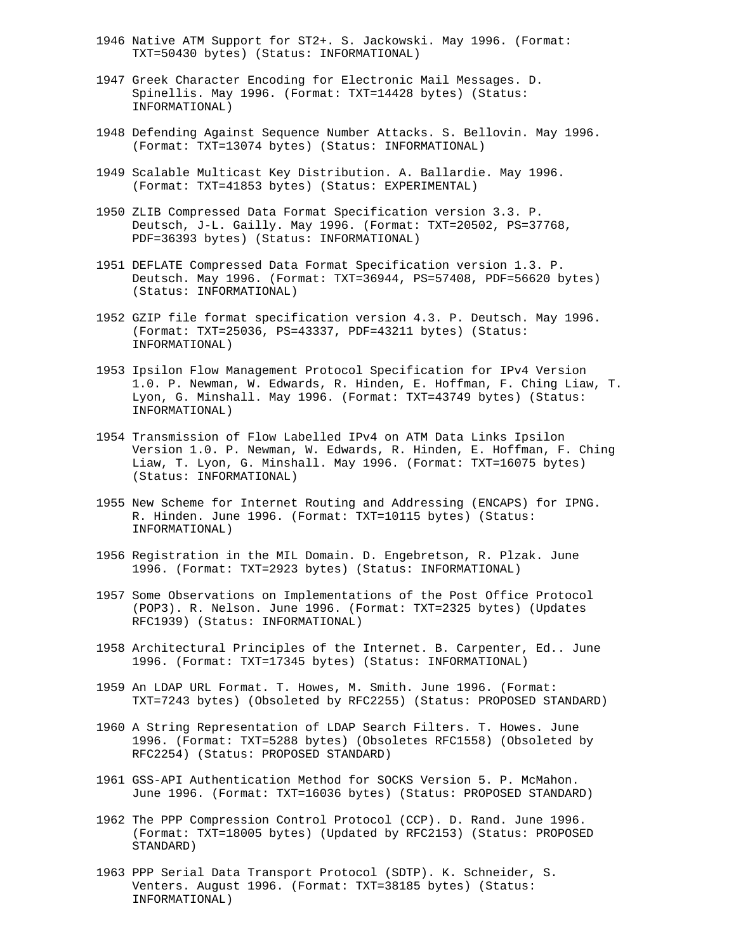- 1946 Native ATM Support for ST2+. S. Jackowski. May 1996. (Format: TXT=50430 bytes) (Status: INFORMATIONAL)
- 1947 Greek Character Encoding for Electronic Mail Messages. D. Spinellis. May 1996. (Format: TXT=14428 bytes) (Status: INFORMATIONAL)
- 1948 Defending Against Sequence Number Attacks. S. Bellovin. May 1996. (Format: TXT=13074 bytes) (Status: INFORMATIONAL)
- 1949 Scalable Multicast Key Distribution. A. Ballardie. May 1996. (Format: TXT=41853 bytes) (Status: EXPERIMENTAL)
- 1950 ZLIB Compressed Data Format Specification version 3.3. P. Deutsch, J-L. Gailly. May 1996. (Format: TXT=20502, PS=37768, PDF=36393 bytes) (Status: INFORMATIONAL)
- 1951 DEFLATE Compressed Data Format Specification version 1.3. P. Deutsch. May 1996. (Format: TXT=36944, PS=57408, PDF=56620 bytes) (Status: INFORMATIONAL)
- 1952 GZIP file format specification version 4.3. P. Deutsch. May 1996. (Format: TXT=25036, PS=43337, PDF=43211 bytes) (Status: INFORMATIONAL)
- 1953 Ipsilon Flow Management Protocol Specification for IPv4 Version 1.0. P. Newman, W. Edwards, R. Hinden, E. Hoffman, F. Ching Liaw, T. Lyon, G. Minshall. May 1996. (Format: TXT=43749 bytes) (Status: INFORMATIONAL)
- 1954 Transmission of Flow Labelled IPv4 on ATM Data Links Ipsilon Version 1.0. P. Newman, W. Edwards, R. Hinden, E. Hoffman, F. Ching Liaw, T. Lyon, G. Minshall. May 1996. (Format: TXT=16075 bytes) (Status: INFORMATIONAL)
- 1955 New Scheme for Internet Routing and Addressing (ENCAPS) for IPNG. R. Hinden. June 1996. (Format: TXT=10115 bytes) (Status: INFORMATIONAL)
- 1956 Registration in the MIL Domain. D. Engebretson, R. Plzak. June 1996. (Format: TXT=2923 bytes) (Status: INFORMATIONAL)
- 1957 Some Observations on Implementations of the Post Office Protocol (POP3). R. Nelson. June 1996. (Format: TXT=2325 bytes) (Updates RFC1939) (Status: INFORMATIONAL)
- 1958 Architectural Principles of the Internet. B. Carpenter, Ed.. June 1996. (Format: TXT=17345 bytes) (Status: INFORMATIONAL)
- 1959 An LDAP URL Format. T. Howes, M. Smith. June 1996. (Format: TXT=7243 bytes) (Obsoleted by RFC2255) (Status: PROPOSED STANDARD)
- 1960 A String Representation of LDAP Search Filters. T. Howes. June 1996. (Format: TXT=5288 bytes) (Obsoletes RFC1558) (Obsoleted by RFC2254) (Status: PROPOSED STANDARD)
- 1961 GSS-API Authentication Method for SOCKS Version 5. P. McMahon. June 1996. (Format: TXT=16036 bytes) (Status: PROPOSED STANDARD)
- 1962 The PPP Compression Control Protocol (CCP). D. Rand. June 1996. (Format: TXT=18005 bytes) (Updated by RFC2153) (Status: PROPOSED STANDARD)
- 1963 PPP Serial Data Transport Protocol (SDTP). K. Schneider, S. Venters. August 1996. (Format: TXT=38185 bytes) (Status: INFORMATIONAL)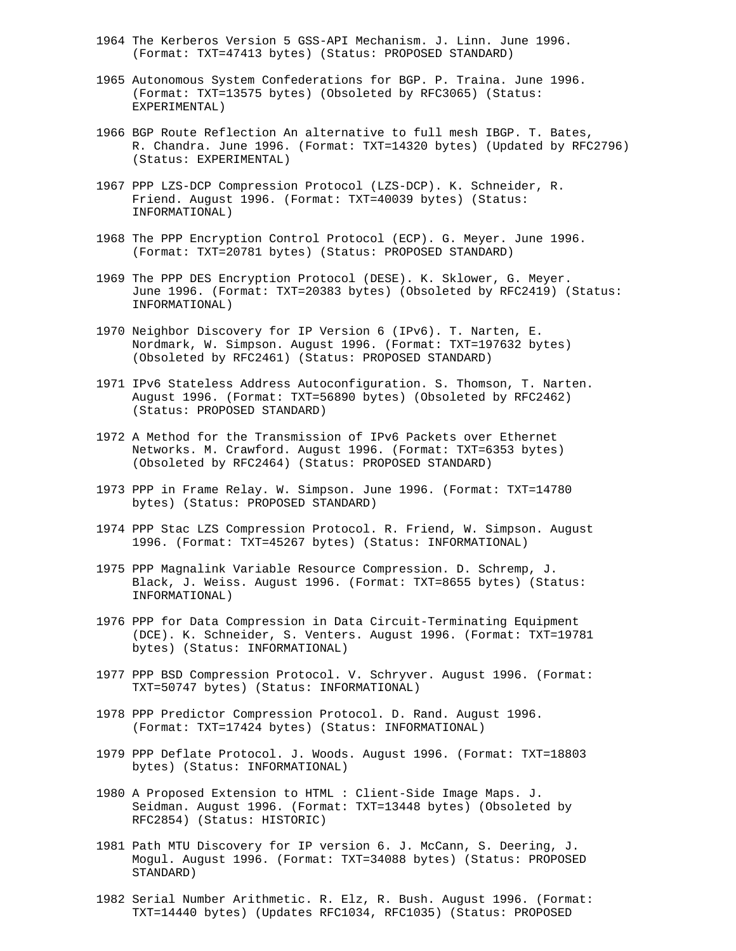- 1964 The Kerberos Version 5 GSS-API Mechanism. J. Linn. June 1996. (Format: TXT=47413 bytes) (Status: PROPOSED STANDARD)
- 1965 Autonomous System Confederations for BGP. P. Traina. June 1996. (Format: TXT=13575 bytes) (Obsoleted by RFC3065) (Status: EXPERIMENTAL)
- 1966 BGP Route Reflection An alternative to full mesh IBGP. T. Bates, R. Chandra. June 1996. (Format: TXT=14320 bytes) (Updated by RFC2796) (Status: EXPERIMENTAL)
- 1967 PPP LZS-DCP Compression Protocol (LZS-DCP). K. Schneider, R. Friend. August 1996. (Format: TXT=40039 bytes) (Status: INFORMATIONAL)
- 1968 The PPP Encryption Control Protocol (ECP). G. Meyer. June 1996. (Format: TXT=20781 bytes) (Status: PROPOSED STANDARD)
- 1969 The PPP DES Encryption Protocol (DESE). K. Sklower, G. Meyer. June 1996. (Format: TXT=20383 bytes) (Obsoleted by RFC2419) (Status: INFORMATIONAL)
- 1970 Neighbor Discovery for IP Version 6 (IPv6). T. Narten, E. Nordmark, W. Simpson. August 1996. (Format: TXT=197632 bytes) (Obsoleted by RFC2461) (Status: PROPOSED STANDARD)
- 1971 IPv6 Stateless Address Autoconfiguration. S. Thomson, T. Narten. August 1996. (Format: TXT=56890 bytes) (Obsoleted by RFC2462) (Status: PROPOSED STANDARD)
- 1972 A Method for the Transmission of IPv6 Packets over Ethernet Networks. M. Crawford. August 1996. (Format: TXT=6353 bytes) (Obsoleted by RFC2464) (Status: PROPOSED STANDARD)
- 1973 PPP in Frame Relay. W. Simpson. June 1996. (Format: TXT=14780 bytes) (Status: PROPOSED STANDARD)
- 1974 PPP Stac LZS Compression Protocol. R. Friend, W. Simpson. August 1996. (Format: TXT=45267 bytes) (Status: INFORMATIONAL)
- 1975 PPP Magnalink Variable Resource Compression. D. Schremp, J. Black, J. Weiss. August 1996. (Format: TXT=8655 bytes) (Status: INFORMATIONAL)
- 1976 PPP for Data Compression in Data Circuit-Terminating Equipment (DCE). K. Schneider, S. Venters. August 1996. (Format: TXT=19781 bytes) (Status: INFORMATIONAL)
- 1977 PPP BSD Compression Protocol. V. Schryver. August 1996. (Format: TXT=50747 bytes) (Status: INFORMATIONAL)
- 1978 PPP Predictor Compression Protocol. D. Rand. August 1996. (Format: TXT=17424 bytes) (Status: INFORMATIONAL)
- 1979 PPP Deflate Protocol. J. Woods. August 1996. (Format: TXT=18803 bytes) (Status: INFORMATIONAL)
- 1980 A Proposed Extension to HTML : Client-Side Image Maps. J. Seidman. August 1996. (Format: TXT=13448 bytes) (Obsoleted by RFC2854) (Status: HISTORIC)
- 1981 Path MTU Discovery for IP version 6. J. McCann, S. Deering, J. Mogul. August 1996. (Format: TXT=34088 bytes) (Status: PROPOSED STANDARD)
- 1982 Serial Number Arithmetic. R. Elz, R. Bush. August 1996. (Format: TXT=14440 bytes) (Updates RFC1034, RFC1035) (Status: PROPOSED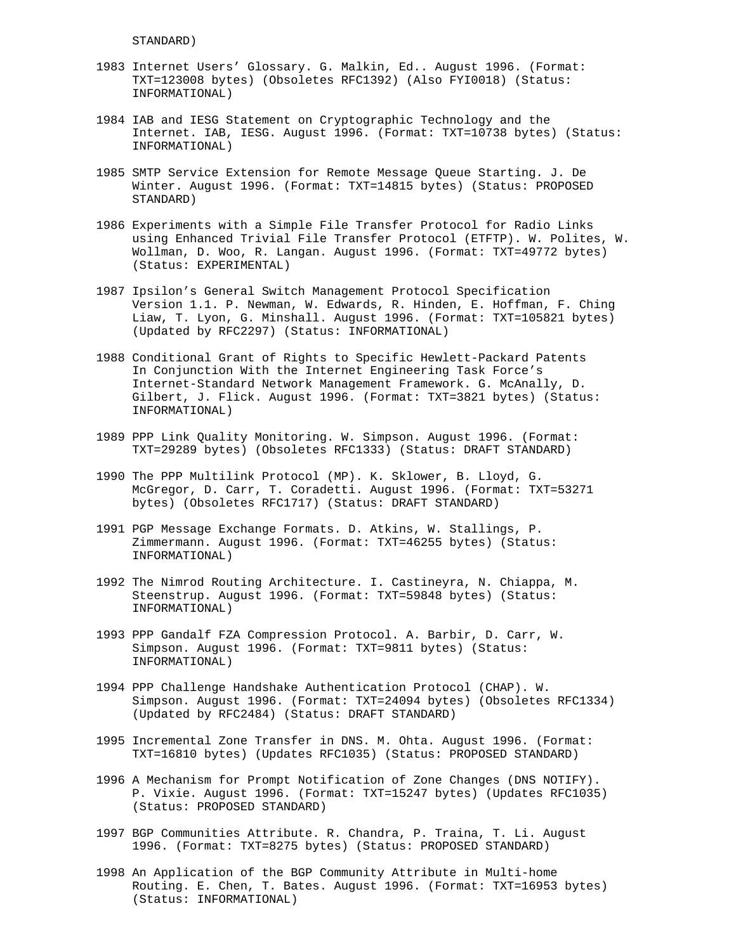STANDARD)

- 1983 Internet Users' Glossary. G. Malkin, Ed.. August 1996. (Format: TXT=123008 bytes) (Obsoletes RFC1392) (Also FYI0018) (Status: INFORMATIONAL)
- 1984 IAB and IESG Statement on Cryptographic Technology and the Internet. IAB, IESG. August 1996. (Format: TXT=10738 bytes) (Status: INFORMATIONAL)
- 1985 SMTP Service Extension for Remote Message Queue Starting. J. De Winter. August 1996. (Format: TXT=14815 bytes) (Status: PROPOSED STANDARD)
- 1986 Experiments with a Simple File Transfer Protocol for Radio Links using Enhanced Trivial File Transfer Protocol (ETFTP). W. Polites, W. Wollman, D. Woo, R. Langan. August 1996. (Format: TXT=49772 bytes) (Status: EXPERIMENTAL)
- 1987 Ipsilon's General Switch Management Protocol Specification Version 1.1. P. Newman, W. Edwards, R. Hinden, E. Hoffman, F. Ching Liaw, T. Lyon, G. Minshall. August 1996. (Format: TXT=105821 bytes) (Updated by RFC2297) (Status: INFORMATIONAL)
- 1988 Conditional Grant of Rights to Specific Hewlett-Packard Patents In Conjunction With the Internet Engineering Task Force's Internet-Standard Network Management Framework. G. McAnally, D. Gilbert, J. Flick. August 1996. (Format: TXT=3821 bytes) (Status: INFORMATIONAL)
- 1989 PPP Link Quality Monitoring. W. Simpson. August 1996. (Format: TXT=29289 bytes) (Obsoletes RFC1333) (Status: DRAFT STANDARD)
- 1990 The PPP Multilink Protocol (MP). K. Sklower, B. Lloyd, G. McGregor, D. Carr, T. Coradetti. August 1996. (Format: TXT=53271 bytes) (Obsoletes RFC1717) (Status: DRAFT STANDARD)
- 1991 PGP Message Exchange Formats. D. Atkins, W. Stallings, P. Zimmermann. August 1996. (Format: TXT=46255 bytes) (Status: INFORMATIONAL)
- 1992 The Nimrod Routing Architecture. I. Castineyra, N. Chiappa, M. Steenstrup. August 1996. (Format: TXT=59848 bytes) (Status: INFORMATIONAL)
- 1993 PPP Gandalf FZA Compression Protocol. A. Barbir, D. Carr, W. Simpson. August 1996. (Format: TXT=9811 bytes) (Status: INFORMATIONAL)
- 1994 PPP Challenge Handshake Authentication Protocol (CHAP). W. Simpson. August 1996. (Format: TXT=24094 bytes) (Obsoletes RFC1334) (Updated by RFC2484) (Status: DRAFT STANDARD)
- 1995 Incremental Zone Transfer in DNS. M. Ohta. August 1996. (Format: TXT=16810 bytes) (Updates RFC1035) (Status: PROPOSED STANDARD)
- 1996 A Mechanism for Prompt Notification of Zone Changes (DNS NOTIFY). P. Vixie. August 1996. (Format: TXT=15247 bytes) (Updates RFC1035) (Status: PROPOSED STANDARD)
- 1997 BGP Communities Attribute. R. Chandra, P. Traina, T. Li. August 1996. (Format: TXT=8275 bytes) (Status: PROPOSED STANDARD)
- 1998 An Application of the BGP Community Attribute in Multi-home Routing. E. Chen, T. Bates. August 1996. (Format: TXT=16953 bytes) (Status: INFORMATIONAL)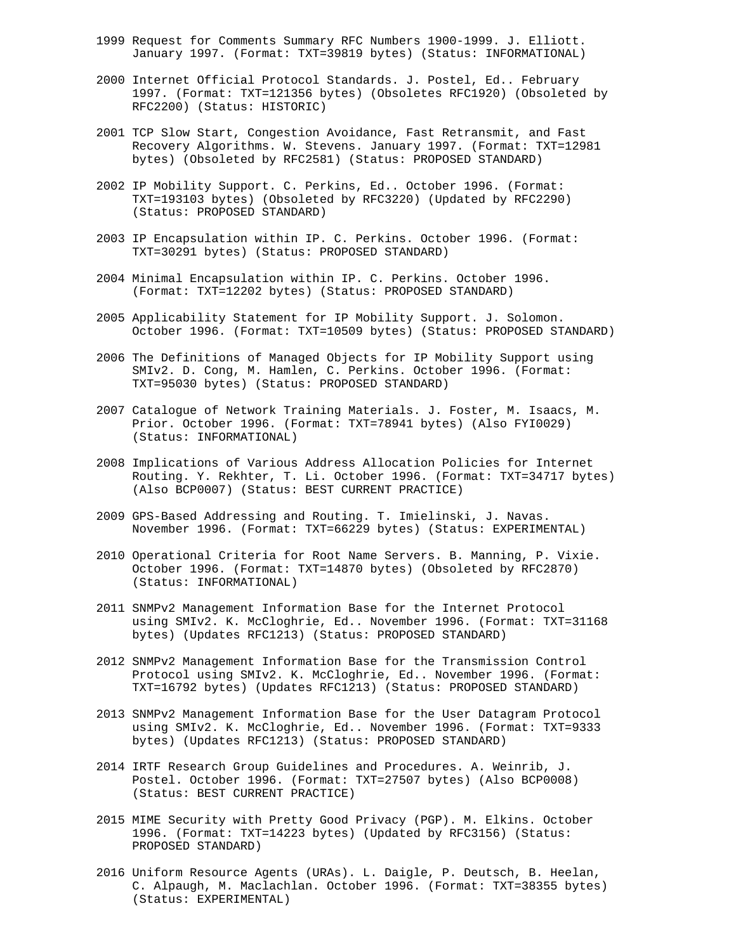- 1999 Request for Comments Summary RFC Numbers 1900-1999. J. Elliott. January 1997. (Format: TXT=39819 bytes) (Status: INFORMATIONAL)
- 2000 Internet Official Protocol Standards. J. Postel, Ed.. February 1997. (Format: TXT=121356 bytes) (Obsoletes RFC1920) (Obsoleted by RFC2200) (Status: HISTORIC)
- 2001 TCP Slow Start, Congestion Avoidance, Fast Retransmit, and Fast Recovery Algorithms. W. Stevens. January 1997. (Format: TXT=12981 bytes) (Obsoleted by RFC2581) (Status: PROPOSED STANDARD)
- 2002 IP Mobility Support. C. Perkins, Ed.. October 1996. (Format: TXT=193103 bytes) (Obsoleted by RFC3220) (Updated by RFC2290) (Status: PROPOSED STANDARD)
- 2003 IP Encapsulation within IP. C. Perkins. October 1996. (Format: TXT=30291 bytes) (Status: PROPOSED STANDARD)
- 2004 Minimal Encapsulation within IP. C. Perkins. October 1996. (Format: TXT=12202 bytes) (Status: PROPOSED STANDARD)
- 2005 Applicability Statement for IP Mobility Support. J. Solomon. October 1996. (Format: TXT=10509 bytes) (Status: PROPOSED STANDARD)
- 2006 The Definitions of Managed Objects for IP Mobility Support using SMIv2. D. Cong, M. Hamlen, C. Perkins. October 1996. (Format: TXT=95030 bytes) (Status: PROPOSED STANDARD)
- 2007 Catalogue of Network Training Materials. J. Foster, M. Isaacs, M. Prior. October 1996. (Format: TXT=78941 bytes) (Also FYI0029) (Status: INFORMATIONAL)
- 2008 Implications of Various Address Allocation Policies for Internet Routing. Y. Rekhter, T. Li. October 1996. (Format: TXT=34717 bytes) (Also BCP0007) (Status: BEST CURRENT PRACTICE)
- 2009 GPS-Based Addressing and Routing. T. Imielinski, J. Navas. November 1996. (Format: TXT=66229 bytes) (Status: EXPERIMENTAL)
- 2010 Operational Criteria for Root Name Servers. B. Manning, P. Vixie. October 1996. (Format: TXT=14870 bytes) (Obsoleted by RFC2870) (Status: INFORMATIONAL)
- 2011 SNMPv2 Management Information Base for the Internet Protocol using SMIv2. K. McCloghrie, Ed.. November 1996. (Format: TXT=31168 bytes) (Updates RFC1213) (Status: PROPOSED STANDARD)
- 2012 SNMPv2 Management Information Base for the Transmission Control Protocol using SMIv2. K. McCloghrie, Ed.. November 1996. (Format: TXT=16792 bytes) (Updates RFC1213) (Status: PROPOSED STANDARD)
- 2013 SNMPv2 Management Information Base for the User Datagram Protocol using SMIv2. K. McCloghrie, Ed.. November 1996. (Format: TXT=9333 bytes) (Updates RFC1213) (Status: PROPOSED STANDARD)
- 2014 IRTF Research Group Guidelines and Procedures. A. Weinrib, J. Postel. October 1996. (Format: TXT=27507 bytes) (Also BCP0008) (Status: BEST CURRENT PRACTICE)
- 2015 MIME Security with Pretty Good Privacy (PGP). M. Elkins. October 1996. (Format: TXT=14223 bytes) (Updated by RFC3156) (Status: PROPOSED STANDARD)
- 2016 Uniform Resource Agents (URAs). L. Daigle, P. Deutsch, B. Heelan, C. Alpaugh, M. Maclachlan. October 1996. (Format: TXT=38355 bytes) (Status: EXPERIMENTAL)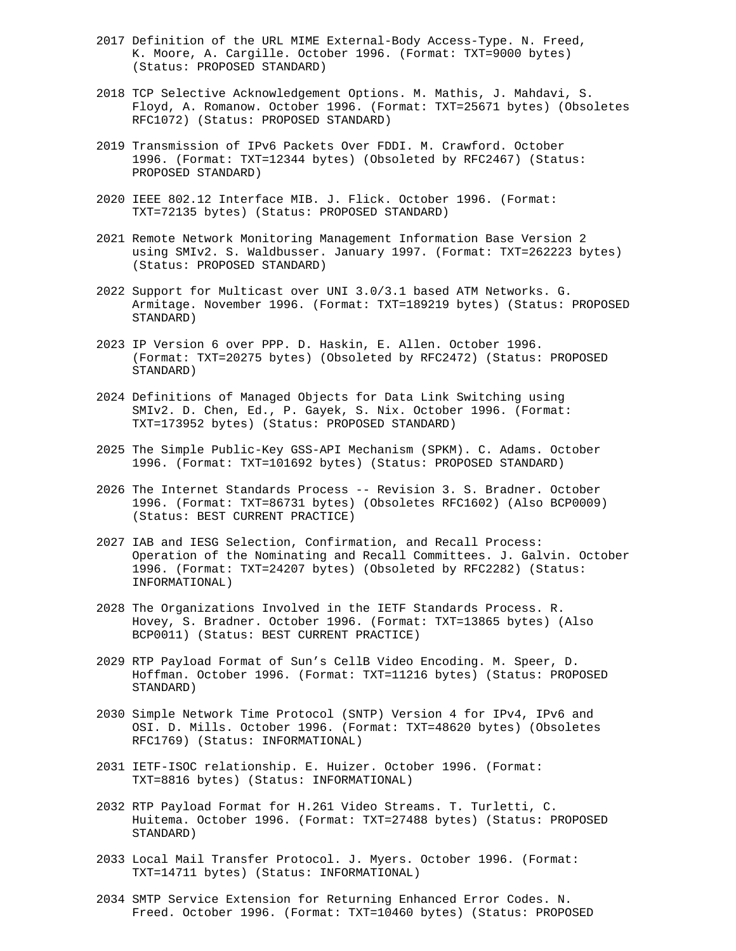- 2017 Definition of the URL MIME External-Body Access-Type. N. Freed, K. Moore, A. Cargille. October 1996. (Format: TXT=9000 bytes) (Status: PROPOSED STANDARD)
- 2018 TCP Selective Acknowledgement Options. M. Mathis, J. Mahdavi, S. Floyd, A. Romanow. October 1996. (Format: TXT=25671 bytes) (Obsoletes RFC1072) (Status: PROPOSED STANDARD)
- 2019 Transmission of IPv6 Packets Over FDDI. M. Crawford. October 1996. (Format: TXT=12344 bytes) (Obsoleted by RFC2467) (Status: PROPOSED STANDARD)
- 2020 IEEE 802.12 Interface MIB. J. Flick. October 1996. (Format: TXT=72135 bytes) (Status: PROPOSED STANDARD)
- 2021 Remote Network Monitoring Management Information Base Version 2 using SMIv2. S. Waldbusser. January 1997. (Format: TXT=262223 bytes) (Status: PROPOSED STANDARD)
- 2022 Support for Multicast over UNI 3.0/3.1 based ATM Networks. G. Armitage. November 1996. (Format: TXT=189219 bytes) (Status: PROPOSED STANDARD)
- 2023 IP Version 6 over PPP. D. Haskin, E. Allen. October 1996. (Format: TXT=20275 bytes) (Obsoleted by RFC2472) (Status: PROPOSED STANDARD)
- 2024 Definitions of Managed Objects for Data Link Switching using SMIv2. D. Chen, Ed., P. Gayek, S. Nix. October 1996. (Format: TXT=173952 bytes) (Status: PROPOSED STANDARD)
- 2025 The Simple Public-Key GSS-API Mechanism (SPKM). C. Adams. October 1996. (Format: TXT=101692 bytes) (Status: PROPOSED STANDARD)
- 2026 The Internet Standards Process -- Revision 3. S. Bradner. October 1996. (Format: TXT=86731 bytes) (Obsoletes RFC1602) (Also BCP0009) (Status: BEST CURRENT PRACTICE)
- 2027 IAB and IESG Selection, Confirmation, and Recall Process: Operation of the Nominating and Recall Committees. J. Galvin. October 1996. (Format: TXT=24207 bytes) (Obsoleted by RFC2282) (Status: INFORMATIONAL)
- 2028 The Organizations Involved in the IETF Standards Process. R. Hovey, S. Bradner. October 1996. (Format: TXT=13865 bytes) (Also BCP0011) (Status: BEST CURRENT PRACTICE)
- 2029 RTP Payload Format of Sun's CellB Video Encoding. M. Speer, D. Hoffman. October 1996. (Format: TXT=11216 bytes) (Status: PROPOSED STANDARD)
- 2030 Simple Network Time Protocol (SNTP) Version 4 for IPv4, IPv6 and OSI. D. Mills. October 1996. (Format: TXT=48620 bytes) (Obsoletes RFC1769) (Status: INFORMATIONAL)
- 2031 IETF-ISOC relationship. E. Huizer. October 1996. (Format: TXT=8816 bytes) (Status: INFORMATIONAL)
- 2032 RTP Payload Format for H.261 Video Streams. T. Turletti, C. Huitema. October 1996. (Format: TXT=27488 bytes) (Status: PROPOSED STANDARD)
- 2033 Local Mail Transfer Protocol. J. Myers. October 1996. (Format: TXT=14711 bytes) (Status: INFORMATIONAL)
- 2034 SMTP Service Extension for Returning Enhanced Error Codes. N. Freed. October 1996. (Format: TXT=10460 bytes) (Status: PROPOSED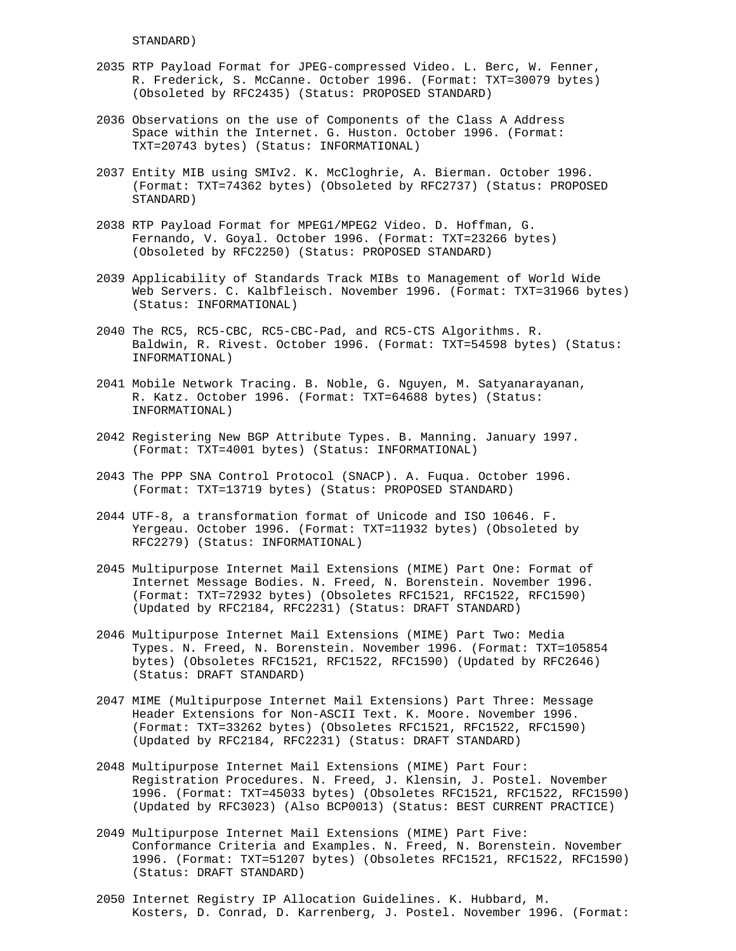STANDARD)

- 2035 RTP Payload Format for JPEG-compressed Video. L. Berc, W. Fenner, R. Frederick, S. McCanne. October 1996. (Format: TXT=30079 bytes) (Obsoleted by RFC2435) (Status: PROPOSED STANDARD)
- 2036 Observations on the use of Components of the Class A Address Space within the Internet. G. Huston. October 1996. (Format: TXT=20743 bytes) (Status: INFORMATIONAL)
- 2037 Entity MIB using SMIv2. K. McCloghrie, A. Bierman. October 1996. (Format: TXT=74362 bytes) (Obsoleted by RFC2737) (Status: PROPOSED STANDARD)
- 2038 RTP Payload Format for MPEG1/MPEG2 Video. D. Hoffman, G. Fernando, V. Goyal. October 1996. (Format: TXT=23266 bytes) (Obsoleted by RFC2250) (Status: PROPOSED STANDARD)
- 2039 Applicability of Standards Track MIBs to Management of World Wide Web Servers. C. Kalbfleisch. November 1996. (Format: TXT=31966 bytes) (Status: INFORMATIONAL)
- 2040 The RC5, RC5-CBC, RC5-CBC-Pad, and RC5-CTS Algorithms. R. Baldwin, R. Rivest. October 1996. (Format: TXT=54598 bytes) (Status: INFORMATIONAL)
- 2041 Mobile Network Tracing. B. Noble, G. Nguyen, M. Satyanarayanan, R. Katz. October 1996. (Format: TXT=64688 bytes) (Status: INFORMATIONAL)
- 2042 Registering New BGP Attribute Types. B. Manning. January 1997. (Format: TXT=4001 bytes) (Status: INFORMATIONAL)
- 2043 The PPP SNA Control Protocol (SNACP). A. Fuqua. October 1996. (Format: TXT=13719 bytes) (Status: PROPOSED STANDARD)
- 2044 UTF-8, a transformation format of Unicode and ISO 10646. F. Yergeau. October 1996. (Format: TXT=11932 bytes) (Obsoleted by RFC2279) (Status: INFORMATIONAL)
- 2045 Multipurpose Internet Mail Extensions (MIME) Part One: Format of Internet Message Bodies. N. Freed, N. Borenstein. November 1996. (Format: TXT=72932 bytes) (Obsoletes RFC1521, RFC1522, RFC1590) (Updated by RFC2184, RFC2231) (Status: DRAFT STANDARD)
- 2046 Multipurpose Internet Mail Extensions (MIME) Part Two: Media Types. N. Freed, N. Borenstein. November 1996. (Format: TXT=105854 bytes) (Obsoletes RFC1521, RFC1522, RFC1590) (Updated by RFC2646) (Status: DRAFT STANDARD)
- 2047 MIME (Multipurpose Internet Mail Extensions) Part Three: Message Header Extensions for Non-ASCII Text. K. Moore. November 1996. (Format: TXT=33262 bytes) (Obsoletes RFC1521, RFC1522, RFC1590) (Updated by RFC2184, RFC2231) (Status: DRAFT STANDARD)
- 2048 Multipurpose Internet Mail Extensions (MIME) Part Four: Registration Procedures. N. Freed, J. Klensin, J. Postel. November 1996. (Format: TXT=45033 bytes) (Obsoletes RFC1521, RFC1522, RFC1590) (Updated by RFC3023) (Also BCP0013) (Status: BEST CURRENT PRACTICE)
- 2049 Multipurpose Internet Mail Extensions (MIME) Part Five: Conformance Criteria and Examples. N. Freed, N. Borenstein. November 1996. (Format: TXT=51207 bytes) (Obsoletes RFC1521, RFC1522, RFC1590) (Status: DRAFT STANDARD)
- 2050 Internet Registry IP Allocation Guidelines. K. Hubbard, M. Kosters, D. Conrad, D. Karrenberg, J. Postel. November 1996. (Format: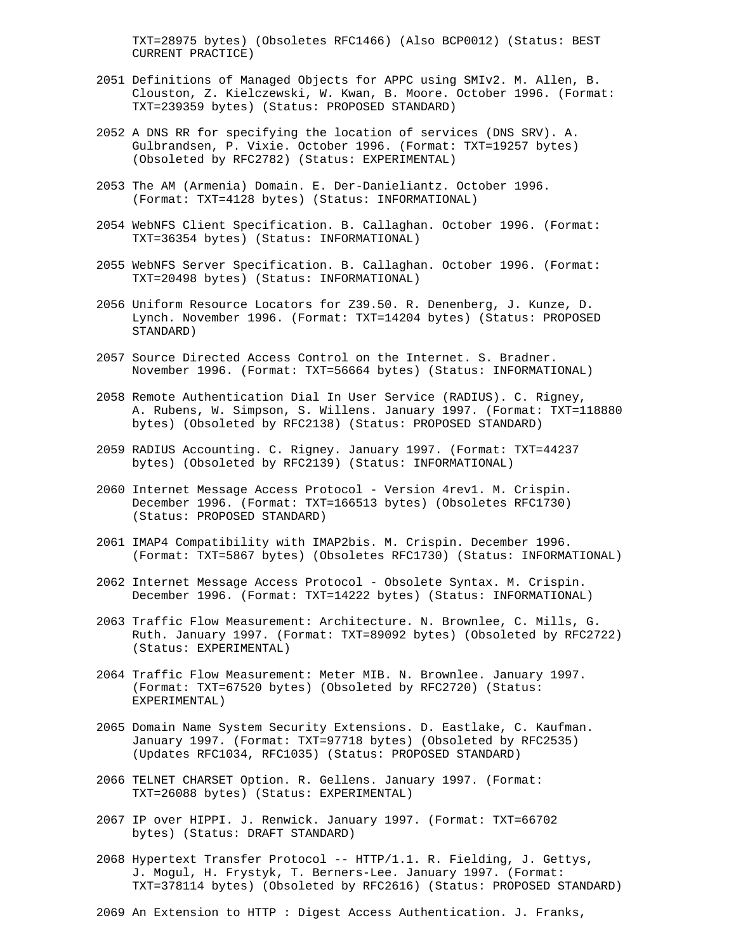TXT=28975 bytes) (Obsoletes RFC1466) (Also BCP0012) (Status: BEST CURRENT PRACTICE)

- 2051 Definitions of Managed Objects for APPC using SMIv2. M. Allen, B. Clouston, Z. Kielczewski, W. Kwan, B. Moore. October 1996. (Format: TXT=239359 bytes) (Status: PROPOSED STANDARD)
- 2052 A DNS RR for specifying the location of services (DNS SRV). A. Gulbrandsen, P. Vixie. October 1996. (Format: TXT=19257 bytes) (Obsoleted by RFC2782) (Status: EXPERIMENTAL)
- 2053 The AM (Armenia) Domain. E. Der-Danieliantz. October 1996. (Format: TXT=4128 bytes) (Status: INFORMATIONAL)
- 2054 WebNFS Client Specification. B. Callaghan. October 1996. (Format: TXT=36354 bytes) (Status: INFORMATIONAL)
- 2055 WebNFS Server Specification. B. Callaghan. October 1996. (Format: TXT=20498 bytes) (Status: INFORMATIONAL)
- 2056 Uniform Resource Locators for Z39.50. R. Denenberg, J. Kunze, D. Lynch. November 1996. (Format: TXT=14204 bytes) (Status: PROPOSED STANDARD)
- 2057 Source Directed Access Control on the Internet. S. Bradner. November 1996. (Format: TXT=56664 bytes) (Status: INFORMATIONAL)
- 2058 Remote Authentication Dial In User Service (RADIUS). C. Rigney, A. Rubens, W. Simpson, S. Willens. January 1997. (Format: TXT=118880 bytes) (Obsoleted by RFC2138) (Status: PROPOSED STANDARD)
- 2059 RADIUS Accounting. C. Rigney. January 1997. (Format: TXT=44237 bytes) (Obsoleted by RFC2139) (Status: INFORMATIONAL)
- 2060 Internet Message Access Protocol Version 4rev1. M. Crispin. December 1996. (Format: TXT=166513 bytes) (Obsoletes RFC1730) (Status: PROPOSED STANDARD)
- 2061 IMAP4 Compatibility with IMAP2bis. M. Crispin. December 1996. (Format: TXT=5867 bytes) (Obsoletes RFC1730) (Status: INFORMATIONAL)
- 2062 Internet Message Access Protocol Obsolete Syntax. M. Crispin. December 1996. (Format: TXT=14222 bytes) (Status: INFORMATIONAL)
- 2063 Traffic Flow Measurement: Architecture. N. Brownlee, C. Mills, G. Ruth. January 1997. (Format: TXT=89092 bytes) (Obsoleted by RFC2722) (Status: EXPERIMENTAL)
- 2064 Traffic Flow Measurement: Meter MIB. N. Brownlee. January 1997. (Format: TXT=67520 bytes) (Obsoleted by RFC2720) (Status: EXPERIMENTAL)
- 2065 Domain Name System Security Extensions. D. Eastlake, C. Kaufman. January 1997. (Format: TXT=97718 bytes) (Obsoleted by RFC2535) (Updates RFC1034, RFC1035) (Status: PROPOSED STANDARD)
- 2066 TELNET CHARSET Option. R. Gellens. January 1997. (Format: TXT=26088 bytes) (Status: EXPERIMENTAL)
- 2067 IP over HIPPI. J. Renwick. January 1997. (Format: TXT=66702 bytes) (Status: DRAFT STANDARD)
- 2068 Hypertext Transfer Protocol -- HTTP/1.1. R. Fielding, J. Gettys, J. Mogul, H. Frystyk, T. Berners-Lee. January 1997. (Format: TXT=378114 bytes) (Obsoleted by RFC2616) (Status: PROPOSED STANDARD)

2069 An Extension to HTTP : Digest Access Authentication. J. Franks,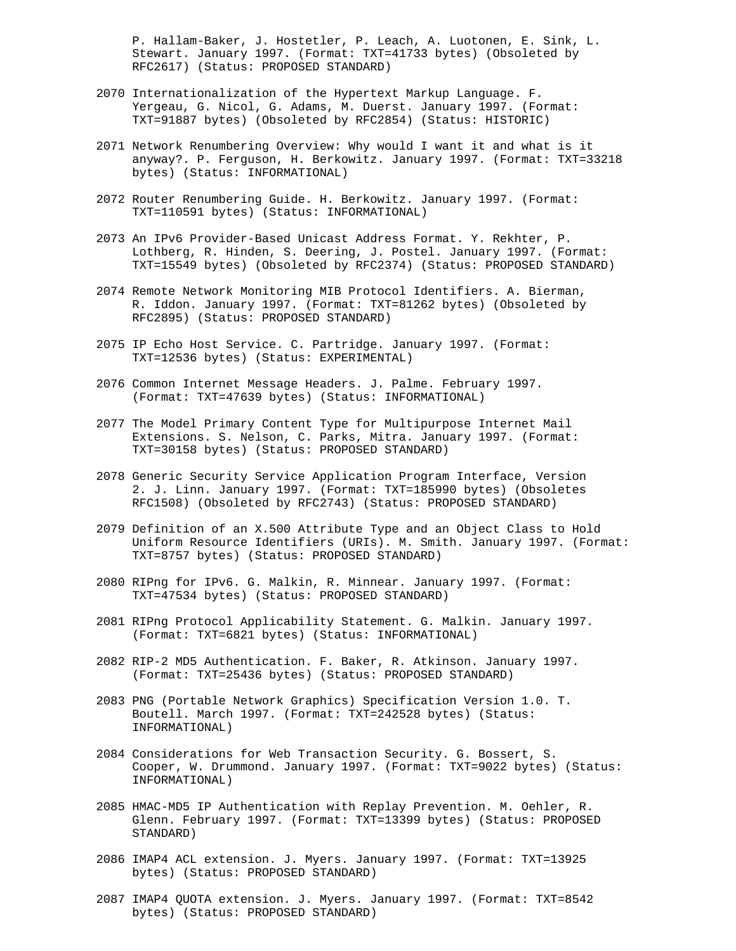P. Hallam-Baker, J. Hostetler, P. Leach, A. Luotonen, E. Sink, L. Stewart. January 1997. (Format: TXT=41733 bytes) (Obsoleted by RFC2617) (Status: PROPOSED STANDARD)

- 2070 Internationalization of the Hypertext Markup Language. F. Yergeau, G. Nicol, G. Adams, M. Duerst. January 1997. (Format: TXT=91887 bytes) (Obsoleted by RFC2854) (Status: HISTORIC)
- 2071 Network Renumbering Overview: Why would I want it and what is it anyway?. P. Ferguson, H. Berkowitz. January 1997. (Format: TXT=33218 bytes) (Status: INFORMATIONAL)
- 2072 Router Renumbering Guide. H. Berkowitz. January 1997. (Format: TXT=110591 bytes) (Status: INFORMATIONAL)
- 2073 An IPv6 Provider-Based Unicast Address Format. Y. Rekhter, P. Lothberg, R. Hinden, S. Deering, J. Postel. January 1997. (Format: TXT=15549 bytes) (Obsoleted by RFC2374) (Status: PROPOSED STANDARD)
- 2074 Remote Network Monitoring MIB Protocol Identifiers. A. Bierman, R. Iddon. January 1997. (Format: TXT=81262 bytes) (Obsoleted by RFC2895) (Status: PROPOSED STANDARD)
- 2075 IP Echo Host Service. C. Partridge. January 1997. (Format: TXT=12536 bytes) (Status: EXPERIMENTAL)
- 2076 Common Internet Message Headers. J. Palme. February 1997. (Format: TXT=47639 bytes) (Status: INFORMATIONAL)
- 2077 The Model Primary Content Type for Multipurpose Internet Mail Extensions. S. Nelson, C. Parks, Mitra. January 1997. (Format: TXT=30158 bytes) (Status: PROPOSED STANDARD)
- 2078 Generic Security Service Application Program Interface, Version 2. J. Linn. January 1997. (Format: TXT=185990 bytes) (Obsoletes RFC1508) (Obsoleted by RFC2743) (Status: PROPOSED STANDARD)
- 2079 Definition of an X.500 Attribute Type and an Object Class to Hold Uniform Resource Identifiers (URIs). M. Smith. January 1997. (Format: TXT=8757 bytes) (Status: PROPOSED STANDARD)
- 2080 RIPng for IPv6. G. Malkin, R. Minnear. January 1997. (Format: TXT=47534 bytes) (Status: PROPOSED STANDARD)
- 2081 RIPng Protocol Applicability Statement. G. Malkin. January 1997. (Format: TXT=6821 bytes) (Status: INFORMATIONAL)
- 2082 RIP-2 MD5 Authentication. F. Baker, R. Atkinson. January 1997. (Format: TXT=25436 bytes) (Status: PROPOSED STANDARD)
- 2083 PNG (Portable Network Graphics) Specification Version 1.0. T. Boutell. March 1997. (Format: TXT=242528 bytes) (Status: INFORMATIONAL)
- 2084 Considerations for Web Transaction Security. G. Bossert, S. Cooper, W. Drummond. January 1997. (Format: TXT=9022 bytes) (Status: INFORMATIONAL)
- 2085 HMAC-MD5 IP Authentication with Replay Prevention. M. Oehler, R. Glenn. February 1997. (Format: TXT=13399 bytes) (Status: PROPOSED STANDARD)
- 2086 IMAP4 ACL extension. J. Myers. January 1997. (Format: TXT=13925 bytes) (Status: PROPOSED STANDARD)
- 2087 IMAP4 QUOTA extension. J. Myers. January 1997. (Format: TXT=8542 bytes) (Status: PROPOSED STANDARD)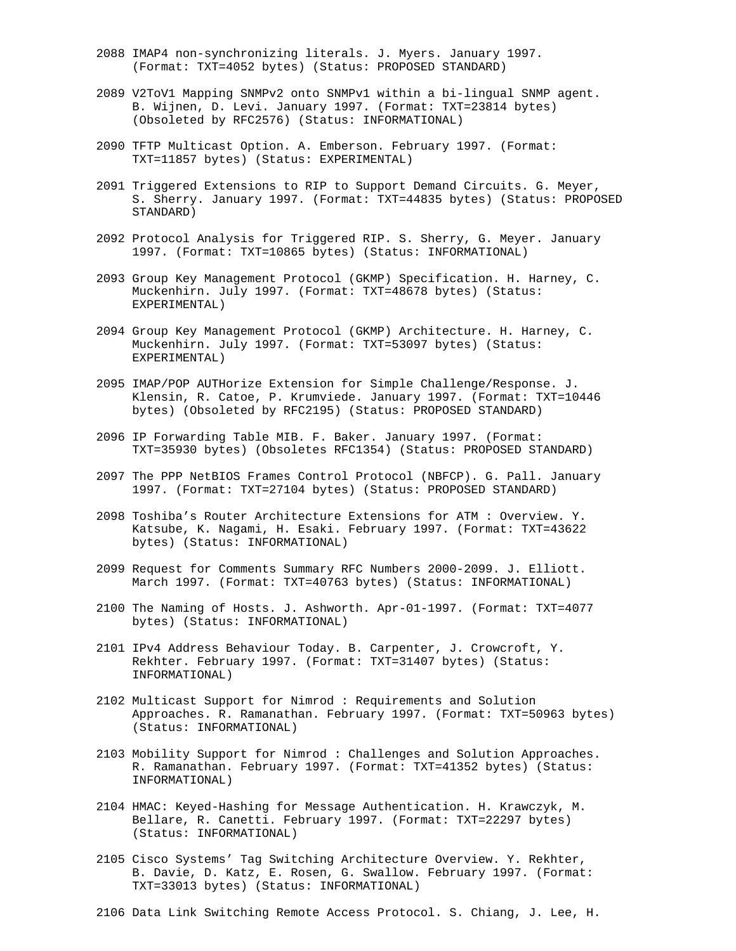- 2088 IMAP4 non-synchronizing literals. J. Myers. January 1997. (Format: TXT=4052 bytes) (Status: PROPOSED STANDARD)
- 2089 V2ToV1 Mapping SNMPv2 onto SNMPv1 within a bi-lingual SNMP agent. B. Wijnen, D. Levi. January 1997. (Format: TXT=23814 bytes) (Obsoleted by RFC2576) (Status: INFORMATIONAL)
- 2090 TFTP Multicast Option. A. Emberson. February 1997. (Format: TXT=11857 bytes) (Status: EXPERIMENTAL)
- 2091 Triggered Extensions to RIP to Support Demand Circuits. G. Meyer, S. Sherry. January 1997. (Format: TXT=44835 bytes) (Status: PROPOSED STANDARD)
- 2092 Protocol Analysis for Triggered RIP. S. Sherry, G. Meyer. January 1997. (Format: TXT=10865 bytes) (Status: INFORMATIONAL)
- 2093 Group Key Management Protocol (GKMP) Specification. H. Harney, C. Muckenhirn. July 1997. (Format: TXT=48678 bytes) (Status: EXPERIMENTAL)
- 2094 Group Key Management Protocol (GKMP) Architecture. H. Harney, C. Muckenhirn. July 1997. (Format: TXT=53097 bytes) (Status: EXPERIMENTAL)
- 2095 IMAP/POP AUTHorize Extension for Simple Challenge/Response. J. Klensin, R. Catoe, P. Krumviede. January 1997. (Format: TXT=10446 bytes) (Obsoleted by RFC2195) (Status: PROPOSED STANDARD)
- 2096 IP Forwarding Table MIB. F. Baker. January 1997. (Format: TXT=35930 bytes) (Obsoletes RFC1354) (Status: PROPOSED STANDARD)
- 2097 The PPP NetBIOS Frames Control Protocol (NBFCP). G. Pall. January 1997. (Format: TXT=27104 bytes) (Status: PROPOSED STANDARD)
- 2098 Toshiba's Router Architecture Extensions for ATM : Overview. Y. Katsube, K. Nagami, H. Esaki. February 1997. (Format: TXT=43622 bytes) (Status: INFORMATIONAL)
- 2099 Request for Comments Summary RFC Numbers 2000-2099. J. Elliott. March 1997. (Format: TXT=40763 bytes) (Status: INFORMATIONAL)
- 2100 The Naming of Hosts. J. Ashworth. Apr-01-1997. (Format: TXT=4077 bytes) (Status: INFORMATIONAL)
- 2101 IPv4 Address Behaviour Today. B. Carpenter, J. Crowcroft, Y. Rekhter. February 1997. (Format: TXT=31407 bytes) (Status: INFORMATIONAL)
- 2102 Multicast Support for Nimrod : Requirements and Solution Approaches. R. Ramanathan. February 1997. (Format: TXT=50963 bytes) (Status: INFORMATIONAL)
- 2103 Mobility Support for Nimrod : Challenges and Solution Approaches. R. Ramanathan. February 1997. (Format: TXT=41352 bytes) (Status: INFORMATIONAL)
- 2104 HMAC: Keyed-Hashing for Message Authentication. H. Krawczyk, M. Bellare, R. Canetti. February 1997. (Format: TXT=22297 bytes) (Status: INFORMATIONAL)
- 2105 Cisco Systems' Tag Switching Architecture Overview. Y. Rekhter, B. Davie, D. Katz, E. Rosen, G. Swallow. February 1997. (Format: TXT=33013 bytes) (Status: INFORMATIONAL)
- 2106 Data Link Switching Remote Access Protocol. S. Chiang, J. Lee, H.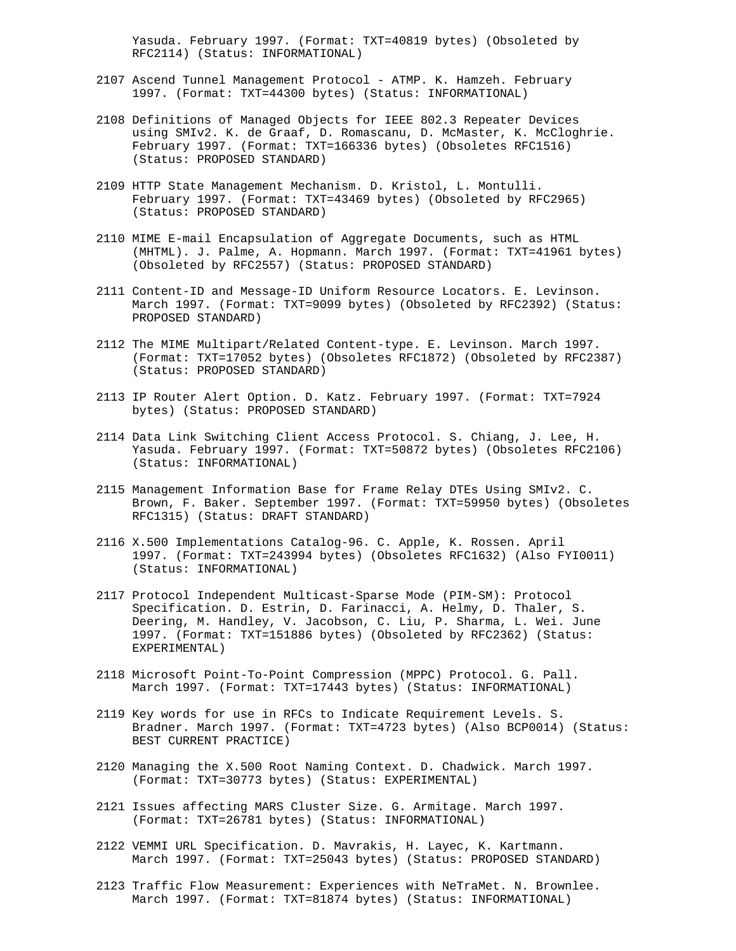Yasuda. February 1997. (Format: TXT=40819 bytes) (Obsoleted by RFC2114) (Status: INFORMATIONAL)

- 2107 Ascend Tunnel Management Protocol ATMP. K. Hamzeh. February 1997. (Format: TXT=44300 bytes) (Status: INFORMATIONAL)
- 2108 Definitions of Managed Objects for IEEE 802.3 Repeater Devices using SMIv2. K. de Graaf, D. Romascanu, D. McMaster, K. McCloghrie. February 1997. (Format: TXT=166336 bytes) (Obsoletes RFC1516) (Status: PROPOSED STANDARD)
- 2109 HTTP State Management Mechanism. D. Kristol, L. Montulli. February 1997. (Format: TXT=43469 bytes) (Obsoleted by RFC2965) (Status: PROPOSED STANDARD)
- 2110 MIME E-mail Encapsulation of Aggregate Documents, such as HTML (MHTML). J. Palme, A. Hopmann. March 1997. (Format: TXT=41961 bytes) (Obsoleted by RFC2557) (Status: PROPOSED STANDARD)
- 2111 Content-ID and Message-ID Uniform Resource Locators. E. Levinson. March 1997. (Format: TXT=9099 bytes) (Obsoleted by RFC2392) (Status: PROPOSED STANDARD)
- 2112 The MIME Multipart/Related Content-type. E. Levinson. March 1997. (Format: TXT=17052 bytes) (Obsoletes RFC1872) (Obsoleted by RFC2387) (Status: PROPOSED STANDARD)
- 2113 IP Router Alert Option. D. Katz. February 1997. (Format: TXT=7924 bytes) (Status: PROPOSED STANDARD)
- 2114 Data Link Switching Client Access Protocol. S. Chiang, J. Lee, H. Yasuda. February 1997. (Format: TXT=50872 bytes) (Obsoletes RFC2106) (Status: INFORMATIONAL)
- 2115 Management Information Base for Frame Relay DTEs Using SMIv2. C. Brown, F. Baker. September 1997. (Format: TXT=59950 bytes) (Obsoletes RFC1315) (Status: DRAFT STANDARD)
- 2116 X.500 Implementations Catalog-96. C. Apple, K. Rossen. April 1997. (Format: TXT=243994 bytes) (Obsoletes RFC1632) (Also FYI0011) (Status: INFORMATIONAL)
- 2117 Protocol Independent Multicast-Sparse Mode (PIM-SM): Protocol Specification. D. Estrin, D. Farinacci, A. Helmy, D. Thaler, S. Deering, M. Handley, V. Jacobson, C. Liu, P. Sharma, L. Wei. June 1997. (Format: TXT=151886 bytes) (Obsoleted by RFC2362) (Status: EXPERIMENTAL)
- 2118 Microsoft Point-To-Point Compression (MPPC) Protocol. G. Pall. March 1997. (Format: TXT=17443 bytes) (Status: INFORMATIONAL)
- 2119 Key words for use in RFCs to Indicate Requirement Levels. S. Bradner. March 1997. (Format: TXT=4723 bytes) (Also BCP0014) (Status: BEST CURRENT PRACTICE)
- 2120 Managing the X.500 Root Naming Context. D. Chadwick. March 1997. (Format: TXT=30773 bytes) (Status: EXPERIMENTAL)
- 2121 Issues affecting MARS Cluster Size. G. Armitage. March 1997. (Format: TXT=26781 bytes) (Status: INFORMATIONAL)
- 2122 VEMMI URL Specification. D. Mavrakis, H. Layec, K. Kartmann. March 1997. (Format: TXT=25043 bytes) (Status: PROPOSED STANDARD)
- 2123 Traffic Flow Measurement: Experiences with NeTraMet. N. Brownlee. March 1997. (Format: TXT=81874 bytes) (Status: INFORMATIONAL)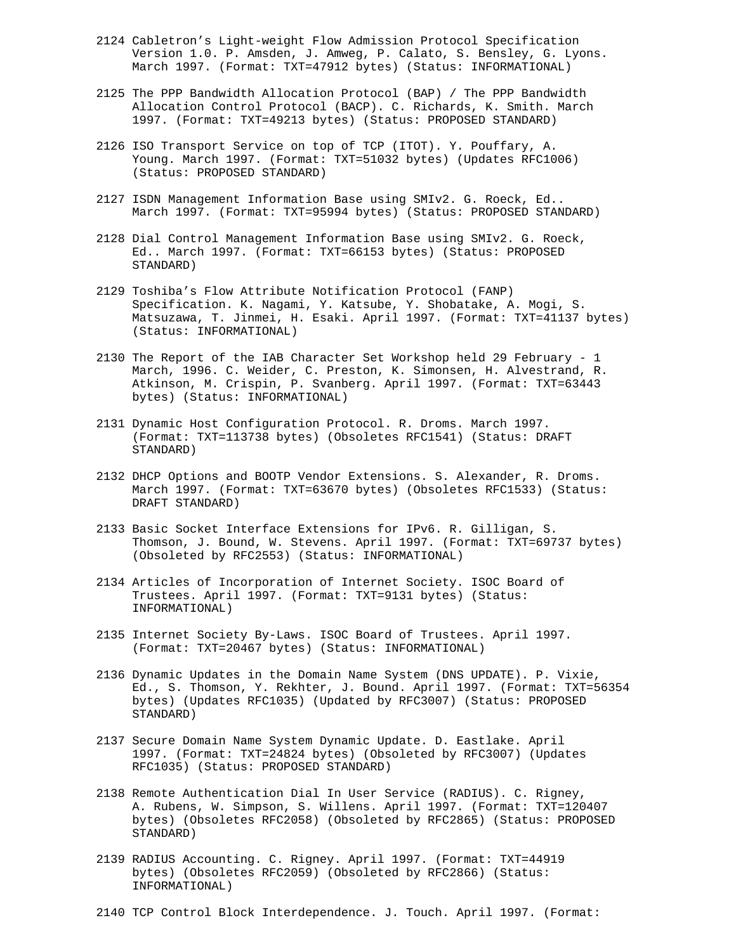- 2124 Cabletron's Light-weight Flow Admission Protocol Specification Version 1.0. P. Amsden, J. Amweg, P. Calato, S. Bensley, G. Lyons. March 1997. (Format: TXT=47912 bytes) (Status: INFORMATIONAL)
- 2125 The PPP Bandwidth Allocation Protocol (BAP) / The PPP Bandwidth Allocation Control Protocol (BACP). C. Richards, K. Smith. March 1997. (Format: TXT=49213 bytes) (Status: PROPOSED STANDARD)
- 2126 ISO Transport Service on top of TCP (ITOT). Y. Pouffary, A. Young. March 1997. (Format: TXT=51032 bytes) (Updates RFC1006) (Status: PROPOSED STANDARD)
- 2127 ISDN Management Information Base using SMIv2. G. Roeck, Ed.. March 1997. (Format: TXT=95994 bytes) (Status: PROPOSED STANDARD)
- 2128 Dial Control Management Information Base using SMIv2. G. Roeck, Ed.. March 1997. (Format: TXT=66153 bytes) (Status: PROPOSED STANDARD)
- 2129 Toshiba's Flow Attribute Notification Protocol (FANP) Specification. K. Nagami, Y. Katsube, Y. Shobatake, A. Mogi, S. Matsuzawa, T. Jinmei, H. Esaki. April 1997. (Format: TXT=41137 bytes) (Status: INFORMATIONAL)
- 2130 The Report of the IAB Character Set Workshop held 29 February 1 March, 1996. C. Weider, C. Preston, K. Simonsen, H. Alvestrand, R. Atkinson, M. Crispin, P. Svanberg. April 1997. (Format: TXT=63443 bytes) (Status: INFORMATIONAL)
- 2131 Dynamic Host Configuration Protocol. R. Droms. March 1997. (Format: TXT=113738 bytes) (Obsoletes RFC1541) (Status: DRAFT STANDARD)
- 2132 DHCP Options and BOOTP Vendor Extensions. S. Alexander, R. Droms. March 1997. (Format: TXT=63670 bytes) (Obsoletes RFC1533) (Status: DRAFT STANDARD)
- 2133 Basic Socket Interface Extensions for IPv6. R. Gilligan, S. Thomson, J. Bound, W. Stevens. April 1997. (Format: TXT=69737 bytes) (Obsoleted by RFC2553) (Status: INFORMATIONAL)
- 2134 Articles of Incorporation of Internet Society. ISOC Board of Trustees. April 1997. (Format: TXT=9131 bytes) (Status: INFORMATIONAL)
- 2135 Internet Society By-Laws. ISOC Board of Trustees. April 1997. (Format: TXT=20467 bytes) (Status: INFORMATIONAL)
- 2136 Dynamic Updates in the Domain Name System (DNS UPDATE). P. Vixie, Ed., S. Thomson, Y. Rekhter, J. Bound. April 1997. (Format: TXT=56354 bytes) (Updates RFC1035) (Updated by RFC3007) (Status: PROPOSED STANDARD)
- 2137 Secure Domain Name System Dynamic Update. D. Eastlake. April 1997. (Format: TXT=24824 bytes) (Obsoleted by RFC3007) (Updates RFC1035) (Status: PROPOSED STANDARD)
- 2138 Remote Authentication Dial In User Service (RADIUS). C. Rigney, A. Rubens, W. Simpson, S. Willens. April 1997. (Format: TXT=120407 bytes) (Obsoletes RFC2058) (Obsoleted by RFC2865) (Status: PROPOSED STANDARD)
- 2139 RADIUS Accounting. C. Rigney. April 1997. (Format: TXT=44919 bytes) (Obsoletes RFC2059) (Obsoleted by RFC2866) (Status: INFORMATIONAL)

2140 TCP Control Block Interdependence. J. Touch. April 1997. (Format: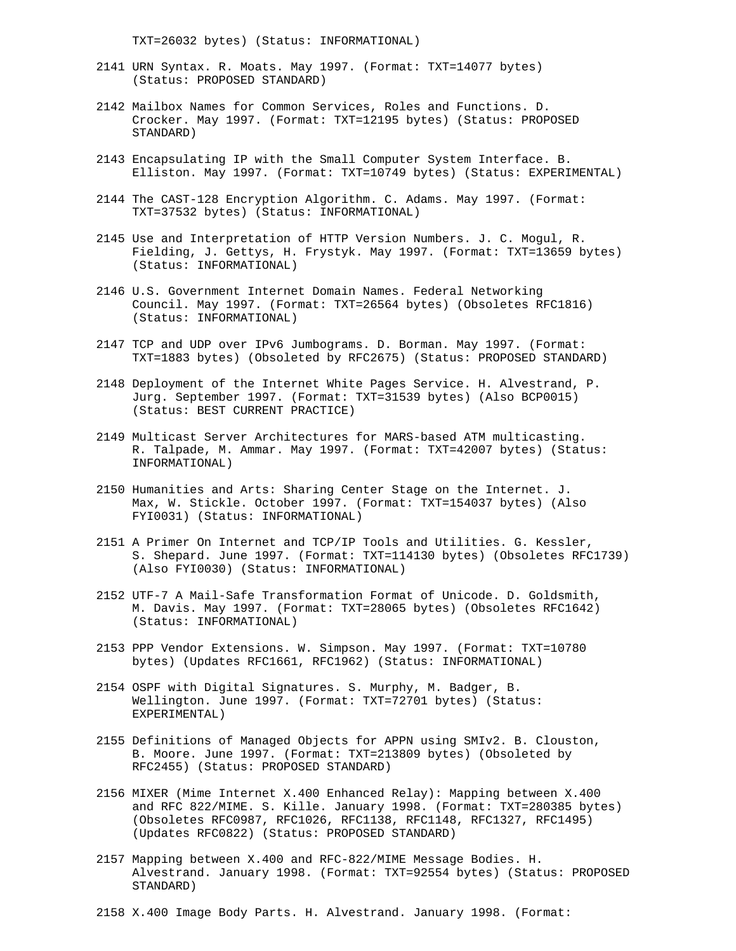TXT=26032 bytes) (Status: INFORMATIONAL)

- 2141 URN Syntax. R. Moats. May 1997. (Format: TXT=14077 bytes) (Status: PROPOSED STANDARD)
- 2142 Mailbox Names for Common Services, Roles and Functions. D. Crocker. May 1997. (Format: TXT=12195 bytes) (Status: PROPOSED STANDARD)
- 2143 Encapsulating IP with the Small Computer System Interface. B. Elliston. May 1997. (Format: TXT=10749 bytes) (Status: EXPERIMENTAL)
- 2144 The CAST-128 Encryption Algorithm. C. Adams. May 1997. (Format: TXT=37532 bytes) (Status: INFORMATIONAL)
- 2145 Use and Interpretation of HTTP Version Numbers. J. C. Mogul, R. Fielding, J. Gettys, H. Frystyk. May 1997. (Format: TXT=13659 bytes) (Status: INFORMATIONAL)
- 2146 U.S. Government Internet Domain Names. Federal Networking Council. May 1997. (Format: TXT=26564 bytes) (Obsoletes RFC1816) (Status: INFORMATIONAL)
- 2147 TCP and UDP over IPv6 Jumbograms. D. Borman. May 1997. (Format: TXT=1883 bytes) (Obsoleted by RFC2675) (Status: PROPOSED STANDARD)
- 2148 Deployment of the Internet White Pages Service. H. Alvestrand, P. Jurg. September 1997. (Format: TXT=31539 bytes) (Also BCP0015) (Status: BEST CURRENT PRACTICE)
- 2149 Multicast Server Architectures for MARS-based ATM multicasting. R. Talpade, M. Ammar. May 1997. (Format: TXT=42007 bytes) (Status: INFORMATIONAL)
- 2150 Humanities and Arts: Sharing Center Stage on the Internet. J. Max, W. Stickle. October 1997. (Format: TXT=154037 bytes) (Also FYI0031) (Status: INFORMATIONAL)
- 2151 A Primer On Internet and TCP/IP Tools and Utilities. G. Kessler, S. Shepard. June 1997. (Format: TXT=114130 bytes) (Obsoletes RFC1739) (Also FYI0030) (Status: INFORMATIONAL)
- 2152 UTF-7 A Mail-Safe Transformation Format of Unicode. D. Goldsmith, M. Davis. May 1997. (Format: TXT=28065 bytes) (Obsoletes RFC1642) (Status: INFORMATIONAL)
- 2153 PPP Vendor Extensions. W. Simpson. May 1997. (Format: TXT=10780 bytes) (Updates RFC1661, RFC1962) (Status: INFORMATIONAL)
- 2154 OSPF with Digital Signatures. S. Murphy, M. Badger, B. Wellington. June 1997. (Format: TXT=72701 bytes) (Status: EXPERIMENTAL)
- 2155 Definitions of Managed Objects for APPN using SMIv2. B. Clouston, B. Moore. June 1997. (Format: TXT=213809 bytes) (Obsoleted by RFC2455) (Status: PROPOSED STANDARD)
- 2156 MIXER (Mime Internet X.400 Enhanced Relay): Mapping between X.400 and RFC 822/MIME. S. Kille. January 1998. (Format: TXT=280385 bytes) (Obsoletes RFC0987, RFC1026, RFC1138, RFC1148, RFC1327, RFC1495) (Updates RFC0822) (Status: PROPOSED STANDARD)
- 2157 Mapping between X.400 and RFC-822/MIME Message Bodies. H. Alvestrand. January 1998. (Format: TXT=92554 bytes) (Status: PROPOSED STANDARD)
- 2158 X.400 Image Body Parts. H. Alvestrand. January 1998. (Format: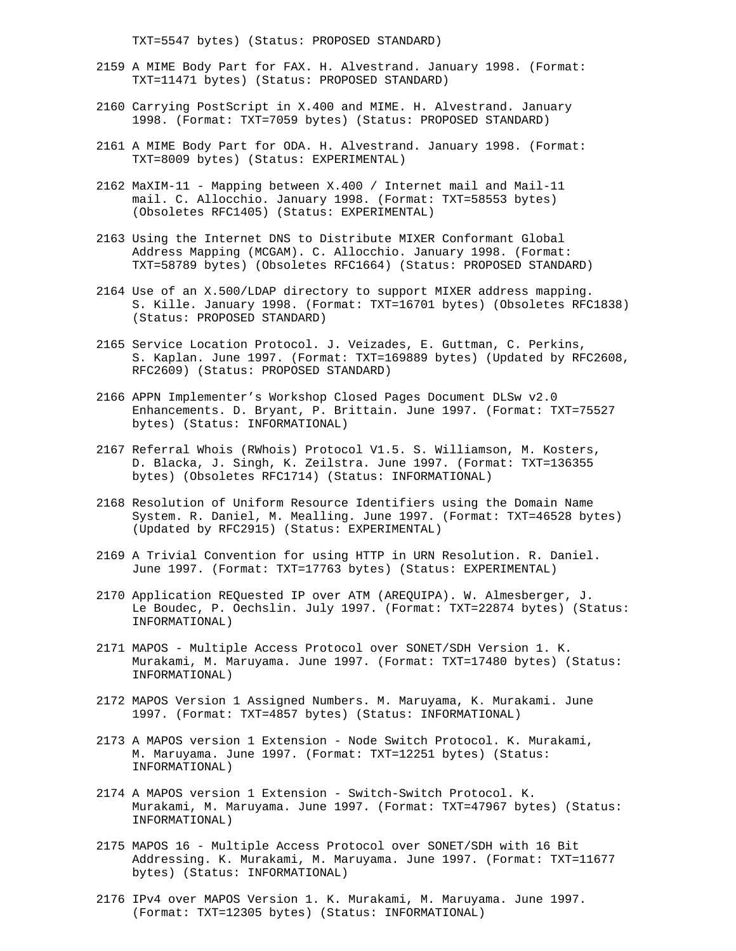TXT=5547 bytes) (Status: PROPOSED STANDARD)

- 2159 A MIME Body Part for FAX. H. Alvestrand. January 1998. (Format: TXT=11471 bytes) (Status: PROPOSED STANDARD)
- 2160 Carrying PostScript in X.400 and MIME. H. Alvestrand. January 1998. (Format: TXT=7059 bytes) (Status: PROPOSED STANDARD)
- 2161 A MIME Body Part for ODA. H. Alvestrand. January 1998. (Format: TXT=8009 bytes) (Status: EXPERIMENTAL)
- 2162 MaXIM-11 Mapping between X.400 / Internet mail and Mail-11 mail. C. Allocchio. January 1998. (Format: TXT=58553 bytes) (Obsoletes RFC1405) (Status: EXPERIMENTAL)
- 2163 Using the Internet DNS to Distribute MIXER Conformant Global Address Mapping (MCGAM). C. Allocchio. January 1998. (Format: TXT=58789 bytes) (Obsoletes RFC1664) (Status: PROPOSED STANDARD)
- 2164 Use of an X.500/LDAP directory to support MIXER address mapping. S. Kille. January 1998. (Format: TXT=16701 bytes) (Obsoletes RFC1838) (Status: PROPOSED STANDARD)
- 2165 Service Location Protocol. J. Veizades, E. Guttman, C. Perkins, S. Kaplan. June 1997. (Format: TXT=169889 bytes) (Updated by RFC2608, RFC2609) (Status: PROPOSED STANDARD)
- 2166 APPN Implementer's Workshop Closed Pages Document DLSw v2.0 Enhancements. D. Bryant, P. Brittain. June 1997. (Format: TXT=75527 bytes) (Status: INFORMATIONAL)
- 2167 Referral Whois (RWhois) Protocol V1.5. S. Williamson, M. Kosters, D. Blacka, J. Singh, K. Zeilstra. June 1997. (Format: TXT=136355 bytes) (Obsoletes RFC1714) (Status: INFORMATIONAL)
- 2168 Resolution of Uniform Resource Identifiers using the Domain Name System. R. Daniel, M. Mealling. June 1997. (Format: TXT=46528 bytes) (Updated by RFC2915) (Status: EXPERIMENTAL)
- 2169 A Trivial Convention for using HTTP in URN Resolution. R. Daniel. June 1997. (Format: TXT=17763 bytes) (Status: EXPERIMENTAL)
- 2170 Application REQuested IP over ATM (AREQUIPA). W. Almesberger, J. Le Boudec, P. Oechslin. July 1997. (Format: TXT=22874 bytes) (Status: INFORMATIONAL)
- 2171 MAPOS Multiple Access Protocol over SONET/SDH Version 1. K. Murakami, M. Maruyama. June 1997. (Format: TXT=17480 bytes) (Status: INFORMATIONAL)
- 2172 MAPOS Version 1 Assigned Numbers. M. Maruyama, K. Murakami. June 1997. (Format: TXT=4857 bytes) (Status: INFORMATIONAL)
- 2173 A MAPOS version 1 Extension Node Switch Protocol. K. Murakami, M. Maruyama. June 1997. (Format: TXT=12251 bytes) (Status: INFORMATIONAL)
- 2174 A MAPOS version 1 Extension Switch-Switch Protocol. K. Murakami, M. Maruyama. June 1997. (Format: TXT=47967 bytes) (Status: INFORMATIONAL)
- 2175 MAPOS 16 Multiple Access Protocol over SONET/SDH with 16 Bit Addressing. K. Murakami, M. Maruyama. June 1997. (Format: TXT=11677 bytes) (Status: INFORMATIONAL)
- 2176 IPv4 over MAPOS Version 1. K. Murakami, M. Maruyama. June 1997. (Format: TXT=12305 bytes) (Status: INFORMATIONAL)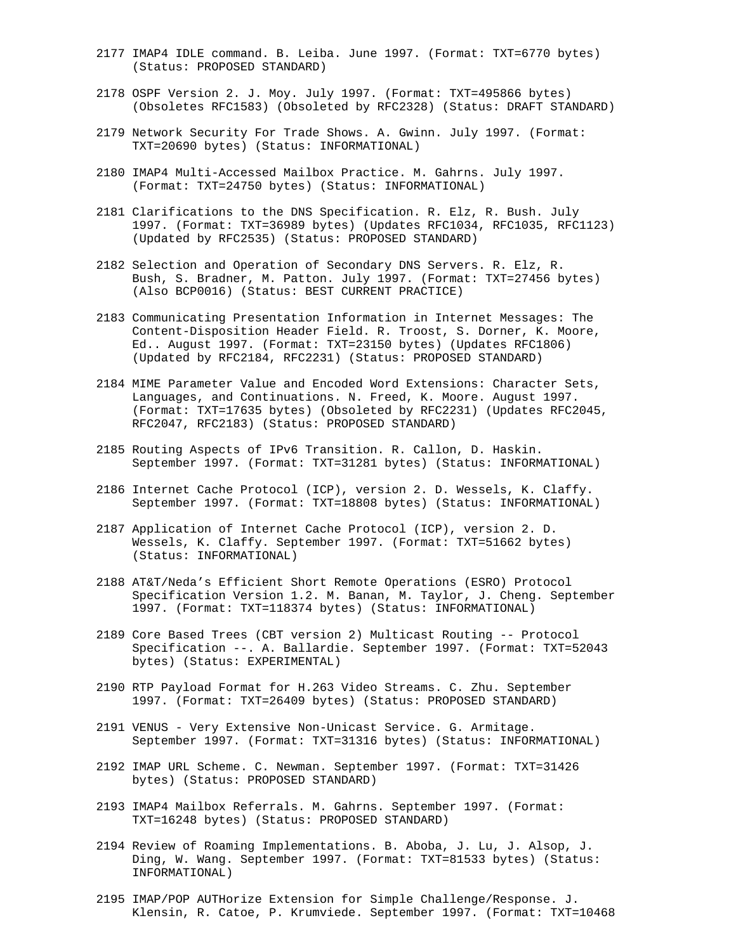- 2177 IMAP4 IDLE command. B. Leiba. June 1997. (Format: TXT=6770 bytes) (Status: PROPOSED STANDARD)
- 2178 OSPF Version 2. J. Moy. July 1997. (Format: TXT=495866 bytes) (Obsoletes RFC1583) (Obsoleted by RFC2328) (Status: DRAFT STANDARD)
- 2179 Network Security For Trade Shows. A. Gwinn. July 1997. (Format: TXT=20690 bytes) (Status: INFORMATIONAL)
- 2180 IMAP4 Multi-Accessed Mailbox Practice. M. Gahrns. July 1997. (Format: TXT=24750 bytes) (Status: INFORMATIONAL)
- 2181 Clarifications to the DNS Specification. R. Elz, R. Bush. July 1997. (Format: TXT=36989 bytes) (Updates RFC1034, RFC1035, RFC1123) (Updated by RFC2535) (Status: PROPOSED STANDARD)
- 2182 Selection and Operation of Secondary DNS Servers. R. Elz, R. Bush, S. Bradner, M. Patton. July 1997. (Format: TXT=27456 bytes) (Also BCP0016) (Status: BEST CURRENT PRACTICE)
- 2183 Communicating Presentation Information in Internet Messages: The Content-Disposition Header Field. R. Troost, S. Dorner, K. Moore, Ed.. August 1997. (Format: TXT=23150 bytes) (Updates RFC1806) (Updated by RFC2184, RFC2231) (Status: PROPOSED STANDARD)
- 2184 MIME Parameter Value and Encoded Word Extensions: Character Sets, Languages, and Continuations. N. Freed, K. Moore. August 1997. (Format: TXT=17635 bytes) (Obsoleted by RFC2231) (Updates RFC2045, RFC2047, RFC2183) (Status: PROPOSED STANDARD)
- 2185 Routing Aspects of IPv6 Transition. R. Callon, D. Haskin. September 1997. (Format: TXT=31281 bytes) (Status: INFORMATIONAL)
- 2186 Internet Cache Protocol (ICP), version 2. D. Wessels, K. Claffy. September 1997. (Format: TXT=18808 bytes) (Status: INFORMATIONAL)
- 2187 Application of Internet Cache Protocol (ICP), version 2. D. Wessels, K. Claffy. September 1997. (Format: TXT=51662 bytes) (Status: INFORMATIONAL)
- 2188 AT&T/Neda's Efficient Short Remote Operations (ESRO) Protocol Specification Version 1.2. M. Banan, M. Taylor, J. Cheng. September 1997. (Format: TXT=118374 bytes) (Status: INFORMATIONAL)
- 2189 Core Based Trees (CBT version 2) Multicast Routing -- Protocol Specification --. A. Ballardie. September 1997. (Format: TXT=52043 bytes) (Status: EXPERIMENTAL)
- 2190 RTP Payload Format for H.263 Video Streams. C. Zhu. September 1997. (Format: TXT=26409 bytes) (Status: PROPOSED STANDARD)
- 2191 VENUS Very Extensive Non-Unicast Service. G. Armitage. September 1997. (Format: TXT=31316 bytes) (Status: INFORMATIONAL)
- 2192 IMAP URL Scheme. C. Newman. September 1997. (Format: TXT=31426 bytes) (Status: PROPOSED STANDARD)
- 2193 IMAP4 Mailbox Referrals. M. Gahrns. September 1997. (Format: TXT=16248 bytes) (Status: PROPOSED STANDARD)
- 2194 Review of Roaming Implementations. B. Aboba, J. Lu, J. Alsop, J. Ding, W. Wang. September 1997. (Format: TXT=81533 bytes) (Status: INFORMATIONAL)
- 2195 IMAP/POP AUTHorize Extension for Simple Challenge/Response. J. Klensin, R. Catoe, P. Krumviede. September 1997. (Format: TXT=10468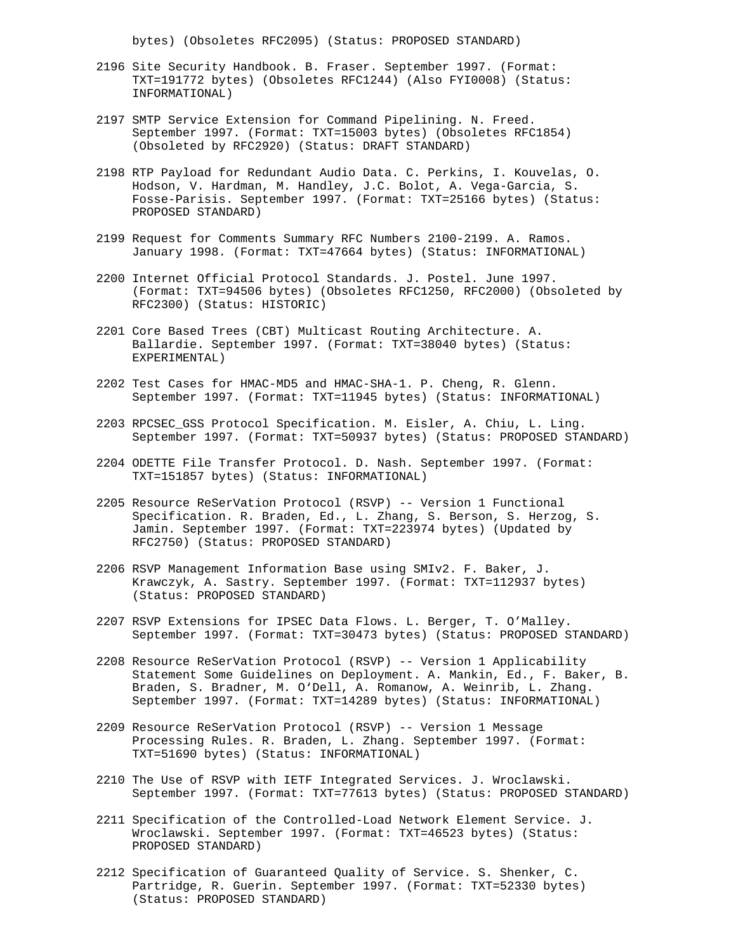bytes) (Obsoletes RFC2095) (Status: PROPOSED STANDARD)

- 2196 Site Security Handbook. B. Fraser. September 1997. (Format: TXT=191772 bytes) (Obsoletes RFC1244) (Also FYI0008) (Status: INFORMATIONAL)
- 2197 SMTP Service Extension for Command Pipelining. N. Freed. September 1997. (Format: TXT=15003 bytes) (Obsoletes RFC1854) (Obsoleted by RFC2920) (Status: DRAFT STANDARD)
- 2198 RTP Payload for Redundant Audio Data. C. Perkins, I. Kouvelas, O. Hodson, V. Hardman, M. Handley, J.C. Bolot, A. Vega-Garcia, S. Fosse-Parisis. September 1997. (Format: TXT=25166 bytes) (Status: PROPOSED STANDARD)
- 2199 Request for Comments Summary RFC Numbers 2100-2199. A. Ramos. January 1998. (Format: TXT=47664 bytes) (Status: INFORMATIONAL)
- 2200 Internet Official Protocol Standards. J. Postel. June 1997. (Format: TXT=94506 bytes) (Obsoletes RFC1250, RFC2000) (Obsoleted by RFC2300) (Status: HISTORIC)
- 2201 Core Based Trees (CBT) Multicast Routing Architecture. A. Ballardie. September 1997. (Format: TXT=38040 bytes) (Status: EXPERIMENTAL)
- 2202 Test Cases for HMAC-MD5 and HMAC-SHA-1. P. Cheng, R. Glenn. September 1997. (Format: TXT=11945 bytes) (Status: INFORMATIONAL)
- 2203 RPCSEC\_GSS Protocol Specification. M. Eisler, A. Chiu, L. Ling. September 1997. (Format: TXT=50937 bytes) (Status: PROPOSED STANDARD)
- 2204 ODETTE File Transfer Protocol. D. Nash. September 1997. (Format: TXT=151857 bytes) (Status: INFORMATIONAL)
- 2205 Resource ReSerVation Protocol (RSVP) -- Version 1 Functional Specification. R. Braden, Ed., L. Zhang, S. Berson, S. Herzog, S. Jamin. September 1997. (Format: TXT=223974 bytes) (Updated by RFC2750) (Status: PROPOSED STANDARD)
- 2206 RSVP Management Information Base using SMIv2. F. Baker, J. Krawczyk, A. Sastry. September 1997. (Format: TXT=112937 bytes) (Status: PROPOSED STANDARD)
- 2207 RSVP Extensions for IPSEC Data Flows. L. Berger, T. O'Malley. September 1997. (Format: TXT=30473 bytes) (Status: PROPOSED STANDARD)
- 2208 Resource ReSerVation Protocol (RSVP) -- Version 1 Applicability Statement Some Guidelines on Deployment. A. Mankin, Ed., F. Baker, B. Braden, S. Bradner, M. O'Dell, A. Romanow, A. Weinrib, L. Zhang. September 1997. (Format: TXT=14289 bytes) (Status: INFORMATIONAL)
- 2209 Resource ReSerVation Protocol (RSVP) -- Version 1 Message Processing Rules. R. Braden, L. Zhang. September 1997. (Format: TXT=51690 bytes) (Status: INFORMATIONAL)
- 2210 The Use of RSVP with IETF Integrated Services. J. Wroclawski. September 1997. (Format: TXT=77613 bytes) (Status: PROPOSED STANDARD)
- 2211 Specification of the Controlled-Load Network Element Service. J. Wroclawski. September 1997. (Format: TXT=46523 bytes) (Status: PROPOSED STANDARD)
- 2212 Specification of Guaranteed Quality of Service. S. Shenker, C. Partridge, R. Guerin. September 1997. (Format: TXT=52330 bytes) (Status: PROPOSED STANDARD)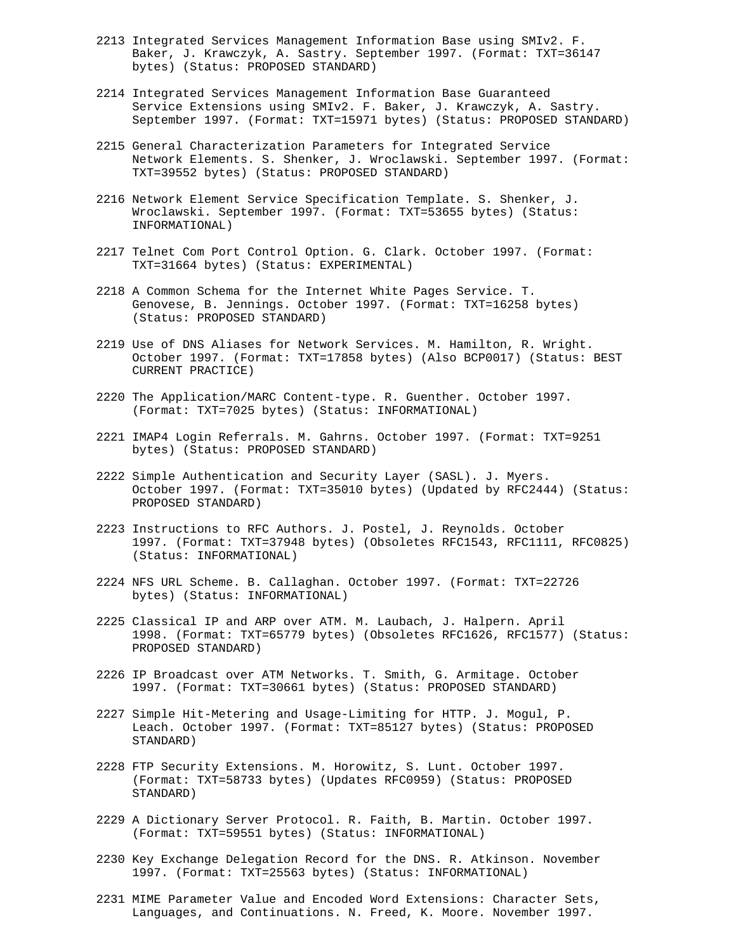- 2213 Integrated Services Management Information Base using SMIv2. F. Baker, J. Krawczyk, A. Sastry. September 1997. (Format: TXT=36147 bytes) (Status: PROPOSED STANDARD)
- 2214 Integrated Services Management Information Base Guaranteed Service Extensions using SMIv2. F. Baker, J. Krawczyk, A. Sastry. September 1997. (Format: TXT=15971 bytes) (Status: PROPOSED STANDARD)
- 2215 General Characterization Parameters for Integrated Service Network Elements. S. Shenker, J. Wroclawski. September 1997. (Format: TXT=39552 bytes) (Status: PROPOSED STANDARD)
- 2216 Network Element Service Specification Template. S. Shenker, J. Wroclawski. September 1997. (Format: TXT=53655 bytes) (Status: INFORMATIONAL)
- 2217 Telnet Com Port Control Option. G. Clark. October 1997. (Format: TXT=31664 bytes) (Status: EXPERIMENTAL)
- 2218 A Common Schema for the Internet White Pages Service. T. Genovese, B. Jennings. October 1997. (Format: TXT=16258 bytes) (Status: PROPOSED STANDARD)
- 2219 Use of DNS Aliases for Network Services. M. Hamilton, R. Wright. October 1997. (Format: TXT=17858 bytes) (Also BCP0017) (Status: BEST CURRENT PRACTICE)
- 2220 The Application/MARC Content-type. R. Guenther. October 1997. (Format: TXT=7025 bytes) (Status: INFORMATIONAL)
- 2221 IMAP4 Login Referrals. M. Gahrns. October 1997. (Format: TXT=9251 bytes) (Status: PROPOSED STANDARD)
- 2222 Simple Authentication and Security Layer (SASL). J. Myers. October 1997. (Format: TXT=35010 bytes) (Updated by RFC2444) (Status: PROPOSED STANDARD)
- 2223 Instructions to RFC Authors. J. Postel, J. Reynolds. October 1997. (Format: TXT=37948 bytes) (Obsoletes RFC1543, RFC1111, RFC0825) (Status: INFORMATIONAL)
- 2224 NFS URL Scheme. B. Callaghan. October 1997. (Format: TXT=22726 bytes) (Status: INFORMATIONAL)
- 2225 Classical IP and ARP over ATM. M. Laubach, J. Halpern. April 1998. (Format: TXT=65779 bytes) (Obsoletes RFC1626, RFC1577) (Status: PROPOSED STANDARD)
- 2226 IP Broadcast over ATM Networks. T. Smith, G. Armitage. October 1997. (Format: TXT=30661 bytes) (Status: PROPOSED STANDARD)
- 2227 Simple Hit-Metering and Usage-Limiting for HTTP. J. Mogul, P. Leach. October 1997. (Format: TXT=85127 bytes) (Status: PROPOSED STANDARD)
- 2228 FTP Security Extensions. M. Horowitz, S. Lunt. October 1997. (Format: TXT=58733 bytes) (Updates RFC0959) (Status: PROPOSED STANDARD)
- 2229 A Dictionary Server Protocol. R. Faith, B. Martin. October 1997. (Format: TXT=59551 bytes) (Status: INFORMATIONAL)
- 2230 Key Exchange Delegation Record for the DNS. R. Atkinson. November 1997. (Format: TXT=25563 bytes) (Status: INFORMATIONAL)
- 2231 MIME Parameter Value and Encoded Word Extensions: Character Sets, Languages, and Continuations. N. Freed, K. Moore. November 1997.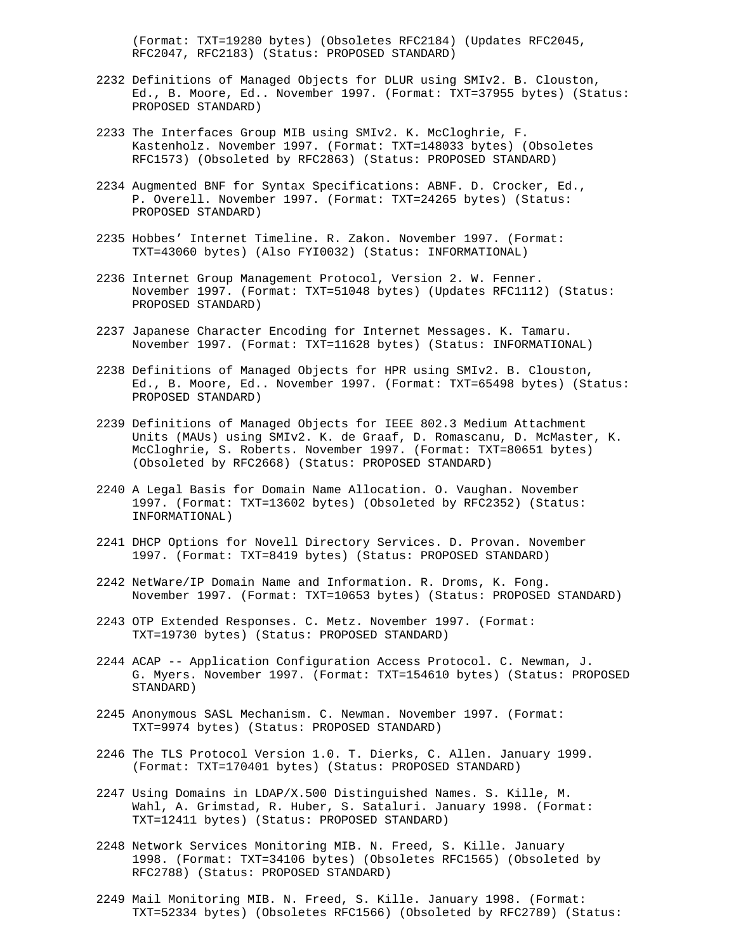(Format: TXT=19280 bytes) (Obsoletes RFC2184) (Updates RFC2045, RFC2047, RFC2183) (Status: PROPOSED STANDARD)

- 2232 Definitions of Managed Objects for DLUR using SMIv2. B. Clouston, Ed., B. Moore, Ed.. November 1997. (Format: TXT=37955 bytes) (Status: PROPOSED STANDARD)
- 2233 The Interfaces Group MIB using SMIv2. K. McCloghrie, F. Kastenholz. November 1997. (Format: TXT=148033 bytes) (Obsoletes RFC1573) (Obsoleted by RFC2863) (Status: PROPOSED STANDARD)
- 2234 Augmented BNF for Syntax Specifications: ABNF. D. Crocker, Ed., P. Overell. November 1997. (Format: TXT=24265 bytes) (Status: PROPOSED STANDARD)
- 2235 Hobbes' Internet Timeline. R. Zakon. November 1997. (Format: TXT=43060 bytes) (Also FYI0032) (Status: INFORMATIONAL)
- 2236 Internet Group Management Protocol, Version 2. W. Fenner. November 1997. (Format: TXT=51048 bytes) (Updates RFC1112) (Status: PROPOSED STANDARD)
- 2237 Japanese Character Encoding for Internet Messages. K. Tamaru. November 1997. (Format: TXT=11628 bytes) (Status: INFORMATIONAL)
- 2238 Definitions of Managed Objects for HPR using SMIv2. B. Clouston, Ed., B. Moore, Ed.. November 1997. (Format: TXT=65498 bytes) (Status: PROPOSED STANDARD)
- 2239 Definitions of Managed Objects for IEEE 802.3 Medium Attachment Units (MAUs) using SMIv2. K. de Graaf, D. Romascanu, D. McMaster, K. McCloghrie, S. Roberts. November 1997. (Format: TXT=80651 bytes) (Obsoleted by RFC2668) (Status: PROPOSED STANDARD)
- 2240 A Legal Basis for Domain Name Allocation. O. Vaughan. November 1997. (Format: TXT=13602 bytes) (Obsoleted by RFC2352) (Status: INFORMATIONAL)
- 2241 DHCP Options for Novell Directory Services. D. Provan. November 1997. (Format: TXT=8419 bytes) (Status: PROPOSED STANDARD)
- 2242 NetWare/IP Domain Name and Information. R. Droms, K. Fong. November 1997. (Format: TXT=10653 bytes) (Status: PROPOSED STANDARD)
- 2243 OTP Extended Responses. C. Metz. November 1997. (Format: TXT=19730 bytes) (Status: PROPOSED STANDARD)
- 2244 ACAP -- Application Configuration Access Protocol. C. Newman, J. G. Myers. November 1997. (Format: TXT=154610 bytes) (Status: PROPOSED STANDARD)
- 2245 Anonymous SASL Mechanism. C. Newman. November 1997. (Format: TXT=9974 bytes) (Status: PROPOSED STANDARD)
- 2246 The TLS Protocol Version 1.0. T. Dierks, C. Allen. January 1999. (Format: TXT=170401 bytes) (Status: PROPOSED STANDARD)
- 2247 Using Domains in LDAP/X.500 Distinguished Names. S. Kille, M. Wahl, A. Grimstad, R. Huber, S. Sataluri. January 1998. (Format: TXT=12411 bytes) (Status: PROPOSED STANDARD)
- 2248 Network Services Monitoring MIB. N. Freed, S. Kille. January 1998. (Format: TXT=34106 bytes) (Obsoletes RFC1565) (Obsoleted by RFC2788) (Status: PROPOSED STANDARD)
- 2249 Mail Monitoring MIB. N. Freed, S. Kille. January 1998. (Format: TXT=52334 bytes) (Obsoletes RFC1566) (Obsoleted by RFC2789) (Status: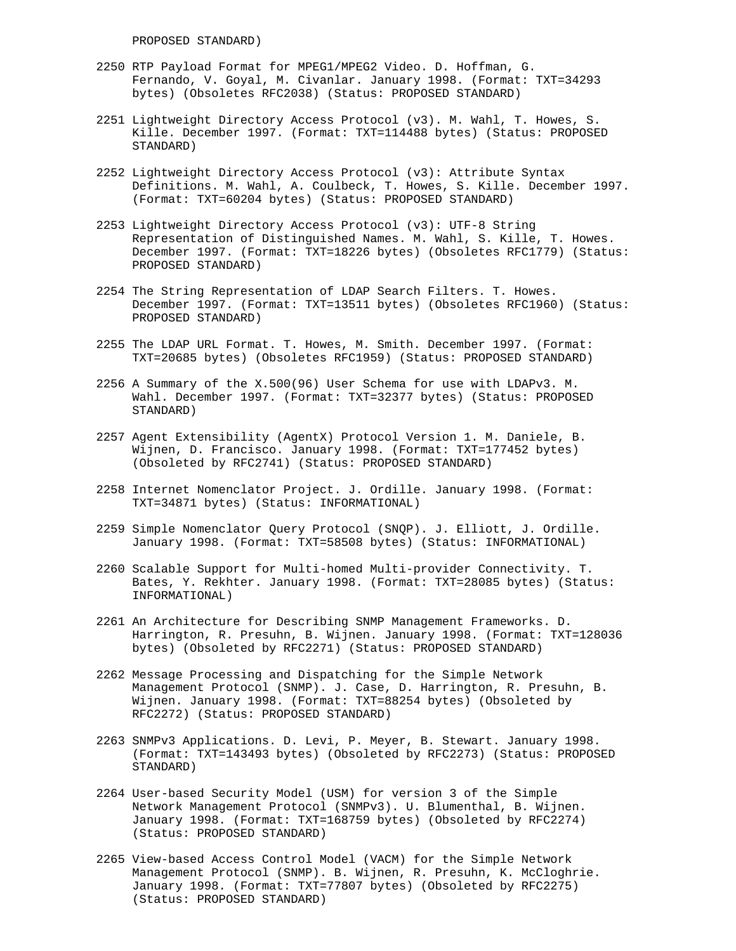- 2250 RTP Payload Format for MPEG1/MPEG2 Video. D. Hoffman, G. Fernando, V. Goyal, M. Civanlar. January 1998. (Format: TXT=34293 bytes) (Obsoletes RFC2038) (Status: PROPOSED STANDARD)
- 2251 Lightweight Directory Access Protocol (v3). M. Wahl, T. Howes, S. Kille. December 1997. (Format: TXT=114488 bytes) (Status: PROPOSED STANDARD)
- 2252 Lightweight Directory Access Protocol (v3): Attribute Syntax Definitions. M. Wahl, A. Coulbeck, T. Howes, S. Kille. December 1997. (Format: TXT=60204 bytes) (Status: PROPOSED STANDARD)
- 2253 Lightweight Directory Access Protocol (v3): UTF-8 String Representation of Distinguished Names. M. Wahl, S. Kille, T. Howes. December 1997. (Format: TXT=18226 bytes) (Obsoletes RFC1779) (Status: PROPOSED STANDARD)
- 2254 The String Representation of LDAP Search Filters. T. Howes. December 1997. (Format: TXT=13511 bytes) (Obsoletes RFC1960) (Status: PROPOSED STANDARD)
- 2255 The LDAP URL Format. T. Howes, M. Smith. December 1997. (Format: TXT=20685 bytes) (Obsoletes RFC1959) (Status: PROPOSED STANDARD)
- 2256 A Summary of the X.500(96) User Schema for use with LDAPv3. M. Wahl. December 1997. (Format: TXT=32377 bytes) (Status: PROPOSED STANDARD)
- 2257 Agent Extensibility (AgentX) Protocol Version 1. M. Daniele, B. Wijnen, D. Francisco. January 1998. (Format: TXT=177452 bytes) (Obsoleted by RFC2741) (Status: PROPOSED STANDARD)
- 2258 Internet Nomenclator Project. J. Ordille. January 1998. (Format: TXT=34871 bytes) (Status: INFORMATIONAL)
- 2259 Simple Nomenclator Query Protocol (SNQP). J. Elliott, J. Ordille. January 1998. (Format: TXT=58508 bytes) (Status: INFORMATIONAL)
- 2260 Scalable Support for Multi-homed Multi-provider Connectivity. T. Bates, Y. Rekhter. January 1998. (Format: TXT=28085 bytes) (Status: INFORMATIONAL)
- 2261 An Architecture for Describing SNMP Management Frameworks. D. Harrington, R. Presuhn, B. Wijnen. January 1998. (Format: TXT=128036 bytes) (Obsoleted by RFC2271) (Status: PROPOSED STANDARD)
- 2262 Message Processing and Dispatching for the Simple Network Management Protocol (SNMP). J. Case, D. Harrington, R. Presuhn, B. Wijnen. January 1998. (Format: TXT=88254 bytes) (Obsoleted by RFC2272) (Status: PROPOSED STANDARD)
- 2263 SNMPv3 Applications. D. Levi, P. Meyer, B. Stewart. January 1998. (Format: TXT=143493 bytes) (Obsoleted by RFC2273) (Status: PROPOSED STANDARD)
- 2264 User-based Security Model (USM) for version 3 of the Simple Network Management Protocol (SNMPv3). U. Blumenthal, B. Wijnen. January 1998. (Format: TXT=168759 bytes) (Obsoleted by RFC2274) (Status: PROPOSED STANDARD)
- 2265 View-based Access Control Model (VACM) for the Simple Network Management Protocol (SNMP). B. Wijnen, R. Presuhn, K. McCloghrie. January 1998. (Format: TXT=77807 bytes) (Obsoleted by RFC2275) (Status: PROPOSED STANDARD)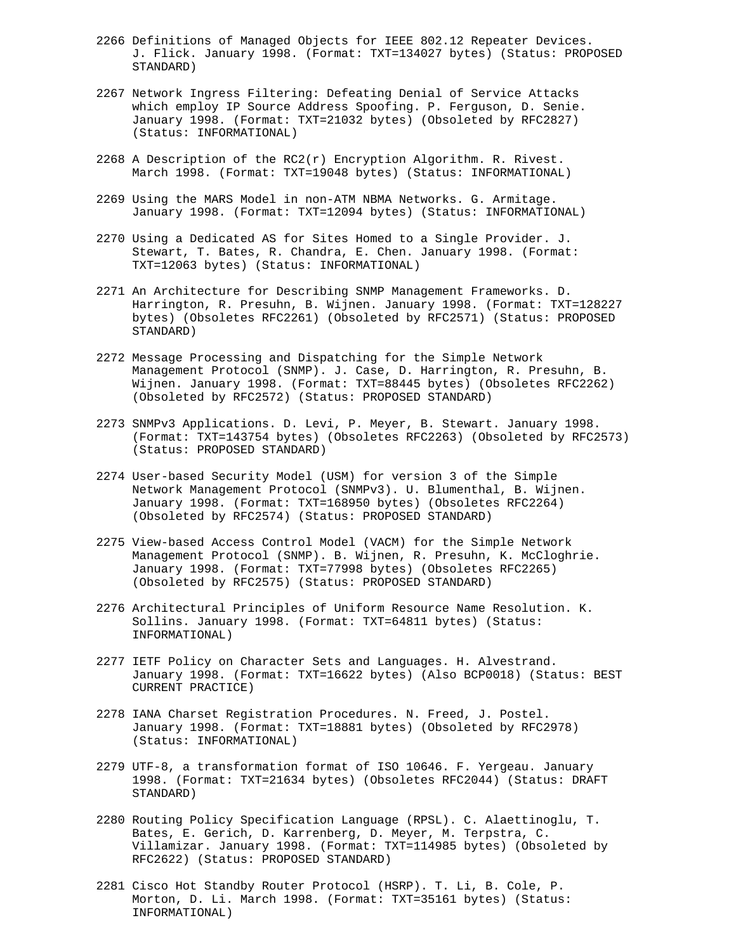- 2266 Definitions of Managed Objects for IEEE 802.12 Repeater Devices. J. Flick. January 1998. (Format: TXT=134027 bytes) (Status: PROPOSED STANDARD)
- 2267 Network Ingress Filtering: Defeating Denial of Service Attacks which employ IP Source Address Spoofing. P. Ferguson, D. Senie. January 1998. (Format: TXT=21032 bytes) (Obsoleted by RFC2827) (Status: INFORMATIONAL)
- 2268 A Description of the  $RC2(r)$  Encryption Algorithm. R. Rivest. March 1998. (Format: TXT=19048 bytes) (Status: INFORMATIONAL)
- 2269 Using the MARS Model in non-ATM NBMA Networks. G. Armitage. January 1998. (Format: TXT=12094 bytes) (Status: INFORMATIONAL)
- 2270 Using a Dedicated AS for Sites Homed to a Single Provider. J. Stewart, T. Bates, R. Chandra, E. Chen. January 1998. (Format: TXT=12063 bytes) (Status: INFORMATIONAL)
- 2271 An Architecture for Describing SNMP Management Frameworks. D. Harrington, R. Presuhn, B. Wijnen. January 1998. (Format: TXT=128227 bytes) (Obsoletes RFC2261) (Obsoleted by RFC2571) (Status: PROPOSED STANDARD)
- 2272 Message Processing and Dispatching for the Simple Network Management Protocol (SNMP). J. Case, D. Harrington, R. Presuhn, B. Wijnen. January 1998. (Format: TXT=88445 bytes) (Obsoletes RFC2262) (Obsoleted by RFC2572) (Status: PROPOSED STANDARD)
- 2273 SNMPv3 Applications. D. Levi, P. Meyer, B. Stewart. January 1998. (Format: TXT=143754 bytes) (Obsoletes RFC2263) (Obsoleted by RFC2573) (Status: PROPOSED STANDARD)
- 2274 User-based Security Model (USM) for version 3 of the Simple Network Management Protocol (SNMPv3). U. Blumenthal, B. Wijnen. January 1998. (Format: TXT=168950 bytes) (Obsoletes RFC2264) (Obsoleted by RFC2574) (Status: PROPOSED STANDARD)
- 2275 View-based Access Control Model (VACM) for the Simple Network Management Protocol (SNMP). B. Wijnen, R. Presuhn, K. McCloghrie. January 1998. (Format: TXT=77998 bytes) (Obsoletes RFC2265) (Obsoleted by RFC2575) (Status: PROPOSED STANDARD)
- 2276 Architectural Principles of Uniform Resource Name Resolution. K. Sollins. January 1998. (Format: TXT=64811 bytes) (Status: INFORMATIONAL)
- 2277 IETF Policy on Character Sets and Languages. H. Alvestrand. January 1998. (Format: TXT=16622 bytes) (Also BCP0018) (Status: BEST CURRENT PRACTICE)
- 2278 IANA Charset Registration Procedures. N. Freed, J. Postel. January 1998. (Format: TXT=18881 bytes) (Obsoleted by RFC2978) (Status: INFORMATIONAL)
- 2279 UTF-8, a transformation format of ISO 10646. F. Yergeau. January 1998. (Format: TXT=21634 bytes) (Obsoletes RFC2044) (Status: DRAFT STANDARD)
- 2280 Routing Policy Specification Language (RPSL). C. Alaettinoglu, T. Bates, E. Gerich, D. Karrenberg, D. Meyer, M. Terpstra, C. Villamizar. January 1998. (Format: TXT=114985 bytes) (Obsoleted by RFC2622) (Status: PROPOSED STANDARD)
- 2281 Cisco Hot Standby Router Protocol (HSRP). T. Li, B. Cole, P. Morton, D. Li. March 1998. (Format: TXT=35161 bytes) (Status: INFORMATIONAL)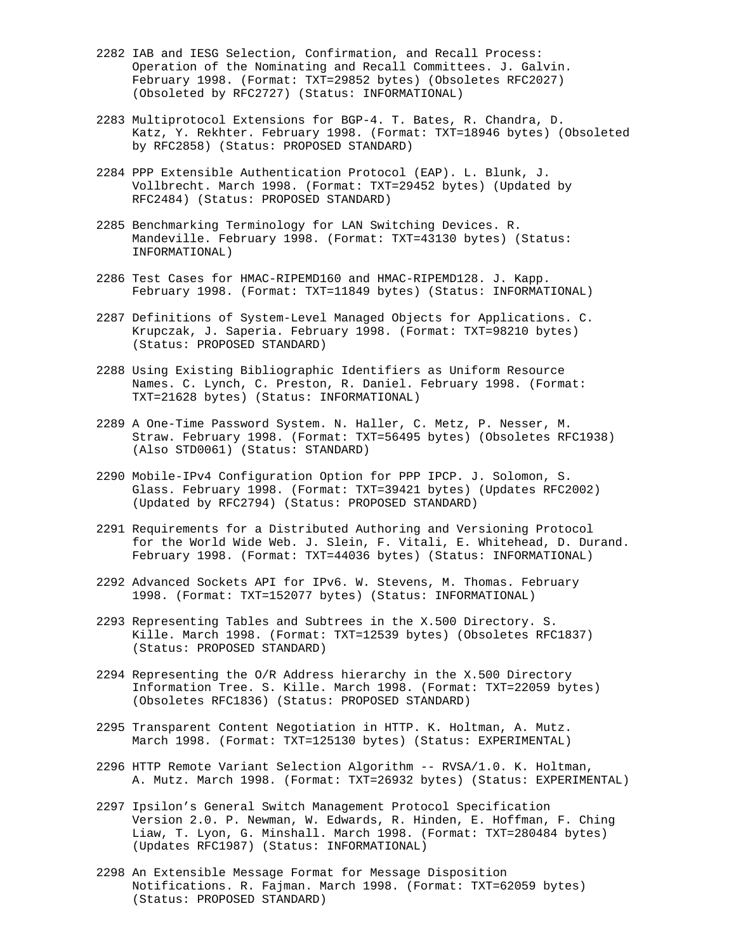- 2282 IAB and IESG Selection, Confirmation, and Recall Process: Operation of the Nominating and Recall Committees. J. Galvin. February 1998. (Format: TXT=29852 bytes) (Obsoletes RFC2027) (Obsoleted by RFC2727) (Status: INFORMATIONAL)
- 2283 Multiprotocol Extensions for BGP-4. T. Bates, R. Chandra, D. Katz, Y. Rekhter. February 1998. (Format: TXT=18946 bytes) (Obsoleted by RFC2858) (Status: PROPOSED STANDARD)
- 2284 PPP Extensible Authentication Protocol (EAP). L. Blunk, J. Vollbrecht. March 1998. (Format: TXT=29452 bytes) (Updated by RFC2484) (Status: PROPOSED STANDARD)
- 2285 Benchmarking Terminology for LAN Switching Devices. R. Mandeville. February 1998. (Format: TXT=43130 bytes) (Status: INFORMATIONAL)
- 2286 Test Cases for HMAC-RIPEMD160 and HMAC-RIPEMD128. J. Kapp. February 1998. (Format: TXT=11849 bytes) (Status: INFORMATIONAL)
- 2287 Definitions of System-Level Managed Objects for Applications. C. Krupczak, J. Saperia. February 1998. (Format: TXT=98210 bytes) (Status: PROPOSED STANDARD)
- 2288 Using Existing Bibliographic Identifiers as Uniform Resource Names. C. Lynch, C. Preston, R. Daniel. February 1998. (Format: TXT=21628 bytes) (Status: INFORMATIONAL)
- 2289 A One-Time Password System. N. Haller, C. Metz, P. Nesser, M. Straw. February 1998. (Format: TXT=56495 bytes) (Obsoletes RFC1938) (Also STD0061) (Status: STANDARD)
- 2290 Mobile-IPv4 Configuration Option for PPP IPCP. J. Solomon, S. Glass. February 1998. (Format: TXT=39421 bytes) (Updates RFC2002) (Updated by RFC2794) (Status: PROPOSED STANDARD)
- 2291 Requirements for a Distributed Authoring and Versioning Protocol for the World Wide Web. J. Slein, F. Vitali, E. Whitehead, D. Durand. February 1998. (Format: TXT=44036 bytes) (Status: INFORMATIONAL)
- 2292 Advanced Sockets API for IPv6. W. Stevens, M. Thomas. February 1998. (Format: TXT=152077 bytes) (Status: INFORMATIONAL)
- 2293 Representing Tables and Subtrees in the X.500 Directory. S. Kille. March 1998. (Format: TXT=12539 bytes) (Obsoletes RFC1837) (Status: PROPOSED STANDARD)
- 2294 Representing the O/R Address hierarchy in the X.500 Directory Information Tree. S. Kille. March 1998. (Format: TXT=22059 bytes) (Obsoletes RFC1836) (Status: PROPOSED STANDARD)
- 2295 Transparent Content Negotiation in HTTP. K. Holtman, A. Mutz. March 1998. (Format: TXT=125130 bytes) (Status: EXPERIMENTAL)
- 2296 HTTP Remote Variant Selection Algorithm -- RVSA/1.0. K. Holtman, A. Mutz. March 1998. (Format: TXT=26932 bytes) (Status: EXPERIMENTAL)
- 2297 Ipsilon's General Switch Management Protocol Specification Version 2.0. P. Newman, W. Edwards, R. Hinden, E. Hoffman, F. Ching Liaw, T. Lyon, G. Minshall. March 1998. (Format: TXT=280484 bytes) (Updates RFC1987) (Status: INFORMATIONAL)
- 2298 An Extensible Message Format for Message Disposition Notifications. R. Fajman. March 1998. (Format: TXT=62059 bytes) (Status: PROPOSED STANDARD)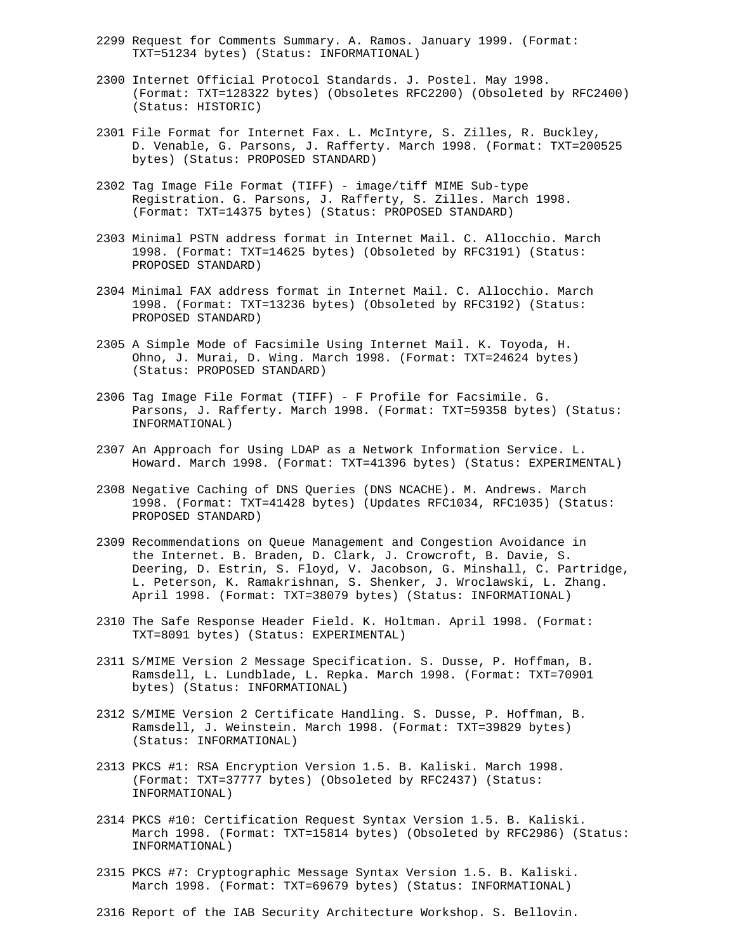- 2299 Request for Comments Summary. A. Ramos. January 1999. (Format: TXT=51234 bytes) (Status: INFORMATIONAL)
- 2300 Internet Official Protocol Standards. J. Postel. May 1998. (Format: TXT=128322 bytes) (Obsoletes RFC2200) (Obsoleted by RFC2400) (Status: HISTORIC)
- 2301 File Format for Internet Fax. L. McIntyre, S. Zilles, R. Buckley, D. Venable, G. Parsons, J. Rafferty. March 1998. (Format: TXT=200525 bytes) (Status: PROPOSED STANDARD)
- 2302 Tag Image File Format (TIFF) image/tiff MIME Sub-type Registration. G. Parsons, J. Rafferty, S. Zilles. March 1998. (Format: TXT=14375 bytes) (Status: PROPOSED STANDARD)
- 2303 Minimal PSTN address format in Internet Mail. C. Allocchio. March 1998. (Format: TXT=14625 bytes) (Obsoleted by RFC3191) (Status: PROPOSED STANDARD)
- 2304 Minimal FAX address format in Internet Mail. C. Allocchio. March 1998. (Format: TXT=13236 bytes) (Obsoleted by RFC3192) (Status: PROPOSED STANDARD)
- 2305 A Simple Mode of Facsimile Using Internet Mail. K. Toyoda, H. Ohno, J. Murai, D. Wing. March 1998. (Format: TXT=24624 bytes) (Status: PROPOSED STANDARD)
- 2306 Tag Image File Format (TIFF) F Profile for Facsimile. G. Parsons, J. Rafferty. March 1998. (Format: TXT=59358 bytes) (Status: INFORMATIONAL)
- 2307 An Approach for Using LDAP as a Network Information Service. L. Howard. March 1998. (Format: TXT=41396 bytes) (Status: EXPERIMENTAL)
- 2308 Negative Caching of DNS Queries (DNS NCACHE). M. Andrews. March 1998. (Format: TXT=41428 bytes) (Updates RFC1034, RFC1035) (Status: PROPOSED STANDARD)
- 2309 Recommendations on Queue Management and Congestion Avoidance in the Internet. B. Braden, D. Clark, J. Crowcroft, B. Davie, S. Deering, D. Estrin, S. Floyd, V. Jacobson, G. Minshall, C. Partridge, L. Peterson, K. Ramakrishnan, S. Shenker, J. Wroclawski, L. Zhang. April 1998. (Format: TXT=38079 bytes) (Status: INFORMATIONAL)
- 2310 The Safe Response Header Field. K. Holtman. April 1998. (Format: TXT=8091 bytes) (Status: EXPERIMENTAL)
- 2311 S/MIME Version 2 Message Specification. S. Dusse, P. Hoffman, B. Ramsdell, L. Lundblade, L. Repka. March 1998. (Format: TXT=70901 bytes) (Status: INFORMATIONAL)
- 2312 S/MIME Version 2 Certificate Handling. S. Dusse, P. Hoffman, B. Ramsdell, J. Weinstein. March 1998. (Format: TXT=39829 bytes) (Status: INFORMATIONAL)
- 2313 PKCS #1: RSA Encryption Version 1.5. B. Kaliski. March 1998. (Format: TXT=37777 bytes) (Obsoleted by RFC2437) (Status: INFORMATIONAL)
- 2314 PKCS #10: Certification Request Syntax Version 1.5. B. Kaliski. March 1998. (Format: TXT=15814 bytes) (Obsoleted by RFC2986) (Status: INFORMATIONAL)
- 2315 PKCS #7: Cryptographic Message Syntax Version 1.5. B. Kaliski. March 1998. (Format: TXT=69679 bytes) (Status: INFORMATIONAL)
- 2316 Report of the IAB Security Architecture Workshop. S. Bellovin.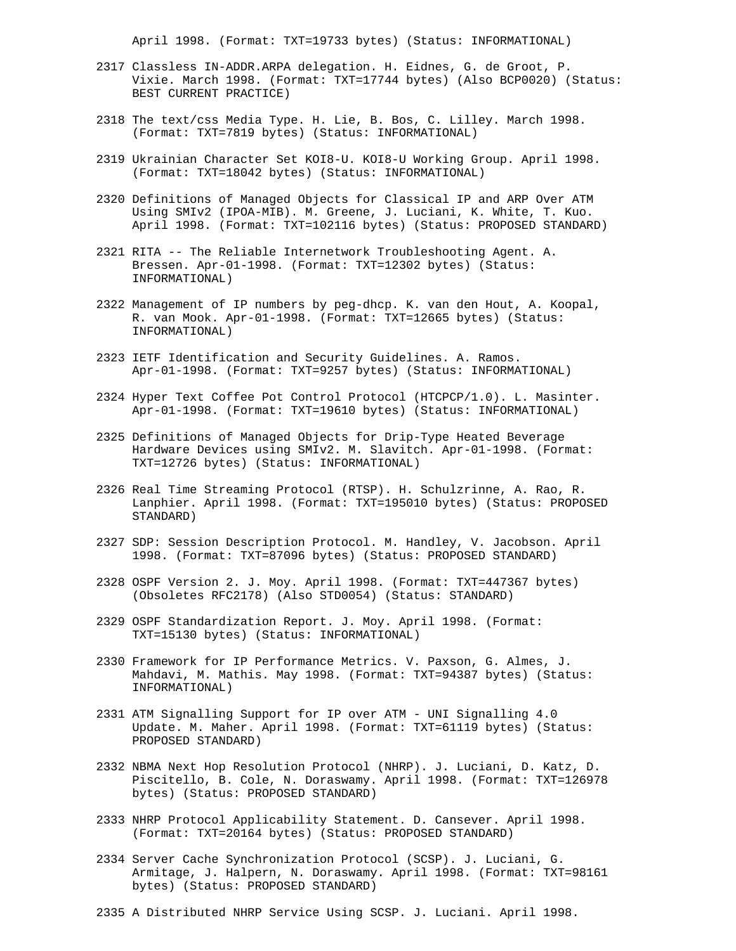April 1998. (Format: TXT=19733 bytes) (Status: INFORMATIONAL)

- 2317 Classless IN-ADDR.ARPA delegation. H. Eidnes, G. de Groot, P. Vixie. March 1998. (Format: TXT=17744 bytes) (Also BCP0020) (Status: BEST CURRENT PRACTICE)
- 2318 The text/css Media Type. H. Lie, B. Bos, C. Lilley. March 1998. (Format: TXT=7819 bytes) (Status: INFORMATIONAL)
- 2319 Ukrainian Character Set KOI8-U. KOI8-U Working Group. April 1998. (Format: TXT=18042 bytes) (Status: INFORMATIONAL)
- 2320 Definitions of Managed Objects for Classical IP and ARP Over ATM Using SMIv2 (IPOA-MIB). M. Greene, J. Luciani, K. White, T. Kuo. April 1998. (Format: TXT=102116 bytes) (Status: PROPOSED STANDARD)
- 2321 RITA -- The Reliable Internetwork Troubleshooting Agent. A. Bressen. Apr-01-1998. (Format: TXT=12302 bytes) (Status: INFORMATIONAL)
- 2322 Management of IP numbers by peg-dhcp. K. van den Hout, A. Koopal, R. van Mook. Apr-01-1998. (Format: TXT=12665 bytes) (Status: INFORMATIONAL)
- 2323 IETF Identification and Security Guidelines. A. Ramos. Apr-01-1998. (Format: TXT=9257 bytes) (Status: INFORMATIONAL)
- 2324 Hyper Text Coffee Pot Control Protocol (HTCPCP/1.0). L. Masinter. Apr-01-1998. (Format: TXT=19610 bytes) (Status: INFORMATIONAL)
- 2325 Definitions of Managed Objects for Drip-Type Heated Beverage Hardware Devices using SMIv2. M. Slavitch. Apr-01-1998. (Format: TXT=12726 bytes) (Status: INFORMATIONAL)
- 2326 Real Time Streaming Protocol (RTSP). H. Schulzrinne, A. Rao, R. Lanphier. April 1998. (Format: TXT=195010 bytes) (Status: PROPOSED STANDARD)
- 2327 SDP: Session Description Protocol. M. Handley, V. Jacobson. April 1998. (Format: TXT=87096 bytes) (Status: PROPOSED STANDARD)
- 2328 OSPF Version 2. J. Moy. April 1998. (Format: TXT=447367 bytes) (Obsoletes RFC2178) (Also STD0054) (Status: STANDARD)
- 2329 OSPF Standardization Report. J. Moy. April 1998. (Format: TXT=15130 bytes) (Status: INFORMATIONAL)
- 2330 Framework for IP Performance Metrics. V. Paxson, G. Almes, J. Mahdavi, M. Mathis. May 1998. (Format: TXT=94387 bytes) (Status: INFORMATIONAL)
- 2331 ATM Signalling Support for IP over ATM UNI Signalling 4.0 Update. M. Maher. April 1998. (Format: TXT=61119 bytes) (Status: PROPOSED STANDARD)
- 2332 NBMA Next Hop Resolution Protocol (NHRP). J. Luciani, D. Katz, D. Piscitello, B. Cole, N. Doraswamy. April 1998. (Format: TXT=126978 bytes) (Status: PROPOSED STANDARD)
- 2333 NHRP Protocol Applicability Statement. D. Cansever. April 1998. (Format: TXT=20164 bytes) (Status: PROPOSED STANDARD)
- 2334 Server Cache Synchronization Protocol (SCSP). J. Luciani, G. Armitage, J. Halpern, N. Doraswamy. April 1998. (Format: TXT=98161 bytes) (Status: PROPOSED STANDARD)
- 2335 A Distributed NHRP Service Using SCSP. J. Luciani. April 1998.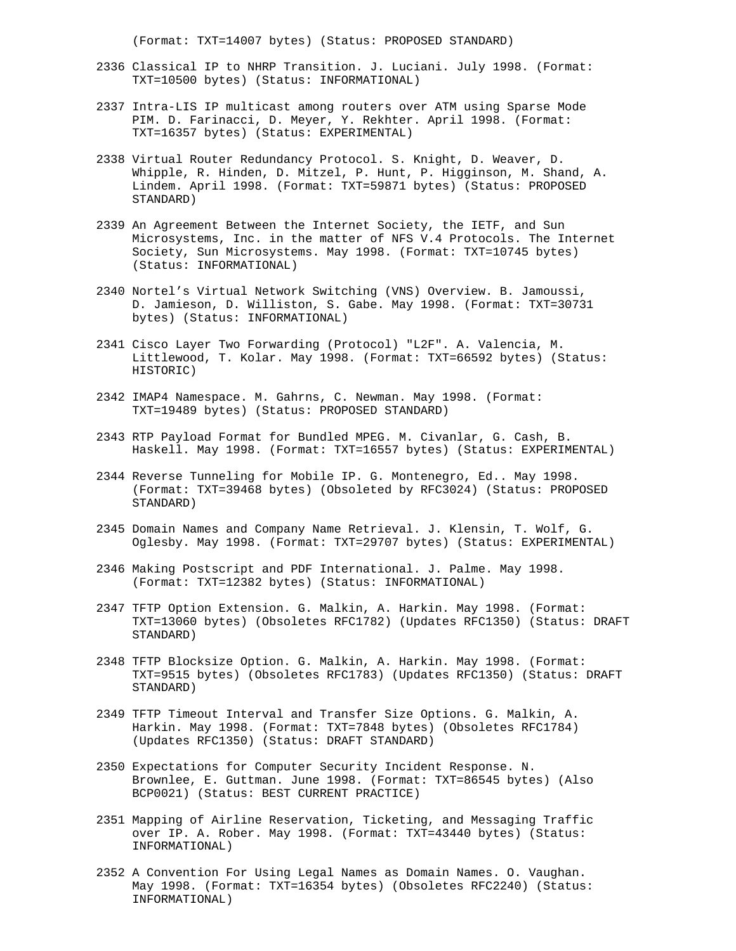(Format: TXT=14007 bytes) (Status: PROPOSED STANDARD)

- 2336 Classical IP to NHRP Transition. J. Luciani. July 1998. (Format: TXT=10500 bytes) (Status: INFORMATIONAL)
- 2337 Intra-LIS IP multicast among routers over ATM using Sparse Mode PIM. D. Farinacci, D. Meyer, Y. Rekhter. April 1998. (Format: TXT=16357 bytes) (Status: EXPERIMENTAL)
- 2338 Virtual Router Redundancy Protocol. S. Knight, D. Weaver, D. Whipple, R. Hinden, D. Mitzel, P. Hunt, P. Higginson, M. Shand, A. Lindem. April 1998. (Format: TXT=59871 bytes) (Status: PROPOSED STANDARD)
- 2339 An Agreement Between the Internet Society, the IETF, and Sun Microsystems, Inc. in the matter of NFS V.4 Protocols. The Internet Society, Sun Microsystems. May 1998. (Format: TXT=10745 bytes) (Status: INFORMATIONAL)
- 2340 Nortel's Virtual Network Switching (VNS) Overview. B. Jamoussi, D. Jamieson, D. Williston, S. Gabe. May 1998. (Format: TXT=30731 bytes) (Status: INFORMATIONAL)
- 2341 Cisco Layer Two Forwarding (Protocol) "L2F". A. Valencia, M. Littlewood, T. Kolar. May 1998. (Format: TXT=66592 bytes) (Status: HISTORIC)
- 2342 IMAP4 Namespace. M. Gahrns, C. Newman. May 1998. (Format: TXT=19489 bytes) (Status: PROPOSED STANDARD)
- 2343 RTP Payload Format for Bundled MPEG. M. Civanlar, G. Cash, B. Haskell. May 1998. (Format: TXT=16557 bytes) (Status: EXPERIMENTAL)
- 2344 Reverse Tunneling for Mobile IP. G. Montenegro, Ed.. May 1998. (Format: TXT=39468 bytes) (Obsoleted by RFC3024) (Status: PROPOSED STANDARD)
- 2345 Domain Names and Company Name Retrieval. J. Klensin, T. Wolf, G. Oglesby. May 1998. (Format: TXT=29707 bytes) (Status: EXPERIMENTAL)
- 2346 Making Postscript and PDF International. J. Palme. May 1998. (Format: TXT=12382 bytes) (Status: INFORMATIONAL)
- 2347 TFTP Option Extension. G. Malkin, A. Harkin. May 1998. (Format: TXT=13060 bytes) (Obsoletes RFC1782) (Updates RFC1350) (Status: DRAFT STANDARD)
- 2348 TFTP Blocksize Option. G. Malkin, A. Harkin. May 1998. (Format: TXT=9515 bytes) (Obsoletes RFC1783) (Updates RFC1350) (Status: DRAFT STANDARD)
- 2349 TFTP Timeout Interval and Transfer Size Options. G. Malkin, A. Harkin. May 1998. (Format: TXT=7848 bytes) (Obsoletes RFC1784) (Updates RFC1350) (Status: DRAFT STANDARD)
- 2350 Expectations for Computer Security Incident Response. N. Brownlee, E. Guttman. June 1998. (Format: TXT=86545 bytes) (Also BCP0021) (Status: BEST CURRENT PRACTICE)
- 2351 Mapping of Airline Reservation, Ticketing, and Messaging Traffic over IP. A. Rober. May 1998. (Format: TXT=43440 bytes) (Status: INFORMATIONAL)
- 2352 A Convention For Using Legal Names as Domain Names. O. Vaughan. May 1998. (Format: TXT=16354 bytes) (Obsoletes RFC2240) (Status: INFORMATIONAL)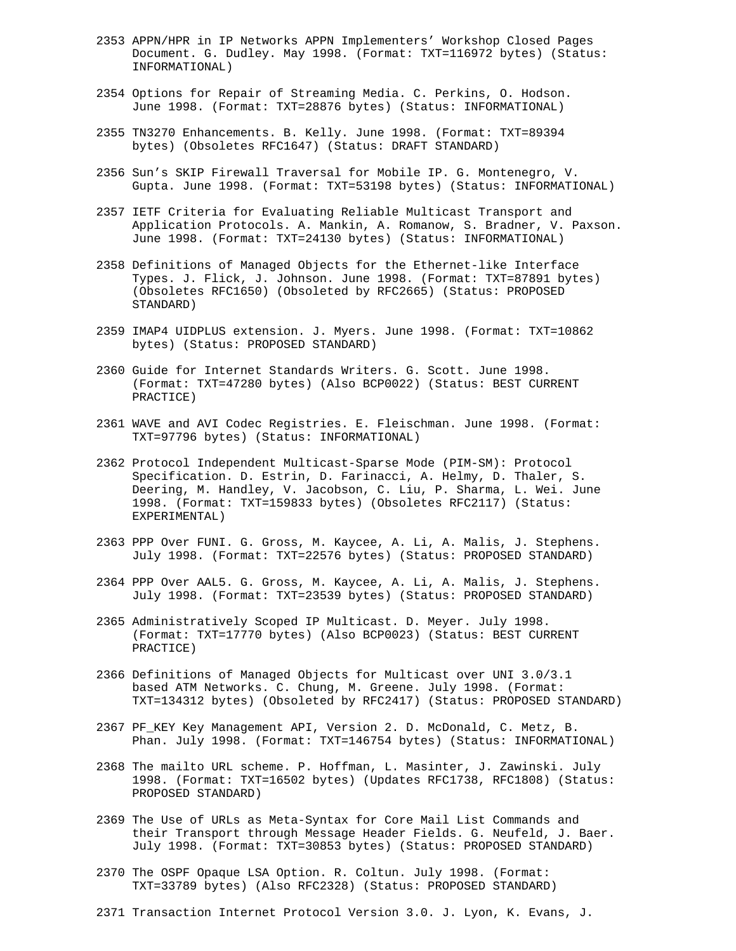- 2353 APPN/HPR in IP Networks APPN Implementers' Workshop Closed Pages Document. G. Dudley. May 1998. (Format: TXT=116972 bytes) (Status: INFORMATIONAL)
- 2354 Options for Repair of Streaming Media. C. Perkins, O. Hodson. June 1998. (Format: TXT=28876 bytes) (Status: INFORMATIONAL)
- 2355 TN3270 Enhancements. B. Kelly. June 1998. (Format: TXT=89394 bytes) (Obsoletes RFC1647) (Status: DRAFT STANDARD)
- 2356 Sun's SKIP Firewall Traversal for Mobile IP. G. Montenegro, V. Gupta. June 1998. (Format: TXT=53198 bytes) (Status: INFORMATIONAL)
- 2357 IETF Criteria for Evaluating Reliable Multicast Transport and Application Protocols. A. Mankin, A. Romanow, S. Bradner, V. Paxson. June 1998. (Format: TXT=24130 bytes) (Status: INFORMATIONAL)
- 2358 Definitions of Managed Objects for the Ethernet-like Interface Types. J. Flick, J. Johnson. June 1998. (Format: TXT=87891 bytes) (Obsoletes RFC1650) (Obsoleted by RFC2665) (Status: PROPOSED STANDARD)
- 2359 IMAP4 UIDPLUS extension. J. Myers. June 1998. (Format: TXT=10862 bytes) (Status: PROPOSED STANDARD)
- 2360 Guide for Internet Standards Writers. G. Scott. June 1998. (Format: TXT=47280 bytes) (Also BCP0022) (Status: BEST CURRENT PRACTICE)
- 2361 WAVE and AVI Codec Registries. E. Fleischman. June 1998. (Format: TXT=97796 bytes) (Status: INFORMATIONAL)
- 2362 Protocol Independent Multicast-Sparse Mode (PIM-SM): Protocol Specification. D. Estrin, D. Farinacci, A. Helmy, D. Thaler, S. Deering, M. Handley, V. Jacobson, C. Liu, P. Sharma, L. Wei. June 1998. (Format: TXT=159833 bytes) (Obsoletes RFC2117) (Status: EXPERIMENTAL)
- 2363 PPP Over FUNI. G. Gross, M. Kaycee, A. Li, A. Malis, J. Stephens. July 1998. (Format: TXT=22576 bytes) (Status: PROPOSED STANDARD)
- 2364 PPP Over AAL5. G. Gross, M. Kaycee, A. Li, A. Malis, J. Stephens. July 1998. (Format: TXT=23539 bytes) (Status: PROPOSED STANDARD)
- 2365 Administratively Scoped IP Multicast. D. Meyer. July 1998. (Format: TXT=17770 bytes) (Also BCP0023) (Status: BEST CURRENT PRACTICE)
- 2366 Definitions of Managed Objects for Multicast over UNI 3.0/3.1 based ATM Networks. C. Chung, M. Greene. July 1998. (Format: TXT=134312 bytes) (Obsoleted by RFC2417) (Status: PROPOSED STANDARD)
- 2367 PF\_KEY Key Management API, Version 2. D. McDonald, C. Metz, B. Phan. July 1998. (Format: TXT=146754 bytes) (Status: INFORMATIONAL)
- 2368 The mailto URL scheme. P. Hoffman, L. Masinter, J. Zawinski. July 1998. (Format: TXT=16502 bytes) (Updates RFC1738, RFC1808) (Status: PROPOSED STANDARD)
- 2369 The Use of URLs as Meta-Syntax for Core Mail List Commands and their Transport through Message Header Fields. G. Neufeld, J. Baer. July 1998. (Format: TXT=30853 bytes) (Status: PROPOSED STANDARD)
- 2370 The OSPF Opaque LSA Option. R. Coltun. July 1998. (Format: TXT=33789 bytes) (Also RFC2328) (Status: PROPOSED STANDARD)
- 2371 Transaction Internet Protocol Version 3.0. J. Lyon, K. Evans, J.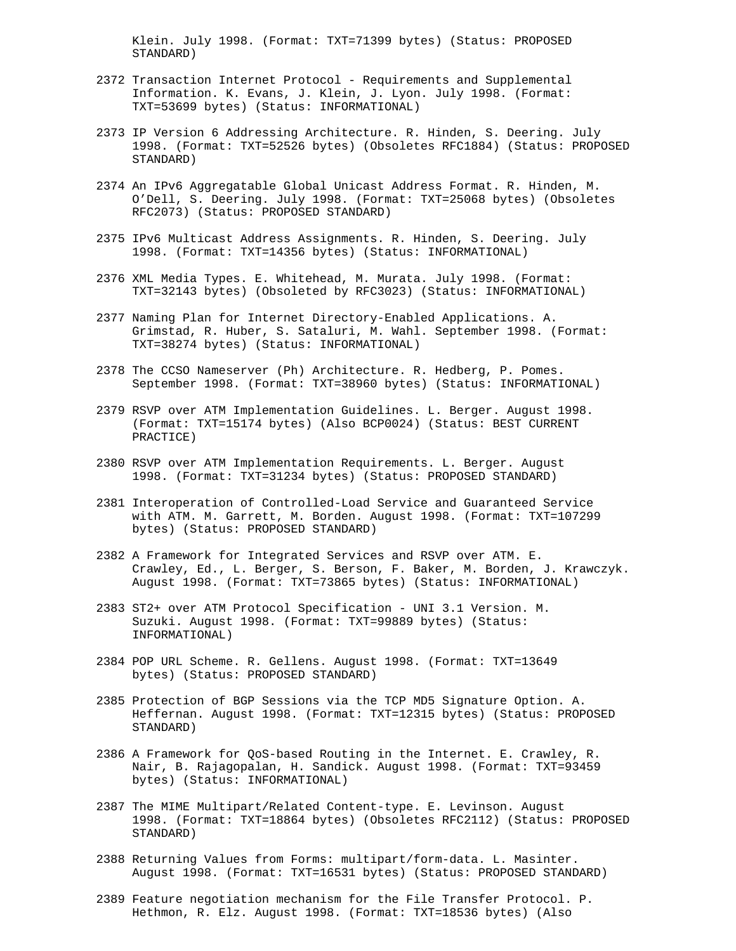Klein. July 1998. (Format: TXT=71399 bytes) (Status: PROPOSED STANDARD)

- 2372 Transaction Internet Protocol Requirements and Supplemental Information. K. Evans, J. Klein, J. Lyon. July 1998. (Format: TXT=53699 bytes) (Status: INFORMATIONAL)
- 2373 IP Version 6 Addressing Architecture. R. Hinden, S. Deering. July 1998. (Format: TXT=52526 bytes) (Obsoletes RFC1884) (Status: PROPOSED STANDARD)
- 2374 An IPv6 Aggregatable Global Unicast Address Format. R. Hinden, M. O'Dell, S. Deering. July 1998. (Format: TXT=25068 bytes) (Obsoletes RFC2073) (Status: PROPOSED STANDARD)
- 2375 IPv6 Multicast Address Assignments. R. Hinden, S. Deering. July 1998. (Format: TXT=14356 bytes) (Status: INFORMATIONAL)
- 2376 XML Media Types. E. Whitehead, M. Murata. July 1998. (Format: TXT=32143 bytes) (Obsoleted by RFC3023) (Status: INFORMATIONAL)
- 2377 Naming Plan for Internet Directory-Enabled Applications. A. Grimstad, R. Huber, S. Sataluri, M. Wahl. September 1998. (Format: TXT=38274 bytes) (Status: INFORMATIONAL)
- 2378 The CCSO Nameserver (Ph) Architecture. R. Hedberg, P. Pomes. September 1998. (Format: TXT=38960 bytes) (Status: INFORMATIONAL)
- 2379 RSVP over ATM Implementation Guidelines. L. Berger. August 1998. (Format: TXT=15174 bytes) (Also BCP0024) (Status: BEST CURRENT PRACTICE)
- 2380 RSVP over ATM Implementation Requirements. L. Berger. August 1998. (Format: TXT=31234 bytes) (Status: PROPOSED STANDARD)
- 2381 Interoperation of Controlled-Load Service and Guaranteed Service with ATM. M. Garrett, M. Borden. August 1998. (Format: TXT=107299 bytes) (Status: PROPOSED STANDARD)
- 2382 A Framework for Integrated Services and RSVP over ATM. E. Crawley, Ed., L. Berger, S. Berson, F. Baker, M. Borden, J. Krawczyk. August 1998. (Format: TXT=73865 bytes) (Status: INFORMATIONAL)
- 2383 ST2+ over ATM Protocol Specification UNI 3.1 Version. M. Suzuki. August 1998. (Format: TXT=99889 bytes) (Status: INFORMATIONAL)
- 2384 POP URL Scheme. R. Gellens. August 1998. (Format: TXT=13649 bytes) (Status: PROPOSED STANDARD)
- 2385 Protection of BGP Sessions via the TCP MD5 Signature Option. A. Heffernan. August 1998. (Format: TXT=12315 bytes) (Status: PROPOSED STANDARD)
- 2386 A Framework for QoS-based Routing in the Internet. E. Crawley, R. Nair, B. Rajagopalan, H. Sandick. August 1998. (Format: TXT=93459 bytes) (Status: INFORMATIONAL)
- 2387 The MIME Multipart/Related Content-type. E. Levinson. August 1998. (Format: TXT=18864 bytes) (Obsoletes RFC2112) (Status: PROPOSED STANDARD)
- 2388 Returning Values from Forms: multipart/form-data. L. Masinter. August 1998. (Format: TXT=16531 bytes) (Status: PROPOSED STANDARD)
- 2389 Feature negotiation mechanism for the File Transfer Protocol. P. Hethmon, R. Elz. August 1998. (Format: TXT=18536 bytes) (Also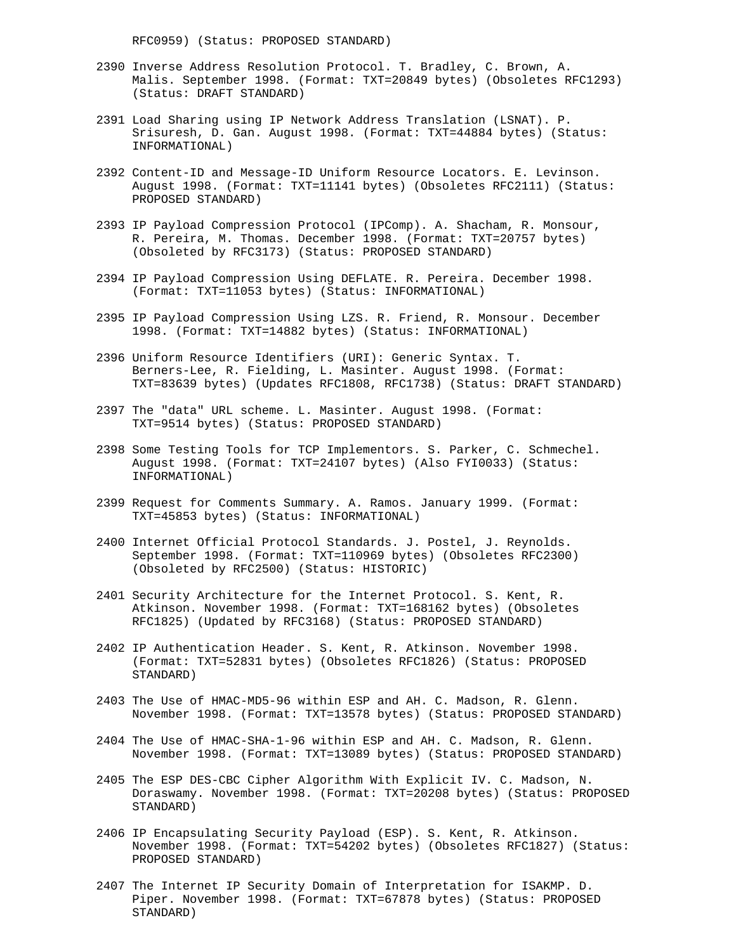RFC0959) (Status: PROPOSED STANDARD)

- 2390 Inverse Address Resolution Protocol. T. Bradley, C. Brown, A. Malis. September 1998. (Format: TXT=20849 bytes) (Obsoletes RFC1293) (Status: DRAFT STANDARD)
- 2391 Load Sharing using IP Network Address Translation (LSNAT). P. Srisuresh, D. Gan. August 1998. (Format: TXT=44884 bytes) (Status: INFORMATIONAL)
- 2392 Content-ID and Message-ID Uniform Resource Locators. E. Levinson. August 1998. (Format: TXT=11141 bytes) (Obsoletes RFC2111) (Status: PROPOSED STANDARD)
- 2393 IP Payload Compression Protocol (IPComp). A. Shacham, R. Monsour, R. Pereira, M. Thomas. December 1998. (Format: TXT=20757 bytes) (Obsoleted by RFC3173) (Status: PROPOSED STANDARD)
- 2394 IP Payload Compression Using DEFLATE. R. Pereira. December 1998. (Format: TXT=11053 bytes) (Status: INFORMATIONAL)
- 2395 IP Payload Compression Using LZS. R. Friend, R. Monsour. December 1998. (Format: TXT=14882 bytes) (Status: INFORMATIONAL)
- 2396 Uniform Resource Identifiers (URI): Generic Syntax. T. Berners-Lee, R. Fielding, L. Masinter. August 1998. (Format: TXT=83639 bytes) (Updates RFC1808, RFC1738) (Status: DRAFT STANDARD)
- 2397 The "data" URL scheme. L. Masinter. August 1998. (Format: TXT=9514 bytes) (Status: PROPOSED STANDARD)
- 2398 Some Testing Tools for TCP Implementors. S. Parker, C. Schmechel. August 1998. (Format: TXT=24107 bytes) (Also FYI0033) (Status: INFORMATIONAL)
- 2399 Request for Comments Summary. A. Ramos. January 1999. (Format: TXT=45853 bytes) (Status: INFORMATIONAL)
- 2400 Internet Official Protocol Standards. J. Postel, J. Reynolds. September 1998. (Format: TXT=110969 bytes) (Obsoletes RFC2300) (Obsoleted by RFC2500) (Status: HISTORIC)
- 2401 Security Architecture for the Internet Protocol. S. Kent, R. Atkinson. November 1998. (Format: TXT=168162 bytes) (Obsoletes RFC1825) (Updated by RFC3168) (Status: PROPOSED STANDARD)
- 2402 IP Authentication Header. S. Kent, R. Atkinson. November 1998. (Format: TXT=52831 bytes) (Obsoletes RFC1826) (Status: PROPOSED STANDARD)
- 2403 The Use of HMAC-MD5-96 within ESP and AH. C. Madson, R. Glenn. November 1998. (Format: TXT=13578 bytes) (Status: PROPOSED STANDARD)
- 2404 The Use of HMAC-SHA-1-96 within ESP and AH. C. Madson, R. Glenn. November 1998. (Format: TXT=13089 bytes) (Status: PROPOSED STANDARD)
- 2405 The ESP DES-CBC Cipher Algorithm With Explicit IV. C. Madson, N. Doraswamy. November 1998. (Format: TXT=20208 bytes) (Status: PROPOSED STANDARD)
- 2406 IP Encapsulating Security Payload (ESP). S. Kent, R. Atkinson. November 1998. (Format: TXT=54202 bytes) (Obsoletes RFC1827) (Status: PROPOSED STANDARD)
- 2407 The Internet IP Security Domain of Interpretation for ISAKMP. D. Piper. November 1998. (Format: TXT=67878 bytes) (Status: PROPOSED STANDARD)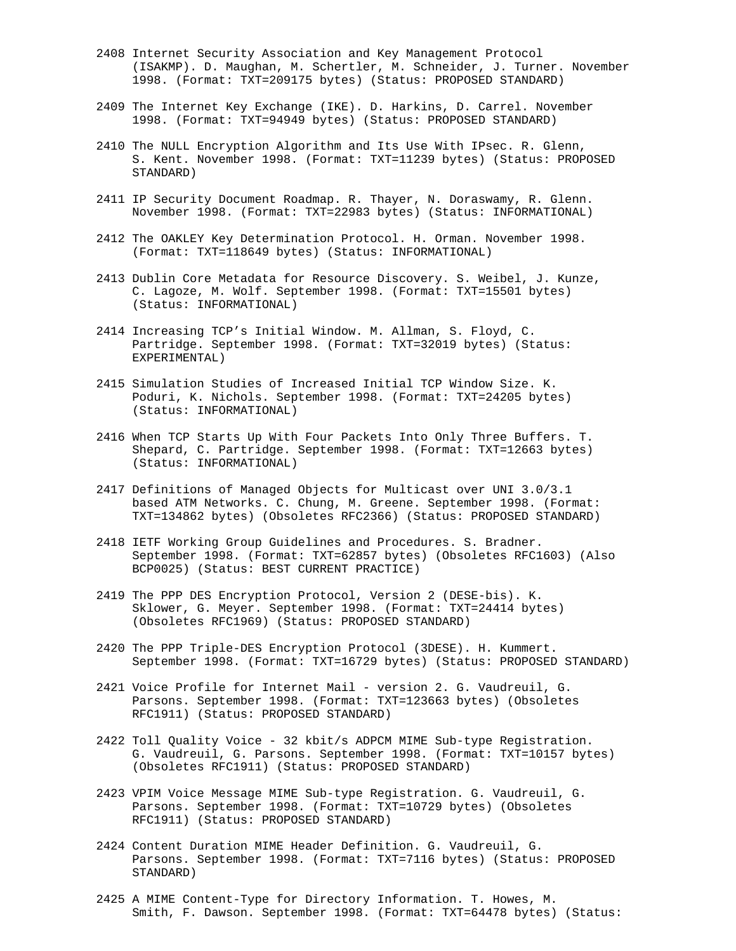- 2408 Internet Security Association and Key Management Protocol (ISAKMP). D. Maughan, M. Schertler, M. Schneider, J. Turner. November 1998. (Format: TXT=209175 bytes) (Status: PROPOSED STANDARD)
- 2409 The Internet Key Exchange (IKE). D. Harkins, D. Carrel. November 1998. (Format: TXT=94949 bytes) (Status: PROPOSED STANDARD)
- 2410 The NULL Encryption Algorithm and Its Use With IPsec. R. Glenn, S. Kent. November 1998. (Format: TXT=11239 bytes) (Status: PROPOSED STANDARD)
- 2411 IP Security Document Roadmap. R. Thayer, N. Doraswamy, R. Glenn. November 1998. (Format: TXT=22983 bytes) (Status: INFORMATIONAL)
- 2412 The OAKLEY Key Determination Protocol. H. Orman. November 1998. (Format: TXT=118649 bytes) (Status: INFORMATIONAL)
- 2413 Dublin Core Metadata for Resource Discovery. S. Weibel, J. Kunze, C. Lagoze, M. Wolf. September 1998. (Format: TXT=15501 bytes) (Status: INFORMATIONAL)
- 2414 Increasing TCP's Initial Window. M. Allman, S. Floyd, C. Partridge. September 1998. (Format: TXT=32019 bytes) (Status: EXPERIMENTAL)
- 2415 Simulation Studies of Increased Initial TCP Window Size. K. Poduri, K. Nichols. September 1998. (Format: TXT=24205 bytes) (Status: INFORMATIONAL)
- 2416 When TCP Starts Up With Four Packets Into Only Three Buffers. T. Shepard, C. Partridge. September 1998. (Format: TXT=12663 bytes) (Status: INFORMATIONAL)
- 2417 Definitions of Managed Objects for Multicast over UNI 3.0/3.1 based ATM Networks. C. Chung, M. Greene. September 1998. (Format: TXT=134862 bytes) (Obsoletes RFC2366) (Status: PROPOSED STANDARD)
- 2418 IETF Working Group Guidelines and Procedures. S. Bradner. September 1998. (Format: TXT=62857 bytes) (Obsoletes RFC1603) (Also BCP0025) (Status: BEST CURRENT PRACTICE)
- 2419 The PPP DES Encryption Protocol, Version 2 (DESE-bis). K. Sklower, G. Meyer. September 1998. (Format: TXT=24414 bytes) (Obsoletes RFC1969) (Status: PROPOSED STANDARD)
- 2420 The PPP Triple-DES Encryption Protocol (3DESE). H. Kummert. September 1998. (Format: TXT=16729 bytes) (Status: PROPOSED STANDARD)
- 2421 Voice Profile for Internet Mail version 2. G. Vaudreuil, G. Parsons. September 1998. (Format: TXT=123663 bytes) (Obsoletes RFC1911) (Status: PROPOSED STANDARD)
- 2422 Toll Quality Voice 32 kbit/s ADPCM MIME Sub-type Registration. G. Vaudreuil, G. Parsons. September 1998. (Format: TXT=10157 bytes) (Obsoletes RFC1911) (Status: PROPOSED STANDARD)
- 2423 VPIM Voice Message MIME Sub-type Registration. G. Vaudreuil, G. Parsons. September 1998. (Format: TXT=10729 bytes) (Obsoletes RFC1911) (Status: PROPOSED STANDARD)
- 2424 Content Duration MIME Header Definition. G. Vaudreuil, G. Parsons. September 1998. (Format: TXT=7116 bytes) (Status: PROPOSED STANDARD)
- 2425 A MIME Content-Type for Directory Information. T. Howes, M. Smith, F. Dawson. September 1998. (Format: TXT=64478 bytes) (Status: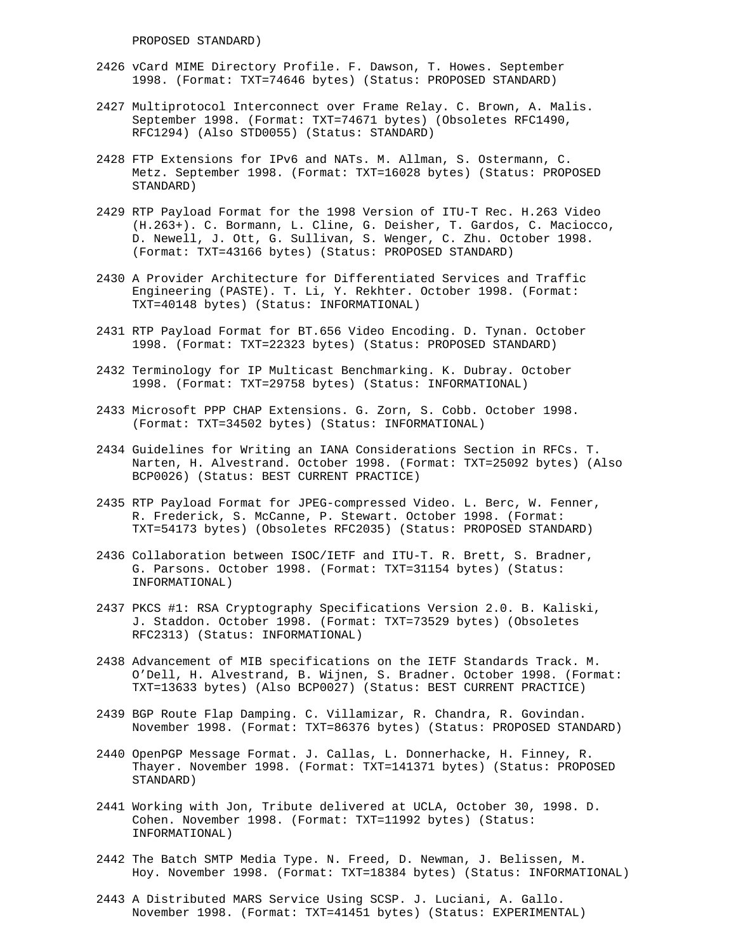- 2426 vCard MIME Directory Profile. F. Dawson, T. Howes. September 1998. (Format: TXT=74646 bytes) (Status: PROPOSED STANDARD)
- 2427 Multiprotocol Interconnect over Frame Relay. C. Brown, A. Malis. September 1998. (Format: TXT=74671 bytes) (Obsoletes RFC1490, RFC1294) (Also STD0055) (Status: STANDARD)
- 2428 FTP Extensions for IPv6 and NATs. M. Allman, S. Ostermann, C. Metz. September 1998. (Format: TXT=16028 bytes) (Status: PROPOSED STANDARD)
- 2429 RTP Payload Format for the 1998 Version of ITU-T Rec. H.263 Video (H.263+). C. Bormann, L. Cline, G. Deisher, T. Gardos, C. Maciocco, D. Newell, J. Ott, G. Sullivan, S. Wenger, C. Zhu. October 1998. (Format: TXT=43166 bytes) (Status: PROPOSED STANDARD)
- 2430 A Provider Architecture for Differentiated Services and Traffic Engineering (PASTE). T. Li, Y. Rekhter. October 1998. (Format: TXT=40148 bytes) (Status: INFORMATIONAL)
- 2431 RTP Payload Format for BT.656 Video Encoding. D. Tynan. October 1998. (Format: TXT=22323 bytes) (Status: PROPOSED STANDARD)
- 2432 Terminology for IP Multicast Benchmarking. K. Dubray. October 1998. (Format: TXT=29758 bytes) (Status: INFORMATIONAL)
- 2433 Microsoft PPP CHAP Extensions. G. Zorn, S. Cobb. October 1998. (Format: TXT=34502 bytes) (Status: INFORMATIONAL)
- 2434 Guidelines for Writing an IANA Considerations Section in RFCs. T. Narten, H. Alvestrand. October 1998. (Format: TXT=25092 bytes) (Also BCP0026) (Status: BEST CURRENT PRACTICE)
- 2435 RTP Payload Format for JPEG-compressed Video. L. Berc, W. Fenner, R. Frederick, S. McCanne, P. Stewart. October 1998. (Format: TXT=54173 bytes) (Obsoletes RFC2035) (Status: PROPOSED STANDARD)
- 2436 Collaboration between ISOC/IETF and ITU-T. R. Brett, S. Bradner, G. Parsons. October 1998. (Format: TXT=31154 bytes) (Status: INFORMATIONAL)
- 2437 PKCS #1: RSA Cryptography Specifications Version 2.0. B. Kaliski, J. Staddon. October 1998. (Format: TXT=73529 bytes) (Obsoletes RFC2313) (Status: INFORMATIONAL)
- 2438 Advancement of MIB specifications on the IETF Standards Track. M. O'Dell, H. Alvestrand, B. Wijnen, S. Bradner. October 1998. (Format: TXT=13633 bytes) (Also BCP0027) (Status: BEST CURRENT PRACTICE)
- 2439 BGP Route Flap Damping. C. Villamizar, R. Chandra, R. Govindan. November 1998. (Format: TXT=86376 bytes) (Status: PROPOSED STANDARD)
- 2440 OpenPGP Message Format. J. Callas, L. Donnerhacke, H. Finney, R. Thayer. November 1998. (Format: TXT=141371 bytes) (Status: PROPOSED STANDARD)
- 2441 Working with Jon, Tribute delivered at UCLA, October 30, 1998. D. Cohen. November 1998. (Format: TXT=11992 bytes) (Status: INFORMATIONAL)
- 2442 The Batch SMTP Media Type. N. Freed, D. Newman, J. Belissen, M. Hoy. November 1998. (Format: TXT=18384 bytes) (Status: INFORMATIONAL)
- 2443 A Distributed MARS Service Using SCSP. J. Luciani, A. Gallo. November 1998. (Format: TXT=41451 bytes) (Status: EXPERIMENTAL)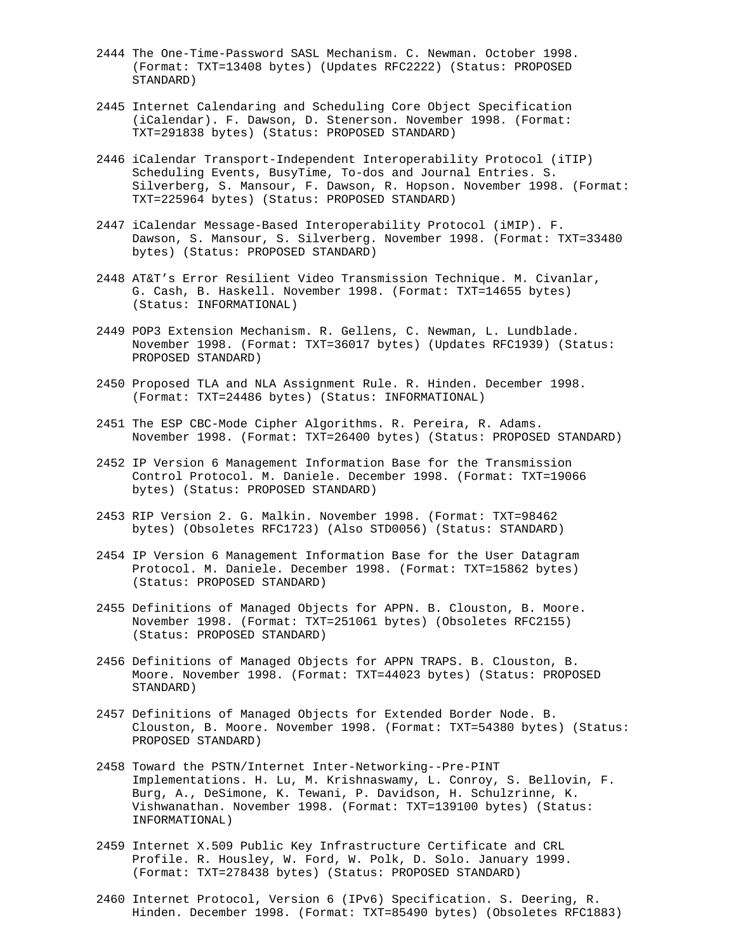- 2444 The One-Time-Password SASL Mechanism. C. Newman. October 1998. (Format: TXT=13408 bytes) (Updates RFC2222) (Status: PROPOSED STANDARD)
- 2445 Internet Calendaring and Scheduling Core Object Specification (iCalendar). F. Dawson, D. Stenerson. November 1998. (Format: TXT=291838 bytes) (Status: PROPOSED STANDARD)
- 2446 iCalendar Transport-Independent Interoperability Protocol (iTIP) Scheduling Events, BusyTime, To-dos and Journal Entries. S. Silverberg, S. Mansour, F. Dawson, R. Hopson. November 1998. (Format: TXT=225964 bytes) (Status: PROPOSED STANDARD)
- 2447 iCalendar Message-Based Interoperability Protocol (iMIP). F. Dawson, S. Mansour, S. Silverberg. November 1998. (Format: TXT=33480 bytes) (Status: PROPOSED STANDARD)
- 2448 AT&T's Error Resilient Video Transmission Technique. M. Civanlar, G. Cash, B. Haskell. November 1998. (Format: TXT=14655 bytes) (Status: INFORMATIONAL)
- 2449 POP3 Extension Mechanism. R. Gellens, C. Newman, L. Lundblade. November 1998. (Format: TXT=36017 bytes) (Updates RFC1939) (Status: PROPOSED STANDARD)
- 2450 Proposed TLA and NLA Assignment Rule. R. Hinden. December 1998. (Format: TXT=24486 bytes) (Status: INFORMATIONAL)
- 2451 The ESP CBC-Mode Cipher Algorithms. R. Pereira, R. Adams. November 1998. (Format: TXT=26400 bytes) (Status: PROPOSED STANDARD)
- 2452 IP Version 6 Management Information Base for the Transmission Control Protocol. M. Daniele. December 1998. (Format: TXT=19066 bytes) (Status: PROPOSED STANDARD)
- 2453 RIP Version 2. G. Malkin. November 1998. (Format: TXT=98462 bytes) (Obsoletes RFC1723) (Also STD0056) (Status: STANDARD)
- 2454 IP Version 6 Management Information Base for the User Datagram Protocol. M. Daniele. December 1998. (Format: TXT=15862 bytes) (Status: PROPOSED STANDARD)
- 2455 Definitions of Managed Objects for APPN. B. Clouston, B. Moore. November 1998. (Format: TXT=251061 bytes) (Obsoletes RFC2155) (Status: PROPOSED STANDARD)
- 2456 Definitions of Managed Objects for APPN TRAPS. B. Clouston, B. Moore. November 1998. (Format: TXT=44023 bytes) (Status: PROPOSED STANDARD)
- 2457 Definitions of Managed Objects for Extended Border Node. B. Clouston, B. Moore. November 1998. (Format: TXT=54380 bytes) (Status: PROPOSED STANDARD)
- 2458 Toward the PSTN/Internet Inter-Networking--Pre-PINT Implementations. H. Lu, M. Krishnaswamy, L. Conroy, S. Bellovin, F. Burg, A., DeSimone, K. Tewani, P. Davidson, H. Schulzrinne, K. Vishwanathan. November 1998. (Format: TXT=139100 bytes) (Status: INFORMATIONAL)
- 2459 Internet X.509 Public Key Infrastructure Certificate and CRL Profile. R. Housley, W. Ford, W. Polk, D. Solo. January 1999. (Format: TXT=278438 bytes) (Status: PROPOSED STANDARD)
- 2460 Internet Protocol, Version 6 (IPv6) Specification. S. Deering, R. Hinden. December 1998. (Format: TXT=85490 bytes) (Obsoletes RFC1883)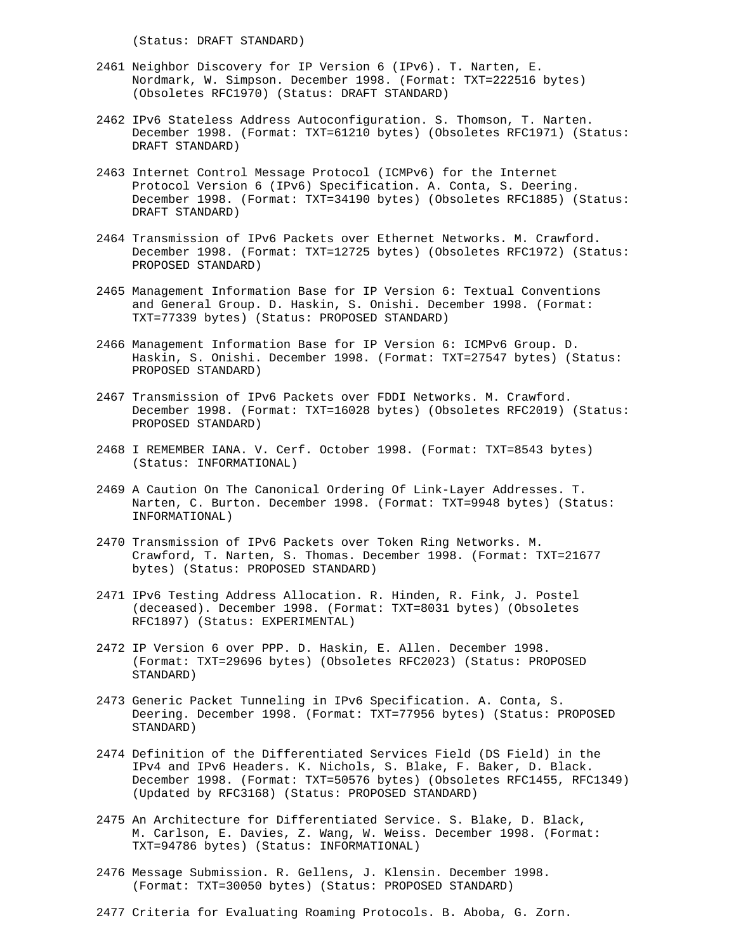(Status: DRAFT STANDARD)

- 2461 Neighbor Discovery for IP Version 6 (IPv6). T. Narten, E. Nordmark, W. Simpson. December 1998. (Format: TXT=222516 bytes) (Obsoletes RFC1970) (Status: DRAFT STANDARD)
- 2462 IPv6 Stateless Address Autoconfiguration. S. Thomson, T. Narten. December 1998. (Format: TXT=61210 bytes) (Obsoletes RFC1971) (Status: DRAFT STANDARD)
- 2463 Internet Control Message Protocol (ICMPv6) for the Internet Protocol Version 6 (IPv6) Specification. A. Conta, S. Deering. December 1998. (Format: TXT=34190 bytes) (Obsoletes RFC1885) (Status: DRAFT STANDARD)
- 2464 Transmission of IPv6 Packets over Ethernet Networks. M. Crawford. December 1998. (Format: TXT=12725 bytes) (Obsoletes RFC1972) (Status: PROPOSED STANDARD)
- 2465 Management Information Base for IP Version 6: Textual Conventions and General Group. D. Haskin, S. Onishi. December 1998. (Format: TXT=77339 bytes) (Status: PROPOSED STANDARD)
- 2466 Management Information Base for IP Version 6: ICMPv6 Group. D. Haskin, S. Onishi. December 1998. (Format: TXT=27547 bytes) (Status: PROPOSED STANDARD)
- 2467 Transmission of IPv6 Packets over FDDI Networks. M. Crawford. December 1998. (Format: TXT=16028 bytes) (Obsoletes RFC2019) (Status: PROPOSED STANDARD)
- 2468 I REMEMBER IANA. V. Cerf. October 1998. (Format: TXT=8543 bytes) (Status: INFORMATIONAL)
- 2469 A Caution On The Canonical Ordering Of Link-Layer Addresses. T. Narten, C. Burton. December 1998. (Format: TXT=9948 bytes) (Status: INFORMATIONAL)
- 2470 Transmission of IPv6 Packets over Token Ring Networks. M. Crawford, T. Narten, S. Thomas. December 1998. (Format: TXT=21677 bytes) (Status: PROPOSED STANDARD)
- 2471 IPv6 Testing Address Allocation. R. Hinden, R. Fink, J. Postel (deceased). December 1998. (Format: TXT=8031 bytes) (Obsoletes RFC1897) (Status: EXPERIMENTAL)
- 2472 IP Version 6 over PPP. D. Haskin, E. Allen. December 1998. (Format: TXT=29696 bytes) (Obsoletes RFC2023) (Status: PROPOSED STANDARD)
- 2473 Generic Packet Tunneling in IPv6 Specification. A. Conta, S. Deering. December 1998. (Format: TXT=77956 bytes) (Status: PROPOSED STANDARD)
- 2474 Definition of the Differentiated Services Field (DS Field) in the IPv4 and IPv6 Headers. K. Nichols, S. Blake, F. Baker, D. Black. December 1998. (Format: TXT=50576 bytes) (Obsoletes RFC1455, RFC1349) (Updated by RFC3168) (Status: PROPOSED STANDARD)
- 2475 An Architecture for Differentiated Service. S. Blake, D. Black, M. Carlson, E. Davies, Z. Wang, W. Weiss. December 1998. (Format: TXT=94786 bytes) (Status: INFORMATIONAL)
- 2476 Message Submission. R. Gellens, J. Klensin. December 1998. (Format: TXT=30050 bytes) (Status: PROPOSED STANDARD)
- 2477 Criteria for Evaluating Roaming Protocols. B. Aboba, G. Zorn.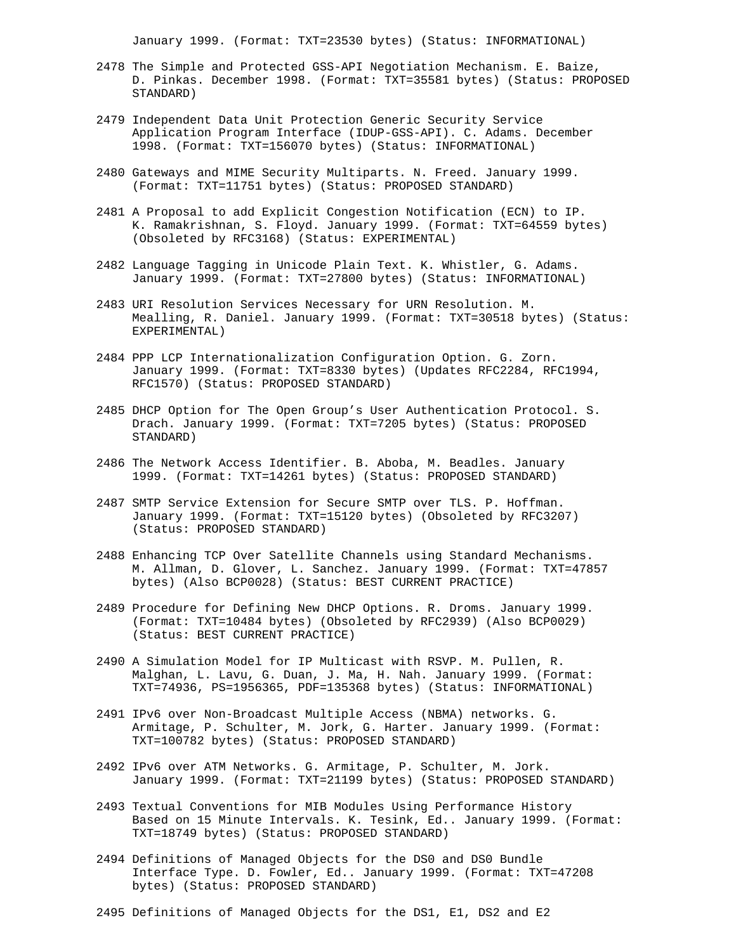January 1999. (Format: TXT=23530 bytes) (Status: INFORMATIONAL)

- 2478 The Simple and Protected GSS-API Negotiation Mechanism. E. Baize, D. Pinkas. December 1998. (Format: TXT=35581 bytes) (Status: PROPOSED STANDARD)
- 2479 Independent Data Unit Protection Generic Security Service Application Program Interface (IDUP-GSS-API). C. Adams. December 1998. (Format: TXT=156070 bytes) (Status: INFORMATIONAL)
- 2480 Gateways and MIME Security Multiparts. N. Freed. January 1999. (Format: TXT=11751 bytes) (Status: PROPOSED STANDARD)
- 2481 A Proposal to add Explicit Congestion Notification (ECN) to IP. K. Ramakrishnan, S. Floyd. January 1999. (Format: TXT=64559 bytes) (Obsoleted by RFC3168) (Status: EXPERIMENTAL)
- 2482 Language Tagging in Unicode Plain Text. K. Whistler, G. Adams. January 1999. (Format: TXT=27800 bytes) (Status: INFORMATIONAL)
- 2483 URI Resolution Services Necessary for URN Resolution. M. Mealling, R. Daniel. January 1999. (Format: TXT=30518 bytes) (Status: EXPERIMENTAL)
- 2484 PPP LCP Internationalization Configuration Option. G. Zorn. January 1999. (Format: TXT=8330 bytes) (Updates RFC2284, RFC1994, RFC1570) (Status: PROPOSED STANDARD)
- 2485 DHCP Option for The Open Group's User Authentication Protocol. S. Drach. January 1999. (Format: TXT=7205 bytes) (Status: PROPOSED STANDARD)
- 2486 The Network Access Identifier. B. Aboba, M. Beadles. January 1999. (Format: TXT=14261 bytes) (Status: PROPOSED STANDARD)
- 2487 SMTP Service Extension for Secure SMTP over TLS. P. Hoffman. January 1999. (Format: TXT=15120 bytes) (Obsoleted by RFC3207) (Status: PROPOSED STANDARD)
- 2488 Enhancing TCP Over Satellite Channels using Standard Mechanisms. M. Allman, D. Glover, L. Sanchez. January 1999. (Format: TXT=47857 bytes) (Also BCP0028) (Status: BEST CURRENT PRACTICE)
- 2489 Procedure for Defining New DHCP Options. R. Droms. January 1999. (Format: TXT=10484 bytes) (Obsoleted by RFC2939) (Also BCP0029) (Status: BEST CURRENT PRACTICE)
- 2490 A Simulation Model for IP Multicast with RSVP. M. Pullen, R. Malghan, L. Lavu, G. Duan, J. Ma, H. Nah. January 1999. (Format: TXT=74936, PS=1956365, PDF=135368 bytes) (Status: INFORMATIONAL)
- 2491 IPv6 over Non-Broadcast Multiple Access (NBMA) networks. G. Armitage, P. Schulter, M. Jork, G. Harter. January 1999. (Format: TXT=100782 bytes) (Status: PROPOSED STANDARD)
- 2492 IPv6 over ATM Networks. G. Armitage, P. Schulter, M. Jork. January 1999. (Format: TXT=21199 bytes) (Status: PROPOSED STANDARD)
- 2493 Textual Conventions for MIB Modules Using Performance History Based on 15 Minute Intervals. K. Tesink, Ed.. January 1999. (Format: TXT=18749 bytes) (Status: PROPOSED STANDARD)
- 2494 Definitions of Managed Objects for the DS0 and DS0 Bundle Interface Type. D. Fowler, Ed.. January 1999. (Format: TXT=47208 bytes) (Status: PROPOSED STANDARD)
- 2495 Definitions of Managed Objects for the DS1, E1, DS2 and E2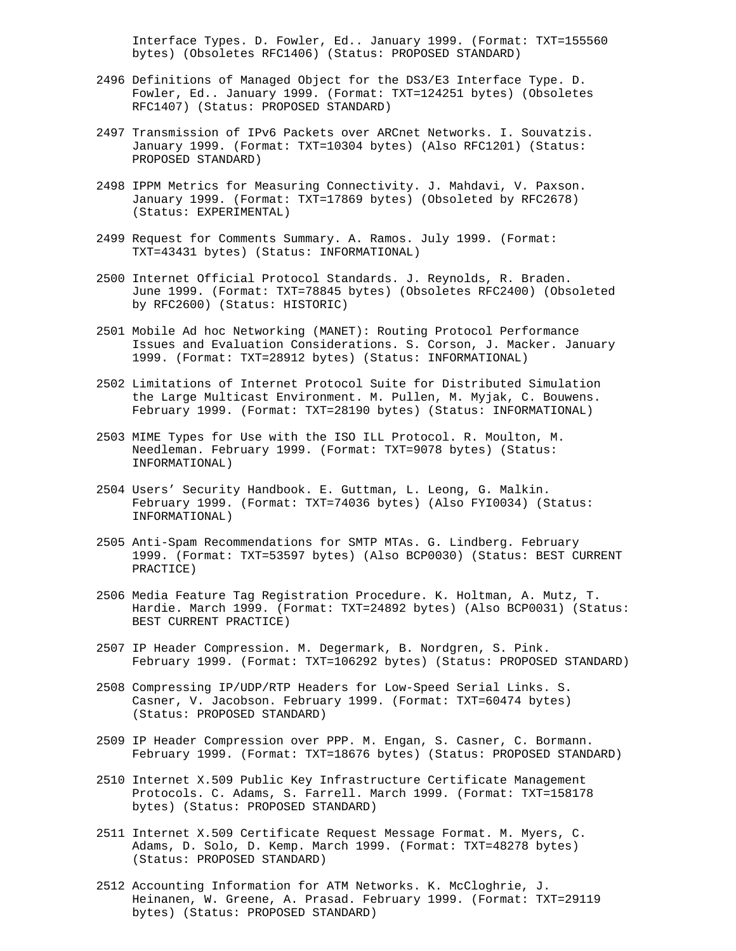Interface Types. D. Fowler, Ed.. January 1999. (Format: TXT=155560 bytes) (Obsoletes RFC1406) (Status: PROPOSED STANDARD)

- 2496 Definitions of Managed Object for the DS3/E3 Interface Type. D. Fowler, Ed.. January 1999. (Format: TXT=124251 bytes) (Obsoletes RFC1407) (Status: PROPOSED STANDARD)
- 2497 Transmission of IPv6 Packets over ARCnet Networks. I. Souvatzis. January 1999. (Format: TXT=10304 bytes) (Also RFC1201) (Status: PROPOSED STANDARD)
- 2498 IPPM Metrics for Measuring Connectivity. J. Mahdavi, V. Paxson. January 1999. (Format: TXT=17869 bytes) (Obsoleted by RFC2678) (Status: EXPERIMENTAL)
- 2499 Request for Comments Summary. A. Ramos. July 1999. (Format: TXT=43431 bytes) (Status: INFORMATIONAL)
- 2500 Internet Official Protocol Standards. J. Reynolds, R. Braden. June 1999. (Format: TXT=78845 bytes) (Obsoletes RFC2400) (Obsoleted by RFC2600) (Status: HISTORIC)
- 2501 Mobile Ad hoc Networking (MANET): Routing Protocol Performance Issues and Evaluation Considerations. S. Corson, J. Macker. January 1999. (Format: TXT=28912 bytes) (Status: INFORMATIONAL)
- 2502 Limitations of Internet Protocol Suite for Distributed Simulation the Large Multicast Environment. M. Pullen, M. Myjak, C. Bouwens. February 1999. (Format: TXT=28190 bytes) (Status: INFORMATIONAL)
- 2503 MIME Types for Use with the ISO ILL Protocol. R. Moulton, M. Needleman. February 1999. (Format: TXT=9078 bytes) (Status: INFORMATIONAL)
- 2504 Users' Security Handbook. E. Guttman, L. Leong, G. Malkin. February 1999. (Format: TXT=74036 bytes) (Also FYI0034) (Status: INFORMATIONAL)
- 2505 Anti-Spam Recommendations for SMTP MTAs. G. Lindberg. February 1999. (Format: TXT=53597 bytes) (Also BCP0030) (Status: BEST CURRENT PRACTICE)
- 2506 Media Feature Tag Registration Procedure. K. Holtman, A. Mutz, T. Hardie. March 1999. (Format: TXT=24892 bytes) (Also BCP0031) (Status: BEST CURRENT PRACTICE)
- 2507 IP Header Compression. M. Degermark, B. Nordgren, S. Pink. February 1999. (Format: TXT=106292 bytes) (Status: PROPOSED STANDARD)
- 2508 Compressing IP/UDP/RTP Headers for Low-Speed Serial Links. S. Casner, V. Jacobson. February 1999. (Format: TXT=60474 bytes) (Status: PROPOSED STANDARD)
- 2509 IP Header Compression over PPP. M. Engan, S. Casner, C. Bormann. February 1999. (Format: TXT=18676 bytes) (Status: PROPOSED STANDARD)
- 2510 Internet X.509 Public Key Infrastructure Certificate Management Protocols. C. Adams, S. Farrell. March 1999. (Format: TXT=158178 bytes) (Status: PROPOSED STANDARD)
- 2511 Internet X.509 Certificate Request Message Format. M. Myers, C. Adams, D. Solo, D. Kemp. March 1999. (Format: TXT=48278 bytes) (Status: PROPOSED STANDARD)
- 2512 Accounting Information for ATM Networks. K. McCloghrie, J. Heinanen, W. Greene, A. Prasad. February 1999. (Format: TXT=29119 bytes) (Status: PROPOSED STANDARD)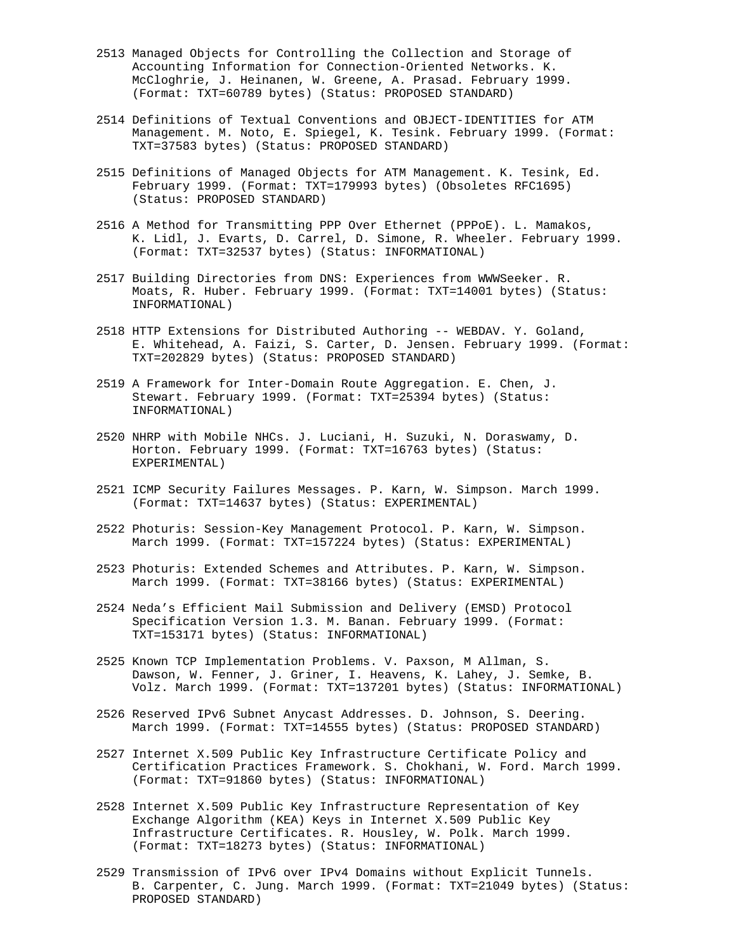- 2513 Managed Objects for Controlling the Collection and Storage of Accounting Information for Connection-Oriented Networks. K. McCloghrie, J. Heinanen, W. Greene, A. Prasad. February 1999. (Format: TXT=60789 bytes) (Status: PROPOSED STANDARD)
- 2514 Definitions of Textual Conventions and OBJECT-IDENTITIES for ATM Management. M. Noto, E. Spiegel, K. Tesink. February 1999. (Format: TXT=37583 bytes) (Status: PROPOSED STANDARD)
- 2515 Definitions of Managed Objects for ATM Management. K. Tesink, Ed. February 1999. (Format: TXT=179993 bytes) (Obsoletes RFC1695) (Status: PROPOSED STANDARD)
- 2516 A Method for Transmitting PPP Over Ethernet (PPPoE). L. Mamakos, K. Lidl, J. Evarts, D. Carrel, D. Simone, R. Wheeler. February 1999. (Format: TXT=32537 bytes) (Status: INFORMATIONAL)
- 2517 Building Directories from DNS: Experiences from WWWSeeker. R. Moats, R. Huber. February 1999. (Format: TXT=14001 bytes) (Status: INFORMATIONAL)
- 2518 HTTP Extensions for Distributed Authoring -- WEBDAV. Y. Goland, E. Whitehead, A. Faizi, S. Carter, D. Jensen. February 1999. (Format: TXT=202829 bytes) (Status: PROPOSED STANDARD)
- 2519 A Framework for Inter-Domain Route Aggregation. E. Chen, J. Stewart. February 1999. (Format: TXT=25394 bytes) (Status: INFORMATIONAL)
- 2520 NHRP with Mobile NHCs. J. Luciani, H. Suzuki, N. Doraswamy, D. Horton. February 1999. (Format: TXT=16763 bytes) (Status: EXPERIMENTAL)
- 2521 ICMP Security Failures Messages. P. Karn, W. Simpson. March 1999. (Format: TXT=14637 bytes) (Status: EXPERIMENTAL)
- 2522 Photuris: Session-Key Management Protocol. P. Karn, W. Simpson. March 1999. (Format: TXT=157224 bytes) (Status: EXPERIMENTAL)
- 2523 Photuris: Extended Schemes and Attributes. P. Karn, W. Simpson. March 1999. (Format: TXT=38166 bytes) (Status: EXPERIMENTAL)
- 2524 Neda's Efficient Mail Submission and Delivery (EMSD) Protocol Specification Version 1.3. M. Banan. February 1999. (Format: TXT=153171 bytes) (Status: INFORMATIONAL)
- 2525 Known TCP Implementation Problems. V. Paxson, M Allman, S. Dawson, W. Fenner, J. Griner, I. Heavens, K. Lahey, J. Semke, B. Volz. March 1999. (Format: TXT=137201 bytes) (Status: INFORMATIONAL)
- 2526 Reserved IPv6 Subnet Anycast Addresses. D. Johnson, S. Deering. March 1999. (Format: TXT=14555 bytes) (Status: PROPOSED STANDARD)
- 2527 Internet X.509 Public Key Infrastructure Certificate Policy and Certification Practices Framework. S. Chokhani, W. Ford. March 1999. (Format: TXT=91860 bytes) (Status: INFORMATIONAL)
- 2528 Internet X.509 Public Key Infrastructure Representation of Key Exchange Algorithm (KEA) Keys in Internet X.509 Public Key Infrastructure Certificates. R. Housley, W. Polk. March 1999. (Format: TXT=18273 bytes) (Status: INFORMATIONAL)
- 2529 Transmission of IPv6 over IPv4 Domains without Explicit Tunnels. B. Carpenter, C. Jung. March 1999. (Format: TXT=21049 bytes) (Status: PROPOSED STANDARD)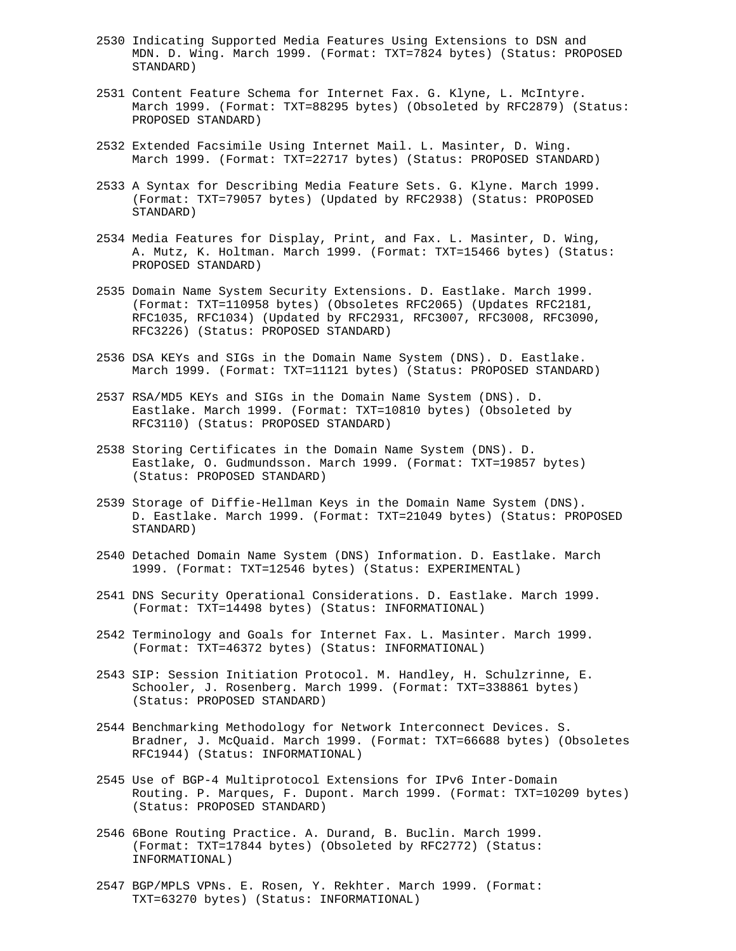- 2530 Indicating Supported Media Features Using Extensions to DSN and MDN. D. Wing. March 1999. (Format: TXT=7824 bytes) (Status: PROPOSED STANDARD)
- 2531 Content Feature Schema for Internet Fax. G. Klyne, L. McIntyre. March 1999. (Format: TXT=88295 bytes) (Obsoleted by RFC2879) (Status: PROPOSED STANDARD)
- 2532 Extended Facsimile Using Internet Mail. L. Masinter, D. Wing. March 1999. (Format: TXT=22717 bytes) (Status: PROPOSED STANDARD)
- 2533 A Syntax for Describing Media Feature Sets. G. Klyne. March 1999. (Format: TXT=79057 bytes) (Updated by RFC2938) (Status: PROPOSED STANDARD)
- 2534 Media Features for Display, Print, and Fax. L. Masinter, D. Wing, A. Mutz, K. Holtman. March 1999. (Format: TXT=15466 bytes) (Status: PROPOSED STANDARD)
- 2535 Domain Name System Security Extensions. D. Eastlake. March 1999. (Format: TXT=110958 bytes) (Obsoletes RFC2065) (Updates RFC2181, RFC1035, RFC1034) (Updated by RFC2931, RFC3007, RFC3008, RFC3090, RFC3226) (Status: PROPOSED STANDARD)
- 2536 DSA KEYs and SIGs in the Domain Name System (DNS). D. Eastlake. March 1999. (Format: TXT=11121 bytes) (Status: PROPOSED STANDARD)
- 2537 RSA/MD5 KEYs and SIGs in the Domain Name System (DNS). D. Eastlake. March 1999. (Format: TXT=10810 bytes) (Obsoleted by RFC3110) (Status: PROPOSED STANDARD)
- 2538 Storing Certificates in the Domain Name System (DNS). D. Eastlake, O. Gudmundsson. March 1999. (Format: TXT=19857 bytes) (Status: PROPOSED STANDARD)
- 2539 Storage of Diffie-Hellman Keys in the Domain Name System (DNS). D. Eastlake. March 1999. (Format: TXT=21049 bytes) (Status: PROPOSED STANDARD)
- 2540 Detached Domain Name System (DNS) Information. D. Eastlake. March 1999. (Format: TXT=12546 bytes) (Status: EXPERIMENTAL)
- 2541 DNS Security Operational Considerations. D. Eastlake. March 1999. (Format: TXT=14498 bytes) (Status: INFORMATIONAL)
- 2542 Terminology and Goals for Internet Fax. L. Masinter. March 1999. (Format: TXT=46372 bytes) (Status: INFORMATIONAL)
- 2543 SIP: Session Initiation Protocol. M. Handley, H. Schulzrinne, E. Schooler, J. Rosenberg. March 1999. (Format: TXT=338861 bytes) (Status: PROPOSED STANDARD)
- 2544 Benchmarking Methodology for Network Interconnect Devices. S. Bradner, J. McQuaid. March 1999. (Format: TXT=66688 bytes) (Obsoletes RFC1944) (Status: INFORMATIONAL)
- 2545 Use of BGP-4 Multiprotocol Extensions for IPv6 Inter-Domain Routing. P. Marques, F. Dupont. March 1999. (Format: TXT=10209 bytes) (Status: PROPOSED STANDARD)
- 2546 6Bone Routing Practice. A. Durand, B. Buclin. March 1999. (Format: TXT=17844 bytes) (Obsoleted by RFC2772) (Status: INFORMATIONAL)
- 2547 BGP/MPLS VPNs. E. Rosen, Y. Rekhter. March 1999. (Format: TXT=63270 bytes) (Status: INFORMATIONAL)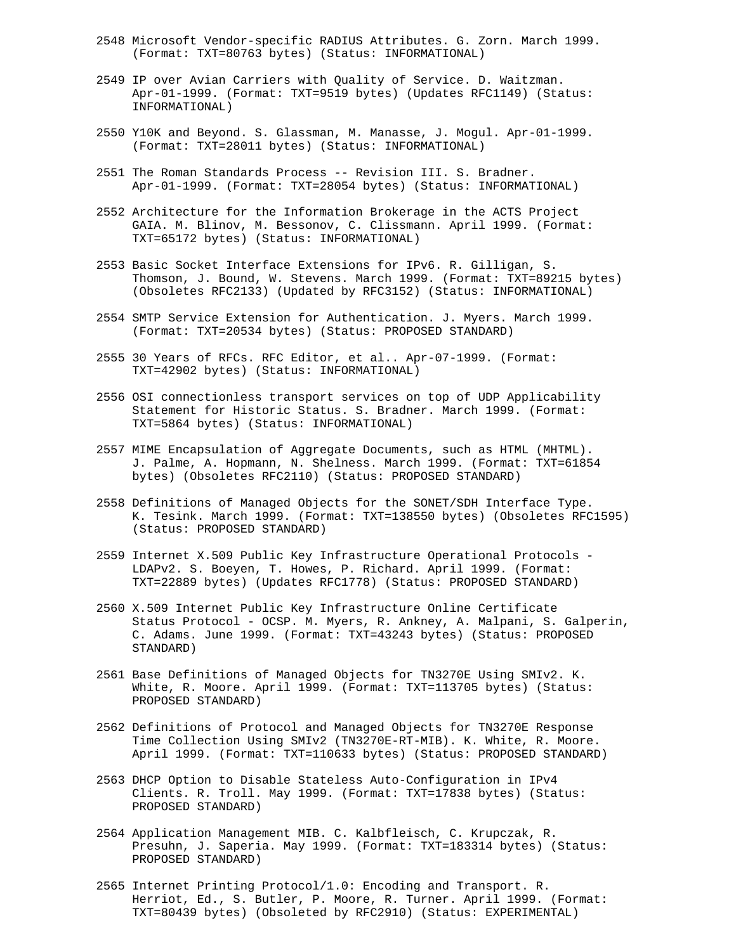- 2548 Microsoft Vendor-specific RADIUS Attributes. G. Zorn. March 1999. (Format: TXT=80763 bytes) (Status: INFORMATIONAL)
- 2549 IP over Avian Carriers with Quality of Service. D. Waitzman. Apr-01-1999. (Format: TXT=9519 bytes) (Updates RFC1149) (Status: INFORMATIONAL)
- 2550 Y10K and Beyond. S. Glassman, M. Manasse, J. Mogul. Apr-01-1999. (Format: TXT=28011 bytes) (Status: INFORMATIONAL)
- 2551 The Roman Standards Process -- Revision III. S. Bradner. Apr-01-1999. (Format: TXT=28054 bytes) (Status: INFORMATIONAL)
- 2552 Architecture for the Information Brokerage in the ACTS Project GAIA. M. Blinov, M. Bessonov, C. Clissmann. April 1999. (Format: TXT=65172 bytes) (Status: INFORMATIONAL)
- 2553 Basic Socket Interface Extensions for IPv6. R. Gilligan, S. Thomson, J. Bound, W. Stevens. March 1999. (Format: TXT=89215 bytes) (Obsoletes RFC2133) (Updated by RFC3152) (Status: INFORMATIONAL)
- 2554 SMTP Service Extension for Authentication. J. Myers. March 1999. (Format: TXT=20534 bytes) (Status: PROPOSED STANDARD)
- 2555 30 Years of RFCs. RFC Editor, et al.. Apr-07-1999. (Format: TXT=42902 bytes) (Status: INFORMATIONAL)
- 2556 OSI connectionless transport services on top of UDP Applicability Statement for Historic Status. S. Bradner. March 1999. (Format: TXT=5864 bytes) (Status: INFORMATIONAL)
- 2557 MIME Encapsulation of Aggregate Documents, such as HTML (MHTML). J. Palme, A. Hopmann, N. Shelness. March 1999. (Format: TXT=61854 bytes) (Obsoletes RFC2110) (Status: PROPOSED STANDARD)
- 2558 Definitions of Managed Objects for the SONET/SDH Interface Type. K. Tesink. March 1999. (Format: TXT=138550 bytes) (Obsoletes RFC1595) (Status: PROPOSED STANDARD)
- 2559 Internet X.509 Public Key Infrastructure Operational Protocols LDAPv2. S. Boeyen, T. Howes, P. Richard. April 1999. (Format: TXT=22889 bytes) (Updates RFC1778) (Status: PROPOSED STANDARD)
- 2560 X.509 Internet Public Key Infrastructure Online Certificate Status Protocol - OCSP. M. Myers, R. Ankney, A. Malpani, S. Galperin, C. Adams. June 1999. (Format: TXT=43243 bytes) (Status: PROPOSED STANDARD)
- 2561 Base Definitions of Managed Objects for TN3270E Using SMIv2. K. White, R. Moore. April 1999. (Format: TXT=113705 bytes) (Status: PROPOSED STANDARD)
- 2562 Definitions of Protocol and Managed Objects for TN3270E Response Time Collection Using SMIv2 (TN3270E-RT-MIB). K. White, R. Moore. April 1999. (Format: TXT=110633 bytes) (Status: PROPOSED STANDARD)
- 2563 DHCP Option to Disable Stateless Auto-Configuration in IPv4 Clients. R. Troll. May 1999. (Format: TXT=17838 bytes) (Status: PROPOSED STANDARD)
- 2564 Application Management MIB. C. Kalbfleisch, C. Krupczak, R. Presuhn, J. Saperia. May 1999. (Format: TXT=183314 bytes) (Status: PROPOSED STANDARD)
- 2565 Internet Printing Protocol/1.0: Encoding and Transport. R. Herriot, Ed., S. Butler, P. Moore, R. Turner. April 1999. (Format: TXT=80439 bytes) (Obsoleted by RFC2910) (Status: EXPERIMENTAL)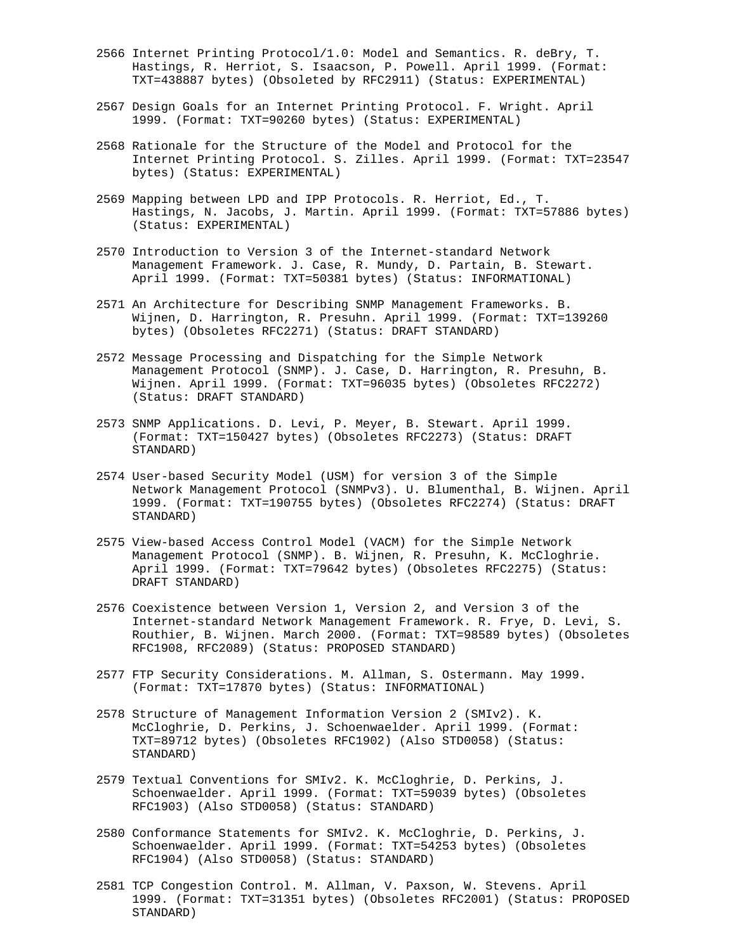- 2566 Internet Printing Protocol/1.0: Model and Semantics. R. deBry, T. Hastings, R. Herriot, S. Isaacson, P. Powell. April 1999. (Format: TXT=438887 bytes) (Obsoleted by RFC2911) (Status: EXPERIMENTAL)
- 2567 Design Goals for an Internet Printing Protocol. F. Wright. April 1999. (Format: TXT=90260 bytes) (Status: EXPERIMENTAL)
- 2568 Rationale for the Structure of the Model and Protocol for the Internet Printing Protocol. S. Zilles. April 1999. (Format: TXT=23547 bytes) (Status: EXPERIMENTAL)
- 2569 Mapping between LPD and IPP Protocols. R. Herriot, Ed., T. Hastings, N. Jacobs, J. Martin. April 1999. (Format: TXT=57886 bytes) (Status: EXPERIMENTAL)
- 2570 Introduction to Version 3 of the Internet-standard Network Management Framework. J. Case, R. Mundy, D. Partain, B. Stewart. April 1999. (Format: TXT=50381 bytes) (Status: INFORMATIONAL)
- 2571 An Architecture for Describing SNMP Management Frameworks. B. Wijnen, D. Harrington, R. Presuhn. April 1999. (Format: TXT=139260 bytes) (Obsoletes RFC2271) (Status: DRAFT STANDARD)
- 2572 Message Processing and Dispatching for the Simple Network Management Protocol (SNMP). J. Case, D. Harrington, R. Presuhn, B. Wijnen. April 1999. (Format: TXT=96035 bytes) (Obsoletes RFC2272) (Status: DRAFT STANDARD)
- 2573 SNMP Applications. D. Levi, P. Meyer, B. Stewart. April 1999. (Format: TXT=150427 bytes) (Obsoletes RFC2273) (Status: DRAFT STANDARD)
- 2574 User-based Security Model (USM) for version 3 of the Simple Network Management Protocol (SNMPv3). U. Blumenthal, B. Wijnen. April 1999. (Format: TXT=190755 bytes) (Obsoletes RFC2274) (Status: DRAFT STANDARD)
- 2575 View-based Access Control Model (VACM) for the Simple Network Management Protocol (SNMP). B. Wijnen, R. Presuhn, K. McCloghrie. April 1999. (Format: TXT=79642 bytes) (Obsoletes RFC2275) (Status: DRAFT STANDARD)
- 2576 Coexistence between Version 1, Version 2, and Version 3 of the Internet-standard Network Management Framework. R. Frye, D. Levi, S. Routhier, B. Wijnen. March 2000. (Format: TXT=98589 bytes) (Obsoletes RFC1908, RFC2089) (Status: PROPOSED STANDARD)
- 2577 FTP Security Considerations. M. Allman, S. Ostermann. May 1999. (Format: TXT=17870 bytes) (Status: INFORMATIONAL)
- 2578 Structure of Management Information Version 2 (SMIv2). K. McCloghrie, D. Perkins, J. Schoenwaelder. April 1999. (Format: TXT=89712 bytes) (Obsoletes RFC1902) (Also STD0058) (Status: STANDARD)
- 2579 Textual Conventions for SMIv2. K. McCloghrie, D. Perkins, J. Schoenwaelder. April 1999. (Format: TXT=59039 bytes) (Obsoletes RFC1903) (Also STD0058) (Status: STANDARD)
- 2580 Conformance Statements for SMIv2. K. McCloghrie, D. Perkins, J. Schoenwaelder. April 1999. (Format: TXT=54253 bytes) (Obsoletes RFC1904) (Also STD0058) (Status: STANDARD)
- 2581 TCP Congestion Control. M. Allman, V. Paxson, W. Stevens. April 1999. (Format: TXT=31351 bytes) (Obsoletes RFC2001) (Status: PROPOSED STANDARD)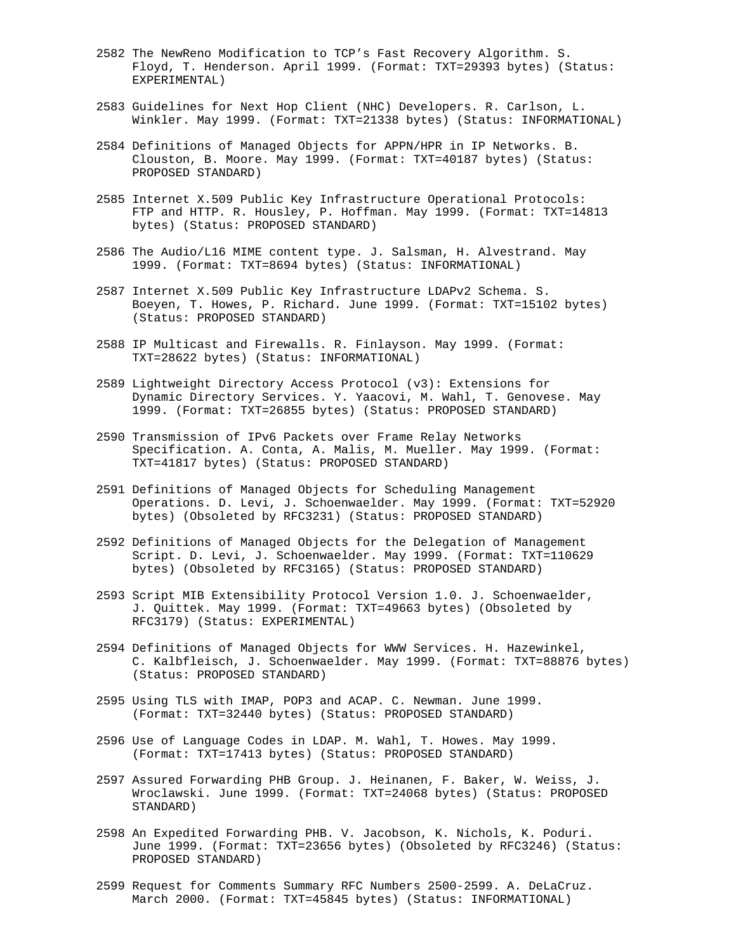- 2582 The NewReno Modification to TCP's Fast Recovery Algorithm. S. Floyd, T. Henderson. April 1999. (Format: TXT=29393 bytes) (Status: EXPERIMENTAL)
- 2583 Guidelines for Next Hop Client (NHC) Developers. R. Carlson, L. Winkler. May 1999. (Format: TXT=21338 bytes) (Status: INFORMATIONAL)
- 2584 Definitions of Managed Objects for APPN/HPR in IP Networks. B. Clouston, B. Moore. May 1999. (Format: TXT=40187 bytes) (Status: PROPOSED STANDARD)
- 2585 Internet X.509 Public Key Infrastructure Operational Protocols: FTP and HTTP. R. Housley, P. Hoffman. May 1999. (Format: TXT=14813 bytes) (Status: PROPOSED STANDARD)
- 2586 The Audio/L16 MIME content type. J. Salsman, H. Alvestrand. May 1999. (Format: TXT=8694 bytes) (Status: INFORMATIONAL)
- 2587 Internet X.509 Public Key Infrastructure LDAPv2 Schema. S. Boeyen, T. Howes, P. Richard. June 1999. (Format: TXT=15102 bytes) (Status: PROPOSED STANDARD)
- 2588 IP Multicast and Firewalls. R. Finlayson. May 1999. (Format: TXT=28622 bytes) (Status: INFORMATIONAL)
- 2589 Lightweight Directory Access Protocol (v3): Extensions for Dynamic Directory Services. Y. Yaacovi, M. Wahl, T. Genovese. May 1999. (Format: TXT=26855 bytes) (Status: PROPOSED STANDARD)
- 2590 Transmission of IPv6 Packets over Frame Relay Networks Specification. A. Conta, A. Malis, M. Mueller. May 1999. (Format: TXT=41817 bytes) (Status: PROPOSED STANDARD)
- 2591 Definitions of Managed Objects for Scheduling Management Operations. D. Levi, J. Schoenwaelder. May 1999. (Format: TXT=52920 bytes) (Obsoleted by RFC3231) (Status: PROPOSED STANDARD)
- 2592 Definitions of Managed Objects for the Delegation of Management Script. D. Levi, J. Schoenwaelder. May 1999. (Format: TXT=110629 bytes) (Obsoleted by RFC3165) (Status: PROPOSED STANDARD)
- 2593 Script MIB Extensibility Protocol Version 1.0. J. Schoenwaelder, J. Quittek. May 1999. (Format: TXT=49663 bytes) (Obsoleted by RFC3179) (Status: EXPERIMENTAL)
- 2594 Definitions of Managed Objects for WWW Services. H. Hazewinkel, C. Kalbfleisch, J. Schoenwaelder. May 1999. (Format: TXT=88876 bytes) (Status: PROPOSED STANDARD)
- 2595 Using TLS with IMAP, POP3 and ACAP. C. Newman. June 1999. (Format: TXT=32440 bytes) (Status: PROPOSED STANDARD)
- 2596 Use of Language Codes in LDAP. M. Wahl, T. Howes. May 1999. (Format: TXT=17413 bytes) (Status: PROPOSED STANDARD)
- 2597 Assured Forwarding PHB Group. J. Heinanen, F. Baker, W. Weiss, J. Wroclawski. June 1999. (Format: TXT=24068 bytes) (Status: PROPOSED STANDARD)
- 2598 An Expedited Forwarding PHB. V. Jacobson, K. Nichols, K. Poduri. June 1999. (Format: TXT=23656 bytes) (Obsoleted by RFC3246) (Status: PROPOSED STANDARD)
- 2599 Request for Comments Summary RFC Numbers 2500-2599. A. DeLaCruz. March 2000. (Format: TXT=45845 bytes) (Status: INFORMATIONAL)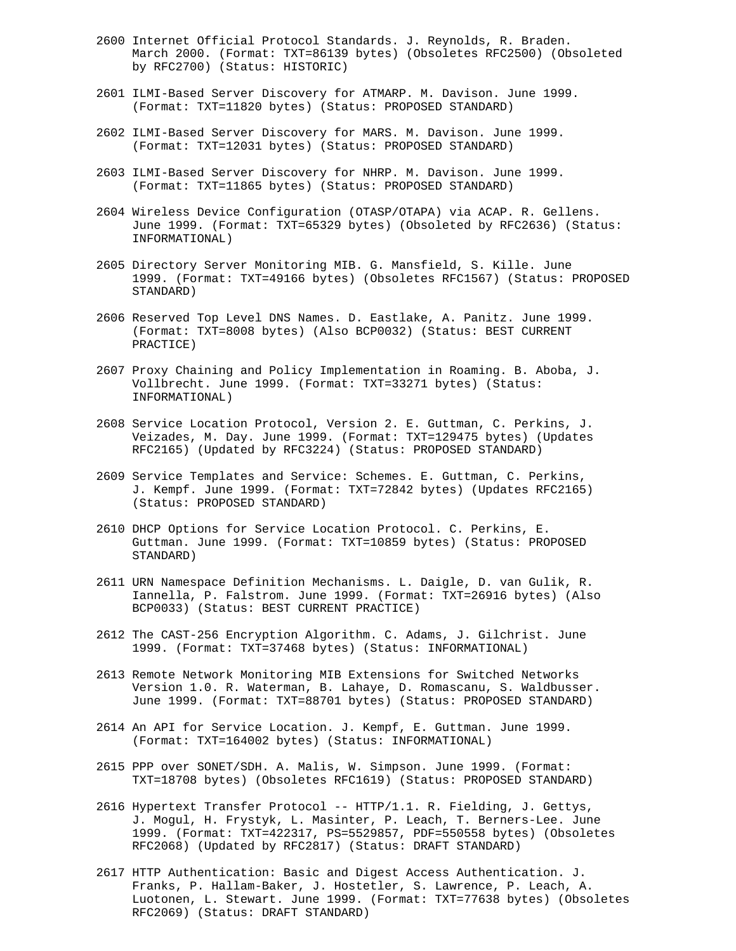- 2600 Internet Official Protocol Standards. J. Reynolds, R. Braden. March 2000. (Format: TXT=86139 bytes) (Obsoletes RFC2500) (Obsoleted by RFC2700) (Status: HISTORIC)
- 2601 ILMI-Based Server Discovery for ATMARP. M. Davison. June 1999. (Format: TXT=11820 bytes) (Status: PROPOSED STANDARD)
- 2602 ILMI-Based Server Discovery for MARS. M. Davison. June 1999. (Format: TXT=12031 bytes) (Status: PROPOSED STANDARD)
- 2603 ILMI-Based Server Discovery for NHRP. M. Davison. June 1999. (Format: TXT=11865 bytes) (Status: PROPOSED STANDARD)
- 2604 Wireless Device Configuration (OTASP/OTAPA) via ACAP. R. Gellens. June 1999. (Format: TXT=65329 bytes) (Obsoleted by RFC2636) (Status: INFORMATIONAL)
- 2605 Directory Server Monitoring MIB. G. Mansfield, S. Kille. June 1999. (Format: TXT=49166 bytes) (Obsoletes RFC1567) (Status: PROPOSED STANDARD)
- 2606 Reserved Top Level DNS Names. D. Eastlake, A. Panitz. June 1999. (Format: TXT=8008 bytes) (Also BCP0032) (Status: BEST CURRENT PRACTICE)
- 2607 Proxy Chaining and Policy Implementation in Roaming. B. Aboba, J. Vollbrecht. June 1999. (Format: TXT=33271 bytes) (Status: INFORMATIONAL)
- 2608 Service Location Protocol, Version 2. E. Guttman, C. Perkins, J. Veizades, M. Day. June 1999. (Format: TXT=129475 bytes) (Updates RFC2165) (Updated by RFC3224) (Status: PROPOSED STANDARD)
- 2609 Service Templates and Service: Schemes. E. Guttman, C. Perkins, J. Kempf. June 1999. (Format: TXT=72842 bytes) (Updates RFC2165) (Status: PROPOSED STANDARD)
- 2610 DHCP Options for Service Location Protocol. C. Perkins, E. Guttman. June 1999. (Format: TXT=10859 bytes) (Status: PROPOSED STANDARD)
- 2611 URN Namespace Definition Mechanisms. L. Daigle, D. van Gulik, R. Iannella, P. Falstrom. June 1999. (Format: TXT=26916 bytes) (Also BCP0033) (Status: BEST CURRENT PRACTICE)
- 2612 The CAST-256 Encryption Algorithm. C. Adams, J. Gilchrist. June 1999. (Format: TXT=37468 bytes) (Status: INFORMATIONAL)
- 2613 Remote Network Monitoring MIB Extensions for Switched Networks Version 1.0. R. Waterman, B. Lahaye, D. Romascanu, S. Waldbusser. June 1999. (Format: TXT=88701 bytes) (Status: PROPOSED STANDARD)
- 2614 An API for Service Location. J. Kempf, E. Guttman. June 1999. (Format: TXT=164002 bytes) (Status: INFORMATIONAL)
- 2615 PPP over SONET/SDH. A. Malis, W. Simpson. June 1999. (Format: TXT=18708 bytes) (Obsoletes RFC1619) (Status: PROPOSED STANDARD)
- 2616 Hypertext Transfer Protocol -- HTTP/1.1. R. Fielding, J. Gettys, J. Mogul, H. Frystyk, L. Masinter, P. Leach, T. Berners-Lee. June 1999. (Format: TXT=422317, PS=5529857, PDF=550558 bytes) (Obsoletes RFC2068) (Updated by RFC2817) (Status: DRAFT STANDARD)
- 2617 HTTP Authentication: Basic and Digest Access Authentication. J. Franks, P. Hallam-Baker, J. Hostetler, S. Lawrence, P. Leach, A. Luotonen, L. Stewart. June 1999. (Format: TXT=77638 bytes) (Obsoletes RFC2069) (Status: DRAFT STANDARD)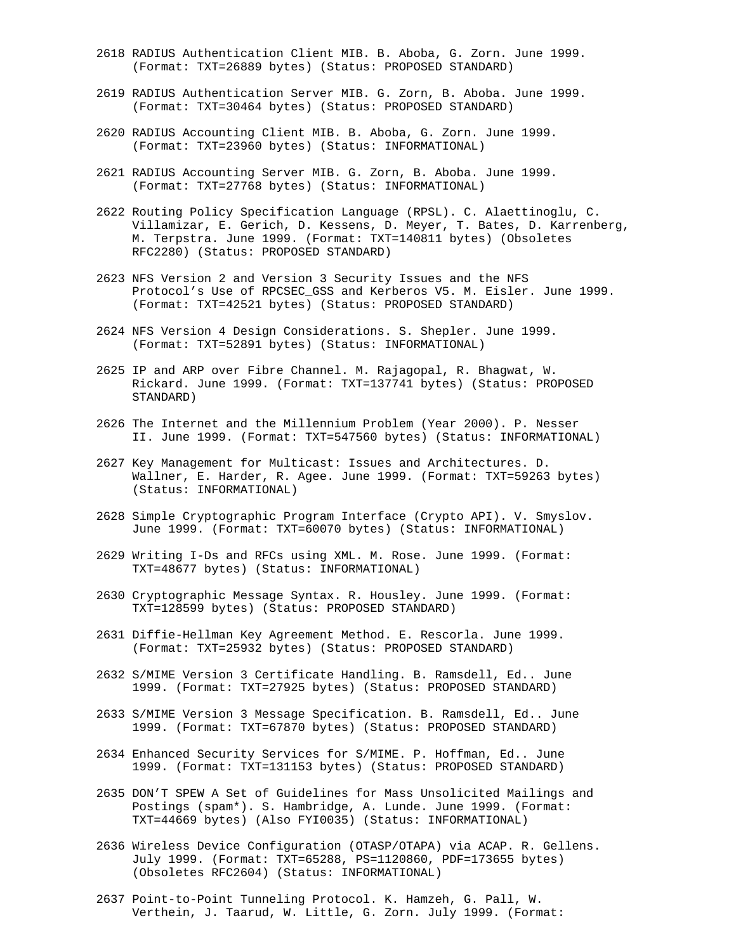- 2618 RADIUS Authentication Client MIB. B. Aboba, G. Zorn. June 1999. (Format: TXT=26889 bytes) (Status: PROPOSED STANDARD)
- 2619 RADIUS Authentication Server MIB. G. Zorn, B. Aboba. June 1999. (Format: TXT=30464 bytes) (Status: PROPOSED STANDARD)
- 2620 RADIUS Accounting Client MIB. B. Aboba, G. Zorn. June 1999. (Format: TXT=23960 bytes) (Status: INFORMATIONAL)
- 2621 RADIUS Accounting Server MIB. G. Zorn, B. Aboba. June 1999. (Format: TXT=27768 bytes) (Status: INFORMATIONAL)
- 2622 Routing Policy Specification Language (RPSL). C. Alaettinoglu, C. Villamizar, E. Gerich, D. Kessens, D. Meyer, T. Bates, D. Karrenberg, M. Terpstra. June 1999. (Format: TXT=140811 bytes) (Obsoletes RFC2280) (Status: PROPOSED STANDARD)
- 2623 NFS Version 2 and Version 3 Security Issues and the NFS Protocol's Use of RPCSEC\_GSS and Kerberos V5. M. Eisler. June 1999. (Format: TXT=42521 bytes) (Status: PROPOSED STANDARD)
- 2624 NFS Version 4 Design Considerations. S. Shepler. June 1999. (Format: TXT=52891 bytes) (Status: INFORMATIONAL)
- 2625 IP and ARP over Fibre Channel. M. Rajagopal, R. Bhagwat, W. Rickard. June 1999. (Format: TXT=137741 bytes) (Status: PROPOSED STANDARD)
- 2626 The Internet and the Millennium Problem (Year 2000). P. Nesser II. June 1999. (Format: TXT=547560 bytes) (Status: INFORMATIONAL)
- 2627 Key Management for Multicast: Issues and Architectures. D. Wallner, E. Harder, R. Agee. June 1999. (Format: TXT=59263 bytes) (Status: INFORMATIONAL)
- 2628 Simple Cryptographic Program Interface (Crypto API). V. Smyslov. June 1999. (Format: TXT=60070 bytes) (Status: INFORMATIONAL)
- 2629 Writing I-Ds and RFCs using XML. M. Rose. June 1999. (Format: TXT=48677 bytes) (Status: INFORMATIONAL)
- 2630 Cryptographic Message Syntax. R. Housley. June 1999. (Format: TXT=128599 bytes) (Status: PROPOSED STANDARD)
- 2631 Diffie-Hellman Key Agreement Method. E. Rescorla. June 1999. (Format: TXT=25932 bytes) (Status: PROPOSED STANDARD)
- 2632 S/MIME Version 3 Certificate Handling. B. Ramsdell, Ed.. June 1999. (Format: TXT=27925 bytes) (Status: PROPOSED STANDARD)
- 2633 S/MIME Version 3 Message Specification. B. Ramsdell, Ed.. June 1999. (Format: TXT=67870 bytes) (Status: PROPOSED STANDARD)
- 2634 Enhanced Security Services for S/MIME. P. Hoffman, Ed.. June 1999. (Format: TXT=131153 bytes) (Status: PROPOSED STANDARD)
- 2635 DON'T SPEW A Set of Guidelines for Mass Unsolicited Mailings and Postings (spam\*). S. Hambridge, A. Lunde. June 1999. (Format: TXT=44669 bytes) (Also FYI0035) (Status: INFORMATIONAL)
- 2636 Wireless Device Configuration (OTASP/OTAPA) via ACAP. R. Gellens. July 1999. (Format: TXT=65288, PS=1120860, PDF=173655 bytes) (Obsoletes RFC2604) (Status: INFORMATIONAL)
- 2637 Point-to-Point Tunneling Protocol. K. Hamzeh, G. Pall, W. Verthein, J. Taarud, W. Little, G. Zorn. July 1999. (Format: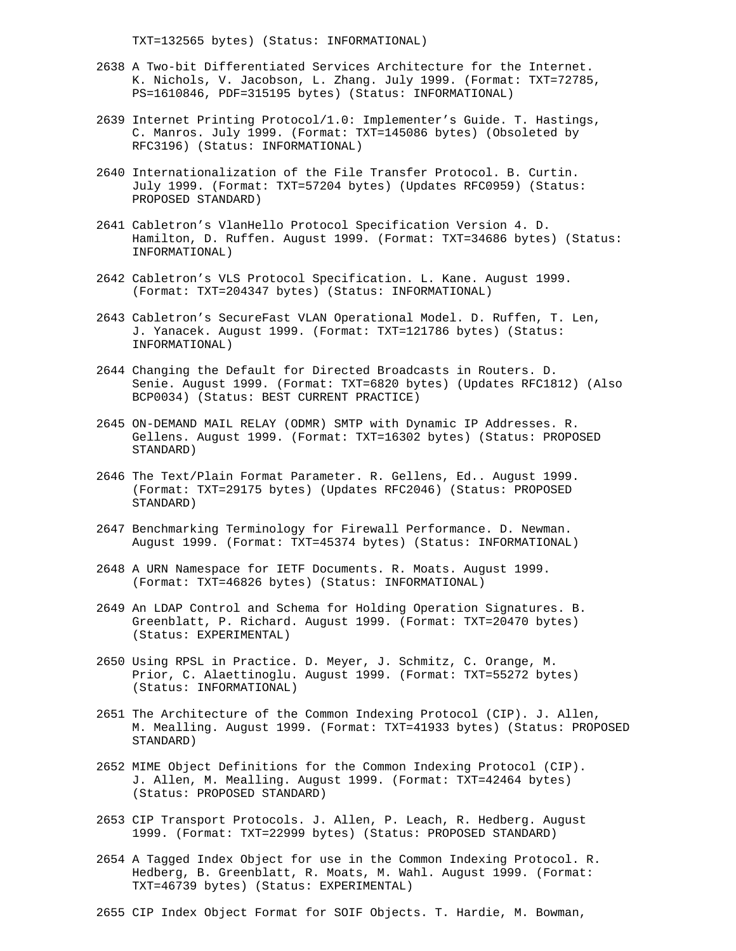TXT=132565 bytes) (Status: INFORMATIONAL)

- 2638 A Two-bit Differentiated Services Architecture for the Internet. K. Nichols, V. Jacobson, L. Zhang. July 1999. (Format: TXT=72785, PS=1610846, PDF=315195 bytes) (Status: INFORMATIONAL)
- 2639 Internet Printing Protocol/1.0: Implementer's Guide. T. Hastings, C. Manros. July 1999. (Format: TXT=145086 bytes) (Obsoleted by RFC3196) (Status: INFORMATIONAL)
- 2640 Internationalization of the File Transfer Protocol. B. Curtin. July 1999. (Format: TXT=57204 bytes) (Updates RFC0959) (Status: PROPOSED STANDARD)
- 2641 Cabletron's VlanHello Protocol Specification Version 4. D. Hamilton, D. Ruffen. August 1999. (Format: TXT=34686 bytes) (Status: INFORMATIONAL)
- 2642 Cabletron's VLS Protocol Specification. L. Kane. August 1999. (Format: TXT=204347 bytes) (Status: INFORMATIONAL)
- 2643 Cabletron's SecureFast VLAN Operational Model. D. Ruffen, T. Len, J. Yanacek. August 1999. (Format: TXT=121786 bytes) (Status: INFORMATIONAL)
- 2644 Changing the Default for Directed Broadcasts in Routers. D. Senie. August 1999. (Format: TXT=6820 bytes) (Updates RFC1812) (Also BCP0034) (Status: BEST CURRENT PRACTICE)
- 2645 ON-DEMAND MAIL RELAY (ODMR) SMTP with Dynamic IP Addresses. R. Gellens. August 1999. (Format: TXT=16302 bytes) (Status: PROPOSED STANDARD)
- 2646 The Text/Plain Format Parameter. R. Gellens, Ed.. August 1999. (Format: TXT=29175 bytes) (Updates RFC2046) (Status: PROPOSED STANDARD)
- 2647 Benchmarking Terminology for Firewall Performance. D. Newman. August 1999. (Format: TXT=45374 bytes) (Status: INFORMATIONAL)
- 2648 A URN Namespace for IETF Documents. R. Moats. August 1999. (Format: TXT=46826 bytes) (Status: INFORMATIONAL)
- 2649 An LDAP Control and Schema for Holding Operation Signatures. B. Greenblatt, P. Richard. August 1999. (Format: TXT=20470 bytes) (Status: EXPERIMENTAL)
- 2650 Using RPSL in Practice. D. Meyer, J. Schmitz, C. Orange, M. Prior, C. Alaettinoglu. August 1999. (Format: TXT=55272 bytes) (Status: INFORMATIONAL)
- 2651 The Architecture of the Common Indexing Protocol (CIP). J. Allen, M. Mealling. August 1999. (Format: TXT=41933 bytes) (Status: PROPOSED STANDARD)
- 2652 MIME Object Definitions for the Common Indexing Protocol (CIP). J. Allen, M. Mealling. August 1999. (Format: TXT=42464 bytes) (Status: PROPOSED STANDARD)
- 2653 CIP Transport Protocols. J. Allen, P. Leach, R. Hedberg. August 1999. (Format: TXT=22999 bytes) (Status: PROPOSED STANDARD)
- 2654 A Tagged Index Object for use in the Common Indexing Protocol. R. Hedberg, B. Greenblatt, R. Moats, M. Wahl. August 1999. (Format: TXT=46739 bytes) (Status: EXPERIMENTAL)
- 2655 CIP Index Object Format for SOIF Objects. T. Hardie, M. Bowman,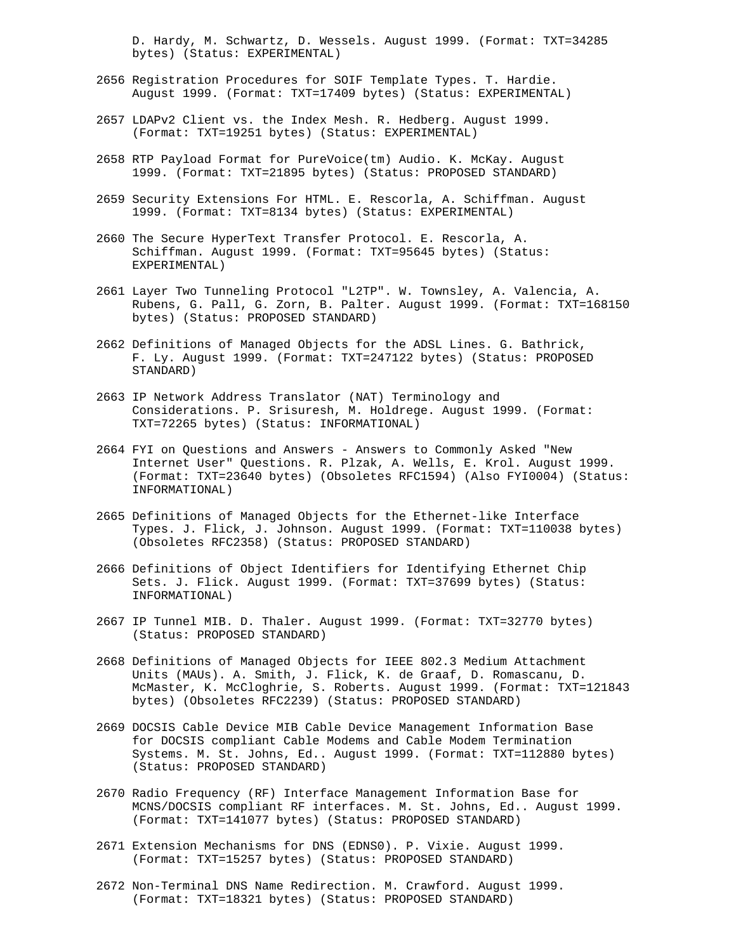D. Hardy, M. Schwartz, D. Wessels. August 1999. (Format: TXT=34285 bytes) (Status: EXPERIMENTAL)

- 2656 Registration Procedures for SOIF Template Types. T. Hardie. August 1999. (Format: TXT=17409 bytes) (Status: EXPERIMENTAL)
- 2657 LDAPv2 Client vs. the Index Mesh. R. Hedberg. August 1999. (Format: TXT=19251 bytes) (Status: EXPERIMENTAL)
- 2658 RTP Payload Format for PureVoice(tm) Audio. K. McKay. August 1999. (Format: TXT=21895 bytes) (Status: PROPOSED STANDARD)
- 2659 Security Extensions For HTML. E. Rescorla, A. Schiffman. August 1999. (Format: TXT=8134 bytes) (Status: EXPERIMENTAL)
- 2660 The Secure HyperText Transfer Protocol. E. Rescorla, A. Schiffman. August 1999. (Format: TXT=95645 bytes) (Status: EXPERIMENTAL)
- 2661 Layer Two Tunneling Protocol "L2TP". W. Townsley, A. Valencia, A. Rubens, G. Pall, G. Zorn, B. Palter. August 1999. (Format: TXT=168150 bytes) (Status: PROPOSED STANDARD)
- 2662 Definitions of Managed Objects for the ADSL Lines. G. Bathrick, F. Ly. August 1999. (Format: TXT=247122 bytes) (Status: PROPOSED STANDARD)
- 2663 IP Network Address Translator (NAT) Terminology and Considerations. P. Srisuresh, M. Holdrege. August 1999. (Format: TXT=72265 bytes) (Status: INFORMATIONAL)
- 2664 FYI on Questions and Answers Answers to Commonly Asked "New Internet User" Questions. R. Plzak, A. Wells, E. Krol. August 1999. (Format: TXT=23640 bytes) (Obsoletes RFC1594) (Also FYI0004) (Status: INFORMATIONAL)
- 2665 Definitions of Managed Objects for the Ethernet-like Interface Types. J. Flick, J. Johnson. August 1999. (Format: TXT=110038 bytes) (Obsoletes RFC2358) (Status: PROPOSED STANDARD)
- 2666 Definitions of Object Identifiers for Identifying Ethernet Chip Sets. J. Flick. August 1999. (Format: TXT=37699 bytes) (Status: INFORMATIONAL)
- 2667 IP Tunnel MIB. D. Thaler. August 1999. (Format: TXT=32770 bytes) (Status: PROPOSED STANDARD)
- 2668 Definitions of Managed Objects for IEEE 802.3 Medium Attachment Units (MAUs). A. Smith, J. Flick, K. de Graaf, D. Romascanu, D. McMaster, K. McCloghrie, S. Roberts. August 1999. (Format: TXT=121843 bytes) (Obsoletes RFC2239) (Status: PROPOSED STANDARD)
- 2669 DOCSIS Cable Device MIB Cable Device Management Information Base for DOCSIS compliant Cable Modems and Cable Modem Termination Systems. M. St. Johns, Ed.. August 1999. (Format: TXT=112880 bytes) (Status: PROPOSED STANDARD)
- 2670 Radio Frequency (RF) Interface Management Information Base for MCNS/DOCSIS compliant RF interfaces. M. St. Johns, Ed.. August 1999. (Format: TXT=141077 bytes) (Status: PROPOSED STANDARD)
- 2671 Extension Mechanisms for DNS (EDNS0). P. Vixie. August 1999. (Format: TXT=15257 bytes) (Status: PROPOSED STANDARD)
- 2672 Non-Terminal DNS Name Redirection. M. Crawford. August 1999. (Format: TXT=18321 bytes) (Status: PROPOSED STANDARD)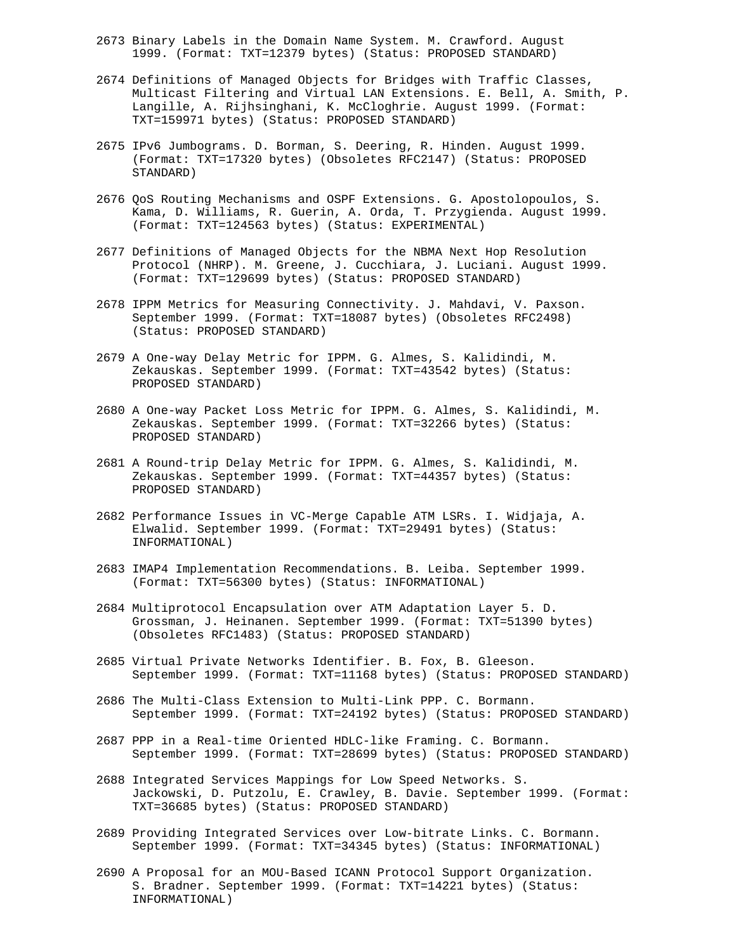- 2673 Binary Labels in the Domain Name System. M. Crawford. August 1999. (Format: TXT=12379 bytes) (Status: PROPOSED STANDARD)
- 2674 Definitions of Managed Objects for Bridges with Traffic Classes, Multicast Filtering and Virtual LAN Extensions. E. Bell, A. Smith, P. Langille, A. Rijhsinghani, K. McCloghrie. August 1999. (Format: TXT=159971 bytes) (Status: PROPOSED STANDARD)
- 2675 IPv6 Jumbograms. D. Borman, S. Deering, R. Hinden. August 1999. (Format: TXT=17320 bytes) (Obsoletes RFC2147) (Status: PROPOSED STANDARD)
- 2676 QoS Routing Mechanisms and OSPF Extensions. G. Apostolopoulos, S. Kama, D. Williams, R. Guerin, A. Orda, T. Przygienda. August 1999. (Format: TXT=124563 bytes) (Status: EXPERIMENTAL)
- 2677 Definitions of Managed Objects for the NBMA Next Hop Resolution Protocol (NHRP). M. Greene, J. Cucchiara, J. Luciani. August 1999. (Format: TXT=129699 bytes) (Status: PROPOSED STANDARD)
- 2678 IPPM Metrics for Measuring Connectivity. J. Mahdavi, V. Paxson. September 1999. (Format: TXT=18087 bytes) (Obsoletes RFC2498) (Status: PROPOSED STANDARD)
- 2679 A One-way Delay Metric for IPPM. G. Almes, S. Kalidindi, M. Zekauskas. September 1999. (Format: TXT=43542 bytes) (Status: PROPOSED STANDARD)
- 2680 A One-way Packet Loss Metric for IPPM. G. Almes, S. Kalidindi, M. Zekauskas. September 1999. (Format: TXT=32266 bytes) (Status: PROPOSED STANDARD)
- 2681 A Round-trip Delay Metric for IPPM. G. Almes, S. Kalidindi, M. Zekauskas. September 1999. (Format: TXT=44357 bytes) (Status: PROPOSED STANDARD)
- 2682 Performance Issues in VC-Merge Capable ATM LSRs. I. Widjaja, A. Elwalid. September 1999. (Format: TXT=29491 bytes) (Status: INFORMATIONAL)
- 2683 IMAP4 Implementation Recommendations. B. Leiba. September 1999. (Format: TXT=56300 bytes) (Status: INFORMATIONAL)
- 2684 Multiprotocol Encapsulation over ATM Adaptation Layer 5. D. Grossman, J. Heinanen. September 1999. (Format: TXT=51390 bytes) (Obsoletes RFC1483) (Status: PROPOSED STANDARD)
- 2685 Virtual Private Networks Identifier. B. Fox, B. Gleeson. September 1999. (Format: TXT=11168 bytes) (Status: PROPOSED STANDARD)
- 2686 The Multi-Class Extension to Multi-Link PPP. C. Bormann. September 1999. (Format: TXT=24192 bytes) (Status: PROPOSED STANDARD)
- 2687 PPP in a Real-time Oriented HDLC-like Framing. C. Bormann. September 1999. (Format: TXT=28699 bytes) (Status: PROPOSED STANDARD)
- 2688 Integrated Services Mappings for Low Speed Networks. S. Jackowski, D. Putzolu, E. Crawley, B. Davie. September 1999. (Format: TXT=36685 bytes) (Status: PROPOSED STANDARD)
- 2689 Providing Integrated Services over Low-bitrate Links. C. Bormann. September 1999. (Format: TXT=34345 bytes) (Status: INFORMATIONAL)
- 2690 A Proposal for an MOU-Based ICANN Protocol Support Organization. S. Bradner. September 1999. (Format: TXT=14221 bytes) (Status: INFORMATIONAL)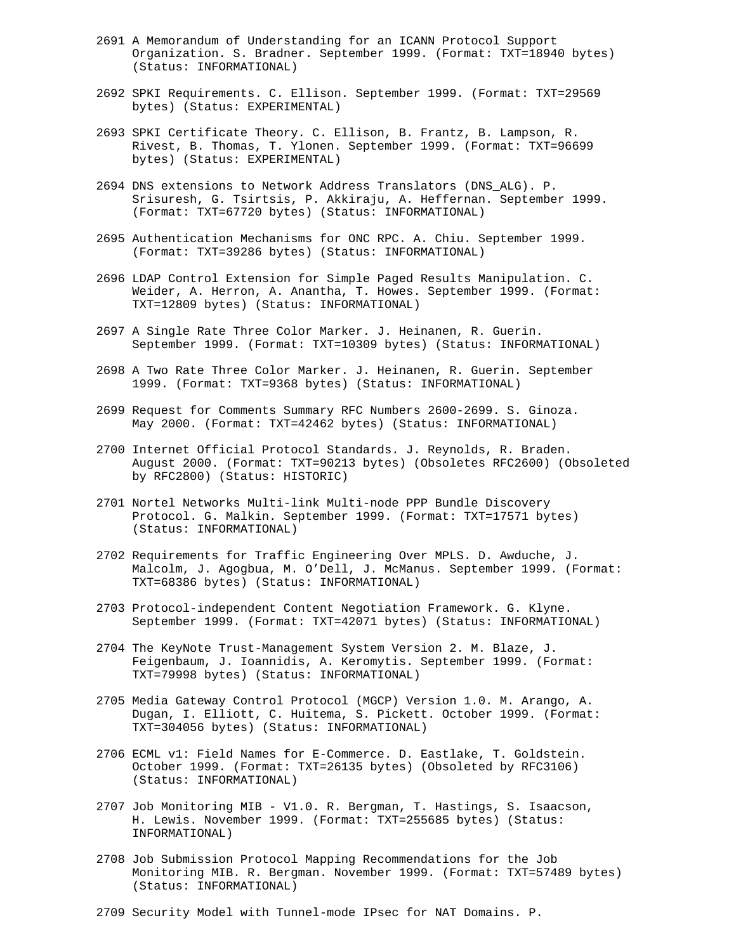- 2691 A Memorandum of Understanding for an ICANN Protocol Support Organization. S. Bradner. September 1999. (Format: TXT=18940 bytes) (Status: INFORMATIONAL)
- 2692 SPKI Requirements. C. Ellison. September 1999. (Format: TXT=29569 bytes) (Status: EXPERIMENTAL)
- 2693 SPKI Certificate Theory. C. Ellison, B. Frantz, B. Lampson, R. Rivest, B. Thomas, T. Ylonen. September 1999. (Format: TXT=96699 bytes) (Status: EXPERIMENTAL)
- 2694 DNS extensions to Network Address Translators (DNS\_ALG). P. Srisuresh, G. Tsirtsis, P. Akkiraju, A. Heffernan. September 1999. (Format: TXT=67720 bytes) (Status: INFORMATIONAL)
- 2695 Authentication Mechanisms for ONC RPC. A. Chiu. September 1999. (Format: TXT=39286 bytes) (Status: INFORMATIONAL)
- 2696 LDAP Control Extension for Simple Paged Results Manipulation. C. Weider, A. Herron, A. Anantha, T. Howes. September 1999. (Format: TXT=12809 bytes) (Status: INFORMATIONAL)
- 2697 A Single Rate Three Color Marker. J. Heinanen, R. Guerin. September 1999. (Format: TXT=10309 bytes) (Status: INFORMATIONAL)
- 2698 A Two Rate Three Color Marker. J. Heinanen, R. Guerin. September 1999. (Format: TXT=9368 bytes) (Status: INFORMATIONAL)
- 2699 Request for Comments Summary RFC Numbers 2600-2699. S. Ginoza. May 2000. (Format: TXT=42462 bytes) (Status: INFORMATIONAL)
- 2700 Internet Official Protocol Standards. J. Reynolds, R. Braden. August 2000. (Format: TXT=90213 bytes) (Obsoletes RFC2600) (Obsoleted by RFC2800) (Status: HISTORIC)
- 2701 Nortel Networks Multi-link Multi-node PPP Bundle Discovery Protocol. G. Malkin. September 1999. (Format: TXT=17571 bytes) (Status: INFORMATIONAL)
- 2702 Requirements for Traffic Engineering Over MPLS. D. Awduche, J. Malcolm, J. Agogbua, M. O'Dell, J. McManus. September 1999. (Format: TXT=68386 bytes) (Status: INFORMATIONAL)
- 2703 Protocol-independent Content Negotiation Framework. G. Klyne. September 1999. (Format: TXT=42071 bytes) (Status: INFORMATIONAL)
- 2704 The KeyNote Trust-Management System Version 2. M. Blaze, J. Feigenbaum, J. Ioannidis, A. Keromytis. September 1999. (Format: TXT=79998 bytes) (Status: INFORMATIONAL)
- 2705 Media Gateway Control Protocol (MGCP) Version 1.0. M. Arango, A. Dugan, I. Elliott, C. Huitema, S. Pickett. October 1999. (Format: TXT=304056 bytes) (Status: INFORMATIONAL)
- 2706 ECML v1: Field Names for E-Commerce. D. Eastlake, T. Goldstein. October 1999. (Format: TXT=26135 bytes) (Obsoleted by RFC3106) (Status: INFORMATIONAL)
- 2707 Job Monitoring MIB V1.0. R. Bergman, T. Hastings, S. Isaacson, H. Lewis. November 1999. (Format: TXT=255685 bytes) (Status: INFORMATIONAL)
- 2708 Job Submission Protocol Mapping Recommendations for the Job Monitoring MIB. R. Bergman. November 1999. (Format: TXT=57489 bytes) (Status: INFORMATIONAL)
- 2709 Security Model with Tunnel-mode IPsec for NAT Domains. P.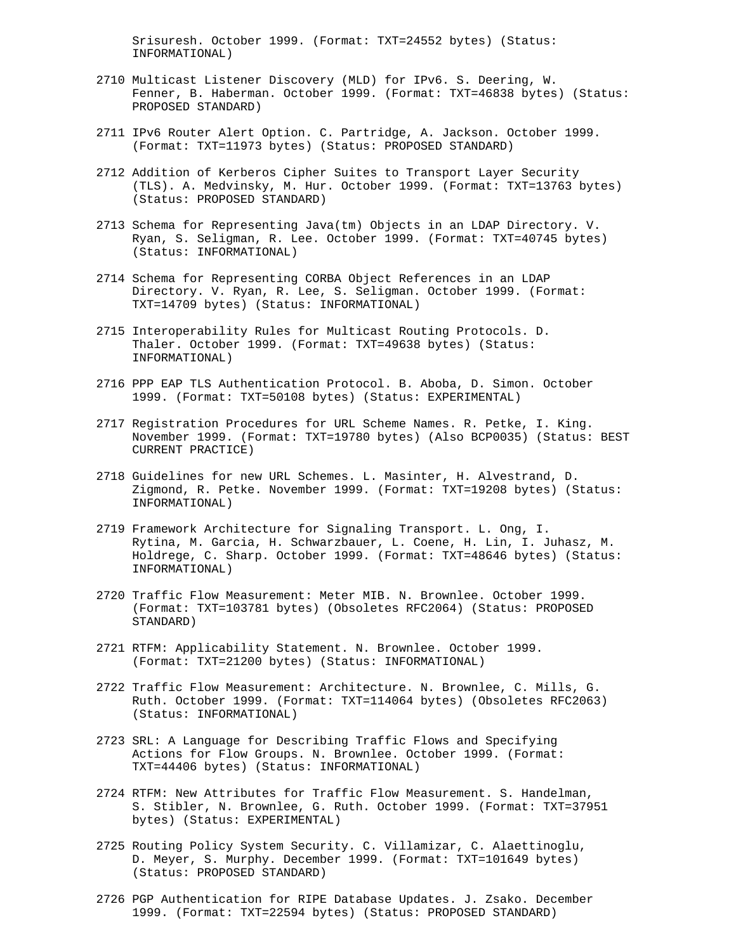Srisuresh. October 1999. (Format: TXT=24552 bytes) (Status: INFORMATIONAL)

- 2710 Multicast Listener Discovery (MLD) for IPv6. S. Deering, W. Fenner, B. Haberman. October 1999. (Format: TXT=46838 bytes) (Status: PROPOSED STANDARD)
- 2711 IPv6 Router Alert Option. C. Partridge, A. Jackson. October 1999. (Format: TXT=11973 bytes) (Status: PROPOSED STANDARD)
- 2712 Addition of Kerberos Cipher Suites to Transport Layer Security (TLS). A. Medvinsky, M. Hur. October 1999. (Format: TXT=13763 bytes) (Status: PROPOSED STANDARD)
- 2713 Schema for Representing Java(tm) Objects in an LDAP Directory. V. Ryan, S. Seligman, R. Lee. October 1999. (Format: TXT=40745 bytes) (Status: INFORMATIONAL)
- 2714 Schema for Representing CORBA Object References in an LDAP Directory. V. Ryan, R. Lee, S. Seligman. October 1999. (Format: TXT=14709 bytes) (Status: INFORMATIONAL)
- 2715 Interoperability Rules for Multicast Routing Protocols. D. Thaler. October 1999. (Format: TXT=49638 bytes) (Status: INFORMATIONAL)
- 2716 PPP EAP TLS Authentication Protocol. B. Aboba, D. Simon. October 1999. (Format: TXT=50108 bytes) (Status: EXPERIMENTAL)
- 2717 Registration Procedures for URL Scheme Names. R. Petke, I. King. November 1999. (Format: TXT=19780 bytes) (Also BCP0035) (Status: BEST CURRENT PRACTICE)
- 2718 Guidelines for new URL Schemes. L. Masinter, H. Alvestrand, D. Zigmond, R. Petke. November 1999. (Format: TXT=19208 bytes) (Status: INFORMATIONAL)
- 2719 Framework Architecture for Signaling Transport. L. Ong, I. Rytina, M. Garcia, H. Schwarzbauer, L. Coene, H. Lin, I. Juhasz, M. Holdrege, C. Sharp. October 1999. (Format: TXT=48646 bytes) (Status: INFORMATIONAL)
- 2720 Traffic Flow Measurement: Meter MIB. N. Brownlee. October 1999. (Format: TXT=103781 bytes) (Obsoletes RFC2064) (Status: PROPOSED STANDARD)
- 2721 RTFM: Applicability Statement. N. Brownlee. October 1999. (Format: TXT=21200 bytes) (Status: INFORMATIONAL)
- 2722 Traffic Flow Measurement: Architecture. N. Brownlee, C. Mills, G. Ruth. October 1999. (Format: TXT=114064 bytes) (Obsoletes RFC2063) (Status: INFORMATIONAL)
- 2723 SRL: A Language for Describing Traffic Flows and Specifying Actions for Flow Groups. N. Brownlee. October 1999. (Format: TXT=44406 bytes) (Status: INFORMATIONAL)
- 2724 RTFM: New Attributes for Traffic Flow Measurement. S. Handelman, S. Stibler, N. Brownlee, G. Ruth. October 1999. (Format: TXT=37951 bytes) (Status: EXPERIMENTAL)
- 2725 Routing Policy System Security. C. Villamizar, C. Alaettinoglu, D. Meyer, S. Murphy. December 1999. (Format: TXT=101649 bytes) (Status: PROPOSED STANDARD)
- 2726 PGP Authentication for RIPE Database Updates. J. Zsako. December 1999. (Format: TXT=22594 bytes) (Status: PROPOSED STANDARD)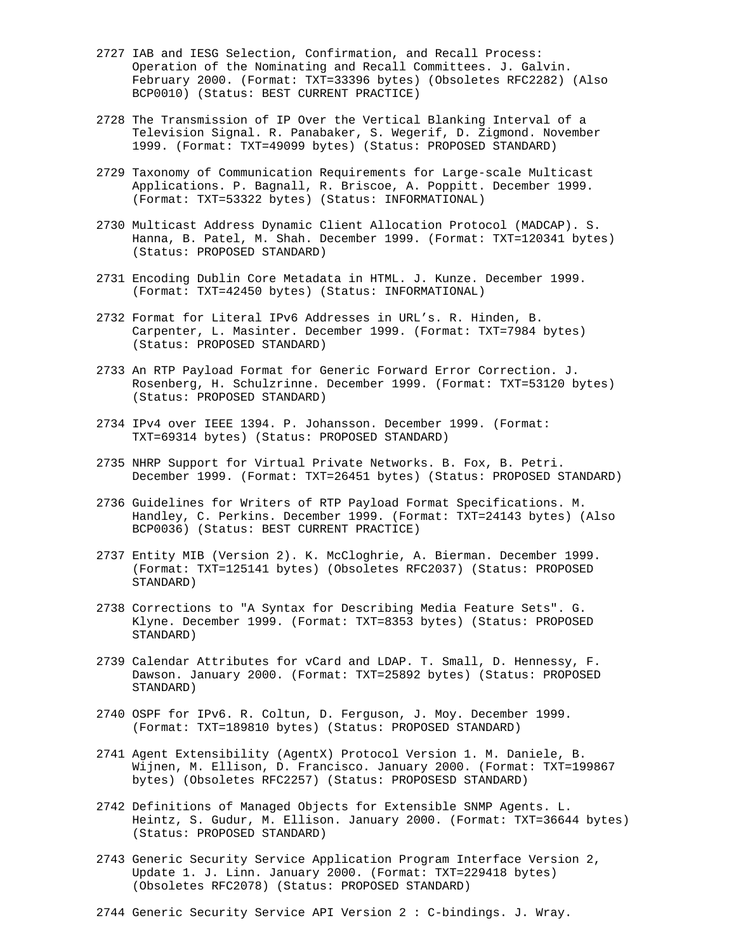- 2727 IAB and IESG Selection, Confirmation, and Recall Process: Operation of the Nominating and Recall Committees. J. Galvin. February 2000. (Format: TXT=33396 bytes) (Obsoletes RFC2282) (Also BCP0010) (Status: BEST CURRENT PRACTICE)
- 2728 The Transmission of IP Over the Vertical Blanking Interval of a Television Signal. R. Panabaker, S. Wegerif, D. Zigmond. November 1999. (Format: TXT=49099 bytes) (Status: PROPOSED STANDARD)
- 2729 Taxonomy of Communication Requirements for Large-scale Multicast Applications. P. Bagnall, R. Briscoe, A. Poppitt. December 1999. (Format: TXT=53322 bytes) (Status: INFORMATIONAL)
- 2730 Multicast Address Dynamic Client Allocation Protocol (MADCAP). S. Hanna, B. Patel, M. Shah. December 1999. (Format: TXT=120341 bytes) (Status: PROPOSED STANDARD)
- 2731 Encoding Dublin Core Metadata in HTML. J. Kunze. December 1999. (Format: TXT=42450 bytes) (Status: INFORMATIONAL)
- 2732 Format for Literal IPv6 Addresses in URL's. R. Hinden, B. Carpenter, L. Masinter. December 1999. (Format: TXT=7984 bytes) (Status: PROPOSED STANDARD)
- 2733 An RTP Payload Format for Generic Forward Error Correction. J. Rosenberg, H. Schulzrinne. December 1999. (Format: TXT=53120 bytes) (Status: PROPOSED STANDARD)
- 2734 IPv4 over IEEE 1394. P. Johansson. December 1999. (Format: TXT=69314 bytes) (Status: PROPOSED STANDARD)
- 2735 NHRP Support for Virtual Private Networks. B. Fox, B. Petri. December 1999. (Format: TXT=26451 bytes) (Status: PROPOSED STANDARD)
- 2736 Guidelines for Writers of RTP Payload Format Specifications. M. Handley, C. Perkins. December 1999. (Format: TXT=24143 bytes) (Also BCP0036) (Status: BEST CURRENT PRACTICE)
- 2737 Entity MIB (Version 2). K. McCloghrie, A. Bierman. December 1999. (Format: TXT=125141 bytes) (Obsoletes RFC2037) (Status: PROPOSED STANDARD)
- 2738 Corrections to "A Syntax for Describing Media Feature Sets". G. Klyne. December 1999. (Format: TXT=8353 bytes) (Status: PROPOSED STANDARD)
- 2739 Calendar Attributes for vCard and LDAP. T. Small, D. Hennessy, F. Dawson. January 2000. (Format: TXT=25892 bytes) (Status: PROPOSED STANDARD)
- 2740 OSPF for IPv6. R. Coltun, D. Ferguson, J. Moy. December 1999. (Format: TXT=189810 bytes) (Status: PROPOSED STANDARD)
- 2741 Agent Extensibility (AgentX) Protocol Version 1. M. Daniele, B. Wijnen, M. Ellison, D. Francisco. January 2000. (Format: TXT=199867 bytes) (Obsoletes RFC2257) (Status: PROPOSESD STANDARD)
- 2742 Definitions of Managed Objects for Extensible SNMP Agents. L. Heintz, S. Gudur, M. Ellison. January 2000. (Format: TXT=36644 bytes) (Status: PROPOSED STANDARD)
- 2743 Generic Security Service Application Program Interface Version 2, Update 1. J. Linn. January 2000. (Format: TXT=229418 bytes) (Obsoletes RFC2078) (Status: PROPOSED STANDARD)
- 2744 Generic Security Service API Version 2 : C-bindings. J. Wray.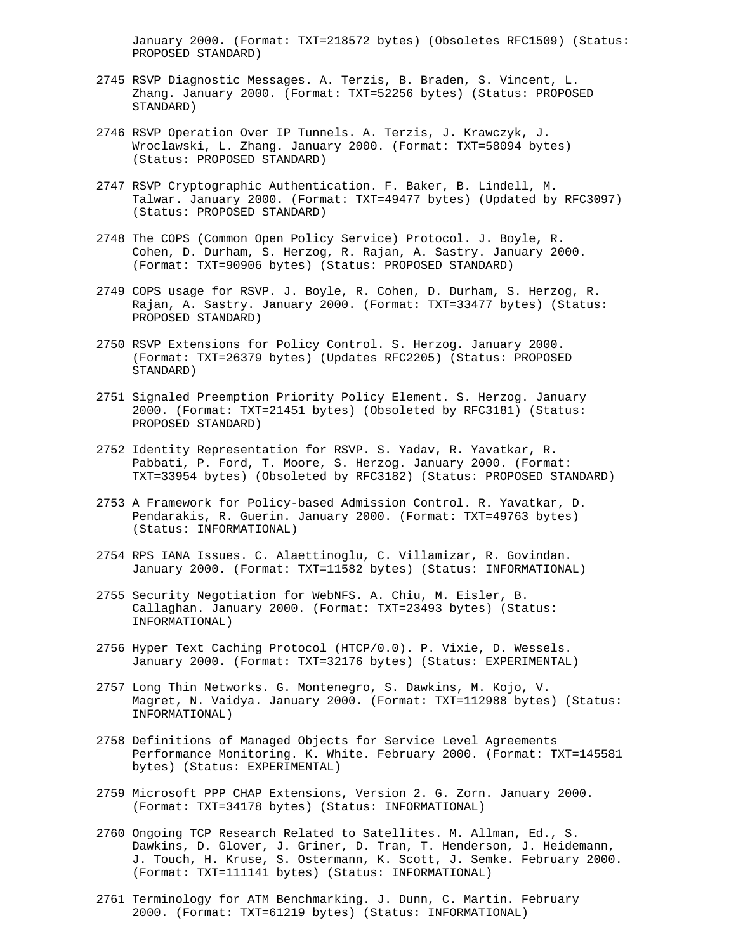January 2000. (Format: TXT=218572 bytes) (Obsoletes RFC1509) (Status: PROPOSED STANDARD)

- 2745 RSVP Diagnostic Messages. A. Terzis, B. Braden, S. Vincent, L. Zhang. January 2000. (Format: TXT=52256 bytes) (Status: PROPOSED STANDARD)
- 2746 RSVP Operation Over IP Tunnels. A. Terzis, J. Krawczyk, J. Wroclawski, L. Zhang. January 2000. (Format: TXT=58094 bytes) (Status: PROPOSED STANDARD)
- 2747 RSVP Cryptographic Authentication. F. Baker, B. Lindell, M. Talwar. January 2000. (Format: TXT=49477 bytes) (Updated by RFC3097) (Status: PROPOSED STANDARD)
- 2748 The COPS (Common Open Policy Service) Protocol. J. Boyle, R. Cohen, D. Durham, S. Herzog, R. Rajan, A. Sastry. January 2000. (Format: TXT=90906 bytes) (Status: PROPOSED STANDARD)
- 2749 COPS usage for RSVP. J. Boyle, R. Cohen, D. Durham, S. Herzog, R. Rajan, A. Sastry. January 2000. (Format: TXT=33477 bytes) (Status: PROPOSED STANDARD)
- 2750 RSVP Extensions for Policy Control. S. Herzog. January 2000. (Format: TXT=26379 bytes) (Updates RFC2205) (Status: PROPOSED STANDARD)
- 2751 Signaled Preemption Priority Policy Element. S. Herzog. January 2000. (Format: TXT=21451 bytes) (Obsoleted by RFC3181) (Status: PROPOSED STANDARD)
- 2752 Identity Representation for RSVP. S. Yadav, R. Yavatkar, R. Pabbati, P. Ford, T. Moore, S. Herzog. January 2000. (Format: TXT=33954 bytes) (Obsoleted by RFC3182) (Status: PROPOSED STANDARD)
- 2753 A Framework for Policy-based Admission Control. R. Yavatkar, D. Pendarakis, R. Guerin. January 2000. (Format: TXT=49763 bytes) (Status: INFORMATIONAL)
- 2754 RPS IANA Issues. C. Alaettinoglu, C. Villamizar, R. Govindan. January 2000. (Format: TXT=11582 bytes) (Status: INFORMATIONAL)
- 2755 Security Negotiation for WebNFS. A. Chiu, M. Eisler, B. Callaghan. January 2000. (Format: TXT=23493 bytes) (Status: INFORMATIONAL)
- 2756 Hyper Text Caching Protocol (HTCP/0.0). P. Vixie, D. Wessels. January 2000. (Format: TXT=32176 bytes) (Status: EXPERIMENTAL)
- 2757 Long Thin Networks. G. Montenegro, S. Dawkins, M. Kojo, V. Magret, N. Vaidya. January 2000. (Format: TXT=112988 bytes) (Status: INFORMATIONAL)
- 2758 Definitions of Managed Objects for Service Level Agreements Performance Monitoring. K. White. February 2000. (Format: TXT=145581 bytes) (Status: EXPERIMENTAL)
- 2759 Microsoft PPP CHAP Extensions, Version 2. G. Zorn. January 2000. (Format: TXT=34178 bytes) (Status: INFORMATIONAL)
- 2760 Ongoing TCP Research Related to Satellites. M. Allman, Ed., S. Dawkins, D. Glover, J. Griner, D. Tran, T. Henderson, J. Heidemann, J. Touch, H. Kruse, S. Ostermann, K. Scott, J. Semke. February 2000. (Format: TXT=111141 bytes) (Status: INFORMATIONAL)
- 2761 Terminology for ATM Benchmarking. J. Dunn, C. Martin. February 2000. (Format: TXT=61219 bytes) (Status: INFORMATIONAL)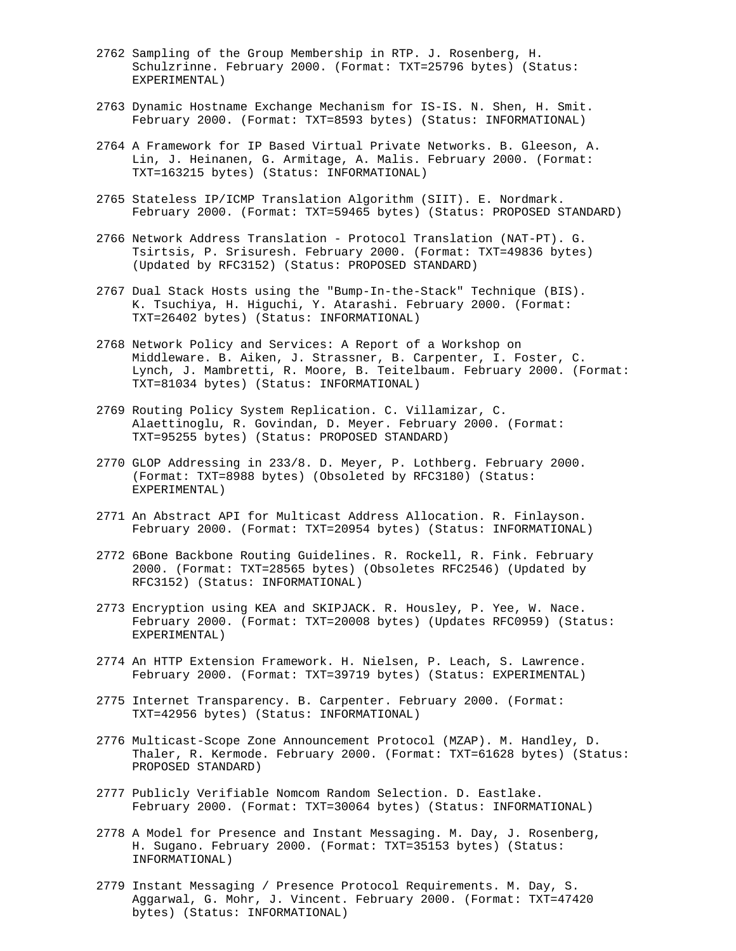- 2762 Sampling of the Group Membership in RTP. J. Rosenberg, H. Schulzrinne. February 2000. (Format: TXT=25796 bytes) (Status: EXPERIMENTAL)
- 2763 Dynamic Hostname Exchange Mechanism for IS-IS. N. Shen, H. Smit. February 2000. (Format: TXT=8593 bytes) (Status: INFORMATIONAL)
- 2764 A Framework for IP Based Virtual Private Networks. B. Gleeson, A. Lin, J. Heinanen, G. Armitage, A. Malis. February 2000. (Format: TXT=163215 bytes) (Status: INFORMATIONAL)
- 2765 Stateless IP/ICMP Translation Algorithm (SIIT). E. Nordmark. February 2000. (Format: TXT=59465 bytes) (Status: PROPOSED STANDARD)
- 2766 Network Address Translation Protocol Translation (NAT-PT). G. Tsirtsis, P. Srisuresh. February 2000. (Format: TXT=49836 bytes) (Updated by RFC3152) (Status: PROPOSED STANDARD)
- 2767 Dual Stack Hosts using the "Bump-In-the-Stack" Technique (BIS). K. Tsuchiya, H. Higuchi, Y. Atarashi. February 2000. (Format: TXT=26402 bytes) (Status: INFORMATIONAL)
- 2768 Network Policy and Services: A Report of a Workshop on Middleware. B. Aiken, J. Strassner, B. Carpenter, I. Foster, C. Lynch, J. Mambretti, R. Moore, B. Teitelbaum. February 2000. (Format: TXT=81034 bytes) (Status: INFORMATIONAL)
- 2769 Routing Policy System Replication. C. Villamizar, C. Alaettinoglu, R. Govindan, D. Meyer. February 2000. (Format: TXT=95255 bytes) (Status: PROPOSED STANDARD)
- 2770 GLOP Addressing in 233/8. D. Meyer, P. Lothberg. February 2000. (Format: TXT=8988 bytes) (Obsoleted by RFC3180) (Status: EXPERIMENTAL)
- 2771 An Abstract API for Multicast Address Allocation. R. Finlayson. February 2000. (Format: TXT=20954 bytes) (Status: INFORMATIONAL)
- 2772 6Bone Backbone Routing Guidelines. R. Rockell, R. Fink. February 2000. (Format: TXT=28565 bytes) (Obsoletes RFC2546) (Updated by RFC3152) (Status: INFORMATIONAL)
- 2773 Encryption using KEA and SKIPJACK. R. Housley, P. Yee, W. Nace. February 2000. (Format: TXT=20008 bytes) (Updates RFC0959) (Status: EXPERIMENTAL)
- 2774 An HTTP Extension Framework. H. Nielsen, P. Leach, S. Lawrence. February 2000. (Format: TXT=39719 bytes) (Status: EXPERIMENTAL)
- 2775 Internet Transparency. B. Carpenter. February 2000. (Format: TXT=42956 bytes) (Status: INFORMATIONAL)
- 2776 Multicast-Scope Zone Announcement Protocol (MZAP). M. Handley, D. Thaler, R. Kermode. February 2000. (Format: TXT=61628 bytes) (Status: PROPOSED STANDARD)
- 2777 Publicly Verifiable Nomcom Random Selection. D. Eastlake. February 2000. (Format: TXT=30064 bytes) (Status: INFORMATIONAL)
- 2778 A Model for Presence and Instant Messaging. M. Day, J. Rosenberg, H. Sugano. February 2000. (Format: TXT=35153 bytes) (Status: INFORMATIONAL)
- 2779 Instant Messaging / Presence Protocol Requirements. M. Day, S. Aggarwal, G. Mohr, J. Vincent. February 2000. (Format: TXT=47420 bytes) (Status: INFORMATIONAL)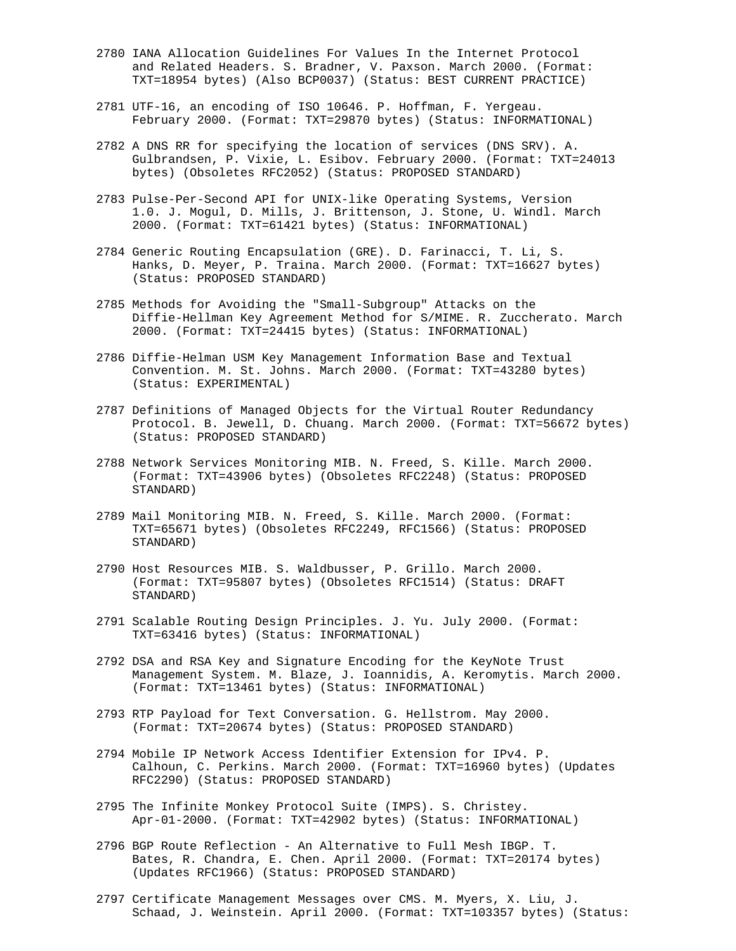- 2780 IANA Allocation Guidelines For Values In the Internet Protocol and Related Headers. S. Bradner, V. Paxson. March 2000. (Format: TXT=18954 bytes) (Also BCP0037) (Status: BEST CURRENT PRACTICE)
- 2781 UTF-16, an encoding of ISO 10646. P. Hoffman, F. Yergeau. February 2000. (Format: TXT=29870 bytes) (Status: INFORMATIONAL)
- 2782 A DNS RR for specifying the location of services (DNS SRV). A. Gulbrandsen, P. Vixie, L. Esibov. February 2000. (Format: TXT=24013 bytes) (Obsoletes RFC2052) (Status: PROPOSED STANDARD)
- 2783 Pulse-Per-Second API for UNIX-like Operating Systems, Version 1.0. J. Mogul, D. Mills, J. Brittenson, J. Stone, U. Windl. March 2000. (Format: TXT=61421 bytes) (Status: INFORMATIONAL)
- 2784 Generic Routing Encapsulation (GRE). D. Farinacci, T. Li, S. Hanks, D. Meyer, P. Traina. March 2000. (Format: TXT=16627 bytes) (Status: PROPOSED STANDARD)
- 2785 Methods for Avoiding the "Small-Subgroup" Attacks on the Diffie-Hellman Key Agreement Method for S/MIME. R. Zuccherato. March 2000. (Format: TXT=24415 bytes) (Status: INFORMATIONAL)
- 2786 Diffie-Helman USM Key Management Information Base and Textual Convention. M. St. Johns. March 2000. (Format: TXT=43280 bytes) (Status: EXPERIMENTAL)
- 2787 Definitions of Managed Objects for the Virtual Router Redundancy Protocol. B. Jewell, D. Chuang. March 2000. (Format: TXT=56672 bytes) (Status: PROPOSED STANDARD)
- 2788 Network Services Monitoring MIB. N. Freed, S. Kille. March 2000. (Format: TXT=43906 bytes) (Obsoletes RFC2248) (Status: PROPOSED STANDARD)
- 2789 Mail Monitoring MIB. N. Freed, S. Kille. March 2000. (Format: TXT=65671 bytes) (Obsoletes RFC2249, RFC1566) (Status: PROPOSED STANDARD)
- 2790 Host Resources MIB. S. Waldbusser, P. Grillo. March 2000. (Format: TXT=95807 bytes) (Obsoletes RFC1514) (Status: DRAFT STANDARD)
- 2791 Scalable Routing Design Principles. J. Yu. July 2000. (Format: TXT=63416 bytes) (Status: INFORMATIONAL)
- 2792 DSA and RSA Key and Signature Encoding for the KeyNote Trust Management System. M. Blaze, J. Ioannidis, A. Keromytis. March 2000. (Format: TXT=13461 bytes) (Status: INFORMATIONAL)
- 2793 RTP Payload for Text Conversation. G. Hellstrom. May 2000. (Format: TXT=20674 bytes) (Status: PROPOSED STANDARD)
- 2794 Mobile IP Network Access Identifier Extension for IPv4. P. Calhoun, C. Perkins. March 2000. (Format: TXT=16960 bytes) (Updates RFC2290) (Status: PROPOSED STANDARD)
- 2795 The Infinite Monkey Protocol Suite (IMPS). S. Christey. Apr-01-2000. (Format: TXT=42902 bytes) (Status: INFORMATIONAL)
- 2796 BGP Route Reflection An Alternative to Full Mesh IBGP. T. Bates, R. Chandra, E. Chen. April 2000. (Format: TXT=20174 bytes) (Updates RFC1966) (Status: PROPOSED STANDARD)
- 2797 Certificate Management Messages over CMS. M. Myers, X. Liu, J. Schaad, J. Weinstein. April 2000. (Format: TXT=103357 bytes) (Status: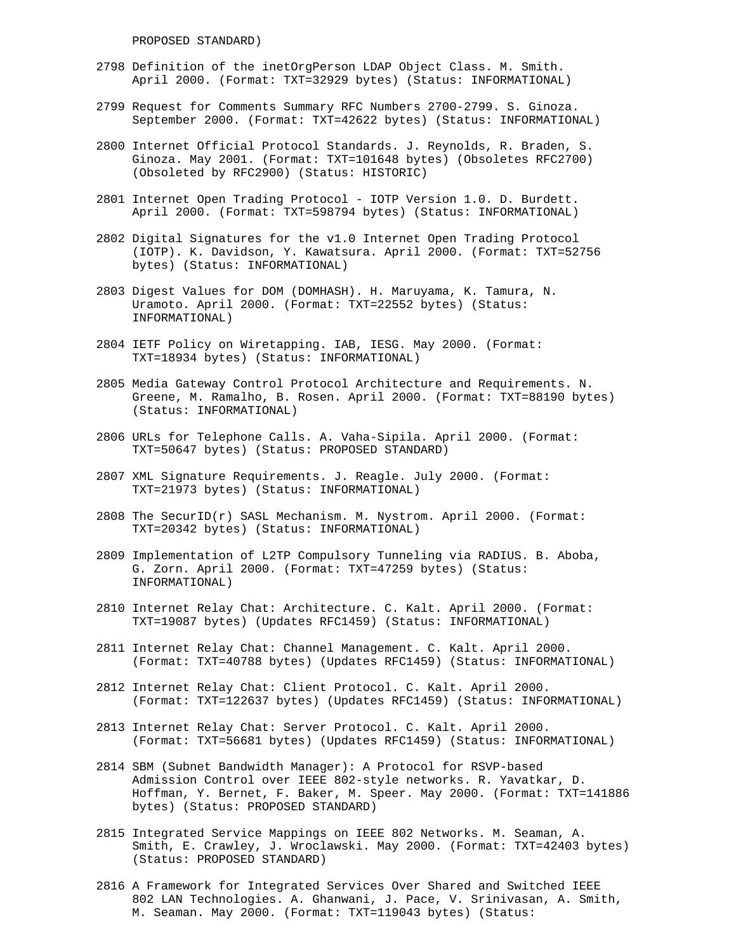PROPOSED STANDARD)

- 2798 Definition of the inetOrgPerson LDAP Object Class. M. Smith. April 2000. (Format: TXT=32929 bytes) (Status: INFORMATIONAL)
- 2799 Request for Comments Summary RFC Numbers 2700-2799. S. Ginoza. September 2000. (Format: TXT=42622 bytes) (Status: INFORMATIONAL)
- 2800 Internet Official Protocol Standards. J. Reynolds, R. Braden, S. Ginoza. May 2001. (Format: TXT=101648 bytes) (Obsoletes RFC2700) (Obsoleted by RFC2900) (Status: HISTORIC)
- 2801 Internet Open Trading Protocol IOTP Version 1.0. D. Burdett. April 2000. (Format: TXT=598794 bytes) (Status: INFORMATIONAL)
- 2802 Digital Signatures for the v1.0 Internet Open Trading Protocol (IOTP). K. Davidson, Y. Kawatsura. April 2000. (Format: TXT=52756 bytes) (Status: INFORMATIONAL)
- 2803 Digest Values for DOM (DOMHASH). H. Maruyama, K. Tamura, N. Uramoto. April 2000. (Format: TXT=22552 bytes) (Status: INFORMATIONAL)
- 2804 IETF Policy on Wiretapping. IAB, IESG. May 2000. (Format: TXT=18934 bytes) (Status: INFORMATIONAL)
- 2805 Media Gateway Control Protocol Architecture and Requirements. N. Greene, M. Ramalho, B. Rosen. April 2000. (Format: TXT=88190 bytes) (Status: INFORMATIONAL)
- 2806 URLs for Telephone Calls. A. Vaha-Sipila. April 2000. (Format: TXT=50647 bytes) (Status: PROPOSED STANDARD)
- 2807 XML Signature Requirements. J. Reagle. July 2000. (Format: TXT=21973 bytes) (Status: INFORMATIONAL)
- 2808 The SecurID $(r)$  SASL Mechanism. M. Nystrom. April 2000. (Format: TXT=20342 bytes) (Status: INFORMATIONAL)
- 2809 Implementation of L2TP Compulsory Tunneling via RADIUS. B. Aboba, G. Zorn. April 2000. (Format: TXT=47259 bytes) (Status: INFORMATIONAL)
- 2810 Internet Relay Chat: Architecture. C. Kalt. April 2000. (Format: TXT=19087 bytes) (Updates RFC1459) (Status: INFORMATIONAL)
- 2811 Internet Relay Chat: Channel Management. C. Kalt. April 2000. (Format: TXT=40788 bytes) (Updates RFC1459) (Status: INFORMATIONAL)
- 2812 Internet Relay Chat: Client Protocol. C. Kalt. April 2000. (Format: TXT=122637 bytes) (Updates RFC1459) (Status: INFORMATIONAL)
- 2813 Internet Relay Chat: Server Protocol. C. Kalt. April 2000. (Format: TXT=56681 bytes) (Updates RFC1459) (Status: INFORMATIONAL)
- 2814 SBM (Subnet Bandwidth Manager): A Protocol for RSVP-based Admission Control over IEEE 802-style networks. R. Yavatkar, D. Hoffman, Y. Bernet, F. Baker, M. Speer. May 2000. (Format: TXT=141886 bytes) (Status: PROPOSED STANDARD)
- 2815 Integrated Service Mappings on IEEE 802 Networks. M. Seaman, A. Smith, E. Crawley, J. Wroclawski. May 2000. (Format: TXT=42403 bytes) (Status: PROPOSED STANDARD)
- 2816 A Framework for Integrated Services Over Shared and Switched IEEE 802 LAN Technologies. A. Ghanwani, J. Pace, V. Srinivasan, A. Smith, M. Seaman. May 2000. (Format: TXT=119043 bytes) (Status: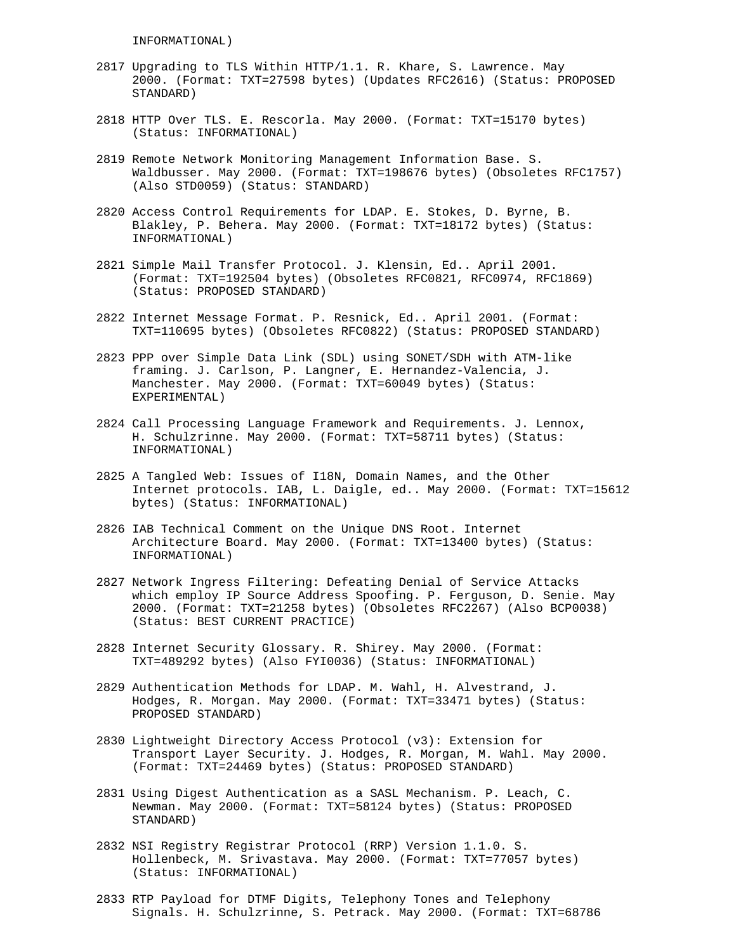INFORMATIONAL)

- 2817 Upgrading to TLS Within HTTP/1.1. R. Khare, S. Lawrence. May 2000. (Format: TXT=27598 bytes) (Updates RFC2616) (Status: PROPOSED STANDARD)
- 2818 HTTP Over TLS. E. Rescorla. May 2000. (Format: TXT=15170 bytes) (Status: INFORMATIONAL)
- 2819 Remote Network Monitoring Management Information Base. S. Waldbusser. May 2000. (Format: TXT=198676 bytes) (Obsoletes RFC1757) (Also STD0059) (Status: STANDARD)
- 2820 Access Control Requirements for LDAP. E. Stokes, D. Byrne, B. Blakley, P. Behera. May 2000. (Format: TXT=18172 bytes) (Status: INFORMATIONAL)
- 2821 Simple Mail Transfer Protocol. J. Klensin, Ed.. April 2001. (Format: TXT=192504 bytes) (Obsoletes RFC0821, RFC0974, RFC1869) (Status: PROPOSED STANDARD)
- 2822 Internet Message Format. P. Resnick, Ed.. April 2001. (Format: TXT=110695 bytes) (Obsoletes RFC0822) (Status: PROPOSED STANDARD)
- 2823 PPP over Simple Data Link (SDL) using SONET/SDH with ATM-like framing. J. Carlson, P. Langner, E. Hernandez-Valencia, J. Manchester. May 2000. (Format: TXT=60049 bytes) (Status: EXPERIMENTAL)
- 2824 Call Processing Language Framework and Requirements. J. Lennox, H. Schulzrinne. May 2000. (Format: TXT=58711 bytes) (Status: INFORMATIONAL)
- 2825 A Tangled Web: Issues of I18N, Domain Names, and the Other Internet protocols. IAB, L. Daigle, ed.. May 2000. (Format: TXT=15612 bytes) (Status: INFORMATIONAL)
- 2826 IAB Technical Comment on the Unique DNS Root. Internet Architecture Board. May 2000. (Format: TXT=13400 bytes) (Status: INFORMATIONAL)
- 2827 Network Ingress Filtering: Defeating Denial of Service Attacks which employ IP Source Address Spoofing. P. Ferguson, D. Senie. May 2000. (Format: TXT=21258 bytes) (Obsoletes RFC2267) (Also BCP0038) (Status: BEST CURRENT PRACTICE)
- 2828 Internet Security Glossary. R. Shirey. May 2000. (Format: TXT=489292 bytes) (Also FYI0036) (Status: INFORMATIONAL)
- 2829 Authentication Methods for LDAP. M. Wahl, H. Alvestrand, J. Hodges, R. Morgan. May 2000. (Format: TXT=33471 bytes) (Status: PROPOSED STANDARD)
- 2830 Lightweight Directory Access Protocol (v3): Extension for Transport Layer Security. J. Hodges, R. Morgan, M. Wahl. May 2000. (Format: TXT=24469 bytes) (Status: PROPOSED STANDARD)
- 2831 Using Digest Authentication as a SASL Mechanism. P. Leach, C. Newman. May 2000. (Format: TXT=58124 bytes) (Status: PROPOSED STANDARD)
- 2832 NSI Registry Registrar Protocol (RRP) Version 1.1.0. S. Hollenbeck, M. Srivastava. May 2000. (Format: TXT=77057 bytes) (Status: INFORMATIONAL)
- 2833 RTP Payload for DTMF Digits, Telephony Tones and Telephony Signals. H. Schulzrinne, S. Petrack. May 2000. (Format: TXT=68786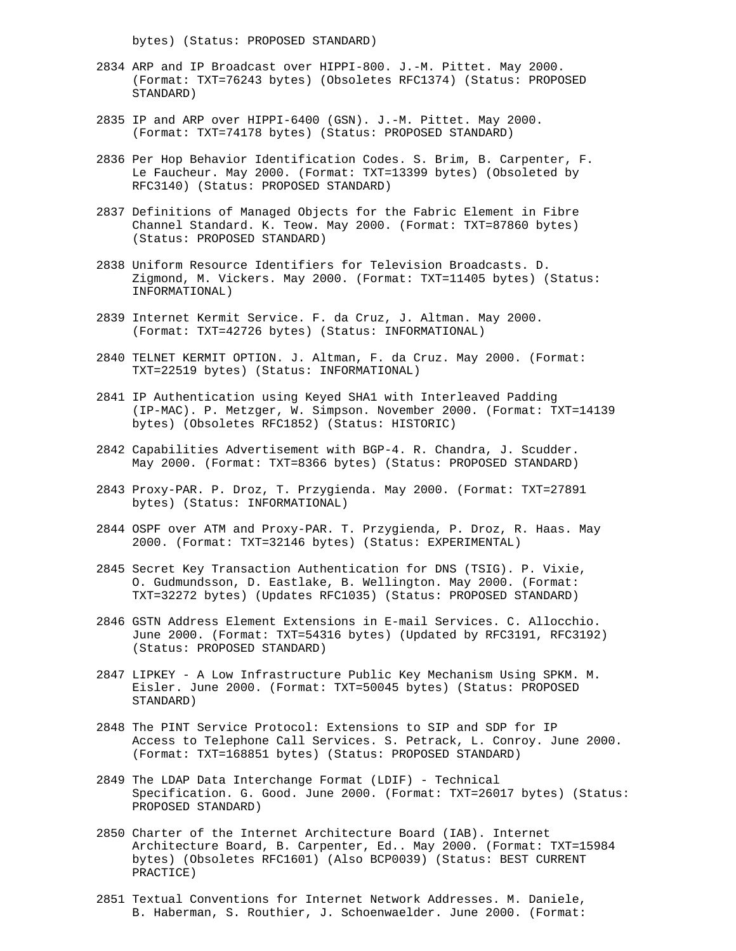bytes) (Status: PROPOSED STANDARD)

- 2834 ARP and IP Broadcast over HIPPI-800. J.-M. Pittet. May 2000. (Format: TXT=76243 bytes) (Obsoletes RFC1374) (Status: PROPOSED STANDARD)
- 2835 IP and ARP over HIPPI-6400 (GSN). J.-M. Pittet. May 2000. (Format: TXT=74178 bytes) (Status: PROPOSED STANDARD)
- 2836 Per Hop Behavior Identification Codes. S. Brim, B. Carpenter, F. Le Faucheur. May 2000. (Format: TXT=13399 bytes) (Obsoleted by RFC3140) (Status: PROPOSED STANDARD)
- 2837 Definitions of Managed Objects for the Fabric Element in Fibre Channel Standard. K. Teow. May 2000. (Format: TXT=87860 bytes) (Status: PROPOSED STANDARD)
- 2838 Uniform Resource Identifiers for Television Broadcasts. D. Zigmond, M. Vickers. May 2000. (Format: TXT=11405 bytes) (Status: INFORMATIONAL)
- 2839 Internet Kermit Service. F. da Cruz, J. Altman. May 2000. (Format: TXT=42726 bytes) (Status: INFORMATIONAL)
- 2840 TELNET KERMIT OPTION. J. Altman, F. da Cruz. May 2000. (Format: TXT=22519 bytes) (Status: INFORMATIONAL)
- 2841 IP Authentication using Keyed SHA1 with Interleaved Padding (IP-MAC). P. Metzger, W. Simpson. November 2000. (Format: TXT=14139 bytes) (Obsoletes RFC1852) (Status: HISTORIC)
- 2842 Capabilities Advertisement with BGP-4. R. Chandra, J. Scudder. May 2000. (Format: TXT=8366 bytes) (Status: PROPOSED STANDARD)
- 2843 Proxy-PAR. P. Droz, T. Przygienda. May 2000. (Format: TXT=27891 bytes) (Status: INFORMATIONAL)
- 2844 OSPF over ATM and Proxy-PAR. T. Przygienda, P. Droz, R. Haas. May 2000. (Format: TXT=32146 bytes) (Status: EXPERIMENTAL)
- 2845 Secret Key Transaction Authentication for DNS (TSIG). P. Vixie, O. Gudmundsson, D. Eastlake, B. Wellington. May 2000. (Format: TXT=32272 bytes) (Updates RFC1035) (Status: PROPOSED STANDARD)
- 2846 GSTN Address Element Extensions in E-mail Services. C. Allocchio. June 2000. (Format: TXT=54316 bytes) (Updated by RFC3191, RFC3192) (Status: PROPOSED STANDARD)
- 2847 LIPKEY A Low Infrastructure Public Key Mechanism Using SPKM. M. Eisler. June 2000. (Format: TXT=50045 bytes) (Status: PROPOSED STANDARD)
- 2848 The PINT Service Protocol: Extensions to SIP and SDP for IP Access to Telephone Call Services. S. Petrack, L. Conroy. June 2000. (Format: TXT=168851 bytes) (Status: PROPOSED STANDARD)
- 2849 The LDAP Data Interchange Format (LDIF) Technical Specification. G. Good. June 2000. (Format: TXT=26017 bytes) (Status: PROPOSED STANDARD)
- 2850 Charter of the Internet Architecture Board (IAB). Internet Architecture Board, B. Carpenter, Ed.. May 2000. (Format: TXT=15984 bytes) (Obsoletes RFC1601) (Also BCP0039) (Status: BEST CURRENT PRACTICE)
- 2851 Textual Conventions for Internet Network Addresses. M. Daniele, B. Haberman, S. Routhier, J. Schoenwaelder. June 2000. (Format: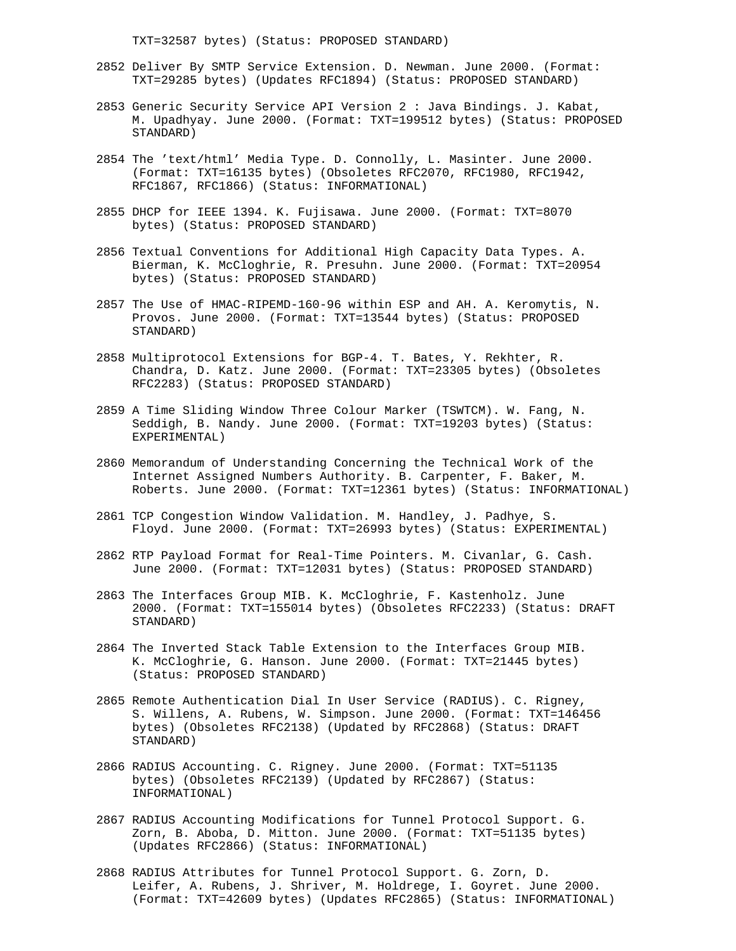TXT=32587 bytes) (Status: PROPOSED STANDARD)

- 2852 Deliver By SMTP Service Extension. D. Newman. June 2000. (Format: TXT=29285 bytes) (Updates RFC1894) (Status: PROPOSED STANDARD)
- 2853 Generic Security Service API Version 2 : Java Bindings. J. Kabat, M. Upadhyay. June 2000. (Format: TXT=199512 bytes) (Status: PROPOSED STANDARD)
- 2854 The 'text/html' Media Type. D. Connolly, L. Masinter. June 2000. (Format: TXT=16135 bytes) (Obsoletes RFC2070, RFC1980, RFC1942, RFC1867, RFC1866) (Status: INFORMATIONAL)
- 2855 DHCP for IEEE 1394. K. Fujisawa. June 2000. (Format: TXT=8070 bytes) (Status: PROPOSED STANDARD)
- 2856 Textual Conventions for Additional High Capacity Data Types. A. Bierman, K. McCloghrie, R. Presuhn. June 2000. (Format: TXT=20954 bytes) (Status: PROPOSED STANDARD)
- 2857 The Use of HMAC-RIPEMD-160-96 within ESP and AH. A. Keromytis, N. Provos. June 2000. (Format: TXT=13544 bytes) (Status: PROPOSED STANDARD)
- 2858 Multiprotocol Extensions for BGP-4. T. Bates, Y. Rekhter, R. Chandra, D. Katz. June 2000. (Format: TXT=23305 bytes) (Obsoletes RFC2283) (Status: PROPOSED STANDARD)
- 2859 A Time Sliding Window Three Colour Marker (TSWTCM). W. Fang, N. Seddigh, B. Nandy. June 2000. (Format: TXT=19203 bytes) (Status: EXPERIMENTAL)
- 2860 Memorandum of Understanding Concerning the Technical Work of the Internet Assigned Numbers Authority. B. Carpenter, F. Baker, M. Roberts. June 2000. (Format: TXT=12361 bytes) (Status: INFORMATIONAL)
- 2861 TCP Congestion Window Validation. M. Handley, J. Padhye, S. Floyd. June 2000. (Format: TXT=26993 bytes) (Status: EXPERIMENTAL)
- 2862 RTP Payload Format for Real-Time Pointers. M. Civanlar, G. Cash. June 2000. (Format: TXT=12031 bytes) (Status: PROPOSED STANDARD)
- 2863 The Interfaces Group MIB. K. McCloghrie, F. Kastenholz. June 2000. (Format: TXT=155014 bytes) (Obsoletes RFC2233) (Status: DRAFT STANDARD)
- 2864 The Inverted Stack Table Extension to the Interfaces Group MIB. K. McCloghrie, G. Hanson. June 2000. (Format: TXT=21445 bytes) (Status: PROPOSED STANDARD)
- 2865 Remote Authentication Dial In User Service (RADIUS). C. Rigney, S. Willens, A. Rubens, W. Simpson. June 2000. (Format: TXT=146456 bytes) (Obsoletes RFC2138) (Updated by RFC2868) (Status: DRAFT STANDARD)
- 2866 RADIUS Accounting. C. Rigney. June 2000. (Format: TXT=51135 bytes) (Obsoletes RFC2139) (Updated by RFC2867) (Status: INFORMATIONAL)
- 2867 RADIUS Accounting Modifications for Tunnel Protocol Support. G. Zorn, B. Aboba, D. Mitton. June 2000. (Format: TXT=51135 bytes) (Updates RFC2866) (Status: INFORMATIONAL)
- 2868 RADIUS Attributes for Tunnel Protocol Support. G. Zorn, D. Leifer, A. Rubens, J. Shriver, M. Holdrege, I. Goyret. June 2000. (Format: TXT=42609 bytes) (Updates RFC2865) (Status: INFORMATIONAL)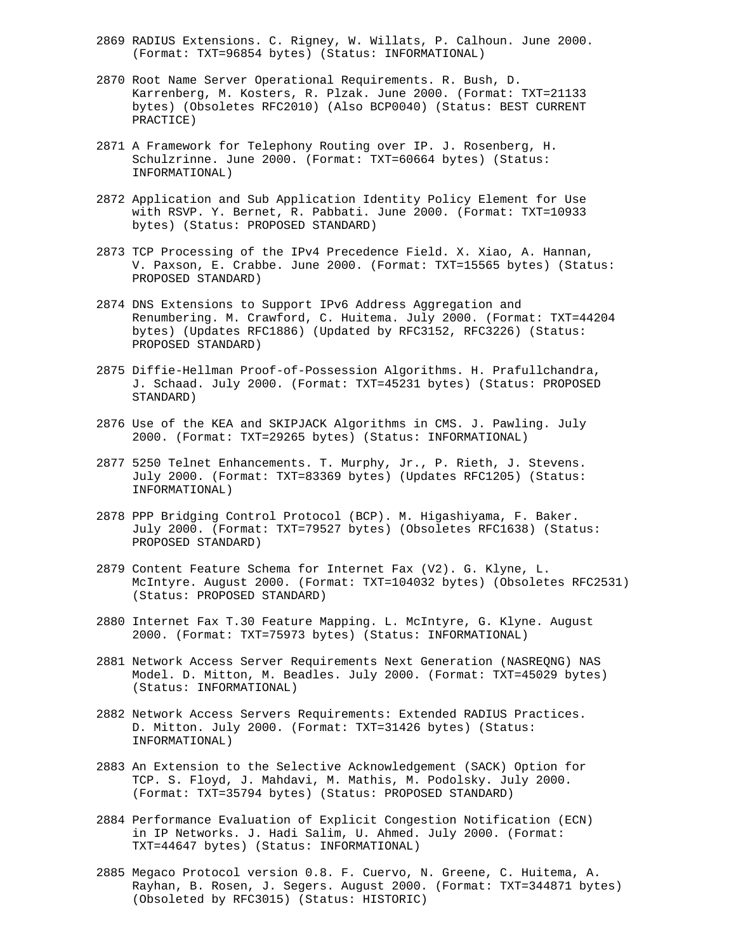- 2869 RADIUS Extensions. C. Rigney, W. Willats, P. Calhoun. June 2000. (Format: TXT=96854 bytes) (Status: INFORMATIONAL)
- 2870 Root Name Server Operational Requirements. R. Bush, D. Karrenberg, M. Kosters, R. Plzak. June 2000. (Format: TXT=21133 bytes) (Obsoletes RFC2010) (Also BCP0040) (Status: BEST CURRENT PRACTICE)
- 2871 A Framework for Telephony Routing over IP. J. Rosenberg, H. Schulzrinne. June 2000. (Format: TXT=60664 bytes) (Status: INFORMATIONAL)
- 2872 Application and Sub Application Identity Policy Element for Use with RSVP. Y. Bernet, R. Pabbati. June 2000. (Format: TXT=10933 bytes) (Status: PROPOSED STANDARD)
- 2873 TCP Processing of the IPv4 Precedence Field. X. Xiao, A. Hannan, V. Paxson, E. Crabbe. June 2000. (Format: TXT=15565 bytes) (Status: PROPOSED STANDARD)
- 2874 DNS Extensions to Support IPv6 Address Aggregation and Renumbering. M. Crawford, C. Huitema. July 2000. (Format: TXT=44204 bytes) (Updates RFC1886) (Updated by RFC3152, RFC3226) (Status: PROPOSED STANDARD)
- 2875 Diffie-Hellman Proof-of-Possession Algorithms. H. Prafullchandra, J. Schaad. July 2000. (Format: TXT=45231 bytes) (Status: PROPOSED STANDARD)
- 2876 Use of the KEA and SKIPJACK Algorithms in CMS. J. Pawling. July 2000. (Format: TXT=29265 bytes) (Status: INFORMATIONAL)
- 2877 5250 Telnet Enhancements. T. Murphy, Jr., P. Rieth, J. Stevens. July 2000. (Format: TXT=83369 bytes) (Updates RFC1205) (Status: INFORMATIONAL)
- 2878 PPP Bridging Control Protocol (BCP). M. Higashiyama, F. Baker. July 2000. (Format: TXT=79527 bytes) (Obsoletes RFC1638) (Status: PROPOSED STANDARD)
- 2879 Content Feature Schema for Internet Fax (V2). G. Klyne, L. McIntyre. August 2000. (Format: TXT=104032 bytes) (Obsoletes RFC2531) (Status: PROPOSED STANDARD)
- 2880 Internet Fax T.30 Feature Mapping. L. McIntyre, G. Klyne. August 2000. (Format: TXT=75973 bytes) (Status: INFORMATIONAL)
- 2881 Network Access Server Requirements Next Generation (NASREQNG) NAS Model. D. Mitton, M. Beadles. July 2000. (Format: TXT=45029 bytes) (Status: INFORMATIONAL)
- 2882 Network Access Servers Requirements: Extended RADIUS Practices. D. Mitton. July 2000. (Format: TXT=31426 bytes) (Status: INFORMATIONAL)
- 2883 An Extension to the Selective Acknowledgement (SACK) Option for TCP. S. Floyd, J. Mahdavi, M. Mathis, M. Podolsky. July 2000. (Format: TXT=35794 bytes) (Status: PROPOSED STANDARD)
- 2884 Performance Evaluation of Explicit Congestion Notification (ECN) in IP Networks. J. Hadi Salim, U. Ahmed. July 2000. (Format: TXT=44647 bytes) (Status: INFORMATIONAL)
- 2885 Megaco Protocol version 0.8. F. Cuervo, N. Greene, C. Huitema, A. Rayhan, B. Rosen, J. Segers. August 2000. (Format: TXT=344871 bytes) (Obsoleted by RFC3015) (Status: HISTORIC)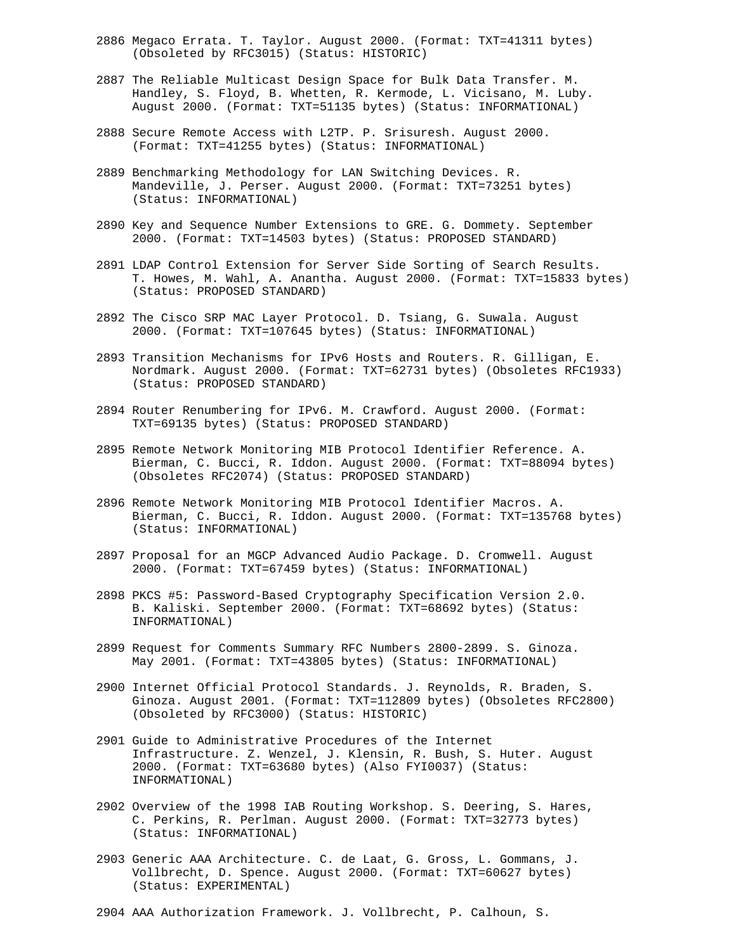- 2886 Megaco Errata. T. Taylor. August 2000. (Format: TXT=41311 bytes) (Obsoleted by RFC3015) (Status: HISTORIC)
- 2887 The Reliable Multicast Design Space for Bulk Data Transfer. M. Handley, S. Floyd, B. Whetten, R. Kermode, L. Vicisano, M. Luby. August 2000. (Format: TXT=51135 bytes) (Status: INFORMATIONAL)
- 2888 Secure Remote Access with L2TP. P. Srisuresh. August 2000. (Format: TXT=41255 bytes) (Status: INFORMATIONAL)
- 2889 Benchmarking Methodology for LAN Switching Devices. R. Mandeville, J. Perser. August 2000. (Format: TXT=73251 bytes) (Status: INFORMATIONAL)
- 2890 Key and Sequence Number Extensions to GRE. G. Dommety. September 2000. (Format: TXT=14503 bytes) (Status: PROPOSED STANDARD)
- 2891 LDAP Control Extension for Server Side Sorting of Search Results. T. Howes, M. Wahl, A. Anantha. August 2000. (Format: TXT=15833 bytes) (Status: PROPOSED STANDARD)
- 2892 The Cisco SRP MAC Layer Protocol. D. Tsiang, G. Suwala. August 2000. (Format: TXT=107645 bytes) (Status: INFORMATIONAL)
- 2893 Transition Mechanisms for IPv6 Hosts and Routers. R. Gilligan, E. Nordmark. August 2000. (Format: TXT=62731 bytes) (Obsoletes RFC1933) (Status: PROPOSED STANDARD)
- 2894 Router Renumbering for IPv6. M. Crawford. August 2000. (Format: TXT=69135 bytes) (Status: PROPOSED STANDARD)
- 2895 Remote Network Monitoring MIB Protocol Identifier Reference. A. Bierman, C. Bucci, R. Iddon. August 2000. (Format: TXT=88094 bytes) (Obsoletes RFC2074) (Status: PROPOSED STANDARD)
- 2896 Remote Network Monitoring MIB Protocol Identifier Macros. A. Bierman, C. Bucci, R. Iddon. August 2000. (Format: TXT=135768 bytes) (Status: INFORMATIONAL)
- 2897 Proposal for an MGCP Advanced Audio Package. D. Cromwell. August 2000. (Format: TXT=67459 bytes) (Status: INFORMATIONAL)
- 2898 PKCS #5: Password-Based Cryptography Specification Version 2.0. B. Kaliski. September 2000. (Format: TXT=68692 bytes) (Status: INFORMATIONAL)
- 2899 Request for Comments Summary RFC Numbers 2800-2899. S. Ginoza. May 2001. (Format: TXT=43805 bytes) (Status: INFORMATIONAL)
- 2900 Internet Official Protocol Standards. J. Reynolds, R. Braden, S. Ginoza. August 2001. (Format: TXT=112809 bytes) (Obsoletes RFC2800) (Obsoleted by RFC3000) (Status: HISTORIC)
- 2901 Guide to Administrative Procedures of the Internet Infrastructure. Z. Wenzel, J. Klensin, R. Bush, S. Huter. August 2000. (Format: TXT=63680 bytes) (Also FYI0037) (Status: INFORMATIONAL)
- 2902 Overview of the 1998 IAB Routing Workshop. S. Deering, S. Hares, C. Perkins, R. Perlman. August 2000. (Format: TXT=32773 bytes) (Status: INFORMATIONAL)
- 2903 Generic AAA Architecture. C. de Laat, G. Gross, L. Gommans, J. Vollbrecht, D. Spence. August 2000. (Format: TXT=60627 bytes) (Status: EXPERIMENTAL)

2904 AAA Authorization Framework. J. Vollbrecht, P. Calhoun, S.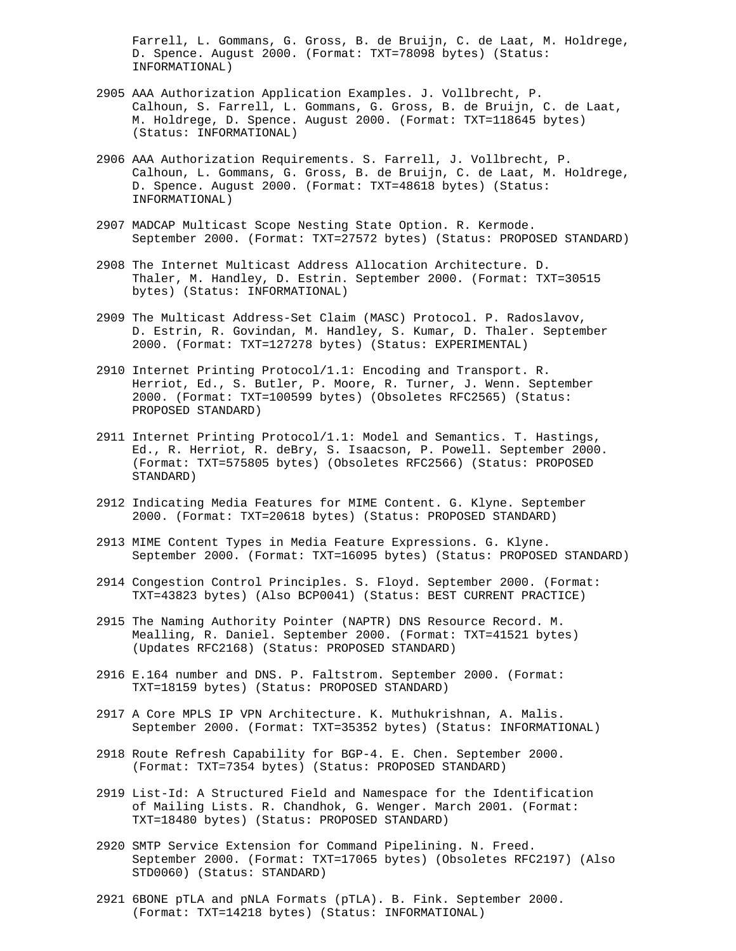Farrell, L. Gommans, G. Gross, B. de Bruijn, C. de Laat, M. Holdrege, D. Spence. August 2000. (Format: TXT=78098 bytes) (Status: INFORMATIONAL)

- 2905 AAA Authorization Application Examples. J. Vollbrecht, P. Calhoun, S. Farrell, L. Gommans, G. Gross, B. de Bruijn, C. de Laat, M. Holdrege, D. Spence. August 2000. (Format: TXT=118645 bytes) (Status: INFORMATIONAL)
- 2906 AAA Authorization Requirements. S. Farrell, J. Vollbrecht, P. Calhoun, L. Gommans, G. Gross, B. de Bruijn, C. de Laat, M. Holdrege, D. Spence. August 2000. (Format: TXT=48618 bytes) (Status: INFORMATIONAL)
- 2907 MADCAP Multicast Scope Nesting State Option. R. Kermode. September 2000. (Format: TXT=27572 bytes) (Status: PROPOSED STANDARD)
- 2908 The Internet Multicast Address Allocation Architecture. D. Thaler, M. Handley, D. Estrin. September 2000. (Format: TXT=30515 bytes) (Status: INFORMATIONAL)
- 2909 The Multicast Address-Set Claim (MASC) Protocol. P. Radoslavov, D. Estrin, R. Govindan, M. Handley, S. Kumar, D. Thaler. September 2000. (Format: TXT=127278 bytes) (Status: EXPERIMENTAL)
- 2910 Internet Printing Protocol/1.1: Encoding and Transport. R. Herriot, Ed., S. Butler, P. Moore, R. Turner, J. Wenn. September 2000. (Format: TXT=100599 bytes) (Obsoletes RFC2565) (Status: PROPOSED STANDARD)
- 2911 Internet Printing Protocol/1.1: Model and Semantics. T. Hastings, Ed., R. Herriot, R. deBry, S. Isaacson, P. Powell. September 2000. (Format: TXT=575805 bytes) (Obsoletes RFC2566) (Status: PROPOSED STANDARD)
- 2912 Indicating Media Features for MIME Content. G. Klyne. September 2000. (Format: TXT=20618 bytes) (Status: PROPOSED STANDARD)
- 2913 MIME Content Types in Media Feature Expressions. G. Klyne. September 2000. (Format: TXT=16095 bytes) (Status: PROPOSED STANDARD)
- 2914 Congestion Control Principles. S. Floyd. September 2000. (Format: TXT=43823 bytes) (Also BCP0041) (Status: BEST CURRENT PRACTICE)
- 2915 The Naming Authority Pointer (NAPTR) DNS Resource Record. M. Mealling, R. Daniel. September 2000. (Format: TXT=41521 bytes) (Updates RFC2168) (Status: PROPOSED STANDARD)
- 2916 E.164 number and DNS. P. Faltstrom. September 2000. (Format: TXT=18159 bytes) (Status: PROPOSED STANDARD)
- 2917 A Core MPLS IP VPN Architecture. K. Muthukrishnan, A. Malis. September 2000. (Format: TXT=35352 bytes) (Status: INFORMATIONAL)
- 2918 Route Refresh Capability for BGP-4. E. Chen. September 2000. (Format: TXT=7354 bytes) (Status: PROPOSED STANDARD)
- 2919 List-Id: A Structured Field and Namespace for the Identification of Mailing Lists. R. Chandhok, G. Wenger. March 2001. (Format: TXT=18480 bytes) (Status: PROPOSED STANDARD)
- 2920 SMTP Service Extension for Command Pipelining. N. Freed. September 2000. (Format: TXT=17065 bytes) (Obsoletes RFC2197) (Also STD0060) (Status: STANDARD)
- 2921 6BONE pTLA and pNLA Formats (pTLA). B. Fink. September 2000. (Format: TXT=14218 bytes) (Status: INFORMATIONAL)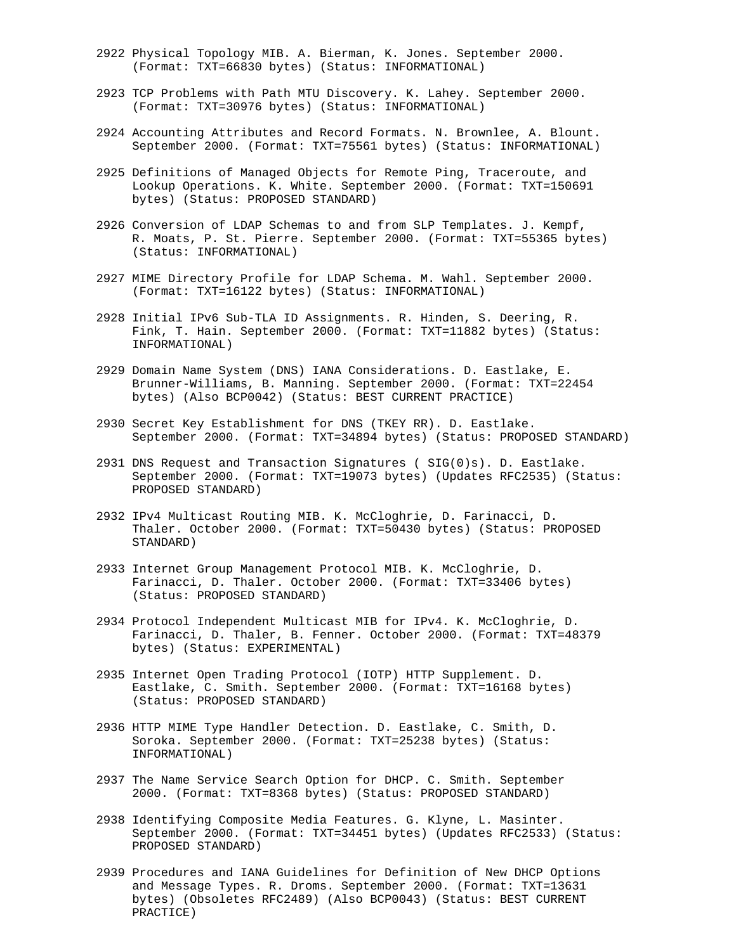- 2922 Physical Topology MIB. A. Bierman, K. Jones. September 2000. (Format: TXT=66830 bytes) (Status: INFORMATIONAL)
- 2923 TCP Problems with Path MTU Discovery. K. Lahey. September 2000. (Format: TXT=30976 bytes) (Status: INFORMATIONAL)
- 2924 Accounting Attributes and Record Formats. N. Brownlee, A. Blount. September 2000. (Format: TXT=75561 bytes) (Status: INFORMATIONAL)
- 2925 Definitions of Managed Objects for Remote Ping, Traceroute, and Lookup Operations. K. White. September 2000. (Format: TXT=150691 bytes) (Status: PROPOSED STANDARD)
- 2926 Conversion of LDAP Schemas to and from SLP Templates. J. Kempf, R. Moats, P. St. Pierre. September 2000. (Format: TXT=55365 bytes) (Status: INFORMATIONAL)
- 2927 MIME Directory Profile for LDAP Schema. M. Wahl. September 2000. (Format: TXT=16122 bytes) (Status: INFORMATIONAL)
- 2928 Initial IPv6 Sub-TLA ID Assignments. R. Hinden, S. Deering, R. Fink, T. Hain. September 2000. (Format: TXT=11882 bytes) (Status: INFORMATIONAL)
- 2929 Domain Name System (DNS) IANA Considerations. D. Eastlake, E. Brunner-Williams, B. Manning. September 2000. (Format: TXT=22454 bytes) (Also BCP0042) (Status: BEST CURRENT PRACTICE)
- 2930 Secret Key Establishment for DNS (TKEY RR). D. Eastlake. September 2000. (Format: TXT=34894 bytes) (Status: PROPOSED STANDARD)
- 2931 DNS Request and Transaction Signatures ( SIG(0)s). D. Eastlake. September 2000. (Format: TXT=19073 bytes) (Updates RFC2535) (Status: PROPOSED STANDARD)
- 2932 IPv4 Multicast Routing MIB. K. McCloghrie, D. Farinacci, D. Thaler. October 2000. (Format: TXT=50430 bytes) (Status: PROPOSED STANDARD)
- 2933 Internet Group Management Protocol MIB. K. McCloghrie, D. Farinacci, D. Thaler. October 2000. (Format: TXT=33406 bytes) (Status: PROPOSED STANDARD)
- 2934 Protocol Independent Multicast MIB for IPv4. K. McCloghrie, D. Farinacci, D. Thaler, B. Fenner. October 2000. (Format: TXT=48379 bytes) (Status: EXPERIMENTAL)
- 2935 Internet Open Trading Protocol (IOTP) HTTP Supplement. D. Eastlake, C. Smith. September 2000. (Format: TXT=16168 bytes) (Status: PROPOSED STANDARD)
- 2936 HTTP MIME Type Handler Detection. D. Eastlake, C. Smith, D. Soroka. September 2000. (Format: TXT=25238 bytes) (Status: INFORMATIONAL)
- 2937 The Name Service Search Option for DHCP. C. Smith. September 2000. (Format: TXT=8368 bytes) (Status: PROPOSED STANDARD)
- 2938 Identifying Composite Media Features. G. Klyne, L. Masinter. September 2000. (Format: TXT=34451 bytes) (Updates RFC2533) (Status: PROPOSED STANDARD)
- 2939 Procedures and IANA Guidelines for Definition of New DHCP Options and Message Types. R. Droms. September 2000. (Format: TXT=13631 bytes) (Obsoletes RFC2489) (Also BCP0043) (Status: BEST CURRENT PRACTICE)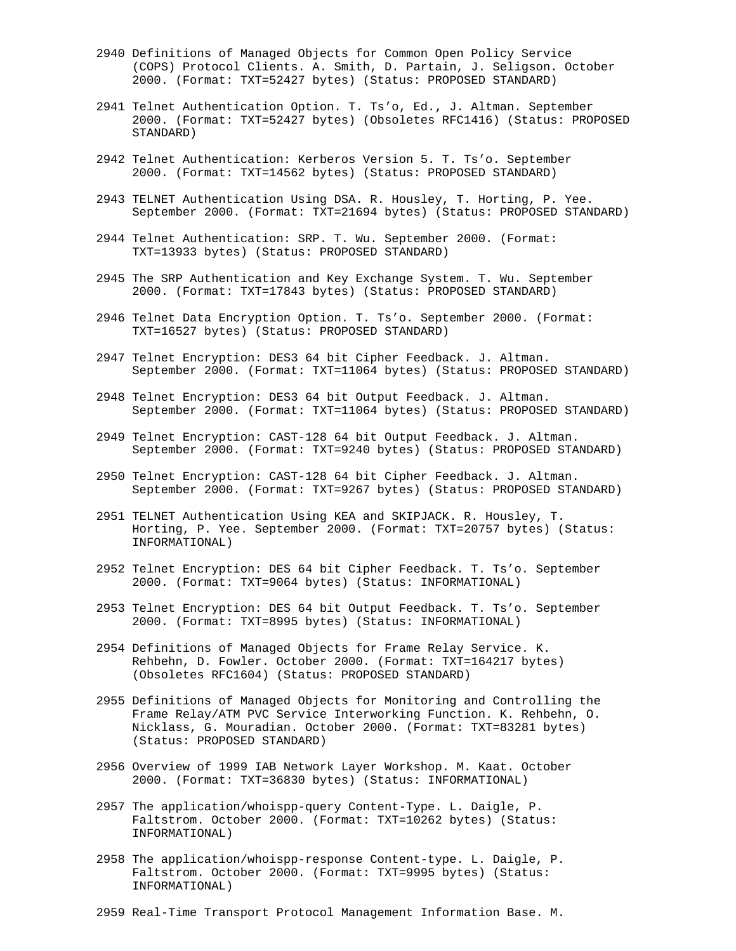- 2940 Definitions of Managed Objects for Common Open Policy Service (COPS) Protocol Clients. A. Smith, D. Partain, J. Seligson. October 2000. (Format: TXT=52427 bytes) (Status: PROPOSED STANDARD)
- 2941 Telnet Authentication Option. T. Ts'o, Ed., J. Altman. September 2000. (Format: TXT=52427 bytes) (Obsoletes RFC1416) (Status: PROPOSED STANDARD)
- 2942 Telnet Authentication: Kerberos Version 5. T. Ts'o. September 2000. (Format: TXT=14562 bytes) (Status: PROPOSED STANDARD)
- 2943 TELNET Authentication Using DSA. R. Housley, T. Horting, P. Yee. September 2000. (Format: TXT=21694 bytes) (Status: PROPOSED STANDARD)
- 2944 Telnet Authentication: SRP. T. Wu. September 2000. (Format: TXT=13933 bytes) (Status: PROPOSED STANDARD)
- 2945 The SRP Authentication and Key Exchange System. T. Wu. September 2000. (Format: TXT=17843 bytes) (Status: PROPOSED STANDARD)
- 2946 Telnet Data Encryption Option. T. Ts'o. September 2000. (Format: TXT=16527 bytes) (Status: PROPOSED STANDARD)
- 2947 Telnet Encryption: DES3 64 bit Cipher Feedback. J. Altman. September 2000. (Format: TXT=11064 bytes) (Status: PROPOSED STANDARD)
- 2948 Telnet Encryption: DES3 64 bit Output Feedback. J. Altman. September 2000. (Format: TXT=11064 bytes) (Status: PROPOSED STANDARD)
- 2949 Telnet Encryption: CAST-128 64 bit Output Feedback. J. Altman. September 2000. (Format: TXT=9240 bytes) (Status: PROPOSED STANDARD)
- 2950 Telnet Encryption: CAST-128 64 bit Cipher Feedback. J. Altman. September 2000. (Format: TXT=9267 bytes) (Status: PROPOSED STANDARD)
- 2951 TELNET Authentication Using KEA and SKIPJACK. R. Housley, T. Horting, P. Yee. September 2000. (Format: TXT=20757 bytes) (Status: INFORMATIONAL)
- 2952 Telnet Encryption: DES 64 bit Cipher Feedback. T. Ts'o. September 2000. (Format: TXT=9064 bytes) (Status: INFORMATIONAL)
- 2953 Telnet Encryption: DES 64 bit Output Feedback. T. Ts'o. September 2000. (Format: TXT=8995 bytes) (Status: INFORMATIONAL)
- 2954 Definitions of Managed Objects for Frame Relay Service. K. Rehbehn, D. Fowler. October 2000. (Format: TXT=164217 bytes) (Obsoletes RFC1604) (Status: PROPOSED STANDARD)
- 2955 Definitions of Managed Objects for Monitoring and Controlling the Frame Relay/ATM PVC Service Interworking Function. K. Rehbehn, O. Nicklass, G. Mouradian. October 2000. (Format: TXT=83281 bytes) (Status: PROPOSED STANDARD)
- 2956 Overview of 1999 IAB Network Layer Workshop. M. Kaat. October 2000. (Format: TXT=36830 bytes) (Status: INFORMATIONAL)
- 2957 The application/whoispp-query Content-Type. L. Daigle, P. Faltstrom. October 2000. (Format: TXT=10262 bytes) (Status: INFORMATIONAL)
- 2958 The application/whoispp-response Content-type. L. Daigle, P. Faltstrom. October 2000. (Format: TXT=9995 bytes) (Status: INFORMATIONAL)
- 2959 Real-Time Transport Protocol Management Information Base. M.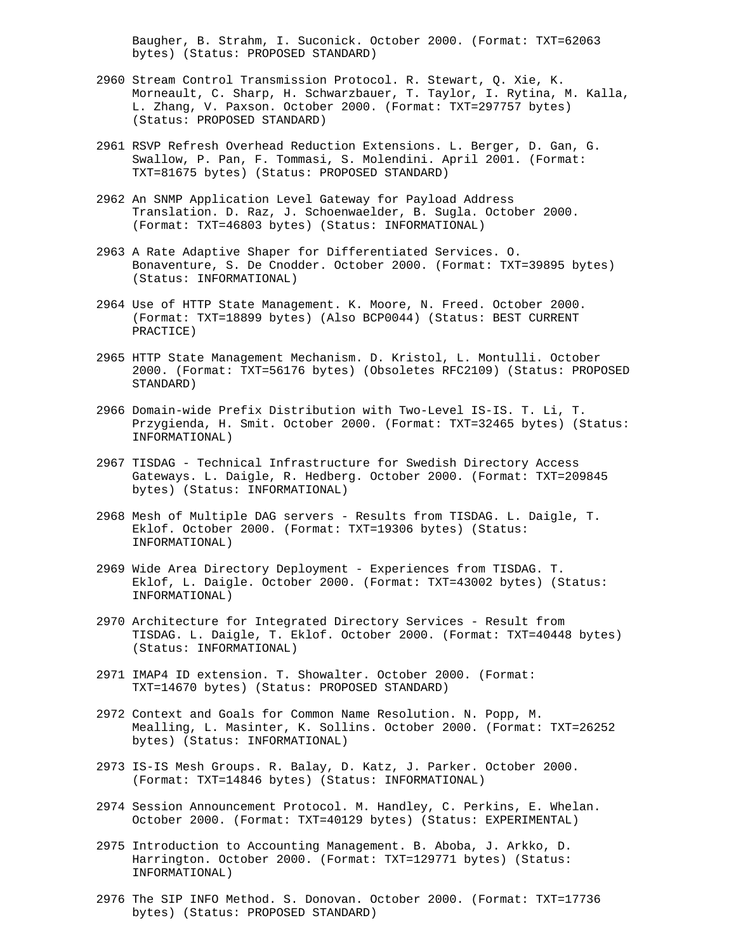Baugher, B. Strahm, I. Suconick. October 2000. (Format: TXT=62063 bytes) (Status: PROPOSED STANDARD)

- 2960 Stream Control Transmission Protocol. R. Stewart, Q. Xie, K. Morneault, C. Sharp, H. Schwarzbauer, T. Taylor, I. Rytina, M. Kalla, L. Zhang, V. Paxson. October 2000. (Format: TXT=297757 bytes) (Status: PROPOSED STANDARD)
- 2961 RSVP Refresh Overhead Reduction Extensions. L. Berger, D. Gan, G. Swallow, P. Pan, F. Tommasi, S. Molendini. April 2001. (Format: TXT=81675 bytes) (Status: PROPOSED STANDARD)
- 2962 An SNMP Application Level Gateway for Payload Address Translation. D. Raz, J. Schoenwaelder, B. Sugla. October 2000. (Format: TXT=46803 bytes) (Status: INFORMATIONAL)
- 2963 A Rate Adaptive Shaper for Differentiated Services. O. Bonaventure, S. De Cnodder. October 2000. (Format: TXT=39895 bytes) (Status: INFORMATIONAL)
- 2964 Use of HTTP State Management. K. Moore, N. Freed. October 2000. (Format: TXT=18899 bytes) (Also BCP0044) (Status: BEST CURRENT PRACTICE)
- 2965 HTTP State Management Mechanism. D. Kristol, L. Montulli. October 2000. (Format: TXT=56176 bytes) (Obsoletes RFC2109) (Status: PROPOSED STANDARD)
- 2966 Domain-wide Prefix Distribution with Two-Level IS-IS. T. Li, T. Przygienda, H. Smit. October 2000. (Format: TXT=32465 bytes) (Status: INFORMATIONAL)
- 2967 TISDAG Technical Infrastructure for Swedish Directory Access Gateways. L. Daigle, R. Hedberg. October 2000. (Format: TXT=209845 bytes) (Status: INFORMATIONAL)
- 2968 Mesh of Multiple DAG servers Results from TISDAG. L. Daigle, T. Eklof. October 2000. (Format: TXT=19306 bytes) (Status: INFORMATIONAL)
- 2969 Wide Area Directory Deployment Experiences from TISDAG. T. Eklof, L. Daigle. October 2000. (Format: TXT=43002 bytes) (Status: INFORMATIONAL)
- 2970 Architecture for Integrated Directory Services Result from TISDAG. L. Daigle, T. Eklof. October 2000. (Format: TXT=40448 bytes) (Status: INFORMATIONAL)
- 2971 IMAP4 ID extension. T. Showalter. October 2000. (Format: TXT=14670 bytes) (Status: PROPOSED STANDARD)
- 2972 Context and Goals for Common Name Resolution. N. Popp, M. Mealling, L. Masinter, K. Sollins. October 2000. (Format: TXT=26252 bytes) (Status: INFORMATIONAL)
- 2973 IS-IS Mesh Groups. R. Balay, D. Katz, J. Parker. October 2000. (Format: TXT=14846 bytes) (Status: INFORMATIONAL)
- 2974 Session Announcement Protocol. M. Handley, C. Perkins, E. Whelan. October 2000. (Format: TXT=40129 bytes) (Status: EXPERIMENTAL)
- 2975 Introduction to Accounting Management. B. Aboba, J. Arkko, D. Harrington. October 2000. (Format: TXT=129771 bytes) (Status: INFORMATIONAL)
- 2976 The SIP INFO Method. S. Donovan. October 2000. (Format: TXT=17736 bytes) (Status: PROPOSED STANDARD)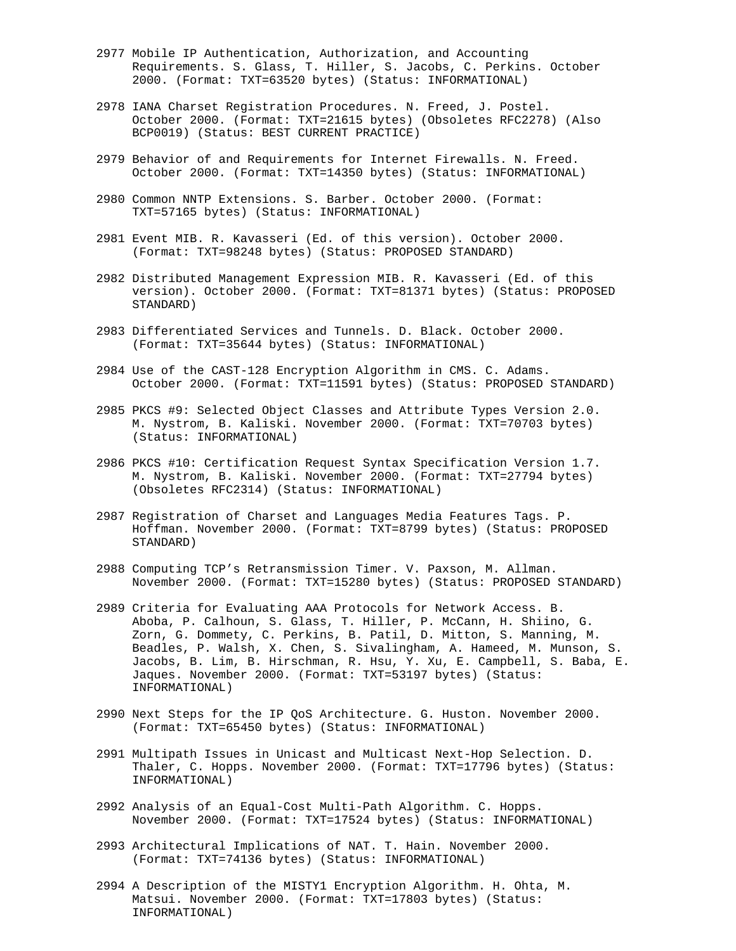- 2977 Mobile IP Authentication, Authorization, and Accounting Requirements. S. Glass, T. Hiller, S. Jacobs, C. Perkins. October 2000. (Format: TXT=63520 bytes) (Status: INFORMATIONAL)
- 2978 IANA Charset Registration Procedures. N. Freed, J. Postel. October 2000. (Format: TXT=21615 bytes) (Obsoletes RFC2278) (Also BCP0019) (Status: BEST CURRENT PRACTICE)
- 2979 Behavior of and Requirements for Internet Firewalls. N. Freed. October 2000. (Format: TXT=14350 bytes) (Status: INFORMATIONAL)
- 2980 Common NNTP Extensions. S. Barber. October 2000. (Format: TXT=57165 bytes) (Status: INFORMATIONAL)
- 2981 Event MIB. R. Kavasseri (Ed. of this version). October 2000. (Format: TXT=98248 bytes) (Status: PROPOSED STANDARD)
- 2982 Distributed Management Expression MIB. R. Kavasseri (Ed. of this version). October 2000. (Format: TXT=81371 bytes) (Status: PROPOSED STANDARD)
- 2983 Differentiated Services and Tunnels. D. Black. October 2000. (Format: TXT=35644 bytes) (Status: INFORMATIONAL)
- 2984 Use of the CAST-128 Encryption Algorithm in CMS. C. Adams. October 2000. (Format: TXT=11591 bytes) (Status: PROPOSED STANDARD)
- 2985 PKCS #9: Selected Object Classes and Attribute Types Version 2.0. M. Nystrom, B. Kaliski. November 2000. (Format: TXT=70703 bytes) (Status: INFORMATIONAL)
- 2986 PKCS #10: Certification Request Syntax Specification Version 1.7. M. Nystrom, B. Kaliski. November 2000. (Format: TXT=27794 bytes) (Obsoletes RFC2314) (Status: INFORMATIONAL)
- 2987 Registration of Charset and Languages Media Features Tags. P. Hoffman. November 2000. (Format: TXT=8799 bytes) (Status: PROPOSED STANDARD)
- 2988 Computing TCP's Retransmission Timer. V. Paxson, M. Allman. November 2000. (Format: TXT=15280 bytes) (Status: PROPOSED STANDARD)
- 2989 Criteria for Evaluating AAA Protocols for Network Access. B. Aboba, P. Calhoun, S. Glass, T. Hiller, P. McCann, H. Shiino, G. Zorn, G. Dommety, C. Perkins, B. Patil, D. Mitton, S. Manning, M. Beadles, P. Walsh, X. Chen, S. Sivalingham, A. Hameed, M. Munson, S. Jacobs, B. Lim, B. Hirschman, R. Hsu, Y. Xu, E. Campbell, S. Baba, E. Jaques. November 2000. (Format: TXT=53197 bytes) (Status: INFORMATIONAL)
- 2990 Next Steps for the IP QoS Architecture. G. Huston. November 2000. (Format: TXT=65450 bytes) (Status: INFORMATIONAL)
- 2991 Multipath Issues in Unicast and Multicast Next-Hop Selection. D. Thaler, C. Hopps. November 2000. (Format: TXT=17796 bytes) (Status: INFORMATIONAL)
- 2992 Analysis of an Equal-Cost Multi-Path Algorithm. C. Hopps. November 2000. (Format: TXT=17524 bytes) (Status: INFORMATIONAL)
- 2993 Architectural Implications of NAT. T. Hain. November 2000. (Format: TXT=74136 bytes) (Status: INFORMATIONAL)
- 2994 A Description of the MISTY1 Encryption Algorithm. H. Ohta, M. Matsui. November 2000. (Format: TXT=17803 bytes) (Status: INFORMATIONAL)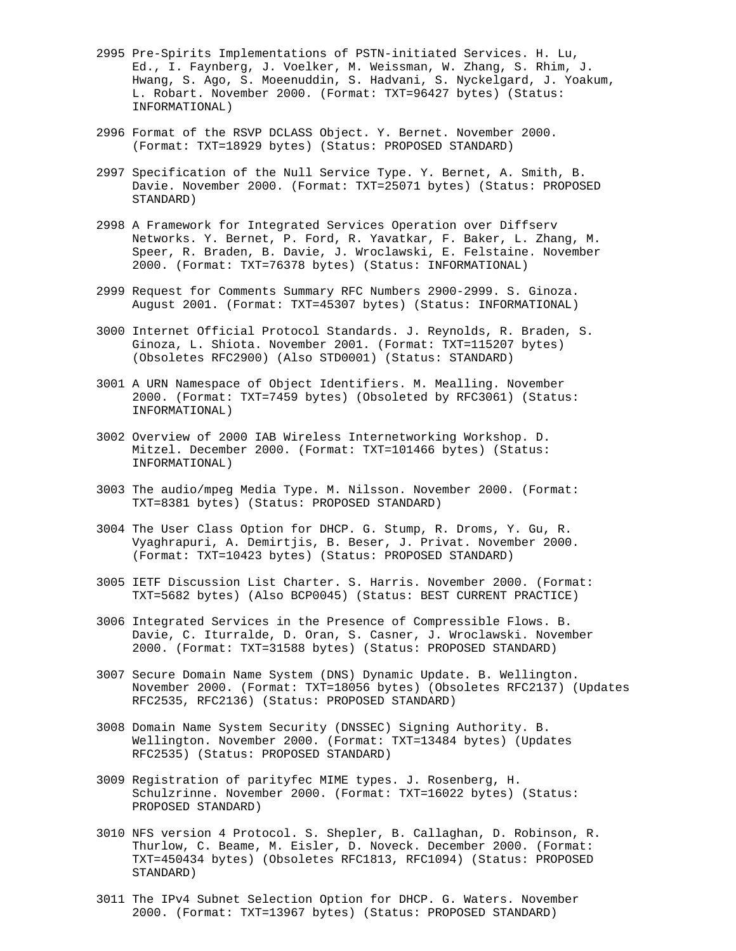- 2995 Pre-Spirits Implementations of PSTN-initiated Services. H. Lu, Ed., I. Faynberg, J. Voelker, M. Weissman, W. Zhang, S. Rhim, J. Hwang, S. Ago, S. Moeenuddin, S. Hadvani, S. Nyckelgard, J. Yoakum, L. Robart. November 2000. (Format: TXT=96427 bytes) (Status: INFORMATIONAL)
- 2996 Format of the RSVP DCLASS Object. Y. Bernet. November 2000. (Format: TXT=18929 bytes) (Status: PROPOSED STANDARD)
- 2997 Specification of the Null Service Type. Y. Bernet, A. Smith, B. Davie. November 2000. (Format: TXT=25071 bytes) (Status: PROPOSED STANDARD)
- 2998 A Framework for Integrated Services Operation over Diffserv Networks. Y. Bernet, P. Ford, R. Yavatkar, F. Baker, L. Zhang, M. Speer, R. Braden, B. Davie, J. Wroclawski, E. Felstaine. November 2000. (Format: TXT=76378 bytes) (Status: INFORMATIONAL)
- 2999 Request for Comments Summary RFC Numbers 2900-2999. S. Ginoza. August 2001. (Format: TXT=45307 bytes) (Status: INFORMATIONAL)
- 3000 Internet Official Protocol Standards. J. Reynolds, R. Braden, S. Ginoza, L. Shiota. November 2001. (Format: TXT=115207 bytes) (Obsoletes RFC2900) (Also STD0001) (Status: STANDARD)
- 3001 A URN Namespace of Object Identifiers. M. Mealling. November 2000. (Format: TXT=7459 bytes) (Obsoleted by RFC3061) (Status: INFORMATIONAL)
- 3002 Overview of 2000 IAB Wireless Internetworking Workshop. D. Mitzel. December 2000. (Format: TXT=101466 bytes) (Status: INFORMATIONAL)
- 3003 The audio/mpeg Media Type. M. Nilsson. November 2000. (Format: TXT=8381 bytes) (Status: PROPOSED STANDARD)
- 3004 The User Class Option for DHCP. G. Stump, R. Droms, Y. Gu, R. Vyaghrapuri, A. Demirtjis, B. Beser, J. Privat. November 2000. (Format: TXT=10423 bytes) (Status: PROPOSED STANDARD)
- 3005 IETF Discussion List Charter. S. Harris. November 2000. (Format: TXT=5682 bytes) (Also BCP0045) (Status: BEST CURRENT PRACTICE)
- 3006 Integrated Services in the Presence of Compressible Flows. B. Davie, C. Iturralde, D. Oran, S. Casner, J. Wroclawski. November 2000. (Format: TXT=31588 bytes) (Status: PROPOSED STANDARD)
- 3007 Secure Domain Name System (DNS) Dynamic Update. B. Wellington. November 2000. (Format: TXT=18056 bytes) (Obsoletes RFC2137) (Updates RFC2535, RFC2136) (Status: PROPOSED STANDARD)
- 3008 Domain Name System Security (DNSSEC) Signing Authority. B. Wellington. November 2000. (Format: TXT=13484 bytes) (Updates RFC2535) (Status: PROPOSED STANDARD)
- 3009 Registration of parityfec MIME types. J. Rosenberg, H. Schulzrinne. November 2000. (Format: TXT=16022 bytes) (Status: PROPOSED STANDARD)
- 3010 NFS version 4 Protocol. S. Shepler, B. Callaghan, D. Robinson, R. Thurlow, C. Beame, M. Eisler, D. Noveck. December 2000. (Format: TXT=450434 bytes) (Obsoletes RFC1813, RFC1094) (Status: PROPOSED STANDARD)
- 3011 The IPv4 Subnet Selection Option for DHCP. G. Waters. November 2000. (Format: TXT=13967 bytes) (Status: PROPOSED STANDARD)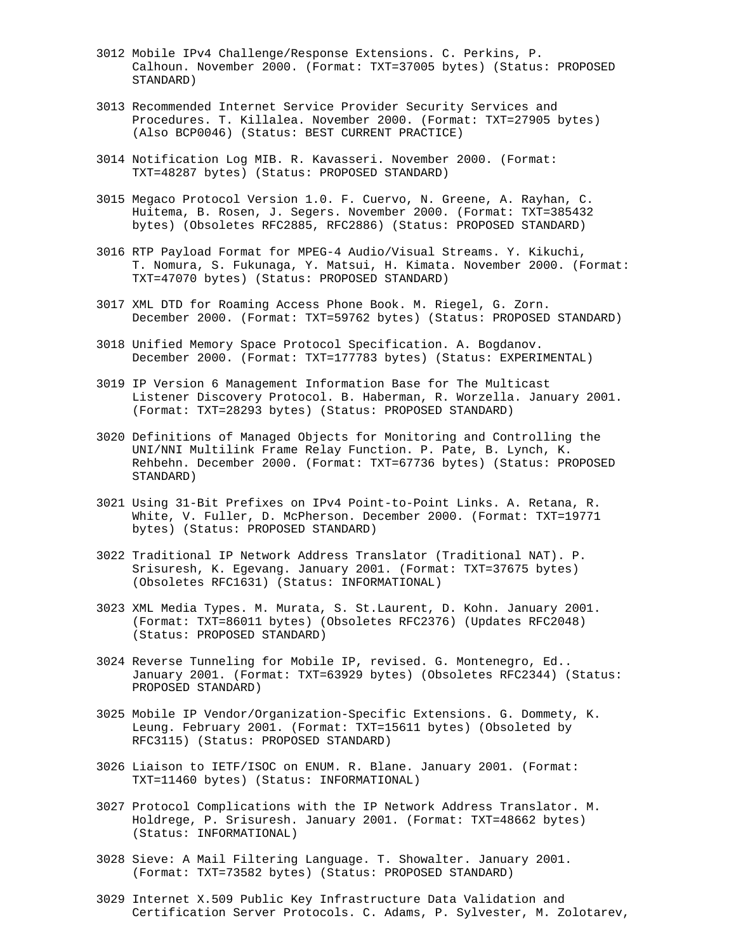- 3012 Mobile IPv4 Challenge/Response Extensions. C. Perkins, P. Calhoun. November 2000. (Format: TXT=37005 bytes) (Status: PROPOSED STANDARD)
- 3013 Recommended Internet Service Provider Security Services and Procedures. T. Killalea. November 2000. (Format: TXT=27905 bytes) (Also BCP0046) (Status: BEST CURRENT PRACTICE)
- 3014 Notification Log MIB. R. Kavasseri. November 2000. (Format: TXT=48287 bytes) (Status: PROPOSED STANDARD)
- 3015 Megaco Protocol Version 1.0. F. Cuervo, N. Greene, A. Rayhan, C. Huitema, B. Rosen, J. Segers. November 2000. (Format: TXT=385432 bytes) (Obsoletes RFC2885, RFC2886) (Status: PROPOSED STANDARD)
- 3016 RTP Payload Format for MPEG-4 Audio/Visual Streams. Y. Kikuchi, T. Nomura, S. Fukunaga, Y. Matsui, H. Kimata. November 2000. (Format: TXT=47070 bytes) (Status: PROPOSED STANDARD)
- 3017 XML DTD for Roaming Access Phone Book. M. Riegel, G. Zorn. December 2000. (Format: TXT=59762 bytes) (Status: PROPOSED STANDARD)
- 3018 Unified Memory Space Protocol Specification. A. Bogdanov. December 2000. (Format: TXT=177783 bytes) (Status: EXPERIMENTAL)
- 3019 IP Version 6 Management Information Base for The Multicast Listener Discovery Protocol. B. Haberman, R. Worzella. January 2001. (Format: TXT=28293 bytes) (Status: PROPOSED STANDARD)
- 3020 Definitions of Managed Objects for Monitoring and Controlling the UNI/NNI Multilink Frame Relay Function. P. Pate, B. Lynch, K. Rehbehn. December 2000. (Format: TXT=67736 bytes) (Status: PROPOSED STANDARD)
- 3021 Using 31-Bit Prefixes on IPv4 Point-to-Point Links. A. Retana, R. White, V. Fuller, D. McPherson. December 2000. (Format: TXT=19771 bytes) (Status: PROPOSED STANDARD)
- 3022 Traditional IP Network Address Translator (Traditional NAT). P. Srisuresh, K. Egevang. January 2001. (Format: TXT=37675 bytes) (Obsoletes RFC1631) (Status: INFORMATIONAL)
- 3023 XML Media Types. M. Murata, S. St.Laurent, D. Kohn. January 2001. (Format: TXT=86011 bytes) (Obsoletes RFC2376) (Updates RFC2048) (Status: PROPOSED STANDARD)
- 3024 Reverse Tunneling for Mobile IP, revised. G. Montenegro, Ed.. January 2001. (Format: TXT=63929 bytes) (Obsoletes RFC2344) (Status: PROPOSED STANDARD)
- 3025 Mobile IP Vendor/Organization-Specific Extensions. G. Dommety, K. Leung. February 2001. (Format: TXT=15611 bytes) (Obsoleted by RFC3115) (Status: PROPOSED STANDARD)
- 3026 Liaison to IETF/ISOC on ENUM. R. Blane. January 2001. (Format: TXT=11460 bytes) (Status: INFORMATIONAL)
- 3027 Protocol Complications with the IP Network Address Translator. M. Holdrege, P. Srisuresh. January 2001. (Format: TXT=48662 bytes) (Status: INFORMATIONAL)
- 3028 Sieve: A Mail Filtering Language. T. Showalter. January 2001. (Format: TXT=73582 bytes) (Status: PROPOSED STANDARD)
- 3029 Internet X.509 Public Key Infrastructure Data Validation and Certification Server Protocols. C. Adams, P. Sylvester, M. Zolotarev,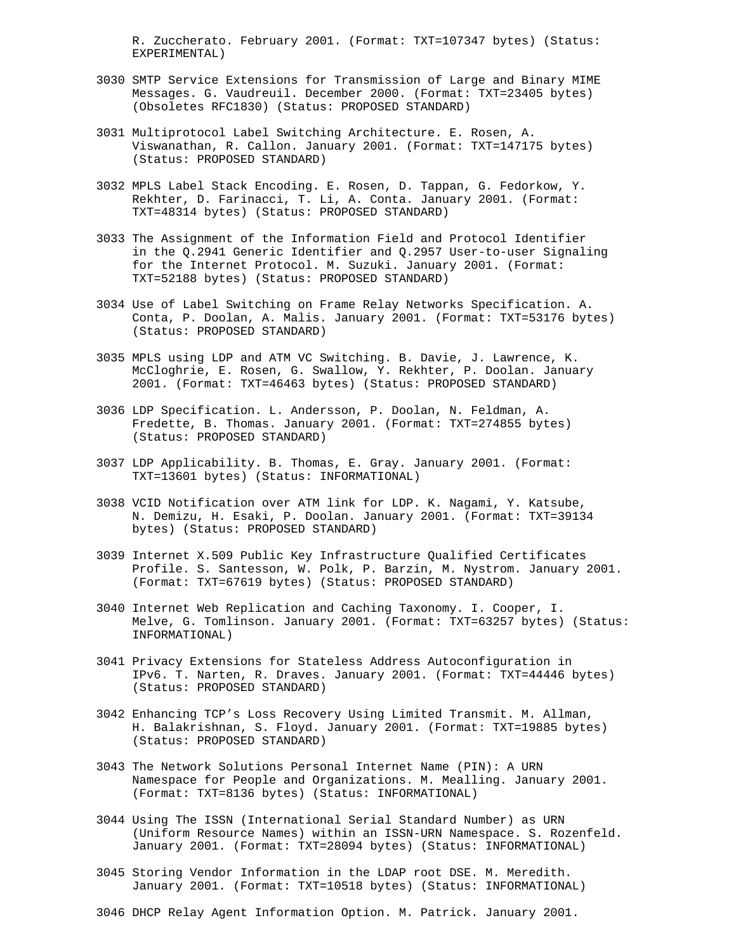R. Zuccherato. February 2001. (Format: TXT=107347 bytes) (Status: EXPERIMENTAL)

- 3030 SMTP Service Extensions for Transmission of Large and Binary MIME Messages. G. Vaudreuil. December 2000. (Format: TXT=23405 bytes) (Obsoletes RFC1830) (Status: PROPOSED STANDARD)
- 3031 Multiprotocol Label Switching Architecture. E. Rosen, A. Viswanathan, R. Callon. January 2001. (Format: TXT=147175 bytes) (Status: PROPOSED STANDARD)
- 3032 MPLS Label Stack Encoding. E. Rosen, D. Tappan, G. Fedorkow, Y. Rekhter, D. Farinacci, T. Li, A. Conta. January 2001. (Format: TXT=48314 bytes) (Status: PROPOSED STANDARD)
- 3033 The Assignment of the Information Field and Protocol Identifier in the Q.2941 Generic Identifier and Q.2957 User-to-user Signaling for the Internet Protocol. M. Suzuki. January 2001. (Format: TXT=52188 bytes) (Status: PROPOSED STANDARD)
- 3034 Use of Label Switching on Frame Relay Networks Specification. A. Conta, P. Doolan, A. Malis. January 2001. (Format: TXT=53176 bytes) (Status: PROPOSED STANDARD)
- 3035 MPLS using LDP and ATM VC Switching. B. Davie, J. Lawrence, K. McCloghrie, E. Rosen, G. Swallow, Y. Rekhter, P. Doolan. January 2001. (Format: TXT=46463 bytes) (Status: PROPOSED STANDARD)
- 3036 LDP Specification. L. Andersson, P. Doolan, N. Feldman, A. Fredette, B. Thomas. January 2001. (Format: TXT=274855 bytes) (Status: PROPOSED STANDARD)
- 3037 LDP Applicability. B. Thomas, E. Gray. January 2001. (Format: TXT=13601 bytes) (Status: INFORMATIONAL)
- 3038 VCID Notification over ATM link for LDP. K. Nagami, Y. Katsube, N. Demizu, H. Esaki, P. Doolan. January 2001. (Format: TXT=39134 bytes) (Status: PROPOSED STANDARD)
- 3039 Internet X.509 Public Key Infrastructure Qualified Certificates Profile. S. Santesson, W. Polk, P. Barzin, M. Nystrom. January 2001. (Format: TXT=67619 bytes) (Status: PROPOSED STANDARD)
- 3040 Internet Web Replication and Caching Taxonomy. I. Cooper, I. Melve, G. Tomlinson. January 2001. (Format: TXT=63257 bytes) (Status: INFORMATIONAL)
- 3041 Privacy Extensions for Stateless Address Autoconfiguration in IPv6. T. Narten, R. Draves. January 2001. (Format: TXT=44446 bytes) (Status: PROPOSED STANDARD)
- 3042 Enhancing TCP's Loss Recovery Using Limited Transmit. M. Allman, H. Balakrishnan, S. Floyd. January 2001. (Format: TXT=19885 bytes) (Status: PROPOSED STANDARD)
- 3043 The Network Solutions Personal Internet Name (PIN): A URN Namespace for People and Organizations. M. Mealling. January 2001. (Format: TXT=8136 bytes) (Status: INFORMATIONAL)
- 3044 Using The ISSN (International Serial Standard Number) as URN (Uniform Resource Names) within an ISSN-URN Namespace. S. Rozenfeld. January 2001. (Format: TXT=28094 bytes) (Status: INFORMATIONAL)
- 3045 Storing Vendor Information in the LDAP root DSE. M. Meredith. January 2001. (Format: TXT=10518 bytes) (Status: INFORMATIONAL)
- 3046 DHCP Relay Agent Information Option. M. Patrick. January 2001.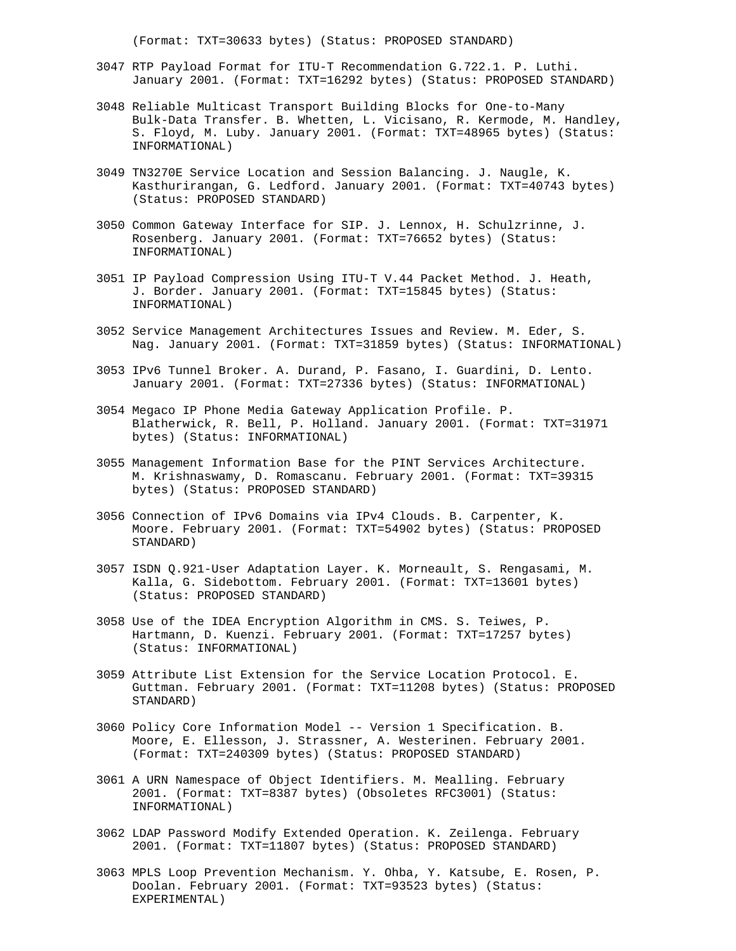(Format: TXT=30633 bytes) (Status: PROPOSED STANDARD)

- 3047 RTP Payload Format for ITU-T Recommendation G.722.1. P. Luthi. January 2001. (Format: TXT=16292 bytes) (Status: PROPOSED STANDARD)
- 3048 Reliable Multicast Transport Building Blocks for One-to-Many Bulk-Data Transfer. B. Whetten, L. Vicisano, R. Kermode, M. Handley, S. Floyd, M. Luby. January 2001. (Format: TXT=48965 bytes) (Status: INFORMATIONAL)
- 3049 TN3270E Service Location and Session Balancing. J. Naugle, K. Kasthurirangan, G. Ledford. January 2001. (Format: TXT=40743 bytes) (Status: PROPOSED STANDARD)
- 3050 Common Gateway Interface for SIP. J. Lennox, H. Schulzrinne, J. Rosenberg. January 2001. (Format: TXT=76652 bytes) (Status: INFORMATIONAL)
- 3051 IP Payload Compression Using ITU-T V.44 Packet Method. J. Heath, J. Border. January 2001. (Format: TXT=15845 bytes) (Status: INFORMATIONAL)
- 3052 Service Management Architectures Issues and Review. M. Eder, S. Nag. January 2001. (Format: TXT=31859 bytes) (Status: INFORMATIONAL)
- 3053 IPv6 Tunnel Broker. A. Durand, P. Fasano, I. Guardini, D. Lento. January 2001. (Format: TXT=27336 bytes) (Status: INFORMATIONAL)
- 3054 Megaco IP Phone Media Gateway Application Profile. P. Blatherwick, R. Bell, P. Holland. January 2001. (Format: TXT=31971 bytes) (Status: INFORMATIONAL)
- 3055 Management Information Base for the PINT Services Architecture. M. Krishnaswamy, D. Romascanu. February 2001. (Format: TXT=39315 bytes) (Status: PROPOSED STANDARD)
- 3056 Connection of IPv6 Domains via IPv4 Clouds. B. Carpenter, K. Moore. February 2001. (Format: TXT=54902 bytes) (Status: PROPOSED STANDARD)
- 3057 ISDN Q.921-User Adaptation Layer. K. Morneault, S. Rengasami, M. Kalla, G. Sidebottom. February 2001. (Format: TXT=13601 bytes) (Status: PROPOSED STANDARD)
- 3058 Use of the IDEA Encryption Algorithm in CMS. S. Teiwes, P. Hartmann, D. Kuenzi. February 2001. (Format: TXT=17257 bytes) (Status: INFORMATIONAL)
- 3059 Attribute List Extension for the Service Location Protocol. E. Guttman. February 2001. (Format: TXT=11208 bytes) (Status: PROPOSED STANDARD)
- 3060 Policy Core Information Model -- Version 1 Specification. B. Moore, E. Ellesson, J. Strassner, A. Westerinen. February 2001. (Format: TXT=240309 bytes) (Status: PROPOSED STANDARD)
- 3061 A URN Namespace of Object Identifiers. M. Mealling. February 2001. (Format: TXT=8387 bytes) (Obsoletes RFC3001) (Status: INFORMATIONAL)
- 3062 LDAP Password Modify Extended Operation. K. Zeilenga. February 2001. (Format: TXT=11807 bytes) (Status: PROPOSED STANDARD)
- 3063 MPLS Loop Prevention Mechanism. Y. Ohba, Y. Katsube, E. Rosen, P. Doolan. February 2001. (Format: TXT=93523 bytes) (Status: EXPERIMENTAL)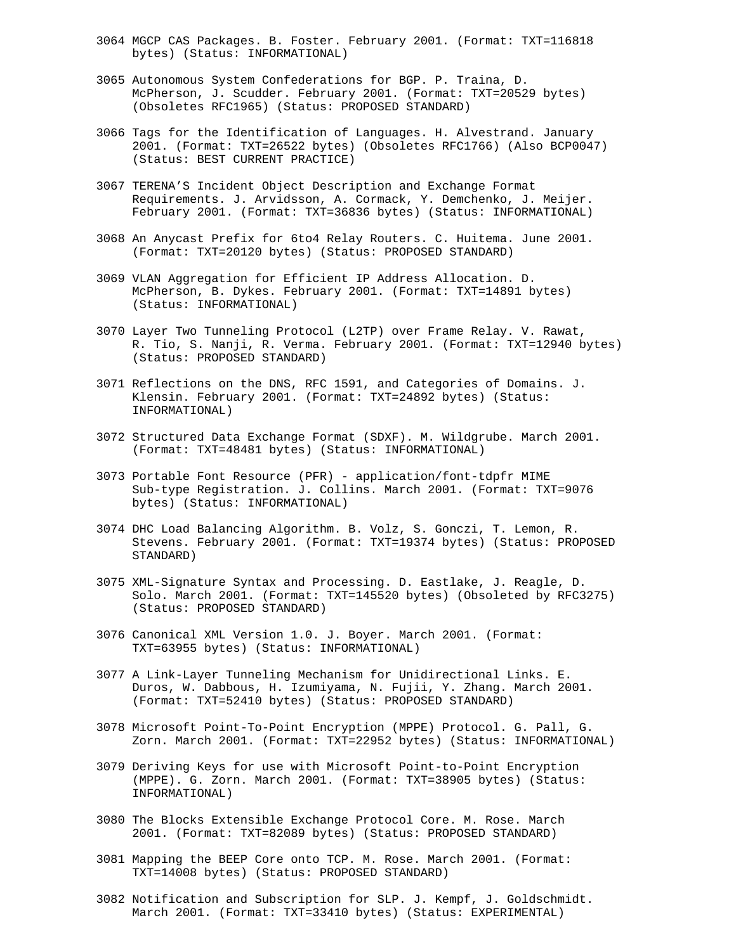- 3064 MGCP CAS Packages. B. Foster. February 2001. (Format: TXT=116818 bytes) (Status: INFORMATIONAL)
- 3065 Autonomous System Confederations for BGP. P. Traina, D. McPherson, J. Scudder. February 2001. (Format: TXT=20529 bytes) (Obsoletes RFC1965) (Status: PROPOSED STANDARD)
- 3066 Tags for the Identification of Languages. H. Alvestrand. January 2001. (Format: TXT=26522 bytes) (Obsoletes RFC1766) (Also BCP0047) (Status: BEST CURRENT PRACTICE)
- 3067 TERENA'S Incident Object Description and Exchange Format Requirements. J. Arvidsson, A. Cormack, Y. Demchenko, J. Meijer. February 2001. (Format: TXT=36836 bytes) (Status: INFORMATIONAL)
- 3068 An Anycast Prefix for 6to4 Relay Routers. C. Huitema. June 2001. (Format: TXT=20120 bytes) (Status: PROPOSED STANDARD)
- 3069 VLAN Aggregation for Efficient IP Address Allocation. D. McPherson, B. Dykes. February 2001. (Format: TXT=14891 bytes) (Status: INFORMATIONAL)
- 3070 Layer Two Tunneling Protocol (L2TP) over Frame Relay. V. Rawat, R. Tio, S. Nanji, R. Verma. February 2001. (Format: TXT=12940 bytes) (Status: PROPOSED STANDARD)
- 3071 Reflections on the DNS, RFC 1591, and Categories of Domains. J. Klensin. February 2001. (Format: TXT=24892 bytes) (Status: INFORMATIONAL)
- 3072 Structured Data Exchange Format (SDXF). M. Wildgrube. March 2001. (Format: TXT=48481 bytes) (Status: INFORMATIONAL)
- 3073 Portable Font Resource (PFR) application/font-tdpfr MIME Sub-type Registration. J. Collins. March 2001. (Format: TXT=9076 bytes) (Status: INFORMATIONAL)
- 3074 DHC Load Balancing Algorithm. B. Volz, S. Gonczi, T. Lemon, R. Stevens. February 2001. (Format: TXT=19374 bytes) (Status: PROPOSED STANDARD)
- 3075 XML-Signature Syntax and Processing. D. Eastlake, J. Reagle, D. Solo. March 2001. (Format: TXT=145520 bytes) (Obsoleted by RFC3275) (Status: PROPOSED STANDARD)
- 3076 Canonical XML Version 1.0. J. Boyer. March 2001. (Format: TXT=63955 bytes) (Status: INFORMATIONAL)
- 3077 A Link-Layer Tunneling Mechanism for Unidirectional Links. E. Duros, W. Dabbous, H. Izumiyama, N. Fujii, Y. Zhang. March 2001. (Format: TXT=52410 bytes) (Status: PROPOSED STANDARD)
- 3078 Microsoft Point-To-Point Encryption (MPPE) Protocol. G. Pall, G. Zorn. March 2001. (Format: TXT=22952 bytes) (Status: INFORMATIONAL)
- 3079 Deriving Keys for use with Microsoft Point-to-Point Encryption (MPPE). G. Zorn. March 2001. (Format: TXT=38905 bytes) (Status: INFORMATIONAL)
- 3080 The Blocks Extensible Exchange Protocol Core. M. Rose. March 2001. (Format: TXT=82089 bytes) (Status: PROPOSED STANDARD)
- 3081 Mapping the BEEP Core onto TCP. M. Rose. March 2001. (Format: TXT=14008 bytes) (Status: PROPOSED STANDARD)
- 3082 Notification and Subscription for SLP. J. Kempf, J. Goldschmidt. March 2001. (Format: TXT=33410 bytes) (Status: EXPERIMENTAL)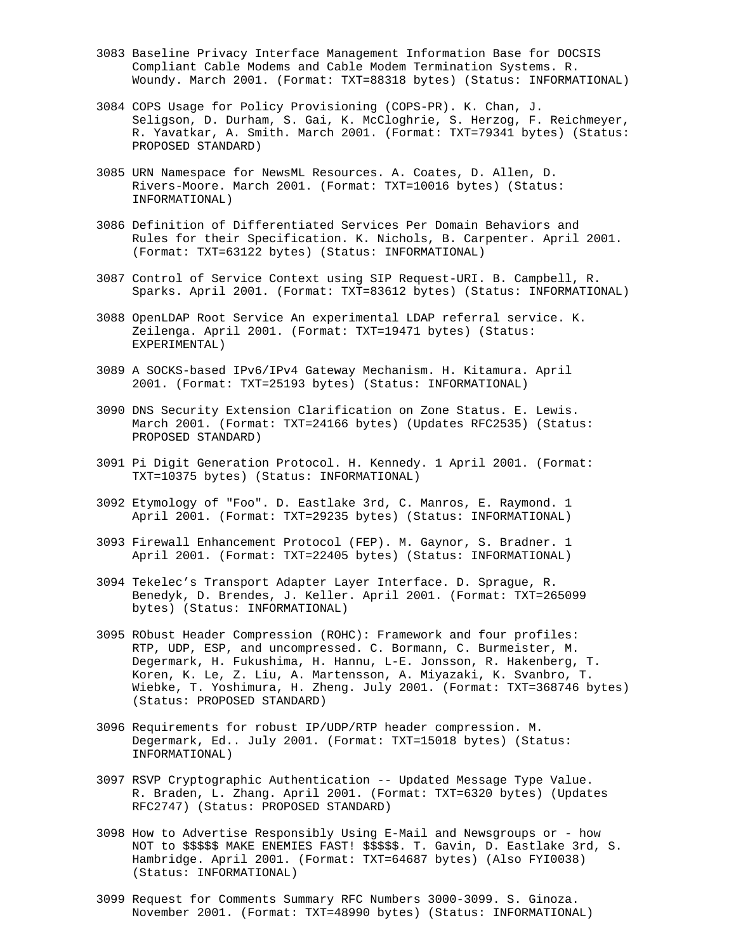- 3083 Baseline Privacy Interface Management Information Base for DOCSIS Compliant Cable Modems and Cable Modem Termination Systems. R. Woundy. March 2001. (Format: TXT=88318 bytes) (Status: INFORMATIONAL)
- 3084 COPS Usage for Policy Provisioning (COPS-PR). K. Chan, J. Seligson, D. Durham, S. Gai, K. McCloghrie, S. Herzog, F. Reichmeyer, R. Yavatkar, A. Smith. March 2001. (Format: TXT=79341 bytes) (Status: PROPOSED STANDARD)
- 3085 URN Namespace for NewsML Resources. A. Coates, D. Allen, D. Rivers-Moore. March 2001. (Format: TXT=10016 bytes) (Status: INFORMATIONAL)
- 3086 Definition of Differentiated Services Per Domain Behaviors and Rules for their Specification. K. Nichols, B. Carpenter. April 2001. (Format: TXT=63122 bytes) (Status: INFORMATIONAL)
- 3087 Control of Service Context using SIP Request-URI. B. Campbell, R. Sparks. April 2001. (Format: TXT=83612 bytes) (Status: INFORMATIONAL)
- 3088 OpenLDAP Root Service An experimental LDAP referral service. K. Zeilenga. April 2001. (Format: TXT=19471 bytes) (Status: EXPERIMENTAL)
- 3089 A SOCKS-based IPv6/IPv4 Gateway Mechanism. H. Kitamura. April 2001. (Format: TXT=25193 bytes) (Status: INFORMATIONAL)
- 3090 DNS Security Extension Clarification on Zone Status. E. Lewis. March 2001. (Format: TXT=24166 bytes) (Updates RFC2535) (Status: PROPOSED STANDARD)
- 3091 Pi Digit Generation Protocol. H. Kennedy. 1 April 2001. (Format: TXT=10375 bytes) (Status: INFORMATIONAL)
- 3092 Etymology of "Foo". D. Eastlake 3rd, C. Manros, E. Raymond. 1 April 2001. (Format: TXT=29235 bytes) (Status: INFORMATIONAL)
- 3093 Firewall Enhancement Protocol (FEP). M. Gaynor, S. Bradner. 1 April 2001. (Format: TXT=22405 bytes) (Status: INFORMATIONAL)
- 3094 Tekelec's Transport Adapter Layer Interface. D. Sprague, R. Benedyk, D. Brendes, J. Keller. April 2001. (Format: TXT=265099 bytes) (Status: INFORMATIONAL)
- 3095 RObust Header Compression (ROHC): Framework and four profiles: RTP, UDP, ESP, and uncompressed. C. Bormann, C. Burmeister, M. Degermark, H. Fukushima, H. Hannu, L-E. Jonsson, R. Hakenberg, T. Koren, K. Le, Z. Liu, A. Martensson, A. Miyazaki, K. Svanbro, T. Wiebke, T. Yoshimura, H. Zheng. July 2001. (Format: TXT=368746 bytes) (Status: PROPOSED STANDARD)
- 3096 Requirements for robust IP/UDP/RTP header compression. M. Degermark, Ed.. July 2001. (Format: TXT=15018 bytes) (Status: INFORMATIONAL)
- 3097 RSVP Cryptographic Authentication -- Updated Message Type Value. R. Braden, L. Zhang. April 2001. (Format: TXT=6320 bytes) (Updates RFC2747) (Status: PROPOSED STANDARD)
- 3098 How to Advertise Responsibly Using E-Mail and Newsgroups or how NOT to \$\$\$\$\$ MAKE ENEMIES FAST! \$\$\$\$\$. T. Gavin, D. Eastlake 3rd, S. Hambridge. April 2001. (Format: TXT=64687 bytes) (Also FYI0038) (Status: INFORMATIONAL)
- 3099 Request for Comments Summary RFC Numbers 3000-3099. S. Ginoza. November 2001. (Format: TXT=48990 bytes) (Status: INFORMATIONAL)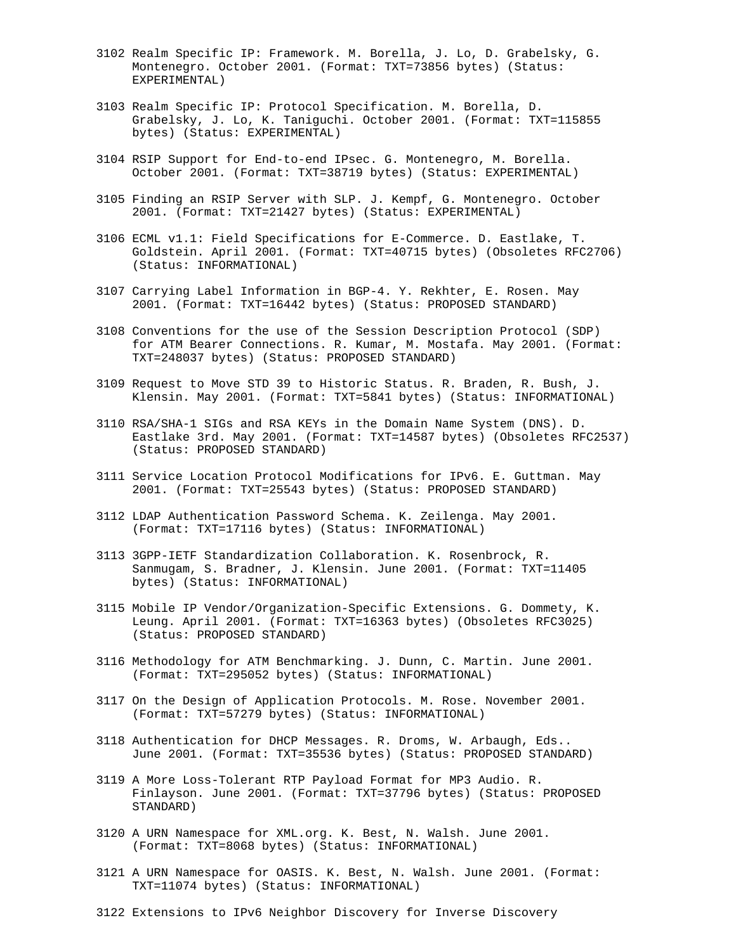- 3102 Realm Specific IP: Framework. M. Borella, J. Lo, D. Grabelsky, G. Montenegro. October 2001. (Format: TXT=73856 bytes) (Status: EXPERIMENTAL)
- 3103 Realm Specific IP: Protocol Specification. M. Borella, D. Grabelsky, J. Lo, K. Taniguchi. October 2001. (Format: TXT=115855 bytes) (Status: EXPERIMENTAL)
- 3104 RSIP Support for End-to-end IPsec. G. Montenegro, M. Borella. October 2001. (Format: TXT=38719 bytes) (Status: EXPERIMENTAL)
- 3105 Finding an RSIP Server with SLP. J. Kempf, G. Montenegro. October 2001. (Format: TXT=21427 bytes) (Status: EXPERIMENTAL)
- 3106 ECML v1.1: Field Specifications for E-Commerce. D. Eastlake, T. Goldstein. April 2001. (Format: TXT=40715 bytes) (Obsoletes RFC2706) (Status: INFORMATIONAL)
- 3107 Carrying Label Information in BGP-4. Y. Rekhter, E. Rosen. May 2001. (Format: TXT=16442 bytes) (Status: PROPOSED STANDARD)
- 3108 Conventions for the use of the Session Description Protocol (SDP) for ATM Bearer Connections. R. Kumar, M. Mostafa. May 2001. (Format: TXT=248037 bytes) (Status: PROPOSED STANDARD)
- 3109 Request to Move STD 39 to Historic Status. R. Braden, R. Bush, J. Klensin. May 2001. (Format: TXT=5841 bytes) (Status: INFORMATIONAL)
- 3110 RSA/SHA-1 SIGs and RSA KEYs in the Domain Name System (DNS). D. Eastlake 3rd. May 2001. (Format: TXT=14587 bytes) (Obsoletes RFC2537) (Status: PROPOSED STANDARD)
- 3111 Service Location Protocol Modifications for IPv6. E. Guttman. May 2001. (Format: TXT=25543 bytes) (Status: PROPOSED STANDARD)
- 3112 LDAP Authentication Password Schema. K. Zeilenga. May 2001. (Format: TXT=17116 bytes) (Status: INFORMATIONAL)
- 3113 3GPP-IETF Standardization Collaboration. K. Rosenbrock, R. Sanmugam, S. Bradner, J. Klensin. June 2001. (Format: TXT=11405 bytes) (Status: INFORMATIONAL)
- 3115 Mobile IP Vendor/Organization-Specific Extensions. G. Dommety, K. Leung. April 2001. (Format: TXT=16363 bytes) (Obsoletes RFC3025) (Status: PROPOSED STANDARD)
- 3116 Methodology for ATM Benchmarking. J. Dunn, C. Martin. June 2001. (Format: TXT=295052 bytes) (Status: INFORMATIONAL)
- 3117 On the Design of Application Protocols. M. Rose. November 2001. (Format: TXT=57279 bytes) (Status: INFORMATIONAL)
- 3118 Authentication for DHCP Messages. R. Droms, W. Arbaugh, Eds.. June 2001. (Format: TXT=35536 bytes) (Status: PROPOSED STANDARD)
- 3119 A More Loss-Tolerant RTP Payload Format for MP3 Audio. R. Finlayson. June 2001. (Format: TXT=37796 bytes) (Status: PROPOSED STANDARD)
- 3120 A URN Namespace for XML.org. K. Best, N. Walsh. June 2001. (Format: TXT=8068 bytes) (Status: INFORMATIONAL)
- 3121 A URN Namespace for OASIS. K. Best, N. Walsh. June 2001. (Format: TXT=11074 bytes) (Status: INFORMATIONAL)
- 3122 Extensions to IPv6 Neighbor Discovery for Inverse Discovery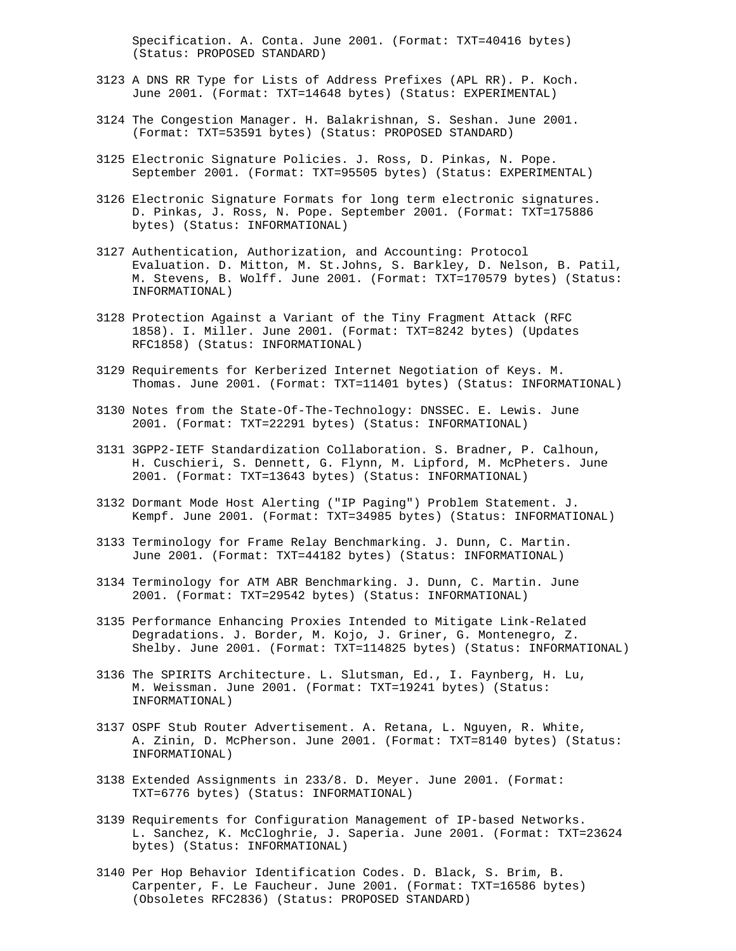Specification. A. Conta. June 2001. (Format: TXT=40416 bytes) (Status: PROPOSED STANDARD)

- 3123 A DNS RR Type for Lists of Address Prefixes (APL RR). P. Koch. June 2001. (Format: TXT=14648 bytes) (Status: EXPERIMENTAL)
- 3124 The Congestion Manager. H. Balakrishnan, S. Seshan. June 2001. (Format: TXT=53591 bytes) (Status: PROPOSED STANDARD)
- 3125 Electronic Signature Policies. J. Ross, D. Pinkas, N. Pope. September 2001. (Format: TXT=95505 bytes) (Status: EXPERIMENTAL)
- 3126 Electronic Signature Formats for long term electronic signatures. D. Pinkas, J. Ross, N. Pope. September 2001. (Format: TXT=175886 bytes) (Status: INFORMATIONAL)
- 3127 Authentication, Authorization, and Accounting: Protocol Evaluation. D. Mitton, M. St.Johns, S. Barkley, D. Nelson, B. Patil, M. Stevens, B. Wolff. June 2001. (Format: TXT=170579 bytes) (Status: INFORMATIONAL)
- 3128 Protection Against a Variant of the Tiny Fragment Attack (RFC 1858). I. Miller. June 2001. (Format: TXT=8242 bytes) (Updates RFC1858) (Status: INFORMATIONAL)
- 3129 Requirements for Kerberized Internet Negotiation of Keys. M. Thomas. June 2001. (Format: TXT=11401 bytes) (Status: INFORMATIONAL)
- 3130 Notes from the State-Of-The-Technology: DNSSEC. E. Lewis. June 2001. (Format: TXT=22291 bytes) (Status: INFORMATIONAL)
- 3131 3GPP2-IETF Standardization Collaboration. S. Bradner, P. Calhoun, H. Cuschieri, S. Dennett, G. Flynn, M. Lipford, M. McPheters. June 2001. (Format: TXT=13643 bytes) (Status: INFORMATIONAL)
- 3132 Dormant Mode Host Alerting ("IP Paging") Problem Statement. J. Kempf. June 2001. (Format: TXT=34985 bytes) (Status: INFORMATIONAL)
- 3133 Terminology for Frame Relay Benchmarking. J. Dunn, C. Martin. June 2001. (Format: TXT=44182 bytes) (Status: INFORMATIONAL)
- 3134 Terminology for ATM ABR Benchmarking. J. Dunn, C. Martin. June 2001. (Format: TXT=29542 bytes) (Status: INFORMATIONAL)
- 3135 Performance Enhancing Proxies Intended to Mitigate Link-Related Degradations. J. Border, M. Kojo, J. Griner, G. Montenegro, Z. Shelby. June 2001. (Format: TXT=114825 bytes) (Status: INFORMATIONAL)
- 3136 The SPIRITS Architecture. L. Slutsman, Ed., I. Faynberg, H. Lu, M. Weissman. June 2001. (Format: TXT=19241 bytes) (Status: INFORMATIONAL)
- 3137 OSPF Stub Router Advertisement. A. Retana, L. Nguyen, R. White, A. Zinin, D. McPherson. June 2001. (Format: TXT=8140 bytes) (Status: INFORMATIONAL)
- 3138 Extended Assignments in 233/8. D. Meyer. June 2001. (Format: TXT=6776 bytes) (Status: INFORMATIONAL)
- 3139 Requirements for Configuration Management of IP-based Networks. L. Sanchez, K. McCloghrie, J. Saperia. June 2001. (Format: TXT=23624 bytes) (Status: INFORMATIONAL)
- 3140 Per Hop Behavior Identification Codes. D. Black, S. Brim, B. Carpenter, F. Le Faucheur. June 2001. (Format: TXT=16586 bytes) (Obsoletes RFC2836) (Status: PROPOSED STANDARD)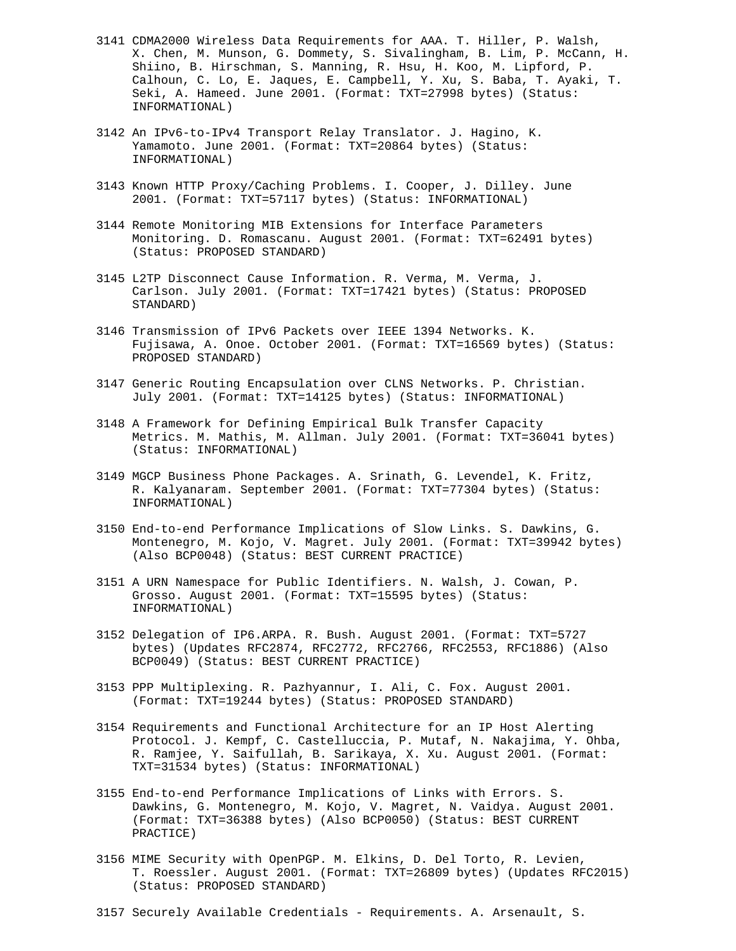- 3141 CDMA2000 Wireless Data Requirements for AAA. T. Hiller, P. Walsh, X. Chen, M. Munson, G. Dommety, S. Sivalingham, B. Lim, P. McCann, H. Shiino, B. Hirschman, S. Manning, R. Hsu, H. Koo, M. Lipford, P. Calhoun, C. Lo, E. Jaques, E. Campbell, Y. Xu, S. Baba, T. Ayaki, T. Seki, A. Hameed. June 2001. (Format: TXT=27998 bytes) (Status: INFORMATIONAL)
- 3142 An IPv6-to-IPv4 Transport Relay Translator. J. Hagino, K. Yamamoto. June 2001. (Format: TXT=20864 bytes) (Status: INFORMATIONAL)
- 3143 Known HTTP Proxy/Caching Problems. I. Cooper, J. Dilley. June 2001. (Format: TXT=57117 bytes) (Status: INFORMATIONAL)
- 3144 Remote Monitoring MIB Extensions for Interface Parameters Monitoring. D. Romascanu. August 2001. (Format: TXT=62491 bytes) (Status: PROPOSED STANDARD)
- 3145 L2TP Disconnect Cause Information. R. Verma, M. Verma, J. Carlson. July 2001. (Format: TXT=17421 bytes) (Status: PROPOSED STANDARD)
- 3146 Transmission of IPv6 Packets over IEEE 1394 Networks. K. Fujisawa, A. Onoe. October 2001. (Format: TXT=16569 bytes) (Status: PROPOSED STANDARD)
- 3147 Generic Routing Encapsulation over CLNS Networks. P. Christian. July 2001. (Format: TXT=14125 bytes) (Status: INFORMATIONAL)
- 3148 A Framework for Defining Empirical Bulk Transfer Capacity Metrics. M. Mathis, M. Allman. July 2001. (Format: TXT=36041 bytes) (Status: INFORMATIONAL)
- 3149 MGCP Business Phone Packages. A. Srinath, G. Levendel, K. Fritz, R. Kalyanaram. September 2001. (Format: TXT=77304 bytes) (Status: INFORMATIONAL)
- 3150 End-to-end Performance Implications of Slow Links. S. Dawkins, G. Montenegro, M. Kojo, V. Magret. July 2001. (Format: TXT=39942 bytes) (Also BCP0048) (Status: BEST CURRENT PRACTICE)
- 3151 A URN Namespace for Public Identifiers. N. Walsh, J. Cowan, P. Grosso. August 2001. (Format: TXT=15595 bytes) (Status: INFORMATIONAL)
- 3152 Delegation of IP6.ARPA. R. Bush. August 2001. (Format: TXT=5727 bytes) (Updates RFC2874, RFC2772, RFC2766, RFC2553, RFC1886) (Also BCP0049) (Status: BEST CURRENT PRACTICE)
- 3153 PPP Multiplexing. R. Pazhyannur, I. Ali, C. Fox. August 2001. (Format: TXT=19244 bytes) (Status: PROPOSED STANDARD)
- 3154 Requirements and Functional Architecture for an IP Host Alerting Protocol. J. Kempf, C. Castelluccia, P. Mutaf, N. Nakajima, Y. Ohba, R. Ramjee, Y. Saifullah, B. Sarikaya, X. Xu. August 2001. (Format: TXT=31534 bytes) (Status: INFORMATIONAL)
- 3155 End-to-end Performance Implications of Links with Errors. S. Dawkins, G. Montenegro, M. Kojo, V. Magret, N. Vaidya. August 2001. (Format: TXT=36388 bytes) (Also BCP0050) (Status: BEST CURRENT PRACTICE)
- 3156 MIME Security with OpenPGP. M. Elkins, D. Del Torto, R. Levien, T. Roessler. August 2001. (Format: TXT=26809 bytes) (Updates RFC2015) (Status: PROPOSED STANDARD)
- 3157 Securely Available Credentials Requirements. A. Arsenault, S.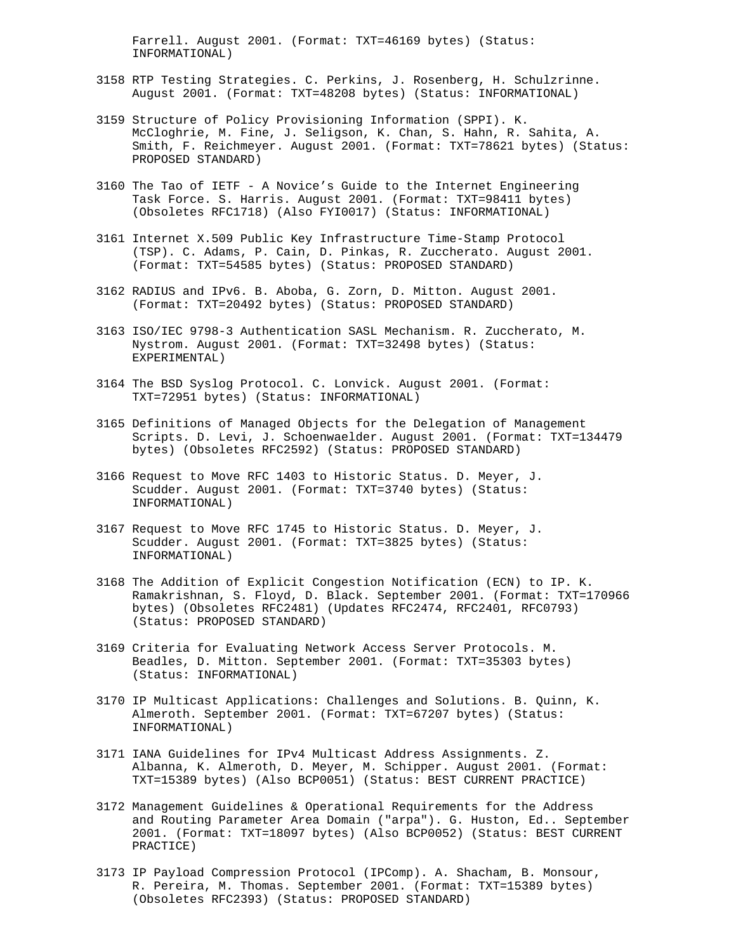Farrell. August 2001. (Format: TXT=46169 bytes) (Status: INFORMATIONAL)

- 3158 RTP Testing Strategies. C. Perkins, J. Rosenberg, H. Schulzrinne. August 2001. (Format: TXT=48208 bytes) (Status: INFORMATIONAL)
- 3159 Structure of Policy Provisioning Information (SPPI). K. McCloghrie, M. Fine, J. Seligson, K. Chan, S. Hahn, R. Sahita, A. Smith, F. Reichmeyer. August 2001. (Format: TXT=78621 bytes) (Status: PROPOSED STANDARD)
- 3160 The Tao of IETF A Novice's Guide to the Internet Engineering Task Force. S. Harris. August 2001. (Format: TXT=98411 bytes) (Obsoletes RFC1718) (Also FYI0017) (Status: INFORMATIONAL)
- 3161 Internet X.509 Public Key Infrastructure Time-Stamp Protocol (TSP). C. Adams, P. Cain, D. Pinkas, R. Zuccherato. August 2001. (Format: TXT=54585 bytes) (Status: PROPOSED STANDARD)
- 3162 RADIUS and IPv6. B. Aboba, G. Zorn, D. Mitton. August 2001. (Format: TXT=20492 bytes) (Status: PROPOSED STANDARD)
- 3163 ISO/IEC 9798-3 Authentication SASL Mechanism. R. Zuccherato, M. Nystrom. August 2001. (Format: TXT=32498 bytes) (Status: EXPERIMENTAL)
- 3164 The BSD Syslog Protocol. C. Lonvick. August 2001. (Format: TXT=72951 bytes) (Status: INFORMATIONAL)
- 3165 Definitions of Managed Objects for the Delegation of Management Scripts. D. Levi, J. Schoenwaelder. August 2001. (Format: TXT=134479 bytes) (Obsoletes RFC2592) (Status: PROPOSED STANDARD)
- 3166 Request to Move RFC 1403 to Historic Status. D. Meyer, J. Scudder. August 2001. (Format: TXT=3740 bytes) (Status: INFORMATIONAL)
- 3167 Request to Move RFC 1745 to Historic Status. D. Meyer, J. Scudder. August 2001. (Format: TXT=3825 bytes) (Status: INFORMATIONAL)
- 3168 The Addition of Explicit Congestion Notification (ECN) to IP. K. Ramakrishnan, S. Floyd, D. Black. September 2001. (Format: TXT=170966 bytes) (Obsoletes RFC2481) (Updates RFC2474, RFC2401, RFC0793) (Status: PROPOSED STANDARD)
- 3169 Criteria for Evaluating Network Access Server Protocols. M. Beadles, D. Mitton. September 2001. (Format: TXT=35303 bytes) (Status: INFORMATIONAL)
- 3170 IP Multicast Applications: Challenges and Solutions. B. Quinn, K. Almeroth. September 2001. (Format: TXT=67207 bytes) (Status: INFORMATIONAL)
- 3171 IANA Guidelines for IPv4 Multicast Address Assignments. Z. Albanna, K. Almeroth, D. Meyer, M. Schipper. August 2001. (Format: TXT=15389 bytes) (Also BCP0051) (Status: BEST CURRENT PRACTICE)
- 3172 Management Guidelines & Operational Requirements for the Address and Routing Parameter Area Domain ("arpa"). G. Huston, Ed.. September 2001. (Format: TXT=18097 bytes) (Also BCP0052) (Status: BEST CURRENT PRACTICE)
- 3173 IP Payload Compression Protocol (IPComp). A. Shacham, B. Monsour, R. Pereira, M. Thomas. September 2001. (Format: TXT=15389 bytes) (Obsoletes RFC2393) (Status: PROPOSED STANDARD)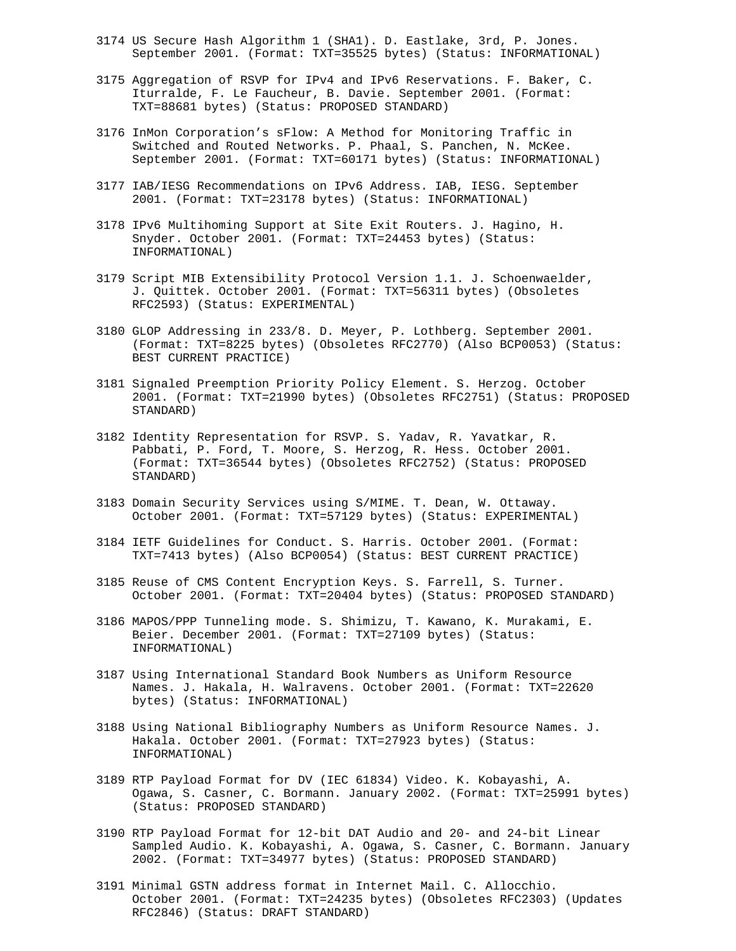- 3174 US Secure Hash Algorithm 1 (SHA1). D. Eastlake, 3rd, P. Jones. September 2001. (Format: TXT=35525 bytes) (Status: INFORMATIONAL)
- 3175 Aggregation of RSVP for IPv4 and IPv6 Reservations. F. Baker, C. Iturralde, F. Le Faucheur, B. Davie. September 2001. (Format: TXT=88681 bytes) (Status: PROPOSED STANDARD)
- 3176 InMon Corporation's sFlow: A Method for Monitoring Traffic in Switched and Routed Networks. P. Phaal, S. Panchen, N. McKee. September 2001. (Format: TXT=60171 bytes) (Status: INFORMATIONAL)
- 3177 IAB/IESG Recommendations on IPv6 Address. IAB, IESG. September 2001. (Format: TXT=23178 bytes) (Status: INFORMATIONAL)
- 3178 IPv6 Multihoming Support at Site Exit Routers. J. Hagino, H. Snyder. October 2001. (Format: TXT=24453 bytes) (Status: INFORMATIONAL)
- 3179 Script MIB Extensibility Protocol Version 1.1. J. Schoenwaelder, J. Quittek. October 2001. (Format: TXT=56311 bytes) (Obsoletes RFC2593) (Status: EXPERIMENTAL)
- 3180 GLOP Addressing in 233/8. D. Meyer, P. Lothberg. September 2001. (Format: TXT=8225 bytes) (Obsoletes RFC2770) (Also BCP0053) (Status: BEST CURRENT PRACTICE)
- 3181 Signaled Preemption Priority Policy Element. S. Herzog. October 2001. (Format: TXT=21990 bytes) (Obsoletes RFC2751) (Status: PROPOSED STANDARD)
- 3182 Identity Representation for RSVP. S. Yadav, R. Yavatkar, R. Pabbati, P. Ford, T. Moore, S. Herzog, R. Hess. October 2001. (Format: TXT=36544 bytes) (Obsoletes RFC2752) (Status: PROPOSED STANDARD)
- 3183 Domain Security Services using S/MIME. T. Dean, W. Ottaway. October 2001. (Format: TXT=57129 bytes) (Status: EXPERIMENTAL)
- 3184 IETF Guidelines for Conduct. S. Harris. October 2001. (Format: TXT=7413 bytes) (Also BCP0054) (Status: BEST CURRENT PRACTICE)
- 3185 Reuse of CMS Content Encryption Keys. S. Farrell, S. Turner. October 2001. (Format: TXT=20404 bytes) (Status: PROPOSED STANDARD)
- 3186 MAPOS/PPP Tunneling mode. S. Shimizu, T. Kawano, K. Murakami, E. Beier. December 2001. (Format: TXT=27109 bytes) (Status: INFORMATIONAL)
- 3187 Using International Standard Book Numbers as Uniform Resource Names. J. Hakala, H. Walravens. October 2001. (Format: TXT=22620 bytes) (Status: INFORMATIONAL)
- 3188 Using National Bibliography Numbers as Uniform Resource Names. J. Hakala. October 2001. (Format: TXT=27923 bytes) (Status: INFORMATIONAL)
- 3189 RTP Payload Format for DV (IEC 61834) Video. K. Kobayashi, A. Ogawa, S. Casner, C. Bormann. January 2002. (Format: TXT=25991 bytes) (Status: PROPOSED STANDARD)
- 3190 RTP Payload Format for 12-bit DAT Audio and 20- and 24-bit Linear Sampled Audio. K. Kobayashi, A. Ogawa, S. Casner, C. Bormann. January 2002. (Format: TXT=34977 bytes) (Status: PROPOSED STANDARD)
- 3191 Minimal GSTN address format in Internet Mail. C. Allocchio. October 2001. (Format: TXT=24235 bytes) (Obsoletes RFC2303) (Updates RFC2846) (Status: DRAFT STANDARD)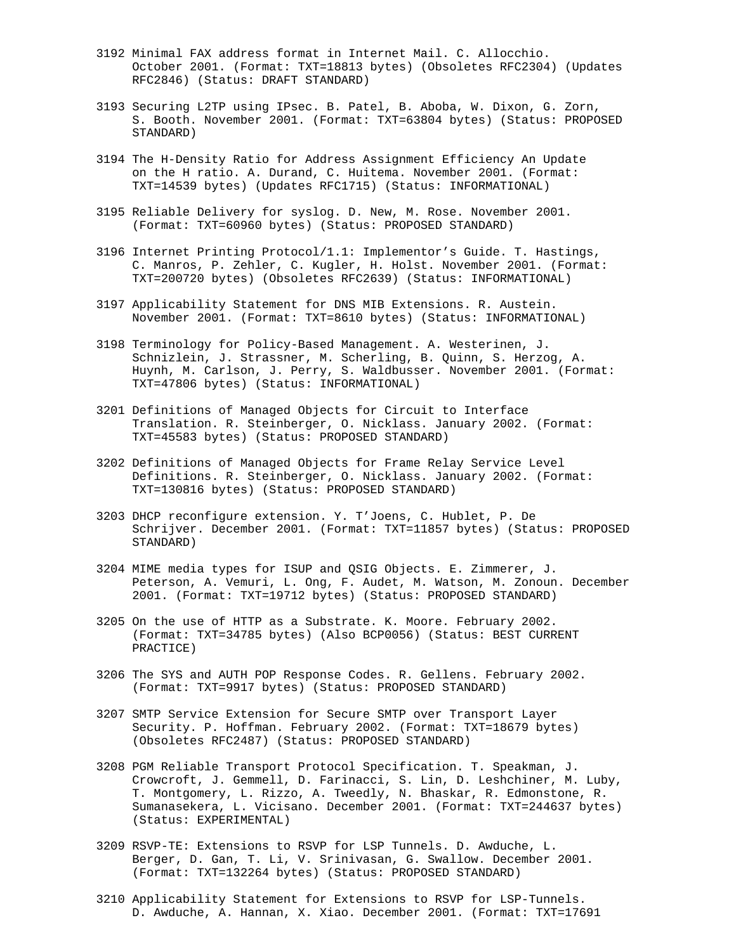- 3192 Minimal FAX address format in Internet Mail. C. Allocchio. October 2001. (Format: TXT=18813 bytes) (Obsoletes RFC2304) (Updates RFC2846) (Status: DRAFT STANDARD)
- 3193 Securing L2TP using IPsec. B. Patel, B. Aboba, W. Dixon, G. Zorn, S. Booth. November 2001. (Format: TXT=63804 bytes) (Status: PROPOSED STANDARD)
- 3194 The H-Density Ratio for Address Assignment Efficiency An Update on the H ratio. A. Durand, C. Huitema. November 2001. (Format: TXT=14539 bytes) (Updates RFC1715) (Status: INFORMATIONAL)
- 3195 Reliable Delivery for syslog. D. New, M. Rose. November 2001. (Format: TXT=60960 bytes) (Status: PROPOSED STANDARD)
- 3196 Internet Printing Protocol/1.1: Implementor's Guide. T. Hastings, C. Manros, P. Zehler, C. Kugler, H. Holst. November 2001. (Format: TXT=200720 bytes) (Obsoletes RFC2639) (Status: INFORMATIONAL)
- 3197 Applicability Statement for DNS MIB Extensions. R. Austein. November 2001. (Format: TXT=8610 bytes) (Status: INFORMATIONAL)
- 3198 Terminology for Policy-Based Management. A. Westerinen, J. Schnizlein, J. Strassner, M. Scherling, B. Quinn, S. Herzog, A. Huynh, M. Carlson, J. Perry, S. Waldbusser. November 2001. (Format: TXT=47806 bytes) (Status: INFORMATIONAL)
- 3201 Definitions of Managed Objects for Circuit to Interface Translation. R. Steinberger, O. Nicklass. January 2002. (Format: TXT=45583 bytes) (Status: PROPOSED STANDARD)
- 3202 Definitions of Managed Objects for Frame Relay Service Level Definitions. R. Steinberger, O. Nicklass. January 2002. (Format: TXT=130816 bytes) (Status: PROPOSED STANDARD)
- 3203 DHCP reconfigure extension. Y. T'Joens, C. Hublet, P. De Schrijver. December 2001. (Format: TXT=11857 bytes) (Status: PROPOSED STANDARD)
- 3204 MIME media types for ISUP and QSIG Objects. E. Zimmerer, J. Peterson, A. Vemuri, L. Ong, F. Audet, M. Watson, M. Zonoun. December 2001. (Format: TXT=19712 bytes) (Status: PROPOSED STANDARD)
- 3205 On the use of HTTP as a Substrate. K. Moore. February 2002. (Format: TXT=34785 bytes) (Also BCP0056) (Status: BEST CURRENT PRACTICE)
- 3206 The SYS and AUTH POP Response Codes. R. Gellens. February 2002. (Format: TXT=9917 bytes) (Status: PROPOSED STANDARD)
- 3207 SMTP Service Extension for Secure SMTP over Transport Layer Security. P. Hoffman. February 2002. (Format: TXT=18679 bytes) (Obsoletes RFC2487) (Status: PROPOSED STANDARD)
- 3208 PGM Reliable Transport Protocol Specification. T. Speakman, J. Crowcroft, J. Gemmell, D. Farinacci, S. Lin, D. Leshchiner, M. Luby, T. Montgomery, L. Rizzo, A. Tweedly, N. Bhaskar, R. Edmonstone, R. Sumanasekera, L. Vicisano. December 2001. (Format: TXT=244637 bytes) (Status: EXPERIMENTAL)
- 3209 RSVP-TE: Extensions to RSVP for LSP Tunnels. D. Awduche, L. Berger, D. Gan, T. Li, V. Srinivasan, G. Swallow. December 2001. (Format: TXT=132264 bytes) (Status: PROPOSED STANDARD)
- 3210 Applicability Statement for Extensions to RSVP for LSP-Tunnels. D. Awduche, A. Hannan, X. Xiao. December 2001. (Format: TXT=17691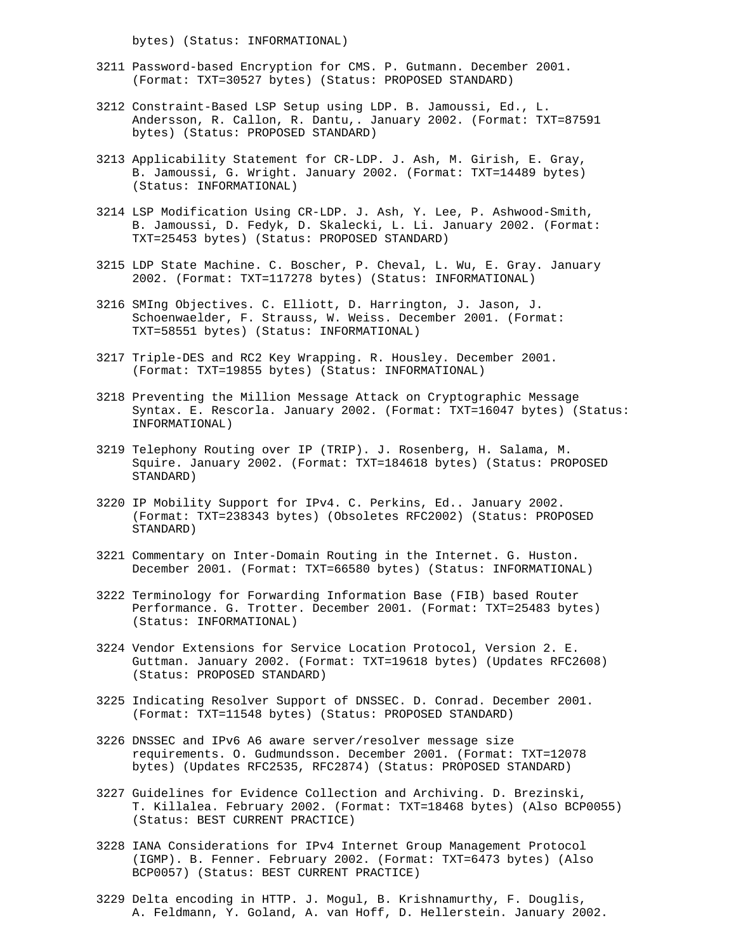bytes) (Status: INFORMATIONAL)

- 3211 Password-based Encryption for CMS. P. Gutmann. December 2001. (Format: TXT=30527 bytes) (Status: PROPOSED STANDARD)
- 3212 Constraint-Based LSP Setup using LDP. B. Jamoussi, Ed., L. Andersson, R. Callon, R. Dantu,. January 2002. (Format: TXT=87591 bytes) (Status: PROPOSED STANDARD)
- 3213 Applicability Statement for CR-LDP. J. Ash, M. Girish, E. Gray, B. Jamoussi, G. Wright. January 2002. (Format: TXT=14489 bytes) (Status: INFORMATIONAL)
- 3214 LSP Modification Using CR-LDP. J. Ash, Y. Lee, P. Ashwood-Smith, B. Jamoussi, D. Fedyk, D. Skalecki, L. Li. January 2002. (Format: TXT=25453 bytes) (Status: PROPOSED STANDARD)
- 3215 LDP State Machine. C. Boscher, P. Cheval, L. Wu, E. Gray. January 2002. (Format: TXT=117278 bytes) (Status: INFORMATIONAL)
- 3216 SMIng Objectives. C. Elliott, D. Harrington, J. Jason, J. Schoenwaelder, F. Strauss, W. Weiss. December 2001. (Format: TXT=58551 bytes) (Status: INFORMATIONAL)
- 3217 Triple-DES and RC2 Key Wrapping. R. Housley. December 2001. (Format: TXT=19855 bytes) (Status: INFORMATIONAL)
- 3218 Preventing the Million Message Attack on Cryptographic Message Syntax. E. Rescorla. January 2002. (Format: TXT=16047 bytes) (Status: INFORMATIONAL)
- 3219 Telephony Routing over IP (TRIP). J. Rosenberg, H. Salama, M. Squire. January 2002. (Format: TXT=184618 bytes) (Status: PROPOSED STANDARD)
- 3220 IP Mobility Support for IPv4. C. Perkins, Ed.. January 2002. (Format: TXT=238343 bytes) (Obsoletes RFC2002) (Status: PROPOSED STANDARD)
- 3221 Commentary on Inter-Domain Routing in the Internet. G. Huston. December 2001. (Format: TXT=66580 bytes) (Status: INFORMATIONAL)
- 3222 Terminology for Forwarding Information Base (FIB) based Router Performance. G. Trotter. December 2001. (Format: TXT=25483 bytes) (Status: INFORMATIONAL)
- 3224 Vendor Extensions for Service Location Protocol, Version 2. E. Guttman. January 2002. (Format: TXT=19618 bytes) (Updates RFC2608) (Status: PROPOSED STANDARD)
- 3225 Indicating Resolver Support of DNSSEC. D. Conrad. December 2001. (Format: TXT=11548 bytes) (Status: PROPOSED STANDARD)
- 3226 DNSSEC and IPv6 A6 aware server/resolver message size requirements. O. Gudmundsson. December 2001. (Format: TXT=12078 bytes) (Updates RFC2535, RFC2874) (Status: PROPOSED STANDARD)
- 3227 Guidelines for Evidence Collection and Archiving. D. Brezinski, T. Killalea. February 2002. (Format: TXT=18468 bytes) (Also BCP0055) (Status: BEST CURRENT PRACTICE)
- 3228 IANA Considerations for IPv4 Internet Group Management Protocol (IGMP). B. Fenner. February 2002. (Format: TXT=6473 bytes) (Also BCP0057) (Status: BEST CURRENT PRACTICE)
- 3229 Delta encoding in HTTP. J. Mogul, B. Krishnamurthy, F. Douglis, A. Feldmann, Y. Goland, A. van Hoff, D. Hellerstein. January 2002.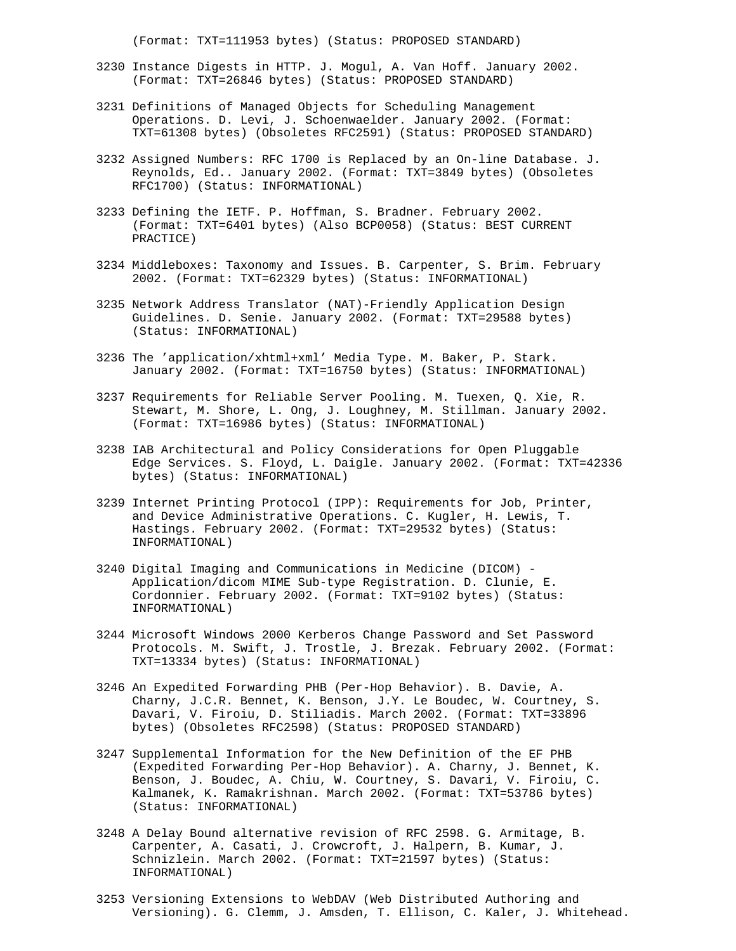(Format: TXT=111953 bytes) (Status: PROPOSED STANDARD)

- 3230 Instance Digests in HTTP. J. Mogul, A. Van Hoff. January 2002. (Format: TXT=26846 bytes) (Status: PROPOSED STANDARD)
- 3231 Definitions of Managed Objects for Scheduling Management Operations. D. Levi, J. Schoenwaelder. January 2002. (Format: TXT=61308 bytes) (Obsoletes RFC2591) (Status: PROPOSED STANDARD)
- 3232 Assigned Numbers: RFC 1700 is Replaced by an On-line Database. J. Reynolds, Ed.. January 2002. (Format: TXT=3849 bytes) (Obsoletes RFC1700) (Status: INFORMATIONAL)
- 3233 Defining the IETF. P. Hoffman, S. Bradner. February 2002. (Format: TXT=6401 bytes) (Also BCP0058) (Status: BEST CURRENT PRACTICE)
- 3234 Middleboxes: Taxonomy and Issues. B. Carpenter, S. Brim. February 2002. (Format: TXT=62329 bytes) (Status: INFORMATIONAL)
- 3235 Network Address Translator (NAT)-Friendly Application Design Guidelines. D. Senie. January 2002. (Format: TXT=29588 bytes) (Status: INFORMATIONAL)
- 3236 The 'application/xhtml+xml' Media Type. M. Baker, P. Stark. January 2002. (Format: TXT=16750 bytes) (Status: INFORMATIONAL)
- 3237 Requirements for Reliable Server Pooling. M. Tuexen, Q. Xie, R. Stewart, M. Shore, L. Ong, J. Loughney, M. Stillman. January 2002. (Format: TXT=16986 bytes) (Status: INFORMATIONAL)
- 3238 IAB Architectural and Policy Considerations for Open Pluggable Edge Services. S. Floyd, L. Daigle. January 2002. (Format: TXT=42336 bytes) (Status: INFORMATIONAL)
- 3239 Internet Printing Protocol (IPP): Requirements for Job, Printer, and Device Administrative Operations. C. Kugler, H. Lewis, T. Hastings. February 2002. (Format: TXT=29532 bytes) (Status: INFORMATIONAL)
- 3240 Digital Imaging and Communications in Medicine (DICOM) Application/dicom MIME Sub-type Registration. D. Clunie, E. Cordonnier. February 2002. (Format: TXT=9102 bytes) (Status: INFORMATIONAL)
- 3244 Microsoft Windows 2000 Kerberos Change Password and Set Password Protocols. M. Swift, J. Trostle, J. Brezak. February 2002. (Format: TXT=13334 bytes) (Status: INFORMATIONAL)
- 3246 An Expedited Forwarding PHB (Per-Hop Behavior). B. Davie, A. Charny, J.C.R. Bennet, K. Benson, J.Y. Le Boudec, W. Courtney, S. Davari, V. Firoiu, D. Stiliadis. March 2002. (Format: TXT=33896 bytes) (Obsoletes RFC2598) (Status: PROPOSED STANDARD)
- 3247 Supplemental Information for the New Definition of the EF PHB (Expedited Forwarding Per-Hop Behavior). A. Charny, J. Bennet, K. Benson, J. Boudec, A. Chiu, W. Courtney, S. Davari, V. Firoiu, C. Kalmanek, K. Ramakrishnan. March 2002. (Format: TXT=53786 bytes) (Status: INFORMATIONAL)
- 3248 A Delay Bound alternative revision of RFC 2598. G. Armitage, B. Carpenter, A. Casati, J. Crowcroft, J. Halpern, B. Kumar, J. Schnizlein. March 2002. (Format: TXT=21597 bytes) (Status: INFORMATIONAL)
- 3253 Versioning Extensions to WebDAV (Web Distributed Authoring and Versioning). G. Clemm, J. Amsden, T. Ellison, C. Kaler, J. Whitehead.